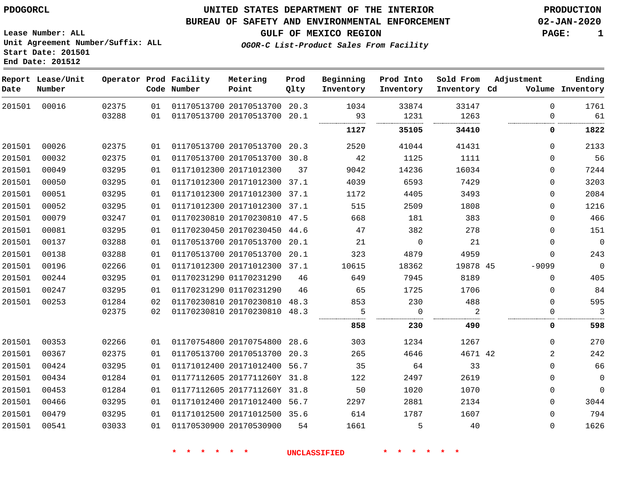#### **BUREAU OF SAFETY AND ENVIRONMENTAL ENFORCEMENT 02-JAN-2020**

**GULF OF MEXICO REGION PAGE: 1**

**Lease Number: ALL Unit Agreement Number/Suffix: ALL Start Date: 201501 End Date: 201512**

**OGOR-C List-Product Sales From Facility**

| Date   | Report Lease/Unit<br>Number |       |    | Operator Prod Facility<br>Code Number | Metering<br>Point            | Prod<br>Qlty | Beginning<br>Inventory | Prod Into<br>Inventory | Sold From<br>Inventory Cd | Adjustment | Ending<br>Volume Inventory |
|--------|-----------------------------|-------|----|---------------------------------------|------------------------------|--------------|------------------------|------------------------|---------------------------|------------|----------------------------|
| 201501 | 00016                       | 02375 | 01 |                                       | 01170513700 20170513700 20.3 |              | 1034                   | 33874                  | 33147                     |            | $\mathbf 0$<br>1761        |
|        |                             | 03288 | 01 | 01170513700 20170513700 20.1          |                              |              | 93                     | 1231                   | 1263                      |            | 61<br>0                    |
|        |                             |       |    |                                       |                              |              | 1127                   | 35105                  | 34410                     |            | 1822<br>0                  |
| 201501 | 00026                       | 02375 | 01 | 01170513700 20170513700 20.3          |                              |              | 2520                   | 41044                  | 41431                     |            | $\Omega$<br>2133           |
| 201501 | 00032                       | 02375 | 01 |                                       | 01170513700 20170513700 30.8 |              | 42                     | 1125                   | 1111                      |            | 56<br>0                    |
| 201501 | 00049                       | 03295 | 01 |                                       | 01171012300 20171012300      | 37           | 9042                   | 14236                  | 16034                     |            | 7244<br>0                  |
| 201501 | 00050                       | 03295 | 01 |                                       | 01171012300 20171012300 37.1 |              | 4039                   | 6593                   | 7429                      |            | 3203<br>0                  |
| 201501 | 00051                       | 03295 | 01 |                                       | 01171012300 20171012300 37.1 |              | 1172                   | 4405                   | 3493                      |            | 2084<br>0                  |
| 201501 | 00052                       | 03295 | 01 |                                       | 01171012300 20171012300 37.1 |              | 515                    | 2509                   | 1808                      |            | 1216<br>$\Omega$           |
| 201501 | 00079                       | 03247 | 01 |                                       | 01170230810 20170230810 47.5 |              | 668                    | 181                    | 383                       |            | 466<br>0                   |
| 201501 | 00081                       | 03295 | 01 |                                       | 01170230450 20170230450 44.6 |              | 47                     | 382                    | 278                       |            | 151<br>0                   |
| 201501 | 00137                       | 03288 | 01 |                                       | 01170513700 20170513700      | 20.1         | 21                     | $\mathbf 0$            | 21                        |            | $\overline{0}$<br>0        |
| 201501 | 00138                       | 03288 | 01 |                                       | 01170513700 20170513700      | 20.1         | 323                    | 4879                   | 4959                      |            | 243<br>0                   |
| 201501 | 00196                       | 02266 | 01 |                                       | 01171012300 20171012300 37.1 |              | 10615                  | 18362                  | 19878 45                  | $-9099$    | $\overline{0}$             |
| 201501 | 00244                       | 03295 | 01 |                                       | 01170231290 01170231290      | 46           | 649                    | 7945                   | 8189                      |            | 405<br>$\Omega$            |
| 201501 | 00247                       | 03295 | 01 |                                       | 01170231290 01170231290      | 46           | 65                     | 1725                   | 1706                      |            | 84<br>0                    |
| 201501 | 00253                       | 01284 | 02 |                                       | 01170230810 20170230810      | 48.3         | 853                    | 230                    | 488                       |            | 595<br>$\Omega$            |
|        |                             | 02375 | 02 |                                       | 01170230810 20170230810 48.3 |              | 5                      | $\overline{0}$         | 2                         |            | 3<br>0                     |
|        |                             |       |    |                                       |                              |              | 858                    | 230                    | 490                       |            | 598<br>0                   |
| 201501 | 00353                       | 02266 | 01 | 01170754800 20170754800 28.6          |                              |              | 303                    | 1234                   | 1267                      |            | 270<br>$\Omega$            |
| 201501 | 00367                       | 02375 | 01 |                                       | 01170513700 20170513700 20.3 |              | 265                    | 4646                   | 4671 42                   |            | $\overline{2}$<br>242      |
| 201501 | 00424                       | 03295 | 01 |                                       | 01171012400 20171012400 56.7 |              | 35                     | 64                     | 33                        |            | 66<br>0                    |
| 201501 | 00434                       | 01284 | 01 |                                       | 01177112605 2017711260Y 31.8 |              | 122                    | 2497                   | 2619                      |            | $\mathbf 0$<br>0           |
| 201501 | 00453                       | 01284 | 01 |                                       | 01177112605 2017711260Y 31.8 |              | 50                     | 1020                   | 1070                      |            | $\mathbf{0}$<br>0          |
| 201501 | 00466                       | 03295 | 01 |                                       | 01171012400 20171012400 56.7 |              | 2297                   | 2881                   | 2134                      |            | 3044<br>0                  |
| 201501 | 00479                       | 03295 | 01 |                                       | 01171012500 20171012500 35.6 |              | 614                    | 1787                   | 1607                      |            | 794<br>0                   |
| 201501 | 00541                       | 03033 | 01 |                                       | 01170530900 20170530900      | 54           | 1661                   | 5                      | 40                        |            | 1626<br>0                  |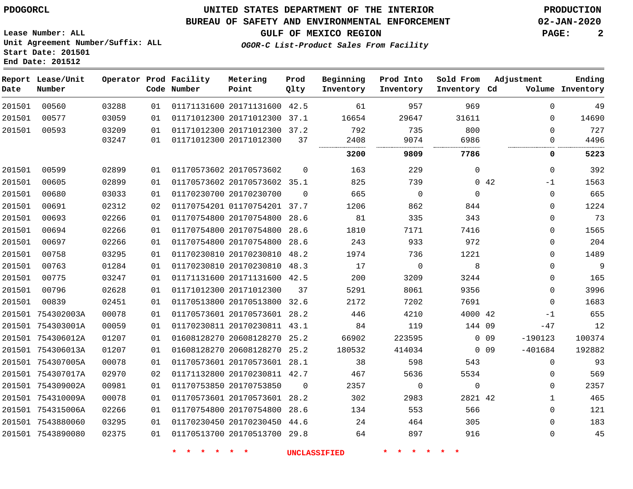**End Date: 201512**

### **UNITED STATES DEPARTMENT OF THE INTERIOR PDOGORCL PRODUCTION**

#### **BUREAU OF SAFETY AND ENVIRONMENTAL ENFORCEMENT 02-JAN-2020**

**Lease Number: ALL Unit Agreement Number/Suffix: ALL Start Date: 201501**

**GULF OF MEXICO REGION PAGE: 2**

**OGOR-C List-Product Sales From Facility**

| Date   | Report Lease/Unit<br>Number |       |    | Operator Prod Facility<br>Code Number | Metering<br>Point            | Prod<br>Qlty | Beginning<br>Inventory | Prod Into<br>Inventory | Sold From<br>Inventory Cd | Adjustment                   | Ending<br>Volume Inventory |
|--------|-----------------------------|-------|----|---------------------------------------|------------------------------|--------------|------------------------|------------------------|---------------------------|------------------------------|----------------------------|
| 201501 | 00560                       | 03288 | 01 |                                       | 01171131600 20171131600      | 42.5         | 61                     | 957                    | 969                       |                              | $\Omega$<br>49             |
| 201501 | 00577                       | 03059 | 01 |                                       | 01171012300 20171012300      | 37.1         | 16654                  | 29647                  | 31611                     |                              | 14690<br>$\Omega$          |
| 201501 | 00593                       | 03209 | 01 |                                       | 01171012300 20171012300 37.2 |              | 792                    | 735                    | 800                       |                              | 727<br>$\Omega$            |
|        |                             | 03247 | 01 |                                       | 01171012300 20171012300      | 37           | 2408                   | 9074                   | 6986                      |                              | $\Omega$<br>4496           |
|        |                             |       |    |                                       |                              |              | 3200                   | 9809                   | 7786                      |                              | 5223<br>0                  |
| 201501 | 00599                       | 02899 | 01 |                                       | 01170573602 20170573602      | $\mathbf 0$  | 163                    | 229                    | $\mathbf 0$               |                              | 392<br>$\Omega$            |
| 201501 | 00605                       | 02899 | 01 |                                       | 01170573602 20170573602 35.1 |              | 825                    | 739                    |                           | $0\quad 42$<br>$-1$          | 1563                       |
| 201501 | 00680                       | 03033 | 01 |                                       | 01170230700 20170230700      | $\Omega$     | 665                    | $\Omega$               | $\Omega$                  |                              | 665<br>$\Omega$            |
| 201501 | 00691                       | 02312 | 02 |                                       | 01170754201 01170754201      | 37.7         | 1206                   | 862                    | 844                       |                              | 1224<br>$\mathbf 0$        |
| 201501 | 00693                       | 02266 | 01 |                                       | 01170754800 20170754800      | 28.6         | 81                     | 335                    | 343                       |                              | 73<br>$\mathbf 0$          |
| 201501 | 00694                       | 02266 | 01 |                                       | 01170754800 20170754800      | 28.6         | 1810                   | 7171                   | 7416                      |                              | 1565<br>$\Omega$           |
| 201501 | 00697                       | 02266 | 01 |                                       | 01170754800 20170754800      | 28.6         | 243                    | 933                    | 972                       |                              | 204<br>$\mathbf{0}$        |
| 201501 | 00758                       | 03295 | 01 |                                       | 01170230810 20170230810      | 48.2         | 1974                   | 736                    | 1221                      |                              | 1489<br>$\mathbf 0$        |
| 201501 | 00763                       | 01284 | 01 |                                       | 01170230810 20170230810      | 48.3         | 17                     | $\mathbf 0$            | 8                         |                              | 9<br>$\mathbf 0$           |
| 201501 | 00775                       | 03247 | 01 |                                       | 01171131600 20171131600 42.5 |              | 200                    | 3209                   | 3244                      |                              | 165<br>$\Omega$            |
| 201501 | 00796                       | 02628 | 01 |                                       | 01171012300 20171012300      | 37           | 5291                   | 8061                   | 9356                      |                              | 3996<br>$\mathbf 0$        |
| 201501 | 00839                       | 02451 | 01 |                                       | 01170513800 20170513800      | 32.6         | 2172                   | 7202                   | 7691                      |                              | 1683<br>$\Omega$           |
| 201501 | 754302003A                  | 00078 | 01 |                                       | 01170573601 20170573601      | 28.2         | 446                    | 4210                   | 4000 42                   | $-1$                         | 655                        |
|        | 201501 754303001A           | 00059 | 01 |                                       | 01170230811 20170230811 43.1 |              | 84                     | 119                    | 144 09                    | $-47$                        | 12                         |
|        | 201501 754306012A           | 01207 | 01 |                                       | 01608128270 20608128270      | 25.2         | 66902                  | 223595                 |                           | $-190123$<br>0 <sub>09</sub> | 100374                     |
|        | 201501 754306013A           | 01207 | 01 |                                       | 01608128270 20608128270      | 25.2         | 180532                 | 414034                 |                           | $-401684$<br>0.09            | 192882                     |
|        | 201501 754307005A           | 00078 | 01 |                                       | 01170573601 20170573601 28.1 |              | 38                     | 598                    | 543                       |                              | 93<br>$\Omega$             |
|        | 201501 754307017A           | 02970 | 02 |                                       | 01171132800 20170230811 42.7 |              | 467                    | 5636                   | 5534                      |                              | 569<br>$\mathbf 0$         |
|        | 201501 754309002A           | 00981 | 01 |                                       | 01170753850 20170753850      | 0            | 2357                   | $\mathbf 0$            | $\mathbf 0$               |                              | 2357<br>$\Omega$           |
|        | 201501 754310009A           | 00078 | 01 |                                       | 01170573601 20170573601      | 28.2         | 302                    | 2983                   | 2821 42                   |                              | 465<br>1                   |
|        | 201501 754315006A           | 02266 | 01 |                                       | 01170754800 20170754800      | 28.6         | 134                    | 553                    | 566                       |                              | $\mathbf 0$<br>121         |
|        | 201501 7543880060           | 03295 | 01 |                                       | 01170230450 20170230450      | 44.6         | 24                     | 464                    | 305                       |                              | 183<br>$\Omega$            |
|        | 201501 7543890080           | 02375 | 01 |                                       | 01170513700 20170513700      | 29.8         | 64                     | 897                    | 916                       |                              | 45<br>$\Omega$             |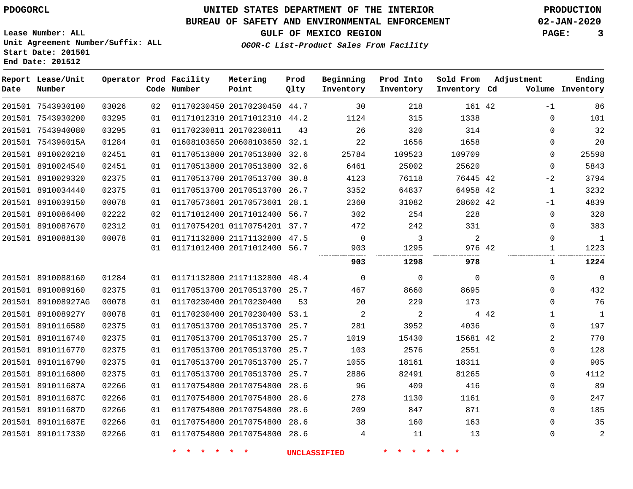**End Date: 201512**

# **UNITED STATES DEPARTMENT OF THE INTERIOR PDOGORCL PRODUCTION**

### **BUREAU OF SAFETY AND ENVIRONMENTAL ENFORCEMENT 02-JAN-2020**

**Lease Number: ALL Unit Agreement Number/Suffix: ALL Start Date: 201501**

**GULF OF MEXICO REGION PAGE: 3**

**OGOR-C List-Product Sales From Facility**

| Date | Report Lease/Unit<br>Number |       |    | Operator Prod Facility<br>Code Number | Metering<br>Point            | Prod<br>Qlty | Beginning<br>Inventory | Prod Into<br>Inventory | Sold From<br>Inventory Cd | Adjustment           | Ending<br>Volume Inventory |
|------|-----------------------------|-------|----|---------------------------------------|------------------------------|--------------|------------------------|------------------------|---------------------------|----------------------|----------------------------|
|      | 201501 7543930100           | 03026 | 02 |                                       | 01170230450 20170230450 44.7 |              | 30                     | 218                    | 161 42                    | $-1$                 | 86                         |
|      | 201501 7543930200           | 03295 | 01 |                                       | 01171012310 20171012310 44.2 |              | 1124                   | 315                    | 1338                      | 0                    | 101                        |
|      | 201501 7543940080           | 03295 | 01 | 01170230811 20170230811               |                              | 43           | 26                     | 320                    | 314                       | 0                    | 32                         |
|      | 201501 754396015A           | 01284 | 01 |                                       | 01608103650 20608103650      | 32.1         | 22                     | 1656                   | 1658                      | 0                    | 20                         |
|      | 201501 8910020210           | 02451 | 01 |                                       | 01170513800 20170513800 32.6 |              | 25784                  | 109523                 | 109709                    | 0                    | 25598                      |
|      | 201501 8910024540           | 02451 | 01 |                                       | 01170513800 20170513800      | 32.6         | 6461                   | 25002                  | 25620                     | $\mathbf 0$          | 5843                       |
|      | 201501 8910029320           | 02375 | 01 |                                       | 01170513700 20170513700 30.8 |              | 4123                   | 76118                  | 76445 42                  | $-2$                 | 3794                       |
|      | 201501 8910034440           | 02375 | 01 |                                       | 01170513700 20170513700      | 26.7         | 3352                   | 64837                  | 64958 42                  | 1                    | 3232                       |
|      | 201501 8910039150           | 00078 | 01 |                                       | 01170573601 20170573601 28.1 |              | 2360                   | 31082                  | 28602 42                  | $-1$                 | 4839                       |
|      | 201501 8910086400           | 02222 | 02 |                                       | 01171012400 20171012400 56.7 |              | 302                    | 254                    | 228                       | 0                    | 328                        |
|      | 201501 8910087670           | 02312 | 01 |                                       | 01170754201 01170754201 37.7 |              | 472                    | 242                    | 331                       | 0                    | 383                        |
|      | 201501 8910088130           | 00078 | 01 |                                       | 01171132800 21171132800 47.5 |              | $\mathbf 0$            | 3                      | $\overline{a}$            | $\mathbf 0$          | $\mathbf{1}$               |
|      |                             |       | 01 |                                       | 01171012400 20171012400 56.7 |              | 903                    | 1295                   | 976 42                    | 1                    | 1223                       |
|      |                             |       |    |                                       |                              |              | 903                    | 1298                   | 978                       | 1                    | 1224                       |
|      | 201501 8910088160           | 01284 | 01 |                                       | 01171132800 21171132800 48.4 |              | $\mathbf 0$            | $\mathbf 0$            | $\mathbf 0$               | 0                    | $\overline{0}$             |
|      | 201501 8910089160           | 02375 | 01 |                                       | 01170513700 20170513700 25.7 |              | 467                    | 8660                   | 8695                      | $\mathbf 0$          | 432                        |
|      | 201501 891008927AG          | 00078 | 01 |                                       | 01170230400 20170230400      | 53           | 20                     | 229                    | 173                       | 0                    | 76                         |
|      | 201501 891008927Y           | 00078 | 01 |                                       | 01170230400 20170230400 53.1 |              | $\overline{a}$         | 2                      |                           | 4 4 2<br>$\mathbf 1$ | <sup>1</sup>               |
|      | 201501 8910116580           | 02375 | 01 |                                       | 01170513700 20170513700 25.7 |              | 281                    | 3952                   | 4036                      | 0                    | 197                        |
|      | 201501 8910116740           | 02375 | 01 |                                       | 01170513700 20170513700      | 25.7         | 1019                   | 15430                  | 15681 42                  | 2                    | 770                        |
|      | 201501 8910116770           | 02375 | 01 |                                       | 01170513700 20170513700 25.7 |              | 103                    | 2576                   | 2551                      | 0                    | 128                        |
|      | 201501 8910116790           | 02375 | 01 |                                       | 01170513700 20170513700      | 25.7         | 1055                   | 18161                  | 18311                     | 0                    | 905                        |
|      | 201501 8910116800           | 02375 | 01 |                                       | 01170513700 20170513700 25.7 |              | 2886                   | 82491                  | 81265                     | $\mathbf 0$          | 4112                       |
|      | 201501 891011687A           | 02266 | 01 |                                       | 01170754800 20170754800      | 28.6         | 96                     | 409                    | 416                       | 0                    | 89                         |
|      | 201501 891011687C           | 02266 | 01 |                                       | 01170754800 20170754800      | 28.6         | 278                    | 1130                   | 1161                      | 0                    | 247                        |
|      | 201501 891011687D           | 02266 | 01 |                                       | 01170754800 20170754800 28.6 |              | 209                    | 847                    | 871                       | 0                    | 185                        |
|      | 201501 891011687E           | 02266 | 01 |                                       | 01170754800 20170754800      | 28.6         | 38                     | 160                    | 163                       | 0                    | 35                         |
|      | 201501 8910117330           | 02266 | 01 |                                       | 01170754800 20170754800 28.6 |              | 4                      | 11                     | 13                        | 0                    | $\overline{2}$             |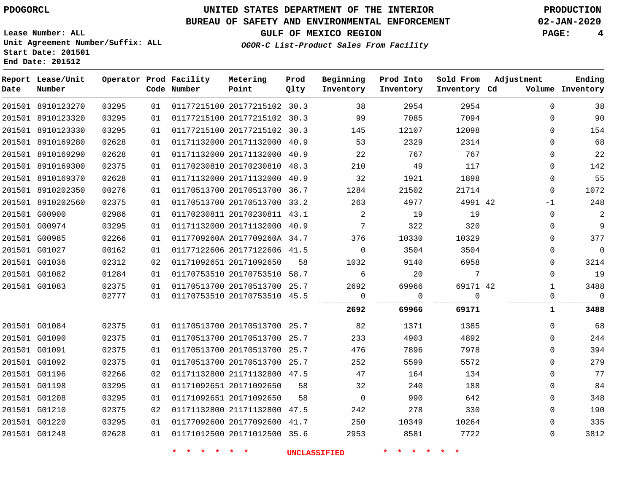### **BUREAU OF SAFETY AND ENVIRONMENTAL ENFORCEMENT 02-JAN-2020**

**OGOR-C List-Product Sales From Facility**

**GULF OF MEXICO REGION PAGE: 4**

**Lease Number: ALL Unit Agreement Number/Suffix: ALL Start Date: 201501 End Date: 201512**

| Date | Report Lease/Unit<br>Number |       |    | Operator Prod Facility<br>Code Number | Metering<br>Point            | Prod<br>Qlty | Beginning<br>Inventory | Prod Into<br>Inventory | Sold From<br>Inventory Cd | Adjustment   | Ending<br>Volume Inventory |
|------|-----------------------------|-------|----|---------------------------------------|------------------------------|--------------|------------------------|------------------------|---------------------------|--------------|----------------------------|
|      | 201501 8910123270           | 03295 | 01 |                                       | 01177215100 20177215102 30.3 |              | 38                     | 2954                   | 2954                      | $\Omega$     | 38                         |
|      | 201501 8910123320           | 03295 | 01 |                                       | 01177215100 20177215102 30.3 |              | 99                     | 7085                   | 7094                      | $\Omega$     | 90                         |
|      | 201501 8910123330           | 03295 | 01 |                                       | 01177215100 20177215102 30.3 |              | 145                    | 12107                  | 12098                     | $\Omega$     | 154                        |
|      | 201501 8910169280           | 02628 | 01 |                                       | 01171132000 20171132000 40.9 |              | 53                     | 2329                   | 2314                      | $\mathbf 0$  | 68                         |
|      | 201501 8910169290           | 02628 | 01 |                                       | 01171132000 20171132000 40.9 |              | 22                     | 767                    | 767                       | $\Omega$     | 22                         |
|      | 201501 8910169300           | 02375 | 01 |                                       | 01170230810 20170230810 48.3 |              | 210                    | 49                     | 117                       | $\Omega$     | 142                        |
|      | 201501 8910169370           | 02628 | 01 |                                       | 01171132000 20171132000 40.9 |              | 32                     | 1921                   | 1898                      | $\Omega$     | 55                         |
|      | 201501 8910202350           | 00276 | 01 |                                       | 01170513700 20170513700 36.7 |              | 1284                   | 21502                  | 21714                     | $\Omega$     | 1072                       |
|      | 201501 8910202560           | 02375 | 01 |                                       | 01170513700 20170513700 33.2 |              | 263                    | 4977                   | 4991 42                   | -1           | 248                        |
|      | 201501 G00900               | 02986 | 01 |                                       | 01170230811 20170230811 43.1 |              | -2                     | 19                     | 19                        | $\Omega$     | 2                          |
|      | 201501 G00974               | 03295 | 01 |                                       | 01171132000 20171132000 40.9 |              | 7                      | 322                    | 320                       | $\Omega$     | 9                          |
|      | 201501 G00985               | 02266 | 01 |                                       | 0117709260A 2017709260A 34.7 |              | 376                    | 10330                  | 10329                     | $\Omega$     | 377                        |
|      | 201501 G01027               | 00162 | 01 |                                       | 01177122606 20177122606 41.5 |              | $\mathbf 0$            | 3504                   | 3504                      | $\mathbf 0$  | $\mathsf 0$                |
|      | 201501 G01036               | 02312 | 02 |                                       | 01171092651 20171092650      | 58           | 1032                   | 9140                   | 6958                      | 0            | 3214                       |
|      | 201501 G01082               | 01284 | 01 |                                       | 01170753510 20170753510 58.7 |              | 6                      | 20                     | $7\overline{ }$           | $\Omega$     | 19                         |
|      | 201501 G01083               | 02375 | 01 |                                       | 01170513700 20170513700 25.7 |              | 2692                   | 69966                  | 69171 42                  | $\mathbf{1}$ | 3488                       |
|      |                             | 02777 | 01 |                                       | 01170753510 20170753510 45.5 |              | $\overline{0}$         | 0                      | $\mathbf 0$               | $\mathbf 0$  | $\mathbf 0$                |
|      |                             |       |    |                                       |                              |              | 2692                   | 69966                  | 69171                     | ı            | 3488                       |
|      | 201501 G01084               | 02375 | 01 |                                       | 01170513700 20170513700 25.7 |              | 82                     | 1371                   | 1385                      | $\Omega$     | 68                         |
|      | 201501 G01090               | 02375 | 01 |                                       | 01170513700 20170513700 25.7 |              | 233                    | 4903                   | 4892                      | $\Omega$     | 244                        |
|      | 201501 G01091               | 02375 | 01 |                                       | 01170513700 20170513700 25.7 |              | 476                    | 7896                   | 7978                      | $\Omega$     | 394                        |
|      | 201501 G01092               | 02375 | 01 |                                       | 01170513700 20170513700 25.7 |              | 252                    | 5599                   | 5572                      | $\Omega$     | 279                        |
|      | 201501 G01196               | 02266 | 02 |                                       | 01171132800 21171132800 47.5 |              | 47                     | 164                    | 134                       | $\mathbf 0$  | 77                         |
|      | 201501 G01198               | 03295 | 01 |                                       | 01171092651 20171092650      | 58           | 32                     | 240                    | 188                       | 0            | 84                         |
|      | 201501 G01208               | 03295 | 01 |                                       | 01171092651 20171092650      | 58           | $\mathbf 0$            | 990                    | 642                       | $\mathbf 0$  | 348                        |
|      | 201501 G01210               | 02375 | 02 |                                       | 01171132800 21171132800 47.5 |              | 242                    | 278                    | 330                       | $\Omega$     | 190                        |
|      | 201501 G01220               | 03295 | 01 |                                       | 01177092600 20177092600 41.7 |              | 250                    | 10349                  | 10264                     | $\mathbf{0}$ | 335                        |
|      | 201501 G01248               | 02628 | 01 |                                       | 01171012500 20171012500 35.6 |              | 2953                   | 8581                   | 7722                      | $\Omega$     | 3812                       |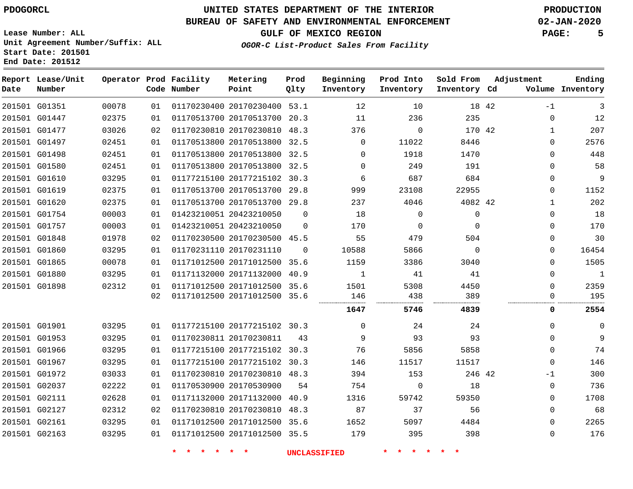**End Date: 201512**

# **UNITED STATES DEPARTMENT OF THE INTERIOR PDOGORCL PRODUCTION**

#### **BUREAU OF SAFETY AND ENVIRONMENTAL ENFORCEMENT 02-JAN-2020**

**Lease Number: ALL Unit Agreement Number/Suffix: ALL Start Date: 201501**

# **GULF OF MEXICO REGION PAGE: 5**

**OGOR-C List-Product Sales From Facility**

| Date | Report Lease/Unit<br>Number |       |    | Operator Prod Facility<br>Code Number | Metering<br>Point            | Prod<br>Qlty | Beginning<br>Inventory | Prod Into<br>Inventory | Sold From<br>Inventory Cd | Adjustment | Ending<br>Volume Inventory |
|------|-----------------------------|-------|----|---------------------------------------|------------------------------|--------------|------------------------|------------------------|---------------------------|------------|----------------------------|
|      | 201501 G01351               | 00078 | 01 |                                       | 01170230400 20170230400 53.1 |              | 12                     | 10                     | 18 42                     |            | 3<br>$-1$                  |
|      | 201501 G01447               | 02375 | 01 |                                       | 01170513700 20170513700 20.3 |              | 11                     | 236                    | 235                       |            | $\Omega$<br>12             |
|      | 201501 G01477               | 03026 | 02 |                                       | 01170230810 20170230810 48.3 |              | 376                    | $\Omega$               | 170 42                    |            | 207<br>1                   |
|      | 201501 G01497               | 02451 | 01 |                                       | 01170513800 20170513800 32.5 |              | $\Omega$               | 11022                  | 8446                      |            | 2576<br>0                  |
|      | 201501 G01498               | 02451 | 01 |                                       | 01170513800 20170513800 32.5 |              | $\mathbf 0$            | 1918                   | 1470                      |            | 448<br>0                   |
|      | 201501 G01580               | 02451 | 01 |                                       | 01170513800 20170513800 32.5 |              | $\Omega$               | 249                    | 191                       |            | 58<br>$\mathbf{0}$         |
|      | 201501 G01610               | 03295 | 01 |                                       | 01177215100 20177215102 30.3 |              | 6                      | 687                    | 684                       |            | 9<br>$\mathbf 0$           |
|      | 201501 G01619               | 02375 | 01 |                                       | 01170513700 20170513700 29.8 |              | 999                    | 23108                  | 22955                     |            | 1152<br>0                  |
|      | 201501 G01620               | 02375 | 01 |                                       | 01170513700 20170513700 29.8 |              | 237                    | 4046                   | 4082 42                   |            | 202<br>$\mathbf{1}$        |
|      | 201501 G01754               | 00003 | 01 |                                       | 01423210051 20423210050      | $\mathbf 0$  | 18                     | $\mathbf 0$            | 0                         |            | 18<br>$\mathbf{0}$         |
|      | 201501 G01757               | 00003 | 01 |                                       | 01423210051 20423210050      | $\mathbf 0$  | 170                    | 0                      | $\Omega$                  |            | 170<br>$\Omega$            |
|      | 201501 G01848               | 01978 | 02 |                                       | 01170230500 20170230500 45.5 |              | 55                     | 479                    | 504                       |            | 30<br>0                    |
|      | 201501 G01860               | 03295 | 01 |                                       | 01170231110 20170231110      | $\Omega$     | 10588                  | 5866                   | $\Omega$                  |            | 16454<br>$\Omega$          |
|      | 201501 G01865               | 00078 | 01 |                                       | 01171012500 20171012500 35.6 |              | 1159                   | 3386                   | 3040                      |            | 1505<br>0                  |
|      | 201501 G01880               | 03295 | 01 |                                       | 01171132000 20171132000 40.9 |              | 1                      | 41                     | 41                        |            | $\mathbf{1}$<br>$\Omega$   |
|      | 201501 G01898               | 02312 | 01 |                                       | 01171012500 20171012500 35.6 |              | 1501                   | 5308                   | 4450                      |            | 2359<br>$\Omega$           |
|      |                             |       | 02 |                                       | 01171012500 20171012500 35.6 |              | 146                    | 438                    | 389                       |            | 195<br>0                   |
|      |                             |       |    |                                       |                              |              | 1647                   | 5746                   | 4839                      |            | 2554<br>0                  |
|      | 201501 G01901               | 03295 | 01 |                                       | 01177215100 20177215102 30.3 |              | $\Omega$               | 24                     | 24                        |            | $\Omega$<br>$\Omega$       |
|      | 201501 G01953               | 03295 | 01 |                                       | 01170230811 20170230811      | 43           | 9                      | 93                     | 93                        |            | 9<br>$\Omega$              |
|      | 201501 G01966               | 03295 | 01 |                                       | 01177215100 20177215102 30.3 |              | 76                     | 5856                   | 5858                      |            | 74<br>$\mathbf{0}$         |
|      | 201501 G01967               | 03295 | 01 |                                       | 01177215100 20177215102 30.3 |              | 146                    | 11517                  | 11517                     |            | 146<br>$\mathbf{0}$        |
|      | 201501 G01972               | 03033 | 01 |                                       | 01170230810 20170230810 48.3 |              | 394                    | 153                    | 246 42                    |            | 300<br>$-1$                |
|      | 201501 G02037               | 02222 | 01 |                                       | 01170530900 20170530900      | 54           | 754                    | $\mathbf 0$            | 18                        |            | 736<br>$\mathbf 0$         |
|      | 201501 G02111               | 02628 | 01 |                                       | 01171132000 20171132000 40.9 |              | 1316                   | 59742                  | 59350                     |            | 1708<br>0                  |
|      | 201501 G02127               | 02312 | 02 |                                       | 01170230810 20170230810 48.3 |              | 87                     | 37                     | 56                        |            | 68<br>$\mathbf{0}$         |
|      | 201501 G02161               | 03295 | 01 |                                       | 01171012500 20171012500 35.6 |              | 1652                   | 5097                   | 4484                      |            | 2265<br>$\Omega$           |
|      | 201501 G02163               | 03295 | 01 |                                       | 01171012500 20171012500 35.5 |              | 179                    | 395                    | 398                       |            | 176<br>$\mathbf{0}$        |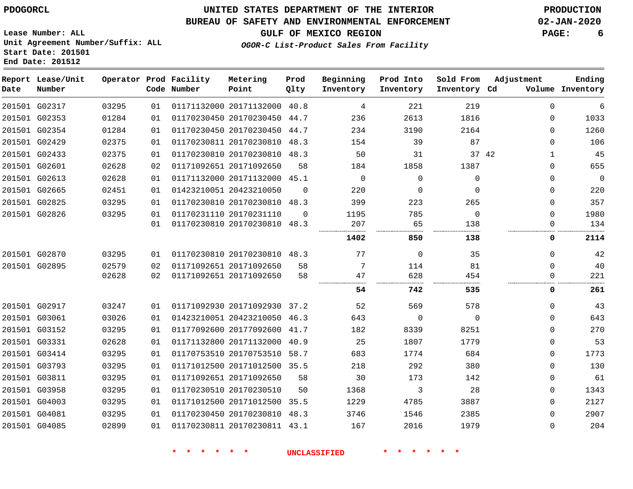# **UNITED STATES DEPARTMENT OF THE INTERIOR PDOGORCL PRODUCTION**

### **BUREAU OF SAFETY AND ENVIRONMENTAL ENFORCEMENT 02-JAN-2020**

**GULF OF MEXICO REGION PAGE: 6**

**Lease Number: ALL Unit Agreement Number/Suffix: ALL Start Date: 201501 End Date: 201512**

**OGOR-C List-Product Sales From Facility**

| Date | Report Lease/Unit<br>Number |       |    | Operator Prod Facility<br>Code Number | Metering<br>Point            | Prod<br>Qlty | Beginning<br>Inventory | Prod Into<br>Inventory | Sold From<br>Inventory Cd | Adjustment |             | Ending<br>Volume Inventory |
|------|-----------------------------|-------|----|---------------------------------------|------------------------------|--------------|------------------------|------------------------|---------------------------|------------|-------------|----------------------------|
|      | 201501 G02317               | 03295 | 01 |                                       | 01171132000 20171132000 40.8 |              | 4                      | 221                    | 219                       |            | $\mathbf 0$ | 6                          |
|      | 201501 G02353               | 01284 | 01 |                                       | 01170230450 20170230450 44.7 |              | 236                    | 2613                   | 1816                      |            | $\Omega$    | 1033                       |
|      | 201501 G02354               | 01284 | 01 |                                       | 01170230450 20170230450      | 44.7         | 234                    | 3190                   | 2164                      |            | $\Omega$    | 1260                       |
|      | 201501 G02429               | 02375 | 01 |                                       | 01170230811 20170230810 48.3 |              | 154                    | 39                     | 87                        |            | $\Omega$    | 106                        |
|      | 201501 G02433               | 02375 | 01 |                                       | 01170230810 20170230810 48.3 |              | 50                     | 31                     |                           | 37 42      | $\mathbf 1$ | 45                         |
|      | 201501 G02601               | 02628 | 02 |                                       | 01171092651 20171092650      | 58           | 184                    | 1858                   | 1387                      |            | $\Omega$    | 655                        |
|      | 201501 G02613               | 02628 | 01 |                                       | 01171132000 20171132000 45.1 |              | $\mathbf 0$            | $\mathbf 0$            | $\mathbf{0}$              |            | 0           | 0                          |
|      | 201501 G02665               | 02451 | 01 |                                       | 01423210051 20423210050      | $\Omega$     | 220                    | $\mathbf 0$            | $\Omega$                  |            | $\Omega$    | 220                        |
|      | 201501 G02825               | 03295 | 01 |                                       | 01170230810 20170230810 48.3 |              | 399                    | 223                    | 265                       |            | $\Omega$    | 357                        |
|      | 201501 G02826               | 03295 | 01 |                                       | 01170231110 20170231110      | $\Omega$     | 1195                   | 785                    | $\Omega$                  |            | $\Omega$    | 1980                       |
|      |                             |       | 01 |                                       | 01170230810 20170230810 48.3 |              | 207                    | 65                     | 138                       |            | 0           | 134                        |
|      |                             |       |    |                                       |                              |              | 1402                   | 850                    | 138                       |            | 0           | 2114                       |
|      | 201501 G02870               | 03295 | 01 |                                       | 01170230810 20170230810 48.3 |              | 77                     | $\mathbf 0$            | 35                        |            | $\Omega$    | 42                         |
|      | 201501 G02895               | 02579 | 02 |                                       | 01171092651 20171092650      | 58           | 7                      | 114                    | 81                        |            | $\Omega$    | 40                         |
|      |                             | 02628 | 02 |                                       | 01171092651 20171092650      | 58           | 47                     | 628                    | 454                       |            | $\Omega$    | 221                        |
|      |                             |       |    |                                       |                              |              | 54                     | 742                    | 535                       |            | 0           | 261                        |
|      | 201501 G02917               | 03247 | 01 |                                       | 01171092930 20171092930 37.2 |              | 52                     | 569                    | 578                       |            | $\Omega$    | 43                         |
|      | 201501 G03061               | 03026 | 01 |                                       | 01423210051 20423210050 46.3 |              | 643                    | $\mathbf 0$            | $\Omega$                  |            | $\Omega$    | 643                        |
|      | 201501 G03152               | 03295 | 01 |                                       | 01177092600 20177092600 41.7 |              | 182                    | 8339                   | 8251                      |            | $\Omega$    | 270                        |
|      | 201501 G03331               | 02628 | 01 |                                       | 01171132800 20171132000      | 40.9         | 25                     | 1807                   | 1779                      |            | $\Omega$    | 53                         |
|      | 201501 G03414               | 03295 | 01 |                                       | 01170753510 20170753510 58.7 |              | 683                    | 1774                   | 684                       |            | $\Omega$    | 1773                       |
|      | 201501 G03793               | 03295 | 01 |                                       | 01171012500 20171012500 35.5 |              | 218                    | 292                    | 380                       |            | 0           | 130                        |
|      | 201501 G03811               | 03295 | 01 |                                       | 01171092651 20171092650      | 58           | 30                     | 173                    | 142                       |            | 0           | 61                         |
|      | 201501 G03958               | 03295 | 01 |                                       | 01170230510 20170230510      | 50           | 1368                   | 3                      | 28                        |            | 0           | 1343                       |
|      | 201501 G04003               | 03295 | 01 |                                       | 01171012500 20171012500 35.5 |              | 1229                   | 4785                   | 3887                      |            | $\Omega$    | 2127                       |
|      | 201501 G04081               | 03295 | 01 |                                       | 01170230450 20170230810 48.3 |              | 3746                   | 1546                   | 2385                      |            | $\Omega$    | 2907                       |
|      | 201501 G04085               | 02899 | 01 |                                       | 01170230811 20170230811 43.1 |              | 167                    | 2016                   | 1979                      |            | $\Omega$    | 204                        |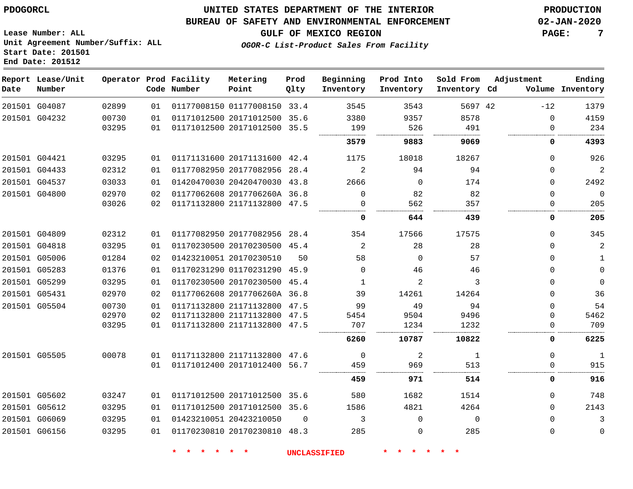#### **BUREAU OF SAFETY AND ENVIRONMENTAL ENFORCEMENT 02-JAN-2020**

**Lease Number: ALL Unit Agreement Number/Suffix: ALL Start Date: 201501 End Date: 201512**

**GULF OF MEXICO REGION PAGE: 7**

**OGOR-C List-Product Sales From Facility**

| Date | Report Lease/Unit<br>Number |       |    | Operator Prod Facility<br>Code Number | Metering<br>Point            | Prod<br>Qlty | Beginning<br>Inventory | Prod Into<br>Inventory | Sold From<br>Inventory Cd | Adjustment   | Ending<br>Volume Inventory |
|------|-----------------------------|-------|----|---------------------------------------|------------------------------|--------------|------------------------|------------------------|---------------------------|--------------|----------------------------|
|      | 201501 G04087               | 02899 | 01 |                                       | 01177008150 01177008150      | 33.4         | 3545                   | 3543                   | 5697 42                   | $-12$        | 1379                       |
|      | 201501 G04232               | 00730 | 01 |                                       | 01171012500 20171012500      | 35.6         | 3380                   | 9357                   | 8578                      | $\mathbf 0$  | 4159                       |
|      |                             | 03295 | 01 |                                       | 01171012500 20171012500      | 35.5         | 199                    | 526                    | 491                       | $\Omega$     | 234                        |
|      |                             |       |    |                                       |                              |              | 3579                   | 9883                   | 9069                      | 0            | 4393                       |
|      | 201501 G04421               | 03295 | 01 |                                       | 01171131600 20171131600 42.4 |              | 1175                   | 18018                  | 18267                     | $\Omega$     | 926                        |
|      | 201501 G04433               | 02312 | 01 |                                       | 01177082950 20177082956      | 28.4         | 2                      | 94                     | 94                        | $\Omega$     | $\overline{2}$             |
|      | 201501 G04537               | 03033 | 01 |                                       | 01420470030 20420470030      | 43.8         | 2666                   | 0                      | 174                       | $\mathbf 0$  | 2492                       |
|      | 201501 G04800               | 02970 | 02 |                                       | 01177062608 2017706260A 36.8 |              | $\Omega$               | 82                     | 82                        | $\mathbf 0$  | $\overline{0}$             |
|      |                             | 03026 | 02 |                                       | 01171132800 21171132800      | 47.5         | $\Omega$               | 562                    | 357                       | 0            | 205                        |
|      |                             |       |    |                                       |                              |              | 0                      | 644                    | 439                       | $\mathbf 0$  | 205                        |
|      | 201501 G04809               | 02312 | 01 |                                       | 01177082950 20177082956 28.4 |              | 354                    | 17566                  | 17575                     | $\Omega$     | 345                        |
|      | 201501 G04818               | 03295 | 01 |                                       | 01170230500 20170230500 45.4 |              | 2                      | 28                     | 28                        | $\Omega$     | $\overline{c}$             |
|      | 201501 G05006               | 01284 | 02 |                                       | 01423210051 20170230510      | 50           | 58                     | $\Omega$               | 57                        | $\Omega$     | $\mathbf{1}$               |
|      | 201501 G05283               | 01376 | 01 |                                       | 01170231290 01170231290 45.9 |              | $\mathbf 0$            | 46                     | 46                        | $\mathbf 0$  | $\mathsf 0$                |
|      | 201501 G05299               | 03295 | 01 |                                       | 01170230500 20170230500      | 45.4         | $\mathbf{1}$           | 2                      | 3                         | $\Omega$     | $\mathbf{0}$               |
|      | 201501 G05431               | 02970 | 02 |                                       | 01177062608 2017706260A 36.8 |              | 39                     | 14261                  | 14264                     | $\Omega$     | 36                         |
|      | 201501 G05504               | 00730 | 01 |                                       | 01171132800 21171132800 47.5 |              | 99                     | 49                     | 94                        | $\Omega$     | 54                         |
|      |                             | 02970 | 02 |                                       | 01171132800 21171132800      | 47.5         | 5454                   | 9504                   | 9496                      | $\Omega$     | 5462                       |
|      |                             | 03295 | 01 |                                       | 01171132800 21171132800 47.5 |              | 707                    | 1234                   | 1232                      | 0            | 709                        |
|      |                             |       |    |                                       |                              |              | 6260                   | 10787                  | 10822                     | 0            | 6225                       |
|      | 201501 G05505               | 00078 | 01 |                                       | 01171132800 21171132800      | 47.6         | 0                      | 2                      | 1                         | $\Omega$     | $\mathbf{1}$               |
|      |                             |       | 01 |                                       | 01171012400 20171012400      | 56.7         | 459                    | 969                    | 513                       | $\mathbf{0}$ | 915                        |
|      |                             |       |    |                                       |                              |              | 459                    | 971                    | 514                       | 0            | 916                        |
|      | 201501 G05602               | 03247 | 01 |                                       | 01171012500 20171012500 35.6 |              | 580                    | 1682                   | 1514                      | $\Omega$     | 748                        |
|      | 201501 G05612               | 03295 | 01 |                                       | 01171012500 20171012500 35.6 |              | 1586                   | 4821                   | 4264                      | $\Omega$     | 2143                       |
|      | 201501 G06069               | 03295 | 01 |                                       | 01423210051 20423210050      | $\Omega$     | 3                      | $\Omega$               | $\Omega$                  | $\Omega$     | 3                          |
|      | 201501 G06156               | 03295 | 01 |                                       | 01170230810 20170230810 48.3 |              | 285                    | $\mathbf 0$            | 285                       | $\mathbf 0$  | $\mathbf 0$                |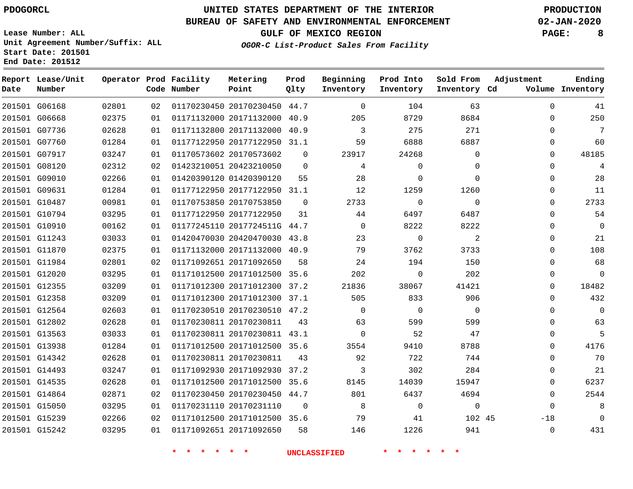**End Date: 201512**

# **UNITED STATES DEPARTMENT OF THE INTERIOR PDOGORCL PRODUCTION**

### **BUREAU OF SAFETY AND ENVIRONMENTAL ENFORCEMENT 02-JAN-2020**

**Lease Number: ALL Unit Agreement Number/Suffix: ALL Start Date: 201501**

**OGOR-C List-Product Sales From Facility**

**GULF OF MEXICO REGION PAGE: 8**

|  | OGOR-C LISC-PIOGUCL SAIES FIOM FACIIILY |  |  |
|--|-----------------------------------------|--|--|
|  |                                         |  |  |
|  |                                         |  |  |

| Date          | Report Lease/Unit<br>Number |       |    | Operator Prod Facility<br>Code Number | Metering<br>Point            | Prod<br>Qlty | Beginning<br>Inventory | Prod Into<br>Inventory | Sold From<br>Inventory Cd | Adjustment  | Ending<br>Volume Inventory |
|---------------|-----------------------------|-------|----|---------------------------------------|------------------------------|--------------|------------------------|------------------------|---------------------------|-------------|----------------------------|
| 201501 G06168 |                             | 02801 | 02 |                                       | 01170230450 20170230450 44.7 |              | $\Omega$               | 104                    | 63                        | $\Omega$    | 41                         |
| 201501 G06668 |                             | 02375 | 01 |                                       | 01171132000 20171132000 40.9 |              | 205                    | 8729                   | 8684                      | $\Omega$    | 250                        |
| 201501 G07736 |                             | 02628 | 01 |                                       | 01171132800 20171132000      | 40.9         | 3                      | 275                    | 271                       | $\Omega$    | $7\phantom{.0}$            |
| 201501 G07760 |                             | 01284 | 01 |                                       | 01177122950 20177122950 31.1 |              | 59                     | 6888                   | 6887                      | $\Omega$    | 60                         |
| 201501 G07917 |                             | 03247 | 01 |                                       | 01170573602 20170573602      | $\mathbf 0$  | 23917                  | 24268                  | $\mathbf 0$               | $\Omega$    | 48185                      |
| 201501 G08120 |                             | 02312 | 02 |                                       | 01423210051 20423210050      | $\Omega$     | 4                      | $\mathbf 0$            | $\Omega$                  | $\Omega$    | 4                          |
| 201501 G09010 |                             | 02266 | 01 |                                       | 01420390120 01420390120      | 55           | 28                     | $\mathbf 0$            | $\Omega$                  | $\Omega$    | 28                         |
| 201501 G09631 |                             | 01284 | 01 |                                       | 01177122950 20177122950 31.1 |              | 12                     | 1259                   | 1260                      | $\Omega$    | 11                         |
| 201501 G10487 |                             | 00981 | 01 |                                       | 01170753850 20170753850      | $\Omega$     | 2733                   | $\mathbf 0$            | $\mathbf{0}$              | $\Omega$    | 2733                       |
| 201501 G10794 |                             | 03295 | 01 |                                       | 01177122950 20177122950      | 31           | 44                     | 6497                   | 6487                      | $\mathbf 0$ | 54                         |
| 201501 G10910 |                             | 00162 | 01 |                                       | 01177245110 2017724511G 44.7 |              | $\Omega$               | 8222                   | 8222                      | $\Omega$    | $\Omega$                   |
| 201501 G11243 |                             | 03033 | 01 |                                       | 01420470030 20420470030 43.8 |              | 23                     | $\mathsf{O}$           | 2                         | 0           | 21                         |
| 201501 G11870 |                             | 02375 | 01 |                                       | 01171132000 20171132000 40.9 |              | 79                     | 3762                   | 3733                      | $\Omega$    | 108                        |
| 201501 G11984 |                             | 02801 | 02 |                                       | 01171092651 20171092650      | 58           | 24                     | 194                    | 150                       | $\Omega$    | 68                         |
| 201501 G12020 |                             | 03295 | 01 |                                       | 01171012500 20171012500 35.6 |              | 202                    | $\mathbf 0$            | 202                       | $\mathbf 0$ | $\Omega$                   |
| 201501 G12355 |                             | 03209 | 01 |                                       | 01171012300 20171012300      | 37.2         | 21836                  | 38067                  | 41421                     | $\Omega$    | 18482                      |
| 201501 G12358 |                             | 03209 | 01 |                                       | 01171012300 20171012300 37.1 |              | 505                    | 833                    | 906                       | $\Omega$    | 432                        |
| 201501 G12564 |                             | 02603 | 01 |                                       | 01170230510 20170230510 47.2 |              | $\Omega$               | $\Omega$               | $\Omega$                  | $\Omega$    | $\Omega$                   |
| 201501 G12802 |                             | 02628 | 01 |                                       | 01170230811 20170230811      | 43           | 63                     | 599                    | 599                       | $\Omega$    | 63                         |
| 201501 G13563 |                             | 03033 | 01 |                                       | 01170230811 20170230811 43.1 |              | $\mathbf 0$            | 52                     | 47                        | $\mathbf 0$ | 5                          |
| 201501 G13938 |                             | 01284 | 01 |                                       | 01171012500 20171012500 35.6 |              | 3554                   | 9410                   | 8788                      | $\Omega$    | 4176                       |
| 201501 G14342 |                             | 02628 | 01 |                                       | 01170230811 20170230811      | 43           | 92                     | 722                    | 744                       | $\Omega$    | 70                         |
| 201501 G14493 |                             | 03247 | 01 |                                       | 01171092930 20171092930 37.2 |              | 3                      | 302                    | 284                       | $\Omega$    | 21                         |
| 201501 G14535 |                             | 02628 | 01 |                                       | 01171012500 20171012500 35.6 |              | 8145                   | 14039                  | 15947                     | $\Omega$    | 6237                       |
| 201501 G14864 |                             | 02871 | 02 |                                       | 01170230450 20170230450 44.7 |              | 801                    | 6437                   | 4694                      | $\Omega$    | 2544                       |
| 201501 G15050 |                             | 03295 | 01 |                                       | 01170231110 20170231110      | $\Omega$     | 8                      | $\mathbf 0$            | $\mathbf{0}$              | $\Omega$    | 8                          |
| 201501 G15239 |                             | 02266 | 02 |                                       | 01171012500 20171012500 35.6 |              | 79                     | 41                     | 102 45                    | $-18$       | $\overline{0}$             |
| 201501 G15242 |                             | 03295 | 01 |                                       | 01171092651 20171092650      | 58           | 146                    | 1226                   | 941                       | $\mathbf 0$ | 431                        |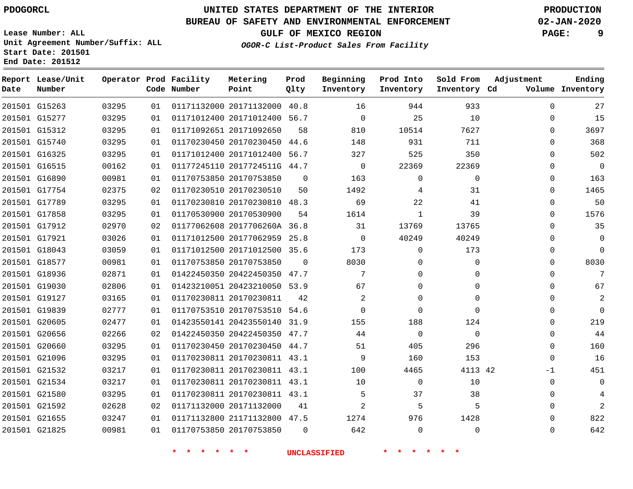**Start Date: 201501 End Date: 201512**

# **UNITED STATES DEPARTMENT OF THE INTERIOR PDOGORCL PRODUCTION**

### **BUREAU OF SAFETY AND ENVIRONMENTAL ENFORCEMENT 02-JAN-2020**

**Lease Number: ALL Unit Agreement Number/Suffix: ALL**

**GULF OF MEXICO REGION PAGE: 9**

**OGOR-C List-Product Sales From Facility**

| Date | Report Lease/Unit<br>Number |       |    | Operator Prod Facility<br>Code Number | Metering<br>Point            | Prod<br>Qlty | Beginning<br>Inventory | Prod Into<br>Inventory | Sold From<br>Inventory Cd | Adjustment | Ending<br>Volume Inventory |
|------|-----------------------------|-------|----|---------------------------------------|------------------------------|--------------|------------------------|------------------------|---------------------------|------------|----------------------------|
|      | 201501 G15263               | 03295 | 01 |                                       | 01171132000 20171132000      | 40.8         | 16                     | 944                    | 933                       | $\Omega$   | 27                         |
|      | 201501 G15277               | 03295 | 01 |                                       | 01171012400 20171012400 56.7 |              | $\Omega$               | 25                     | 10                        | $\Omega$   | 15                         |
|      | 201501 G15312               | 03295 | 01 |                                       | 01171092651 20171092650      | 58           | 810                    | 10514                  | 7627                      | $\Omega$   | 3697                       |
|      | 201501 G15740               | 03295 | 01 |                                       | 01170230450 20170230450      | 44.6         | 148                    | 931                    | 711                       | $\Omega$   | 368                        |
|      | 201501 G16325               | 03295 | 01 |                                       | 01171012400 20171012400 56.7 |              | 327                    | 525                    | 350                       | $\Omega$   | 502                        |
|      | 201501 G16515               | 00162 | 01 |                                       | 01177245110 2017724511G 44.7 |              | $\mathbf 0$            | 22369                  | 22369                     | $\Omega$   | $\mathbf{0}$               |
|      | 201501 G16890               | 00981 | 01 |                                       | 01170753850 20170753850      | $\Omega$     | 163                    | 0                      | $\Omega$                  | $\Omega$   | 163                        |
|      | 201501 G17754               | 02375 | 02 |                                       | 01170230510 20170230510      | 50           | 1492                   | 4                      | 31                        | $\Omega$   | 1465                       |
|      | 201501 G17789               | 03295 | 01 |                                       | 01170230810 20170230810 48.3 |              | 69                     | 22                     | 41                        | $\Omega$   | 50                         |
|      | 201501 G17858               | 03295 | 01 |                                       | 01170530900 20170530900      | 54           | 1614                   | $\mathbf{1}$           | 39                        | $\Omega$   | 1576                       |
|      | 201501 G17912               | 02970 | 02 |                                       | 01177062608 2017706260A 36.8 |              | 31                     | 13769                  | 13765                     | $\Omega$   | 35                         |
|      | 201501 G17921               | 03026 | 01 |                                       | 01171012500 20177062959      | 25.8         | $\Omega$               | 40249                  | 40249                     | $\Omega$   | $\Omega$                   |
|      | 201501 G18043               | 03059 | 01 |                                       | 01171012500 20171012500 35.6 |              | 173                    | 0                      | 173                       | 0          | $\Omega$                   |
|      | 201501 G18577               | 00981 | 01 |                                       | 01170753850 20170753850      | $\Omega$     | 8030                   | 0                      | $\mathbf{0}$              | $\Omega$   | 8030                       |
|      | 201501 G18936               | 02871 | 01 |                                       | 01422450350 20422450350 47.7 |              | 7                      | $\Omega$               | $\Omega$                  | $\Omega$   | 7                          |
|      | 201501 G19030               | 02806 | 01 |                                       | 01423210051 20423210050 53.9 |              | 67                     | $\Omega$               | $\Omega$                  | $\Omega$   | 67                         |
|      | 201501 G19127               | 03165 | 01 |                                       | 01170230811 20170230811      | 42           | 2                      | 0                      | $\Omega$                  | $\Omega$   | $\overline{2}$             |
|      | 201501 G19839               | 02777 | 01 |                                       | 01170753510 20170753510 54.6 |              | $\Omega$               | $\Omega$               | $\Omega$                  | $\Omega$   | $\Omega$                   |
|      | 201501 G20605               | 02477 | 01 |                                       | 01423550141 20423550140 31.9 |              | 155                    | 188                    | 124                       | $\Omega$   | 219                        |
|      | 201501 G20656               | 02266 | 02 |                                       | 01422450350 20422450350      | 47.7         | 44                     | $\mathbf 0$            | $\Omega$                  | $\Omega$   | 44                         |
|      | 201501 G20660               | 03295 | 01 |                                       | 01170230450 20170230450 44.7 |              | 51                     | 405                    | 296                       | 0          | 160                        |
|      | 201501 G21096               | 03295 | 01 |                                       | 01170230811 20170230811 43.1 |              | 9                      | 160                    | 153                       | $\Omega$   | 16                         |
|      | 201501 G21532               | 03217 | 01 |                                       | 01170230811 20170230811 43.1 |              | 100                    | 4465                   | 4113 42                   | -1         | 451                        |
|      | 201501 G21534               | 03217 | 01 |                                       | 01170230811 20170230811 43.1 |              | 10                     | $\mathbf 0$            | 10                        | $\Omega$   | $\Omega$                   |
|      | 201501 G21580               | 03295 | 01 |                                       | 01170230811 20170230811 43.1 |              | 5                      | 37                     | 38                        | $\Omega$   | 4                          |
|      | 201501 G21592               | 02628 | 02 |                                       | 01171132000 20171132000      | 41           | 2                      | 5                      | 5                         | $\Omega$   | $\overline{2}$             |
|      | 201501 G21655               | 03247 | 01 |                                       | 01171132800 21171132800      | 47.5         | 1274                   | 976                    | 1428                      | 0          | 822                        |
|      | 201501 G21825               | 00981 | 01 |                                       | 01170753850 20170753850      | $\Omega$     | 642                    | 0                      | $\Omega$                  | $\Omega$   | 642                        |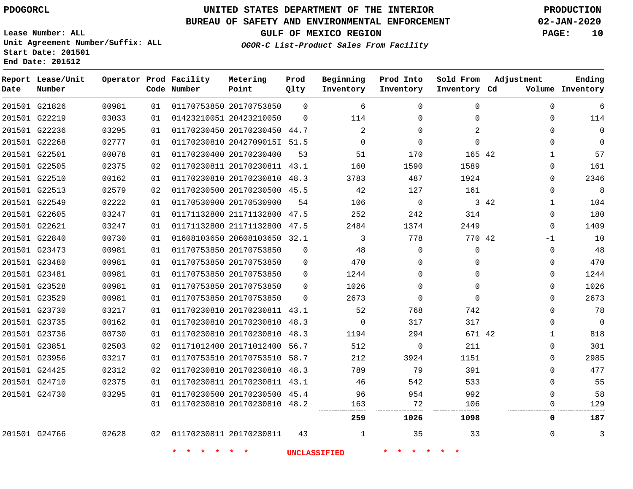**Report Lease/Unit**

**Number**

# **UNITED STATES DEPARTMENT OF THE INTERIOR PDOGORCL PRODUCTION**

**Prod Qlty**

#### **BUREAU OF SAFETY AND ENVIRONMENTAL ENFORCEMENT 02-JAN-2020**

**Lease Number: ALL Unit Agreement Number/Suffix: ALL Start Date: 201501 End Date: 201512**

**Operator Prod Facility**

**Code Number**

**OGOR-C List-Product Sales From Facility**

**Sold From Inventory**

**Prod Into Inventory**

**Beginning Inventory**

**GULF OF MEXICO REGION PAGE: 10**

**Inventory Cd Volume**

**Adjustment**

**Ending**

| 201501 G21826 | 00981 | 01 |                            | 01170753850 20170753850      | $\Omega$ | 6                   | $\Omega$       | $\Omega$    | 0                    | 6              |
|---------------|-------|----|----------------------------|------------------------------|----------|---------------------|----------------|-------------|----------------------|----------------|
| 201501 G22219 | 03033 | 01 |                            | 01423210051 20423210050      | $\Omega$ | 114                 | 0              | 0           | 0                    | 114            |
| 201501 G22236 | 03295 | 01 |                            | 01170230450 20170230450 44.7 |          | 2                   | 0              | 2           | 0                    | 0              |
| 201501 G22268 | 02777 | 01 |                            | 01170230810 2042709015I 51.5 |          | $\overline{0}$      | $\mathbf 0$    | $\Omega$    | 0                    | $\Omega$       |
| 201501 G22501 | 00078 | 01 |                            | 01170230400 20170230400      | 53       | 51                  | 170            | 165 42      | $\mathbf{1}$         | 57             |
| 201501 G22505 | 02375 | 02 |                            | 01170230811 20170230811 43.1 |          | 160                 | 1590           | 1589        | 0                    | 161            |
| 201501 G22510 | 00162 | 01 |                            | 01170230810 20170230810 48.3 |          | 3783                | 487            | 1924        | $\Omega$             | 2346           |
| 201501 G22513 | 02579 | 02 |                            | 01170230500 20170230500 45.5 |          | 42                  | 127            | 161         | $\Omega$             | 8              |
| 201501 G22549 | 02222 | 01 |                            | 01170530900 20170530900      | 54       | 106                 | $\overline{0}$ |             | 3 42<br>$\mathbf{1}$ | 104            |
| 201501 G22605 | 03247 | 01 |                            | 01171132800 21171132800 47.5 |          | 252                 | 242            | 314         | $\Omega$             | 180            |
| 201501 G22621 | 03247 | 01 |                            | 01171132800 21171132800 47.5 |          | 2484                | 1374           | 2449        | $\Omega$             | 1409           |
| 201501 G22840 | 00730 | 01 |                            | 01608103650 20608103650 32.1 |          | 3                   | 778            | 770 42      | $-1$                 | 10             |
| 201501 G23473 | 00981 | 01 |                            | 01170753850 20170753850      | $\Omega$ | 48                  | $\Omega$       | $\Omega$    | $\Omega$             | 48             |
| 201501 G23480 | 00981 | 01 |                            | 01170753850 20170753850      | $\Omega$ | 470                 | $\Omega$       | $\Omega$    | 0                    | 470            |
| 201501 G23481 | 00981 | 01 |                            | 01170753850 20170753850      | $\Omega$ | 1244                | 0              | 0           | 0                    | 1244           |
| 201501 G23528 | 00981 | 01 |                            | 01170753850 20170753850      | $\Omega$ | 1026                | $\Omega$       | $\Omega$    | $\Omega$             | 1026           |
| 201501 G23529 | 00981 | 01 |                            | 01170753850 20170753850      | $\Omega$ | 2673                | $\mathbf 0$    | $\mathbf 0$ | 0                    | 2673           |
| 201501 G23730 | 03217 | 01 |                            | 01170230810 20170230811 43.1 |          | 52                  | 768            | 742         | 0                    | 78             |
| 201501 G23735 | 00162 | 01 |                            | 01170230810 20170230810 48.3 |          | $\overline{0}$      | 317            | 317         | 0                    | $\overline{0}$ |
| 201501 G23736 | 00730 | 01 |                            | 01170230810 20170230810 48.3 |          | 1194                | 294            | 671 42      | 1                    | 818            |
| 201501 G23851 | 02503 | 02 |                            | 01171012400 20171012400 56.7 |          | 512                 | 0              | 211         | 0                    | 301            |
| 201501 G23956 | 03217 | 01 |                            | 01170753510 20170753510 58.7 |          | 212                 | 3924           | 1151        | $\Omega$             | 2985           |
| 201501 G24425 | 02312 | 02 |                            | 01170230810 20170230810 48.3 |          | 789                 | 79             | 391         | $\Omega$             | 477            |
| 201501 G24710 | 02375 | 01 |                            | 01170230811 20170230811 43.1 |          | 46                  | 542            | 533         | 0                    | 55             |
| 201501 G24730 | 03295 | 01 |                            | 01170230500 20170230500 45.4 |          | 96                  | 954            | 992         | $\Omega$             | 58             |
|               |       | 01 |                            | 01170230810 20170230810 48.2 |          | 163                 | 72             | 106         | 0                    | 129            |
|               |       |    |                            |                              |          | 259                 | 1026           | 1098        | 0                    | 187            |
| 201501 G24766 | 02628 |    | 02 01170230811 20170230811 |                              | 43       | 1                   | 35             | 33          | $\mathbf{0}$         | 3              |
|               |       |    |                            | $\star$ .                    |          | <b>UNCLASSIFIED</b> |                |             |                      |                |
|               |       |    |                            |                              |          |                     |                |             |                      |                |

**Metering Point**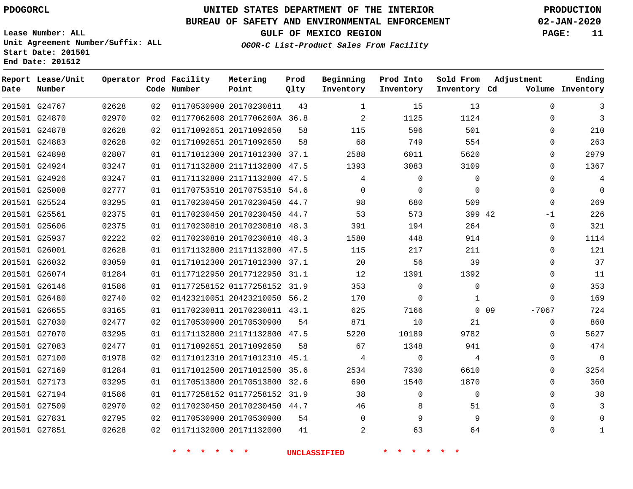**End Date: 201512**

**Report Lease/Unit**

# **UNITED STATES DEPARTMENT OF THE INTERIOR PDOGORCL PRODUCTION**

### **BUREAU OF SAFETY AND ENVIRONMENTAL ENFORCEMENT 02-JAN-2020**

**Lease Number: ALL Unit Agreement Number/Suffix: ALL Start Date: 201501**

**Operator Prod Facility Metering**

**GULF OF MEXICO REGION PAGE: 11**

**Prod**

**Adjustment**

**Ending**

**OGOR-C List-Product Sales From Facility**

**Beginning Prod Into Sold From**

| Date | Number        |       |    | Code Number | Point                        | Qlty | Inventory      | Inventory   | Inventory Cd |        |              | Volume Inventory |
|------|---------------|-------|----|-------------|------------------------------|------|----------------|-------------|--------------|--------|--------------|------------------|
|      | 201501 G24767 | 02628 | 02 |             | 01170530900 20170230811      | 43   | $\mathbf{1}$   | 15          | 13           |        | $\mathbf{0}$ | 3                |
|      | 201501 G24870 | 02970 | 02 |             | 01177062608 2017706260A 36.8 |      | $\overline{2}$ | 1125        | 1124         |        | $\Omega$     | 3                |
|      | 201501 G24878 | 02628 | 02 |             | 01171092651 20171092650      | 58   | 115            | 596         | 501          |        | $\Omega$     | 210              |
|      | 201501 G24883 | 02628 | 02 |             | 01171092651 20171092650      | 58   | 68             | 749         | 554          |        | $\Omega$     | 263              |
|      | 201501 G24898 | 02807 | 01 |             | 01171012300 20171012300 37.1 |      | 2588           | 6011        | 5620         |        | 0            | 2979             |
|      | 201501 G24924 | 03247 | 01 |             | 01171132800 21171132800 47.5 |      | 1393           | 3083        | 3109         |        | 0            | 1367             |
|      | 201501 G24926 | 03247 | 01 |             | 01171132800 21171132800 47.5 |      | 4              | $\mathbf 0$ | $\mathsf{O}$ |        | $\mathbf 0$  | $\overline{4}$   |
|      | 201501 G25008 | 02777 | 01 |             | 01170753510 20170753510 54.6 |      | $\Omega$       | $\mathbf 0$ | $\Omega$     |        | $\Omega$     | $\mathbf 0$      |
|      | 201501 G25524 | 03295 | 01 |             | 01170230450 20170230450 44.7 |      | 98             | 680         | 509          |        | $\Omega$     | 269              |
|      | 201501 G25561 | 02375 | 01 |             | 01170230450 20170230450 44.7 |      | 53             | 573         | 399 42       |        | -1           | 226              |
|      | 201501 G25606 | 02375 | 01 |             | 01170230810 20170230810 48.3 |      | 391            | 194         | 264          |        | 0            | 321              |
|      | 201501 G25937 | 02222 | 02 |             | 01170230810 20170230810 48.3 |      | 1580           | 448         | 914          |        | 0            | 1114             |
|      | 201501 G26001 | 02628 | 01 |             | 01171132800 21171132800 47.5 |      | 115            | 217         | 211          |        | $\Omega$     | 121              |
|      | 201501 G26032 | 03059 | 01 |             | 01171012300 20171012300 37.1 |      | 20             | 56          | 39           |        | $\Omega$     | 37               |
|      | 201501 G26074 | 01284 | 01 |             | 01177122950 20177122950 31.1 |      | 12             | 1391        | 1392         |        | $\Omega$     | 11               |
|      | 201501 G26146 | 01586 | 01 |             | 01177258152 01177258152 31.9 |      | 353            | $\mathbf 0$ | $\mathbf 0$  |        | 0            | 353              |
|      | 201501 G26480 | 02740 | 02 |             | 01423210051 20423210050 56.2 |      | 170            | $\mathbf 0$ | $\mathbf{1}$ |        | $\Omega$     | 169              |
|      | 201501 G26655 | 03165 | 01 |             | 01170230811 20170230811 43.1 |      | 625            | 7166        |              | $0$ 09 | $-7067$      | 724              |
|      | 201501 G27030 | 02477 | 02 |             | 01170530900 20170530900      | 54   | 871            | 10          | 21           |        | $\mathbf 0$  | 860              |
|      | 201501 G27070 | 03295 | 01 |             | 01171132800 21171132800 47.5 |      | 5220           | 10189       | 9782         |        | $\Omega$     | 5627             |
|      | 201501 G27083 | 02477 | 01 |             | 01171092651 20171092650      | 58   | 67             | 1348        | 941          |        | $\Omega$     | 474              |
|      | 201501 G27100 | 01978 | 02 |             | 01171012310 20171012310 45.1 |      | $\overline{4}$ | $\mathbf 0$ | 4            |        | $\Omega$     | $\mathbf 0$      |
|      | 201501 G27169 | 01284 | 01 |             | 01171012500 20171012500 35.6 |      | 2534           | 7330        | 6610         |        | 0            | 3254             |
|      | 201501 G27173 | 03295 | 01 |             | 01170513800 20170513800 32.6 |      | 690            | 1540        | 1870         |        | $\Omega$     | 360              |
|      | 201501 G27194 | 01586 | 01 |             | 01177258152 01177258152 31.9 |      | 38             | $\mathbf 0$ | $\mathbf 0$  |        | $\Omega$     | 38               |
|      | 201501 G27509 | 02970 | 02 |             | 01170230450 20170230450 44.7 |      | 46             | 8           | 51           |        | $\Omega$     | 3                |
|      | 201501 G27831 | 02795 | 02 |             | 01170530900 20170530900      | 54   | $\Omega$       | 9           | 9            |        | 0            |                  |
|      | 201501 G27851 | 02628 | 02 |             | 01171132000 20171132000      | 41   | $\overline{2}$ | 63          | 64           |        | $\Omega$     | 1                |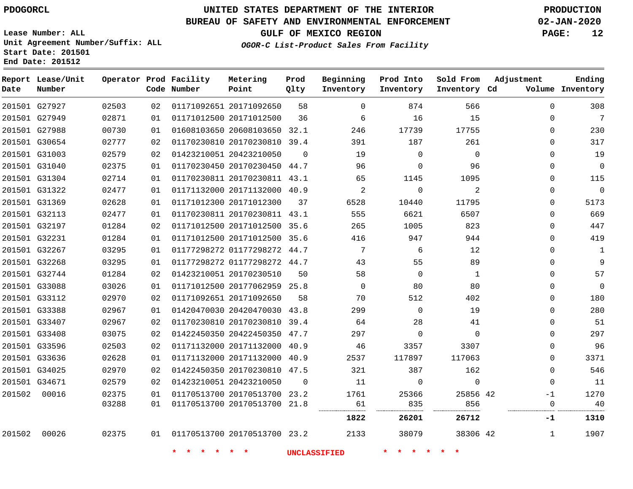**End Date: 201512**

**Report Lease/Unit**

**Number**

# **UNITED STATES DEPARTMENT OF THE INTERIOR PDOGORCL PRODUCTION**

#### **BUREAU OF SAFETY AND ENVIRONMENTAL ENFORCEMENT 02-JAN-2020**

**Lease Number: ALL Unit Agreement Number/Suffix: ALL Start Date: 201501**

**Operator Prod Facility**

**Code Number**

**GULF OF MEXICO REGION PAGE: 12**

**Prod Qlty**

**Metering Point**

**Inventory Cd Volume**

**Adjustment**

**Ending**

**OGOR-C List-Product Sales From Facility**

**Beginning Inventory** **Prod Into Inventory** **Sold From Inventory**

|        |                                |                |          |                                                              |          | 1822     | 26201            | 26712     | $-1$ | 1310                         |
|--------|--------------------------------|----------------|----------|--------------------------------------------------------------|----------|----------|------------------|-----------|------|------------------------------|
|        |                                | 03288          | 01       | 01170513700 20170513700 21.8                                 |          | 61<br>   | 835              | 856       |      | 40<br>0                      |
| 201502 | 00016                          | 02375          | 01       | 01170513700 20170513700 23.2                                 |          | 1761     | 25366            | 25856 42  | $-1$ | 1270                         |
|        | 201501 G34671                  | 02579          | 02       | 01423210051 20423210050                                      | - 0      | 11       | $\Omega$         | $\Omega$  |      | 11<br>0                      |
|        | 201501 G34025                  | 02970          | 02       | 01422450350 20170230810 47.5                                 |          | 321      | 387              | 162       |      | 546<br>0                     |
|        | 201501 G33636                  | 02628          | 01       | 01171132000 20171132000 40.9                                 |          | 2537     | 117897           | 117063    |      | 3371<br>0                    |
|        | 201501 G33596                  | 02503          | 02       | 01171132000 20171132000 40.9                                 |          | 46       | 3357             | 3307      |      | 96<br>0                      |
|        | 201501 G33408                  | 03075          | 02       | 01422450350 20422450350 47.7                                 |          | 297      | $\Omega$         | $\Omega$  |      | 297<br>0                     |
|        | 201501 G33407                  | 02967          | 02       | 01170230810 20170230810 39.4                                 |          | 64       | 28               | 41        |      | 51<br>0                      |
|        | 201501 G33388                  | 02967          | 01       | 01420470030 20420470030 43.8                                 |          | 299      | $\Omega$         | 19        |      | 280<br>0                     |
|        | 201501 G33112                  | 02970          | 02       | 01171092651 20171092650                                      | 58       | 70       | 512              | 402       |      | 180<br>0                     |
|        | 201501 G33088                  | 03026          | 01       | 01171012500 20177062959 25.8                                 |          | $\Omega$ | 80               | 80        |      | $\mathbf 0$<br><sup>n</sup>  |
|        | 201501 G32744                  | 01284          | 02       | 01423210051 20170230510                                      | 50       | 58       | $\Omega$         | 1         |      | 57<br>0                      |
|        | 201501 G32268                  | 03295          | 01       | 01177298272 01177298272 44.7                                 |          | 43       | 55               | 89        |      | 9<br>0                       |
|        | 201501 G32267                  | 03295          | 01       | 01177298272 01177298272 44.7                                 |          | 7        | 6                | 12        |      | 1<br>0                       |
|        | 201501 G32231                  | 01284          | 01       | 01171012500 20171012500 35.6                                 |          | 416      | 947              | 944       |      | 419<br>0                     |
|        | 201501 G32197                  | 01284          | 02       | 01171012500 20171012500 35.6                                 |          | 265      | 1005             | 823       |      | 447<br>0                     |
|        | 201501 G32113                  | 02477          | 01       | 01170230811 20170230811 43.1                                 |          | 555      | 6621             | 6507      |      | 669<br>0                     |
|        | 201501 G31369                  | 02628          | 01<br>01 | 01171012300 20171012300                                      | 37       | 6528     | 10440            | 11795     |      | 5173<br>$\Omega$             |
|        | 201501 G31304<br>201501 G31322 | 02714<br>02477 | 01       | 01170230811 20170230811 43.1<br>01171132000 20171132000 40.9 |          | 65<br>2  | 1145<br>$\Omega$ | 1095<br>2 |      | 115<br>0<br>$\mathbf 0$<br>0 |
|        | 201501 G31040                  | 02375          | 01       | 01170230450 20170230450 44.7                                 |          | 96       | $\Omega$         | 96        |      | 0<br>0                       |
|        | 201501 G31003                  | 02579          | 02       | 01423210051 20423210050                                      | $\Omega$ | 19       | $\Omega$         | $\Omega$  |      | 19<br>0                      |
|        | 201501 G30654                  | 02777          | 02       | 01170230810 20170230810 39.4                                 |          | 391      | 187              | 261       |      | 317<br>0                     |
|        | 201501 G27988                  | 00730          | 01       | 01608103650 20608103650 32.1                                 |          | 246      | 17739            | 17755     |      | 230<br>0                     |
|        | 201501 G27949                  | 02871          | 01       | 01171012500 20171012500                                      | 36       | 6        | 16               | 15        |      | 7<br>0                       |
|        | 201501 G27927                  | 02503          | 02       | 01171092651 20171092650                                      | 58       | 0        | 874              | 566       |      | 308<br>O                     |
|        |                                |                |          |                                                              |          |          |                  |           |      |                              |

 

20170513700 23.2

**\* \* \* \* \* \* UNCLASSIFIED \* \* \* \* \* \***

42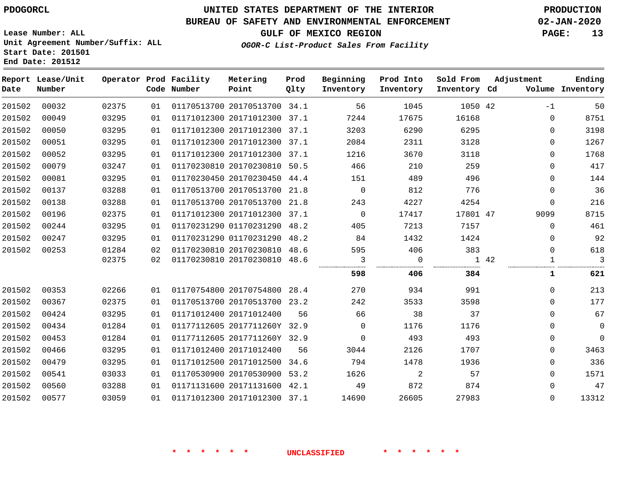### **BUREAU OF SAFETY AND ENVIRONMENTAL ENFORCEMENT 02-JAN-2020**

**OGOR-C List-Product Sales From Facility**

**GULF OF MEXICO REGION PAGE: 13**

**Lease Number: ALL Unit Agreement Number/Suffix: ALL Start Date: 201501 End Date: 201512**

| Date   | Report Lease/Unit<br>Number |       |    | Operator Prod Facility<br>Code Number | Metering<br>Point            | Prod<br>Qlty | Beginning<br>Inventory | Prod Into<br>Inventory | Sold From<br>Inventory Cd | Adjustment | Ending<br>Volume Inventory |
|--------|-----------------------------|-------|----|---------------------------------------|------------------------------|--------------|------------------------|------------------------|---------------------------|------------|----------------------------|
| 201502 | 00032                       | 02375 | 01 |                                       | 01170513700 20170513700 34.1 |              | 56                     | 1045                   | 1050 42                   | $-1$       | 50                         |
| 201502 | 00049                       | 03295 | 01 |                                       | 01171012300 20171012300      | 37.1         | 7244                   | 17675                  | 16168                     | $\Omega$   | 8751                       |
| 201502 | 00050                       | 03295 | 01 |                                       | 01171012300 20171012300      | 37.1         | 3203                   | 6290                   | 6295                      | $\Omega$   | 3198                       |
| 201502 | 00051                       | 03295 | 01 |                                       | 01171012300 20171012300 37.1 |              | 2084                   | 2311                   | 3128                      | 0          | 1267                       |
| 201502 | 00052                       | 03295 | 01 |                                       | 01171012300 20171012300 37.1 |              | 1216                   | 3670                   | 3118                      | 0          | 1768                       |
| 201502 | 00079                       | 03247 | 01 |                                       | 01170230810 20170230810 50.5 |              | 466                    | 210                    | 259                       | $\Omega$   | 417                        |
| 201502 | 00081                       | 03295 | 01 |                                       | 01170230450 20170230450 44.4 |              | 151                    | 489                    | 496                       | $\Omega$   | 144                        |
| 201502 | 00137                       | 03288 | 01 |                                       | 01170513700 20170513700      | 21.8         | $\mathbf 0$            | 812                    | 776                       | $\Omega$   | 36                         |
| 201502 | 00138                       | 03288 | 01 |                                       | 01170513700 20170513700 21.8 |              | 243                    | 4227                   | 4254                      | $\Omega$   | 216                        |
| 201502 | 00196                       | 02375 | 01 |                                       | 01171012300 20171012300      | 37.1         | 0                      | 17417                  | 17801 47                  | 9099       | 8715                       |
| 201502 | 00244                       | 03295 | 01 |                                       | 01170231290 01170231290 48.2 |              | 405                    | 7213                   | 7157                      | $\Omega$   | 461                        |
| 201502 | 00247                       | 03295 | 01 |                                       | 01170231290 01170231290      | 48.2         | 84                     | 1432                   | 1424                      | 0          | 92                         |
| 201502 | 00253                       | 01284 | 02 |                                       | 01170230810 20170230810 48.6 |              | 595                    | 406                    | 383                       | 0          | 618                        |
|        |                             | 02375 | 02 |                                       | 01170230810 20170230810 48.6 |              | 3                      | 0                      |                           | 1 42<br>1  | 3                          |
|        |                             |       |    |                                       |                              |              | 598                    | 406                    | 384                       | 1          | 621                        |
| 201502 | 00353                       | 02266 | 01 |                                       | 01170754800 20170754800      | 28.4         | 270                    | 934                    | 991                       | $\Omega$   | 213                        |
| 201502 | 00367                       | 02375 | 01 |                                       | 01170513700 20170513700      | 23.2         | 242                    | 3533                   | 3598                      | $\Omega$   | 177                        |
| 201502 | 00424                       | 03295 | 01 |                                       | 01171012400 20171012400      | 56           | 66                     | 38                     | 37                        | $\Omega$   | 67                         |
| 201502 | 00434                       | 01284 | 01 |                                       | 01177112605 2017711260Y 32.9 |              | $\Omega$               | 1176                   | 1176                      | $\Omega$   | $\mathbf 0$                |
| 201502 | 00453                       | 01284 | 01 |                                       | 01177112605 2017711260Y 32.9 |              | $\mathbf 0$            | 493                    | 493                       | 0          | $\mathbf{0}$               |
| 201502 | 00466                       | 03295 | 01 |                                       | 01171012400 20171012400      | 56           | 3044                   | 2126                   | 1707                      | $\Omega$   | 3463                       |
| 201502 | 00479                       | 03295 | 01 |                                       | 01171012500 20171012500 34.6 |              | 794                    | 1478                   | 1936                      | 0          | 336                        |
| 201502 | 00541                       | 03033 | 01 |                                       | 01170530900 20170530900      | 53.2         | 1626                   | 2                      | 57                        | $\Omega$   | 1571                       |
| 201502 | 00560                       | 03288 | 01 |                                       | 01171131600 20171131600 42.1 |              | 49                     | 872                    | 874                       | $\Omega$   | 47                         |
| 201502 | 00577                       | 03059 | 01 |                                       | 01171012300 20171012300 37.1 |              | 14690                  | 26605                  | 27983                     | $\Omega$   | 13312                      |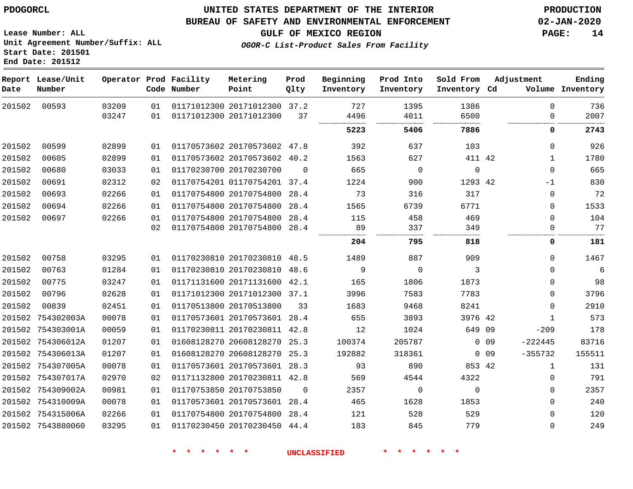**Lease Number: ALL**

**Start Date: 201501 End Date: 201512**

### **UNITED STATES DEPARTMENT OF THE INTERIOR PDOGORCL PRODUCTION**

#### **BUREAU OF SAFETY AND ENVIRONMENTAL ENFORCEMENT 02-JAN-2020**

**Unit Agreement Number/Suffix: ALL**

**GULF OF MEXICO REGION PAGE: 14**

**OGOR-C List-Product Sales From Facility**

| Date   | Report Lease/Unit<br>Number |                |          | Operator Prod Facility<br>Code Number | Metering<br>Point                                       | Prod<br>Qlty | Beginning<br>Inventory | Prod Into<br>Inventory | Sold From<br>Inventory Cd | Adjustment |                  | Ending<br>Volume Inventory |
|--------|-----------------------------|----------------|----------|---------------------------------------|---------------------------------------------------------|--------------|------------------------|------------------------|---------------------------|------------|------------------|----------------------------|
| 201502 | 00593                       | 03209<br>03247 | 01<br>01 |                                       | 01171012300 20171012300 37.2<br>01171012300 20171012300 | 37           | 727<br>4496            | 1395<br>4011           | 1386<br>6500              |            | $\mathbf 0$<br>0 | 736<br>2007                |
|        |                             |                |          |                                       |                                                         |              | 5223                   | 5406                   | 7886                      |            | 0                | 2743                       |
| 201502 | 00599                       | 02899          | 01       |                                       | 01170573602 20170573602 47.8                            |              | 392                    | 637                    | 103                       |            | 0                | 926                        |
| 201502 | 00605                       | 02899          | 01       |                                       | 01170573602 20170573602 40.2                            |              | 1563                   | 627                    | 411 42                    |            | $\mathbf{1}$     | 1780                       |
| 201502 | 00680                       | 03033          | 01       |                                       | 01170230700 20170230700                                 | $\Omega$     | 665                    | $\overline{0}$         | $\mathbf 0$               |            | $\mathbf 0$      | 665                        |
| 201502 | 00691                       | 02312          | 02       |                                       | 01170754201 01170754201 37.4                            |              | 1224                   | 900                    | 1293 42                   |            | -1               | 830                        |
| 201502 | 00693                       | 02266          | 01       |                                       | 01170754800 20170754800                                 | 28.4         | 73                     | 316                    | 317                       |            | 0                | 72                         |
| 201502 | 00694                       | 02266          | 01       |                                       | 01170754800 20170754800                                 | 28.4         | 1565                   | 6739                   | 6771                      |            | $\mathbf 0$      | 1533                       |
| 201502 | 00697                       | 02266          | 01       |                                       | 01170754800 20170754800                                 | 28.4         | 115                    | 458                    | 469                       |            | $\Omega$         | 104                        |
|        |                             |                | 02       |                                       | 01170754800 20170754800 28.4                            |              | 89                     | 337                    | 349                       |            | $\Omega$         | 77                         |
|        |                             |                |          |                                       |                                                         |              | 204                    | 795                    | 818                       |            | 0                | 181                        |
| 201502 | 00758                       | 03295          | 01       |                                       | 01170230810 20170230810 48.5                            |              | 1489                   | 887                    | 909                       |            | 0                | 1467                       |
| 201502 | 00763                       | 01284          | 01       |                                       | 01170230810 20170230810 48.6                            |              | 9                      | $\overline{0}$         | 3                         |            | $\mathbf 0$      | $\epsilon$                 |
| 201502 | 00775                       | 03247          | 01       |                                       | 01171131600 20171131600 42.1                            |              | 165                    | 1806                   | 1873                      |            | 0                | 98                         |
| 201502 | 00796                       | 02628          | 01       |                                       | 01171012300 20171012300 37.1                            |              | 3996                   | 7583                   | 7783                      |            | 0                | 3796                       |
| 201502 | 00839                       | 02451          | 01       |                                       | 01170513800 20170513800                                 | 33           | 1683                   | 9468                   | 8241                      |            | 0                | 2910                       |
|        | 201502 754302003A           | 00078          | 01       |                                       | 01170573601 20170573601 28.4                            |              | 655                    | 3893                   | 3976 42                   |            | $\mathbf{1}$     | 573                        |
|        | 201502 754303001A           | 00059          | 01       |                                       | 01170230811 20170230811 42.8                            |              | 12                     | 1024                   | 649 09                    |            | $-209$           | 178                        |
|        | 201502 754306012A           | 01207          | 01       |                                       | 01608128270 20608128270                                 | 25.3         | 100374                 | 205787                 |                           | $0\quad09$ | $-222445$        | 83716                      |
|        | 201502 754306013A           | 01207          | 01       |                                       | 01608128270 20608128270 25.3                            |              | 192882                 | 318361                 |                           | $0\quad09$ | $-355732$        | 155511                     |
|        | 201502 754307005A           | 00078          | 01       |                                       | 01170573601 20170573601 28.3                            |              | 93                     | 890                    | 853 42                    |            | $\mathbf{1}$     | 131                        |
|        | 201502 754307017A           | 02970          | 02       |                                       | 01171132800 20170230811 42.8                            |              | 569                    | 4544                   | 4322                      |            | 0                | 791                        |
|        | 201502 754309002A           | 00981          | 01       |                                       | 01170753850 20170753850                                 | $\Omega$     | 2357                   | $\mathbf 0$            | $\mathbf 0$               |            | $\mathbf 0$      | 2357                       |
|        | 201502 754310009A           | 00078          | 01       |                                       | 01170573601 20170573601 28.4                            |              | 465                    | 1628                   | 1853                      |            | $\Omega$         | 240                        |
|        | 201502 754315006A           | 02266          | 01       |                                       | 01170754800 20170754800                                 | 28.4         | 121                    | 528                    | 529                       |            | $\Omega$         | 120                        |
|        | 201502 7543880060           | 03295          | 01       |                                       | 01170230450 20170230450 44.4                            |              | 183                    | 845                    | 779                       |            | $\Omega$         | 249                        |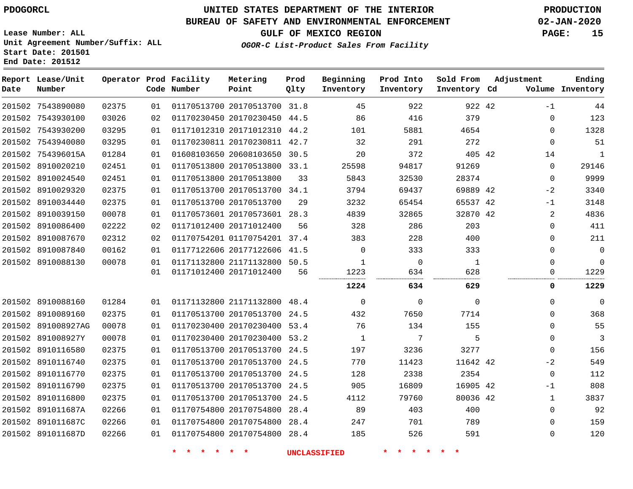**End Date: 201512**

**Report Lease/Unit**

**Number**

7543890080

# **UNITED STATES DEPARTMENT OF THE INTERIOR PDOGORCL PRODUCTION**

**Prod Qlty**

#### **BUREAU OF SAFETY AND ENVIRONMENTAL ENFORCEMENT 02-JAN-2020**

**Lease Number: ALL Unit Agreement Number/Suffix: ALL Start Date: 201501**

**Operator Prod Facility**

**Code Number**

**OGOR-C List-Product Sales From Facility**

**Prod Into Inventory**

**Beginning Inventory**

**GULF OF MEXICO REGION PAGE: 15**

**Inventory Cd Volume**

**Adjustment**

 $-1$  $\Omega$  $\Omega$   $\Omega$  $\Omega$  $-2$  $-1$   $\Omega$  $\overline{0}$ 

**Ending**

42

**Sold From Inventory**

| 03026                                                                                                                                                                                                                                                                                                                                                                                                                                                                                                                                      | 02 |  |                                                                                                          | 86                                                                                                                                                                                                                                                                                                                                                                                                                                                                                                                                                                                                                                                                                                                           | 416                 | 379            | 0                                                                              | 123            |
|--------------------------------------------------------------------------------------------------------------------------------------------------------------------------------------------------------------------------------------------------------------------------------------------------------------------------------------------------------------------------------------------------------------------------------------------------------------------------------------------------------------------------------------------|----|--|----------------------------------------------------------------------------------------------------------|------------------------------------------------------------------------------------------------------------------------------------------------------------------------------------------------------------------------------------------------------------------------------------------------------------------------------------------------------------------------------------------------------------------------------------------------------------------------------------------------------------------------------------------------------------------------------------------------------------------------------------------------------------------------------------------------------------------------------|---------------------|----------------|--------------------------------------------------------------------------------|----------------|
| 03295                                                                                                                                                                                                                                                                                                                                                                                                                                                                                                                                      | 01 |  |                                                                                                          | 101                                                                                                                                                                                                                                                                                                                                                                                                                                                                                                                                                                                                                                                                                                                          | 5881                | 4654           | 0                                                                              | 1328           |
| 03295                                                                                                                                                                                                                                                                                                                                                                                                                                                                                                                                      | 01 |  |                                                                                                          | 32                                                                                                                                                                                                                                                                                                                                                                                                                                                                                                                                                                                                                                                                                                                           | 291                 | 272            | $\mathbf 0$                                                                    | 51             |
| 01284                                                                                                                                                                                                                                                                                                                                                                                                                                                                                                                                      | 01 |  |                                                                                                          | 20                                                                                                                                                                                                                                                                                                                                                                                                                                                                                                                                                                                                                                                                                                                           | 372                 |                | 14                                                                             | $\mathbf{1}$   |
| 02451                                                                                                                                                                                                                                                                                                                                                                                                                                                                                                                                      | 01 |  |                                                                                                          | 25598                                                                                                                                                                                                                                                                                                                                                                                                                                                                                                                                                                                                                                                                                                                        | 94817               | 91269          | $\Omega$                                                                       | 29146          |
| 02451                                                                                                                                                                                                                                                                                                                                                                                                                                                                                                                                      | 01 |  | 33                                                                                                       | 5843                                                                                                                                                                                                                                                                                                                                                                                                                                                                                                                                                                                                                                                                                                                         | 32530               | 28374          | $\mathbf 0$                                                                    | 9999           |
| 02375                                                                                                                                                                                                                                                                                                                                                                                                                                                                                                                                      | 01 |  |                                                                                                          | 3794                                                                                                                                                                                                                                                                                                                                                                                                                                                                                                                                                                                                                                                                                                                         | 69437               |                | $-2$                                                                           | 3340           |
| 02375                                                                                                                                                                                                                                                                                                                                                                                                                                                                                                                                      | 01 |  | 29                                                                                                       | 3232                                                                                                                                                                                                                                                                                                                                                                                                                                                                                                                                                                                                                                                                                                                         | 65454               |                | $-1$                                                                           | 3148           |
| 00078                                                                                                                                                                                                                                                                                                                                                                                                                                                                                                                                      | 01 |  |                                                                                                          | 4839                                                                                                                                                                                                                                                                                                                                                                                                                                                                                                                                                                                                                                                                                                                         | 32865               |                | 2                                                                              | 4836           |
| 02222                                                                                                                                                                                                                                                                                                                                                                                                                                                                                                                                      | 02 |  | 56                                                                                                       | 328                                                                                                                                                                                                                                                                                                                                                                                                                                                                                                                                                                                                                                                                                                                          | 286                 | 203            | 0                                                                              | 411            |
| 02312                                                                                                                                                                                                                                                                                                                                                                                                                                                                                                                                      | 02 |  |                                                                                                          | 383                                                                                                                                                                                                                                                                                                                                                                                                                                                                                                                                                                                                                                                                                                                          | 228                 | 400            | 0                                                                              | 211            |
| 00162                                                                                                                                                                                                                                                                                                                                                                                                                                                                                                                                      | 01 |  |                                                                                                          | $\Omega$                                                                                                                                                                                                                                                                                                                                                                                                                                                                                                                                                                                                                                                                                                                     | 333                 | 333            | 0                                                                              | $\mathbf 0$    |
| 00078                                                                                                                                                                                                                                                                                                                                                                                                                                                                                                                                      | 01 |  |                                                                                                          | $\mathbf{1}$                                                                                                                                                                                                                                                                                                                                                                                                                                                                                                                                                                                                                                                                                                                 | $\overline{0}$      | $\overline{1}$ | 0                                                                              | $\mathbf 0$    |
|                                                                                                                                                                                                                                                                                                                                                                                                                                                                                                                                            | 01 |  | 56                                                                                                       | 1223                                                                                                                                                                                                                                                                                                                                                                                                                                                                                                                                                                                                                                                                                                                         | 634                 | 628            | 0                                                                              | 1229           |
|                                                                                                                                                                                                                                                                                                                                                                                                                                                                                                                                            |    |  |                                                                                                          | 1224                                                                                                                                                                                                                                                                                                                                                                                                                                                                                                                                                                                                                                                                                                                         | 634                 | 629            | 0                                                                              | 1229           |
| 01284                                                                                                                                                                                                                                                                                                                                                                                                                                                                                                                                      | 01 |  |                                                                                                          | $\overline{0}$                                                                                                                                                                                                                                                                                                                                                                                                                                                                                                                                                                                                                                                                                                               | $\mathbf 0$         | $\mathbf 0$    | $\Omega$                                                                       | $\overline{0}$ |
| 02375                                                                                                                                                                                                                                                                                                                                                                                                                                                                                                                                      | 01 |  |                                                                                                          | 432                                                                                                                                                                                                                                                                                                                                                                                                                                                                                                                                                                                                                                                                                                                          | 7650                | 7714           | 0                                                                              | 368            |
| 00078                                                                                                                                                                                                                                                                                                                                                                                                                                                                                                                                      | 01 |  |                                                                                                          | 76                                                                                                                                                                                                                                                                                                                                                                                                                                                                                                                                                                                                                                                                                                                           | 134                 | 155            | $\Omega$                                                                       | 55             |
| 00078                                                                                                                                                                                                                                                                                                                                                                                                                                                                                                                                      | 01 |  |                                                                                                          | $\mathbf{1}$                                                                                                                                                                                                                                                                                                                                                                                                                                                                                                                                                                                                                                                                                                                 | 7                   | 5              | 0                                                                              | 3              |
| 02375                                                                                                                                                                                                                                                                                                                                                                                                                                                                                                                                      | 01 |  |                                                                                                          | 197                                                                                                                                                                                                                                                                                                                                                                                                                                                                                                                                                                                                                                                                                                                          | 3236                | 3277           | 0                                                                              | 156            |
| 02375                                                                                                                                                                                                                                                                                                                                                                                                                                                                                                                                      | 01 |  |                                                                                                          | 770                                                                                                                                                                                                                                                                                                                                                                                                                                                                                                                                                                                                                                                                                                                          | 11423               |                | $-2$                                                                           | 549            |
| 02375                                                                                                                                                                                                                                                                                                                                                                                                                                                                                                                                      | 01 |  |                                                                                                          | 128                                                                                                                                                                                                                                                                                                                                                                                                                                                                                                                                                                                                                                                                                                                          | 2338                | 2354           | $\mathbf 0$                                                                    | 112            |
| 02375                                                                                                                                                                                                                                                                                                                                                                                                                                                                                                                                      | 01 |  |                                                                                                          | 905                                                                                                                                                                                                                                                                                                                                                                                                                                                                                                                                                                                                                                                                                                                          | 16809               |                | $-1$                                                                           | 808            |
| 02375                                                                                                                                                                                                                                                                                                                                                                                                                                                                                                                                      | 01 |  |                                                                                                          | 4112                                                                                                                                                                                                                                                                                                                                                                                                                                                                                                                                                                                                                                                                                                                         | 79760               |                | $\mathbf{1}$                                                                   | 3837           |
| 02266                                                                                                                                                                                                                                                                                                                                                                                                                                                                                                                                      | 01 |  |                                                                                                          | 89                                                                                                                                                                                                                                                                                                                                                                                                                                                                                                                                                                                                                                                                                                                           | 403                 | 400            | $\Omega$                                                                       | 92             |
| 02266                                                                                                                                                                                                                                                                                                                                                                                                                                                                                                                                      | 01 |  |                                                                                                          | 247                                                                                                                                                                                                                                                                                                                                                                                                                                                                                                                                                                                                                                                                                                                          | 701                 | 789            | 0                                                                              | 159            |
| 02266                                                                                                                                                                                                                                                                                                                                                                                                                                                                                                                                      | 01 |  |                                                                                                          | 185                                                                                                                                                                                                                                                                                                                                                                                                                                                                                                                                                                                                                                                                                                                          | 526                 | 591            | 0                                                                              | 120            |
|                                                                                                                                                                                                                                                                                                                                                                                                                                                                                                                                            |    |  |                                                                                                          |                                                                                                                                                                                                                                                                                                                                                                                                                                                                                                                                                                                                                                                                                                                              | $\star$             |                |                                                                                |                |
| 201502 7543930100<br>201502 7543930200<br>201502 7543940080<br>201502 754396015A<br>201502 8910020210<br>201502 8910024540<br>201502 8910029320<br>201502 8910034440<br>201502 8910039150<br>201502 8910086400<br>201502 8910087670<br>201502 8910087840<br>201502 8910088130<br>201502 8910088160<br>201502 8910089160<br>201502 891008927AG<br>201502 891008927Y<br>201502 8910116580<br>201502 8910116740<br>201502 8910116770<br>201502 8910116790<br>201502 8910116800<br>201502 891011687A<br>201502 891011687C<br>201502 891011687D |    |  | 01170513800 20170513800<br>01170513700 20170513700<br>01171012400 20171012400<br>01171012400 20171012400 | 01170230450 20170230450 44.5<br>01171012310 20171012310 44.2<br>01170230811 20170230811 42.7<br>01608103650 20608103650 30.5<br>01170513800 20170513800 33.1<br>01170513700 20170513700 34.1<br>01170573601 20170573601 28.3<br>01170754201 01170754201 37.4<br>01177122606 20177122606 41.5<br>01171132800 21171132800 50.5<br>01171132800 21171132800 48.4<br>01170513700 20170513700 24.5<br>01170230400 20170230400 53.4<br>01170230400 20170230400 53.2<br>01170513700 20170513700 24.5<br>01170513700 20170513700 24.5<br>01170513700 20170513700 24.5<br>01170513700 20170513700 24.5<br>01170513700 20170513700 24.5<br>01170754800 20170754800 28.4<br>01170754800 20170754800 28.4<br>01170754800 20170754800 28.4 | <b>UNCLASSIFIED</b> |                | 405 42<br>69889 42<br>65537 42<br>32870 42<br>11642 42<br>16905 42<br>80036 42 |                |

20170513700 31.8

**Metering Point**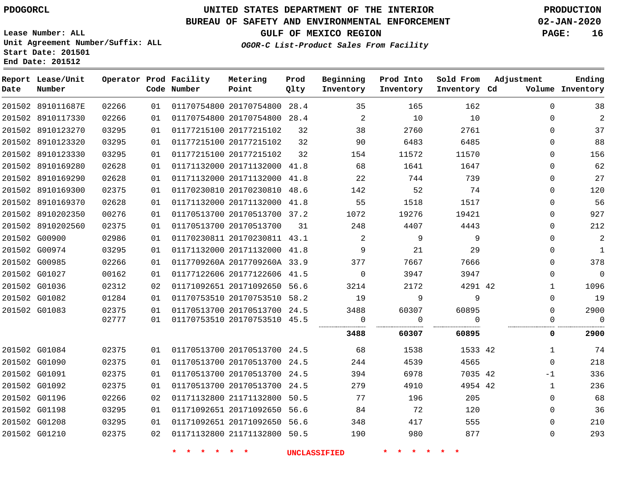**End Date: 201512**

 891011687E 8910117330 8910123270 8910123320

**Report Lease/Unit**

**Number**

# **UNITED STATES DEPARTMENT OF THE INTERIOR PDOGORCL PRODUCTION**

 

**Prod Qlty**

#### **BUREAU OF SAFETY AND ENVIRONMENTAL ENFORCEMENT 02-JAN-2020**

**Lease Number: ALL Unit Agreement Number/Suffix: ALL Start Date: 201501**

**Operator Prod Facility**

**Code Number**

**GULF OF MEXICO REGION PAGE: 16**

**Inventory Cd Volume**

**Adjustment**

 $\Omega$  $\Omega$  $\Omega$  $\Omega$  $\Omega$  $\Omega$  $\Omega$  $\Omega$  $\Omega$  $\Omega$  $\Omega$  $\Omega$  $\Omega$  $\Omega$  $\Omega$   $\Omega$  $\Omega$ 

**Ending**

| 201502 8910123330 | 03295 | 01 |                                 | 01177215100 20177215102      | 32  | 154                 | 11572                    | 11570    | $\Omega$       | 156            |
|-------------------|-------|----|---------------------------------|------------------------------|-----|---------------------|--------------------------|----------|----------------|----------------|
| 201502 8910169280 | 02628 | 01 |                                 | 01171132000 20171132000 41.8 |     | 68                  | 1641                     | 1647     | $\mathbf 0$    | 62             |
| 201502 8910169290 | 02628 | 01 |                                 | 01171132000 20171132000 41.8 |     | 22                  | 744                      | 739      | $\Omega$       | 27             |
| 201502 8910169300 | 02375 | 01 |                                 | 01170230810 20170230810 48.6 |     | 142                 | 52                       | 74       | $\Omega$       | 120            |
| 201502 8910169370 | 02628 | 01 |                                 | 01171132000 20171132000 41.8 |     | 55                  | 1518                     | 1517     | $\Omega$       | 56             |
| 201502 8910202350 | 00276 | 01 |                                 | 01170513700 20170513700 37.2 |     | 1072                | 19276                    | 19421    | $\Omega$       | 927            |
| 201502 8910202560 | 02375 | 01 |                                 | 01170513700 20170513700      | -31 | 248                 | 4407                     | 4443     | $\Omega$       | 212            |
| 201502 G00900     | 02986 | 01 |                                 | 01170230811 20170230811 43.1 |     | $\overline{2}$      | 9                        | 9        | 0              | $\overline{2}$ |
| 201502 G00974     | 03295 | 01 |                                 | 01171132000 20171132000 41.8 |     | 9                   | 21                       | 29       | $\Omega$       | $\mathbf{1}$   |
| 201502 G00985     | 02266 | 01 |                                 | 0117709260A 2017709260A 33.9 |     | 377                 | 7667                     | 7666     | $\Omega$       | 378            |
| 201502 G01027     | 00162 | 01 |                                 | 01177122606 20177122606 41.5 |     | $\overline{0}$      | 3947                     | 3947     | $\Omega$       | $\overline{0}$ |
| 201502 G01036     | 02312 | 02 |                                 | 01171092651 20171092650 56.6 |     | 3214                | 2172                     | 4291 42  | $\mathbf{1}$   | 1096           |
| 201502 G01082     | 01284 | 01 |                                 | 01170753510 20170753510 58.2 |     | 19                  |                          | 9        | $\Omega$       | 19             |
| 201502 G01083     | 02375 | 01 |                                 | 01170513700 20170513700 24.5 |     | 3488                | 60307                    | 60895    | $\Omega$       | 2900           |
|                   | 02777 | 01 |                                 | 01170753510 20170753510 45.5 |     | $\overline{0}$      | $\overline{\phantom{0}}$ | $\Omega$ | $\overline{0}$ | 0              |
|                   |       |    |                                 |                              |     | 3488                | 60307                    | 60895    | 0              | 2900           |
| 201502 G01084     | 02375 |    | 01 01170513700 20170513700 24.5 |                              |     | 68                  | 1538                     | 1533 42  | $\mathbf{1}$   | 74             |
| 201502 G01090     | 02375 | 01 |                                 | 01170513700 20170513700 24.5 |     | 244                 | 4539                     | 4565     | $\Omega$       | 218            |
| 201502 G01091     | 02375 | 01 |                                 | 01170513700 20170513700 24.5 |     | 394                 | 6978                     | 7035 42  | $-1$           | 336            |
| 201502 G01092     | 02375 | 01 |                                 | 01170513700 20170513700 24.5 |     | 279                 | 4910                     | 4954 42  | $\mathbf{1}$   | 236            |
| 201502 G01196     | 02266 | 02 |                                 | 01171132800 21171132800 50.5 |     | 77                  | 196                      | 205      | $\Omega$       | 68             |
| 201502 G01198     | 03295 | 01 |                                 | 01171092651 20171092650 56.6 |     | 84                  | 72                       | 120      | $\Omega$       | 36             |
| 201502 G01208     | 03295 | 01 |                                 | 01171092651 20171092650 56.6 |     | 348                 | 417                      | 555      | $\Omega$       | 210            |
| 201502 G01210     | 02375 |    | 02 01171132800 21171132800 50.5 |                              |     | 190                 | 980                      | 877      | $\overline{0}$ | 293            |
|                   |       |    | * * * * * *                     |                              |     | <b>UNCLASSIFIED</b> | * * * * * *              |          |                |                |

 20170754800 28.4 20170754800 28.4

**Metering Point**

 20177215102 20177215102

**OGOR-C List-Product Sales From Facility**

**Beginning Inventory**

**Prod Into Inventory**

**Sold From Inventory**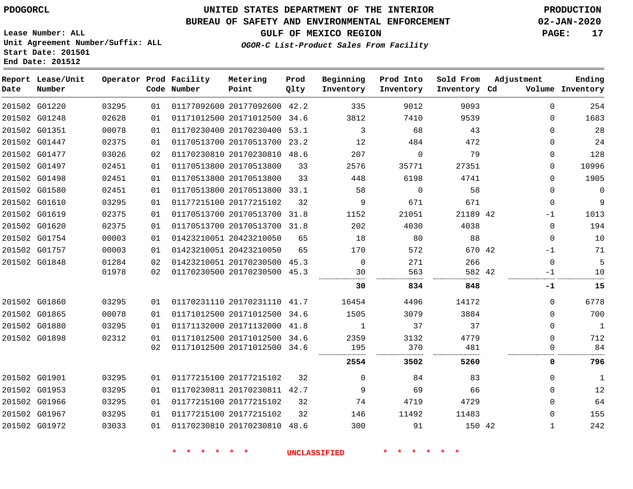**Report Lease/Unit**

**Number**

# **UNITED STATES DEPARTMENT OF THE INTERIOR PDOGORCL PRODUCTION**

**Prod Qlty**

#### **BUREAU OF SAFETY AND ENVIRONMENTAL ENFORCEMENT 02-JAN-2020**

**Lease Number: ALL Unit Agreement Number/Suffix: ALL Start Date: 201501 End Date: 201512**

**Operator Prod Facility**

**OGOR-C List-Product Sales From Facility**

**Beginning Inventory** **Prod Into Inventory** **Sold From Inventory**

**GULF OF MEXICO REGION PAGE: 17**

**Adjustment**

**Ending**

| Date | Number        |       |    | Code Number | Point                        | Qlty | Inventory           | Inventory   | Inventory Cd |              | Volume Inventory |
|------|---------------|-------|----|-------------|------------------------------|------|---------------------|-------------|--------------|--------------|------------------|
|      | 201502 G01220 | 03295 | 01 |             | 01177092600 20177092600 42.2 |      | 335                 | 9012        | 9093         | $\Omega$     | 254              |
|      | 201502 G01248 | 02628 | 01 |             | 01171012500 20171012500 34.6 |      | 3812                | 7410        | 9539         | $\Omega$     | 1683             |
|      | 201502 G01351 | 00078 | 01 |             | 01170230400 20170230400 53.1 |      | 3                   | 68          | 43           | $\mathbf{0}$ | 28               |
|      | 201502 G01447 | 02375 | 01 |             | 01170513700 20170513700 23.2 |      | $12 \overline{ }$   | 484         | 472          | $\Omega$     | 24               |
|      | 201502 G01477 | 03026 | 02 |             | 01170230810 20170230810 48.6 |      | 207                 | $\Omega$    | 79           | $\Omega$     | 128              |
|      | 201502 G01497 | 02451 | 01 |             | 01170513800 20170513800      | 33   | 2576                | 35771       | 27351        | 0            | 10996            |
|      | 201502 G01498 | 02451 | 01 |             | 01170513800 20170513800      | 33   | 448                 | 6198        | 4741         | $\Omega$     | 1905             |
|      | 201502 G01580 | 02451 | 01 |             | 01170513800 20170513800 33.1 |      | 58                  | $\mathbf 0$ | 58           | $\Omega$     | $\mathbf 0$      |
|      | 201502 G01610 | 03295 | 01 |             | 01177215100 20177215102      | 32   | 9                   | 671         | 671          | $\mathbf 0$  | 9                |
|      | 201502 G01619 | 02375 | 01 |             | 01170513700 20170513700 31.8 |      | 1152                | 21051       | 21189 42     | $-1$         | 1013             |
|      | 201502 G01620 | 02375 | 01 |             | 01170513700 20170513700 31.8 |      | 202                 | 4030        | 4038         | $\Omega$     | 194              |
|      | 201502 G01754 | 00003 | 01 |             | 01423210051 20423210050      | 65   | 18                  | 80          | 88           | $\mathbf 0$  | 10               |
|      | 201502 G01757 | 00003 | 01 |             | 01423210051 20423210050      | 65   | 170                 | 572         | 670 42       | $-1$         | 71               |
|      | 201502 G01848 | 01284 | 02 |             | 01423210051 20170230500 45.3 |      | $\Omega$            | 271         | 266          | $\Omega$     | 5                |
|      |               | 01978 | 02 |             | 01170230500 20170230500 45.3 |      | 30                  | 563         | 582 42       | -1           | 10               |
|      |               |       |    |             |                              |      | 30                  | 834         | 848          | -1           | 15               |
|      | 201502 G01860 | 03295 | 01 |             | 01170231110 20170231110 41.7 |      | 16454               | 4496        | 14172        | 0            | 6778             |
|      | 201502 G01865 | 00078 | 01 |             | 01171012500 20171012500 34.6 |      | 1505                | 3079        | 3884         | $\Omega$     | 700              |
|      | 201502 G01880 | 03295 | 01 |             | 01171132000 20171132000 41.8 |      | 1                   | 37          | 37           | $\Omega$     | $\mathbf{1}$     |
|      | 201502 G01898 | 02312 | 01 |             | 01171012500 20171012500 34.6 |      | 2359                | 3132        | 4779         | $\mathbf{0}$ | 712              |
|      |               |       | 02 |             | 01171012500 20171012500 34.6 |      | 195                 | 370         | 481          | 0            | 84               |
|      |               |       |    |             |                              |      | 2554                | 3502        | 5260         | 0            | 796              |
|      | 201502 G01901 | 03295 | 01 |             | 01177215100 20177215102      | 32   | $\Omega$            | 84          | 83           | $\mathbf 0$  | $\mathbf{1}$     |
|      | 201502 G01953 | 03295 | 01 |             | 01170230811 20170230811 42.7 |      | 9                   | 69          | 66           | $\Omega$     | 12               |
|      | 201502 G01966 | 03295 | 01 |             | 01177215100 20177215102      | 32   | 74                  | 4719        | 4729         | $\mathbf 0$  | 64               |
|      | 201502 G01967 | 03295 | 01 |             | 01177215100 20177215102      | 32   | 146                 | 11492       | 11483        | 0            | 155              |
|      | 201502 G01972 | 03033 | 01 |             | 01170230810 20170230810 48.6 |      | 300                 | 91          | 150 42       | 1            | 242              |
|      |               |       |    |             | $\star$ $\star$              |      | <b>UNCLASSIFIED</b> |             |              |              |                  |

**Metering Point**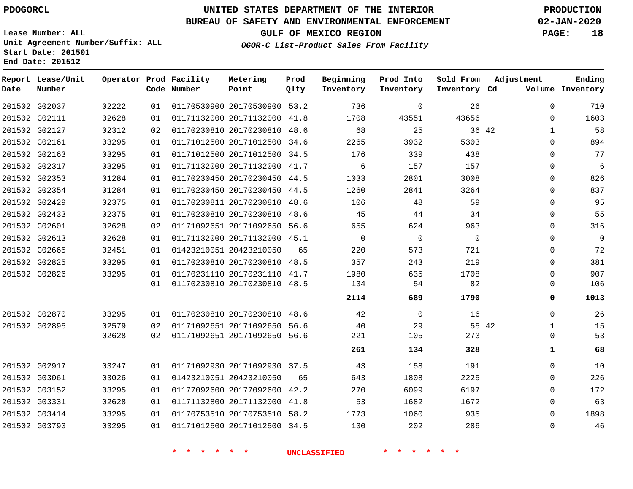**Prod**

#### **BUREAU OF SAFETY AND ENVIRONMENTAL ENFORCEMENT 02-JAN-2020**

**Lease Number: ALL Unit Agreement Number/Suffix: ALL Start Date: 201501**

**End Date: 201512**

**Report Lease/Unit**

**OGOR-C List-Product Sales From Facility**

**GULF OF MEXICO REGION PAGE: 18**

**Ending**

| Date | Number        |       |    | Code Number | Point                        | Qlty | Inventory   | Inventory   | Inventory Cd |              | Volume Inventory |
|------|---------------|-------|----|-------------|------------------------------|------|-------------|-------------|--------------|--------------|------------------|
|      | 201502 G02037 | 02222 | 01 |             | 01170530900 20170530900 53.2 |      | 736         | $\Omega$    | 26           | $\Omega$     | 710              |
|      | 201502 G02111 | 02628 | 01 |             | 01171132000 20171132000 41.8 |      | 1708        | 43551       | 43656        | $\Omega$     | 1603             |
|      | 201502 G02127 | 02312 | 02 |             | 01170230810 20170230810 48.6 |      | 68          | 25          | 36 42        | $\mathbf{1}$ | 58               |
|      | 201502 G02161 | 03295 | 01 |             | 01171012500 20171012500 34.6 |      | 2265        | 3932        | 5303         | $\Omega$     | 894              |
|      | 201502 G02163 | 03295 | 01 |             | 01171012500 20171012500 34.5 |      | 176         | 339         | 438          | $\mathbf{0}$ | 77               |
|      | 201502 G02317 | 03295 | 01 |             | 01171132000 20171132000 41.7 |      | 6           | 157         | 157          | 0            | 6                |
|      | 201502 G02353 | 01284 | 01 |             | 01170230450 20170230450 44.5 |      | 1033        | 2801        | 3008         | $\Omega$     | 826              |
|      | 201502 G02354 | 01284 | 01 |             | 01170230450 20170230450 44.5 |      | 1260        | 2841        | 3264         | $\Omega$     | 837              |
|      | 201502 G02429 | 02375 | 01 |             | 01170230811 20170230810      | 48.6 | 106         | 48          | 59           | $\Omega$     | 95               |
|      | 201502 G02433 | 02375 | 01 |             | 01170230810 20170230810      | 48.6 | 45          | 44          | 34           | $\Omega$     | 55               |
|      | 201502 G02601 | 02628 | 02 |             | 01171092651 20171092650 56.6 |      | 655         | 624         | 963          | $\Omega$     | 316              |
|      | 201502 G02613 | 02628 | 01 |             | 01171132000 20171132000 45.1 |      | $\mathbf 0$ | $\mathbf 0$ | $\mathbf 0$  | $\mathbf 0$  | $\mathbf 0$      |
|      | 201502 G02665 | 02451 | 01 |             | 01423210051 20423210050      | 65   | 220         | 573         | 721          | $\Omega$     | 72               |
|      | 201502 G02825 | 03295 | 01 |             | 01170230810 20170230810      | 48.5 | 357         | 243         | 219          | $\Omega$     | 381              |
|      | 201502 G02826 | 03295 | 01 |             | 01170231110 20170231110 41.7 |      | 1980        | 635         | 1708         | $\Omega$     | 907              |
|      |               |       | 01 |             | 01170230810 20170230810 48.5 |      | 134         | 54          | 82           | 0            | 106              |
|      |               |       |    |             |                              |      | 2114        | 689         | 1790         | 0            | 1013             |
|      | 201502 G02870 | 03295 | 01 |             | 01170230810 20170230810      | 48.6 | 42          | 0           | 16           | 0            | 26               |
|      | 201502 G02895 | 02579 | 02 |             | 01171092651 20171092650      | 56.6 | 40          | 29          | 55 42        | $\mathbf{1}$ | 15               |
|      |               | 02628 | 02 |             | 01171092651 20171092650 56.6 |      | 221         | 105         | 273          | 0            | 53               |
|      |               |       |    |             |                              |      | 261         | 134         | 328          | 1            | 68               |
|      | 201502 G02917 | 03247 | 01 |             | 01171092930 20171092930 37.5 |      | 43          | 158         | 191          | $\Omega$     | 10               |
|      | 201502 G03061 | 03026 | 01 |             | 01423210051 20423210050      | 65   | 643         | 1808        | 2225         | 0            | 226              |
|      | 201502 G03152 | 03295 | 01 |             | 01177092600 20177092600 42.2 |      | 270         | 6099        | 6197         | $\Omega$     | 172              |
|      | 201502 G03331 | 02628 | 01 |             | 01171132800 20171132000      | 41.8 | 53          | 1682        | 1672         | $\Omega$     | 63               |
|      | 201502 G03414 | 03295 | 01 |             | 01170753510 20170753510 58.2 |      | 1773        | 1060        | 935          | $\Omega$     | 1898             |
|      | 201502 G03793 | 03295 | 01 |             | 01171012500 20171012500 34.5 |      | 130         | 202         | 286          | 0            | 46               |

**\* \* \* \* \* \* UNCLASSIFIED \* \* \* \* \* \***

**Operator Prod Facility Metering**

**Beginning Prod Into Sold From Adjustment**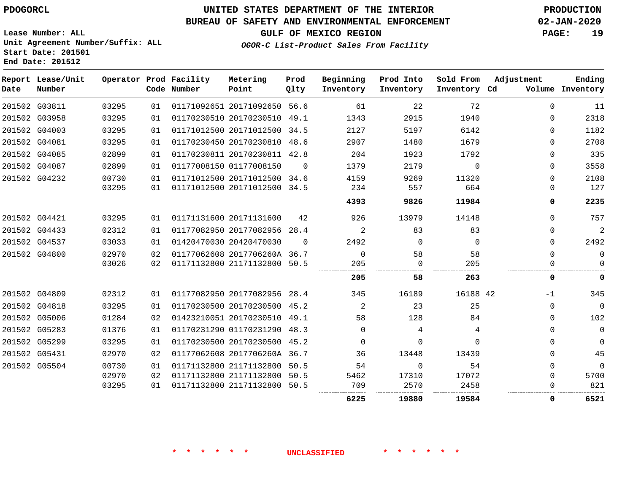### **BUREAU OF SAFETY AND ENVIRONMENTAL ENFORCEMENT 02-JAN-2020**

**GULF OF MEXICO REGION PAGE: 19**

**Lease Number: ALL Unit Agreement Number/Suffix: ALL Start Date: 201501 End Date: 201512**

### **OGOR-C List-Product Sales From Facility**

| Date | Report Lease/Unit<br>Number |       |    | Operator Prod Facility<br>Code Number | Metering<br>Point            | Prod<br>Qlty | Beginning<br>Inventory | Prod Into<br>Inventory | Sold From<br>Inventory Cd | Adjustment | Ending<br>Volume Inventory |
|------|-----------------------------|-------|----|---------------------------------------|------------------------------|--------------|------------------------|------------------------|---------------------------|------------|----------------------------|
|      | 201502 G03811               | 03295 | 01 |                                       | 01171092651 20171092650 56.6 |              | 61                     | 22                     | 72                        | $\Omega$   | 11                         |
|      | 201502 G03958               | 03295 | 01 |                                       | 01170230510 20170230510 49.1 |              | 1343                   | 2915                   | 1940                      | $\Omega$   | 2318                       |
|      | 201502 G04003               | 03295 | 01 |                                       | 01171012500 20171012500 34.5 |              | 2127                   | 5197                   | 6142                      | $\Omega$   | 1182                       |
|      | 201502 G04081               | 03295 | 01 |                                       | 01170230450 20170230810      | 48.6         | 2907                   | 1480                   | 1679                      | $\Omega$   | 2708                       |
|      | 201502 G04085               | 02899 | 01 |                                       | 01170230811 20170230811 42.8 |              | 204                    | 1923                   | 1792                      | $\Omega$   | 335                        |
|      | 201502 G04087               | 02899 | 01 |                                       | 01177008150 01177008150      | $\Omega$     | 1379                   | 2179                   | $\Omega$                  | $\Omega$   | 3558                       |
|      | 201502 G04232               | 00730 | 01 |                                       | 01171012500 20171012500 34.6 |              | 4159                   | 9269                   | 11320                     | 0          | 2108                       |
|      |                             | 03295 | 01 |                                       | 01171012500 20171012500 34.5 |              | 234                    | 557                    | 664                       | $\Omega$   | 127                        |
|      |                             |       |    |                                       |                              |              | 4393                   | 9826                   | 11984                     | 0          | 2235                       |
|      | 201502 G04421               | 03295 | 01 |                                       | 01171131600 20171131600      | 42           | 926                    | 13979                  | 14148                     | $\Omega$   | 757                        |
|      | 201502 G04433               | 02312 | 01 |                                       | 01177082950 20177082956      | 28.4         | 2                      | 83                     | 83                        | $\Omega$   | $\overline{a}$             |
|      | 201502 G04537               | 03033 | 01 |                                       | 01420470030 20420470030      | $\Omega$     | 2492                   | $\Omega$               | $\Omega$                  | $\Omega$   | 2492                       |
|      | 201502 G04800               | 02970 | 02 |                                       | 01177062608 2017706260A 36.7 |              | $\mathbf 0$            | 58                     | 58                        | $\Omega$   | $\mathbf 0$                |
|      |                             | 03026 | 02 |                                       | 01171132800 21171132800 50.5 |              | 205                    | $\Omega$               | 205                       | $\Omega$   | $\Omega$                   |
|      |                             |       |    |                                       |                              |              | 205                    | 58                     | 263                       | 0          | 0                          |
|      | 201502 G04809               | 02312 | 01 |                                       | 01177082950 20177082956 28.4 |              | 345                    | 16189                  | 16188 42                  | -1         | 345                        |
|      | 201502 G04818               | 03295 | 01 |                                       | 01170230500 20170230500 45.2 |              | 2                      | 23                     | 25                        | 0          | $\mathbf 0$                |
|      | 201502 G05006               | 01284 | 02 |                                       | 01423210051 20170230510 49.1 |              | 58                     | 128                    | 84                        | $\Omega$   | 102                        |
|      | 201502 G05283               | 01376 | 01 |                                       | 01170231290 01170231290 48.3 |              | $\Omega$               | 4                      | 4                         | $\Omega$   | $\mathbf 0$                |
|      | 201502 G05299               | 03295 | 01 |                                       | 01170230500 20170230500 45.2 |              | 0                      | 0                      | $\Omega$                  | $\Omega$   | $\mathbf{0}$               |
|      | 201502 G05431               | 02970 | 02 |                                       | 01177062608 2017706260A 36.7 |              | 36                     | 13448                  | 13439                     | $\Omega$   | 45                         |
|      | 201502 G05504               | 00730 | 01 |                                       | 01171132800 21171132800 50.5 |              | 54                     | $\Omega$               | 54                        | $\Omega$   | $\mathbf 0$                |
|      |                             | 02970 | 02 |                                       | 01171132800 21171132800      | 50.5         | 5462                   | 17310                  | 17072                     | $\Omega$   | 5700                       |
|      |                             | 03295 | 01 |                                       | 01171132800 21171132800      | 50.5         | 709                    | 2570                   | 2458                      | $\Omega$   | 821                        |
|      |                             |       |    |                                       |                              |              | 6225                   | 19880                  | 19584                     | 0          | 6521                       |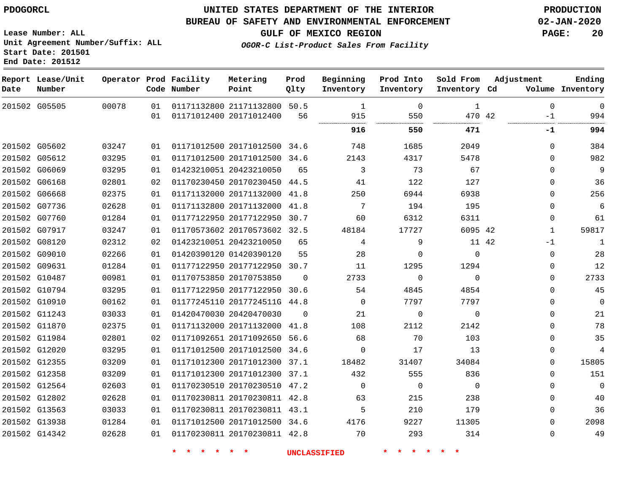**End Date: 201512**

### **UNITED STATES DEPARTMENT OF THE INTERIOR PDOGORCL PRODUCTION**

#### **BUREAU OF SAFETY AND ENVIRONMENTAL ENFORCEMENT 02-JAN-2020**

**Lease Number: ALL Unit Agreement Number/Suffix: ALL Start Date: 201501**

**GULF OF MEXICO REGION PAGE: 20**

**OGOR-C List-Product Sales From Facility**

| Date | Report Lease/Unit<br>Number |       |    | Operator Prod Facility<br>Code Number | Metering<br>Point            | Prod<br>Qlty | Beginning<br>Inventory | Prod Into<br>Inventory | Sold From<br>Inventory Cd | Adjustment   | Ending<br>Volume Inventory |
|------|-----------------------------|-------|----|---------------------------------------|------------------------------|--------------|------------------------|------------------------|---------------------------|--------------|----------------------------|
|      | 201502 G05505               | 00078 | 01 |                                       | 01171132800 21171132800 50.5 |              | $\overline{1}$         | $\Omega$               | $\mathbf{1}$              | $\Omega$     | $\mathbf 0$                |
|      |                             |       | 01 |                                       | 01171012400 20171012400      | 56           | 915<br>                | 550<br><br>.           | 470 42<br>                | $-1$         | 994                        |
|      |                             |       |    |                                       |                              |              | 916                    | 550                    | 471                       | -1           | 994                        |
|      | 201502 G05602               | 03247 | 01 |                                       | 01171012500 20171012500 34.6 |              | 748                    | 1685                   | 2049                      | $\Omega$     | 384                        |
|      | 201502 G05612               | 03295 | 01 |                                       | 01171012500 20171012500 34.6 |              | 2143                   | 4317                   | 5478                      | $\Omega$     | 982                        |
|      | 201502 G06069               | 03295 | 01 |                                       | 01423210051 20423210050      | 65           | 3                      | 73                     | 67                        | $\Omega$     | 9                          |
|      | 201502 G06168               | 02801 | 02 |                                       | 01170230450 20170230450 44.5 |              | 41                     | 122                    | 127                       | $\Omega$     | 36                         |
|      | 201502 G06668               | 02375 | 01 |                                       | 01171132000 20171132000 41.8 |              | 250                    | 6944                   | 6938                      | $\Omega$     | 256                        |
|      | 201502 G07736               | 02628 | 01 |                                       | 01171132800 20171132000 41.8 |              | 7                      | 194                    | 195                       | $\Omega$     | 6                          |
|      | 201502 G07760               | 01284 | 01 |                                       | 01177122950 20177122950 30.7 |              | 60                     | 6312                   | 6311                      | 0            | 61                         |
|      | 201502 G07917               | 03247 | 01 |                                       | 01170573602 20170573602 32.5 |              | 48184                  | 17727                  | 6095 42                   | $\mathbf{1}$ | 59817                      |
|      | 201502 G08120               | 02312 | 02 |                                       | 01423210051 20423210050      | 65           | 4                      | 9                      | 11 42                     | $-1$         | $\mathbf{1}$               |
|      | 201502 G09010               | 02266 | 01 |                                       | 01420390120 01420390120      | 55           | 28                     | $\Omega$               | $\Omega$                  | $\Omega$     | 28                         |
|      | 201502 G09631               | 01284 | 01 |                                       | 01177122950 20177122950 30.7 |              | 11                     | 1295                   | 1294                      | $\Omega$     | 12                         |
|      | 201502 G10487               | 00981 | 01 |                                       | 01170753850 20170753850      | $\Omega$     | 2733                   | $\Omega$               | $\Omega$                  | $\Omega$     | 2733                       |
|      | 201502 G10794               | 03295 | 01 |                                       | 01177122950 20177122950 30.6 |              | 54                     | 4845                   | 4854                      | $\Omega$     | 45                         |
|      | 201502 G10910               | 00162 | 01 |                                       | 01177245110 2017724511G 44.8 |              | $\Omega$               | 7797                   | 7797                      | $\Omega$     | $\mathbf 0$                |
|      | 201502 G11243               | 03033 | 01 |                                       | 01420470030 20420470030      | $\Omega$     | 21                     | 0                      | $\mathbf 0$               | $\mathbf 0$  | 21                         |
|      | 201502 G11870               | 02375 | 01 |                                       | 01171132000 20171132000 41.8 |              | 108                    | 2112                   | 2142                      | $\mathbf 0$  | 78                         |
|      | 201502 G11984               | 02801 | 02 |                                       | 01171092651 20171092650 56.6 |              | 68                     | 70                     | 103                       | 0            | 35                         |
|      | 201502 G12020               | 03295 | 01 |                                       | 01171012500 20171012500 34.6 |              | $\Omega$               | 17                     | 13                        | 0            | $\overline{4}$             |
|      | 201502 G12355               | 03209 | 01 |                                       | 01171012300 20171012300 37.1 |              | 18482                  | 31407                  | 34084                     | $\Omega$     | 15805                      |
|      | 201502 G12358               | 03209 | 01 |                                       | 01171012300 20171012300 37.1 |              | 432                    | 555                    | 836                       | $\Omega$     | 151                        |
|      | 201502 G12564               | 02603 | 01 |                                       | 01170230510 20170230510 47.2 |              | $\Omega$               | $\Omega$               | $\Omega$                  | $\Omega$     | $\mathbf 0$                |
|      | 201502 G12802               | 02628 | 01 |                                       | 01170230811 20170230811 42.8 |              | 63                     | 215                    | 238                       | $\Omega$     | 40                         |
|      | 201502 G13563               | 03033 | 01 |                                       | 01170230811 20170230811 43.1 |              | 5                      | 210                    | 179                       | $\Omega$     | 36                         |
|      | 201502 G13938               | 01284 | 01 |                                       | 01171012500 20171012500 34.6 |              | 4176                   | 9227                   | 11305                     | $\Omega$     | 2098                       |
|      | 201502 G14342               | 02628 | 01 |                                       | 01170230811 20170230811 42.8 |              | 70                     | 293                    | 314                       | $\Omega$     | 49                         |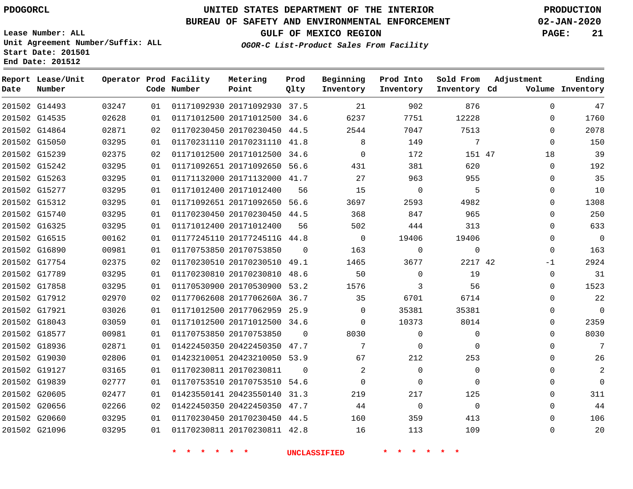### **BUREAU OF SAFETY AND ENVIRONMENTAL ENFORCEMENT 02-JAN-2020**

**Lease Number: ALL Unit Agreement Number/Suffix: ALL Start Date: 201501 End Date: 201512**

**GULF OF MEXICO REGION PAGE: 21**

**OGOR-C List-Product Sales From Facility**

| Date | Report Lease/Unit<br>Number |       |    | Operator Prod Facility<br>Code Number | Metering<br>Point            | Prod<br>Qlty | Beginning<br>Inventory | Prod Into<br>Inventory | Sold From<br>Inventory Cd | Adjustment  | Ending<br>Volume Inventory |
|------|-----------------------------|-------|----|---------------------------------------|------------------------------|--------------|------------------------|------------------------|---------------------------|-------------|----------------------------|
|      | 201502 G14493               | 03247 | 01 |                                       | 01171092930 20171092930 37.5 |              | 21                     | 902                    | 876                       | $\Omega$    | 47                         |
|      | 201502 G14535               | 02628 | 01 |                                       | 01171012500 20171012500 34.6 |              | 6237                   | 7751                   | 12228                     | $\Omega$    | 1760                       |
|      | 201502 G14864               | 02871 | 02 |                                       | 01170230450 20170230450 44.5 |              | 2544                   | 7047                   | 7513                      | $\Omega$    | 2078                       |
|      | 201502 G15050               | 03295 | 01 |                                       | 01170231110 20170231110 41.8 |              | 8                      | 149                    | 7                         | $\Omega$    | 150                        |
|      | 201502 G15239               | 02375 | 02 |                                       | 01171012500 20171012500 34.6 |              | $\Omega$               | 172                    | 151 47                    | 18          | 39                         |
|      | 201502 G15242               | 03295 | 01 |                                       | 01171092651 20171092650 56.6 |              | 431                    | 381                    | 620                       | $\mathbf 0$ | 192                        |
|      | 201502 G15263               | 03295 | 01 |                                       | 01171132000 20171132000 41.7 |              | 27                     | 963                    | 955                       | 0           | 35                         |
|      | 201502 G15277               | 03295 | 01 |                                       | 01171012400 20171012400      | 56           | 15                     | $\mathbf 0$            | 5                         | 0           | 10                         |
|      | 201502 G15312               | 03295 | 01 |                                       | 01171092651 20171092650 56.6 |              | 3697                   | 2593                   | 4982                      | $\Omega$    | 1308                       |
|      | 201502 G15740               | 03295 | 01 |                                       | 01170230450 20170230450 44.5 |              | 368                    | 847                    | 965                       | $\Omega$    | 250                        |
|      | 201502 G16325               | 03295 | 01 |                                       | 01171012400 20171012400      | 56           | 502                    | 444                    | 313                       | $\Omega$    | 633                        |
|      | 201502 G16515               | 00162 | 01 |                                       | 01177245110 2017724511G 44.8 |              | $\overline{0}$         | 19406                  | 19406                     | $\Omega$    | $\mathbf 0$                |
|      | 201502 G16890               | 00981 | 01 |                                       | 01170753850 20170753850      | $\Omega$     | 163                    | $\mathbf 0$            | $\Omega$                  | $\Omega$    | 163                        |
|      | 201502 G17754               | 02375 | 02 |                                       | 01170230510 20170230510 49.1 |              | 1465                   | 3677                   | 2217 42                   | -1          | 2924                       |
|      | 201502 G17789               | 03295 | 01 |                                       | 01170230810 20170230810 48.6 |              | 50                     | $\Omega$               | 19                        | $\Omega$    | 31                         |
|      | 201502 G17858               | 03295 | 01 |                                       | 01170530900 20170530900 53.2 |              | 1576                   | 3                      | 56                        | $\Omega$    | 1523                       |
|      | 201502 G17912               | 02970 | 02 |                                       | 01177062608 2017706260A 36.7 |              | 35                     | 6701                   | 6714                      | $\Omega$    | 22                         |
|      | 201502 G17921               | 03026 | 01 |                                       | 01171012500 20177062959 25.9 |              | 0                      | 35381                  | 35381                     | 0           | $\mathbf 0$                |
|      | 201502 G18043               | 03059 | 01 |                                       | 01171012500 20171012500 34.6 |              | $\Omega$               | 10373                  | 8014                      | 0           | 2359                       |
|      | 201502 G18577               | 00981 | 01 |                                       | 01170753850 20170753850      | $\mathbf 0$  | 8030                   | 0                      | $\mathbf 0$               | $\Omega$    | 8030                       |
|      | 201502 G18936               | 02871 | 01 |                                       | 01422450350 20422450350 47.7 |              | 7                      | $\mathbf 0$            | $\Omega$                  | $\Omega$    | 7                          |
|      | 201502 G19030               | 02806 | 01 |                                       | 01423210051 20423210050 53.9 |              | 67                     | 212                    | 253                       | $\Omega$    | 26                         |
|      | 201502 G19127               | 03165 | 01 |                                       | 01170230811 20170230811      | $\Omega$     | 2                      | $\mathbf 0$            | $\mathbf 0$               | $\Omega$    | 2                          |
|      | 201502 G19839               | 02777 | 01 |                                       | 01170753510 20170753510 54.6 |              | $\Omega$               | $\Omega$               | $\Omega$                  | $\Omega$    | $\overline{0}$             |
|      | 201502 G20605               | 02477 | 01 |                                       | 01423550141 20423550140      | 31.3         | 219                    | 217                    | 125                       | 0           | 311                        |
|      | 201502 G20656               | 02266 | 02 |                                       | 01422450350 20422450350 47.7 |              | 44                     | $\mathbf 0$            | $\Omega$                  | $\Omega$    | 44                         |
|      | 201502 G20660               | 03295 | 01 |                                       | 01170230450 20170230450 44.5 |              | 160                    | 359                    | 413                       | 0           | 106                        |
|      | 201502 G21096               | 03295 | 01 |                                       | 01170230811 20170230811 42.8 |              | 16                     | 113                    | 109                       | $\Omega$    | 20                         |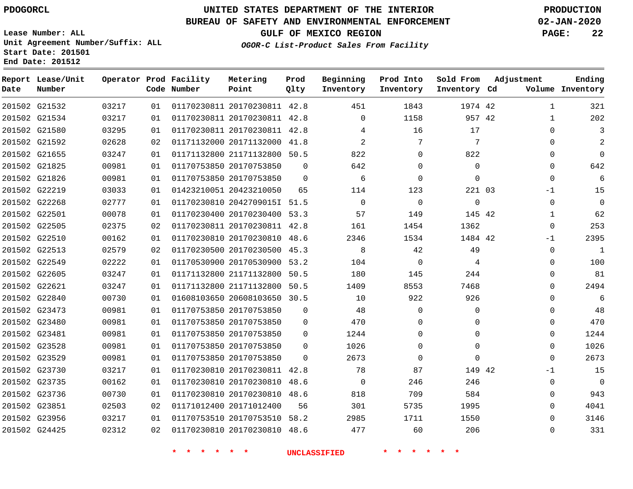**Report Lease/Unit**

**Number**

# **UNITED STATES DEPARTMENT OF THE INTERIOR PDOGORCL PRODUCTION**

**Prod**  $Q1 + 3z$ 

#### **BUREAU OF SAFETY AND ENVIRONMENTAL ENFORCEMENT 02-JAN-2020**

**Lease Number: ALL Unit Agreement Number/Suffix: ALL Start Date: 201501 End Date: 201512**

**Operator Prod Facility**

**OGOR-C List-Product Sales From Facility**

**Beginning Inventory**

**Prod Into Inventory**

**Sold From Inventory**

**GULF OF MEXICO REGION PAGE: 22**

**Adjustment**

**Ending**

| Date | Number        |       |    | Code Number                        | Point                        | Qlty        | Inventory           | Inventory      | Inventory Cd |              | Volume Inventory |
|------|---------------|-------|----|------------------------------------|------------------------------|-------------|---------------------|----------------|--------------|--------------|------------------|
|      | 201502 G21532 | 03217 | 01 |                                    | 01170230811 20170230811 42.8 |             | 451                 | 1843           | 1974 42      | $\mathbf{1}$ | 321              |
|      | 201502 G21534 | 03217 | 01 |                                    | 01170230811 20170230811 42.8 |             | $\Omega$            | 1158           | 957 42       | 1            | 202              |
|      | 201502 G21580 | 03295 | 01 |                                    | 01170230811 20170230811 42.8 |             | 4                   | 16             | 17           | $\Omega$     | 3                |
|      | 201502 G21592 | 02628 | 02 |                                    | 01171132000 20171132000 41.8 |             | 2                   | $\overline{7}$ | 7            | $\Omega$     |                  |
|      | 201502 G21655 | 03247 | 01 |                                    | 01171132800 21171132800 50.5 |             | 822                 | $\mathbf 0$    | 822          | $\mathbf{0}$ | $\mathbf 0$      |
|      | 201502 G21825 | 00981 | 01 |                                    | 01170753850 20170753850      | $\Omega$    | 642                 | $\mathbf 0$    | $\Omega$     | $\Omega$     | 642              |
|      | 201502 G21826 | 00981 | 01 |                                    | 01170753850 20170753850      | $\Omega$    | 6                   | $\mathbf 0$    | $\Omega$     | $\Omega$     | 6                |
|      | 201502 G22219 | 03033 | 01 |                                    | 01423210051 20423210050      | 65          | 114                 | 123            | 221 03       | $-1$         | 15               |
|      | 201502 G22268 | 02777 | 01 |                                    | 01170230810 2042709015I 51.5 |             | $\Omega$            | $\mathbf 0$    | $\mathbf{0}$ | $\mathbf 0$  | $\overline{0}$   |
|      | 201502 G22501 | 00078 | 01 |                                    | 01170230400 20170230400 53.3 |             | 57                  | 149            | 145 42       | $\mathbf{1}$ | 62               |
|      | 201502 G22505 | 02375 | 02 |                                    | 01170230811 20170230811 42.8 |             | 161                 | 1454           | 1362         | $\Omega$     | 253              |
|      | 201502 G22510 | 00162 | 01 |                                    | 01170230810 20170230810 48.6 |             | 2346                | 1534           | 1484 42      | $-1$         | 2395             |
|      | 201502 G22513 | 02579 | 02 |                                    | 01170230500 20170230500 45.3 |             | 8                   | 42             | 49           | $\Omega$     | $\mathbf{1}$     |
|      | 201502 G22549 | 02222 | 01 |                                    | 01170530900 20170530900 53.2 |             | 104                 | $\mathbf 0$    | 4            | $\Omega$     | 100              |
|      | 201502 G22605 | 03247 | 01 |                                    | 01171132800 21171132800 50.5 |             | 180                 | 145            | 244          | $\Omega$     | 81               |
|      | 201502 G22621 | 03247 | 01 |                                    | 01171132800 21171132800 50.5 |             | 1409                | 8553           | 7468         | $\Omega$     | 2494             |
|      | 201502 G22840 | 00730 | 01 |                                    | 01608103650 20608103650 30.5 |             | 10                  | 922            | 926          | $\Omega$     | 6                |
|      | 201502 G23473 | 00981 | 01 |                                    | 01170753850 20170753850      | $\mathbf 0$ | 48                  | $\mathbf 0$    | $\mathbf 0$  | $\Omega$     | 48               |
|      | 201502 G23480 | 00981 | 01 |                                    | 01170753850 20170753850      | 0           | 470                 | $\mathbf 0$    | $\mathbf 0$  | 0            | 470              |
|      | 201502 G23481 | 00981 | 01 |                                    | 01170753850 20170753850      | $\Omega$    | 1244                | $\mathbf 0$    | $\Omega$     | $\Omega$     | 1244             |
|      | 201502 G23528 | 00981 | 01 |                                    | 01170753850 20170753850      | $\mathbf 0$ | 1026                | $\mathbf 0$    | $\Omega$     | 0            | 1026             |
|      | 201502 G23529 | 00981 | 01 |                                    | 01170753850 20170753850      | $\Omega$    | 2673                | $\mathbf 0$    | $\mathbf 0$  | $\mathbf 0$  | 2673             |
|      | 201502 G23730 | 03217 | 01 |                                    | 01170230810 20170230811 42.8 |             | 78                  | 87             | 149 42       | -1           | 15               |
|      | 201502 G23735 | 00162 | 01 |                                    | 01170230810 20170230810 48.6 |             | $\Omega$            | 246            | 246          | $\mathbf 0$  | $\overline{0}$   |
|      | 201502 G23736 | 00730 | 01 |                                    | 01170230810 20170230810 48.6 |             | 818                 | 709            | 584          | $\Omega$     | 943              |
|      | 201502 G23851 | 02503 | 02 |                                    | 01171012400 20171012400      | 56          | 301                 | 5735           | 1995         | $\mathbf 0$  | 4041             |
|      | 201502 G23956 | 03217 | 01 |                                    | 01170753510 20170753510 58.2 |             | 2985                | 1711           | 1550         | $\Omega$     | 3146             |
|      | 201502 G24425 | 02312 | 02 |                                    | 01170230810 20170230810 48.6 |             | 477                 | 60             | 206          | 0            | 331              |
|      |               |       |    | $\star$ $\star$<br>$\star$ $\star$ | $\star$ $\star$              |             | <b>UNCLASSIFIED</b> | * * * * * *    |              |              |                  |

**Metering Point**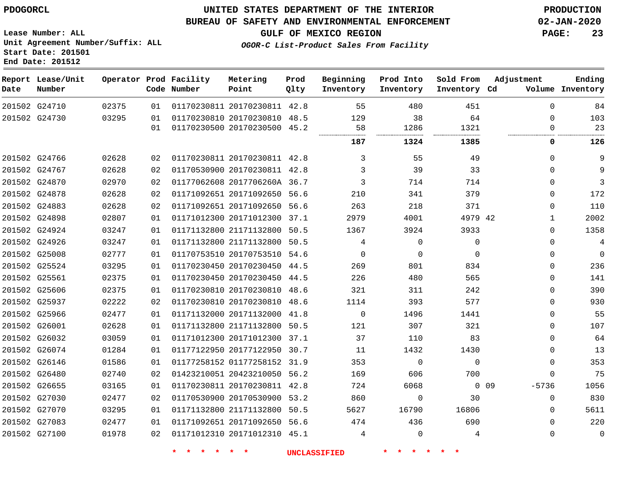G24710 G24730

**Date**

**Report Lease/Unit**

**Number**

### **UNITED STATES DEPARTMENT OF THE INTERIOR PDOGORCL PRODUCTION**

#### **BUREAU OF SAFETY AND ENVIRONMENTAL ENFORCEMENT 02-JAN-2020**

**Lease Number: ALL Unit Agreement Number/Suffix: ALL Start Date: 201501 End Date: 201512**

> 

**Operator Prod Facility**

**Code Number**

**Metering Point**

 

**Prod Qlty**

**GULF OF MEXICO REGION PAGE: 23**

**Ending**

**OGOR-C List-Product Sales From Facility**

**Beginning**

| Number | Point                   | Olty | Inventory | Inventory | Inventory Cd | Volume | Inventory |
|--------|-------------------------|------|-----------|-----------|--------------|--------|-----------|
|        | 01170230811 20170230811 | 42.8 | 55        | 480       | 451          |        | 84        |
|        | 01170230810 20170230810 | 48.5 | 129       | 38        | 64           |        | 103       |
|        | 01170230500 20170230500 | 45.2 | 58        | 1286      | 1321         |        | 23        |
|        |                         |      | <br>187   | <br>1324  | <br>1385     |        | 126       |

**Sold From**

**Adjustment**

**Prod Into**

|               |       | 01 | 01170230500 20170230500 45.2 |      | 58       | 1286     | 1321        |                       | 23           |
|---------------|-------|----|------------------------------|------|----------|----------|-------------|-----------------------|--------------|
|               |       |    |                              |      | 187      | 1324     | 1385        | 0                     | 126          |
| 201502 G24766 | 02628 | 02 | 01170230811 20170230811 42.8 |      | 3        | 55       | 49          | $\Omega$              | 9            |
| 201502 G24767 | 02628 | 02 | 01170530900 20170230811 42.8 |      | 3        | 39       | 33          | 0                     | 9            |
| 201502 G24870 | 02970 | 02 | 01177062608 2017706260A 36.7 |      | 3        | 714      | 714         | 0                     | 3            |
| 201502 G24878 | 02628 | 02 | 01171092651 20171092650 56.6 |      | 210      | 341      | 379         | 0                     | 172          |
| 201502 G24883 | 02628 | 02 | 01171092651 20171092650 56.6 |      | 263      | 218      | 371         | 0                     | 110          |
| 201502 G24898 | 02807 | 01 | 01171012300 20171012300 37.1 |      | 2979     | 4001     | 4979 42     |                       | 2002         |
| 201502 G24924 | 03247 | 01 | 01171132800 21171132800 50.5 |      | 1367     | 3924     | 3933        | 0                     | 1358         |
| 201502 G24926 | 03247 | 01 | 01171132800 21171132800 50.5 |      | 4        | $\Omega$ | $\Omega$    | 0                     | 4            |
| 201502 G25008 | 02777 | 01 | 01170753510 20170753510 54.6 |      | $\Omega$ | $\Omega$ | $\Omega$    | 0                     | $\mathbf{0}$ |
| 201502 G25524 | 03295 | 01 | 01170230450 20170230450 44.5 |      | 269      | 801      | 834         | $\Omega$              | 236          |
| 201502 G25561 | 02375 | 01 | 01170230450 20170230450      | 44.5 | 226      | 480      | 565         | 0                     | 141          |
| 201502 G25606 | 02375 | 01 | 01170230810 20170230810 48.6 |      | 321      | 311      | 242         | 0                     | 390          |
| 201502 G25937 | 02222 | 02 | 01170230810 20170230810      | 48.6 | 1114     | 393      | 577         | 0                     | 930          |
| 201502 G25966 | 02477 | 01 | 01171132000 20171132000 41.8 |      | $\Omega$ | 1496     | 1441        | 0                     | 55           |
| 201502 G26001 | 02628 | 01 | 01171132800 21171132800 50.5 |      | 121      | 307      | 321         | 0                     | 107          |
| 201502 G26032 | 03059 | 01 | 01171012300 20171012300 37.1 |      | 37       | 110      | 83          | 0                     | 64           |
| 201502 G26074 | 01284 | 01 | 01177122950 20177122950 30.7 |      | -11      | 1432     | 1430        | 0                     | 13           |
| 201502 G26146 | 01586 | 01 | 01177258152 01177258152 31.9 |      | 353      | 0        | $\mathbf 0$ | 0                     | 353          |
| 201502 G26480 | 02740 | 02 | 01423210051 20423210050 56.2 |      | 169      | 606      | 700         | 0                     | 75           |
| 201502 G26655 | 03165 | 01 | 01170230811 20170230811 42.8 |      | 724      | 6068     |             | $-5736$<br>$0\quad09$ | 1056         |
| 201502 G27030 | 02477 | 02 | 01170530900 20170530900 53.2 |      | 860      | $\Omega$ | 30          | 0                     | 830          |
| 201502 G27070 | 03295 | 01 | 01171132800 21171132800 50.5 |      | 5627     | 16790    | 16806       | 0                     | 5611         |
| 201502 G27083 | 02477 | 01 | 01171092651 20171092650 56.6 |      | 474      | 436      | 690         | 0                     | 220          |
| 201502 G27100 | 01978 | 02 | 01171012310 20171012310 45.1 |      | 4        | $\Omega$ | 4           | 0                     | $\Omega$     |
|               |       |    |                              |      |          |          |             |                       |              |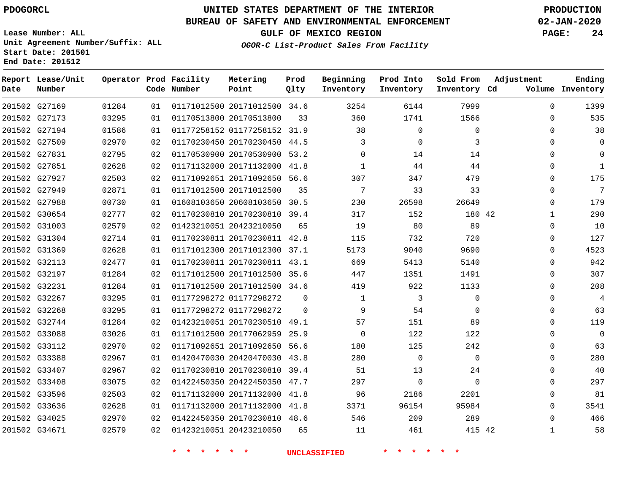# **UNITED STATES DEPARTMENT OF THE INTERIOR PDOGORCL PRODUCTION**

#### **BUREAU OF SAFETY AND ENVIRONMENTAL ENFORCEMENT 02-JAN-2020**

**Lease Number: ALL Unit Agreement Number/Suffix: ALL Start Date: 201501**

**Operator Prod Facility**

**Code Number**

**Metering Point**

**End Date: 201512**

**Report Lease/Unit**

**Number**

**GULF OF MEXICO REGION PAGE: 24**

**Prod Qlty**

**Inventory Cd Volume**

**Adjustment**

**Ending**

**OGOR-C List-Product Sales From Facility**

**Beginning Inventory** **Prod Into Inventory** **Sold From Inventory**

| 201502 G27169 | 01284 | 01 |                              | 01171012500 20171012500 34.6 |          | 3254     | 6144           | 7999     | $\Omega$     | 1399        |
|---------------|-------|----|------------------------------|------------------------------|----------|----------|----------------|----------|--------------|-------------|
| 201502 G27173 | 03295 | 01 | 01170513800 20170513800      |                              | 33       | 360      | 1741           | 1566     | $\Omega$     | 535         |
| 201502 G27194 | 01586 | 01 |                              | 01177258152 01177258152 31.9 |          | 38       | $\Omega$       | $\Omega$ | 0            | 38          |
| 201502 G27509 | 02970 | 02 | 01170230450 20170230450 44.5 |                              |          | 3        | $\Omega$       | 3        | 0            | $\Omega$    |
| 201502 G27831 | 02795 | 02 |                              | 01170530900 20170530900 53.2 |          | $\Omega$ | 14             | 14       | 0            | $\mathbf 0$ |
| 201502 G27851 | 02628 | 02 |                              | 01171132000 20171132000 41.8 |          | 1        | 44             | 44       | 0            | 1           |
| 201502 G27927 | 02503 | 02 | 01171092651 20171092650 56.6 |                              |          | 307      | 347            | 479      | $\Omega$     | 175         |
| 201502 G27949 | 02871 | 01 | 01171012500 20171012500      |                              | 35       | 7        | 33             | 33       | $\Omega$     | 7           |
| 201502 G27988 | 00730 | 01 |                              | 01608103650 20608103650 30.5 |          | 230      | 26598          | 26649    | 0            | 179         |
| 201502 G30654 | 02777 | 02 | 01170230810 20170230810 39.4 |                              |          | 317      | 152            | 180 42   | 1            | 290         |
| 201502 G31003 | 02579 | 02 | 01423210051 20423210050      |                              | 65       | 19       | 80             | 89       | $\Omega$     | 10          |
| 201502 G31304 | 02714 | 01 |                              | 01170230811 20170230811 42.8 |          | 115      | 732            | 720      | $\Omega$     | 127         |
| 201502 G31369 | 02628 | 01 |                              | 01171012300 20171012300 37.1 |          | 5173     | 9040           | 9690     | $\Omega$     | 4523        |
| 201502 G32113 | 02477 | 01 | 01170230811 20170230811 43.1 |                              |          | 669      | 5413           | 5140     | $\Omega$     | 942         |
| 201502 G32197 | 01284 | 02 |                              | 01171012500 20171012500 35.6 |          | 447      | 1351           | 1491     | 0            | 307         |
| 201502 G32231 | 01284 | 01 |                              | 01171012500 20171012500 34.6 |          | 419      | 922            | 1133     | $\Omega$     | 208         |
| 201502 G32267 | 03295 | 01 | 01177298272 01177298272      |                              | $\Omega$ | 1        | 3              | 0        | 0            | 4           |
| 201502 G32268 | 03295 | 01 | 01177298272 01177298272      |                              | 0        | 9        | 54             | $\Omega$ | $\Omega$     | 63          |
| 201502 G32744 | 01284 | 02 | 01423210051 20170230510 49.1 |                              |          | 57       | 151            | 89       | $\Omega$     | 119         |
| 201502 G33088 | 03026 | 01 |                              | 01171012500 20177062959 25.9 |          | $\Omega$ | 122            | 122      | 0            | $\mathbf 0$ |
| 201502 G33112 | 02970 | 02 | 01171092651 20171092650 56.6 |                              |          | 180      | 125            | 242      | $\Omega$     | 63          |
| 201502 G33388 | 02967 | 01 |                              | 01420470030 20420470030 43.8 |          | 280      | $\overline{0}$ | 0        | $\Omega$     | 280         |
| 201502 G33407 | 02967 | 02 |                              | 01170230810 20170230810 39.4 |          | 51       | 13             | 24       | 0            | 40          |
| 201502 G33408 | 03075 | 02 | 01422450350 20422450350 47.7 |                              |          | 297      | 0              | $\Omega$ | $\Omega$     | 297         |
| 201502 G33596 | 02503 | 02 | 01171132000 20171132000 41.8 |                              |          | 96       | 2186           | 2201     | $\Omega$     | 81          |
| 201502 G33636 | 02628 | 01 |                              | 01171132000 20171132000 41.8 |          | 3371     | 96154          | 95984    | $\Omega$     | 3541        |
| 201502 G34025 | 02970 | 02 | 01422450350 20170230810 48.6 |                              |          | 546      | 209            | 289      | 0            | 466         |
| 201502 G34671 | 02579 | 02 | 01423210051 20423210050      |                              | 65       | 11       | 461            | 415 42   | $\mathbf{1}$ | 58          |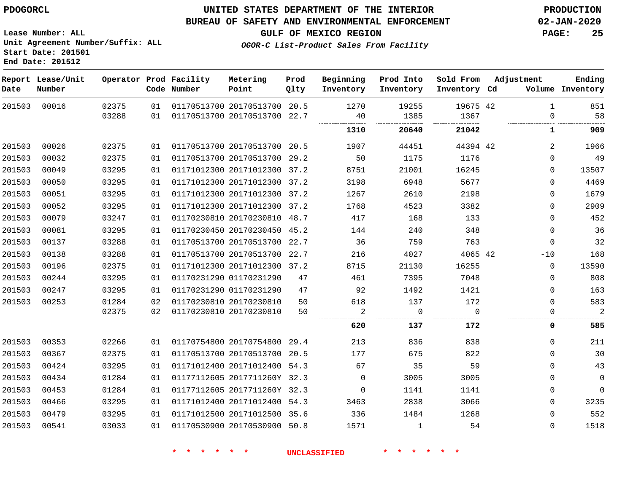#### **BUREAU OF SAFETY AND ENVIRONMENTAL ENFORCEMENT 02-JAN-2020**

**GULF OF MEXICO REGION PAGE: 25**

**Lease Number: ALL Unit Agreement Number/Suffix: ALL Start Date: 201501 End Date: 201512**

**OGOR-C List-Product Sales From Facility**

| Date   | Report Lease/Unit<br>Number |                |          | Operator Prod Facility<br>Code Number | Metering<br>Point                                            | Prod<br>Qlty | Beginning<br>Inventory | Prod Into<br>Inventory | Sold From<br>Inventory Cd | Adjustment               | Ending<br>Volume Inventory |
|--------|-----------------------------|----------------|----------|---------------------------------------|--------------------------------------------------------------|--------------|------------------------|------------------------|---------------------------|--------------------------|----------------------------|
| 201503 | 00016                       | 02375<br>03288 | 01<br>01 |                                       | 01170513700 20170513700 20.5<br>01170513700 20170513700 22.7 |              | 1270<br>40             | 19255<br>1385          | 19675 42<br>1367          | $\mathbf{1}$<br>$\Omega$ | 851<br>58                  |
|        |                             |                |          |                                       |                                                              |              | 1310                   | 20640                  | 21042                     | 1                        | 909                        |
| 201503 | 00026                       | 02375          | 01       |                                       | 01170513700 20170513700 20.5                                 |              | 1907                   | 44451                  | 44394 42                  | 2                        | 1966                       |
| 201503 | 00032                       | 02375          | 01       |                                       | 01170513700 20170513700 29.2                                 |              | 50                     | 1175                   | 1176                      | $\Omega$                 | 49                         |
| 201503 | 00049                       | 03295          | 01       |                                       | 01171012300 20171012300 37.2                                 |              | 8751                   | 21001                  | 16245                     | $\Omega$                 | 13507                      |
| 201503 | 00050                       | 03295          | 01       |                                       | 01171012300 20171012300 37.2                                 |              | 3198                   | 6948                   | 5677                      | $\Omega$                 | 4469                       |
| 201503 | 00051                       | 03295          | 01       |                                       | 01171012300 20171012300 37.2                                 |              | 1267                   | 2610                   | 2198                      | 0                        | 1679                       |
| 201503 | 00052                       | 03295          | 01       |                                       | 01171012300 20171012300 37.2                                 |              | 1768                   | 4523                   | 3382                      | 0                        | 2909                       |
| 201503 | 00079                       | 03247          | 01       |                                       | 01170230810 20170230810 48.7                                 |              | 417                    | 168                    | 133                       | $\Omega$                 | 452                        |
| 201503 | 00081                       | 03295          | 01       |                                       | 01170230450 20170230450 45.2                                 |              | 144                    | 240                    | 348                       | $\Omega$                 | 36                         |
| 201503 | 00137                       | 03288          | 01       |                                       | 01170513700 20170513700 22.7                                 |              | 36                     | 759                    | 763                       | $\mathbf 0$              | 32                         |
| 201503 | 00138                       | 03288          | 01       |                                       | 01170513700 20170513700 22.7                                 |              | 216                    | 4027                   | 4065 42                   | $-10$                    | 168                        |
| 201503 | 00196                       | 02375          | 01       |                                       | 01171012300 20171012300 37.2                                 |              | 8715                   | 21130                  | 16255                     | $\mathbf 0$              | 13590                      |
| 201503 | 00244                       | 03295          | 01       |                                       | 01170231290 01170231290                                      | 47           | 461                    | 7395                   | 7048                      | $\Omega$                 | 808                        |
| 201503 | 00247                       | 03295          | 01       |                                       | 01170231290 01170231290                                      | 47           | 92                     | 1492                   | 1421                      | $\mathbf 0$              | 163                        |
| 201503 | 00253                       | 01284          | 02       |                                       | 01170230810 20170230810                                      | 50           | 618                    | 137                    | 172                       | $\Omega$                 | 583                        |
|        |                             | 02375          | 02       |                                       | 01170230810 20170230810                                      | 50           | $\overline{2}$<br>     | $\overline{0}$<br>.    | $\Omega$                  | 0                        | $\overline{2}$             |
|        |                             |                |          |                                       |                                                              |              | 620                    | 137                    | 172                       | 0                        | 585                        |
| 201503 | 00353                       | 02266          | 01       |                                       | 01170754800 20170754800 29.4                                 |              | 213                    | 836                    | 838                       | 0                        | 211                        |
| 201503 | 00367                       | 02375          | 01       |                                       | 01170513700 20170513700 20.5                                 |              | 177                    | 675                    | 822                       | $\Omega$                 | 30                         |
| 201503 | 00424                       | 03295          | 01       |                                       | 01171012400 20171012400 54.3                                 |              | 67                     | 35                     | 59                        | $\Omega$                 | 43                         |
| 201503 | 00434                       | 01284          | 01       |                                       | 01177112605 2017711260Y 32.3                                 |              | 0                      | 3005                   | 3005                      | 0                        | $\mathbf 0$                |
| 201503 | 00453                       | 01284          | 01       |                                       | 01177112605 2017711260Y 32.3                                 |              | 0                      | 1141                   | 1141                      | 0                        | $\mathbf 0$                |
| 201503 | 00466                       | 03295          | 01       |                                       | 01171012400 20171012400 54.3                                 |              | 3463                   | 2838                   | 3066                      | 0                        | 3235                       |
| 201503 | 00479                       | 03295          | 01       |                                       | 01171012500 20171012500 35.6                                 |              | 336                    | 1484                   | 1268                      | $\mathbf{0}$             | 552                        |
| 201503 | 00541                       | 03033          | 01       |                                       | 01170530900 20170530900 50.8                                 |              | 1571                   | $\mathbf{1}$           | 54                        | $\Omega$                 | 1518                       |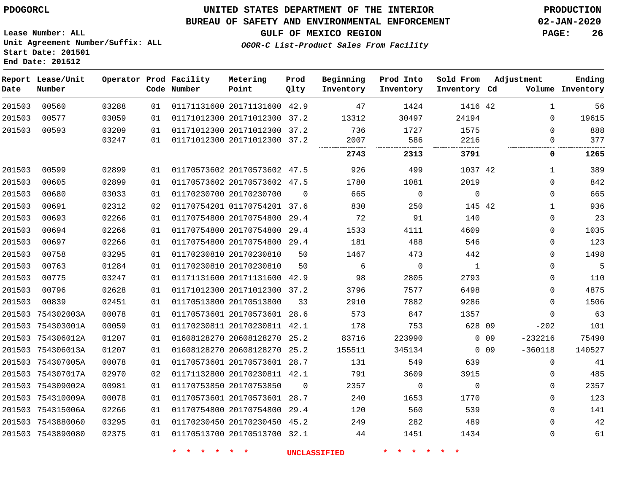**Report Lease/Unit**

**Number**

**Date**

 754315006A 7543880060 7543890080    

### **UNITED STATES DEPARTMENT OF THE INTERIOR PDOGORCL PRODUCTION**

**Prod Qlty**

#### **BUREAU OF SAFETY AND ENVIRONMENTAL ENFORCEMENT 02-JAN-2020**

**Lease Number: ALL Unit Agreement Number/Suffix: ALL Start Date: 201501 End Date: 201512**

**Operator Prod Facility**

**Code Number**

**OGOR-C List-Product Sales From Facility**

**Beginning Inventory** **Prod Into Inventory** **Sold From Inventory**

**Ending**

**GULF OF MEXICO REGION PAGE: 26**

**Inventory Cd Volume**

**Adjustment**

> $\Omega$   $\Omega$  $\Omega$  $\Omega$  $\Omega$  $\Omega$

| 56     | 1           |            | 1416 42  | 1424     | 47       |          | 01171131600 20171131600 42.9 |                         | 01 | 03288 | 00560             | 201503 |
|--------|-------------|------------|----------|----------|----------|----------|------------------------------|-------------------------|----|-------|-------------------|--------|
| 19615  | 0           |            | 24194    | 30497    | 13312    |          | 01171012300 20171012300 37.2 |                         | 01 | 03059 | 00577             | 201503 |
| 888    | $\Omega$    |            | 1575     | 1727     | 736      |          | 01171012300 20171012300 37.2 |                         | 01 | 03209 | 00593             | 201503 |
| 377    | 0           |            | 2216     | 586<br>  | 2007<br> | 37.2     | 01171012300 20171012300      |                         | 01 | 03247 |                   |        |
| 1265   | 0           |            | 3791     | 2313     | 2743     |          |                              |                         |    |       |                   |        |
| 389    | 1           |            | 1037 42  | 499      | 926      |          | 01170573602 20170573602 47.5 |                         | 01 | 02899 | 00599             | 201503 |
| 842    | $\Omega$    |            | 2019     | 1081     | 1780     |          | 01170573602 20170573602 47.5 |                         | 01 | 02899 | 00605             | 201503 |
| 665    | $\Omega$    |            | $\Omega$ | $\Omega$ | 665      | $\Omega$ |                              | 01170230700 20170230700 | 01 | 03033 | 00680             | 201503 |
| 936    | 1           |            | 145 42   | 250      | 830      |          | 01170754201 01170754201 37.6 |                         | 02 | 02312 | 00691             | 201503 |
| 23     | 0           |            | 140      | 91       | 72       | 29.4     | 01170754800 20170754800      |                         | 01 | 02266 | 00693             | 201503 |
| 1035   | $\Omega$    |            | 4609     | 4111     | 1533     | 29.4     | 01170754800 20170754800      |                         | 01 | 02266 | 00694             | 201503 |
| 123    | $\Omega$    |            | 546      | 488      | 181      | 29.4     | 01170754800 20170754800      |                         | 01 | 02266 | 00697             | 201503 |
| 1498   | $\Omega$    |            | 442      | 473      | 1467     | 50       |                              | 01170230810 20170230810 | 01 | 03295 | 00758             | 201503 |
| 5      | $\Omega$    |            | 1        | $\Omega$ | 6        | 50       |                              | 01170230810 20170230810 | 01 | 01284 | 00763             | 201503 |
| 110    | $\mathbf 0$ |            | 2793     | 2805     | 98       | 42.9     | 01171131600 20171131600      |                         | 01 | 03247 | 00775             | 201503 |
| 4875   | 0           |            | 6498     | 7577     | 3796     |          | 01171012300 20171012300 37.2 |                         | 01 | 02628 | 00796             | 201503 |
| 1506   | $\Omega$    |            | 9286     | 7882     | 2910     | 33       |                              | 01170513800 20170513800 | 01 | 02451 | 00839             | 201503 |
| 63     | $\Omega$    |            | 1357     | 847      | 573      | 28.6     | 01170573601 20170573601      |                         | 01 | 00078 | 754302003A        | 201503 |
| 101    | $-202$      |            | 628 09   | 753      | 178      | 42.1     | 01170230811 20170230811      |                         | 01 | 00059 | 754303001A        | 201503 |
| 75490  | $-232216$   | $0\quad09$ |          | 223990   | 83716    | 25.2     | 01608128270 20608128270      |                         | 01 | 01207 | 754306012A        | 201503 |
| 140527 | $-360118$   | $0\quad09$ |          | 345134   | 155511   | 25.2     | 01608128270 20608128270      |                         | 01 | 01207 | 754306013A        | 201503 |
| 41     | $\Omega$    |            | 639      | 549      | 131      |          | 01170573601 20170573601 28.7 |                         | 01 | 00078 | 754307005A        | 201503 |
| 485    | $\Omega$    |            | 3915     | 3609     | 791      |          | 01171132800 20170230811 42.1 |                         | 02 | 02970 | 201503 754307017A |        |
| 2357   | 0           |            | $\Omega$ | 0        | 2357     | $\Omega$ |                              | 01170753850 20170753850 | 01 | 00981 | 201503 754309002A |        |
| 123    | $\Omega$    |            | 1770     | 1653     | 240      |          | 01170573601 20170573601 28.7 |                         | 01 | 00078 | 201503 754310009A |        |
|        |             |            |          |          |          |          |                              |                         |    |       |                   |        |

 20170754800 29.4 20170230450 45.2 20170513700 32.1

**Metering Point**

 

**\* \* \* \* \* \* UNCLASSIFIED \* \* \* \* \* \***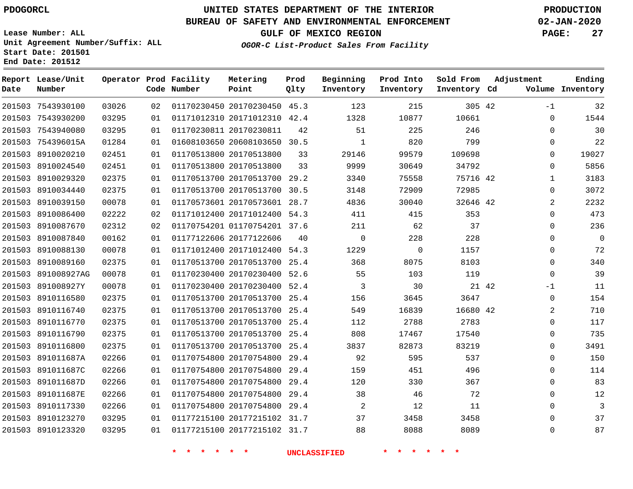**Report Lease/Unit**

**Number**

 891011687A 891011687C 891011687D 891011687E 8910117330 8910123270 8910123320

# **UNITED STATES DEPARTMENT OF THE INTERIOR PDOGORCL PRODUCTION**

**Prod Qlty**

#### **BUREAU OF SAFETY AND ENVIRONMENTAL ENFORCEMENT 02-JAN-2020**

**Lease Number: ALL Unit Agreement Number/Suffix: ALL Start Date: 201501 End Date: 201512**

**Operator Prod Facility**

**Code Number**

#### **OGOR-C List-Product Sales From Facility**

**Beginning Inventory** **Prod Into Inventory**

**Sold From Inventory**

**GULF OF MEXICO REGION PAGE: 27**

**Inventory Cd Volume**

**Adjustment**

-1  $\Omega$  $\Omega$  $\Omega$  $\Omega$  $\Omega$   $\Omega$   $\Omega$  $\Omega$  $\Omega$  $\Omega$   $\Omega$ -1  $\Omega$   $\Omega$  $\Omega$   $\Omega$  $\Omega$   $\Omega$   $\Omega$ 

**Ending**

| 201503 | 7543930100  | 03026 | 02 | 01170230450 20170230450 | 45.3 | 123         | 215      | 305 42   |       |
|--------|-------------|-------|----|-------------------------|------|-------------|----------|----------|-------|
| 201503 | 7543930200  | 03295 | 01 | 01171012310 20171012310 | 42.4 | 1328        | 10877    | 10661    |       |
| 201503 | 7543940080  | 03295 | 01 | 01170230811 20170230811 | 42   | 51          | 225      | 246      |       |
| 201503 | 754396015A  | 01284 | 01 | 01608103650 20608103650 | 30.5 | $\mathbf 1$ | 820      | 799      |       |
| 201503 | 8910020210  | 02451 | 01 | 01170513800 20170513800 | 33   | 29146       | 99579    | 109698   |       |
| 201503 | 8910024540  | 02451 | 01 | 01170513800 20170513800 | 33   | 9999        | 30649    | 34792    |       |
| 201503 | 8910029320  | 02375 | 01 | 01170513700 20170513700 | 29.2 | 3340        | 75558    | 75716 42 |       |
| 201503 | 8910034440  | 02375 | 01 | 01170513700 20170513700 | 30.5 | 3148        | 72909    | 72985    |       |
| 201503 | 8910039150  | 00078 | 01 | 01170573601 20170573601 | 28.7 | 4836        | 30040    | 32646 42 |       |
| 201503 | 8910086400  | 02222 | 02 | 01171012400 20171012400 | 54.3 | 411         | 415      | 353      |       |
| 201503 | 8910087670  | 02312 | 02 | 01170754201 01170754201 | 37.6 | 211         | 62       | 37       |       |
| 201503 | 8910087840  | 00162 | 01 | 01177122606 20177122606 | 40   | $\mathbf 0$ | 228      | 228      |       |
| 201503 | 8910088130  | 00078 | 01 | 01171012400 20171012400 | 54.3 | 1229        | $\Omega$ | 1157     |       |
| 201503 | 8910089160  | 02375 | 01 | 01170513700 20170513700 | 25.4 | 368         | 8075     | 8103     |       |
| 201503 | 891008927AG | 00078 | 01 | 01170230400 20170230400 | 52.6 | 55          | 103      | 119      |       |
| 201503 | 891008927Y  | 00078 | 01 | 01170230400 20170230400 | 52.4 | 3           | 30       |          | 21 42 |
| 201503 | 8910116580  | 02375 | 01 | 01170513700 20170513700 | 25.4 | 156         | 3645     | 3647     |       |
| 201503 | 8910116740  | 02375 | 01 | 01170513700 20170513700 | 25.4 | 549         | 16839    | 16680 42 |       |
| 201503 | 8910116770  | 02375 | 01 | 01170513700 20170513700 | 25.4 | 112         | 2788     | 2783     |       |
| 201503 | 8910116790  | 02375 | 01 | 01170513700 20170513700 | 25.4 | 808         | 17467    | 17540    |       |
| 201503 | 8910116800  | 02375 | 01 | 01170513700 20170513700 | 25.4 | 3837        | 82873    | 83219    |       |

 20170754800 29.4 20170754800 29.4 20170754800 29.4 20170754800 29.4 20170754800 29.4 20177215102 31.7 20177215102 31.7

**Metering Point**

**\* \* \* \* \* \* UNCLASSIFIED \* \* \* \* \* \***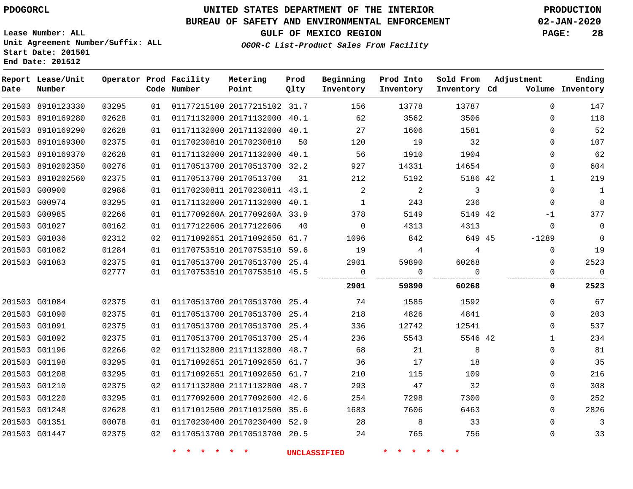### **BUREAU OF SAFETY AND ENVIRONMENTAL ENFORCEMENT 02-JAN-2020**

**Lease Number: ALL Unit Agreement Number/Suffix: ALL**

**GULF OF MEXICO REGION PAGE: 28**

**OGOR-C List-Product Sales From Facility**

**Start Date: 201501 End Date: 201512**

| Date          | Report Lease/Unit<br>Number |       |    | Operator Prod Facility<br>Code Number | Metering<br>Point            | Prod<br>Qlty | Beginning<br>Inventory | Prod Into<br>Inventory | Sold From<br>Inventory Cd | Adjustment   | Ending<br>Volume Inventory |
|---------------|-----------------------------|-------|----|---------------------------------------|------------------------------|--------------|------------------------|------------------------|---------------------------|--------------|----------------------------|
|               | 201503 8910123330           | 03295 | 01 |                                       | 01177215100 20177215102 31.7 |              | 156                    | 13778                  | 13787                     | $\Omega$     | 147                        |
|               | 201503 8910169280           | 02628 | 01 |                                       | 01171132000 20171132000 40.1 |              | 62                     | 3562                   | 3506                      | $\Omega$     | 118                        |
|               | 201503 8910169290           | 02628 | 01 |                                       | 01171132000 20171132000 40.1 |              | 27                     | 1606                   | 1581                      | $\Omega$     | 52                         |
|               | 201503 8910169300           | 02375 | 01 |                                       | 01170230810 20170230810      | 50           | 120                    | 19                     | 32                        | $\Omega$     | 107                        |
|               | 201503 8910169370           | 02628 | 01 |                                       | 01171132000 20171132000 40.1 |              | 56                     | 1910                   | 1904                      | $\Omega$     | 62                         |
|               | 201503 8910202350           | 00276 | 01 |                                       | 01170513700 20170513700 32.2 |              | 927                    | 14331                  | 14654                     | $\Omega$     | 604                        |
|               | 201503 8910202560           | 02375 | 01 |                                       | 01170513700 20170513700      | 31           | 212                    | 5192                   | 5186 42                   | $\mathbf{1}$ | 219                        |
|               | 201503 G00900               | 02986 | 01 |                                       | 01170230811 20170230811 43.1 |              | 2                      | 2                      | $\overline{3}$            | $\Omega$     | $\mathbf{1}$               |
|               | 201503 G00974               | 03295 | 01 |                                       | 01171132000 20171132000 40.1 |              | 1                      | 243                    | 236                       | $\Omega$     | 8                          |
|               | 201503 G00985               | 02266 | 01 |                                       | 0117709260A 2017709260A 33.9 |              | 378                    | 5149                   | 5149 42                   | $-1$         | 377                        |
|               | 201503 G01027               | 00162 | 01 |                                       | 01177122606 20177122606      | 40           | $\mathbf 0$            | 4313                   | 4313                      | $\Omega$     | $\Omega$                   |
|               | 201503 G01036               | 02312 | 02 |                                       | 01171092651 20171092650 61.7 |              | 1096                   | 842                    | 649 45                    | $-1289$      | $\overline{0}$             |
|               | 201503 G01082               | 01284 | 01 |                                       | 01170753510 20170753510 59.6 |              | 19                     | 4                      | 4                         | $\Omega$     | 19                         |
|               | 201503 G01083               | 02375 | 01 |                                       | 01170513700 20170513700 25.4 |              | 2901                   | 59890                  | 60268                     | $\Omega$     | 2523                       |
|               |                             | 02777 | 01 |                                       | 01170753510 20170753510 45.5 |              | 0                      | 0                      | $\Omega$                  | 0            | $\mathbf 0$                |
|               |                             |       |    |                                       |                              |              | 2901                   | 59890                  | 60268                     | 0            | 2523                       |
|               | 201503 G01084               | 02375 | 01 |                                       | 01170513700 20170513700 25.4 |              | 74                     | 1585                   | 1592                      | $\Omega$     | 67                         |
|               | 201503 G01090               | 02375 | 01 |                                       | 01170513700 20170513700 25.4 |              | 218                    | 4826                   | 4841                      | $\Omega$     | 203                        |
|               | 201503 G01091               | 02375 | 01 |                                       | 01170513700 20170513700 25.4 |              | 336                    | 12742                  | 12541                     | $\Omega$     | 537                        |
|               | 201503 G01092               | 02375 | 01 |                                       | 01170513700 20170513700 25.4 |              | 236                    | 5543                   | 5546 42                   | $\mathbf{1}$ | 234                        |
|               | 201503 G01196               | 02266 | 02 |                                       | 01171132800 21171132800 48.7 |              | 68                     | 21                     | 8                         | $\Omega$     | 81                         |
|               | 201503 G01198               | 03295 | 01 |                                       | 01171092651 20171092650 61.7 |              | 36                     | 17                     | 18                        | $\mathbf 0$  | 35                         |
|               | 201503 G01208               | 03295 | 01 |                                       | 01171092651 20171092650 61.7 |              | 210                    | 115                    | 109                       | $\Omega$     | 216                        |
|               | 201503 G01210               | 02375 | 02 |                                       | 01171132800 21171132800 48.7 |              | 293                    | 47                     | 32                        | $\Omega$     | 308                        |
| 201503 G01220 |                             | 03295 | 01 |                                       | 01177092600 20177092600 42.6 |              | 254                    | 7298                   | 7300                      | $\Omega$     | 252                        |
|               | 201503 G01248               | 02628 | 01 |                                       | 01171012500 20171012500 35.6 |              | 1683                   | 7606                   | 6463                      | $\Omega$     | 2826                       |
|               | 201503 G01351               | 00078 | 01 |                                       | 01170230400 20170230400 52.9 |              | 28                     | 8                      | 33                        | $\mathbf 0$  | $\overline{3}$             |
|               | 201503 G01447               | 02375 | 02 |                                       | 01170513700 20170513700 20.5 |              | 24                     | 765                    | 756                       | 0            | 33                         |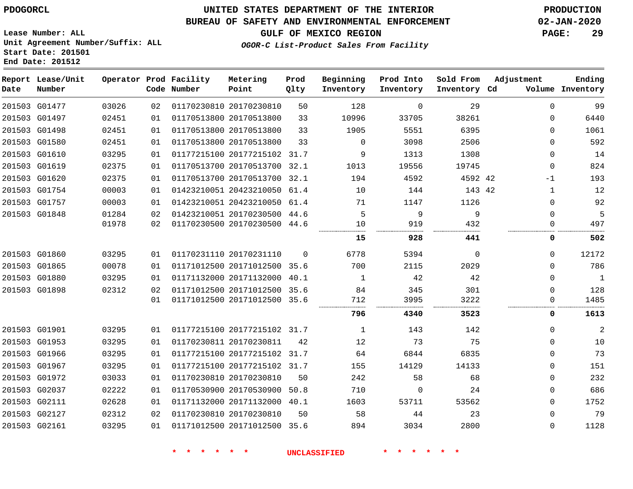### **BUREAU OF SAFETY AND ENVIRONMENTAL ENFORCEMENT 02-JAN-2020**

**OGOR-C List-Product Sales From Facility**

**GULF OF MEXICO REGION PAGE: 29**

**Lease Number: ALL Unit Agreement Number/Suffix: ALL Start Date: 201501 End Date: 201512**

| Date | Report Lease/Unit<br>Number |       |    | Operator Prod Facility<br>Code Number | Metering<br>Point            | Prod<br>Qlty | Beginning<br>Inventory | Prod Into<br>Inventory | Sold From<br>Inventory Cd | Adjustment |             | Ending<br>Volume Inventory |
|------|-----------------------------|-------|----|---------------------------------------|------------------------------|--------------|------------------------|------------------------|---------------------------|------------|-------------|----------------------------|
|      | 201503 G01477               | 03026 | 02 |                                       | 01170230810 20170230810      | 50           | 128                    | $\mathbf 0$            | 29                        |            | $\mathbf 0$ | 99                         |
|      | 201503 G01497               | 02451 | 01 |                                       | 01170513800 20170513800      | 33           | 10996                  | 33705                  | 38261                     |            | 0           | 6440                       |
|      | 201503 G01498               | 02451 | 01 |                                       | 01170513800 20170513800      | 33           | 1905                   | 5551                   | 6395                      |            | 0           | 1061                       |
|      | 201503 G01580               | 02451 | 01 |                                       | 01170513800 20170513800      | 33           | $\Omega$               | 3098                   | 2506                      |            | 0           | 592                        |
|      | 201503 G01610               | 03295 | 01 |                                       | 01177215100 20177215102 31.7 |              | 9                      | 1313                   | 1308                      |            | 0           | 14                         |
|      | 201503 G01619               | 02375 | 01 |                                       | 01170513700 20170513700 32.1 |              | 1013                   | 19556                  | 19745                     |            | 0           | 824                        |
|      | 201503 G01620               | 02375 | 01 |                                       | 01170513700 20170513700 32.1 |              | 194                    | 4592                   | 4592 42                   |            | -1          | 193                        |
|      | 201503 G01754               | 00003 | 01 |                                       | 01423210051 20423210050 61.4 |              | 10                     | 144                    | 143 42                    |            | 1           | 12                         |
|      | 201503 G01757               | 00003 | 01 |                                       | 01423210051 20423210050 61.4 |              | 71                     | 1147                   | 1126                      |            | 0           | 92                         |
|      | 201503 G01848               | 01284 | 02 |                                       | 01423210051 20170230500 44.6 |              | 5                      | 9                      | 9                         |            | $\Omega$    | 5                          |
|      |                             | 01978 | 02 |                                       | 01170230500 20170230500      | 44.6         | 10                     | 919                    | 432                       |            | 0           | 497                        |
|      |                             |       |    |                                       |                              |              | 15                     | 928                    | 441                       |            | 0           | 502                        |
|      | 201503 G01860               | 03295 | 01 |                                       | 01170231110 20170231110      | $\Omega$     | 6778                   | 5394                   | $\mathbf 0$               |            | $\mathbf 0$ | 12172                      |
|      | 201503 G01865               | 00078 | 01 |                                       | 01171012500 20171012500 35.6 |              | 700                    | 2115                   | 2029                      |            | 0           | 786                        |
|      | 201503 G01880               | 03295 | 01 |                                       | 01171132000 20171132000      | 40.1         | 1                      | 42                     | 42                        |            | $\mathbf 0$ | $\mathbf{1}$               |
|      | 201503 G01898               | 02312 | 02 |                                       | 01171012500 20171012500 35.6 |              | 84                     | 345                    | 301                       |            | 0           | 128                        |
|      |                             |       | 01 |                                       | 01171012500 20171012500 35.6 |              | 712                    | 3995                   | 3222                      |            | 0           | 1485                       |
|      |                             |       |    |                                       |                              |              | 796                    | 4340                   | 3523                      |            | 0           | 1613                       |
|      | 201503 G01901               | 03295 | 01 |                                       | 01177215100 20177215102 31.7 |              | 1                      | 143                    | 142                       |            | $\mathbf 0$ | $\overline{2}$             |
|      | 201503 G01953               | 03295 | 01 |                                       | 01170230811 20170230811      | 42           | 12                     | 73                     | 75                        |            | 0           | 10                         |
|      | 201503 G01966               | 03295 | 01 |                                       | 01177215100 20177215102 31.7 |              | 64                     | 6844                   | 6835                      |            | $\mathbf 0$ | 73                         |
|      | 201503 G01967               | 03295 | 01 |                                       | 01177215100 20177215102 31.7 |              | 155                    | 14129                  | 14133                     |            | $\mathbf 0$ | 151                        |
|      | 201503 G01972               | 03033 | 01 |                                       | 01170230810 20170230810      | 50           | 242                    | 58                     | 68                        |            | $\mathbf 0$ | 232                        |
|      | 201503 G02037               | 02222 | 01 |                                       | 01170530900 20170530900      | 50.8         | 710                    | 0                      | 24                        |            | 0           | 686                        |
|      | 201503 G02111               | 02628 | 01 |                                       | 01171132000 20171132000 40.1 |              | 1603                   | 53711                  | 53562                     |            | $\mathbf 0$ | 1752                       |
|      | 201503 G02127               | 02312 | 02 |                                       | 01170230810 20170230810      | 50           | 58                     | 44                     | 23                        |            | 0           | 79                         |
|      | 201503 G02161               | 03295 | 01 |                                       | 01171012500 20171012500      | 35.6         | 894                    | 3034                   | 2800                      |            | $\Omega$    | 1128                       |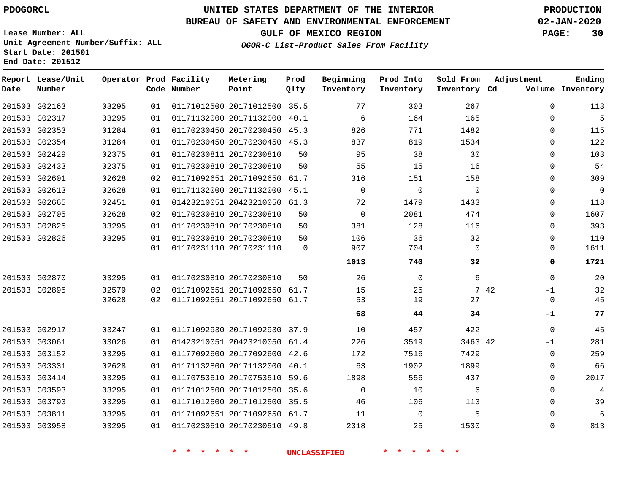### **BUREAU OF SAFETY AND ENVIRONMENTAL ENFORCEMENT 02-JAN-2020**

**Lease Number: ALL Unit Agreement Number/Suffix: ALL Start Date: 201501**

### **OGOR-C List-Product Sales From Facility**

**GULF OF MEXICO REGION PAGE: 30**

**End Date: 201512**

| Date | Report Lease/Unit<br>Number |       |    | Operator Prod Facility<br>Code Number | Metering<br>Point            | Prod<br>Qlty | Beginning<br>Inventory | Prod Into<br>Inventory | Sold From<br>Inventory Cd | Adjustment   | Ending<br>Volume Inventory |
|------|-----------------------------|-------|----|---------------------------------------|------------------------------|--------------|------------------------|------------------------|---------------------------|--------------|----------------------------|
|      | 201503 G02163               | 03295 | 01 |                                       | 01171012500 20171012500 35.5 |              | 77                     | 303                    | 267                       | $\mathbf 0$  | 113                        |
|      | 201503 G02317               | 03295 | 01 |                                       | 01171132000 20171132000 40.1 |              | 6                      | 164                    | 165                       | $\Omega$     | 5                          |
|      | 201503 G02353               | 01284 | 01 |                                       | 01170230450 20170230450 45.3 |              | 826                    | 771                    | 1482                      | 0            | 115                        |
|      | 201503 G02354               | 01284 | 01 |                                       | 01170230450 20170230450 45.3 |              | 837                    | 819                    | 1534                      | 0            | 122                        |
|      | 201503 G02429               | 02375 | 01 |                                       | 01170230811 20170230810      | 50           | 95                     | 38                     | 30                        | $\Omega$     | 103                        |
|      | 201503 G02433               | 02375 | 01 |                                       | 01170230810 20170230810      | 50           | 55                     | 15                     | 16                        | $\Omega$     | 54                         |
|      | 201503 G02601               | 02628 | 02 |                                       | 01171092651 20171092650 61.7 |              | 316                    | 151                    | 158                       | 0            | 309                        |
|      | 201503 G02613               | 02628 | 01 |                                       | 01171132000 20171132000 45.1 |              | $\Omega$               | $\Omega$               | $\Omega$                  | 0            | $\overline{0}$             |
|      | 201503 G02665               | 02451 | 01 |                                       | 01423210051 20423210050 61.3 |              | 72                     | 1479                   | 1433                      | 0            | 118                        |
|      | 201503 G02705               | 02628 | 02 |                                       | 01170230810 20170230810      | 50           | $\overline{0}$         | 2081                   | 474                       | 0            | 1607                       |
|      | 201503 G02825               | 03295 | 01 |                                       | 01170230810 20170230810      | 50           | 381                    | 128                    | 116                       | $\mathbf 0$  | 393                        |
|      | 201503 G02826               | 03295 | 01 |                                       | 01170230810 20170230810      | 50           | 106                    | 36                     | 32                        | $\mathbf 0$  | 110                        |
|      |                             |       | 01 |                                       | 01170231110 20170231110      | $\mathbf 0$  | 907                    | 704                    | $\Omega$                  | 0            | 1611                       |
|      |                             |       |    |                                       |                              |              | 1013                   | 740                    | 32                        | 0            | 1721                       |
|      | 201503 G02870               | 03295 | 01 | 01170230810 20170230810               |                              | 50           | 26                     | $\Omega$               | 6                         | 0            | 20                         |
|      | 201503 G02895               | 02579 | 02 |                                       | 01171092651 20171092650 61.7 |              | 15                     | 25                     |                           | 7 42<br>$-1$ | 32                         |
|      |                             | 02628 | 02 |                                       | 01171092651 20171092650 61.7 |              | 53                     | 19                     | 27                        | $\Omega$     | 45                         |
|      |                             |       |    |                                       |                              |              | 68                     | 44                     | 34.                       | -1           | 77                         |
|      | 201503 G02917               | 03247 | 01 |                                       | 01171092930 20171092930 37.9 |              | 10                     | 457                    | 422                       | $\Omega$     | 45                         |
|      | 201503 G03061               | 03026 | 01 |                                       | 01423210051 20423210050      | 61.4         | 226                    | 3519                   | 3463 42                   | -1           | 281                        |
|      | 201503 G03152               | 03295 | 01 |                                       | 01177092600 20177092600 42.6 |              | 172                    | 7516                   | 7429                      | $\Omega$     | 259                        |
|      | 201503 G03331               | 02628 | 01 |                                       | 01171132800 20171132000 40.1 |              | 63                     | 1902                   | 1899                      | $\Omega$     | 66                         |
|      | 201503 G03414               | 03295 | 01 |                                       | 01170753510 20170753510      | 59.6         | 1898                   | 556                    | 437                       | 0            | 2017                       |
|      | 201503 G03593               | 03295 | 01 |                                       | 01171012500 20171012500 35.6 |              | $\Omega$               | 10                     | 6                         | 0            | 4                          |
|      | 201503 G03793               | 03295 | 01 |                                       | 01171012500 20171012500 35.5 |              | 46                     | 106                    | 113                       | $\mathbf 0$  | 39                         |
|      | 201503 G03811               | 03295 | 01 |                                       | 01171092651 20171092650 61.7 |              | 11                     | $\mathbf 0$            | 5                         | 0            | 6                          |
|      | 201503 G03958               | 03295 | 01 |                                       | 01170230510 20170230510 49.8 |              | 2318                   | 25                     | 1530                      | $\Omega$     | 813                        |
|      |                             |       |    |                                       |                              |              |                        |                        |                           |              |                            |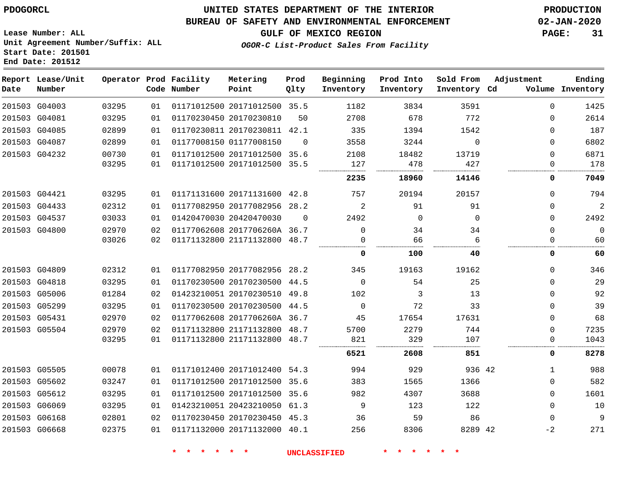**Start Date: 201501 End Date: 201512**

### **UNITED STATES DEPARTMENT OF THE INTERIOR PDOGORCL PRODUCTION**

#### **BUREAU OF SAFETY AND ENVIRONMENTAL ENFORCEMENT 02-JAN-2020**

**Lease Number: ALL Unit Agreement Number/Suffix: ALL**

### **GULF OF MEXICO REGION PAGE: 31**

**OGOR-C List-Product Sales From Facility**

| Date | Report Lease/Unit<br>Number |       |    | Operator Prod Facility<br>Code Number | Metering<br>Point            | Prod<br>Qlty | Beginning<br>Inventory | Prod Into<br>Inventory | Sold From<br>Inventory Cd | Adjustment   | Ending<br>Volume Inventory |
|------|-----------------------------|-------|----|---------------------------------------|------------------------------|--------------|------------------------|------------------------|---------------------------|--------------|----------------------------|
|      | 201503 G04003               | 03295 | 01 |                                       | 01171012500 20171012500 35.5 |              | 1182                   | 3834                   | 3591                      | $\Omega$     | 1425                       |
|      | 201503 G04081               | 03295 | 01 |                                       | 01170230450 20170230810      | 50           | 2708                   | 678                    | 772                       | $\Omega$     | 2614                       |
|      | 201503 G04085               | 02899 | 01 |                                       | 01170230811 20170230811 42.1 |              | 335                    | 1394                   | 1542                      | $\Omega$     | 187                        |
|      | 201503 G04087               | 02899 | 01 |                                       | 01177008150 01177008150      | $\Omega$     | 3558                   | 3244                   | $\Omega$                  | $\Omega$     | 6802                       |
|      | 201503 G04232               | 00730 | 01 |                                       | 01171012500 20171012500 35.6 |              | 2108                   | 18482                  | 13719                     | 0            | 6871                       |
|      |                             | 03295 | 01 |                                       | 01171012500 20171012500 35.5 |              | 127                    | 478                    | 427                       | 0<br>        | 178                        |
|      |                             |       |    |                                       |                              |              | 2235                   | 18960                  | 14146                     | 0            | 7049                       |
|      | 201503 G04421               | 03295 | 01 |                                       | 01171131600 20171131600 42.8 |              | 757                    | 20194                  | 20157                     | $\Omega$     | 794                        |
|      | 201503 G04433               | 02312 | 01 |                                       | 01177082950 20177082956 28.2 |              | 2                      | 91                     | 91                        | $\Omega$     | 2                          |
|      | 201503 G04537               | 03033 | 01 |                                       | 01420470030 20420470030      | $\Omega$     | 2492                   | $\mathbf 0$            | $\mathbf 0$               | $\Omega$     | 2492                       |
|      | 201503 G04800               | 02970 | 02 |                                       | 01177062608 2017706260A 36.7 |              | $\Omega$               | 34                     | 34                        | 0            | $\overline{0}$             |
|      |                             | 03026 | 02 |                                       | 01171132800 21171132800 48.7 |              | $\Omega$               | 66                     | 6                         | $\Omega$     | 60                         |
|      |                             |       |    |                                       |                              |              | 0                      | 100                    | 40                        | 0            | 60                         |
|      | 201503 G04809               | 02312 | 01 |                                       | 01177082950 20177082956 28.2 |              | 345                    | 19163                  | 19162                     | $\Omega$     | 346                        |
|      | 201503 G04818               | 03295 | 01 |                                       | 01170230500 20170230500 44.5 |              | $\mathbf 0$            | 54                     | 25                        | $\Omega$     | 29                         |
|      | 201503 G05006               | 01284 | 02 |                                       | 01423210051 20170230510 49.8 |              | 102                    | 3                      | 13                        | 0            | 92                         |
|      | 201503 G05299               | 03295 | 01 |                                       | 01170230500 20170230500 44.5 |              | 0                      | 72                     | 33                        | 0            | 39                         |
|      | 201503 G05431               | 02970 | 02 |                                       | 01177062608 2017706260A 36.7 |              | 45                     | 17654                  | 17631                     | 0            | 68                         |
|      | 201503 G05504               | 02970 | 02 |                                       | 01171132800 21171132800 48.7 |              | 5700                   | 2279                   | 744                       | 0            | 7235                       |
|      |                             | 03295 | 01 |                                       | 01171132800 21171132800 48.7 |              | 821                    | 329                    | 107                       | 0            | 1043                       |
|      |                             |       |    |                                       |                              |              | 6521                   | 2608                   | 851                       | 0            | 8278                       |
|      | 201503 G05505               | 00078 | 01 |                                       | 01171012400 20171012400 54.3 |              | 994                    | 929                    | 936 42                    | $\mathbf{1}$ | 988                        |
|      | 201503 G05602               | 03247 | 01 |                                       | 01171012500 20171012500      | 35.6         | 383                    | 1565                   | 1366                      | 0            | 582                        |
|      | 201503 G05612               | 03295 | 01 |                                       | 01171012500 20171012500 35.6 |              | 982                    | 4307                   | 3688                      | $\Omega$     | 1601                       |
|      | 201503 G06069               | 03295 | 01 |                                       | 01423210051 20423210050 61.3 |              | 9                      | 123                    | 122                       | $\Omega$     | 10                         |
|      | 201503 G06168               | 02801 | 02 |                                       | 01170230450 20170230450 45.3 |              | 36                     | 59                     | 86                        | $\Omega$     | 9                          |
|      | 201503 G06668               | 02375 | 01 |                                       | 01171132000 20171132000 40.1 |              | 256                    | 8306                   | 8289 42                   | $-2$         | 271                        |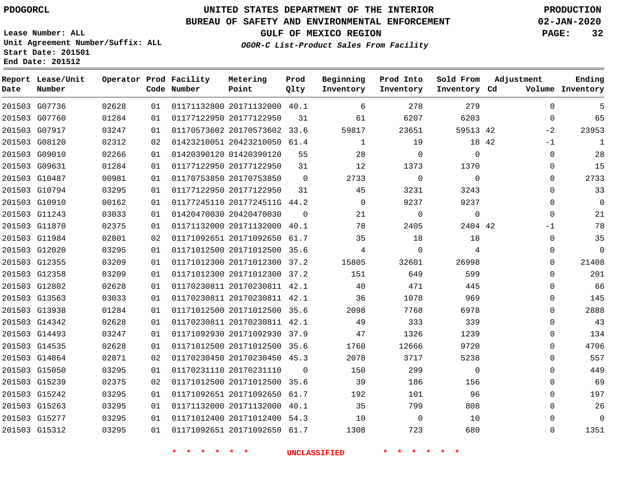G07736 G07760 G07917 G08120 G09010 G09631 G10487 G10794 G10910 G11243 G11870 G11984 G12020 G12355 G12358 G12802 G13563 G13938 G14342 G14493 G14535 G14864 G15050 G15239 G15242 G15263 G15277 G15312

**Date**

**Report Lease/Unit**

**Number**

# **UNITED STATES DEPARTMENT OF THE INTERIOR PDOGORCL PRODUCTION**

**Prod Qlty**

#### **BUREAU OF SAFETY AND ENVIRONMENTAL ENFORCEMENT 02-JAN-2020**

**Lease Number: ALL Unit Agreement Number/Suffix: ALL Start Date: 201501 End Date: 201512**

> 

**Operator Prod Facility**

**Code Number**

20171132000 40.1

**Metering Point**

20170573602 33.6

20177122950

  **OGOR-C List-Product Sales From Facility**

 

 

**Prod Into Inventory**

**Beginning Inventory**

**GULF OF MEXICO REGION PAGE: 32**

**Inventory Cd Volume**

**Adjustment**

  $\Omega$  $-2$ -1  $\Omega$  $\Omega$  $\Omega$  $\Omega$  $\Omega$  -1  $\Omega$  $\overline{0}$   $\Omega$  $\overline{0}$  $\Omega$  $\Omega$  $\Omega$  $\Omega$   $\Omega$  $\Omega$   $\Omega$   $\Omega$ 

**Ending**

42

 

**Sold From Inventory**

| 02312 | 02 | 01423210051 20423210050 61.4 |             | $\mathbf{1}$        | 19          | 18 42          |  |
|-------|----|------------------------------|-------------|---------------------|-------------|----------------|--|
| 02266 | 01 | 01420390120 01420390120      | 55          | 28                  | $\mathbf 0$ | $\Omega$       |  |
| 01284 | 01 | 01177122950 20177122950      | 31          | 12                  | 1373        | 1370           |  |
| 00981 | 01 | 01170753850 20170753850      | $\mathbf 0$ | 2733                | $\Omega$    | $\Omega$       |  |
| 03295 | 01 | 01177122950 20177122950      | 31          | 45                  | 3231        | 3243           |  |
| 00162 | 01 | 01177245110 2017724511G 44.2 |             | $\Omega$            | 9237        | 9237           |  |
| 03033 | 01 | 01420470030 20420470030      | $\mathbf 0$ | 21                  | $\Omega$    | $\mathbf 0$    |  |
| 02375 | 01 | 01171132000 20171132000      | 40.1        | 78                  | 2405        | 2404 42        |  |
| 02801 | 02 | 01171092651 20171092650      | 61.7        | 35                  | 18          | 18             |  |
| 03295 | 01 | 01171012500 20171012500      | 35.6        | 4                   | $\Omega$    | $\overline{4}$ |  |
| 03209 | 01 | 01171012300 20171012300      | 37.2        | 15805               | 32601       | 26998          |  |
| 03209 | 01 | 01171012300 20171012300 37.2 |             | 151                 | 649         | 599            |  |
| 02628 | 01 | 01170230811 20170230811      | 42.1        | 40                  | 471         | 445            |  |
| 03033 | 01 | 01170230811 20170230811      | 42.1        | 36                  | 1078        | 969            |  |
| 01284 | 01 | 01171012500 20171012500 35.6 |             | 2098                | 7768        | 6978           |  |
| 02628 | 01 | 01170230811 20170230811      | 42.1        | 49                  | 333         | 339            |  |
| 03247 | 01 | 01171092930 20171092930 37.9 |             | 47                  | 1326        | 1239           |  |
| 02628 | 01 | 01171012500 20171012500      | 35.6        | 1760                | 12666       | 9720           |  |
| 02871 | 02 | 01170230450 20170230450      | 45.3        | 2078                | 3717        | 5238           |  |
| 03295 | 01 | 01170231110 20170231110      | $\mathbf 0$ | 150                 | 299         | $\mathbf 0$    |  |
| 02375 | 02 | 01171012500 20171012500      | 35.6        | 39                  | 186         | 156            |  |
| 03295 | 01 | 01171092651 20171092650      | 61.7        | 192                 | 101         | 96             |  |
| 03295 | 01 | 01171132000 20171132000      | 40.1        | 35                  | 799         | 808            |  |
| 03295 | 01 | 01171012400 20171012400      | 54.3        | 10                  | $\Omega$    | 10             |  |
| 03295 | 01 | 01171092651 20171092650      | 61.7        | 1308                | 723         | 680            |  |
|       |    |                              |             | <b>UNCLASSIFIED</b> |             |                |  |
|       |    |                              |             |                     |             |                |  |
|       |    |                              |             |                     |             |                |  |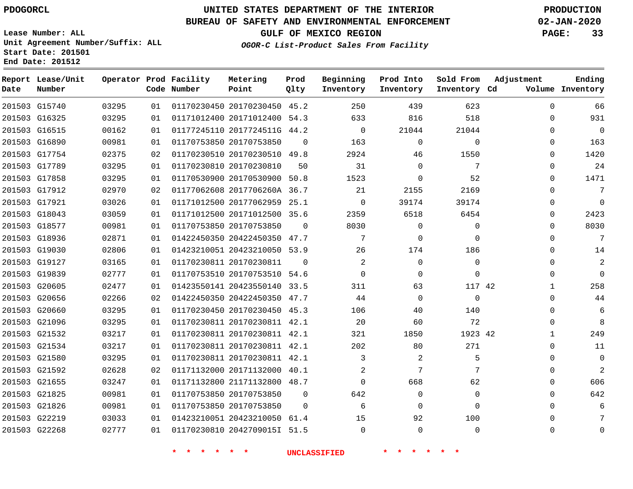G15740 G16325

**Date**

**Report Lease/Unit**

**Number**

### **UNITED STATES DEPARTMENT OF THE INTERIOR PDOGORCL PRODUCTION**

**Prod Qlty**

#### **BUREAU OF SAFETY AND ENVIRONMENTAL ENFORCEMENT 02-JAN-2020**

**Lease Number: ALL Unit Agreement Number/Suffix: ALL Start Date: 201501 End Date: 201512**

> 

**Operator Prod Facility**

**Code Number**

 20170230450 45.2 20171012400 54.3

**Metering Point**

 

**OGOR-C List-Product Sales From Facility**

  $\cap$     

**Sold From Inventory**

**Prod Into Inventory**

**Beginning Inventory**

**GULF OF MEXICO REGION PAGE: 33**

**Inventory Cd Volume**

**Adjustment**

  $\Omega$   $\Omega$  $\Omega$   $\Omega$  $\overline{0}$   $\overline{0}$   $\Omega$  $\Omega$  $\Omega$   $\Omega$  $\Omega$  $\Omega$   $\Omega$  

**Ending**

| 21044           | 21044           | $\overline{0}$      |                | 01177245110 2017724511G 44.2 |  | 01 | 00162 | 201503 G16515 |  |
|-----------------|-----------------|---------------------|----------------|------------------------------|--|----|-------|---------------|--|
| $\mathbf 0$     | $\Omega$        | 163                 | $\Omega$       | 01170753850 20170753850      |  | 01 | 00981 | 201503 G16890 |  |
| 1550            | 46              | 2924                |                | 01170230510 20170230510 49.8 |  | 02 | 02375 | 201503 G17754 |  |
| 7               | $\Omega$        | 31                  | 50             | 01170230810 20170230810      |  | 01 | 03295 | 201503 G17789 |  |
| 52              | $\mathbf{0}$    | 1523                |                | 01170530900 20170530900 50.8 |  | 01 | 03295 | 201503 G17858 |  |
| 2169            | 2155            | 21                  |                | 01177062608 2017706260A 36.7 |  | 02 | 02970 | 201503 G17912 |  |
| 39174           | 39174           | $\overline{0}$      |                | 01171012500 20177062959 25.1 |  | 01 | 03026 | 201503 G17921 |  |
| 6454            | 6518            | 2359                |                | 01171012500 20171012500 35.6 |  | 01 | 03059 | 201503 G18043 |  |
| $\overline{0}$  | $\Omega$        | 8030                | $\overline{0}$ | 01170753850 20170753850      |  | 01 | 00981 | 201503 G18577 |  |
| $\mathbf{0}$    | $\mathbf{0}$    | 7                   |                | 01422450350 20422450350 47.7 |  | 01 | 02871 | 201503 G18936 |  |
| 186             | 174             | 26                  |                | 01423210051 20423210050 53.9 |  | 01 | 02806 | 201503 G19030 |  |
| $\Omega$        | $\Omega$        | 2                   | $\Omega$       | 01170230811 20170230811      |  | 01 | 03165 | 201503 G19127 |  |
| 0               | $\mathbf 0$     | $\overline{0}$      |                | 01170753510 20170753510 54.6 |  | 01 | 02777 | 201503 G19839 |  |
| 117 42          | 63              | 311                 |                | 01423550141 20423550140 33.5 |  | 01 | 02477 | 201503 G20605 |  |
| $\mathbf 0$     | 0               | 44                  |                | 01422450350 20422450350 47.7 |  | 02 | 02266 | 201503 G20656 |  |
| 140             | 40              | 106                 |                | 01170230450 20170230450 45.3 |  | 01 | 03295 | 201503 G20660 |  |
| 72              | 60              | 20                  |                | 01170230811 20170230811 42.1 |  | 01 | 03295 | 201503 G21096 |  |
| 1923 42         | 1850            | 321                 |                | 01170230811 20170230811 42.1 |  | 01 | 03217 | 201503 G21532 |  |
| 271             | 80              | 202                 |                | 01170230811 20170230811 42.1 |  | 01 | 03217 | 201503 G21534 |  |
| 5               | 2               | $\mathbf{3}$        |                | 01170230811 20170230811 42.1 |  | 01 | 03295 | 201503 G21580 |  |
| $7\overline{ }$ | $7\overline{ }$ | $\overline{a}$      |                | 01171132000 20171132000 40.1 |  | 02 | 02628 | 201503 G21592 |  |
| 62              | 668             | $\overline{0}$      |                | 01171132800 21171132800 48.7 |  | 01 | 03247 | 201503 G21655 |  |
| 0               | $\Omega$        | 642                 | $\Omega$       | 01170753850 20170753850      |  | 01 | 00981 | 201503 G21825 |  |
| 0               | $\Omega$        | 6                   | $\Omega$       | 01170753850 20170753850      |  | 01 | 00981 | 201503 G21826 |  |
| 100             | 92              | 15                  |                | 01423210051 20423210050 61.4 |  | 01 | 03033 | 201503 G22219 |  |
| $\mathbf 0$     | $\Omega$        | $\Omega$            |                | 01170230810 2042709015I 51.5 |  | 01 | 02777 | 201503 G22268 |  |
|                 |                 | <b>UNCLASSIFIED</b> |                |                              |  |    |       |               |  |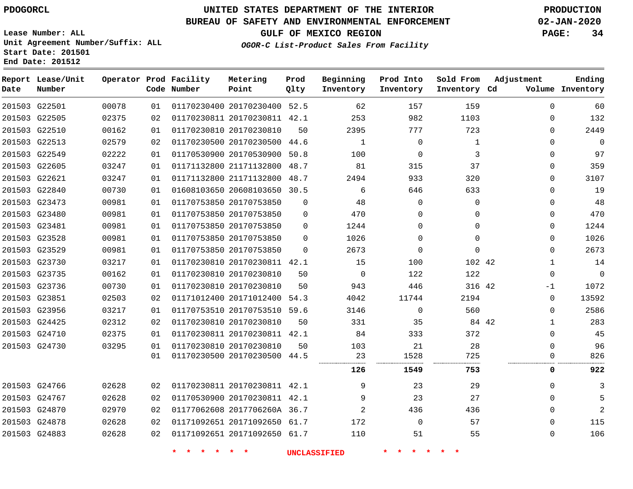**End Date: 201512**

**Report Lease/Unit**

**Number**

G22501

**Date**

## **UNITED STATES DEPARTMENT OF THE INTERIOR PDOGORCL PRODUCTION**

**Prod Qlty**

#### **BUREAU OF SAFETY AND ENVIRONMENTAL ENFORCEMENT 02-JAN-2020**

**Lease Number: ALL Unit Agreement Number/Suffix: ALL Start Date: 201501**

**Operator Prod Facility**

**Code Number**

**OGOR-C List-Product Sales From Facility**

**GULF OF MEXICO REGION PAGE: 34**

**Inventory Cd Volume**

**Adjustment**

**Ending**

| 201503 G22505 | 02375 | 02 | 01170230811 20170230811 42.1 |                              |          | 253         | 982            | 1103     | $\Omega$         | 132         |
|---------------|-------|----|------------------------------|------------------------------|----------|-------------|----------------|----------|------------------|-------------|
| 201503 G22510 | 00162 | 01 | 01170230810 20170230810      |                              | 50       | 2395        | 777            | 723      | 0                | 2449        |
| 201503 G22513 | 02579 | 02 |                              | 01170230500 20170230500 44.6 |          | 1           | 0              | 1        | 0                | 0           |
| 201503 G22549 | 02222 | 01 | 01170530900 20170530900 50.8 |                              |          | 100         | $\Omega$       | 3        | 0                | 97          |
| 201503 G22605 | 03247 | 01 |                              | 01171132800 21171132800 48.7 |          | 81          | 315            | 37       | $\Omega$         | 359         |
| 201503 G22621 | 03247 | 01 |                              | 01171132800 21171132800 48.7 |          | 2494        | 933            | 320      | 0                | 3107        |
| 201503 G22840 | 00730 | 01 | 01608103650 20608103650 30.5 |                              |          | 6           | 646            | 633      | $\Omega$         | 19          |
| 201503 G23473 | 00981 | 01 | 01170753850 20170753850      |                              | $\Omega$ | 48          | $\Omega$       | $\Omega$ | $\Omega$         | 48          |
| 201503 G23480 | 00981 | 01 | 01170753850 20170753850      |                              | $\Omega$ | 470         | 0              | 0        | 0                | 470         |
| 201503 G23481 | 00981 | 01 | 01170753850 20170753850      |                              | $\Omega$ | 1244        | 0              | 0        | 0                | 1244        |
| 201503 G23528 | 00981 | 01 | 01170753850 20170753850      |                              | $\Omega$ | 1026        | $\Omega$       | $\Omega$ | 0                | 1026        |
| 201503 G23529 | 00981 | 01 | 01170753850 20170753850      |                              | $\Omega$ | 2673        | $\Omega$       | 0        | 0                | 2673        |
| 201503 G23730 | 03217 | 01 |                              | 01170230810 20170230811 42.1 |          | 15          | 100            | 102 42   | $\mathbf{1}$     | 14          |
| 201503 G23735 | 00162 | 01 | 01170230810 20170230810      |                              | 50       | $\mathbf 0$ | 122            | 122      | $\mathbf 0$      | $\mathbf 0$ |
| 201503 G23736 | 00730 | 01 | 01170230810 20170230810      |                              | 50       | 943         | 446            | 316 42   | -1               | 1072        |
| 201503 G23851 | 02503 | 02 |                              | 01171012400 20171012400 54.3 |          | 4042        | 11744          | 2194     | $\Omega$         | 13592       |
| 201503 G23956 | 03217 | 01 | 01170753510 20170753510 59.6 |                              |          | 3146        | $\mathbf 0$    | 560      | 0                | 2586        |
| 201503 G24425 | 02312 | 02 | 01170230810 20170230810      |                              | 50       | 331         | 35             | 84 42    | 1                | 283         |
| 201503 G24710 | 02375 | 01 |                              | 01170230811 20170230811 42.1 |          | 84          | 333            | 372      | 0                | 45          |
| 201503 G24730 | 03295 | 01 | 01170230810 20170230810      |                              | 50       | 103         | 21             | 28       | $\Omega$         | 96          |
|               |       | 01 | 01170230500 20170230500 44.5 |                              |          | 23          | 1528           | 725      | $\left( \right)$ | 826         |
|               |       |    |                              |                              |          | 126         | 1549           | 753      | 0                | 922         |
| 201503 G24766 | 02628 | 02 | 01170230811 20170230811 42.1 |                              |          | 9           | 23             | 29       | 0                |             |
| 201503 G24767 | 02628 | 02 | 01170530900 20170230811 42.1 |                              |          | 9           | 23             | 27       | $\Omega$         | 5           |
| 201503 G24870 | 02970 | 02 | 01177062608 2017706260A 36.7 |                              |          | 2           | 436            | 436      | $\Omega$         | 2           |
| 201503 G24878 | 02628 | 02 | 01171092651 20171092650 61.7 |                              |          | 172         | $\overline{0}$ | 57       | 0                | 115         |
| 201503 G24883 | 02628 | 02 | 01171092651 20171092650 61.7 |                              |          | 110         | 51             | 55       | 0                | 106         |
|               |       |    |                              |                              |          |             |                |          |                  |             |

20170230400 52.5

**Metering Point**

**Beginning Inventory**

**Sold From Inventory**

**Prod Into Inventory**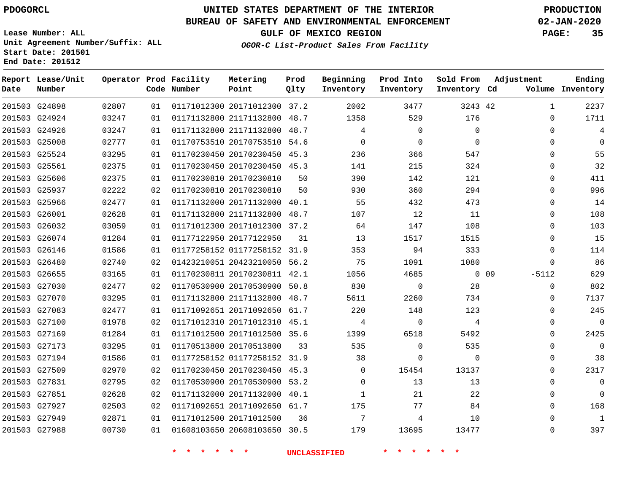**End Date: 201512**

**Report Lease/Unit**

 G27194 G27509 G27831 G27851 G27927 G27949 G27988

# **UNITED STATES DEPARTMENT OF THE INTERIOR PDOGORCL PRODUCTION**

**Prod**

#### **BUREAU OF SAFETY AND ENVIRONMENTAL ENFORCEMENT 02-JAN-2020**

**Lease Number: ALL Unit Agreement Number/Suffix: ALL Start Date: 201501**

**Operator Prod Facility**

**OGOR-C List-Product Sales From Facility**

**Beginning**

**Prod Into Inventory**

**Sold From Inventory**

**GULF OF MEXICO REGION PAGE: 35**

**Adjustment**

 $\overline{0}$  $\Omega$  $\cap$  $\Omega$  $\Omega$  $\Omega$   $\Omega$  $\Omega$  $\Omega$  $\Omega$  $\Omega$  $\Omega$ 

**Ending**

| Date | Number        |       |    | Code Number | Point                        | Qlty | Inventory | Inventory   | Inventory Cd |    |              | Volume Inventory |
|------|---------------|-------|----|-------------|------------------------------|------|-----------|-------------|--------------|----|--------------|------------------|
|      | 201503 G24898 | 02807 | 01 |             | 01171012300 20171012300 37.2 |      | 2002      | 3477        | 3243 42      |    | 1            | 2237             |
|      | 201503 G24924 | 03247 | 01 |             | 01171132800 21171132800      | 48.7 | 1358      | 529         | 176          |    | $\Omega$     | 1711             |
|      | 201503 G24926 | 03247 | 01 |             | 01171132800 21171132800      | 48.7 | 4         | $\mathbf 0$ | $\Omega$     |    | $\Omega$     | 4                |
|      | 201503 G25008 | 02777 | 01 |             | 01170753510 20170753510      | 54.6 | $\Omega$  | 0           | $\Omega$     |    | $\Omega$     | 0                |
|      | 201503 G25524 | 03295 | 01 |             | 01170230450 20170230450      | 45.3 | 236       | 366         | 547          |    | $\Omega$     | 55               |
|      | 201503 G25561 | 02375 | 01 |             | 01170230450 20170230450 45.3 |      | 141       | 215         | 324          |    | $\Omega$     | 32               |
|      | 201503 G25606 | 02375 | 01 |             | 01170230810 20170230810      | 50   | 390       | 142         | 121          |    | $\mathbf 0$  | 411              |
|      | 201503 G25937 | 02222 | 02 |             | 01170230810 20170230810      | 50   | 930       | 360         | 294          |    | $\Omega$     | 996              |
|      | 201503 G25966 | 02477 | 01 |             | 01171132000 20171132000      | 40.1 | 55        | 432         | 473          |    | $\Omega$     | 14               |
|      | 201503 G26001 | 02628 | 01 |             | 01171132800 21171132800      | 48.7 | 107       | 12          | 11           |    | 0            | 108              |
|      | 201503 G26032 | 03059 | 01 |             | 01171012300 20171012300      | 37.2 | 64        | 147         | 108          |    | $\Omega$     | 103              |
|      | 201503 G26074 | 01284 | 01 |             | 01177122950 20177122950      | 31   | 13        | 1517        | 1515         |    | $\Omega$     | 15               |
|      | 201503 G26146 | 01586 | 01 |             | 01177258152 01177258152      | 31.9 | 353       | 94          | 333          |    | $\Omega$     | 114              |
|      | 201503 G26480 | 02740 | 02 |             | 01423210051 20423210050      | 56.2 | 75        | 1091        | 1080         |    | $\mathbf{0}$ | 86               |
|      | 201503 G26655 | 03165 | 01 |             | 01170230811 20170230811 42.1 |      | 1056      | 4685        | $\Omega$     | 09 | $-5112$      | 629              |
|      | 201503 G27030 | 02477 | 02 |             | 01170530900 20170530900      | 50.8 | 830       | 0           | 28           |    | $\Omega$     | 802              |
|      | 201503 G27070 | 03295 | 01 |             | 01171132800 21171132800      | 48.7 | 5611      | 2260        | 734          |    | $\mathbf{0}$ | 7137             |
|      | 201503 G27083 | 02477 | 01 |             | 01171092651 20171092650 61.7 |      | 220       | 148         | 123          |    | $\Omega$     | 245              |
|      | 201503 G27100 | 01978 | 02 |             | 01171012310 20171012310      | 45.1 | 4         | $\mathbf 0$ | 4            |    | $\Omega$     | $\mathbf 0$      |
|      | 201503 G27169 | 01284 | 01 |             | 01171012500 20171012500      | 35.6 | 1399      | 6518        | 5492         |    | $\Omega$     | 2425             |
|      | 201503 G27173 | 03295 | 01 |             | 01170513800 20170513800      | 33   | 535       | $\mathbf 0$ | 535          |    | $\Omega$     | 0                |

**Metering Point**

20171012500

 01177258152 31.9 20170230450 45.3 20170530900 53.2 20171132000 40.1 20171092650 61.7

20608103650 30.5

 $\Omega$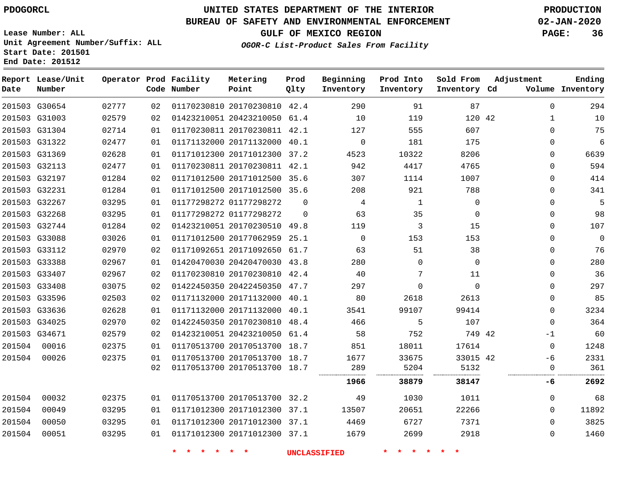### **BUREAU OF SAFETY AND ENVIRONMENTAL ENFORCEMENT 02-JAN-2020**

**Lease Number: ALL Unit Agreement Number/Suffix: ALL Start Date: 201501 End Date: 201512**

**OGOR-C List-Product Sales From Facility**

**GULF OF MEXICO REGION PAGE: 36**

| Date   | Report Lease/Unit<br>Number |       |    | Operator Prod Facility<br>Code Number | Metering<br>Point            | Prod<br>Qlty | Beginning<br>Inventory | Prod Into<br>Inventory | Sold From<br>Inventory Cd | Adjustment   | Ending<br>Volume Inventory |
|--------|-----------------------------|-------|----|---------------------------------------|------------------------------|--------------|------------------------|------------------------|---------------------------|--------------|----------------------------|
|        | 201503 G30654               | 02777 | 02 |                                       | 01170230810 20170230810 42.4 |              | 290                    | 91                     | 87                        | $\mathbf 0$  | 294                        |
|        | 201503 G31003               | 02579 | 02 |                                       | 01423210051 20423210050 61.4 |              | 10                     | 119                    | 120 42                    | $\mathbf{1}$ | 10                         |
|        | 201503 G31304               | 02714 | 01 |                                       | 01170230811 20170230811 42.1 |              | 127                    | 555                    | 607                       | $\mathbf{0}$ | 75                         |
|        | 201503 G31322               | 02477 | 01 |                                       | 01171132000 20171132000 40.1 |              | $\mathbf 0$            | 181                    | 175                       | $\Omega$     | 6                          |
|        | 201503 G31369               | 02628 | 01 |                                       | 01171012300 20171012300 37.2 |              | 4523                   | 10322                  | 8206                      | $\Omega$     | 6639                       |
|        | 201503 G32113               | 02477 | 01 |                                       | 01170230811 20170230811 42.1 |              | 942                    | 4417                   | 4765                      | 0            | 594                        |
|        | 201503 G32197               | 01284 | 02 |                                       | 01171012500 20171012500 35.6 |              | 307                    | 1114                   | 1007                      | 0            | 414                        |
|        | 201503 G32231               | 01284 | 01 |                                       | 01171012500 20171012500 35.6 |              | 208                    | 921                    | 788                       | $\Omega$     | 341                        |
|        | 201503 G32267               | 03295 | 01 |                                       | 01177298272 01177298272      | $\Omega$     | 4                      | 1                      | $\Omega$                  | $\Omega$     | 5                          |
|        | 201503 G32268               | 03295 | 01 |                                       | 01177298272 01177298272      | $\Omega$     | 63                     | 35                     | 0                         | $\mathbf{0}$ | 98                         |
|        | 201503 G32744               | 01284 | 02 |                                       | 01423210051 20170230510 49.8 |              | 119                    | 3                      | 15                        | $\Omega$     | 107                        |
|        | 201503 G33088               | 03026 | 01 |                                       | 01171012500 20177062959 25.1 |              | $\Omega$               | 153                    | 153                       | $\Omega$     | $\Omega$                   |
|        | 201503 G33112               | 02970 | 02 |                                       | 01171092651 20171092650 61.7 |              | 63                     | 51                     | 38                        | 0            | 76                         |
|        | 201503 G33388               | 02967 | 01 |                                       | 01420470030 20420470030 43.8 |              | 280                    | $\mathbf{0}$           | $\mathbf 0$               | 0            | 280                        |
|        | 201503 G33407               | 02967 | 02 |                                       | 01170230810 20170230810 42.4 |              | 40                     | 7                      | 11                        | $\Omega$     | 36                         |
|        | 201503 G33408               | 03075 | 02 |                                       | 01422450350 20422450350 47.7 |              | 297                    | $\Omega$               | $\Omega$                  | $\Omega$     | 297                        |
|        | 201503 G33596               | 02503 | 02 |                                       | 01171132000 20171132000 40.1 |              | 80                     | 2618                   | 2613                      | $\mathbf{0}$ | 85                         |
|        | 201503 G33636               | 02628 | 01 |                                       | 01171132000 20171132000 40.1 |              | 3541                   | 99107                  | 99414                     | $\Omega$     | 3234                       |
|        | 201503 G34025               | 02970 | 02 |                                       | 01422450350 20170230810      | 48.4         | 466                    | 5                      | 107                       | $\Omega$     | 364                        |
|        | 201503 G34671               | 02579 | 02 |                                       | 01423210051 20423210050 61.4 |              | 58                     | 752                    | 749 42                    | -1           | 60                         |
| 201504 | 00016                       | 02375 | 01 |                                       | 01170513700 20170513700 18.7 |              | 851                    | 18011                  | 17614                     | $\mathbf 0$  | 1248                       |
| 201504 | 00026                       | 02375 | 01 |                                       | 01170513700 20170513700 18.7 |              | 1677                   | 33675                  | 33015 42                  | -6           | 2331                       |
|        |                             |       | 02 |                                       | 01170513700 20170513700 18.7 |              | 289                    | 5204                   | 5132                      | 0            | 361                        |
|        |                             |       |    |                                       |                              |              | 1966                   | 38879                  | 38147                     | -6           | 2692                       |
| 201504 | 00032                       | 02375 | 01 |                                       | 01170513700 20170513700 32.2 |              | 49                     | 1030                   | 1011                      | 0            | 68                         |
| 201504 | 00049                       | 03295 | 01 |                                       | 01171012300 20171012300 37.1 |              | 13507                  | 20651                  | 22266                     | $\Omega$     | 11892                      |
| 201504 | 00050                       | 03295 | 01 |                                       | 01171012300 20171012300 37.1 |              | 4469                   | 6727                   | 7371                      | $\Omega$     | 3825                       |
| 201504 | 00051                       | 03295 | 01 |                                       | 01171012300 20171012300 37.1 |              | 1679                   | 2699                   | 2918                      | $\Omega$     | 1460                       |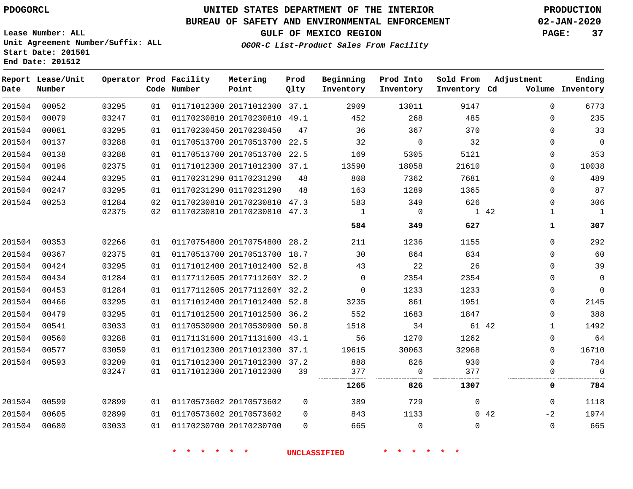#### **BUREAU OF SAFETY AND ENVIRONMENTAL ENFORCEMENT 02-JAN-2020**

**Lease Number: ALL Unit Agreement Number/Suffix: ALL Start Date: 201501 End Date: 201512**

**OGOR-C List-Product Sales From Facility**

**GULF OF MEXICO REGION PAGE: 37**

| Date   | Report Lease/Unit<br>Number |       |    | Operator Prod Facility<br>Code Number | Metering<br>Point            | Prod<br>Qlty | Beginning<br>Inventory | Prod Into<br>Inventory | Sold From<br>Inventory Cd | Adjustment |              | Ending<br>Volume Inventory |
|--------|-----------------------------|-------|----|---------------------------------------|------------------------------|--------------|------------------------|------------------------|---------------------------|------------|--------------|----------------------------|
| 201504 | 00052                       | 03295 | 01 |                                       | 01171012300 20171012300 37.1 |              | 2909                   | 13011                  | 9147                      |            | $\Omega$     | 6773                       |
| 201504 | 00079                       | 03247 | 01 |                                       | 01170230810 20170230810 49.1 |              | 452                    | 268                    | 485                       |            | $\Omega$     | 235                        |
| 201504 | 00081                       | 03295 | 01 |                                       | 01170230450 20170230450      | 47           | 36                     | 367                    | 370                       |            | $\mathbf 0$  | 33                         |
| 201504 | 00137                       | 03288 | 01 |                                       | 01170513700 20170513700 22.5 |              | 32                     | 0                      | 32                        |            | 0            | $\mathbf 0$                |
| 201504 | 00138                       | 03288 | 01 |                                       | 01170513700 20170513700 22.5 |              | 169                    | 5305                   | 5121                      |            | $\mathbf 0$  | 353                        |
| 201504 | 00196                       | 02375 | 01 |                                       | 01171012300 20171012300 37.1 |              | 13590                  | 18058                  | 21610                     |            | $\Omega$     | 10038                      |
| 201504 | 00244                       | 03295 | 01 |                                       | 01170231290 01170231290      | 48           | 808                    | 7362                   | 7681                      |            | $\mathbf 0$  | 489                        |
| 201504 | 00247                       | 03295 | 01 |                                       | 01170231290 01170231290      | 48           | 163                    | 1289                   | 1365                      |            | $\mathbf 0$  | 87                         |
| 201504 | 00253                       | 01284 | 02 |                                       | 01170230810 20170230810 47.3 |              | 583                    | 349                    | 626                       |            | $\Omega$     | 306                        |
|        |                             | 02375 | 02 |                                       | 01170230810 20170230810 47.3 |              | 1                      | $\Omega$               |                           | 1 42       | $\mathbf{1}$ | $\overline{1}$             |
|        |                             |       |    |                                       |                              |              | 584                    | 349                    | 627                       |            | 1            | 307                        |
| 201504 | 00353                       | 02266 | 01 |                                       | 01170754800 20170754800 28.2 |              | 211                    | 1236                   | 1155                      |            | $\mathbf 0$  | 292                        |
| 201504 | 00367                       | 02375 | 01 |                                       | 01170513700 20170513700 18.7 |              | 30                     | 864                    | 834                       |            | $\mathbf 0$  | 60                         |
| 201504 | 00424                       | 03295 | 01 |                                       | 01171012400 20171012400 52.8 |              | 43                     | 22                     | 26                        |            | $\Omega$     | 39                         |
| 201504 | 00434                       | 01284 | 01 |                                       | 01177112605 2017711260Y 32.2 |              | $\mathbf 0$            | 2354                   | 2354                      |            | $\Omega$     | $\mathsf 0$                |
| 201504 | 00453                       | 01284 | 01 |                                       | 01177112605 2017711260Y 32.2 |              | $\mathbf 0$            | 1233                   | 1233                      |            | $\mathbf 0$  | 0                          |
| 201504 | 00466                       | 03295 | 01 |                                       | 01171012400 20171012400 52.8 |              | 3235                   | 861                    | 1951                      |            | $\mathbf 0$  | 2145                       |
| 201504 | 00479                       | 03295 | 01 |                                       | 01171012500 20171012500 36.2 |              | 552                    | 1683                   | 1847                      |            | $\Omega$     | 388                        |
| 201504 | 00541                       | 03033 | 01 |                                       | 01170530900 20170530900 50.8 |              | 1518                   | 34                     | 61 42                     |            | $\mathbf{1}$ | 1492                       |
| 201504 | 00560                       | 03288 | 01 |                                       | 01171131600 20171131600 43.1 |              | 56                     | 1270                   | 1262                      |            | 0            | 64                         |
| 201504 | 00577                       | 03059 | 01 |                                       | 01171012300 20171012300 37.1 |              | 19615                  | 30063                  | 32968                     |            | $\Omega$     | 16710                      |
| 201504 | 00593                       | 03209 | 01 |                                       | 01171012300 20171012300 37.2 |              | 888                    | 826                    | 930                       |            | $\Omega$     | 784                        |
|        |                             | 03247 | 01 |                                       | 01171012300 20171012300      | 39           | 377                    | $\mathbf 0$            | 377                       |            | $\Omega$     | $\Omega$                   |
|        |                             |       |    |                                       |                              |              | 1265                   | 826                    | 1307                      |            | 0            | 784                        |
| 201504 | 00599                       | 02899 | 01 |                                       | 01170573602 20170573602      | $\Omega$     | 389                    | 729                    | $\mathbf 0$               |            | $\Omega$     | 1118                       |
| 201504 | 00605                       | 02899 | 01 |                                       | 01170573602 20170573602      | $\Omega$     | 843                    | 1133                   |                           | 0.42       | $-2$         | 1974                       |
| 201504 | 00680                       | 03033 | 01 |                                       | 01170230700 20170230700      | $\Omega$     | 665                    | $\Omega$               | $\Omega$                  |            | $\Omega$     | 665                        |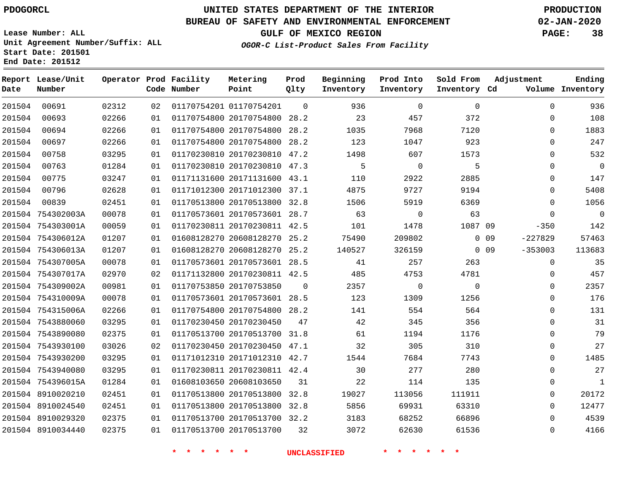**Report Lease/Unit**

**Number**

# **UNITED STATES DEPARTMENT OF THE INTERIOR PDOGORCL PRODUCTION**

#### **BUREAU OF SAFETY AND ENVIRONMENTAL ENFORCEMENT 02-JAN-2020**

**Lease Number: ALL Unit Agreement Number/Suffix: ALL Start Date: 201501 End Date: 201512**

**Operator Prod Facility**

**Code Number**

**Metering Point**

**Prod Qlty**

**GULF OF MEXICO REGION PAGE: 38**

**Inventory Cd Volume**

**Adjustment**

**Ending**

**OGOR-C List-Product Sales From Facility**

**Beginning Inventory**

**Prod Into Inventory**

**Sold From Inventory**

| 201504 | 00691             | 02312 | 02 | 01170754201 01170754201      | $\Omega$       | 936         | $\mathbf 0$    | $\mathbf 0$    | $\mathbf 0$         | 936            |
|--------|-------------------|-------|----|------------------------------|----------------|-------------|----------------|----------------|---------------------|----------------|
| 201504 | 00693             | 02266 | 01 | 01170754800 20170754800      | 28.2           | 23          | 457            | 372            | $\mathbf 0$         | 108            |
| 201504 | 00694             | 02266 | 01 | 01170754800 20170754800      | 28.2           | 1035        | 7968           | 7120           | $\mathbf 0$         | 1883           |
| 201504 | 00697             | 02266 | 01 | 01170754800 20170754800 28.2 |                | 123         | 1047           | 923            | $\Omega$            | 247            |
| 201504 | 00758             | 03295 | 01 | 01170230810 20170230810 47.2 |                | 1498        | 607            | 1573           | 0                   | 532            |
| 201504 | 00763             | 01284 | 01 | 01170230810 20170230810 47.3 |                | $5^{\circ}$ | $\overline{0}$ | 5              | $\Omega$            | $\mathsf{O}$   |
| 201504 | 00775             | 03247 | 01 | 01171131600 20171131600 43.1 |                | 110         | 2922           | 2885           | 0                   | 147            |
| 201504 | 00796             | 02628 | 01 | 01171012300 20171012300 37.1 |                | 4875        | 9727           | 9194           | $\Omega$            | 5408           |
| 201504 | 00839             | 02451 | 01 | 01170513800 20170513800 32.8 |                | 1506        | 5919           | 6369           | $\Omega$            | 1056           |
|        | 201504 754302003A | 00078 | 01 | 01170573601 20170573601 28.7 |                | 63          | $\overline{0}$ | 63             | $\mathbf 0$         | $\overline{0}$ |
|        | 201504 754303001A | 00059 | 01 | 01170230811 20170230811 42.5 |                | 101         | 1478           | 1087 09        | $-350$              | 142            |
|        | 201504 754306012A | 01207 | 01 | 01608128270 20608128270 25.2 |                | 75490       | 209802         |                | $0$ 09<br>$-227829$ | 57463          |
|        | 201504 754306013A | 01207 | 01 | 01608128270 20608128270 25.2 |                | 140527      | 326159         |                | $-353003$<br>0 0 9  | 113683         |
|        | 201504 754307005A | 00078 | 01 | 01170573601 20170573601 28.5 |                | 41          | 257            | 263            | 0                   | 35             |
|        | 201504 754307017A | 02970 | 02 | 01171132800 20170230811 42.5 |                | 485         | 4753           | 4781           | $\Omega$            | 457            |
|        | 201504 754309002A | 00981 | 01 | 01170753850 20170753850      | $\overline{0}$ | 2357        | $\overline{0}$ | $\overline{0}$ | 0                   | 2357           |
|        | 201504 754310009A | 00078 | 01 | 01170573601 20170573601 28.5 |                | 123         | 1309           | 1256           | 0                   | 176            |
|        | 201504 754315006A | 02266 | 01 | 01170754800 20170754800 28.2 |                | 141         | 554            | 564            | $\Omega$            | 131            |
|        | 201504 7543880060 | 03295 | 01 | 01170230450 20170230450      | 47             | 42          | 345            | 356            | $\mathbf 0$         | 31             |
|        | 201504 7543890080 | 02375 | 01 | 01170513700 20170513700 31.8 |                | 61          | 1194           | 1176           | $\Omega$            | 79             |
|        | 201504 7543930100 | 03026 | 02 | 01170230450 20170230450 47.1 |                | 32          | 305            | 310            | 0                   | 27             |
|        | 201504 7543930200 | 03295 | 01 | 01171012310 20171012310 42.7 |                | 1544        | 7684           | 7743           | $\Omega$            | 1485           |
|        | 201504 7543940080 | 03295 | 01 | 01170230811 20170230811 42.4 |                | 30          | 277            | 280            | $\Omega$            | 27             |
|        | 201504 754396015A | 01284 | 01 | 01608103650 20608103650      | 31             | 22          | 114            | 135            | 0                   | $\mathbf{1}$   |
|        | 201504 8910020210 | 02451 | 01 | 01170513800 20170513800      | 32.8           | 19027       | 113056         | 111911         | 0                   | 20172          |
|        | 201504 8910024540 | 02451 | 01 | 01170513800 20170513800 32.8 |                | 5856        | 69931          | 63310          | $\Omega$            | 12477          |
|        | 201504 8910029320 | 02375 | 01 | 01170513700 20170513700 32.2 |                | 3183        | 68252          | 66896          | $\Omega$            | 4539           |
|        | 201504 8910034440 | 02375 | 01 | 01170513700 20170513700      | 32             | 3072        | 62630          | 61536          | $\Omega$            | 4166           |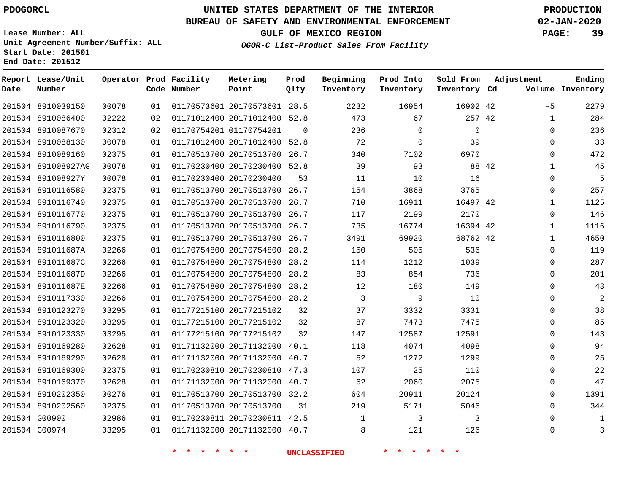#### **BUREAU OF SAFETY AND ENVIRONMENTAL ENFORCEMENT 02-JAN-2020**

**Lease Number: ALL Unit Agreement Number/Suffix: ALL Start Date: 201501**

**Operator Prod Facility**

**End Date: 201512**

**Report Lease/Unit**

**GULF OF MEXICO REGION PAGE: 39**

**Prod**

**OGOR-C List-Product Sales From Facility**

**Beginning Prod Into Sold From Adjustment**

**Ending**

| Date | Number             |       |    | Code Number                      | Point                        | Qlty           | Inventory               | Inventory                        | Inventory Cd   |       |              | Volume Inventory |
|------|--------------------|-------|----|----------------------------------|------------------------------|----------------|-------------------------|----------------------------------|----------------|-------|--------------|------------------|
|      | 201504 8910039150  | 00078 | 01 |                                  | 01170573601 20170573601 28.5 |                | 2232                    | 16954                            | 16902 42       |       | $-5$         | 2279             |
|      | 201504 8910086400  | 02222 | 02 |                                  | 01171012400 20171012400 52.8 |                | 473                     | 67                               | 257 42         |       | $\mathbf{1}$ | 284              |
|      | 201504 8910087670  | 02312 | 02 |                                  | 01170754201 01170754201      | $\overline{0}$ | 236                     | $\Omega$                         | $\mathbf 0$    |       | $\Omega$     | 236              |
|      | 201504 8910088130  | 00078 | 01 |                                  | 01171012400 20171012400 52.8 |                | 72                      | $\mathbf 0$                      | 39             |       | $\mathbf 0$  | 33               |
|      | 201504 8910089160  | 02375 | 01 |                                  | 01170513700 20170513700 26.7 |                | 340                     | 7102                             | 6970           |       | $\mathbf{0}$ | 472              |
|      | 201504 891008927AG | 00078 | 01 |                                  | 01170230400 20170230400 52.8 |                | 39                      | 93                               |                | 88 42 | $\mathbf{1}$ | 45               |
|      | 201504 891008927Y  | 00078 | 01 |                                  | 01170230400 20170230400      | 53             | 11                      | 10                               | 16             |       | $\mathbf 0$  | 5                |
|      | 201504 8910116580  | 02375 | 01 |                                  | 01170513700 20170513700 26.7 |                | 154                     | 3868                             | 3765           |       | 0            | 257              |
|      | 201504 8910116740  | 02375 | 01 |                                  | 01170513700 20170513700 26.7 |                | 710                     | 16911                            | 16497 42       |       | $\mathbf{1}$ | 1125             |
|      | 201504 8910116770  | 02375 | 01 |                                  | 01170513700 20170513700 26.7 |                | 117                     | 2199                             | 2170           |       | $\mathbf 0$  | 146              |
|      | 201504 8910116790  | 02375 | 01 |                                  | 01170513700 20170513700 26.7 |                | 735                     | 16774                            | 16394 42       |       | $\mathbf{1}$ | 1116             |
|      | 201504 8910116800  | 02375 | 01 |                                  | 01170513700 20170513700 26.7 |                | 3491                    | 69920                            | 68762 42       |       | $\mathbf{1}$ | 4650             |
|      | 201504 891011687A  | 02266 | 01 |                                  | 01170754800 20170754800 28.2 |                | 150                     | 505                              | 536            |       | $\mathbf 0$  | 119              |
|      | 201504 891011687C  | 02266 | 01 |                                  | 01170754800 20170754800 28.2 |                | 114                     | 1212                             | 1039           |       | $\mathbf 0$  | 287              |
|      | 201504 891011687D  | 02266 | 01 |                                  | 01170754800 20170754800 28.2 |                | 83                      | 854                              | 736            |       | 0            | 201              |
|      | 201504 891011687E  | 02266 | 01 |                                  | 01170754800 20170754800 28.2 |                | 12                      | 180                              | 149            |       | $\mathbf 0$  | 43               |
|      | 201504 8910117330  | 02266 | 01 |                                  | 01170754800 20170754800 28.2 |                | $\overline{\mathbf{3}}$ | 9                                | 10             |       | $\mathbf 0$  | $\overline{2}$   |
|      | 201504 8910123270  | 03295 | 01 |                                  | 01177215100 20177215102      | 32             | 37                      | 3332                             | 3331           |       | $\mathbf 0$  | 38               |
|      | 201504 8910123320  | 03295 | 01 |                                  | 01177215100 20177215102      | 32             | 87                      | 7473                             | 7475           |       | 0            | 85               |
|      | 201504 8910123330  | 03295 | 01 |                                  | 01177215100 20177215102      | 32             | 147                     | 12587                            | 12591          |       | $\Omega$     | 143              |
|      | 201504 8910169280  | 02628 | 01 |                                  | 01171132000 20171132000 40.1 |                | 118                     | 4074                             | 4098           |       | $\mathbf 0$  | 94               |
|      | 201504 8910169290  | 02628 | 01 |                                  | 01171132000 20171132000 40.7 |                | 52                      | 1272                             | 1299           |       | $\mathbf 0$  | 25               |
|      | 201504 8910169300  | 02375 | 01 |                                  | 01170230810 20170230810 47.3 |                | 107                     | 25                               | 110            |       | $\mathbf 0$  | 22               |
|      | 201504 8910169370  | 02628 | 01 |                                  | 01171132000 20171132000 40.7 |                | 62                      | 2060                             | 2075           |       | 0            | 47               |
|      | 201504 8910202350  | 00276 | 01 |                                  | 01170513700 20170513700 32.2 |                | 604                     | 20911                            | 20124          |       | 0            | 1391             |
|      | 201504 8910202560  | 02375 | 01 |                                  | 01170513700 20170513700      | 31             | 219                     | 5171                             | 5046           |       | $\mathbf 0$  | 344              |
|      | 201504 G00900      | 02986 | 01 |                                  | 01170230811 20170230811 42.5 |                | $\mathbf{1}$            | $\overline{\phantom{a}}$         | $\overline{3}$ |       | 0            | $\mathbf{1}$     |
|      | 201504 G00974      | 03295 | 01 |                                  | 01171132000 20171132000 40.7 |                | 8 <sup>1</sup>          | 121                              | 126            |       | 0            | $\mathbf{3}$     |
|      |                    |       |    | $\star$ $\star$<br><b>Signal</b> | * * *                        |                | <b>UNCLASSIFIED</b>     | $\star$ $\star$<br>一大<br>$\star$ | $*$ $*$        |       |              |                  |

**Metering**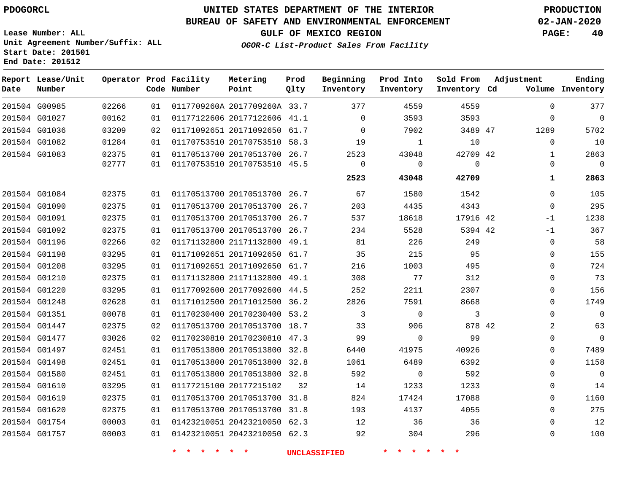### **BUREAU OF SAFETY AND ENVIRONMENTAL ENFORCEMENT 02-JAN-2020**

**Lease Number: ALL Unit Agreement Number/Suffix: ALL Start Date: 201501 End Date: 201512**

**GULF OF MEXICO REGION PAGE: 40**

**OGOR-C List-Product Sales From Facility**

| Date | Report Lease/Unit<br>Number |       |    | Operator Prod Facility<br>Code Number | Metering<br>Point            | Prod<br>Qlty | Beginning<br>Inventory | Prod Into<br>Inventory | Sold From<br>Inventory Cd | Adjustment     | Ending<br>Volume Inventory |
|------|-----------------------------|-------|----|---------------------------------------|------------------------------|--------------|------------------------|------------------------|---------------------------|----------------|----------------------------|
|      | 201504 G00985               | 02266 | 01 |                                       | 0117709260A 2017709260A 33.7 |              | 377                    | 4559                   | 4559                      | $\Omega$       | 377                        |
|      | 201504 G01027               | 00162 | 01 |                                       | 01177122606 20177122606 41.1 |              | $\mathbf 0$            | 3593                   | 3593                      | $\Omega$       | $\overline{0}$             |
|      | 201504 G01036               | 03209 | 02 |                                       | 01171092651 20171092650 61.7 |              | $\Omega$               | 7902                   | 3489 47                   | 1289           | 5702                       |
|      | 201504 G01082               | 01284 | 01 |                                       | 01170753510 20170753510 58.3 |              | 19                     | 1                      | 10                        | $\Omega$       | 10                         |
|      | 201504 G01083               | 02375 | 01 |                                       | 01170513700 20170513700 26.7 |              | 2523                   | 43048                  | 42709 42                  | $\mathbf{1}$   | 2863                       |
|      |                             | 02777 | 01 |                                       | 01170753510 20170753510 45.5 |              | $\mathbf 0$<br>        | $\Omega$               | $\Omega$<br>              | $\Omega$       | $\Omega$                   |
|      |                             |       |    |                                       |                              |              | 2523                   | 43048                  | 42709                     | 1              | 2863                       |
|      | 201504 G01084               | 02375 | 01 |                                       | 01170513700 20170513700 26.7 |              | 67                     | 1580                   | 1542                      | $\Omega$       | 105                        |
|      | 201504 G01090               | 02375 | 01 |                                       | 01170513700 20170513700 26.7 |              | 203                    | 4435                   | 4343                      | $\Omega$       | 295                        |
|      | 201504 G01091               | 02375 | 01 |                                       | 01170513700 20170513700 26.7 |              | 537                    | 18618                  | 17916 42                  | $-1$           | 1238                       |
|      | 201504 G01092               | 02375 | 01 |                                       | 01170513700 20170513700 26.7 |              | 234                    | 5528                   | 5394 42                   | $-1$           | 367                        |
|      | 201504 G01196               | 02266 | 02 |                                       | 01171132800 21171132800 49.1 |              | 81                     | 226                    | 249                       | $\mathbf 0$    | 58                         |
|      | 201504 G01198               | 03295 | 01 |                                       | 01171092651 20171092650 61.7 |              | 35                     | 215                    | 95                        | $\mathbf 0$    | 155                        |
|      | 201504 G01208               | 03295 | 01 |                                       | 01171092651 20171092650 61.7 |              | 216                    | 1003                   | 495                       | $\Omega$       | 724                        |
|      | 201504 G01210               | 02375 | 01 |                                       | 01171132800 21171132800 49.1 |              | 308                    | 77                     | 312                       | $\mathbf 0$    | 73                         |
|      | 201504 G01220               | 03295 | 01 |                                       | 01177092600 20177092600 44.5 |              | 252                    | 2211                   | 2307                      | 0              | 156                        |
|      | 201504 G01248               | 02628 | 01 |                                       | 01171012500 20171012500 36.2 |              | 2826                   | 7591                   | 8668                      | $\Omega$       | 1749                       |
|      | 201504 G01351               | 00078 | 01 |                                       | 01170230400 20170230400 53.2 |              | 3                      | $\mathbf 0$            | 3                         | $\Omega$       | $\overline{0}$             |
|      | 201504 G01447               | 02375 | 02 |                                       | 01170513700 20170513700 18.7 |              | 33                     | 906                    | 878 42                    | $\overline{a}$ | 63                         |
|      | 201504 G01477               | 03026 | 02 |                                       | 01170230810 20170230810 47.3 |              | 99                     | $\Omega$               | 99                        | $\mathbf 0$    | $\overline{0}$             |
|      | 201504 G01497               | 02451 | 01 |                                       | 01170513800 20170513800 32.8 |              | 6440                   | 41975                  | 40926                     | $\Omega$       | 7489                       |
|      | 201504 G01498               | 02451 | 01 |                                       | 01170513800 20170513800 32.8 |              | 1061                   | 6489                   | 6392                      | 0              | 1158                       |
|      | 201504 G01580               | 02451 | 01 |                                       | 01170513800 20170513800 32.8 |              | 592                    | $\mathbf 0$            | 592                       | 0              | $\mathbf 0$                |
|      | 201504 G01610               | 03295 | 01 |                                       | 01177215100 20177215102      | 32           | 14                     | 1233                   | 1233                      | $\Omega$       | 14                         |
|      | 201504 G01619               | 02375 | 01 |                                       | 01170513700 20170513700 31.8 |              | 824                    | 17424                  | 17088                     | $\mathbf 0$    | 1160                       |
|      | 201504 G01620               | 02375 | 01 |                                       | 01170513700 20170513700 31.8 |              | 193                    | 4137                   | 4055                      | $\Omega$       | 275                        |
|      | 201504 G01754               | 00003 | 01 |                                       | 01423210051 20423210050 62.3 |              | 12                     | 36                     | 36                        | $\mathbf 0$    | 12                         |
|      | 201504 G01757               | 00003 | 01 |                                       | 01423210051 20423210050 62.3 |              | 92                     | 304                    | 296                       | $\mathbf 0$    | 100                        |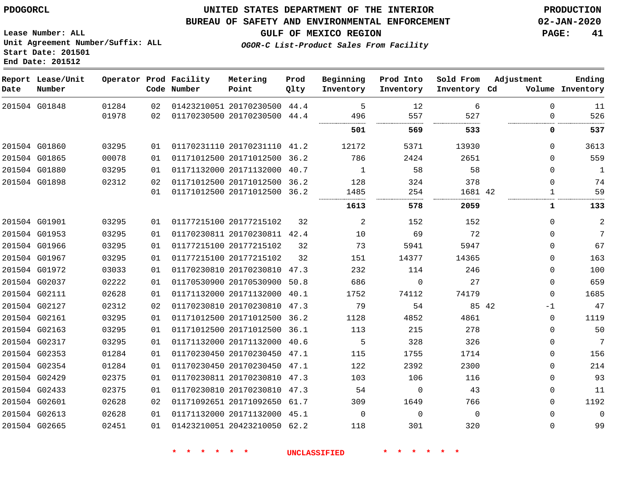**Lease Number: ALL**

**Start Date: 201501**

G02665

**Unit Agreement Number/Suffix: ALL**

## **UNITED STATES DEPARTMENT OF THE INTERIOR PDOGORCL PRODUCTION**

#### **BUREAU OF SAFETY AND ENVIRONMENTAL ENFORCEMENT 02-JAN-2020**

**GULF OF MEXICO REGION PAGE: 41**

**OGOR-C List-Product Sales From Facility**

|      | End Date: 201512            |       |    |                                       |                              |              |                        |                        |                        |                  |                            |
|------|-----------------------------|-------|----|---------------------------------------|------------------------------|--------------|------------------------|------------------------|------------------------|------------------|----------------------------|
| Date | Report Lease/Unit<br>Number |       |    | Operator Prod Facility<br>Code Number | Metering<br>Point            | Prod<br>Qlty | Beginning<br>Inventory | Prod Into<br>Inventory | Sold From<br>Inventory | Adjustment<br>Cd | Ending<br>Volume Inventory |
|      | 201504 G01848               | 01284 | 02 |                                       | 01423210051 20170230500 44.4 |              | 5                      | 12                     | 6                      | $\Omega$         | 11                         |
|      |                             | 01978 | 02 |                                       | 01170230500 20170230500 44.4 |              | 496<br>                | 557<br>                | 527<br>.<br>.          | $\Omega$         | 526                        |
|      |                             |       |    |                                       |                              |              | 501                    | 569                    | 533                    | 0                | 537                        |
|      | 201504 G01860               | 03295 | 01 |                                       | 01170231110 20170231110 41.2 |              | 12172                  | 5371                   | 13930                  | $\mathbf{0}$     | 3613                       |
|      | 201504 G01865               | 00078 | 01 |                                       | 01171012500 20171012500      | 36.2         | 786                    | 2424                   | 2651                   | $\Omega$         | 559                        |
|      | 201504 G01880               | 03295 | 01 |                                       | 01171132000 20171132000      | 40.7         | 1                      | 58                     | 58                     | $\Omega$         | 1                          |
|      | 201504 G01898               | 02312 | 02 |                                       | 01171012500 20171012500      | 36.2         | 128                    | 324                    | 378                    | $\Omega$         | 74                         |
|      |                             |       | 01 |                                       | 01171012500 20171012500      | 36.2         | 1485                   | 254                    | 1681 42                | $\mathbf{1}$     | 59                         |
|      |                             |       |    |                                       |                              |              | 1613                   | 578                    | 2059                   | 1                | 133                        |
|      | 201504 G01901               | 03295 | 01 |                                       | 01177215100 20177215102      | 32           | 2                      | 152                    | 152                    | $\Omega$         | $\overline{2}$             |
|      | 201504 G01953               | 03295 | 01 |                                       | 01170230811 20170230811 42.4 |              | 10                     | 69                     | 72                     | $\Omega$         | 7                          |
|      | 201504 G01966               | 03295 | 01 |                                       | 01177215100 20177215102      | 32           | 73                     | 5941                   | 5947                   | 0                | 67                         |
|      | 201504 G01967               | 03295 | 01 |                                       | 01177215100 20177215102      | 32           | 151                    | 14377                  | 14365                  | $\Omega$         | 163                        |
|      | 201504 G01972               | 03033 | 01 |                                       | 01170230810 20170230810      | 47.3         | 232                    | 114                    | 246                    | 0                | 100                        |
|      | 201504 G02037               | 02222 | 01 |                                       | 01170530900 20170530900      | 50.8         | 686                    | $\Omega$               | 27                     | $\Omega$         | 659                        |
|      | 201504 G02111               | 02628 | 01 |                                       | 01171132000 20171132000      | 40.1         | 1752                   | 74112                  | 74179                  | $\Omega$         | 1685                       |
|      | 201504 G02127               | 02312 | 02 |                                       | 01170230810 20170230810 47.3 |              | 79                     | 54                     |                        | 85 42<br>$-1$    | 47                         |
|      | 201504 G02161               | 03295 | 01 |                                       | 01171012500 20171012500      | 36.2         | 1128                   | 4852                   | 4861                   | $\mathbf 0$      | 1119                       |
|      | 201504 G02163               | 03295 | 01 |                                       | 01171012500 20171012500 36.1 |              | 113                    | 215                    | 278                    | 0                | 50                         |
|      | 201504 G02317               | 03295 | 01 |                                       | 01171132000 20171132000      | 40.6         | 5                      | 328                    | 326                    | 0                | 7                          |
|      | 201504 G02353               | 01284 | 01 |                                       | 01170230450 20170230450 47.1 |              | 115                    | 1755                   | 1714                   | 0                | 156                        |
|      | 201504 G02354               | 01284 | 01 |                                       | 01170230450 20170230450      | 47.1         | 122                    | 2392                   | 2300                   | 0                | 214                        |
|      | 201504 G02429               | 02375 | 01 |                                       | 01170230811 20170230810 47.3 |              | 103                    | 106                    | 116                    | $\Omega$         | 93                         |
|      | 201504 G02433               | 02375 | 01 |                                       | 01170230810 20170230810 47.3 |              | 54                     | $\mathbf 0$            | 43                     | $\mathbf{0}$     | 11                         |
|      | 201504 G02601               | 02628 | 02 |                                       | 01171092651 20171092650 61.7 |              | 309                    | 1649                   | 766                    | $\Omega$         | 1192                       |
|      | 201504 G02613               | 02628 | 01 |                                       | 01171132000 20171132000 45.1 |              | $\Omega$               | $\Omega$               | $\Omega$               | $\Omega$         | $\Omega$                   |

20423210050 62.2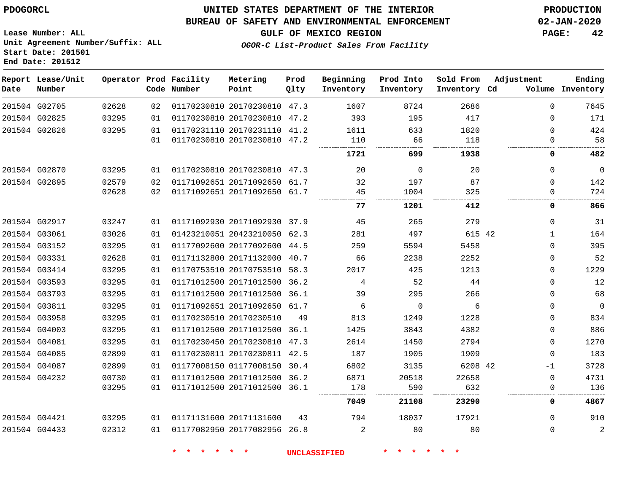**Report Lease/Unit**

## **UNITED STATES DEPARTMENT OF THE INTERIOR PDOGORCL PRODUCTION**

#### **BUREAU OF SAFETY AND ENVIRONMENTAL ENFORCEMENT 02-JAN-2020**

**Lease Number: ALL Unit Agreement Number/Suffix: ALL Start Date: 201501 End Date: 201512**

**Operator Prod Facility**

**OGOR-C List-Product Sales From Facility**

**GULF OF MEXICO REGION PAGE: 42**

**Adjustment**

**Ending**

| Metering | Prod                  | Beginning Prod Into Sold From |                   |                  |
|----------|-----------------------|-------------------------------|-------------------|------------------|
| Doint.   | $\bigcap$ + $\bigcup$ | Tnuantoru                     | <b>Tnyrontory</b> | <b>Thuantory</b> |

| Date | Number        |       |    | Code Number | Point                        | Qlty | Inventory | Inventory   | Inventory Cd |              | Volume Inventory |
|------|---------------|-------|----|-------------|------------------------------|------|-----------|-------------|--------------|--------------|------------------|
|      | 201504 G02705 | 02628 | 02 |             | 01170230810 20170230810 47.3 |      | 1607      | 8724        | 2686         | $\Omega$     | 7645             |
|      | 201504 G02825 | 03295 | 01 |             | 01170230810 20170230810 47.2 |      | 393       | 195         | 417          | $\Omega$     | 171              |
|      | 201504 G02826 | 03295 | 01 |             | 01170231110 20170231110 41.2 |      | 1611      | 633         | 1820         | $\Omega$     | 424              |
|      |               |       | 01 |             | 01170230810 20170230810 47.2 |      | 110<br>   | 66<br>      | 118          | 0            | 58               |
|      |               |       |    |             |                              |      | 1721      | 699         | 1938         | 0            | 482              |
|      | 201504 G02870 | 03295 | 01 |             | 01170230810 20170230810 47.3 |      | 20        | $\mathbf 0$ | 20           | 0            | $\mathbf 0$      |
|      | 201504 G02895 | 02579 | 02 |             | 01171092651 20171092650 61.7 |      | 32        | 197         | 87           | $\Omega$     | 142              |
|      |               | 02628 | 02 |             | 01171092651 20171092650 61.7 |      | 45<br>    | 1004        | 325          | 0            | 724              |
|      |               |       |    |             |                              |      | 77        | 1201        | 412          | 0            | 866              |
|      | 201504 G02917 | 03247 | 01 |             | 01171092930 20171092930 37.9 |      | 45        | 265         | 279          | 0            | 31               |
|      | 201504 G03061 | 03026 | 01 |             | 01423210051 20423210050 62.3 |      | 281       | 497         | 615 42       | $\mathbf{1}$ | 164              |
|      | 201504 G03152 | 03295 | 01 |             | 01177092600 20177092600 44.5 |      | 259       | 5594        | 5458         | $\Omega$     | 395              |
|      | 201504 G03331 | 02628 | 01 |             | 01171132800 20171132000 40.7 |      | 66        | 2238        | 2252         | 0            | 52               |
|      | 201504 G03414 | 03295 | 01 |             | 01170753510 20170753510 58.3 |      | 2017      | 425         | 1213         | 0            | 1229             |
|      | 201504 G03593 | 03295 | 01 |             | 01171012500 20171012500 36.2 |      | 4         | 52          | 44           | $\Omega$     | 12               |
|      | 201504 G03793 | 03295 | 01 |             | 01171012500 20171012500 36.1 |      | 39        | 295         | 266          | 0            | 68               |
|      | 201504 G03811 | 03295 | 01 |             | 01171092651 20171092650 61.7 |      | 6         | $\Omega$    | 6            | $\Omega$     | $\overline{0}$   |
|      | 201504 G03958 | 03295 | 01 |             | 01170230510 20170230510      | 49   | 813       | 1249        | 1228         | $\Omega$     | 834              |
|      | 201504 G04003 | 03295 | 01 |             | 01171012500 20171012500 36.1 |      | 1425      | 3843        | 4382         | 0            | 886              |
|      | 201504 G04081 | 03295 | 01 |             | 01170230450 20170230810 47.3 |      | 2614      | 1450        | 2794         | $\Omega$     | 1270             |
|      | 201504 G04085 | 02899 | 01 |             | 01170230811 20170230811 42.5 |      | 187       | 1905        | 1909         | $\Omega$     | 183              |
|      | 201504 G04087 | 02899 | 01 |             | 01177008150 01177008150 30.4 |      | 6802      | 3135        | 6208 42      | -1           | 3728             |
|      | 201504 G04232 | 00730 | 01 |             | 01171012500 20171012500 36.2 |      | 6871      | 20518       | 22658        | $\mathbf 0$  | 4731             |
|      |               | 03295 | 01 |             | 01171012500 20171012500 36.1 |      | 178       | 590         | 632<br>      | 0            | 136              |
|      |               |       |    |             |                              |      | 7049      | 21108       | 23290        | 0            | 4867             |
|      | 201504 G04421 | 03295 | 01 |             | 01171131600 20171131600      | 43   | 794       | 18037       | 17921        | $\Omega$     | 910              |
|      | 201504 G04433 | 02312 | 01 |             | 01177082950 20177082956 26.8 |      | 2         | 80          | 80           | 0            | 2                |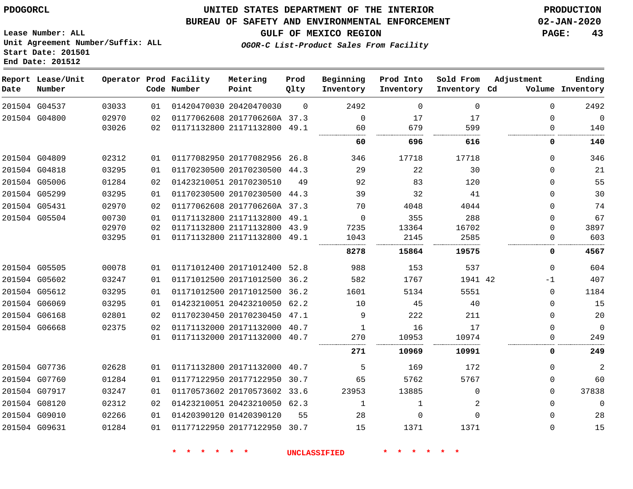**Prod**

#### **BUREAU OF SAFETY AND ENVIRONMENTAL ENFORCEMENT 02-JAN-2020**

**GULF OF MEXICO REGION PAGE: 43**

**Lease Number: ALL Unit Agreement Number/Suffix: ALL Start Date: 201501 End Date: 201512**

**OGOR-C List-Product Sales From Facility**

| 2492<br>03033<br>01420470030 20420470030<br>201504 G04537<br>$\Omega$<br>$\Omega$<br>$\Omega$<br>01<br>201504 G04800<br>02970<br>01177062608 2017706260A 37.3<br>02<br>17<br>17<br>$\Omega$<br>0<br>01171132800 21171132800 49.1<br>03026<br>679<br>599<br>02<br>60<br>$\Omega$<br>60<br>696<br>616<br>0<br>01177082950 20177082956 26.8<br>02312<br>346<br>17718<br>17718<br>201504 G04809<br>01<br>$\Omega$<br>01170230500 20170230500<br>29<br>22<br>30<br>201504 G04818<br>03295<br>44.3<br>01<br>$\Omega$<br>01284<br>01423210051 20170230510<br>92<br>83<br>201504 G05006<br>120<br>0<br>02<br>49<br>01170230500 20170230500<br>39<br>32<br>201504 G05299<br>03295<br>41<br>$\Omega$<br>01<br>44.3<br>01177062608 2017706260A 37.3<br>201504 G05431<br>02970<br>70<br>4044<br>4048<br>02<br>$\Omega$<br>00730<br>01171132800 21171132800 49.1<br>288<br>$\Omega$<br>355<br>01<br>$\Omega$<br>01171132800 21171132800<br>13364<br>16702<br>02970<br>43.9<br>7235<br>02<br>$\Omega$<br>2585<br>03295<br>01171132800 21171132800 49.1<br>1043<br>2145<br>01<br>15864<br>8278<br>19575<br>0<br>01171012400 20171012400 52.8<br>00078<br>988<br>153<br>537<br>$\Omega$<br>01<br>01171012500 20171012500<br>03247<br>582<br>1767<br>1941 42<br>36.2<br>01<br>$-1$<br>01171012500 20171012500<br>03295<br>1601<br>36.2<br>5134<br>5551<br>$\mathbf 0$<br>01<br>01423210051 20423210050<br>03295<br>62.2<br>10<br>45<br>40<br>$\Omega$<br>01<br>02801<br>01170230450 20170230450<br>222<br>47.1<br>9<br>211<br>02<br>$\Omega$<br>02375<br>01171132000 20171132000<br>40.7<br>16<br>17<br>02<br>0<br>01171132000 20171132000 40.7<br>10953<br>10974<br>270<br>01<br>0 | Ending<br>Volume Inventory | Adjustment | Sold From<br>Inventory Cd | Prod Into<br>Inventory | Beginning<br>Inventory | Prod<br>Qlty | Metering<br>Point | Operator Prod Facility<br>Code Number |  | Report Lease/Unit<br>Number | Date |
|--------------------------------------------------------------------------------------------------------------------------------------------------------------------------------------------------------------------------------------------------------------------------------------------------------------------------------------------------------------------------------------------------------------------------------------------------------------------------------------------------------------------------------------------------------------------------------------------------------------------------------------------------------------------------------------------------------------------------------------------------------------------------------------------------------------------------------------------------------------------------------------------------------------------------------------------------------------------------------------------------------------------------------------------------------------------------------------------------------------------------------------------------------------------------------------------------------------------------------------------------------------------------------------------------------------------------------------------------------------------------------------------------------------------------------------------------------------------------------------------------------------------------------------------------------------------------------------------------------------------------------------------------------------------|----------------------------|------------|---------------------------|------------------------|------------------------|--------------|-------------------|---------------------------------------|--|-----------------------------|------|
|                                                                                                                                                                                                                                                                                                                                                                                                                                                                                                                                                                                                                                                                                                                                                                                                                                                                                                                                                                                                                                                                                                                                                                                                                                                                                                                                                                                                                                                                                                                                                                                                                                                                    | 2492                       |            |                           |                        |                        |              |                   |                                       |  |                             |      |
|                                                                                                                                                                                                                                                                                                                                                                                                                                                                                                                                                                                                                                                                                                                                                                                                                                                                                                                                                                                                                                                                                                                                                                                                                                                                                                                                                                                                                                                                                                                                                                                                                                                                    | $\mathbf 0$                |            |                           |                        |                        |              |                   |                                       |  |                             |      |
|                                                                                                                                                                                                                                                                                                                                                                                                                                                                                                                                                                                                                                                                                                                                                                                                                                                                                                                                                                                                                                                                                                                                                                                                                                                                                                                                                                                                                                                                                                                                                                                                                                                                    | 140                        |            |                           |                        |                        |              |                   |                                       |  |                             |      |
|                                                                                                                                                                                                                                                                                                                                                                                                                                                                                                                                                                                                                                                                                                                                                                                                                                                                                                                                                                                                                                                                                                                                                                                                                                                                                                                                                                                                                                                                                                                                                                                                                                                                    | 140                        |            |                           |                        |                        |              |                   |                                       |  |                             |      |
|                                                                                                                                                                                                                                                                                                                                                                                                                                                                                                                                                                                                                                                                                                                                                                                                                                                                                                                                                                                                                                                                                                                                                                                                                                                                                                                                                                                                                                                                                                                                                                                                                                                                    | 346                        |            |                           |                        |                        |              |                   |                                       |  |                             |      |
|                                                                                                                                                                                                                                                                                                                                                                                                                                                                                                                                                                                                                                                                                                                                                                                                                                                                                                                                                                                                                                                                                                                                                                                                                                                                                                                                                                                                                                                                                                                                                                                                                                                                    | 21                         |            |                           |                        |                        |              |                   |                                       |  |                             |      |
|                                                                                                                                                                                                                                                                                                                                                                                                                                                                                                                                                                                                                                                                                                                                                                                                                                                                                                                                                                                                                                                                                                                                                                                                                                                                                                                                                                                                                                                                                                                                                                                                                                                                    | 55                         |            |                           |                        |                        |              |                   |                                       |  |                             |      |
|                                                                                                                                                                                                                                                                                                                                                                                                                                                                                                                                                                                                                                                                                                                                                                                                                                                                                                                                                                                                                                                                                                                                                                                                                                                                                                                                                                                                                                                                                                                                                                                                                                                                    | 30                         |            |                           |                        |                        |              |                   |                                       |  |                             |      |
| 201504 G05504<br>201504 G05505<br>201504 G05602<br>201504 G05612<br>201504 G06069<br>201504 G06168<br>201504 G06668                                                                                                                                                                                                                                                                                                                                                                                                                                                                                                                                                                                                                                                                                                                                                                                                                                                                                                                                                                                                                                                                                                                                                                                                                                                                                                                                                                                                                                                                                                                                                | 74                         |            |                           |                        |                        |              |                   |                                       |  |                             |      |
|                                                                                                                                                                                                                                                                                                                                                                                                                                                                                                                                                                                                                                                                                                                                                                                                                                                                                                                                                                                                                                                                                                                                                                                                                                                                                                                                                                                                                                                                                                                                                                                                                                                                    | 67                         |            |                           |                        |                        |              |                   |                                       |  |                             |      |
|                                                                                                                                                                                                                                                                                                                                                                                                                                                                                                                                                                                                                                                                                                                                                                                                                                                                                                                                                                                                                                                                                                                                                                                                                                                                                                                                                                                                                                                                                                                                                                                                                                                                    | 3897                       |            |                           |                        |                        |              |                   |                                       |  |                             |      |
|                                                                                                                                                                                                                                                                                                                                                                                                                                                                                                                                                                                                                                                                                                                                                                                                                                                                                                                                                                                                                                                                                                                                                                                                                                                                                                                                                                                                                                                                                                                                                                                                                                                                    | 603                        |            |                           |                        |                        |              |                   |                                       |  |                             |      |
|                                                                                                                                                                                                                                                                                                                                                                                                                                                                                                                                                                                                                                                                                                                                                                                                                                                                                                                                                                                                                                                                                                                                                                                                                                                                                                                                                                                                                                                                                                                                                                                                                                                                    | 4567                       |            |                           |                        |                        |              |                   |                                       |  |                             |      |
|                                                                                                                                                                                                                                                                                                                                                                                                                                                                                                                                                                                                                                                                                                                                                                                                                                                                                                                                                                                                                                                                                                                                                                                                                                                                                                                                                                                                                                                                                                                                                                                                                                                                    | 604                        |            |                           |                        |                        |              |                   |                                       |  |                             |      |
|                                                                                                                                                                                                                                                                                                                                                                                                                                                                                                                                                                                                                                                                                                                                                                                                                                                                                                                                                                                                                                                                                                                                                                                                                                                                                                                                                                                                                                                                                                                                                                                                                                                                    | 407                        |            |                           |                        |                        |              |                   |                                       |  |                             |      |
|                                                                                                                                                                                                                                                                                                                                                                                                                                                                                                                                                                                                                                                                                                                                                                                                                                                                                                                                                                                                                                                                                                                                                                                                                                                                                                                                                                                                                                                                                                                                                                                                                                                                    | 1184                       |            |                           |                        |                        |              |                   |                                       |  |                             |      |
|                                                                                                                                                                                                                                                                                                                                                                                                                                                                                                                                                                                                                                                                                                                                                                                                                                                                                                                                                                                                                                                                                                                                                                                                                                                                                                                                                                                                                                                                                                                                                                                                                                                                    | 15                         |            |                           |                        |                        |              |                   |                                       |  |                             |      |
|                                                                                                                                                                                                                                                                                                                                                                                                                                                                                                                                                                                                                                                                                                                                                                                                                                                                                                                                                                                                                                                                                                                                                                                                                                                                                                                                                                                                                                                                                                                                                                                                                                                                    | 20                         |            |                           |                        |                        |              |                   |                                       |  |                             |      |
|                                                                                                                                                                                                                                                                                                                                                                                                                                                                                                                                                                                                                                                                                                                                                                                                                                                                                                                                                                                                                                                                                                                                                                                                                                                                                                                                                                                                                                                                                                                                                                                                                                                                    | $\Omega$                   |            |                           |                        |                        |              |                   |                                       |  |                             |      |
|                                                                                                                                                                                                                                                                                                                                                                                                                                                                                                                                                                                                                                                                                                                                                                                                                                                                                                                                                                                                                                                                                                                                                                                                                                                                                                                                                                                                                                                                                                                                                                                                                                                                    | 249                        |            |                           |                        |                        |              |                   |                                       |  |                             |      |

|               |       |    |                              |      | 271   | 10969 | 10991 | 0 | 249      |
|---------------|-------|----|------------------------------|------|-------|-------|-------|---|----------|
| 201504 G07736 | 02628 | 01 | 01171132800 20171132000 40.7 |      |       | 169   | 172   |   | 2        |
| 201504 G07760 | 01284 | 01 | 01177122950 20177122950 30.7 |      | 65    | 5762  | 5767  |   | 60       |
| 201504 G07917 | 03247 | 01 | 01170573602 20170573602 33.6 |      | 23953 | 13885 |       |   | 37838    |
| 201504 G08120 | 02312 | 02 | 01423210051 20423210050 62.3 |      |       |       |       |   | $\Omega$ |
| 201504 G09010 | 02266 | 01 | 01420390120 01420390120      | 55   | 28    |       |       |   | 28       |
| 201504 G09631 | 01284 |    | 01177122950 20177122950      | 30.7 | 15    | 1371  | 1371  |   | 15       |

**\* \* \* \* \* \* UNCLASSIFIED \* \* \* \* \* \***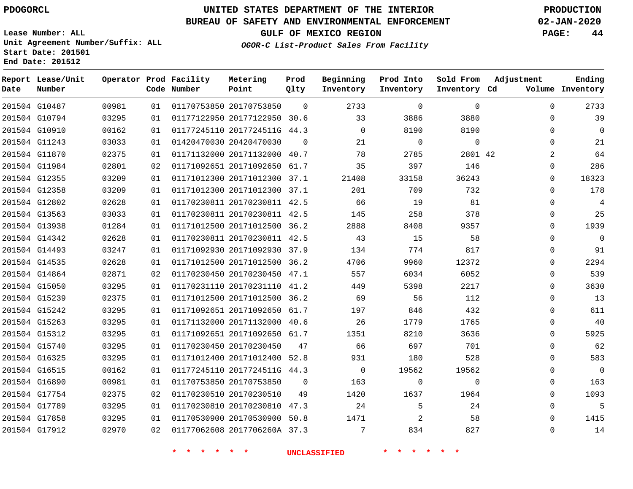# **UNITED STATES DEPARTMENT OF THE INTERIOR PDOGORCL PRODUCTION**

#### **BUREAU OF SAFETY AND ENVIRONMENTAL ENFORCEMENT 02-JAN-2020**

**Lease Number: ALL Unit Agreement Number/Suffix: ALL Start Date: 201501**

**Operator Prod Facility**

**Code Number**

**Metering Point**

**End Date: 201512**

**Report Lease/Unit**

**Number**

**GULF OF MEXICO REGION PAGE: 44**

 $\Omega$ 

**Prod Qlty**

**Inventory Cd Volume**

**Adjustment**

 $\cap$ 

**Ending**

**OGOR-C List-Product Sales From Facility**

**Beginning Inventory**

 $\cap$ 

 $\Omega$ 

**Sold From Inventory**

**Prod Into Inventory**

|               | 201504 G10487 | 00981 | 01 | 01170753850 20170753850 |                              | 0        | 2733        | $\Omega$ | $\Omega$ | 0        | 2733        |
|---------------|---------------|-------|----|-------------------------|------------------------------|----------|-------------|----------|----------|----------|-------------|
|               | 201504 G10794 | 03295 | 01 |                         | 01177122950 20177122950 30.6 |          | 33          | 3886     | 3880     | 0        | 39          |
|               | 201504 G10910 | 00162 | 01 |                         | 01177245110 2017724511G 44.3 |          | $\Omega$    | 8190     | 8190     | $\Omega$ | $\Omega$    |
|               | 201504 G11243 | 03033 | 01 | 01420470030 20420470030 |                              | - 0      | 21          | $\Omega$ | 0        | $\Omega$ | 21          |
| 201504 G11870 |               | 02375 | 01 |                         | 01171132000 20171132000 40.7 |          | 78          | 2785     | 2801 42  | 2        | 64          |
|               | 201504 G11984 | 02801 | 02 |                         | 01171092651 20171092650 61.7 |          | 35          | 397      | 146      | 0        | 286         |
|               | 201504 G12355 | 03209 | 01 |                         | 01171012300 20171012300 37.1 |          | 21408       | 33158    | 36243    | 0        | 18323       |
|               | 201504 G12358 | 03209 | 01 |                         | 01171012300 20171012300 37.1 |          | 201         | 709      | 732      | 0        | 178         |
|               | 201504 G12802 | 02628 | 01 |                         | 01170230811 20170230811 42.5 |          | 66          | 19       | 81       | $\Omega$ | 4           |
|               | 201504 G13563 | 03033 | 01 |                         | 01170230811 20170230811 42.5 |          | 145         | 258      | 378      | 0        | 25          |
| 201504 G13938 |               | 01284 | 01 |                         | 01171012500 20171012500 36.2 |          | 2888        | 8408     | 9357     | $\Omega$ | 1939        |
|               | 201504 G14342 | 02628 | 01 |                         | 01170230811 20170230811 42.5 |          | 43          | 15       | 58       | 0        | 0           |
|               | 201504 G14493 | 03247 | 01 |                         | 01171092930 20171092930 37.9 |          | 134         | 774      | 817      | $\Omega$ | 91          |
|               | 201504 G14535 | 02628 | 01 |                         | 01171012500 20171012500 36.2 |          | 4706        | 9960     | 12372    | $\Omega$ | 2294        |
|               | 201504 G14864 | 02871 | 02 |                         | 01170230450 20170230450 47.1 |          | 557         | 6034     | 6052     | $\Omega$ | 539         |
| 201504 G15050 |               | 03295 | 01 |                         | 01170231110 20170231110 41.2 |          | 449         | 5398     | 2217     | $\Omega$ | 3630        |
|               | 201504 G15239 | 02375 | 01 |                         | 01171012500 20171012500 36.2 |          | 69          | 56       | 112      | $\Omega$ | 13          |
| 201504 G15242 |               | 03295 | 01 |                         | 01171092651 20171092650 61.7 |          | 197         | 846      | 432      | $\Omega$ | 611         |
|               | 201504 G15263 | 03295 | 01 |                         | 01171132000 20171132000 40.6 |          | 26          | 1779     | 1765     | 0        | 40          |
|               | 201504 G15312 | 03295 | 01 |                         | 01171092651 20171092650 61.7 |          | 1351        | 8210     | 3636     | $\Omega$ | 5925        |
|               | 201504 G15740 | 03295 | 01 | 01170230450 20170230450 |                              | 47       | 66          | 697      | 701      | $\Omega$ | 62          |
| 201504 G16325 |               | 03295 | 01 |                         | 01171012400 20171012400 52.8 |          | 931         | 180      | 528      | 0        | 583         |
|               | 201504 G16515 | 00162 | 01 |                         | 01177245110 2017724511G 44.3 |          | $\mathbf 0$ | 19562    | 19562    | $\Omega$ | $\mathbf 0$ |
|               | 201504 G16890 | 00981 | 01 | 01170753850 20170753850 |                              | $\Omega$ | 163         | $\Omega$ | $\Omega$ | 0        | 163         |
|               | 201504 G17754 | 02375 | 02 | 01170230510 20170230510 |                              | 49       | 1420        | 1637     | 1964     | 0        | 1093        |

 G17789 G17858 G17912 G17754  $U$  20170230510 20170230810 47.3 20170530900 50.8 2017706260A 37.3 . $96<sub>1</sub>$   $\Omega$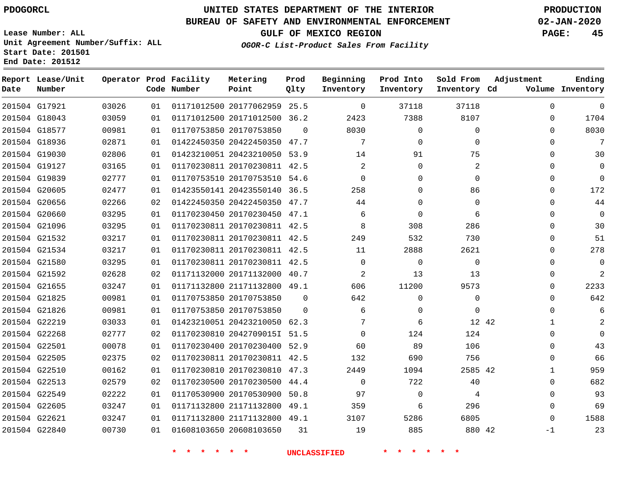## **BUREAU OF SAFETY AND ENVIRONMENTAL ENFORCEMENT 02-JAN-2020**

**Lease Number: ALL Unit Agreement Number/Suffix: ALL Start Date: 201501 End Date: 201512**

**OGOR-C List-Product Sales From Facility**

**GULF OF MEXICO REGION PAGE: 45**

| Date | Report Lease/Unit<br>Number |       |    | Operator Prod Facility<br>Code Number | Metering<br>Point            | Prod<br>Qlty | Beginning<br>Inventory | Prod Into<br>Inventory | Sold From<br>Inventory Cd | Adjustment   | Ending<br>Volume Inventory |
|------|-----------------------------|-------|----|---------------------------------------|------------------------------|--------------|------------------------|------------------------|---------------------------|--------------|----------------------------|
|      | 201504 G17921               | 03026 | 01 |                                       | 01171012500 20177062959 25.5 |              | $\mathbf 0$            | 37118                  | 37118                     | $\mathbf 0$  | $\mathbf{0}$               |
|      | 201504 G18043               | 03059 | 01 |                                       | 01171012500 20171012500 36.2 |              | 2423                   | 7388                   | 8107                      | 0            | 1704                       |
|      | 201504 G18577               | 00981 | 01 |                                       | 01170753850 20170753850      | $\Omega$     | 8030                   | $\mathbf 0$            | $\Omega$                  | $\Omega$     | 8030                       |
|      | 201504 G18936               | 02871 | 01 |                                       | 01422450350 20422450350      | 47.7         | 7                      | $\mathbf 0$            | $\mathbf 0$               | $\mathbf 0$  | 7                          |
|      | 201504 G19030               | 02806 | 01 |                                       | 01423210051 20423210050 53.9 |              | 14                     | 91                     | 75                        | $\Omega$     | 30                         |
|      | 201504 G19127               | 03165 | 01 |                                       | 01170230811 20170230811 42.5 |              | $\overline{2}$         | $\mathbf 0$            | 2                         | $\Omega$     | $\Omega$                   |
|      | 201504 G19839               | 02777 | 01 |                                       | 01170753510 20170753510 54.6 |              | $\Omega$               | $\Omega$               | $\Omega$                  | $\Omega$     | $\Omega$                   |
|      | 201504 G20605               | 02477 | 01 |                                       | 01423550141 20423550140 36.5 |              | 258                    | $\Omega$               | 86                        | $\Omega$     | 172                        |
|      | 201504 G20656               | 02266 | 02 |                                       | 01422450350 20422450350 47.7 |              | 44                     | $\Omega$               | $\Omega$                  | $\Omega$     | 44                         |
|      | 201504 G20660               | 03295 | 01 |                                       | 01170230450 20170230450 47.1 |              | 6                      | $\Omega$               | 6                         | $\Omega$     | $\Omega$                   |
|      | 201504 G21096               | 03295 | 01 |                                       | 01170230811 20170230811 42.5 |              | 8                      | 308                    | 286                       | $\mathbf 0$  | 30                         |
|      | 201504 G21532               | 03217 | 01 |                                       | 01170230811 20170230811 42.5 |              | 249                    | 532                    | 730                       | $\Omega$     | 51                         |
|      | 201504 G21534               | 03217 | 01 |                                       | 01170230811 20170230811 42.5 |              | 11                     | 2888                   | 2621                      | $\Omega$     | 278                        |
|      | 201504 G21580               | 03295 | 01 |                                       | 01170230811 20170230811 42.5 |              | $\mathbf 0$            | $\mathbf 0$            | $\mathbf 0$               | $\Omega$     | $\overline{0}$             |
|      | 201504 G21592               | 02628 | 02 |                                       | 01171132000 20171132000 40.7 |              | $\overline{2}$         | 13                     | 13                        | $\Omega$     | 2                          |
|      | 201504 G21655               | 03247 | 01 |                                       | 01171132800 21171132800 49.1 |              | 606                    | 11200                  | 9573                      | $\mathbf 0$  | 2233                       |
|      | 201504 G21825               | 00981 | 01 |                                       | 01170753850 20170753850      | $\Omega$     | 642                    | $\mathbf 0$            | $\mathbf 0$               | $\Omega$     | 642                        |
|      | 201504 G21826               | 00981 | 01 |                                       | 01170753850 20170753850      | $\Omega$     | 6                      | $\mathbf 0$            | $\Omega$                  | $\Omega$     | 6                          |
|      | 201504 G22219               | 03033 | 01 |                                       | 01423210051 20423210050 62.3 |              | 7                      | 6                      |                           | 12 42<br>1   | 2                          |
|      | 201504 G22268               | 02777 | 02 |                                       | 01170230810 2042709015I 51.5 |              | $\Omega$               | 124                    | 124                       | $\Omega$     | $\Omega$                   |
|      | 201504 G22501               | 00078 | 01 |                                       | 01170230400 20170230400 52.9 |              | 60                     | 89                     | 106                       | $\mathbf 0$  | 43                         |
|      | 201504 G22505               | 02375 | 02 |                                       | 01170230811 20170230811 42.5 |              | 132                    | 690                    | 756                       | $\Omega$     | 66                         |
|      | 201504 G22510               | 00162 | 01 |                                       | 01170230810 20170230810 47.3 |              | 2449                   | 1094                   | 2585 42                   | $\mathbf{1}$ | 959                        |
|      | 201504 G22513               | 02579 | 02 |                                       | 01170230500 20170230500 44.4 |              | $\Omega$               | 722                    | 40                        | $\mathbf 0$  | 682                        |
|      | 201504 G22549               | 02222 | 01 |                                       | 01170530900 20170530900      | 50.8         | 97                     | $\mathbf 0$            | 4                         | $\mathbf 0$  | 93                         |
|      | 201504 G22605               | 03247 | 01 |                                       | 01171132800 21171132800 49.1 |              | 359                    | 6                      | 296                       | $\mathbf 0$  | 69                         |
|      | 201504 G22621               | 03247 | 01 |                                       | 01171132800 21171132800 49.1 |              | 3107                   | 5286                   | 6805                      | $\mathbf 0$  | 1588                       |
|      | 201504 G22840               | 00730 | 01 |                                       | 01608103650 20608103650      | 31           | 19                     | 885                    | 880 42                    | $-1$         | 23                         |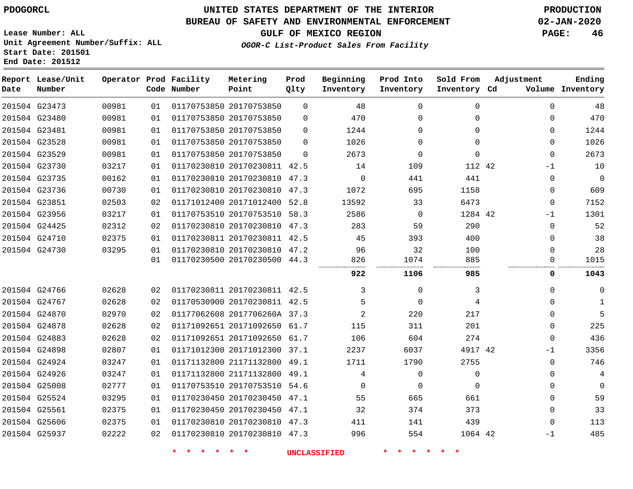## **BUREAU OF SAFETY AND ENVIRONMENTAL ENFORCEMENT 02-JAN-2020**

**GULF OF MEXICO REGION PAGE: 46**

**OGOR-C List-Product Sales From Facility**

**Lease Number: ALL Unit Agreement Number/Suffix: ALL Start Date: 201501 End Date: 201512**

| Date          | Report Lease/Unit<br>Number |       |    | Operator Prod Facility<br>Code Number | Metering<br>Point            | Prod<br>Qlty | Beginning<br>Inventory | Prod Into<br>Inventory | Sold From<br>Inventory Cd | Adjustment | Ending<br>Volume Inventory    |
|---------------|-----------------------------|-------|----|---------------------------------------|------------------------------|--------------|------------------------|------------------------|---------------------------|------------|-------------------------------|
| 201504 G23473 |                             | 00981 | 01 |                                       | 01170753850 20170753850      | $\Omega$     | 48                     | $\Omega$               | $\Omega$                  |            | $\Omega$<br>48                |
|               | 201504 G23480               | 00981 | 01 |                                       | 01170753850 20170753850      | $\Omega$     | 470                    | $\Omega$               | $\Omega$                  |            | 470<br>$\Omega$               |
| 201504 G23481 |                             | 00981 | 01 |                                       | 01170753850 20170753850      | $\Omega$     | 1244                   | $\Omega$               | $\Omega$                  |            | 1244<br>$\Omega$              |
| 201504 G23528 |                             | 00981 | 01 |                                       | 01170753850 20170753850      | $\Omega$     | 1026                   | $\Omega$               | $\Omega$                  |            | 1026<br>$\mathbf 0$           |
| 201504 G23529 |                             | 00981 | 01 |                                       | 01170753850 20170753850      | $\Omega$     | 2673                   | $\mathbf 0$            | $\mathbf 0$               |            | 2673<br>$\mathbf 0$           |
|               | 201504 G23730               | 03217 | 01 |                                       | 01170230810 20170230811 42.5 |              | 14                     | 109                    | 112 42                    |            | 10<br>$-1$                    |
|               | 201504 G23735               | 00162 | 01 |                                       | 01170230810 20170230810 47.3 |              | $\mathbf 0$            | 441                    | 441                       |            | $\mathbf 0$<br>$\overline{0}$ |
|               | 201504 G23736               | 00730 | 01 |                                       | 01170230810 20170230810 47.3 |              | 1072                   | 695                    | 1158                      |            | 609<br>$\mathbf 0$            |
| 201504 G23851 |                             | 02503 | 02 |                                       | 01171012400 20171012400      | 52.8         | 13592                  | 33                     | 6473                      |            | 7152<br>$\mathbf 0$           |
| 201504 G23956 |                             | 03217 | 01 |                                       | 01170753510 20170753510 58.3 |              | 2586                   | $\Omega$               | 1284 42                   |            | 1301<br>$-1$                  |
|               | 201504 G24425               | 02312 | 02 |                                       | 01170230810 20170230810 47.3 |              | 283                    | 59                     | 290                       |            | 52<br>$\Omega$                |
| 201504 G24710 |                             | 02375 | 01 |                                       | 01170230811 20170230811 42.5 |              | 45                     | 393                    | 400                       |            | 38<br>$\Omega$                |
| 201504 G24730 |                             | 03295 | 01 |                                       | 01170230810 20170230810 47.2 |              | 96                     | 32                     | 100                       |            | 28<br>$\Omega$                |
|               |                             |       | 01 |                                       | 01170230500 20170230500 44.3 |              | 826                    | 1074                   | 885                       |            | 1015<br>$\mathbf 0$           |
|               |                             |       |    |                                       |                              |              | 922                    | 1106                   | 985                       |            | 0<br>1043                     |
|               | 201504 G24766               | 02628 | 02 |                                       | 01170230811 20170230811 42.5 |              | 3                      | $\Omega$               | 3                         |            | $\Omega$<br>$\mathbf 0$       |
| 201504 G24767 |                             | 02628 | 02 |                                       | 01170530900 20170230811 42.5 |              | 5                      | $\Omega$               | 4                         |            | $\Omega$<br>1                 |
| 201504 G24870 |                             | 02970 | 02 |                                       | 01177062608 2017706260A 37.3 |              | 2                      | 220                    | 217                       |            | 5<br>$\Omega$                 |
| 201504 G24878 |                             | 02628 | 02 |                                       | 01171092651 20171092650 61.7 |              | 115                    | 311                    | 201                       |            | 225<br>$\Omega$               |
| 201504 G24883 |                             | 02628 | 02 |                                       | 01171092651 20171092650 61.7 |              | 106                    | 604                    | 274                       |            | 436<br>$\Omega$               |
| 201504 G24898 |                             | 02807 | 01 |                                       | 01171012300 20171012300      | 37.1         | 2237                   | 6037                   | 4917 42                   |            | 3356<br>$-1$                  |
|               | 201504 G24924               | 03247 | 01 |                                       | 01171132800 21171132800 49.1 |              | 1711                   | 1790                   | 2755                      |            | 746<br>$\Omega$               |
|               | 201504 G24926               | 03247 | 01 |                                       | 01171132800 21171132800 49.1 |              | 4                      | $\mathbf 0$            | $\mathbf 0$               |            | 4<br>$\Omega$                 |
| 201504 G25008 |                             | 02777 | 01 |                                       | 01170753510 20170753510 54.6 |              | $\Omega$               | $\Omega$               | $\Omega$                  |            | $\Omega$<br>$\mathbf 0$       |
| 201504 G25524 |                             | 03295 | 01 |                                       | 01170230450 20170230450      | 47.1         | 55                     | 665                    | 661                       |            | 59<br>$\mathbf 0$             |
| 201504 G25561 |                             | 02375 | 01 |                                       | 01170230450 20170230450 47.1 |              | 32                     | 374                    | 373                       |            | 33<br>$\Omega$                |
| 201504 G25606 |                             | 02375 | 01 |                                       | 01170230810 20170230810 47.3 |              | 411                    | 141                    | 439                       |            | 113<br>$\Omega$               |
| 201504 G25937 |                             | 02222 | 02 |                                       | 01170230810 20170230810 47.3 |              | 996                    | 554                    | 1064 42                   |            | 485<br>$-1$                   |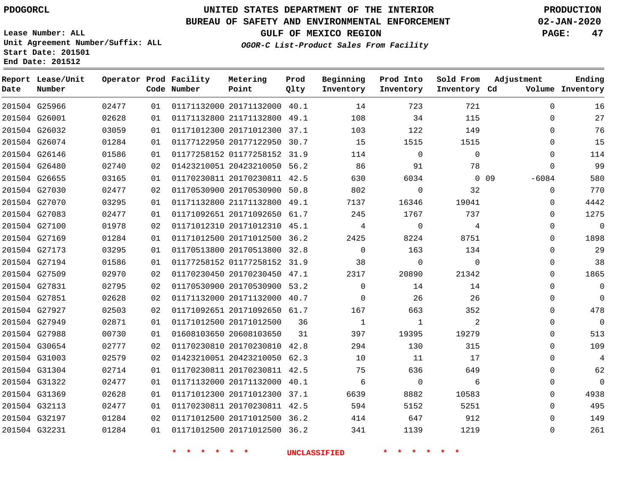**End Date: 201512**

**Report Lease/Unit**

**Number**

# **UNITED STATES DEPARTMENT OF THE INTERIOR PDOGORCL PRODUCTION**

## **BUREAU OF SAFETY AND ENVIRONMENTAL ENFORCEMENT 02-JAN-2020**

**Lease Number: ALL Unit Agreement Number/Suffix: ALL Start Date: 201501**

**OGOR-C List-Product Sales From Facility**

**GULF OF MEXICO REGION PAGE: 47**

**Inventory Cd Volume**

**Adjustment**

**Sold From Inventory** **Ending**

**Operator Prod Facility Code Number Metering Point** 40.1 **Prod Qlty Beginning Inventory Prod Into Inventory**

|               | 201504 G25966 | 02477 | 01 | 01171132000 20171132000 40.1 |    | 14           | 723         | 721         | 0              | 16             |
|---------------|---------------|-------|----|------------------------------|----|--------------|-------------|-------------|----------------|----------------|
|               | 201504 G26001 | 02628 | 01 | 01171132800 21171132800 49.1 |    | 108          | 34          | 115         | 0              | 27             |
|               | 201504 G26032 | 03059 | 01 | 01171012300 20171012300 37.1 |    | 103          | 122         | 149         | $\Omega$       | 76             |
|               | 201504 G26074 | 01284 | 01 | 01177122950 20177122950 30.7 |    | 15           | 1515        | 1515        | 0              | 15             |
|               | 201504 G26146 | 01586 | 01 | 01177258152 01177258152 31.9 |    | 114          | $\Omega$    | $\Omega$    | $\Omega$       | 114            |
| 201504 G26480 |               | 02740 | 02 | 01423210051 20423210050 56.2 |    | 86           | 91          | 78          | $\Omega$       | 99             |
|               | 201504 G26655 | 03165 | 01 | 01170230811 20170230811 42.5 |    | 630          | 6034        |             | 009<br>$-6084$ | 580            |
|               | 201504 G27030 | 02477 | 02 | 01170530900 20170530900 50.8 |    | 802          | 0           | 32          | 0              | 770            |
|               | 201504 G27070 | 03295 | 01 | 01171132800 21171132800 49.1 |    | 7137         | 16346       | 19041       | 0              | 4442           |
|               | 201504 G27083 | 02477 | 01 | 01171092651 20171092650 61.7 |    | 245          | 1767        | 737         | 0              | 1275           |
|               | 201504 G27100 | 01978 | 02 | 01171012310 20171012310 45.1 |    | 4            | 0           | 4           | 0              | $\overline{0}$ |
|               | 201504 G27169 | 01284 | 01 | 01171012500 20171012500 36.2 |    | 2425         | 8224        | 8751        | 0              | 1898           |
|               | 201504 G27173 | 03295 | 01 | 01170513800 20170513800 32.8 |    | $\Omega$     | 163         | 134         | $\Omega$       | 29             |
|               | 201504 G27194 | 01586 | 01 | 01177258152 01177258152 31.9 |    | 38           | $\mathbf 0$ | $\mathbf 0$ | 0              | 38             |
|               | 201504 G27509 | 02970 | 02 | 01170230450 20170230450 47.1 |    | 2317         | 20890       | 21342       | 0              | 1865           |
| 201504 G27831 |               | 02795 | 02 | 01170530900 20170530900 53.2 |    | $\mathbf 0$  | 14          | 14          | 0              | $\overline{0}$ |
| 201504 G27851 |               | 02628 | 02 | 01171132000 20171132000 40.7 |    | 0            | 26          | 26          | 0              | $\Omega$       |
|               | 201504 G27927 | 02503 | 02 | 01171092651 20171092650 61.7 |    | 167          | 663         | 352         | 0              | 478            |
|               | 201504 G27949 | 02871 | 01 | 01171012500 20171012500      | 36 | <sup>1</sup> | 1           | 2           | 0              | $\overline{0}$ |
|               | 201504 G27988 | 00730 | 01 | 01608103650 20608103650      | 31 | 397          | 19395       | 19279       | 0              | 513            |
|               | 201504 G30654 | 02777 | 02 | 01170230810 20170230810 42.8 |    | 294          | 130         | 315         | 0              | 109            |
|               | 201504 G31003 | 02579 | 02 | 01423210051 20423210050 62.3 |    | 10           | 11          | 17          | 0              | 4              |
|               | 201504 G31304 | 02714 | 01 | 01170230811 20170230811 42.5 |    | 75           | 636         | 649         | $\Omega$       | 62             |
|               | 201504 G31322 | 02477 | 01 | 01171132000 20171132000 40.1 |    | 6            | $\mathbf 0$ | 6           | 0              | $\overline{0}$ |
|               | 201504 G31369 | 02628 | 01 | 01171012300 20171012300 37.1 |    | 6639         | 8882        | 10583       | 0              | 4938           |
|               | 201504 G32113 | 02477 | 01 | 01170230811 20170230811 42.5 |    | 594          | 5152        | 5251        | 0              | 495            |
|               | 201504 G32197 | 01284 | 02 | 01171012500 20171012500 36.2 |    | 414          | 647         | 912         | $\Omega$       | 149            |
|               | 201504 G32231 | 01284 | 01 | 01171012500 20171012500 36.2 |    | 341          | 1139        | 1219        | $\Omega$       | 261            |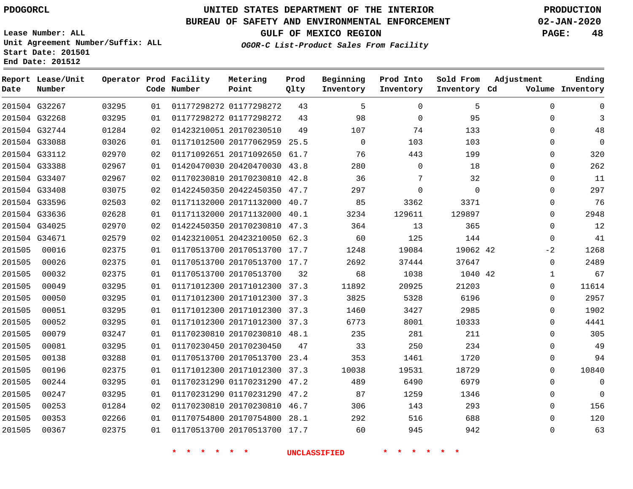# **UNITED STATES DEPARTMENT OF THE INTERIOR PDOGORCL PRODUCTION**

## **BUREAU OF SAFETY AND ENVIRONMENTAL ENFORCEMENT 02-JAN-2020**

**Lease Number: ALL Unit Agreement Number/Suffix: ALL Start Date: 201501**

**GULF OF MEXICO REGION PAGE: 48**

**OGOR-C List-Product Sales From Facility**

| Date          | Report Lease/Unit<br>Number |       |    | Operator Prod Facility<br>Code Number | Metering<br>Point            | Prod<br>Qlty | Beginning<br>Inventory | Prod Into<br>Inventory | Sold From<br>Inventory Cd | Adjustment   | Ending<br>Volume Inventory |
|---------------|-----------------------------|-------|----|---------------------------------------|------------------------------|--------------|------------------------|------------------------|---------------------------|--------------|----------------------------|
| 201504 G32267 |                             | 03295 | 01 |                                       | 01177298272 01177298272      | 43           | 5                      | $\mathbf 0$            | 5                         | $\mathbf 0$  | $\mathbf 0$                |
| 201504 G32268 |                             | 03295 | 01 |                                       | 01177298272 01177298272      | 43           | 98                     | $\Omega$               | 95                        | $\Omega$     | 3                          |
|               | 201504 G32744               | 01284 | 02 |                                       | 01423210051 20170230510      | 49           | 107                    | 74                     | 133                       | $\Omega$     | 48                         |
| 201504 G33088 |                             | 03026 | 01 |                                       | 01171012500 20177062959 25.5 |              | $\mathbf 0$            | 103                    | 103                       | $\Omega$     | $\mathsf{O}\xspace$        |
|               | 201504 G33112               | 02970 | 02 |                                       | 01171092651 20171092650 61.7 |              | 76                     | 443                    | 199                       | $\Omega$     | 320                        |
| 201504 G33388 |                             | 02967 | 01 |                                       | 01420470030 20420470030 43.8 |              | 280                    | $\Omega$               | 18                        | $\Omega$     | 262                        |
|               | 201504 G33407               | 02967 | 02 |                                       | 01170230810 20170230810 42.8 |              | 36                     | 7                      | 32                        | $\mathbf 0$  | 11                         |
|               | 201504 G33408               | 03075 | 02 |                                       | 01422450350 20422450350 47.7 |              | 297                    | $\Omega$               | $\Omega$                  | $\Omega$     | 297                        |
|               | 201504 G33596               | 02503 | 02 |                                       | 01171132000 20171132000      | 40.7         | 85                     | 3362                   | 3371                      | $\Omega$     | 76                         |
| 201504 G33636 |                             | 02628 | 01 |                                       | 01171132000 20171132000      | 40.1         | 3234                   | 129611                 | 129897                    | 0            | 2948                       |
| 201504 G34025 |                             | 02970 | 02 |                                       | 01422450350 20170230810 47.3 |              | 364                    | 13                     | 365                       | $\mathbf{0}$ | 12                         |
| 201504 G34671 |                             | 02579 | 02 |                                       | 01423210051 20423210050 62.3 |              | 60                     | 125                    | 144                       | $\Omega$     | 41                         |
| 201505        | 00016                       | 02375 | 01 |                                       | 01170513700 20170513700 17.7 |              | 1248                   | 19084                  | 19062 42                  | $-2$         | 1268                       |
| 201505        | 00026                       | 02375 | 01 |                                       | 01170513700 20170513700 17.7 |              | 2692                   | 37444                  | 37647                     | $\mathbf 0$  | 2489                       |
| 201505        | 00032                       | 02375 | 01 |                                       | 01170513700 20170513700      | 32           | 68                     | 1038                   | 1040 42                   | 1            | 67                         |
| 201505        | 00049                       | 03295 | 01 |                                       | 01171012300 20171012300      | 37.3         | 11892                  | 20925                  | 21203                     | 0            | 11614                      |
| 201505        | 00050                       | 03295 | 01 |                                       | 01171012300 20171012300 37.3 |              | 3825                   | 5328                   | 6196                      | 0            | 2957                       |
| 201505        | 00051                       | 03295 | 01 |                                       | 01171012300 20171012300 37.3 |              | 1460                   | 3427                   | 2985                      | $\Omega$     | 1902                       |
| 201505        | 00052                       | 03295 | 01 |                                       | 01171012300 20171012300 37.3 |              | 6773                   | 8001                   | 10333                     | $\Omega$     | 4441                       |
| 201505        | 00079                       | 03247 | 01 |                                       | 01170230810 20170230810 48.1 |              | 235                    | 281                    | 211                       | $\mathbf 0$  | 305                        |
| 201505        | 00081                       | 03295 | 01 |                                       | 01170230450 20170230450      | 47           | 33                     | 250                    | 234                       | $\Omega$     | 49                         |
| 201505        | 00138                       | 03288 | 01 |                                       | 01170513700 20170513700      | 23.4         | 353                    | 1461                   | 1720                      | $\Omega$     | 94                         |
| 201505        | 00196                       | 02375 | 01 |                                       | 01171012300 20171012300      | 37.3         | 10038                  | 19531                  | 18729                     | 0            | 10840                      |
| 201505        | 00244                       | 03295 | 01 |                                       | 01170231290 01170231290 47.2 |              | 489                    | 6490                   | 6979                      | $\Omega$     | $\mathbf 0$                |
| 201505        | 00247                       | 03295 | 01 |                                       | 01170231290 01170231290      | 47.2         | 87                     | 1259                   | 1346                      | $\Omega$     | $\Omega$                   |
| 201505        | 00253                       | 01284 | 02 |                                       | 01170230810 20170230810 46.7 |              | 306                    | 143                    | 293                       | $\Omega$     | 156                        |
| 201505        | 00353                       | 02266 | 01 |                                       | 01170754800 20170754800      | 28.1         | 292                    | 516                    | 688                       | 0            | 120                        |
| 201505        | 00367                       | 02375 | 01 |                                       | 01170513700 20170513700 17.7 |              | 60                     | 945                    | 942                       | $\Omega$     | 63                         |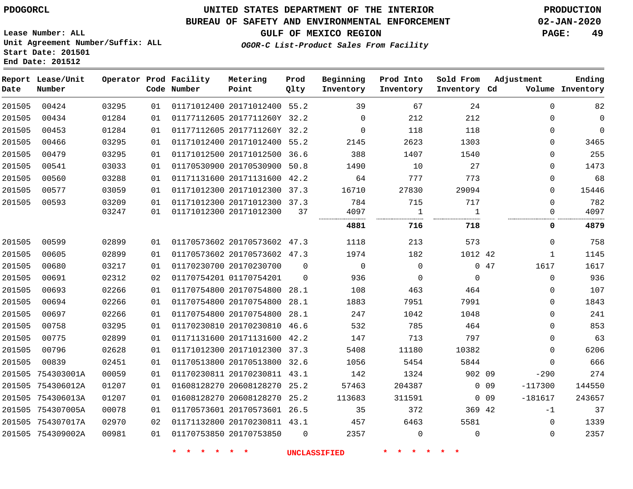## **UNITED STATES DEPARTMENT OF THE INTERIOR PDOGORCL PRODUCTION**

## **BUREAU OF SAFETY AND ENVIRONMENTAL ENFORCEMENT 02-JAN-2020**

**Lease Number: ALL Unit Agreement Number/Suffix: ALL Start Date: 201501**

## **GULF OF MEXICO REGION PAGE: 49**

**OGOR-C List-Product Sales From Facility**

| Date   | Report Lease/Unit<br>Number |                |          | Operator Prod Facility<br>Code Number | Metering<br>Point                                       | Prod<br>Qlty | Beginning<br>Inventory | Prod Into<br>Inventory | Sold From<br>Inventory Cd | Adjustment |                      | Ending<br>Volume Inventory |
|--------|-----------------------------|----------------|----------|---------------------------------------|---------------------------------------------------------|--------------|------------------------|------------------------|---------------------------|------------|----------------------|----------------------------|
| 201505 | 00424                       | 03295          | 01       |                                       | 01171012400 20171012400 55.2                            |              | 39                     | 67                     | 24                        |            | $\mathbf 0$          | 82                         |
| 201505 | 00434                       | 01284          | 01       |                                       | 01177112605 2017711260Y 32.2                            |              | $\Omega$               | 212                    | 212                       |            | $\Omega$             | 0                          |
| 201505 | 00453                       | 01284          | 01       |                                       | 01177112605 2017711260Y 32.2                            |              | $\Omega$               | 118                    | 118                       |            | $\Omega$             | $\mathbf 0$                |
| 201505 | 00466                       | 03295          | 01       |                                       | 01171012400 20171012400 55.2                            |              | 2145                   | 2623                   | 1303                      |            | $\Omega$             | 3465                       |
| 201505 | 00479                       | 03295          | 01       |                                       | 01171012500 20171012500 36.6                            |              | 388                    | 1407                   | 1540                      |            | $\Omega$             | 255                        |
| 201505 | 00541                       | 03033          | 01       |                                       | 01170530900 20170530900 50.8                            |              | 1490                   | 10                     | 27                        |            | 0                    | 1473                       |
| 201505 | 00560                       | 03288          | 01       |                                       | 01171131600 20171131600 42.2                            |              | 64                     | 777                    | 773                       |            | 0                    | 68                         |
| 201505 | 00577                       | 03059          | 01       |                                       | 01171012300 20171012300 37.3                            |              | 16710                  | 27830                  | 29094                     |            | $\Omega$             | 15446                      |
| 201505 | 00593                       | 03209<br>03247 | 01<br>01 |                                       | 01171012300 20171012300 37.3<br>01171012300 20171012300 | 37           | 784<br>4097            | 715<br>1               | 717<br>1                  |            | $\Omega$<br>$\Omega$ | 782<br>4097                |
|        |                             |                |          |                                       |                                                         |              | 4881                   | 716                    | 718                       |            | 0                    | 4879                       |
| 201505 | 00599                       | 02899          | 01       |                                       | 01170573602 20170573602 47.3                            |              | 1118                   | 213                    | 573                       |            | $\mathbf 0$          | 758                        |
| 201505 | 00605                       | 02899          | 01       |                                       | 01170573602 20170573602 47.3                            |              | 1974                   | 182                    | 1012 42                   |            | $\mathbf{1}$         | 1145                       |
| 201505 | 00680                       | 03217          | 01       |                                       | 01170230700 20170230700                                 | $\Omega$     | $\Omega$               | $\mathbf 0$            |                           | 047        | 1617                 | 1617                       |
| 201505 | 00691                       | 02312          | 02       |                                       | 01170754201 01170754201                                 | $\Omega$     | 936                    | $\mathbf 0$            | $\mathbf{0}$              |            | $\mathbf 0$          | 936                        |
| 201505 | 00693                       | 02266          | 01       |                                       | 01170754800 20170754800 28.1                            |              | 108                    | 463                    | 464                       |            | $\Omega$             | 107                        |
| 201505 | 00694                       | 02266          | 01       |                                       | 01170754800 20170754800 28.1                            |              | 1883                   | 7951                   | 7991                      |            | 0                    | 1843                       |
| 201505 | 00697                       | 02266          | 01       |                                       | 01170754800 20170754800 28.1                            |              | 247                    | 1042                   | 1048                      |            | 0                    | 241                        |
| 201505 | 00758                       | 03295          | 01       |                                       | 01170230810 20170230810                                 | 46.6         | 532                    | 785                    | 464                       |            | $\Omega$             | 853                        |
| 201505 | 00775                       | 02899          | 01       |                                       | 01171131600 20171131600 42.2                            |              | 147                    | 713                    | 797                       |            | $\Omega$             | 63                         |
| 201505 | 00796                       | 02628          | 01       |                                       | 01171012300 20171012300 37.3                            |              | 5408                   | 11180                  | 10382                     |            | 0                    | 6206                       |
| 201505 | 00839                       | 02451          | 01       |                                       | 01170513800 20170513800 32.6                            |              | 1056                   | 5454                   | 5844                      |            | $\Omega$             | 666                        |
| 201505 | 754303001A                  | 00059          | 01       |                                       | 01170230811 20170230811 43.1                            |              | 142                    | 1324                   | 902 09                    |            | $-290$               | 274                        |
| 201505 | 754306012A                  | 01207          | 01       |                                       | 01608128270 20608128270 25.2                            |              | 57463                  | 204387                 |                           | $0\quad09$ | $-117300$            | 144550                     |
|        | 201505 754306013A           | 01207          | 01       |                                       | 01608128270 20608128270 25.2                            |              | 113683                 | 311591                 |                           | $0\quad09$ | $-181617$            | 243657                     |
|        | 201505 754307005A           | 00078          | 01       |                                       | 01170573601 20170573601 26.5                            |              | 35                     | 372                    | 369 42                    |            | $-1$                 | 37                         |
|        | 201505 754307017A           | 02970          | 02       |                                       | 01171132800 20170230811 43.1                            |              | 457                    | 6463                   | 5581                      |            | $\mathbf 0$          | 1339                       |
|        | 201505 754309002A           | 00981          | 01       |                                       | 01170753850 20170753850                                 | $\Omega$     | 2357                   | $\Omega$               | $\Omega$                  |            | $\Omega$             | 2357                       |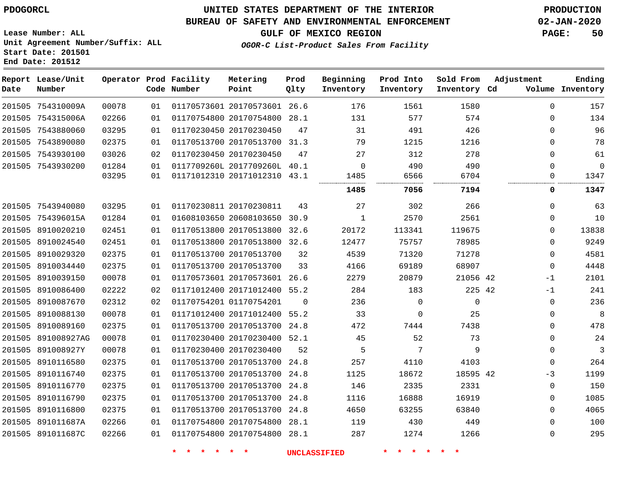## **UNITED STATES DEPARTMENT OF THE INTERIOR PDOGORCL PRODUCTION**

## **BUREAU OF SAFETY AND ENVIRONMENTAL ENFORCEMENT 02-JAN-2020**

**Lease Number: ALL Unit Agreement Number/Suffix: ALL Start Date: 201501**

**GULF OF MEXICO REGION PAGE: 50**

**OGOR-C List-Product Sales From Facility**

| Date | Report Lease/Unit<br>Number |       |    | Operator Prod Facility<br>Code Number | Metering<br>Point            | Prod<br>Qlty | Beginning<br>Inventory | Prod Into<br>Inventory | Sold From<br>Inventory Cd | Adjustment | Ending<br>Volume Inventory |
|------|-----------------------------|-------|----|---------------------------------------|------------------------------|--------------|------------------------|------------------------|---------------------------|------------|----------------------------|
|      | 201505 754310009A           | 00078 | 01 |                                       | 01170573601 20170573601 26.6 |              | 176                    | 1561                   | 1580                      | $\Omega$   | 157                        |
|      | 201505 754315006A           | 02266 | 01 |                                       | 01170754800 20170754800 28.1 |              | 131                    | 577                    | 574                       | $\Omega$   | 134                        |
|      | 201505 7543880060           | 03295 | 01 |                                       | 01170230450 20170230450      | 47           | 31                     | 491                    | 426                       | $\Omega$   | 96                         |
|      | 201505 7543890080           | 02375 | 01 |                                       | 01170513700 20170513700 31.3 |              | 79                     | 1215                   | 1216                      | 0          | 78                         |
|      | 201505 7543930100           | 03026 | 02 |                                       | 01170230450 20170230450      | 47           | 27                     | 312                    | 278                       | 0          | 61                         |
|      | 201505 7543930200           | 01284 | 01 |                                       | 0117709260L 2017709260L 40.1 |              | $\mathbf 0$            | 490                    | 490                       | 0          | $\mathbf 0$                |
|      |                             | 03295 | 01 |                                       | 01171012310 20171012310 43.1 |              | 1485                   | 6566                   | 6704                      | 0          | 1347                       |
|      |                             |       |    |                                       |                              |              | 1485                   | 7056                   | 7194                      | 0          | 1347                       |
|      | 201505 7543940080           | 03295 | 01 |                                       | 01170230811 20170230811      | 43           | 27                     | 302                    | 266                       | 0          | 63                         |
|      | 201505 754396015A           | 01284 | 01 |                                       | 01608103650 20608103650 30.9 |              | $\mathbf{1}$           | 2570                   | 2561                      | 0          | 10                         |
|      | 201505 8910020210           | 02451 | 01 |                                       | 01170513800 20170513800 32.6 |              | 20172                  | 113341                 | 119675                    | 0          | 13838                      |
|      | 201505 8910024540           | 02451 | 01 |                                       | 01170513800 20170513800 32.6 |              | 12477                  | 75757                  | 78985                     | $\Omega$   | 9249                       |
|      | 201505 8910029320           | 02375 | 01 |                                       | 01170513700 20170513700      | 32           | 4539                   | 71320                  | 71278                     | $\Omega$   | 4581                       |
|      | 201505 8910034440           | 02375 | 01 |                                       | 01170513700 20170513700      | 33           | 4166                   | 69189                  | 68907                     | $\Omega$   | 4448                       |
|      | 201505 8910039150           | 00078 | 01 |                                       | 01170573601 20170573601 26.6 |              | 2279                   | 20879                  | 21056 42                  | $-1$       | 2101                       |
|      | 201505 8910086400           | 02222 | 02 |                                       | 01171012400 20171012400 55.2 |              | 284                    | 183                    | 225 42                    | $-1$       | 241                        |
|      | 201505 8910087670           | 02312 | 02 |                                       | 01170754201 01170754201      | $\Omega$     | 236                    | $\Omega$               | $\Omega$                  | 0          | 236                        |
|      | 201505 8910088130           | 00078 | 01 |                                       | 01171012400 20171012400 55.2 |              | 33                     | $\Omega$               | 25                        | 0          | 8                          |
|      | 201505 8910089160           | 02375 | 01 |                                       | 01170513700 20170513700 24.8 |              | 472                    | 7444                   | 7438                      | 0          | 478                        |
|      | 201505 891008927AG          | 00078 | 01 |                                       | 01170230400 20170230400 52.1 |              | 45                     | 52                     | 73                        | 0          | 24                         |
|      | 201505 891008927Y           | 00078 | 01 |                                       | 01170230400 20170230400      | 52           | 5                      | 7                      | 9                         | 0          | $\mathbf{3}$               |
|      | 201505 8910116580           | 02375 | 01 |                                       | 01170513700 20170513700 24.8 |              | 257                    | 4110                   | 4103                      | 0          | 264                        |
|      | 201505 8910116740           | 02375 | 01 |                                       | 01170513700 20170513700 24.8 |              | 1125                   | 18672                  | 18595 42                  | $-3$       | 1199                       |
|      | 201505 8910116770           | 02375 | 01 |                                       | 01170513700 20170513700      | 24.8         | 146                    | 2335                   | 2331                      | 0          | 150                        |
|      | 201505 8910116790           | 02375 | 01 |                                       | 01170513700 20170513700      | 24.8         | 1116                   | 16888                  | 16919                     | $\Omega$   | 1085                       |
|      | 201505 8910116800           | 02375 | 01 |                                       | 01170513700 20170513700 24.8 |              | 4650                   | 63255                  | 63840                     | $\Omega$   | 4065                       |
|      | 201505 891011687A           | 02266 | 01 |                                       | 01170754800 20170754800 28.1 |              | 119                    | 430                    | 449                       | $\Omega$   | 100                        |
|      | 201505 891011687C           | 02266 | 01 |                                       | 01170754800 20170754800 28.1 |              | 287                    | 1274                   | 1266                      | 0          | 295                        |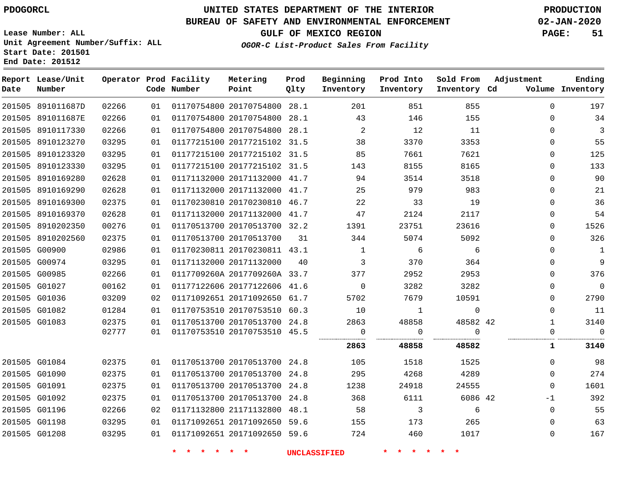**Report Lease/Unit**

G01208

# **UNITED STATES DEPARTMENT OF THE INTERIOR PDOGORCL PRODUCTION**

**Prod**

#### **BUREAU OF SAFETY AND ENVIRONMENTAL ENFORCEMENT 02-JAN-2020**

**Lease Number: ALL Unit Agreement Number/Suffix: ALL Start Date: 201501 End Date: 201512**

**Operator Prod Facility**

**OGOR-C List-Product Sales From Facility**

**Beginning**

**Prod Into**

**Sold From**

**Adjustment**

**GULF OF MEXICO REGION PAGE: 51**

**Ending**

 $\Omega$ 

| Date | Number            |       |    | Code Number | Point                              | Qlty | Inventory                  | Inventory                | Inventory Cd    |              | Volume Inventory |
|------|-------------------|-------|----|-------------|------------------------------------|------|----------------------------|--------------------------|-----------------|--------------|------------------|
|      | 201505 891011687D | 02266 | 01 |             | 01170754800 20170754800 28.1       |      | 201                        | 851                      | 855             | $\Omega$     | 197              |
|      | 201505 891011687E | 02266 | 01 |             | 01170754800 20170754800 28.1       |      | 43                         | 146                      | 155             | $\mathbf 0$  | 34               |
|      | 201505 8910117330 | 02266 | 01 |             | 01170754800 20170754800 28.1       |      | $\overline{\phantom{a}}$ 2 | 12                       | 11              | $\Omega$     | -3               |
|      | 201505 8910123270 | 03295 | 01 |             | 01177215100 20177215102 31.5       |      | 38                         | 3370                     | 3353            | $\Omega$     | 55               |
|      | 201505 8910123320 | 03295 | 01 |             | 01177215100 20177215102 31.5       |      | 85                         | 7661                     | 7621            | 0            | 125              |
|      | 201505 8910123330 | 03295 | 01 |             | 01177215100 20177215102 31.5       |      | 143                        | 8155                     | 8165            | $\Omega$     | 133              |
|      | 201505 8910169280 | 02628 | 01 |             | 01171132000 20171132000 41.7       |      | 94                         | 3514                     | 3518            | $\Omega$     | 90               |
|      | 201505 8910169290 | 02628 | 01 |             | 01171132000 20171132000 41.7       |      | 25                         | 979                      | 983             | 0            | 21               |
|      | 201505 8910169300 | 02375 | 01 |             | 01170230810 20170230810 46.7       |      | 22                         | 33                       | 19              | $\Omega$     | 36               |
|      | 201505 8910169370 | 02628 | 01 |             | 01171132000 20171132000 41.7       |      | 47                         | 2124                     | 2117            | $\Omega$     | 54               |
|      | 201505 8910202350 | 00276 | 01 |             | 01170513700 20170513700 32.2       |      | 1391                       | 23751                    | 23616           | 0            | 1526             |
|      | 201505 8910202560 | 02375 | 01 |             | 01170513700 20170513700            | 31   | 344                        | 5074                     | 5092            | 0            | 326              |
|      | 201505 G00900     | 02986 | 01 |             | 01170230811 20170230811 43.1       |      | $\overline{1}$             | $6\overline{6}$          | $6\overline{6}$ | $\Omega$     | $\mathbf{1}$     |
|      | 201505 G00974     | 03295 | 01 |             | 01171132000 20171132000            | 40   | $\overline{\mathbf{3}}$    | 370                      | 364             | $\Omega$     | 9                |
|      | 201505 G00985     | 02266 | 01 |             | 0117709260A 2017709260A 33.7       |      | 377                        | 2952                     | 2953            | $\Omega$     | 376              |
|      | 201505 G01027     | 00162 | 01 |             | 01177122606 20177122606 41.6       |      | $\overline{0}$             | 3282                     | 3282            | 0            | $\overline{0}$   |
|      | 201505 G01036     | 03209 | 02 |             | 01171092651 20171092650 61.7       |      | 5702                       | 7679                     | 10591           | $\mathbf{0}$ | 2790             |
|      | 201505 G01082     | 01284 | 01 |             | 01170753510 20170753510 60.3       |      | 10                         | $\overline{1}$           | $\overline{0}$  | $\mathbf 0$  | 11               |
|      | 201505 G01083     | 02375 | 01 |             | 01170513700 20170513700 24.8       |      | 2863                       | 48858                    | 48582 42        | $\mathbf{1}$ | 3140             |
|      |                   | 02777 |    |             | 01  01170753510  20170753510  45.5 |      | $\overline{0}$             | $\overline{0}$           | $\overline{0}$  | 0            | $\overline{0}$   |
|      |                   |       |    |             |                                    |      | 2863                       | 48858                    | 48582           | $\mathbf{1}$ | 3140             |
|      | 201505 G01084     | 02375 |    |             | 01 01170513700 20170513700 24.8    |      | 105                        | 1518                     | 1525            | $\Omega$     | 98               |
|      | 201505 G01090     | 02375 |    |             | 01 01170513700 20170513700 24.8    |      | 295                        | 4268                     | 4289            | $\mathbf{0}$ | 274              |
|      | 201505 G01091     | 02375 | 01 |             | 01170513700 20170513700 24.8       |      | 1238                       | 24918                    | 24555           | $\Omega$     | 1601             |
|      | 201505 G01092     | 02375 | 01 |             | 01170513700 20170513700 24.8       |      | 368                        | 6111                     | 6086 42         | $-1$         | 392              |
|      | 201505 G01196     | 02266 | 02 |             | 01171132800 21171132800 48.1       |      | 58                         | $\overline{\phantom{a}}$ | $6\overline{6}$ | $\mathbf{0}$ | 55               |
|      | 201505 G01198     | 03295 |    |             | 01 01171092651 20171092650 59.6    |      | 155                        | 173                      | 265             | $\mathbf{0}$ | 63               |

**Metering**

**\* \* \* \* \* \* UNCLASSIFIED \* \* \* \* \* \***

01171092651 20171092650 59.6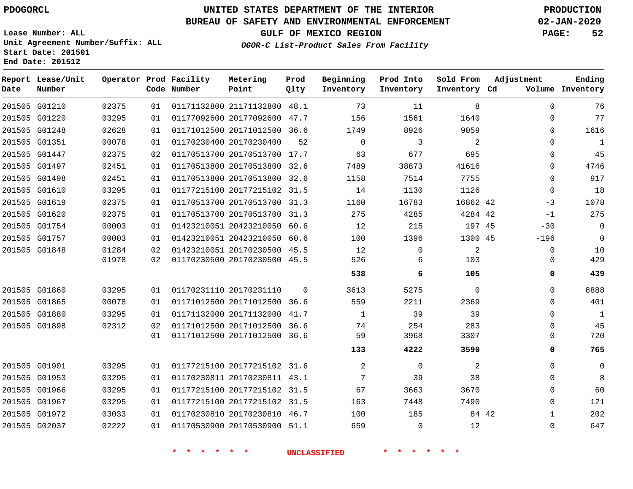#### **BUREAU OF SAFETY AND ENVIRONMENTAL ENFORCEMENT 02-JAN-2020**

**OGOR-C List-Product Sales From Facility**

**GULF OF MEXICO REGION PAGE: 52**

**Ending**

**Lease Number: ALL Unit Agreement Number/Suffix: ALL Start Date: 201501 End Date: 201512**

|      | Report Lease/Unit |       |    | Operator Prod Facility | Metering                     | Prod     | Beginning | Prod Into   | Sold From    | Adjustment   | Ending           |
|------|-------------------|-------|----|------------------------|------------------------------|----------|-----------|-------------|--------------|--------------|------------------|
| Date | Number            |       |    | Code Number            | Point                        | Qlty     | Inventory | Inventory   | Inventory Cd |              | Volume Inventory |
|      | 201505 G01210     | 02375 | 01 |                        | 01171132800 21171132800 48.1 |          | 73        | 11          | 8            | $\Omega$     | 76               |
|      | 201505 G01220     | 03295 | 01 |                        | 01177092600 20177092600 47.7 |          | 156       | 1561        | 1640         | $\Omega$     | 77               |
|      | 201505 G01248     | 02628 | 01 |                        | 01171012500 20171012500 36.6 |          | 1749      | 8926        | 9059         | $\Omega$     | 1616             |
|      | 201505 G01351     | 00078 | 01 |                        | 01170230400 20170230400      | 52       | $\Omega$  | 3           | 2            | $\Omega$     | $\mathbf{1}$     |
|      | 201505 G01447     | 02375 | 02 |                        | 01170513700 20170513700 17.7 |          | 63        | 677         | 695          | $\Omega$     | 45               |
|      | 201505 G01497     | 02451 | 01 |                        | 01170513800 20170513800 32.6 |          | 7489      | 38873       | 41616        | $\Omega$     | 4746             |
|      | 201505 G01498     | 02451 | 01 |                        | 01170513800 20170513800 32.6 |          | 1158      | 7514        | 7755         | $\Omega$     | 917              |
|      | 201505 G01610     | 03295 | 01 |                        | 01177215100 20177215102 31.5 |          | 14        | 1130        | 1126         | 0            | 18               |
|      | 201505 G01619     | 02375 | 01 |                        | 01170513700 20170513700 31.3 |          | 1160      | 16783       | 16862 42     | $-3$         | 1078             |
|      | 201505 G01620     | 02375 | 01 |                        | 01170513700 20170513700 31.3 |          | 275       | 4285        | 4284 42      | $-1$         | 275              |
|      | 201505 G01754     | 00003 | 01 |                        | 01423210051 20423210050 60.6 |          | 12        | 215         | 197 45       | $-30$        | $\overline{0}$   |
|      | 201505 G01757     | 00003 | 01 |                        | 01423210051 20423210050 60.6 |          | 100       | 1396        | 1300 45      | $-196$       | $\mathbf 0$      |
|      | 201505 G01848     | 01284 | 02 |                        | 01423210051 20170230500 45.5 |          | 12        | $\mathbf 0$ | 2            | $\mathbf 0$  | 10               |
|      |                   | 01978 | 02 |                        | 01170230500 20170230500 45.5 |          | 526       | 6           | 103          | $\Omega$     | 429              |
|      |                   |       |    |                        |                              |          | 538       | 6           | 105          | 0            | 439              |
|      | 201505 G01860     | 03295 | 01 |                        | 01170231110 20170231110      | $\Omega$ | 3613      | 5275        | $\Omega$     | $\Omega$     | 8888             |
|      | 201505 G01865     | 00078 | 01 |                        | 01171012500 20171012500      | 36.6     | 559       | 2211        | 2369         | $\Omega$     | 401              |
|      | 201505 G01880     | 03295 | 01 |                        | 01171132000 20171132000      | 41.7     | 1         | 39          | 39           | $\Omega$     | $\mathbf{1}$     |
|      | 201505 G01898     | 02312 | 02 |                        | 01171012500 20171012500 36.6 |          | 74        | 254         | 283          | $\Omega$     | 45               |
|      |                   |       | 01 |                        | 01171012500 20171012500 36.6 |          | 59        | 3968        | 3307         | 0            | 720              |
|      |                   |       |    |                        |                              |          | 133       | 4222        | 3590         | 0            | 765              |
|      | 201505 G01901     | 03295 | 01 |                        | 01177215100 20177215102 31.6 |          | 2         | $\Omega$    | 2            | $\Omega$     | $\mathbf 0$      |
|      | 201505 G01953     | 03295 | 01 |                        | 01170230811 20170230811 43.1 |          | 7         | 39          | 38           | $\Omega$     | 8                |
|      | 201505 G01966     | 03295 | 01 |                        | 01177215100 20177215102 31.5 |          | 67        | 3663        | 3670         | $\Omega$     | 60               |
|      | 201505 G01967     | 03295 | 01 |                        | 01177215100 20177215102 31.5 |          | 163       | 7448        | 7490         | $\mathbf{0}$ | 121              |
|      | 201505 G01972     | 03033 | 01 |                        | 01170230810 20170230810 46.7 |          | 100       | 185         | 84 42        | $\mathbf{1}$ | 202              |
|      | 201505 G02037     | 02222 | 01 |                        | 01170530900 20170530900 51.1 |          | 659       | $\Omega$    | 12           | $\mathbf{0}$ | 647              |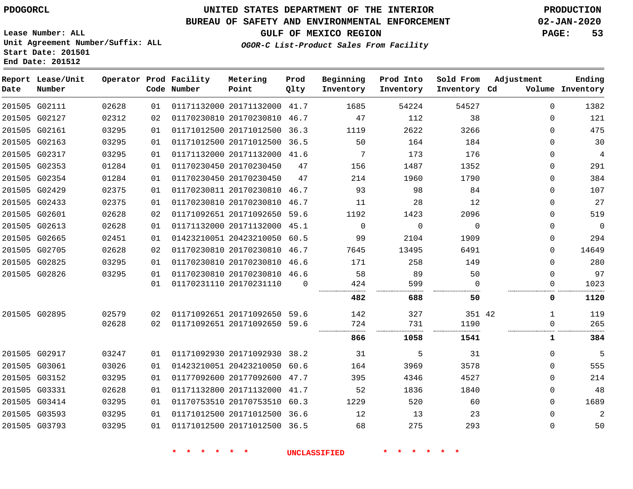## **BUREAU OF SAFETY AND ENVIRONMENTAL ENFORCEMENT 02-JAN-2020**

**Lease Number: ALL Unit Agreement Number/Suffix: ALL Start Date: 201501 End Date: 201512**

**OGOR-C List-Product Sales From Facility**

**GULF OF MEXICO REGION PAGE: 53**

| Date | Report Lease/Unit<br>Number |       |    | Operator Prod Facility<br>Code Number | Metering<br>Point            | Prod<br>Qlty | Beginning<br>Inventory | Prod Into<br>Inventory | Sold From<br>Inventory Cd | Adjustment  | Ending<br>Volume Inventory |
|------|-----------------------------|-------|----|---------------------------------------|------------------------------|--------------|------------------------|------------------------|---------------------------|-------------|----------------------------|
|      | 201505 G02111               | 02628 | 01 |                                       | 01171132000 20171132000 41.7 |              | 1685                   | 54224                  | 54527                     | $\Omega$    | 1382                       |
|      | 201505 G02127               | 02312 | 02 |                                       | 01170230810 20170230810      | 46.7         | 47                     | 112                    | 38                        | $\Omega$    | 121                        |
|      | 201505 G02161               | 03295 | 01 |                                       | 01171012500 20171012500      | 36.3         | 1119                   | 2622                   | 3266                      | $\Omega$    | 475                        |
|      | 201505 G02163               | 03295 | 01 |                                       | 01171012500 20171012500      | 36.5         | 50                     | 164                    | 184                       | $\Omega$    | 30                         |
|      | 201505 G02317               | 03295 | 01 |                                       | 01171132000 20171132000 41.6 |              | 7                      | 173                    | 176                       | $\Omega$    | $\overline{4}$             |
|      | 201505 G02353               | 01284 | 01 |                                       | 01170230450 20170230450      | 47           | 156                    | 1487                   | 1352                      | $\Omega$    | 291                        |
|      | 201505 G02354               | 01284 | 01 |                                       | 01170230450 20170230450      | 47           | 214                    | 1960                   | 1790                      | $\Omega$    | 384                        |
|      | 201505 G02429               | 02375 | 01 |                                       | 01170230811 20170230810 46.7 |              | 93                     | 98                     | 84                        | $\mathbf 0$ | 107                        |
|      | 201505 G02433               | 02375 | 01 |                                       | 01170230810 20170230810      | 46.7         | 11                     | 28                     | 12                        | 0           | 27                         |
|      | 201505 G02601               | 02628 | 02 |                                       | 01171092651 20171092650      | 59.6         | 1192                   | 1423                   | 2096                      | $\mathbf 0$ | 519                        |
|      | 201505 G02613               | 02628 | 01 |                                       | 01171132000 20171132000      | 45.1         | $\mathbf 0$            | $\Omega$               | $\Omega$                  | $\Omega$    | $\overline{0}$             |
|      | 201505 G02665               | 02451 | 01 |                                       | 01423210051 20423210050      | 60.5         | 99                     | 2104                   | 1909                      | $\Omega$    | 294                        |
|      | 201505 G02705               | 02628 | 02 |                                       | 01170230810 20170230810      | 46.7         | 7645                   | 13495                  | 6491                      | $\Omega$    | 14649                      |
|      | 201505 G02825               | 03295 | 01 |                                       | 01170230810 20170230810      | 46.6         | 171                    | 258                    | 149                       | 0           | 280                        |
|      | 201505 G02826               | 03295 | 01 |                                       | 01170230810 20170230810 46.6 |              | 58                     | 89                     | 50                        | $\Omega$    | 97                         |
|      |                             |       | 01 |                                       | 01170231110 20170231110      | $\Omega$     | 424                    | 599                    | $\Omega$                  | 0           | 1023                       |
|      |                             |       |    |                                       |                              |              | 482                    | 688                    | 50                        | 0           | 1120                       |
|      | 201505 G02895               | 02579 | 02 |                                       | 01171092651 20171092650      | 59.6         | 142                    | 327                    | 351 42                    | 1           | 119                        |
|      |                             | 02628 | 02 |                                       | 01171092651 20171092650      | 59.6         | 724                    | 731                    | 1190                      | 0           | 265                        |
|      |                             |       |    |                                       |                              |              | 866                    | 1058                   | 1541                      | 1           | 384                        |
|      | 201505 G02917               | 03247 | 01 |                                       | 01171092930 20171092930      | 38.2         | 31                     | 5                      | 31                        | $\Omega$    | 5                          |
|      | 201505 G03061               | 03026 | 01 |                                       | 01423210051 20423210050      | 60.6         | 164                    | 3969                   | 3578                      | $\Omega$    | 555                        |
|      | 201505 G03152               | 03295 | 01 |                                       | 01177092600 20177092600      | 47.7         | 395                    | 4346                   | 4527                      | 0           | 214                        |
|      | 201505 G03331               | 02628 | 01 |                                       | 01171132800 20171132000      | 41.7         | 52                     | 1836                   | 1840                      | $\Omega$    | 48                         |
|      | 201505 G03414               | 03295 | 01 |                                       | 01170753510 20170753510      | 60.3         | 1229                   | 520                    | 60                        | 0           | 1689                       |
|      | 201505 G03593               | 03295 | 01 |                                       | 01171012500 20171012500      | 36.6         | 12                     | 13                     | 23                        | $\Omega$    | $\overline{a}$             |
|      | 201505 G03793               | 03295 | 01 |                                       | 01171012500 20171012500      | 36.5         | 68                     | 275                    | 293                       | $\Omega$    | 50                         |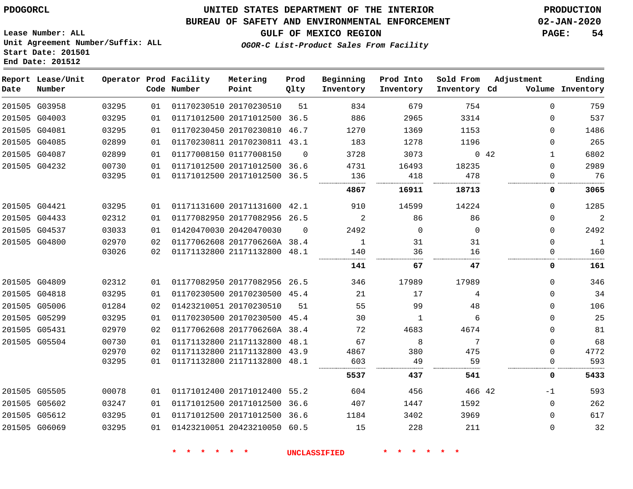### **BUREAU OF SAFETY AND ENVIRONMENTAL ENFORCEMENT 02-JAN-2020**

**GULF OF MEXICO REGION PAGE: 54**

**Lease Number: ALL Unit Agreement Number/Suffix: ALL Start Date: 201501 End Date: 201512**

## **OGOR-C List-Product Sales From Facility**

| Date | Report Lease/Unit<br>Number |       |    | Operator Prod Facility<br>Code Number | Metering<br>Point            | Prod<br>Qlty | Beginning<br>Inventory | Prod Into<br>Inventory | Sold From<br>Inventory Cd | Adjustment          | Ending<br>Volume Inventory |
|------|-----------------------------|-------|----|---------------------------------------|------------------------------|--------------|------------------------|------------------------|---------------------------|---------------------|----------------------------|
|      | 201505 G03958               | 03295 | 01 |                                       | 01170230510 20170230510      | 51           | 834                    | 679                    | 754                       | $\Omega$            | 759                        |
|      | 201505 G04003               | 03295 | 01 |                                       | 01171012500 20171012500 36.5 |              | 886                    | 2965                   | 3314                      | $\Omega$            | 537                        |
|      | 201505 G04081               | 03295 | 01 |                                       | 01170230450 20170230810 46.7 |              | 1270                   | 1369                   | 1153                      | $\Omega$            | 1486                       |
|      | 201505 G04085               | 02899 | 01 |                                       | 01170230811 20170230811 43.1 |              | 183                    | 1278                   | 1196                      | $\Omega$            | 265                        |
|      | 201505 G04087               | 02899 | 01 |                                       | 01177008150 01177008150      | $\Omega$     | 3728                   | 3073                   |                           | 042<br>$\mathbf{1}$ | 6802                       |
|      | 201505 G04232               | 00730 | 01 |                                       | 01171012500 20171012500 36.6 |              | 4731                   | 16493                  | 18235                     | $\Omega$            | 2989                       |
|      |                             | 03295 | 01 |                                       | 01171012500 20171012500 36.5 |              | 136                    | 418                    | 478                       | $\mathbf{0}$        | 76                         |
|      |                             |       |    |                                       |                              |              | 4867                   | 16911                  | 18713                     | 0                   | 3065                       |
|      | 201505 G04421               | 03295 | 01 |                                       | 01171131600 20171131600 42.1 |              | 910                    | 14599                  | 14224                     | $\Omega$            | 1285                       |
|      | 201505 G04433               | 02312 | 01 |                                       | 01177082950 20177082956 26.5 |              | 2                      | 86                     | 86                        | $\Omega$            | $\overline{2}$             |
|      | 201505 G04537               | 03033 | 01 |                                       | 01420470030 20420470030      | $\Omega$     | 2492                   | $\Omega$               | $\Omega$                  | $\Omega$            | 2492                       |
|      | 201505 G04800               | 02970 | 02 |                                       | 01177062608 2017706260A 38.4 |              | $\mathbf{1}$           | 31                     | 31                        | $\Omega$            | $\mathbf{1}$               |
|      |                             | 03026 | 02 |                                       | 01171132800 21171132800 48.1 |              | 140                    | 36                     | 16                        | $\Omega$            | 160                        |
|      |                             |       |    |                                       |                              |              | 141                    | 67                     | 47                        | 0                   | 161                        |
|      | 201505 G04809               | 02312 | 01 |                                       | 01177082950 20177082956 26.5 |              | 346                    | 17989                  | 17989                     | $\Omega$            | 346                        |
|      | 201505 G04818               | 03295 | 01 |                                       | 01170230500 20170230500 45.4 |              | 21                     | 17                     | 4                         | $\mathbf 0$         | 34                         |
|      | 201505 G05006               | 01284 | 02 |                                       | 01423210051 20170230510      | 51           | 55                     | 99                     | 48                        | 0                   | 106                        |
|      | 201505 G05299               | 03295 | 01 |                                       | 01170230500 20170230500 45.4 |              | 30                     | 1                      | 6                         | $\Omega$            | 25                         |
|      | 201505 G05431               | 02970 | 02 |                                       | 01177062608 2017706260A 38.4 |              | 72                     | 4683                   | 4674                      | $\Omega$            | 81                         |
|      | 201505 G05504               | 00730 | 01 |                                       | 01171132800 21171132800 48.1 |              | 67                     | 8                      | 7                         | $\Omega$            | 68                         |
|      |                             | 02970 | 02 |                                       | 01171132800 21171132800      | 43.9         | 4867                   | 380                    | 475                       | $\Omega$            | 4772                       |
|      |                             | 03295 | 01 |                                       | 01171132800 21171132800 48.1 |              | 603                    | 49                     | 59                        | $\Omega$            | 593                        |
|      |                             |       |    |                                       |                              |              | 5537                   | 437                    | 541                       | 0                   | 5433                       |
|      | 201505 G05505               | 00078 | 01 |                                       | 01171012400 20171012400 55.2 |              | 604                    | 456                    | 466 42                    | $-1$                | 593                        |
|      | 201505 G05602               | 03247 | 01 |                                       | 01171012500 20171012500      | 36.6         | 407                    | 1447                   | 1592                      | $\mathbf 0$         | 262                        |
|      | 201505 G05612               | 03295 | 01 |                                       | 01171012500 20171012500 36.6 |              | 1184                   | 3402                   | 3969                      | $\mathbf 0$         | 617                        |
|      | 201505 G06069               | 03295 | 01 |                                       | 01423210051 20423210050 60.5 |              | 15                     | 228                    | 211                       | $\Omega$            | 32                         |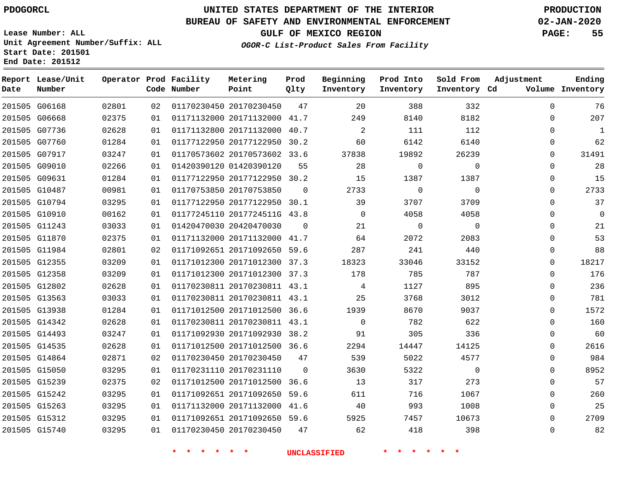**Report Lease/Unit**

**Number**

**Date**

# **UNITED STATES DEPARTMENT OF THE INTERIOR PDOGORCL PRODUCTION**

**Prod**  $Q1 + 3z$ 

**Metering Point**

#### **BUREAU OF SAFETY AND ENVIRONMENTAL ENFORCEMENT 02-JAN-2020**

**Lease Number: ALL Unit Agreement Number/Suffix: ALL Start Date: 201501 End Date: 201512**

**Operator Prod Facility**

**OGOR-C List-Product Sales From Facility**

**Beginning Inventory**

**Prod Into Inventory**

**Sold From Inventory**

**GULF OF MEXICO REGION PAGE: 55**

**Adjustment**

**Ending**

| Number |       |    | Code Number | Point                        | Qlty     | Inventory      | Inventory   | Inventory Cd |             | Volume Inventory |
|--------|-------|----|-------------|------------------------------|----------|----------------|-------------|--------------|-------------|------------------|
| G06168 | 02801 | 02 |             | 01170230450 20170230450      | 47       | 20             | 388         | 332          | $\mathbf 0$ | 76               |
| G06668 | 02375 | 01 |             | 01171132000 20171132000 41.7 |          | 249            | 8140        | 8182         | 0           | 207              |
| G07736 | 02628 | 01 |             | 01171132800 20171132000 40.7 |          | $\overline{2}$ | 111         | 112          | $\mathbf 0$ | $\mathbf{1}$     |
| G07760 | 01284 | 01 |             | 01177122950 20177122950 30.2 |          | 60             | 6142        | 6140         | 0           | 62               |
| G07917 | 03247 | 01 |             | 01170573602 20170573602 33.6 |          | 37838          | 19892       | 26239        | 0           | 31491            |
| G09010 | 02266 | 01 |             | 01420390120 01420390120      | 55       | 28             | $\mathbf 0$ | $\mathbf 0$  | $\mathbf 0$ | 28               |
| G09631 | 01284 | 01 |             | 01177122950 20177122950 30.2 |          | 15             | 1387        | 1387         | 0           | 15               |
| G10487 | 00981 | 01 |             | 01170753850 20170753850      | $\Omega$ | 2733           | $\mathbf 0$ | $\mathsf{O}$ | 0           | 2733             |
| G10794 | 03295 | 01 |             | 01177122950 20177122950 30.1 |          | 39             | 3707        | 3709         | 0           | 37               |
| G10910 | 00162 | 01 |             | 01177245110 2017724511G 43.8 |          | $\mathbf 0$    | 4058        | 4058         | 0           | 0                |
| G11243 | 03033 | 01 |             | 01420470030 20420470030      | $\Omega$ | 21             | $\mathbf 0$ | $\mathbf 0$  | $\mathbf 0$ | 21               |
| G11870 | 02375 | 01 |             | 01171132000 20171132000 41.7 |          | 64             | 2072        | 2083         | $\mathbf 0$ | 53               |
| G11984 | 02801 | 02 |             | 01171092651 20171092650 59.6 |          | 287            | 241         | 440          | 0           | 88               |
| G12355 | 03209 | 01 |             | 01171012300 20171012300 37.3 |          | 18323          | 33046       | 33152        | $\mathbf 0$ | 18217            |
| G12358 | 03209 | 01 |             | 01171012300 20171012300 37.3 |          | 178            | 785         | 787          | $\mathbf 0$ | 176              |
| G12802 | 02628 | 01 |             | 01170230811 20170230811 43.1 |          | $\overline{4}$ | 1127        | 895          | $\mathbf 0$ | 236              |
| G13563 | 03033 | 01 |             | 01170230811 20170230811 43.1 |          | 25             | 3768        | 3012         | 0           | 781              |
| G13938 | 01284 | 01 |             | 01171012500 20171012500 36.6 |          | 1939           | 8670        | 9037         | $\mathbf 0$ | 1572             |
| G14342 | 02628 | 01 |             | 01170230811 20170230811 43.1 |          | $\Omega$       | 782         | 622          | $\mathbf 0$ | 160              |
| G14493 | 03247 | 01 |             | 01171092930 20171092930 38.2 |          | 91             | 305         | 336          | $\mathbf 0$ | 60               |
| G14535 | 02628 | 01 |             | 01171012500 20171012500 36.6 |          | 2294           | 14447       | 14125        | 0           | 2616             |
| G14864 | 02871 | 02 |             | 01170230450 20170230450      | 47       | 539            | 5022        | 4577         | 0           | 984              |
| G15050 | 03295 | 01 |             | 01170231110 20170231110      | $\Omega$ | 3630           | 5322        | $\mathbf 0$  | $\mathbf 0$ | 8952             |
| G15239 | 02375 | 02 |             | 01171012500 20171012500 36.6 |          | 13             | 317         | 273          | $\mathbf 0$ | 57               |
| G15242 | 03295 | 01 |             | 01171092651 20171092650 59.6 |          | 611            | 716         | 1067         | $\mathbf 0$ | 260              |
| G15263 | 03295 | 01 |             | 01171132000 20171132000 41.6 |          | 40             | 993         | 1008         | 0           | 25               |
| G15312 | 03295 | 01 |             | 01171092651 20171092650 59.6 |          | 5925           | 7457        | 10673        | $\mathbf 0$ | 2709             |
| G15740 | 03295 | 01 |             | 01170230450 20170230450      | 47       | 62             | 418         | 398          | $\mathbf 0$ | 82               |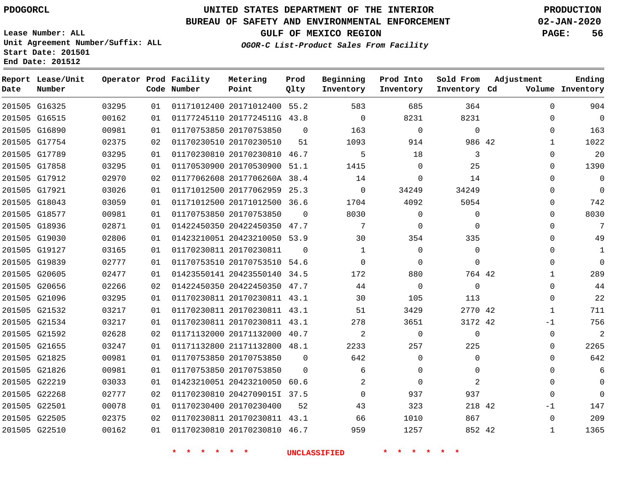## **BUREAU OF SAFETY AND ENVIRONMENTAL ENFORCEMENT 02-JAN-2020**

**Lease Number: ALL Unit Agreement Number/Suffix: ALL Start Date: 201501 End Date: 201512**

# **OGOR-C List-Product Sales From Facility**

**GULF OF MEXICO REGION PAGE: 56**

|  | OGOR-C List-Product Sales From |  |
|--|--------------------------------|--|
|  |                                |  |
|  |                                |  |

| Date          | Report Lease/Unit<br>Number |       |    | Operator Prod Facility<br>Code Number | Metering<br>Point            | Prod<br>Qlty | Beginning<br>Inventory | Prod Into<br>Inventory | Sold From<br>Inventory Cd | Adjustment |              | Ending<br>Volume Inventory |
|---------------|-----------------------------|-------|----|---------------------------------------|------------------------------|--------------|------------------------|------------------------|---------------------------|------------|--------------|----------------------------|
|               | 201505 G16325               | 03295 | 01 |                                       | 01171012400 20171012400 55.2 |              | 583                    | 685                    | 364                       |            | $\Omega$     | 904                        |
|               | 201505 G16515               | 00162 | 01 |                                       | 01177245110 2017724511G 43.8 |              | $\mathbf 0$            | 8231                   | 8231                      |            | 0            | $\overline{0}$             |
|               | 201505 G16890               | 00981 | 01 |                                       | 01170753850 20170753850      | 0            | 163                    | $\mathbf 0$            | 0                         |            | 0            | 163                        |
|               | 201505 G17754               | 02375 | 02 |                                       | 01170230510 20170230510      | 51           | 1093                   | 914                    | 986 42                    |            |              | 1022                       |
|               | 201505 G17789               | 03295 | 01 |                                       | 01170230810 20170230810 46.7 |              | 5                      | 18                     | 3                         |            | $\Omega$     | 20                         |
|               | 201505 G17858               | 03295 | 01 |                                       | 01170530900 20170530900 51.1 |              | 1415                   | $\mathbf 0$            | 25                        |            | 0            | 1390                       |
|               | 201505 G17912               | 02970 | 02 |                                       | 01177062608 2017706260A 38.4 |              | 14                     | 0                      | 14                        |            | 0            | $\mathbf 0$                |
| 201505 G17921 |                             | 03026 | 01 |                                       | 01171012500 20177062959 25.3 |              | $\mathbf 0$            | 34249                  | 34249                     |            | $\Omega$     | $\mathbf 0$                |
|               | 201505 G18043               | 03059 | 01 |                                       | 01171012500 20171012500 36.6 |              | 1704                   | 4092                   | 5054                      |            | $\Omega$     | 742                        |
|               | 201505 G18577               | 00981 | 01 |                                       | 01170753850 20170753850      | $\Omega$     | 8030                   | $\Omega$               | $\Omega$                  |            | $\Omega$     | 8030                       |
|               | 201505 G18936               | 02871 | 01 |                                       | 01422450350 20422450350 47.7 |              | 7                      | $\Omega$               | $\Omega$                  |            | $\Omega$     | 7                          |
|               | 201505 G19030               | 02806 | 01 |                                       | 01423210051 20423210050 53.9 |              | 30                     | 354                    | 335                       |            | $\Omega$     | 49                         |
|               | 201505 G19127               | 03165 | 01 |                                       | 01170230811 20170230811      | $\Omega$     | 1                      | $\Omega$               | $\Omega$                  |            | 0            | $\mathbf{1}$               |
|               | 201505 G19839               | 02777 | 01 |                                       | 01170753510 20170753510 54.6 |              | $\Omega$               | $\Omega$               | $\Omega$                  |            | $\Omega$     | $\Omega$                   |
|               | 201505 G20605               | 02477 | 01 |                                       | 01423550141 20423550140      | 34.5         | 172                    | 880                    | 764 42                    |            | $\mathbf{1}$ | 289                        |
|               | 201505 G20656               | 02266 | 02 |                                       | 01422450350 20422450350 47.7 |              | 44                     | $\Omega$               | $\Omega$                  |            | $\Omega$     | 44                         |
|               | 201505 G21096               | 03295 | 01 |                                       | 01170230811 20170230811 43.1 |              | 30                     | 105                    | 113                       |            | $\Omega$     | 22                         |
|               | 201505 G21532               | 03217 | 01 |                                       | 01170230811 20170230811 43.1 |              | 51                     | 3429                   | 2770 42                   |            | $\mathbf{1}$ | 711                        |
|               | 201505 G21534               | 03217 | 01 |                                       | 01170230811 20170230811 43.1 |              | 278                    | 3651                   | 3172 42                   |            | $-1$         | 756                        |
|               | 201505 G21592               | 02628 | 02 |                                       | 01171132000 20171132000 40.7 |              | 2                      | $\mathbf 0$            | $\Omega$                  |            | $\Omega$     | 2                          |
|               | 201505 G21655               | 03247 | 01 |                                       | 01171132800 21171132800 48.1 |              | 2233                   | 257                    | 225                       |            | 0            | 2265                       |
|               | 201505 G21825               | 00981 | 01 |                                       | 01170753850 20170753850      | $\Omega$     | 642                    | $\Omega$               | $\Omega$                  |            | $\Omega$     | 642                        |
|               | 201505 G21826               | 00981 | 01 |                                       | 01170753850 20170753850      | $\Omega$     | 6                      | $\Omega$               | $\Omega$                  |            | 0            | 6                          |
| 201505 G22219 |                             | 03033 | 01 |                                       | 01423210051 20423210050 60.6 |              | $\overline{2}$         | $\Omega$               | 2                         |            | $\Omega$     | $\Omega$                   |
| 201505 G22268 |                             | 02777 | 02 |                                       | 01170230810 2042709015I 37.5 |              | $\Omega$               | 937                    | 937                       |            | $\Omega$     | $\Omega$                   |
| 201505 G22501 |                             | 00078 | 01 |                                       | 01170230400 20170230400      | 52           | 43                     | 323                    | 218 42                    |            | $-1$         | 147                        |
|               | 201505 G22505               | 02375 | 02 |                                       | 01170230811 20170230811 43.1 |              | 66                     | 1010                   | 867                       |            | $\Omega$     | 209                        |
| 201505 G22510 |                             | 00162 | 01 |                                       | 01170230810 20170230810 46.7 |              | 959                    | 1257                   | 852 42                    |            | $\mathbf{1}$ | 1365                       |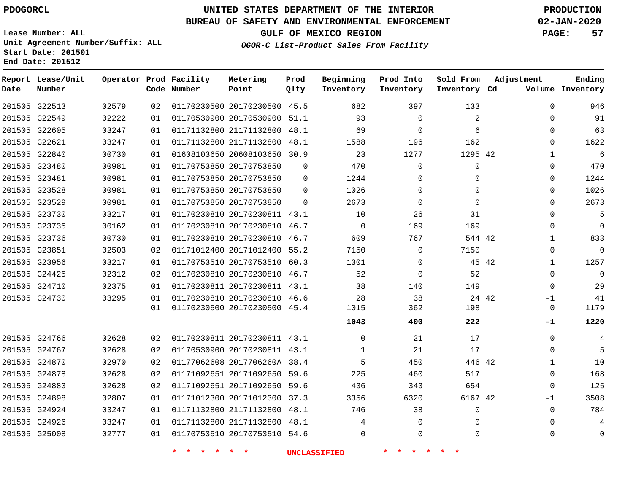# **UNITED STATES DEPARTMENT OF THE INTERIOR PDOGORCL PRODUCTION**

## **BUREAU OF SAFETY AND ENVIRONMENTAL ENFORCEMENT 02-JAN-2020**

**Lease Number: ALL Unit Agreement Number/Suffix: ALL Start Date: 201501**

## **GULF OF MEXICO REGION PAGE: 57**

**OGOR-C List-Product Sales From Facility**

| Date | Report Lease/Unit<br>Number |       |    | Operator Prod Facility<br>Code Number | Metering<br>Point            | Prod<br>Qlty | Beginning<br>Inventory | Prod Into<br>Inventory | Sold From<br>Inventory Cd | Adjustment | Ending<br>Volume Inventory  |
|------|-----------------------------|-------|----|---------------------------------------|------------------------------|--------------|------------------------|------------------------|---------------------------|------------|-----------------------------|
|      | 201505 G22513               | 02579 | 02 |                                       | 01170230500 20170230500 45.5 |              | 682                    | 397                    | 133                       |            | $\mathbf 0$<br>946          |
|      | 201505 G22549               | 02222 | 01 |                                       | 01170530900 20170530900      | 51.1         | 93                     | $\Omega$               | 2                         |            | 91<br>$\Omega$              |
|      | 201505 G22605               | 03247 | 01 |                                       | 01171132800 21171132800      | 48.1         | 69                     | $\mathbf 0$            | 6                         |            | 63<br>$\mathbf 0$           |
|      | 201505 G22621               | 03247 | 01 |                                       | 01171132800 21171132800 48.1 |              | 1588                   | 196                    | 162                       |            | 1622<br>$\mathbf 0$         |
|      | 201505 G22840               | 00730 | 01 |                                       | 01608103650 20608103650 30.9 |              | 23                     | 1277                   | 1295 42                   |            | 6<br>$\mathbf{1}$           |
|      | 201505 G23480               | 00981 | 01 |                                       | 01170753850 20170753850      | $\Omega$     | 470                    | $\mathbf 0$            | $\mathbf{0}$              |            | 470<br>$\mathbf 0$          |
|      | 201505 G23481               | 00981 | 01 |                                       | 01170753850 20170753850      | $\Omega$     | 1244                   | $\Omega$               | $\Omega$                  |            | 1244<br>$\Omega$            |
|      | 201505 G23528               | 00981 | 01 |                                       | 01170753850 20170753850      | $\Omega$     | 1026                   | $\mathbf 0$            | $\Omega$                  |            | 1026<br>$\mathbf 0$         |
|      | 201505 G23529               | 00981 | 01 |                                       | 01170753850 20170753850      | $\Omega$     | 2673                   | $\mathbf 0$            | $\mathbf 0$               |            | 2673<br>$\mathbf 0$         |
|      | 201505 G23730               | 03217 | 01 |                                       | 01170230810 20170230811 43.1 |              | 10                     | 26                     | 31                        |            | 5<br>$\Omega$               |
|      | 201505 G23735               | 00162 | 01 |                                       | 01170230810 20170230810      | 46.7         | $\mathbf 0$            | 169                    | 169                       |            | $\Omega$<br>$\mathbf 0$     |
|      | 201505 G23736               | 00730 | 01 |                                       | 01170230810 20170230810      | 46.7         | 609                    | 767                    | 544 42                    |            | 833<br>$\mathbf{1}$         |
|      | 201505 G23851               | 02503 | 02 |                                       | 01171012400 20171012400      | 55.2         | 7150                   | $\Omega$               | 7150                      |            | $\mathbf{0}$<br>$\mathbf 0$ |
|      | 201505 G23956               | 03217 | 01 |                                       | 01170753510 20170753510 60.3 |              | 1301                   | $\mathbf 0$            | 45 42                     |            | 1257<br>1                   |
|      | 201505 G24425               | 02312 | 02 |                                       | 01170230810 20170230810      | 46.7         | 52                     | $\Omega$               | 52                        |            | $\Omega$<br>$\Omega$        |
|      | 201505 G24710               | 02375 | 01 |                                       | 01170230811 20170230811 43.1 |              | 38                     | 140                    | 149                       |            | $\mathbf 0$<br>29           |
|      | 201505 G24730               | 03295 | 01 |                                       | 01170230810 20170230810      | 46.6         | 28                     | 38                     | 24 42                     |            | 41<br>$-1$                  |
|      |                             |       | 01 |                                       | 01170230500 20170230500 45.4 |              | 1015                   | 362                    | 198                       |            | 1179<br>0                   |
|      |                             |       |    |                                       |                              |              | 1043                   | 400                    | 222                       |            | 1220<br>-1                  |
|      | 201505 G24766               | 02628 | 02 |                                       | 01170230811 20170230811 43.1 |              | $\Omega$               | 21                     | 17                        |            | 4<br>$\mathbf 0$            |
|      | 201505 G24767               | 02628 | 02 |                                       | 01170530900 20170230811 43.1 |              | $\mathbf{1}$           | 21                     | 17                        |            | 5<br>$\Omega$               |
|      | 201505 G24870               | 02970 | 02 |                                       | 01177062608 2017706260A 38.4 |              | 5                      | 450                    | 446 42                    |            | 10<br>$\mathbf{1}$          |
|      | 201505 G24878               | 02628 | 02 |                                       | 01171092651 20171092650 59.6 |              | 225                    | 460                    | 517                       |            | 168<br>$\Omega$             |
|      | 201505 G24883               | 02628 | 02 |                                       | 01171092651 20171092650 59.6 |              | 436                    | 343                    | 654                       |            | 125<br>$\mathbf 0$          |
|      | 201505 G24898               | 02807 | 01 |                                       | 01171012300 20171012300      | 37.3         | 3356                   | 6320                   | 6167 42                   |            | 3508<br>$-1$                |
|      | 201505 G24924               | 03247 | 01 |                                       | 01171132800 21171132800      | 48.1         | 746                    | 38                     | $\mathbf 0$               |            | 784<br>$\Omega$             |
|      | 201505 G24926               | 03247 | 01 |                                       | 01171132800 21171132800 48.1 |              | 4                      | $\Omega$               | $\Omega$                  |            | 4<br>$\Omega$               |
|      | 201505 G25008               | 02777 | 01 |                                       | 01170753510 20170753510 54.6 |              | $\Omega$               | $\Omega$               | $\Omega$                  |            | $\Omega$<br>$\Omega$        |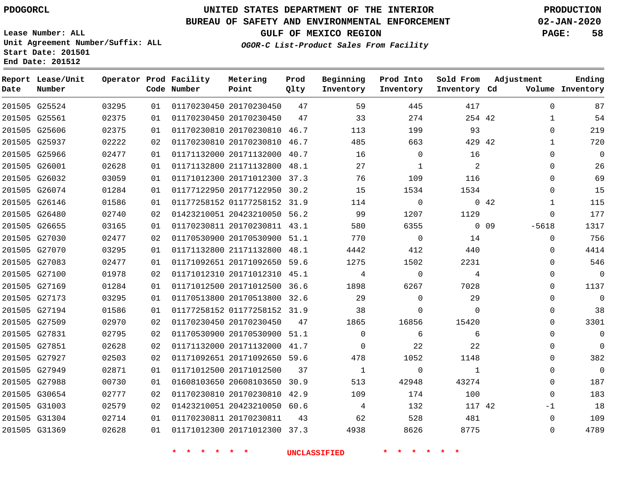**Report Lease/Unit**

**Number**

# **UNITED STATES DEPARTMENT OF THE INTERIOR PDOGORCL PRODUCTION**

**Prod Qlty**

#### **BUREAU OF SAFETY AND ENVIRONMENTAL ENFORCEMENT 02-JAN-2020**

**Lease Number: ALL Unit Agreement Number/Suffix: ALL Start Date: 201501 End Date: 201512**

**Operator Prod Facility**

**Code Number**

**Metering Point**

**GULF OF MEXICO REGION PAGE: 58**

**Inventory Cd Volume**

**Adjustment**

**Ending**

**OGOR-C List-Product Sales From Facility**

**Beginning Inventory** **Prod Into Inventory** **Sold From Inventory**

| 201505 G25524 | 03295 | 01 | 01170230450 20170230450      | 47 | 59       | 445            | 417         |             | $\Omega$     | 87             |
|---------------|-------|----|------------------------------|----|----------|----------------|-------------|-------------|--------------|----------------|
| 201505 G25561 | 02375 | 01 | 01170230450 20170230450      | 47 | 33       | 274            | 254 42      |             | $\mathbf{1}$ | 54             |
| 201505 G25606 | 02375 | 01 | 01170230810 20170230810 46.7 |    | 113      | 199            | 93          |             | 0            | 219            |
| 201505 G25937 | 02222 | 02 | 01170230810 20170230810 46.7 |    | 485      | 663            | 429 42      |             | $\mathbf{1}$ | 720            |
| 201505 G25966 | 02477 | 01 | 01171132000 20171132000 40.7 |    | 16       | $\Omega$       | 16          |             | $\Omega$     | $\Omega$       |
| 201505 G26001 | 02628 | 01 | 01171132800 21171132800 48.1 |    | 27       |                | 2           |             | $\Omega$     | 26             |
| 201505 G26032 | 03059 | 01 | 01171012300 20171012300 37.3 |    | 76       | 109            | 116         |             | $\Omega$     | 69             |
| 201505 G26074 | 01284 | 01 | 01177122950 20177122950 30.2 |    | 15       | 1534           | 1534        |             | $\Omega$     | 15             |
| 201505 G26146 | 01586 | 01 | 01177258152 01177258152 31.9 |    | 114      | $\overline{0}$ |             | $0\quad 42$ | 1            | 115            |
| 201505 G26480 | 02740 | 02 | 01423210051 20423210050 56.2 |    | 99       | 1207           | 1129        |             | $\Omega$     | 177            |
| 201505 G26655 | 03165 | 01 | 01170230811 20170230811 43.1 |    | 580      | 6355           |             | 0 0 9       | $-5618$      | 1317           |
| 201505 G27030 | 02477 | 02 | 01170530900 20170530900 51.1 |    | 770      | $\overline{0}$ | 14          |             | $\mathbf{0}$ | 756            |
| 201505 G27070 | 03295 | 01 | 01171132800 21171132800 48.1 |    | 4442     | 412            | 440         |             | $\Omega$     | 4414           |
| 201505 G27083 | 02477 | 01 | 01171092651 20171092650 59.6 |    | 1275     | 1502           | 2231        |             | $\Omega$     | 546            |
| 201505 G27100 | 01978 | 02 | 01171012310 20171012310 45.1 |    | 4        | $\overline{0}$ | 4           |             | $\Omega$     | $\overline{0}$ |
| 201505 G27169 | 01284 | 01 | 01171012500 20171012500 36.6 |    | 1898     | 6267           | 7028        |             | $\Omega$     | 1137           |
| 201505 G27173 | 03295 | 01 | 01170513800 20170513800 32.6 |    | 29       | $\Omega$       | 29          |             | $\Omega$     | $\mathbf 0$    |
| 201505 G27194 | 01586 | 01 | 01177258152 01177258152 31.9 |    | 38       | 0              | $\mathbf 0$ |             | $\Omega$     | 38             |
| 201505 G27509 | 02970 | 02 | 01170230450 20170230450      | 47 | 1865     | 16856          | 15420       |             | $\Omega$     | 3301           |
| 201505 G27831 | 02795 | 02 | 01170530900 20170530900 51.1 |    | $\Omega$ | 6              | 6           |             | $\Omega$     | $\mathbf 0$    |
| 201505 G27851 | 02628 | 02 | 01171132000 20171132000 41.7 |    | $\Omega$ | 22             | 22          |             | $\Omega$     | $\overline{0}$ |
| 201505 G27927 | 02503 | 02 | 01171092651 20171092650 59.6 |    | 478      | 1052           | 1148        |             | $\Omega$     | 382            |
| 201505 G27949 | 02871 | 01 | 01171012500 20171012500      | 37 | 1        | $\Omega$       | 1           |             | $\Omega$     | $\Omega$       |
| 201505 G27988 | 00730 | 01 | 01608103650 20608103650 30.9 |    | 513      | 42948          | 43274       |             | $\Omega$     | 187            |
| 201505 G30654 | 02777 | 02 | 01170230810 20170230810 42.9 |    | 109      | 174            | 100         |             | $\Omega$     | 183            |
| 201505 G31003 | 02579 | 02 | 01423210051 20423210050 60.6 |    | 4        | 132            | 117 42      |             | $-1$         | 18             |
| 201505 G31304 | 02714 | 01 | 01170230811 20170230811      | 43 | 62       | 528            | 481         |             | $\Omega$     | 109            |
| 201505 G31369 | 02628 | 01 | 01171012300 20171012300 37.3 |    | 4938     | 8626           | 8775        |             | $\Omega$     | 4789           |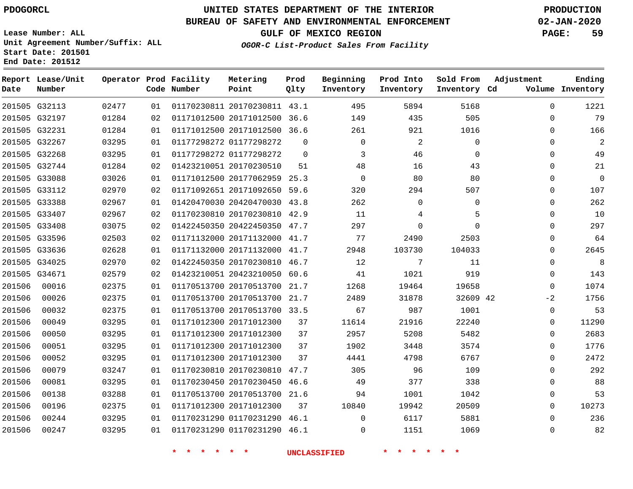**Report Lease/Unit**

## **UNITED STATES DEPARTMENT OF THE INTERIOR PDOGORCL PRODUCTION**

**Prod**

**Metering**

#### **BUREAU OF SAFETY AND ENVIRONMENTAL ENFORCEMENT 02-JAN-2020**

**Lease Number: ALL Unit Agreement Number/Suffix: ALL Start Date: 201501 End Date: 201512**

**Operator Prod Facility**

**OGOR-C List-Product Sales From Facility**

**Beginning**

**Prod Into**

**Sold From**

**GULF OF MEXICO REGION PAGE: 59**

**Adjustment**

**Ending**

| Date   | Number        |       |    | Code Number | Point                        | Qlty     | Inventory | Inventory   | Inventory Cd |          | Volume Inventory |
|--------|---------------|-------|----|-------------|------------------------------|----------|-----------|-------------|--------------|----------|------------------|
|        | 201505 G32113 | 02477 | 01 |             | 01170230811 20170230811 43.1 |          | 495       | 5894        | 5168         | $\Omega$ | 1221             |
|        | 201505 G32197 | 01284 | 02 |             | 01171012500 20171012500 36.6 |          | 149       | 435         | 505          | $\Omega$ | 79               |
|        | 201505 G32231 | 01284 | 01 |             | 01171012500 20171012500 36.6 |          | 261       | 921         | 1016         | $\Omega$ | 166              |
|        | 201505 G32267 | 03295 | 01 |             | 01177298272 01177298272      | $\Omega$ | $\Omega$  | 2           | $\Omega$     | 0        | 2                |
|        | 201505 G32268 | 03295 | 01 |             | 01177298272 01177298272      | $\Omega$ | 3         | 46          | $\Omega$     | $\Omega$ | 49               |
|        | 201505 G32744 | 01284 | 02 |             | 01423210051 20170230510      | 51       | 48        | 16          | 43           | $\Omega$ | 21               |
|        | 201505 G33088 | 03026 | 01 |             | 01171012500 20177062959 25.3 |          | $\Omega$  | 80          | 80           | 0        | $\mathbf 0$      |
|        | 201505 G33112 | 02970 | 02 |             | 01171092651 20171092650 59.6 |          | 320       | 294         | 507          | $\Omega$ | 107              |
|        | 201505 G33388 | 02967 | 01 |             | 01420470030 20420470030 43.8 |          | 262       | $\mathbf 0$ | $\mathbf 0$  | $\Omega$ | 262              |
|        | 201505 G33407 | 02967 | 02 |             | 01170230810 20170230810 42.9 |          | 11        | 4           | 5            | $\Omega$ | 10               |
|        | 201505 G33408 | 03075 | 02 |             | 01422450350 20422450350 47.7 |          | 297       | $\Omega$    | $\Omega$     | $\Omega$ | 297              |
|        | 201505 G33596 | 02503 | 02 |             | 01171132000 20171132000 41.7 |          | 77        | 2490        | 2503         | $\Omega$ | 64               |
|        | 201505 G33636 | 02628 | 01 |             | 01171132000 20171132000 41.7 |          | 2948      | 103730      | 104033       | $\Omega$ | 2645             |
|        | 201505 G34025 | 02970 | 02 |             | 01422450350 20170230810 46.7 |          | 12        | 7           | 11           | $\Omega$ | 8                |
|        | 201505 G34671 | 02579 | 02 |             | 01423210051 20423210050 60.6 |          | 41        | 1021        | 919          | 0        | 143              |
| 201506 | 00016         | 02375 | 01 |             | 01170513700 20170513700 21.7 |          | 1268      | 19464       | 19658        | $\Omega$ | 1074             |
| 201506 | 00026         | 02375 | 01 |             | 01170513700 20170513700 21.7 |          | 2489      | 31878       | 32609 42     | $-2$     | 1756             |
| 201506 | 00032         | 02375 | 01 |             | 01170513700 20170513700 33.5 |          | 67        | 987         | 1001         | 0        | 53               |
| 201506 | 00049         | 03295 | 01 |             | 01171012300 20171012300      | 37       | 11614     | 21916       | 22240        | $\Omega$ | 11290            |
| 201506 | 00050         | 03295 | 01 |             | 01171012300 20171012300      | 37       | 2957      | 5208        | 5482         | $\Omega$ | 2683             |
| 201506 | 00051         | 03295 | 01 |             | 01171012300 20171012300      | 37       | 1902      | 3448        | 3574         | 0        | 1776             |
| 201506 | 00052         | 03295 | 01 |             | 01171012300 20171012300      | 37       | 4441      | 4798        | 6767         | 0        | 2472             |
| 201506 | 00079         | 03247 | 01 |             | 01170230810 20170230810      | 47.7     | 305       | 96          | 109          | $\Omega$ | 292              |
| 201506 | 00081         | 03295 | 01 |             | 01170230450 20170230450      | 46.6     | 49        | 377         | 338          | $\Omega$ | 88               |
| 201506 | 00138         | 03288 | 01 |             | 01170513700 20170513700 21.6 |          | 94        | 1001        | 1042         | 0        | 53               |
| 201506 | 00196         | 02375 | 01 |             | 01171012300 20171012300      | 37       | 10840     | 19942       | 20509        | 0        | 10273            |
| 201506 | 00244         | 03295 | 01 |             | 01170231290 01170231290 46.1 |          | $\Omega$  | 6117        | 5881         | $\Omega$ | 236              |

**\* \* \* \* \* \* UNCLASSIFIED \* \* \* \* \* \***

01170231290 46.1

 $\Omega$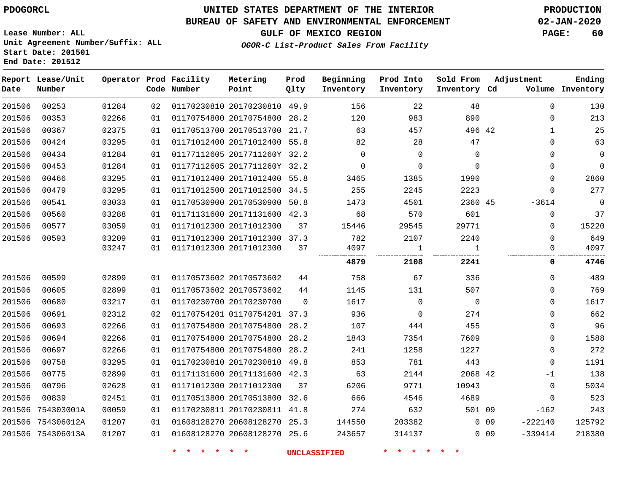## **BUREAU OF SAFETY AND ENVIRONMENTAL ENFORCEMENT 02-JAN-2020**

**Lease Number: ALL Unit Agreement Number/Suffix: ALL Start Date: 201501 End Date: 201512**

**OGOR-C List-Product Sales From Facility**

**GULF OF MEXICO REGION PAGE: 60**

| Date   | Report Lease/Unit<br>Number |       |    | Operator Prod Facility<br>Code Number | Metering<br>Point            | Prod<br>Qlty | Beginning<br>Inventory | Prod Into<br>Inventory | Sold From<br>Inventory Cd | Adjustment          | Ending<br>Volume Inventory |
|--------|-----------------------------|-------|----|---------------------------------------|------------------------------|--------------|------------------------|------------------------|---------------------------|---------------------|----------------------------|
| 201506 | 00253                       | 01284 | 02 |                                       | 01170230810 20170230810 49.9 |              | 156                    | 22                     | 48                        |                     | $\Omega$<br>130            |
| 201506 | 00353                       | 02266 | 01 |                                       | 01170754800 20170754800 28.2 |              | 120                    | 983                    | 890                       |                     | $\Omega$<br>213            |
| 201506 | 00367                       | 02375 | 01 |                                       | 01170513700 20170513700      | 21.7         | 63                     | 457                    | 496 42                    |                     | 25<br>$\mathbf{1}$         |
| 201506 | 00424                       | 03295 | 01 |                                       | 01171012400 20171012400 55.8 |              | 82                     | 28                     | 47                        |                     | 63<br>$\mathbf 0$          |
| 201506 | 00434                       | 01284 | 01 |                                       | 01177112605 2017711260Y 32.2 |              | $\Omega$               | $\Omega$               | $\Omega$                  |                     | $\mathbf 0$<br>$\Omega$    |
| 201506 | 00453                       | 01284 | 01 |                                       | 01177112605 2017711260Y 32.2 |              | $\mathbf 0$            | $\mathbf 0$            | $\Omega$                  |                     | $\overline{0}$<br>$\Omega$ |
| 201506 | 00466                       | 03295 | 01 |                                       | 01171012400 20171012400 55.8 |              | 3465                   | 1385                   | 1990                      |                     | 2860<br>0                  |
| 201506 | 00479                       | 03295 | 01 |                                       | 01171012500 20171012500 34.5 |              | 255                    | 2245                   | 2223                      |                     | 277<br>$\mathbf 0$         |
| 201506 | 00541                       | 03033 | 01 |                                       | 01170530900 20170530900 50.8 |              | 1473                   | 4501                   | 2360 45                   | $-3614$             | $\mathbf 0$                |
| 201506 | 00560                       | 03288 | 01 |                                       | 01171131600 20171131600 42.3 |              | 68                     | 570                    | 601                       |                     | 37<br>$\mathbf 0$          |
| 201506 | 00577                       | 03059 | 01 |                                       | 01171012300 20171012300      | 37           | 15446                  | 29545                  | 29771                     |                     | 15220<br>$\mathbf 0$       |
| 201506 | 00593                       | 03209 | 01 |                                       | 01171012300 20171012300 37.3 |              | 782                    | 2107                   | 2240                      |                     | 649<br>$\Omega$            |
|        |                             | 03247 | 01 |                                       | 01171012300 20171012300      | 37           | 4097                   | 1                      | 1                         |                     | 4097<br>$\mathbf 0$        |
|        |                             |       |    |                                       |                              |              | 4879                   | 2108                   | 2241                      |                     | 4746<br>0                  |
| 201506 | 00599                       | 02899 | 01 |                                       | 01170573602 20170573602      | 44           | 758                    | 67                     | 336                       |                     | 489<br>$\Omega$            |
| 201506 | 00605                       | 02899 | 01 |                                       | 01170573602 20170573602      | 44           | 1145                   | 131                    | 507                       |                     | 769<br>$\Omega$            |
| 201506 | 00680                       | 03217 | 01 |                                       | 01170230700 20170230700      | $\Omega$     | 1617                   | $\overline{0}$         | $\overline{0}$            |                     | 1617<br>$\Omega$           |
| 201506 | 00691                       | 02312 | 02 |                                       | 01170754201 01170754201 37.3 |              | 936                    | $\overline{0}$         | 274                       |                     | 662<br>$\mathbf 0$         |
| 201506 | 00693                       | 02266 | 01 |                                       | 01170754800 20170754800      | 28.2         | 107                    | 444                    | 455                       |                     | 96<br>$\mathbf 0$          |
| 201506 | 00694                       | 02266 | 01 |                                       | 01170754800 20170754800      | 28.2         | 1843                   | 7354                   | 7609                      |                     | 1588<br>$\mathbf 0$        |
| 201506 | 00697                       | 02266 | 01 |                                       | 01170754800 20170754800 28.2 |              | 241                    | 1258                   | 1227                      |                     | 272<br>$\mathbf 0$         |
| 201506 | 00758                       | 03295 | 01 |                                       | 01170230810 20170230810 49.8 |              | 853                    | 781                    | 443                       |                     | 1191<br>$\mathbf 0$        |
| 201506 | 00775                       | 02899 | 01 |                                       | 01171131600 20171131600 42.3 |              | 63                     | 2144                   | 2068 42                   |                     | 138<br>-1                  |
| 201506 | 00796                       | 02628 | 01 |                                       | 01171012300 20171012300      | 37           | 6206                   | 9771                   | 10943                     |                     | 5034<br>$\mathbf 0$        |
| 201506 | 00839                       | 02451 | 01 |                                       | 01170513800 20170513800 32.6 |              | 666                    | 4546                   | 4689                      |                     | 523<br>$\Omega$            |
| 201506 | 754303001A                  | 00059 | 01 |                                       | 01170230811 20170230811 41.8 |              | 274                    | 632                    | 501 09                    | $-162$              | 243                        |
|        | 201506 754306012A           | 01207 | 01 |                                       | 01608128270 20608128270 25.3 |              | 144550                 | 203382                 |                           | $-222140$<br>$0$ 09 | 125792                     |
|        | 201506 754306013A           | 01207 | 01 |                                       | 01608128270 20608128270 25.6 |              | 243657                 | 314137                 |                           | $-339414$<br>$0$ 09 | 218380                     |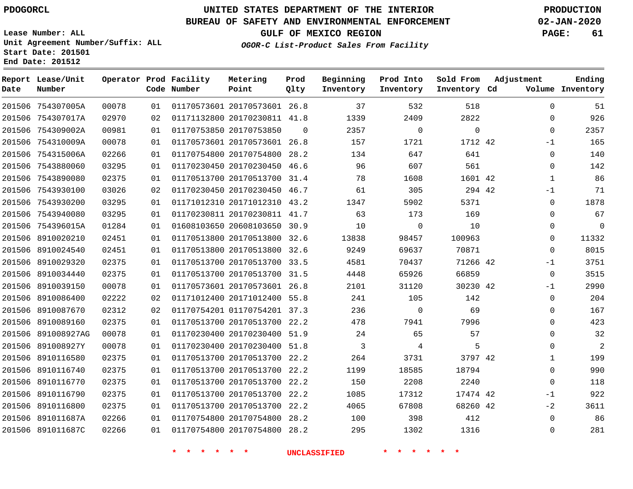**End Date: 201512**

**Report Lease/Unit**

**Number**

# **UNITED STATES DEPARTMENT OF THE INTERIOR PDOGORCL PRODUCTION**

 $\Omega$ 

**Prod Qlty**

#### **BUREAU OF SAFETY AND ENVIRONMENTAL ENFORCEMENT 02-JAN-2020**

**Lease Number: ALL Unit Agreement Number/Suffix: ALL Start Date: 201501**

> 

**Operator Prod Facility**

**Code Number**

 20170573601 26.8 20170230811 41.8

**Metering Point**

20170753850

 

**OGOR-C List-Product Sales From Facility**

 

  $\Omega$ 

  $\Omega$ 

**Sold From Inventory**

**Prod Into Inventory**

**Beginning Inventory**

**GULF OF MEXICO REGION PAGE: 61**

**Inventory Cd Volume**

**Adjustment**

 $\Omega$  $\Omega$  $\Omega$  $-1$  $\Omega$  $\Omega$   $-1$  $\Omega$  $\Omega$  $\Omega$  $\Omega$  $\overline{0}$ -1  $\Omega$  $-1$  $\Omega$  $\Omega$  $\Omega$  $\Omega$  $\Omega$   $\Omega$  -1  $-2$   $\Omega$ 

**Ending**

|    | 1712 42  | 1721     | 157   | 26.8 | 01170573601 20170573601 | 01 | 00078 | 754310009A        | 201506 |
|----|----------|----------|-------|------|-------------------------|----|-------|-------------------|--------|
|    | 641      | 647      | 134   | 28.2 | 01170754800 20170754800 | 01 | 02266 | 754315006A        | 201506 |
|    | 561      | 607      | 96    | 46.6 | 01170230450 20170230450 | 01 | 03295 | 7543880060        | 201506 |
| 42 | 1601     | 1608     | 78    | 31.4 | 01170513700 20170513700 | 01 | 02375 | 7543890080        | 201506 |
|    | 294 42   | 305      | 61    | 46.7 | 01170230450 20170230450 | 02 | 03026 | 7543930100        | 201506 |
|    | 5371     | 5902     | 1347  | 43.2 | 01171012310 20171012310 | 01 | 03295 | 7543930200        | 201506 |
|    | 169      | 173      | 63    | 41.7 | 01170230811 20170230811 | 01 | 03295 | 7543940080        | 201506 |
|    | 10       | $\Omega$ | 10    | 30.9 | 01608103650 20608103650 | 01 | 01284 | 754396015A        | 201506 |
|    | 100963   | 98457    | 13838 | 32.6 | 01170513800 20170513800 | 01 | 02451 | 8910020210        | 201506 |
|    | 70871    | 69637    | 9249  | 32.6 | 01170513800 20170513800 | 01 | 02451 | 8910024540        | 201506 |
|    | 71266 42 | 70437    | 4581  | 33.5 | 01170513700 20170513700 | 01 | 02375 | 8910029320        | 201506 |
|    | 66859    | 65926    | 4448  | 31.5 | 01170513700 20170513700 | 01 | 02375 | 8910034440        | 201506 |
|    | 30230 42 | 31120    | 2101  | 26.8 | 01170573601 20170573601 | 01 | 00078 | 8910039150        | 201506 |
|    | 142      | 105      | 241   | 55.8 | 01171012400 20171012400 | 02 | 02222 | 8910086400        | 201506 |
|    | 69       | $\Omega$ | 236   | 37.3 | 01170754201 01170754201 | 02 | 02312 | 8910087670        | 201506 |
|    | 7996     | 7941     | 478   | 22.2 | 01170513700 20170513700 | 01 | 02375 | 201506 8910089160 |        |
|    | 57       | 65       | 24    | 51.9 | 01170230400 20170230400 | 01 | 00078 | 891008927AG       | 201506 |
|    | 5        | 4        | 3     | 51.8 | 01170230400 20170230400 | 01 | 00078 | 891008927Y        | 201506 |
| 42 | 3797     | 3731     | 264   | 22.2 | 01170513700 20170513700 | 01 | 02375 | 8910116580        | 201506 |
|    | 18794    | 18585    | 1199  | 22.2 | 01170513700 20170513700 | 01 | 02375 | 8910116740        | 201506 |
|    | 2240     | 2208     | 150   | 22.2 | 01170513700 20170513700 | 01 | 02375 | 201506 8910116770 |        |
|    |          |          |       |      |                         |    |       |                   |        |

 20170513700 22.2 20170513700 22.2 20170754800 28.2 20170754800 28.2

**\* \* \* \* \* \* UNCLASSIFIED \* \* \* \* \* \***

42 42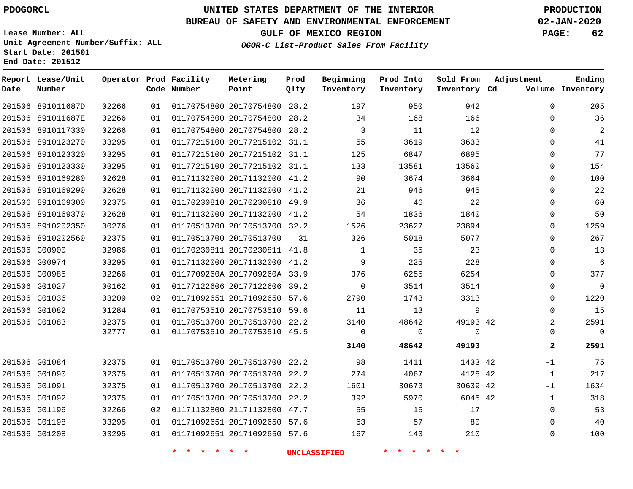#### **BUREAU OF SAFETY AND ENVIRONMENTAL ENFORCEMENT 02-JAN-2020**

**Lease Number: ALL Unit Agreement Number/Suffix: ALL Start Date: 201501**

**End Date: 201512**

**GULF OF MEXICO REGION PAGE: 62**

**OGOR-C List-Product Sales From Facility**

| Date | Report Lease/Unit<br>Number |       |    | Operator Prod Facility<br>Code Number | Metering<br>Point            | Prod<br>Qlty | Beginning<br>Inventory | Prod Into<br>Inventory | Sold From<br>Inventory Cd | Adjustment     | Ending<br>Volume Inventory |
|------|-----------------------------|-------|----|---------------------------------------|------------------------------|--------------|------------------------|------------------------|---------------------------|----------------|----------------------------|
|      | 201506 891011687D           | 02266 | 01 |                                       | 01170754800 20170754800 28.2 |              | 197                    | 950                    | 942                       | $\Omega$       | 205                        |
|      | 201506 891011687E           | 02266 | 01 |                                       | 01170754800 20170754800 28.2 |              | 34                     | 168                    | 166                       | 0              | 36                         |
|      | 201506 8910117330           | 02266 | 01 |                                       | 01170754800 20170754800 28.2 |              | 3                      | 11                     | 12                        | 0              | 2                          |
|      | 201506 8910123270           | 03295 | 01 |                                       | 01177215100 20177215102 31.1 |              | 55                     | 3619                   | 3633                      | 0              | 41                         |
|      | 201506 8910123320           | 03295 | 01 |                                       | 01177215100 20177215102 31.1 |              | 125                    | 6847                   | 6895                      | 0              | 77                         |
|      | 201506 8910123330           | 03295 | 01 |                                       | 01177215100 20177215102 31.1 |              | 133                    | 13581                  | 13560                     | 0              | 154                        |
|      | 201506 8910169280           | 02628 | 01 |                                       | 01171132000 20171132000 41.2 |              | 90                     | 3674                   | 3664                      | 0              | 100                        |
|      | 201506 8910169290           | 02628 | 01 |                                       | 01171132000 20171132000 41.2 |              | 21                     | 946                    | 945                       | 0              | 22                         |
|      | 201506 8910169300           | 02375 | 01 |                                       | 01170230810 20170230810 49.9 |              | 36                     | 46                     | 22                        | 0              | 60                         |
|      | 201506 8910169370           | 02628 | 01 |                                       | 01171132000 20171132000 41.2 |              | 54                     | 1836                   | 1840                      | 0              | 50                         |
|      | 201506 8910202350           | 00276 | 01 |                                       | 01170513700 20170513700 32.2 |              | 1526                   | 23627                  | 23894                     | $\Omega$       | 1259                       |
|      | 201506 8910202560           | 02375 | 01 |                                       | 01170513700 20170513700      | 31           | 326                    | 5018                   | 5077                      | 0              | 267                        |
|      | 201506 G00900               | 02986 | 01 |                                       | 01170230811 20170230811 41.8 |              | 1                      | 35                     | 23                        | 0              | 13                         |
|      | 201506 G00974               | 03295 | 01 |                                       | 01171132000 20171132000 41.2 |              | 9                      | 225                    | 228                       | 0              | $6\phantom{1}6$            |
|      | 201506 G00985               | 02266 | 01 |                                       | 0117709260A 2017709260A 33.9 |              | 376                    | 6255                   | 6254                      | 0              | 377                        |
|      | 201506 G01027               | 00162 | 01 |                                       | 01177122606 20177122606 39.2 |              | $\mathbf 0$            | 3514                   | 3514                      | 0              | $\mathbf 0$                |
|      | 201506 G01036               | 03209 | 02 |                                       | 01171092651 20171092650 57.6 |              | 2790                   | 1743                   | 3313                      | 0              | 1220                       |
|      | 201506 G01082               | 01284 | 01 |                                       | 01170753510 20170753510 59.6 |              | 11                     | 13                     | 9                         | 0              | 15                         |
|      | 201506 G01083               | 02375 | 01 |                                       | 01170513700 20170513700 22.2 |              | 3140                   | 48642                  | 49193 42                  | $\overline{2}$ | 2591                       |
|      |                             | 02777 | 01 |                                       | 01170753510 20170753510 45.5 |              | 0                      | 0                      | $\Omega$                  | 0              | $\mathbf 0$                |
|      |                             |       |    |                                       |                              |              | 3140                   | 48642                  | 49193                     | $\mathbf{2}$   | 2591                       |
|      | 201506 G01084               | 02375 | 01 |                                       | 01170513700 20170513700 22.2 |              | 98                     | 1411                   | 1433 42                   | $-1$           | 75                         |
|      | 201506 G01090               | 02375 | 01 |                                       | 01170513700 20170513700 22.2 |              | 274                    | 4067                   | 4125 42                   | 1              | 217                        |
|      | 201506 G01091               | 02375 | 01 |                                       | 01170513700 20170513700 22.2 |              | 1601                   | 30673                  | 30639 42                  | $-1$           | 1634                       |
|      | 201506 G01092               | 02375 | 01 |                                       | 01170513700 20170513700 22.2 |              | 392                    | 5970                   | 6045 42                   | $\mathbf 1$    | 318                        |
|      | 201506 G01196               | 02266 | 02 |                                       | 01171132800 21171132800 47.7 |              | 55                     | 15                     | 17                        | 0              | 53                         |
|      | 201506 G01198               | 03295 | 01 |                                       | 01171092651 20171092650 57.6 |              | 63                     | 57                     | 80                        | 0              | 40                         |
|      | 201506 G01208               | 03295 | 01 |                                       | 01171092651 20171092650 57.6 |              | 167                    | 143                    | 210                       | 0              | 100                        |
|      |                             |       |    |                                       |                              |              |                        |                        |                           |                |                            |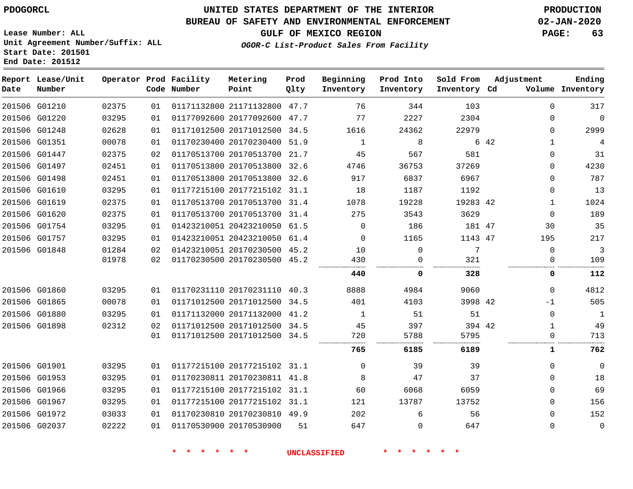# **UNITED STATES DEPARTMENT OF THE INTERIOR PDOGORCL PRODUCTION**

## **BUREAU OF SAFETY AND ENVIRONMENTAL ENFORCEMENT 02-JAN-2020**

**Lease Number: ALL Unit Agreement Number/Suffix: ALL Start Date: 201501**

**GULF OF MEXICO REGION PAGE: 63**

**OGOR-C List-Product Sales From Facility**

| Date          | Report Lease/Unit<br>Number |       |    | Operator Prod Facility<br>Code Number | Metering<br>Point            | Prod<br>Qlty | Beginning<br>Inventory | Prod Into<br>Inventory | Sold From<br>Inventory Cd | Adjustment   | Ending<br>Volume Inventory |
|---------------|-----------------------------|-------|----|---------------------------------------|------------------------------|--------------|------------------------|------------------------|---------------------------|--------------|----------------------------|
|               | 201506 G01210               | 02375 | 01 |                                       | 01171132800 21171132800 47.7 |              | 76                     | 344                    | 103                       | $\mathbf{0}$ | 317                        |
|               | 201506 G01220               | 03295 | 01 |                                       | 01177092600 20177092600 47.7 |              | 77                     | 2227                   | 2304                      | $\Omega$     | $\mathbf 0$                |
|               | 201506 G01248               | 02628 | 01 |                                       | 01171012500 20171012500      | 34.5         | 1616                   | 24362                  | 22979                     | $\Omega$     | 2999                       |
|               | 201506 G01351               | 00078 | 01 |                                       | 01170230400 20170230400      | 51.9         | 1                      | 8                      |                           | 6 42<br>1    | 4                          |
|               | 201506 G01447               | 02375 | 02 |                                       | 01170513700 20170513700 21.7 |              | 45                     | 567                    | 581                       | 0            | 31                         |
|               | 201506 G01497               | 02451 | 01 |                                       | 01170513800 20170513800 32.6 |              | 4746                   | 36753                  | 37269                     | $\Omega$     | 4230                       |
|               | 201506 G01498               | 02451 | 01 |                                       | 01170513800 20170513800      | 32.6         | 917                    | 6837                   | 6967                      | 0            | 787                        |
|               | 201506 G01610               | 03295 | 01 |                                       | 01177215100 20177215102 31.1 |              | 18                     | 1187                   | 1192                      | $\Omega$     | 13                         |
|               | 201506 G01619               | 02375 | 01 |                                       | 01170513700 20170513700 31.4 |              | 1078                   | 19228                  | 19283 42                  | $\mathbf 1$  | 1024                       |
|               | 201506 G01620               | 02375 | 01 |                                       | 01170513700 20170513700 31.4 |              | 275                    | 3543                   | 3629                      | $\mathbf{0}$ | 189                        |
|               | 201506 G01754               | 03295 | 01 |                                       | 01423210051 20423210050      | 61.5         | $\Omega$               | 186                    | 181 47                    | 30           | 35                         |
| 201506 G01757 |                             | 03295 | 01 |                                       | 01423210051 20423210050 61.4 |              | $\Omega$               | 1165                   | 1143 47                   | 195          | 217                        |
|               | 201506 G01848               | 01284 | 02 |                                       | 01423210051 20170230500 45.2 |              | 10                     | $\mathbf{0}$           | 7                         | $\mathbf{0}$ | 3                          |
|               |                             | 01978 | 02 |                                       | 01170230500 20170230500 45.2 |              | 430                    | $\Omega$               | 321                       | $\Omega$     | 109                        |
|               |                             |       |    |                                       |                              |              | 440                    | 0                      | 328                       | 0            | 112                        |
|               | 201506 G01860               | 03295 | 01 |                                       | 01170231110 20170231110      | 40.3         | 8888                   | 4984                   | 9060                      | $\Omega$     | 4812                       |
| 201506 G01865 |                             | 00078 | 01 |                                       | 01171012500 20171012500      | 34.5         | 401                    | 4103                   | 3998 42                   | $-1$         | 505                        |
|               | 201506 G01880               | 03295 | 01 |                                       | 01171132000 20171132000      | 41.2         | 1                      | 51                     | 51                        | 0            | 1                          |
|               | 201506 G01898               | 02312 | 02 |                                       | 01171012500 20171012500 34.5 |              | 45                     | 397                    | 394 42                    | $\mathbf{1}$ | 49                         |
|               |                             |       | 01 |                                       | 01171012500 20171012500      | 34.5         | 720<br>.               | 5788                   | 5795                      | 0            | 713                        |
|               |                             |       |    |                                       |                              |              | 765                    | 6185                   | 6189                      | 1            | 762                        |
|               | 201506 G01901               | 03295 | 01 |                                       | 01177215100 20177215102 31.1 |              | $\Omega$               | 39                     | 39                        | $\mathbf{0}$ | $\mathbf 0$                |
|               | 201506 G01953               | 03295 | 01 |                                       | 01170230811 20170230811 41.8 |              | 8                      | 47                     | 37                        | $\Omega$     | 18                         |
|               | 201506 G01966               | 03295 | 01 |                                       | 01177215100 20177215102 31.1 |              | 60                     | 6068                   | 6059                      | $\Omega$     | 69                         |
|               | 201506 G01967               | 03295 | 01 |                                       | 01177215100 20177215102 31.1 |              | 121                    | 13787                  | 13752                     | $\Omega$     | 156                        |
|               | 201506 G01972               | 03033 | 01 |                                       | 01170230810 20170230810 49.9 |              | 202                    | 6                      | 56                        | $\Omega$     | 152                        |
|               | 201506 G02037               | 02222 | 01 |                                       | 01170530900 20170530900      | 51           | 647                    | $\Omega$               | 647                       | $\Omega$     | $\mathbf{0}$               |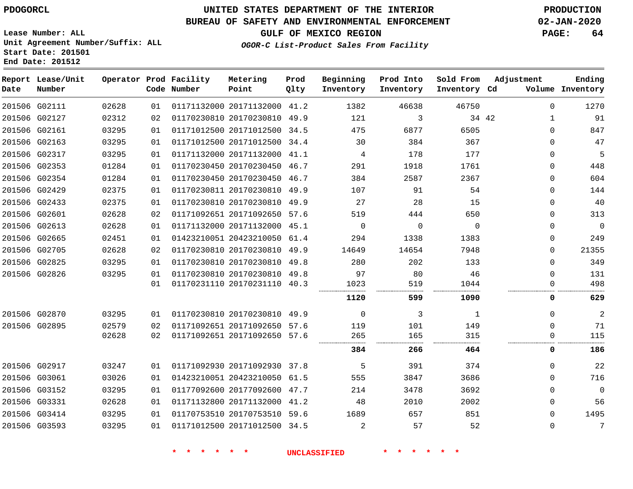# **UNITED STATES DEPARTMENT OF THE INTERIOR PDOGORCL PRODUCTION**

## **BUREAU OF SAFETY AND ENVIRONMENTAL ENFORCEMENT 02-JAN-2020**

**Lease Number: ALL Unit Agreement Number/Suffix: ALL Start Date: 201501**

**GULF OF MEXICO REGION PAGE: 64**

**OGOR-C List-Product Sales From Facility**

| Date | Report Lease/Unit<br>Number |       |    | Operator Prod Facility<br>Code Number | Metering<br>Point            | Prod<br>Qlty | Beginning<br>Inventory | Prod Into<br>Inventory | Sold From<br>Inventory Cd | Adjustment   | Ending<br>Volume Inventory |
|------|-----------------------------|-------|----|---------------------------------------|------------------------------|--------------|------------------------|------------------------|---------------------------|--------------|----------------------------|
|      | 201506 G02111               | 02628 | 01 |                                       | 01171132000 20171132000 41.2 |              | 1382                   | 46638                  | 46750                     | $\Omega$     | 1270                       |
|      | 201506 G02127               | 02312 | 02 |                                       | 01170230810 20170230810 49.9 |              | 121                    | 3                      | 34 42                     | $\mathbf{1}$ | 91                         |
|      | 201506 G02161               | 03295 | 01 |                                       | 01171012500 20171012500 34.5 |              | 475                    | 6877                   | 6505                      | $\Omega$     | 847                        |
|      | 201506 G02163               | 03295 | 01 |                                       | 01171012500 20171012500      | 34.4         | 30                     | 384                    | 367                       | $\Omega$     | 47                         |
|      | 201506 G02317               | 03295 | 01 |                                       | 01171132000 20171132000 41.1 |              | 4                      | 178                    | 177                       | $\Omega$     | 5                          |
|      | 201506 G02353               | 01284 | 01 |                                       | 01170230450 20170230450      | 46.7         | 291                    | 1918                   | 1761                      | $\Omega$     | 448                        |
|      | 201506 G02354               | 01284 | 01 |                                       | 01170230450 20170230450 46.7 |              | 384                    | 2587                   | 2367                      | 0            | 604                        |
|      | 201506 G02429               | 02375 | 01 |                                       | 01170230811 20170230810      | 49.9         | 107                    | 91                     | 54                        | $\Omega$     | 144                        |
|      | 201506 G02433               | 02375 | 01 |                                       | 01170230810 20170230810      | 49.9         | 27                     | 28                     | 15                        | 0            | 40                         |
|      | 201506 G02601               | 02628 | 02 |                                       | 01171092651 20171092650      | 57.6         | 519                    | 444                    | 650                       | $\Omega$     | 313                        |
|      | 201506 G02613               | 02628 | 01 |                                       | 01171132000 20171132000      | 45.1         | $\Omega$               | $\mathbf 0$            | $\Omega$                  | $\Omega$     | $\mathbf 0$                |
|      | 201506 G02665               | 02451 | 01 |                                       | 01423210051 20423210050 61.4 |              | 294                    | 1338                   | 1383                      | 0            | 249                        |
|      | 201506 G02705               | 02628 | 02 |                                       | 01170230810 20170230810 49.9 |              | 14649                  | 14654                  | 7948                      | $\Omega$     | 21355                      |
|      | 201506 G02825               | 03295 | 01 |                                       | 01170230810 20170230810      | 49.8         | 280                    | 202                    | 133                       | $\Omega$     | 349                        |
|      | 201506 G02826               | 03295 | 01 |                                       | 01170230810 20170230810      | 49.8         | 97                     | 80                     | 46                        | 0            | 131                        |
|      |                             |       | 01 |                                       | 01170231110 20170231110 40.3 |              | 1023                   | 519                    | 1044                      | $\Omega$     | 498                        |
|      |                             |       |    |                                       |                              |              | 1120                   | 599                    | 1090                      | 0            | 629                        |
|      | 201506 G02870               | 03295 | 01 |                                       | 01170230810 20170230810 49.9 |              | $\Omega$               | 3                      | 1                         | $\Omega$     | 2                          |
|      | 201506 G02895               | 02579 | 02 |                                       | 01171092651 20171092650      | 57.6         | 119                    | 101                    | 149                       | $\Omega$     | 71                         |
|      |                             | 02628 | 02 |                                       | 01171092651 20171092650      | 57.6         | 265                    | 165                    | 315                       | $\Omega$     | 115                        |
|      |                             |       |    |                                       |                              |              | 384                    | 266                    | 464                       | 0            | 186                        |
|      | 201506 G02917               | 03247 | 01 |                                       | 01171092930 20171092930      | 37.8         | 5                      | 391                    | 374                       | 0            | 22                         |
|      | 201506 G03061               | 03026 | 01 |                                       | 01423210051 20423210050 61.5 |              | 555                    | 3847                   | 3686                      | $\Omega$     | 716                        |
|      | 201506 G03152               | 03295 | 01 |                                       | 01177092600 20177092600      | 47.7         | 214                    | 3478                   | 3692                      | $\Omega$     | $\mathbf 0$                |
|      | 201506 G03331               | 02628 | 01 |                                       | 01171132800 20171132000 41.2 |              | 48                     | 2010                   | 2002                      | 0            | 56                         |
|      | 201506 G03414               | 03295 | 01 |                                       | 01170753510 20170753510      | 59.6         | 1689                   | 657                    | 851                       | $\Omega$     | 1495                       |
|      | 201506 G03593               | 03295 | 01 |                                       | 01171012500 20171012500 34.5 |              | $\overline{a}$         | 57                     | 52                        | $\Omega$     | 7                          |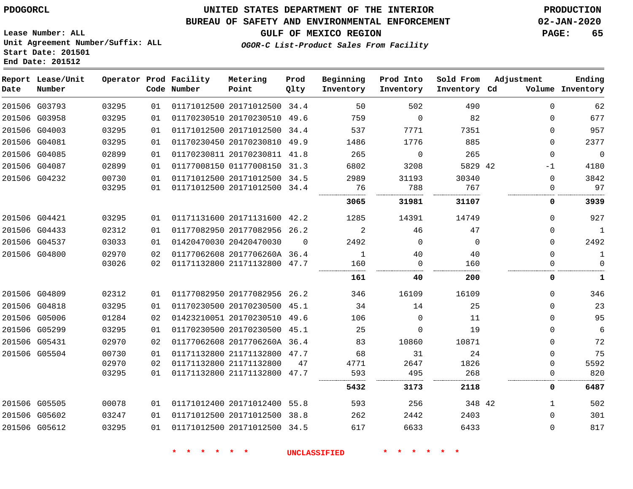**Report Lease/Unit**

**Number**

G03793

**Date**

## **UNITED STATES DEPARTMENT OF THE INTERIOR PDOGORCL PRODUCTION**

**Prod Qlty**

#### **BUREAU OF SAFETY AND ENVIRONMENTAL ENFORCEMENT 02-JAN-2020**

**Lease Number: ALL Unit Agreement Number/Suffix: ALL Start Date: 201501**

**Operator Prod Facility**

**Code Number**

20171012500 34.4

**Metering Point**

**OGOR-C List-Product Sales From Facility**

**Beginning Inventory**

**Sold From Inventory**

**Prod Into Inventory**

**GULF OF MEXICO REGION PAGE: 65**

**Inventory Cd Volume**

**Adjustment**

**Ending**

|               |               |       |    |                              |          | 5432         | 3173         | 2118    | 0        | 6487         |
|---------------|---------------|-------|----|------------------------------|----------|--------------|--------------|---------|----------|--------------|
|               |               | 03295 | 01 | 01171132800 21171132800      | 47.7     | 593          | 495          | 268     |          | 820          |
|               |               | 02970 | 02 | 01171132800 21171132800      | 47       | 4771         | 2647         | 1826    | 0        | 5592         |
|               | 201506 G05504 | 00730 | 01 | 01171132800 21171132800 47.7 |          | 68           | 31           | 24      | $\Omega$ | 75           |
| 201506 G05431 |               | 02970 | 02 | 01177062608 2017706260A 36.4 |          | 83           | 10860        | 10871   | $\Omega$ | 72           |
|               | 201506 G05299 | 03295 | 01 | 01170230500 20170230500      | 45.1     | 25           | 0            | 19      | 0        | 6            |
|               | 201506 G05006 | 01284 | 02 | 01423210051 20170230510      | 49.6     | 106          | 0            | 11      | $\Omega$ | 95           |
|               | 201506 G04818 | 03295 | 01 | 01170230500 20170230500 45.1 |          | 34           | 14           | 25      | $\Omega$ | 23           |
|               | 201506 G04809 | 02312 | 01 | 01177082950 20177082956 26.2 |          | 346          | 16109        | 16109   | 0        | 346          |
|               |               |       |    |                              |          | 161          | 40           | 200     | 0        | 1            |
|               |               | 03026 | 02 | 01171132800 21171132800 47.7 |          | 160          | $\Omega$     | 160     | $\Omega$ | $\Omega$     |
|               | 201506 G04800 | 02970 | 02 | 01177062608 2017706260A 36.4 |          | $\mathbf{1}$ | 40           | 40      | $\Omega$ | 1            |
|               | 201506 G04537 | 03033 | 01 | 01420470030 20420470030      | $\Omega$ | 2492         | $\Omega$     | 0       | $\Omega$ | 2492         |
|               | 201506 G04433 | 02312 | 01 | 01177082950 20177082956      | 26.2     | 2            | 46           | 47      | $\Omega$ | $\mathbf{1}$ |
|               | 201506 G04421 | 03295 | 01 | 01171131600 20171131600 42.2 |          | 1285         | 14391        | 14749   | $\Omega$ | 927          |
|               |               |       |    |                              |          | 3065         | 31981        | 31107   | 0        | 3939         |
|               |               | 03295 | 01 | 01171012500 20171012500 34.4 |          | 76           | 788          | 767     | $\Omega$ | 97           |
|               | 201506 G04232 | 00730 | 01 | 01171012500 20171012500 34.5 |          | 2989         | 31193        | 30340   | $\Omega$ | 3842         |
|               | 201506 G04087 | 02899 | 01 | 01177008150 01177008150      | 31.3     | 6802         | 3208         | 5829 42 | $-1$     | 4180         |
|               | 201506 G04085 | 02899 | 01 | 01170230811 20170230811      | 41.8     | 265          | $\Omega$     | 265     | $\Omega$ | $\Omega$     |
|               | 201506 G04081 | 03295 | 01 | 01170230450 20170230810 49.9 |          | 1486         | 1776         | 885     | $\Omega$ | 2377         |
|               | 201506 G04003 | 03295 | 01 | 01171012500 20171012500      | 34.4     | 537          | 7771         | 7351    | $\Omega$ | 957          |
|               | 201506 G03958 | 03295 | 01 | 01170230510 20170230510 49.6 |          | 759          | <sup>0</sup> | 82      | $\Omega$ | 677          |

| 201506 G05505 | 00078 | 01   01171012400   20171012400   55.8 | 593 | 256  | 348 42 | 502 |
|---------------|-------|---------------------------------------|-----|------|--------|-----|
| 201506 G05602 | 03247 | 01   01171012500   20171012500   38.8 | 262 | 2442 | 2403   | 301 |
| 201506 G05612 | 03295 | 01   01171012500   20171012500   34.5 |     | 6633 | 6433   |     |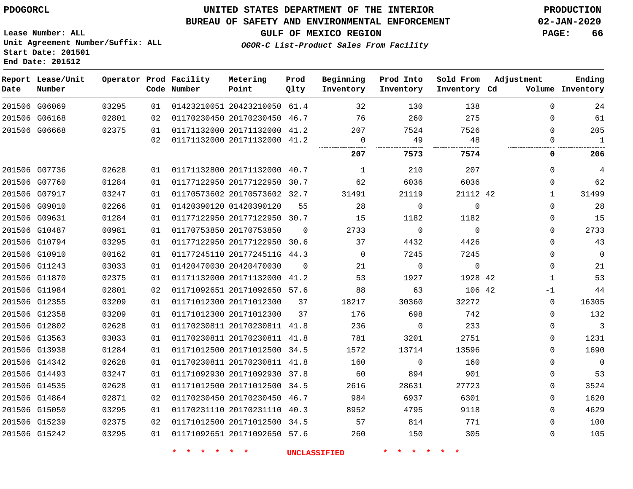G15239 G15242    

## **UNITED STATES DEPARTMENT OF THE INTERIOR PDOGORCL PRODUCTION**

#### **BUREAU OF SAFETY AND ENVIRONMENTAL ENFORCEMENT 02-JAN-2020**

**Lease Number: ALL Unit Agreement Number/Suffix: ALL Start Date: 201501 End Date: 201512**

**OGOR-C List-Product Sales From Facility**

**GULF OF MEXICO REGION PAGE: 66**

| Date | Report Lease/Unit<br>Number |       |    | Operator Prod Facility<br>Code Number | Metering<br>Point            | Prod<br>Qlty | Beginning<br>Inventory | Prod Into<br>Inventory | Sold From<br>Inventory Cd | Adjustment | Ending<br>Volume Inventory |
|------|-----------------------------|-------|----|---------------------------------------|------------------------------|--------------|------------------------|------------------------|---------------------------|------------|----------------------------|
|      | 201506 G06069               | 03295 | 01 |                                       | 01423210051 20423210050 61.4 |              | 32                     | 130                    | 138                       | $\Omega$   | 24                         |
|      | 201506 G06168               | 02801 | 02 |                                       | 01170230450 20170230450      | 46.7         | 76                     | 260                    | 275                       | $\Omega$   | 61                         |
|      | 201506 G06668               | 02375 | 01 |                                       | 01171132000 20171132000 41.2 |              | 207                    | 7524                   | 7526                      | $\Omega$   | 205                        |
|      |                             |       | 02 |                                       | 01171132000 20171132000 41.2 |              | $\mathbf 0$            | 49                     | 48                        | 0          | $\mathbf{1}$               |
|      |                             |       |    |                                       |                              |              | 207                    | 7573                   | 7574                      | 0          | 206                        |
|      | 201506 G07736               | 02628 | 01 |                                       | 01171132800 20171132000 40.7 |              | 1                      | 210                    | 207                       | $\Omega$   | 4                          |
|      | 201506 G07760               | 01284 | 01 |                                       | 01177122950 20177122950      | 30.7         | 62                     | 6036                   | 6036                      | 0          | 62                         |
|      | 201506 G07917               | 03247 | 01 |                                       | 01170573602 20170573602 32.7 |              | 31491                  | 21119                  | 21112 42                  | 1          | 31499                      |
|      | 201506 G09010               | 02266 | 01 |                                       | 01420390120 01420390120      | 55           | 28                     | $\mathbf 0$            | $\Omega$                  | $\Omega$   | 28                         |
|      | 201506 G09631               | 01284 | 01 |                                       | 01177122950 20177122950      | 30.7         | 15                     | 1182                   | 1182                      | $\Omega$   | 15                         |
|      | 201506 G10487               | 00981 | 01 |                                       | 01170753850 20170753850      | 0            | 2733                   | $\mathbf 0$            | $\Omega$                  | $\Omega$   | 2733                       |
|      | 201506 G10794               | 03295 | 01 |                                       | 01177122950 20177122950 30.6 |              | 37                     | 4432                   | 4426                      | $\Omega$   | 43                         |
|      | 201506 G10910               | 00162 | 01 |                                       | 01177245110 2017724511G      | 44.3         | 0                      | 7245                   | 7245                      | 0          | $\mathbf 0$                |
|      | 201506 G11243               | 03033 | 01 |                                       | 01420470030 20420470030      | $\Omega$     | 21                     | $\Omega$               | $\mathbf{0}$              | $\Omega$   | 21                         |
|      | 201506 G11870               | 02375 | 01 |                                       | 01171132000 20171132000      | 41.2         | 53                     | 1927                   | 1928 42                   | 1          | 53                         |
|      | 201506 G11984               | 02801 | 02 |                                       | 01171092651 20171092650 57.6 |              | 88                     | 63                     | 106 42                    | $-1$       | 44                         |
|      | 201506 G12355               | 03209 | 01 |                                       | 01171012300 20171012300      | 37           | 18217                  | 30360                  | 32272                     | $\Omega$   | 16305                      |
|      | 201506 G12358               | 03209 | 01 |                                       | 01171012300 20171012300      | 37           | 176                    | 698                    | 742                       | 0          | 132                        |
|      | 201506 G12802               | 02628 | 01 |                                       | 01170230811 20170230811 41.8 |              | 236                    | 0                      | 233                       | 0          | 3                          |
|      | 201506 G13563               | 03033 | 01 |                                       | 01170230811 20170230811 41.8 |              | 781                    | 3201                   | 2751                      | 0          | 1231                       |
|      | 201506 G13938               | 01284 | 01 |                                       | 01171012500 20171012500 34.5 |              | 1572                   | 13714                  | 13596                     | $\Omega$   | 1690                       |
|      | 201506 G14342               | 02628 | 01 |                                       | 01170230811 20170230811 41.8 |              | 160                    | $\Omega$               | 160                       | $\Omega$   | $\Omega$                   |
|      | 201506 G14493               | 03247 | 01 |                                       | 01171092930 20171092930      | 37.8         | 60                     | 894                    | 901                       | $\Omega$   | 53                         |
|      | 201506 G14535               | 02628 | 01 |                                       | 01171012500 20171012500      | 34.5         | 2616                   | 28631                  | 27723                     | 0          | 3524                       |
|      | 201506 G14864               | 02871 | 02 |                                       | 01170230450 20170230450 46.7 |              | 984                    | 6937                   | 6301                      | $\Omega$   | 1620                       |
|      | 201506 G15050               | 03295 | 01 |                                       | 01170231110 20170231110 40.3 |              | 8952                   | 4795                   | 9118                      | $\Omega$   | 4629                       |

**\* \* \* \* \* \* UNCLASSIFIED \* \* \* \* \* \***

 20171012500 34.5 20171092650 57.6

 

    $\Omega$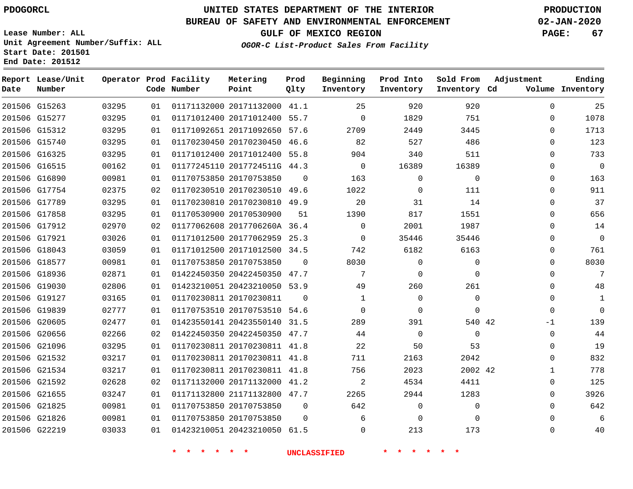**End Date: 201512**

**Report Lease/Unit**

**Number**

# **UNITED STATES DEPARTMENT OF THE INTERIOR PDOGORCL PRODUCTION**

## **BUREAU OF SAFETY AND ENVIRONMENTAL ENFORCEMENT 02-JAN-2020**

**Lease Number: ALL Unit Agreement Number/Suffix: ALL Start Date: 201501**

**OGOR-C List-Product Sales From Facility**

**GULF OF MEXICO REGION PAGE: 67**

**Inventory Cd Volume**

**Adjustment**

**Sold From Inventory** **Ending**

|       | Operator Prod Facility<br>Code Number | Metering<br>Point | Prod<br>Olty | Beginning<br>Inventory | Prod Into<br>Inventory |
|-------|---------------------------------------|-------------------|--------------|------------------------|------------------------|
| 03295 | 01 01171132000 20171132000 41.1       |                   |              | 25                     | 920                    |
|       |                                       |                   |              |                        |                        |

| 201506 G15263 | 03295 | 01 | 01171132000 20171132000 41.1 |          | 25          | 920         | 920         | $\Omega$ | 25             |
|---------------|-------|----|------------------------------|----------|-------------|-------------|-------------|----------|----------------|
| 201506 G15277 | 03295 | 01 | 01171012400 20171012400 55.7 |          | $\mathbf 0$ | 1829        | 751         | 0        | 1078           |
| 201506 G15312 | 03295 | 01 | 01171092651 20171092650 57.6 |          | 2709        | 2449        | 3445        | $\Omega$ | 1713           |
| 201506 G15740 | 03295 | 01 | 01170230450 20170230450 46.6 |          | 82          | 527         | 486         | 0        | 123            |
| 201506 G16325 | 03295 | 01 | 01171012400 20171012400 55.8 |          | 904         | 340         | 511         | $\Omega$ | 733            |
| 201506 G16515 | 00162 | 01 | 01177245110 2017724511G 44.3 |          | 0           | 16389       | 16389       | $\Omega$ | $\overline{0}$ |
| 201506 G16890 | 00981 | 01 | 01170753850 20170753850      | 0        | 163         | $\mathbf 0$ | 0           | 0        | 163            |
| 201506 G17754 | 02375 | 02 | 01170230510 20170230510 49.6 |          | 1022        | $\Omega$    | 111         | 0        | 911            |
| 201506 G17789 | 03295 | 01 | 01170230810 20170230810 49.9 |          | 20          | 31          | 14          | $\Omega$ | 37             |
| 201506 G17858 | 03295 | 01 | 01170530900 20170530900      | 51       | 1390        | 817         | 1551        | $\Omega$ | 656            |
| 201506 G17912 | 02970 | 02 | 01177062608 2017706260A 36.4 |          | $\mathbf 0$ | 2001        | 1987        | $\Omega$ | 14             |
| 201506 G17921 | 03026 | 01 | 01171012500 20177062959 25.3 |          | 0           | 35446       | 35446       | $\Omega$ | $\overline{0}$ |
| 201506 G18043 | 03059 | 01 | 01171012500 20171012500 34.5 |          | 742         | 6182        | 6163        | $\Omega$ | 761            |
| 201506 G18577 | 00981 | 01 | 01170753850 20170753850      | $\Omega$ | 8030        | $\Omega$    | $\mathbf 0$ | 0        | 8030           |
| 201506 G18936 | 02871 | 01 | 01422450350 20422450350 47.7 |          | 7           | $\Omega$    | $\Omega$    | $\Omega$ | 7              |
| 201506 G19030 | 02806 | 01 | 01423210051 20423210050 53.9 |          | 49          | 260         | 261         | $\Omega$ | 48             |
| 201506 G19127 | 03165 | 01 | 01170230811 20170230811      | $\Omega$ | 1           | $\mathbf 0$ | $\mathbf 0$ | 0        | $\mathbf{1}$   |
| 201506 G19839 | 02777 | 01 | 01170753510 20170753510 54.6 |          | 0           | $\Omega$    | $\Omega$    | $\Omega$ | $\overline{0}$ |
| 201506 G20605 | 02477 | 01 | 01423550141 20423550140 31.5 |          | 289         | 391         | 540 42      | $-1$     | 139            |
| 201506 G20656 | 02266 | 02 | 01422450350 20422450350 47.7 |          | 44          | $\mathbf 0$ | $\mathbf 0$ | 0        | 44             |
| 201506 G21096 | 03295 | 01 | 01170230811 20170230811 41.8 |          | 22          | 50          | 53          | 0        | 19             |
| 201506 G21532 | 03217 | 01 | 01170230811 20170230811 41.8 |          | 711         | 2163        | 2042        | 0        | 832            |
| 201506 G21534 | 03217 | 01 | 01170230811 20170230811 41.8 |          | 756         | 2023        | 2002 42     | 1        | 778            |
| 201506 G21592 | 02628 | 02 | 01171132000 20171132000 41.2 |          | 2           | 4534        | 4411        | $\Omega$ | 125            |
| 201506 G21655 | 03247 | 01 | 01171132800 21171132800 47.7 |          | 2265        | 2944        | 1283        | 0        | 3926           |
| 201506 G21825 | 00981 | 01 | 01170753850 20170753850      | 0        | 642         | 0           | 0           | 0        | 642            |
| 201506 G21826 | 00981 | 01 | 01170753850 20170753850      | $\Omega$ | 6           | 0           | 0           | 0        | 6              |
| 201506 G22219 | 03033 | 01 | 01423210051 20423210050 61.5 |          | $\Omega$    | 213         | 173         | $\Omega$ | 40             |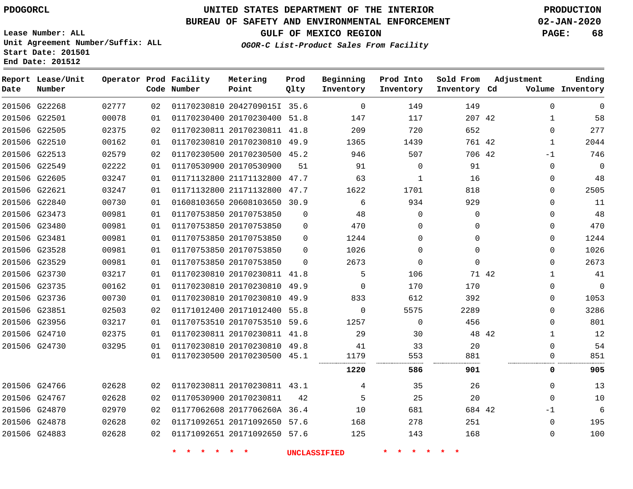**Report Lease/Unit**

**Number**

G22268

**Date**

# **UNITED STATES DEPARTMENT OF THE INTERIOR PDOGORCL PRODUCTION**

**Prod Qlty**

#### **BUREAU OF SAFETY AND ENVIRONMENTAL ENFORCEMENT 02-JAN-2020**

**Lease Number: ALL Unit Agreement Number/Suffix: ALL Start Date: 201501**

> 

**Operator Prod Facility**

**Code Number**

  **OGOR-C List-Product Sales From Facility**

 

 

**Prod Into Inventory**

**Beginning Inventory**

**GULF OF MEXICO REGION PAGE: 68**

**Inventory Cd Volume**

**Adjustment**

**Ending**

**Sold From Inventory**

| 201506 G22501 | 00078 | 01 | 01170230400 20170230400 51.8 |          | 147      | 117          | 207 42   |       | 58<br>$\mathbf{1}$      |
|---------------|-------|----|------------------------------|----------|----------|--------------|----------|-------|-------------------------|
| 201506 G22505 | 02375 | 02 | 01170230811 20170230811 41.8 |          | 209      | 720          | 652      |       | 277<br>$\Omega$         |
| 201506 G22510 | 00162 | 01 | 01170230810 20170230810 49.9 |          | 1365     | 1439         | 761 42   |       | 2044<br>1               |
| 201506 G22513 | 02579 | 02 | 01170230500 20170230500 45.2 |          | 946      | 507          | 706 42   | $-1$  | 746                     |
| 201506 G22549 | 02222 | 01 | 01170530900 20170530900      | 51       | 91       | $\Omega$     | 91       |       | $\mathbf 0$<br>$\Omega$ |
| 201506 G22605 | 03247 | 01 | 01171132800 21171132800 47.7 |          | 63       | 1            | 16       |       | 48<br>0                 |
| 201506 G22621 | 03247 | 01 | 01171132800 21171132800 47.7 |          | 1622     | 1701         | 818      |       | 2505<br>0               |
| 201506 G22840 | 00730 | 01 | 01608103650 20608103650 30.9 |          | 6        | 934          | 929      |       | 11<br>$\Omega$          |
| 201506 G23473 | 00981 | 01 | 01170753850 20170753850      | $\Omega$ | 48       | $\Omega$     | 0        |       | 48<br>0                 |
| 201506 G23480 | 00981 | 01 | 01170753850 20170753850      | $\Omega$ | 470      | $\Omega$     | $\Omega$ |       | 470<br>0                |
| 201506 G23481 | 00981 | 01 | 01170753850 20170753850      | $\Omega$ | 1244     | $\Omega$     | 0        |       | 0<br>1244               |
| 201506 G23528 | 00981 | 01 | 01170753850 20170753850      | $\Omega$ | 1026     | $\Omega$     | $\Omega$ |       | 1026<br>$\Omega$        |
| 201506 G23529 | 00981 | 01 | 01170753850 20170753850      | $\Omega$ | 2673     | $\Omega$     | $\Omega$ |       | 2673<br>0               |
| 201506 G23730 | 03217 | 01 | 01170230810 20170230811 41.8 |          | 5        | 106          |          | 71 42 | 41<br>1                 |
| 201506 G23735 | 00162 | 01 | 01170230810 20170230810 49.9 |          | $\Omega$ | 170          | 170      |       | $\mathbf 0$<br>0        |
| 201506 G23736 | 00730 | 01 | 01170230810 20170230810 49.9 |          | 833      | 612          | 392      |       | 1053<br>0               |
| 201506 G23851 | 02503 | 02 | 01171012400 20171012400 55.8 |          | $\Omega$ | 5575         | 2289     |       | 3286<br>0               |
| 201506 G23956 | 03217 | 01 | 01170753510 20170753510 59.6 |          | 1257     | $\mathbf{0}$ | 456      |       | 801<br>0                |
| 201506 G24710 | 02375 | 01 | 01170230811 20170230811 41.8 |          | 29       | 30           |          | 48 42 | 12<br>1                 |
| 201506 G24730 | 03295 | 01 | 01170230810 20170230810 49.8 |          | 41       | 33           | 20       |       | 54<br>$\Omega$          |
|               |       | 01 | 01170230500 20170230500 45.1 |          | 1179     | 553          | 881      |       | 851<br>$\Omega$         |
|               |       |    |                              |          | 1220     | 586          | 901      |       | 905<br>0                |
| 201506 G24766 | 02628 | 02 | 01170230811 20170230811 43.1 |          | 4        | 35           | 26       |       | $\Omega$<br>13          |
| 201506 G24767 | 02628 | 02 | 01170530900 20170230811      | 42       | 5        | 25           | 20       |       | 10<br>$\Omega$          |
| 201506 G24870 | 02970 | 02 | 01177062608 2017706260A 36.4 |          | 10       | 681          | 684 42   | $-1$  | 6                       |
| 201506 G24878 | 02628 | 02 | 01171092651 20171092650 57.6 |          | 168      | 278          | 251      |       | 195<br>0                |
| 201506 G24883 | 02628 | 02 | 01171092651 20171092650 57.6 |          | 125      | 143          | 168      |       | 100<br>0                |
|               |       |    |                              |          |          |              |          |       |                         |

2042709015I 35.6

**Metering Point**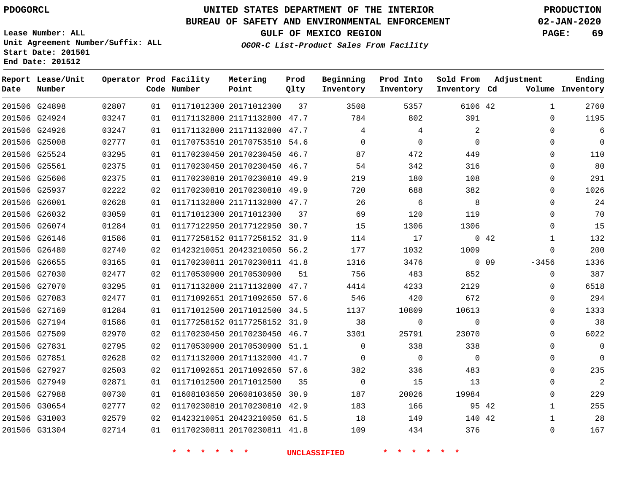# **UNITED STATES DEPARTMENT OF THE INTERIOR PDOGORCL PRODUCTION**

**Prod Qlty**

#### **BUREAU OF SAFETY AND ENVIRONMENTAL ENFORCEMENT 02-JAN-2020**

**Lease Number: ALL Unit Agreement Number/Suffix: ALL Start Date: 201501**

**Operator Prod Facility**

**Code Number**

**Metering Point**

**End Date: 201512**

**Report Lease/Unit**

**Number**

**GULF OF MEXICO REGION PAGE: 69**

**Inventory Cd Volume**

**Adjustment**

**Ending**

**OGOR-C List-Product Sales From Facility**

**Inventory**

**Beginning Prod Into**

**Inventory**

**Sold From Inventory**

| 201506 G24898 | 02807 | 01 | 01171012300 20171012300         | 37 | 3508                    | 5357                     | 6106 42        |     | 1            | 2760 |
|---------------|-------|----|---------------------------------|----|-------------------------|--------------------------|----------------|-----|--------------|------|
| 201506 G24924 | 03247 | 01 | 01171132800 21171132800 47.7    |    | 784                     | 802                      | 391            |     | $\Omega$     | 1195 |
| 201506 G24926 | 03247 | 01 | 01171132800 21171132800 47.7    |    | 4                       | 4                        | 2              |     | $\Omega$     | 6    |
| 201506 G25008 | 02777 | 01 | 01170753510 20170753510 54.6    |    | $\Omega$                | $\mathbf{0}$             | $\Omega$       |     | $\Omega$     | 0    |
| 201506 G25524 | 03295 | 01 | 01170230450 20170230450 46.7    |    | 87                      | 472                      | 449            |     | $\Omega$     | 110  |
| 201506 G25561 | 02375 | 01 | 01170230450 20170230450 46.7    |    | 54                      | 342                      | 316            |     | $\Omega$     | 80   |
| 201506 G25606 | 02375 | 01 | 01170230810 20170230810 49.9    |    | 219                     | 180                      | 108            |     | $\Omega$     | 291  |
| 201506 G25937 | 02222 | 02 | 01170230810 20170230810 49.9    |    | 720                     | 688                      | 382            |     | $\Omega$     | 1026 |
| 201506 G26001 | 02628 | 01 | 01171132800 21171132800 47.7    |    | 26                      | $6\overline{6}$          | 8              |     | $\Omega$     | 24   |
| 201506 G26032 | 03059 | 01 | 01171012300 20171012300         | 37 | 69                      | 120                      | 119            |     | 0            | 70   |
| 201506 G26074 | 01284 | 01 | 01177122950 20177122950 30.7    |    | 15                      | 1306                     | 1306           |     | $\Omega$     | 15   |
| 201506 G26146 | 01586 | 01 | 01177258152 01177258152 31.9    |    | 114                     | 17                       |                | 042 | 1            | 132  |
| 201506 G26480 | 02740 | 02 | 01423210051 20423210050 56.2    |    | 177                     | 1032                     | 1009           |     | 0            | 200  |
| 201506 G26655 | 03165 | 01 | 01170230811 20170230811 41.8    |    | 1316                    | 3476                     | $0\quad 09$    |     | -3456        | 1336 |
| 201506 G27030 | 02477 | 02 | 01170530900 20170530900         | 51 | 756                     | 483                      | 852            |     | $\mathbf 0$  | 387  |
| 201506 G27070 | 03295 | 01 | 01171132800 21171132800 47.7    |    | 4414                    | 4233                     | 2129           |     | $\Omega$     | 6518 |
| 201506 G27083 | 02477 | 01 | 01171092651 20171092650 57.6    |    | 546                     | 420                      | 672            |     | $\Omega$     | 294  |
| 201506 G27169 | 01284 | 01 | 01171012500 20171012500 34.5    |    | 1137                    | 10809                    | 10613          |     | 0            | 1333 |
| 201506 G27194 | 01586 | 01 | 01177258152 01177258152 31.9    |    | 38                      | 0                        | $\mathbf 0$    |     | $\Omega$     | 38   |
| 201506 G27509 | 02970 | 02 | 01170230450 20170230450 46.7    |    | 3301                    | 25791                    | 23070          |     | 0            | 6022 |
| 201506 G27831 | 02795 | 02 | 01170530900 20170530900 51.1    |    | $\overline{0}$          | 338                      | 338            |     | $\Omega$     | 0    |
| 201506 G27851 | 02628 | 02 | 01171132000 20171132000 41.7    |    | $\overline{\mathbf{0}}$ | $\overline{\phantom{0}}$ | $\overline{0}$ |     | 0            | 0    |
| 201506 G27927 | 02503 | 02 | 01171092651 20171092650 57.6    |    | 382                     | 336                      | 483            |     | $\Omega$     | 235  |
| 201506 G27949 | 02871 | 01 | 01171012500 20171012500         | 35 | $\overline{0}$          | 15                       | 13             |     | $\Omega$     | -2   |
| 201506 G27988 | 00730 | 01 | 01608103650 20608103650 30.9    |    | 187                     | 20026                    | 19984          |     | $\Omega$     | 229  |
| 201506 G30654 | 02777 | 02 | 01170230810 20170230810 42.9    |    | 183                     | 166                      | 95 42          |     | 1            | 255  |
| 201506 G31003 | 02579 | 02 | 01423210051 20423210050 61.5    |    | 18                      | 149                      | 140 42         |     | $\mathbf{1}$ | 28   |
| 201506 G31304 | 02714 |    | 01 01170230811 20170230811 41.8 |    | 109                     | 434                      | 376            |     | $\Omega$     | 167  |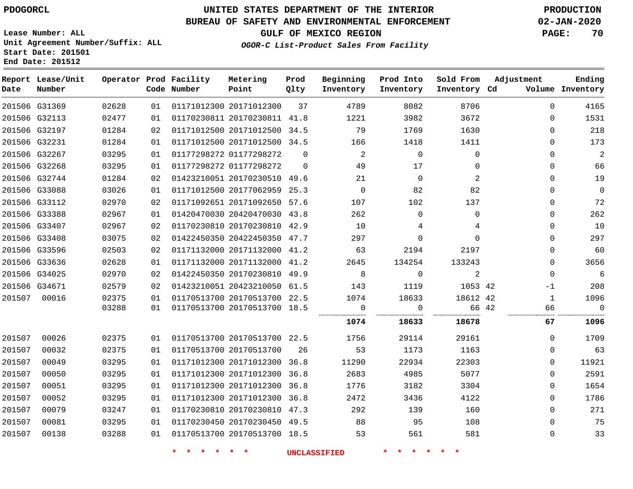## **BUREAU OF SAFETY AND ENVIRONMENTAL ENFORCEMENT 02-JAN-2020**

**Lease Number: ALL Unit Agreement Number/Suffix: ALL Start Date: 201501**

**End Date: 201512**

**GULF OF MEXICO REGION PAGE: 70**

**OGOR-C List-Product Sales From Facility**

| Date   | Report Lease/Unit<br>Number |       |    | Operator Prod Facility<br>Code Number | Metering<br>Point            | Prod<br>Qlty | Beginning<br>Inventory | Prod Into<br>Inventory | Sold From<br>Inventory Cd | Adjustment   | Ending<br>Volume Inventory |
|--------|-----------------------------|-------|----|---------------------------------------|------------------------------|--------------|------------------------|------------------------|---------------------------|--------------|----------------------------|
|        | 201506 G31369               | 02628 | 01 |                                       | 01171012300 20171012300      | 37           | 4789                   | 8082                   | 8706                      | $\mathbf 0$  | 4165                       |
|        | 201506 G32113               | 02477 | 01 |                                       | 01170230811 20170230811 41.8 |              | 1221                   | 3982                   | 3672                      | $\Omega$     | 1531                       |
|        | 201506 G32197               | 01284 | 02 |                                       | 01171012500 20171012500 34.5 |              | 79                     | 1769                   | 1630                      | $\mathbf 0$  | 218                        |
|        | 201506 G32231               | 01284 | 01 |                                       | 01171012500 20171012500 34.5 |              | 166                    | 1418                   | 1411                      | $\Omega$     | 173                        |
|        | 201506 G32267               | 03295 | 01 |                                       | 01177298272 01177298272      | $\mathbf 0$  | 2                      | $\mathsf{O}$           | $\mathbf 0$               | $\mathbf 0$  | $\overline{2}$             |
|        | 201506 G32268               | 03295 | 01 |                                       | 01177298272 01177298272      | $\Omega$     | 49                     | 17                     | $\Omega$                  | $\Omega$     | 66                         |
|        | 201506 G32744               | 01284 | 02 |                                       | 01423210051 20170230510 49.6 |              | 21                     | $\mathbf 0$            | 2                         | $\Omega$     | 19                         |
|        | 201506 G33088               | 03026 | 01 |                                       | 01171012500 20177062959 25.3 |              | $\mathbf 0$            | 82                     | 82                        | $\Omega$     | $\mathbb O$                |
|        | 201506 G33112               | 02970 | 02 |                                       | 01171092651 20171092650 57.6 |              | 107                    | 102                    | 137                       | $\mathbf 0$  | 72                         |
|        | 201506 G33388               | 02967 | 01 |                                       | 01420470030 20420470030 43.8 |              | 262                    | $\Omega$               | $\Omega$                  | $\Omega$     | 262                        |
|        | 201506 G33407               | 02967 | 02 |                                       | 01170230810 20170230810 42.9 |              | 10                     | 4                      | 4                         | $\Omega$     | 10                         |
|        | 201506 G33408               | 03075 | 02 |                                       | 01422450350 20422450350 47.7 |              | 297                    | $\mathbf 0$            | $\Omega$                  | $\mathbf 0$  | 297                        |
|        | 201506 G33596               | 02503 | 02 |                                       | 01171132000 20171132000 41.2 |              | 63                     | 2194                   | 2197                      | $\mathbf 0$  | 60                         |
|        | 201506 G33636               | 02628 | 01 |                                       | 01171132000 20171132000 41.2 |              | 2645                   | 134254                 | 133243                    | $\Omega$     | 3656                       |
|        | 201506 G34025               | 02970 | 02 |                                       | 01422450350 20170230810 49.9 |              | 8                      | $\mathbf 0$            | 2                         | $\Omega$     | 6                          |
|        | 201506 G34671               | 02579 | 02 |                                       | 01423210051 20423210050 61.5 |              | 143                    | 1119                   | 1053 42                   | -1           | 208                        |
| 201507 | 00016                       | 02375 | 01 |                                       | 01170513700 20170513700 22.5 |              | 1074                   | 18633                  | 18612 42                  | $\mathbf{1}$ | 1096                       |
|        |                             | 03288 | 01 |                                       | 01170513700 20170513700 18.5 |              | $\overline{0}$<br>     | 0<br>                  | 66 42                     | 66           | $\Omega$                   |
|        |                             |       |    |                                       |                              |              | 1074                   | 18633                  | 18678                     | 67           | 1096                       |
| 201507 | 00026                       | 02375 | 01 |                                       | 01170513700 20170513700 22.5 |              | 1756                   | 29114                  | 29161                     | $\Omega$     | 1709                       |
| 201507 | 00032                       | 02375 | 01 |                                       | 01170513700 20170513700      | 26           | 53                     | 1173                   | 1163                      | $\Omega$     | 63                         |
| 201507 | 00049                       | 03295 | 01 |                                       | 01171012300 20171012300 36.8 |              | 11290                  | 22934                  | 22303                     | $\mathbf 0$  | 11921                      |
| 201507 | 00050                       | 03295 | 01 |                                       | 01171012300 20171012300 36.8 |              | 2683                   | 4985                   | 5077                      | $\Omega$     | 2591                       |
| 201507 | 00051                       | 03295 | 01 |                                       | 01171012300 20171012300 36.8 |              | 1776                   | 3182                   | 3304                      | 0            | 1654                       |
| 201507 | 00052                       | 03295 | 01 |                                       | 01171012300 20171012300 36.8 |              | 2472                   | 3436                   | 4122                      | $\mathbf 0$  | 1786                       |
| 201507 | 00079                       | 03247 | 01 |                                       | 01170230810 20170230810 47.3 |              | 292                    | 139                    | 160                       | $\Omega$     | 271                        |
| 201507 | 00081                       | 03295 | 01 |                                       | 01170230450 20170230450 49.5 |              | 88                     | 95                     | 108                       | $\Omega$     | 75                         |
| 201507 | 00138                       | 03288 | 01 |                                       | 01170513700 20170513700 18.5 |              | 53                     | 561                    | 581                       | $\mathbf 0$  | 33                         |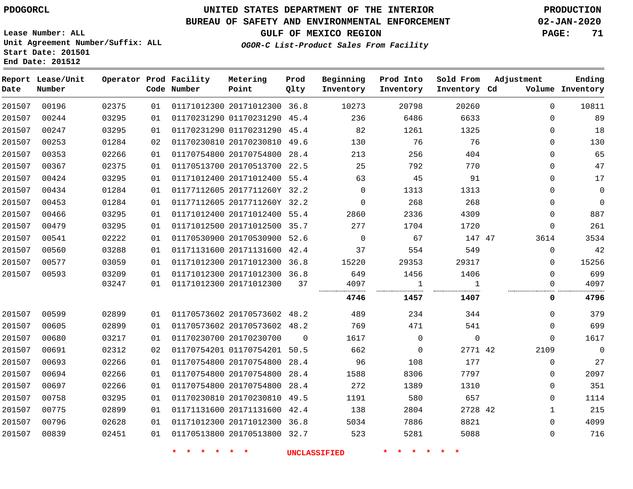## **BUREAU OF SAFETY AND ENVIRONMENTAL ENFORCEMENT 02-JAN-2020**

**OGOR-C List-Product Sales From Facility**

**GULF OF MEXICO REGION PAGE: 71**

**Lease Number: ALL Unit Agreement Number/Suffix: ALL Start Date: 201501 End Date: 201512**

| Date   | Report Lease/Unit<br>Number |       |    | Operator Prod Facility<br>Code Number | Metering<br>Point            | Prod<br>Qlty | Beginning<br>Inventory | Prod Into<br>Inventory | Sold From<br>Inventory Cd | Adjustment   | Ending<br>Volume Inventory |
|--------|-----------------------------|-------|----|---------------------------------------|------------------------------|--------------|------------------------|------------------------|---------------------------|--------------|----------------------------|
| 201507 | 00196                       | 02375 | 01 |                                       | 01171012300 20171012300 36.8 |              | 10273                  | 20798                  | 20260                     | $\Omega$     | 10811                      |
| 201507 | 00244                       | 03295 | 01 |                                       | 01170231290 01170231290 45.4 |              | 236                    | 6486                   | 6633                      | $\Omega$     | 89                         |
| 201507 | 00247                       | 03295 | 01 |                                       | 01170231290 01170231290 45.4 |              | 82                     | 1261                   | 1325                      | 0            | 18                         |
| 201507 | 00253                       | 01284 | 02 |                                       | 01170230810 20170230810      | 49.6         | 130                    | 76                     | 76                        | 0            | 130                        |
| 201507 | 00353                       | 02266 | 01 |                                       | 01170754800 20170754800 28.4 |              | 213                    | 256                    | 404                       | $\Omega$     | 65                         |
| 201507 | 00367                       | 02375 | 01 |                                       | 01170513700 20170513700 22.5 |              | 25                     | 792                    | 770                       | 0            | 47                         |
| 201507 | 00424                       | 03295 | 01 |                                       | 01171012400 20171012400 55.4 |              | 63                     | 45                     | 91                        | 0            | 17                         |
| 201507 | 00434                       | 01284 | 01 |                                       | 01177112605 2017711260Y 32.2 |              | $\Omega$               | 1313                   | 1313                      | 0            | $\mathbf 0$                |
| 201507 | 00453                       | 01284 | 01 |                                       | 01177112605 2017711260Y 32.2 |              | $\mathbf 0$            | 268                    | 268                       | 0            | $\mathbf 0$                |
| 201507 | 00466                       | 03295 | 01 |                                       | 01171012400 20171012400 55.4 |              | 2860                   | 2336                   | 4309                      | $\Omega$     | 887                        |
| 201507 | 00479                       | 03295 | 01 |                                       | 01171012500 20171012500 35.7 |              | 277                    | 1704                   | 1720                      | 0            | 261                        |
| 201507 | 00541                       | 02222 | 01 |                                       | 01170530900 20170530900 52.6 |              | $\mathbf 0$            | 67                     | 147 47                    | 3614         | 3534                       |
| 201507 | 00560                       | 03288 | 01 |                                       | 01171131600 20171131600      | 42.4         | 37                     | 554                    | 549                       | 0            | 42                         |
| 201507 | 00577                       | 03059 | 01 |                                       | 01171012300 20171012300 36.8 |              | 15220                  | 29353                  | 29317                     | 0            | 15256                      |
| 201507 | 00593                       | 03209 | 01 |                                       | 01171012300 20171012300 36.8 |              | 649                    | 1456                   | 1406                      | $\Omega$     | 699                        |
|        |                             | 03247 | 01 |                                       | 01171012300 20171012300      | 37           | 4097                   | 1                      | 1                         | 0            | 4097                       |
|        |                             |       |    |                                       |                              |              | 4746                   | 1457                   | 1407                      | 0            | 4796                       |
| 201507 | 00599                       | 02899 | 01 |                                       | 01170573602 20170573602 48.2 |              | 489                    | 234                    | 344                       | 0            | 379                        |
| 201507 | 00605                       | 02899 | 01 |                                       | 01170573602 20170573602 48.2 |              | 769                    | 471                    | 541                       | 0            | 699                        |
| 201507 | 00680                       | 03217 | 01 |                                       | 01170230700 20170230700      | $\mathbf 0$  | 1617                   | $\mathsf{O}$           | $\mathsf 0$               | 0            | 1617                       |
| 201507 | 00691                       | 02312 | 02 |                                       | 01170754201 01170754201 50.5 |              | 662                    | $\mathbf 0$            | 2771 42                   | 2109         | $\mathsf{O}$               |
| 201507 | 00693                       | 02266 | 01 |                                       | 01170754800 20170754800      | 28.4         | 96                     | 108                    | 177                       | $\Omega$     | 27                         |
| 201507 | 00694                       | 02266 | 01 |                                       | 01170754800 20170754800      | 28.4         | 1588                   | 8306                   | 7797                      | 0            | 2097                       |
| 201507 | 00697                       | 02266 | 01 |                                       | 01170754800 20170754800      | 28.4         | 272                    | 1389                   | 1310                      | 0            | 351                        |
| 201507 | 00758                       | 03295 | 01 |                                       | 01170230810 20170230810      | 49.5         | 1191                   | 580                    | 657                       | 0            | 1114                       |
| 201507 | 00775                       | 02899 | 01 |                                       | 01171131600 20171131600 42.4 |              | 138                    | 2804                   | 2728 42                   | $\mathbf{1}$ | 215                        |
| 201507 | 00796                       | 02628 | 01 |                                       | 01171012300 20171012300 36.8 |              | 5034                   | 7886                   | 8821                      | 0            | 4099                       |
| 201507 | 00839                       | 02451 | 01 |                                       | 01170513800 20170513800 32.7 |              | 523                    | 5281                   | 5088                      | 0            | 716                        |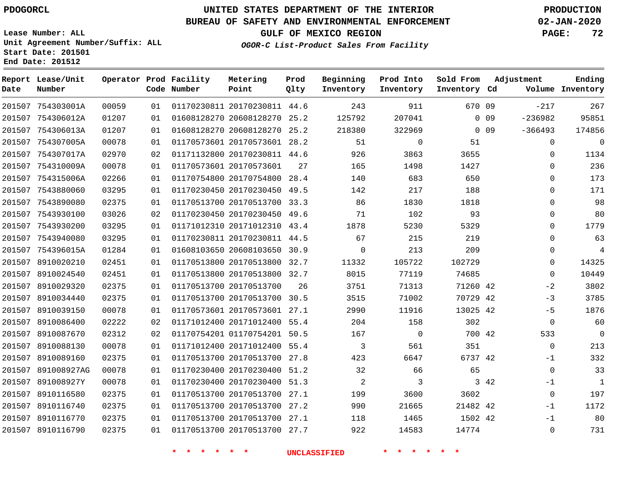# **UNITED STATES DEPARTMENT OF THE INTERIOR PDOGORCL PRODUCTION**

**Prod**

**Metering**

#### **BUREAU OF SAFETY AND ENVIRONMENTAL ENFORCEMENT 02-JAN-2020**

**Lease Number: ALL Unit Agreement Number/Suffix: ALL Start Date: 201501**

**Operator Prod Facility**

**End Date: 201512**

**Report Lease/Unit**

**GULF OF MEXICO REGION PAGE: 72**

**Ending**

**OGOR-C List-Product Sales From Facility**

| Date   | Number            |       |    | Code Number | Point                        | Qlty | Inventory | Inventory      | Inventory Cd |                 |             | Volume Inventory |
|--------|-------------------|-------|----|-------------|------------------------------|------|-----------|----------------|--------------|-----------------|-------------|------------------|
|        | 201507 754303001A | 00059 | 01 |             | 01170230811 20170230811 44.6 |      | 243       | 911            | 670 09       |                 | $-217$      | 267              |
|        | 201507 754306012A | 01207 | 01 |             | 01608128270 20608128270 25.2 |      | 125792    | 207041         |              | 0 0 9           | $-236982$   | 95851            |
|        | 201507 754306013A | 01207 | 01 |             | 01608128270 20608128270      | 25.2 | 218380    | 322969         |              | 0 <sub>09</sub> | $-366493$   | 174856           |
|        | 201507 754307005A | 00078 | 01 |             | 01170573601 20170573601 28.2 |      | 51        | 0              | 51           |                 | 0           | $\mathbf 0$      |
|        | 201507 754307017A | 02970 | 02 |             | 01171132800 20170230811 44.6 |      | 926       | 3863           | 3655         |                 | 0           | 1134             |
|        | 201507 754310009A | 00078 | 01 |             | 01170573601 20170573601      | 27   | 165       | 1498           | 1427         |                 | 0           | 236              |
|        | 201507 754315006A | 02266 | 01 |             | 01170754800 20170754800 28.4 |      | 140       | 683            | 650          |                 | $\Omega$    | 173              |
|        | 201507 7543880060 | 03295 | 01 |             | 01170230450 20170230450 49.5 |      | 142       | 217            | 188          |                 | 0           | 171              |
|        | 201507 7543890080 | 02375 | 01 |             | 01170513700 20170513700 33.3 |      | 86        | 1830           | 1818         |                 | 0           | 98               |
|        | 201507 7543930100 | 03026 | 02 |             | 01170230450 20170230450 49.6 |      | 71        | 102            | 93           |                 | 0           | 80               |
| 201507 | 7543930200        | 03295 | 01 |             | 01171012310 20171012310 43.4 |      | 1878      | 5230           | 5329         |                 | $\Omega$    | 1779             |
| 201507 | 7543940080        | 03295 | 01 |             | 01170230811 20170230811 44.5 |      | 67        | 215            | 219          |                 | 0           | 63               |
|        | 201507 754396015A | 01284 | 01 |             | 01608103650 20608103650 30.9 |      | $\Omega$  | 213            | 209          |                 | $\Omega$    | 4                |
| 201507 | 8910020210        | 02451 | 01 |             | 01170513800 20170513800 32.7 |      | 11332     | 105722         | 102729       |                 | 0           | 14325            |
|        | 201507 8910024540 | 02451 | 01 |             | 01170513800 20170513800 32.7 |      | 8015      | 77119          | 74685        |                 | $\Omega$    | 10449            |
|        | 201507 8910029320 | 02375 | 01 |             | 01170513700 20170513700      | 26   | 3751      | 71313          | 71260 42     |                 | $-2$        | 3802             |
|        | 201507 8910034440 | 02375 | 01 |             | 01170513700 20170513700 30.5 |      | 3515      | 71002          | 70729 42     |                 | $-3$        | 3785             |
| 201507 | 8910039150        | 00078 | 01 |             | 01170573601 20170573601      | 27.1 | 2990      | 11916          | 13025 42     |                 | $-5$        | 1876             |
|        | 201507 8910086400 | 02222 | 02 |             | 01171012400 20171012400 55.4 |      | 204       | 158            | 302          |                 | $\mathbf 0$ | 60               |
|        | 201507 8910087670 | 02312 | 02 |             | 01170754201 01170754201      | 50.5 | 167       | $\overline{0}$ | 700 42       |                 | 533         | $\overline{0}$   |
|        | 201507 8910088130 | 00078 | 01 |             | 01171012400 20171012400 55.4 |      | 3         | 561            | 351          |                 | $\Omega$    | 213              |
| 201507 | 8910089160        | 02375 | 01 |             | 01170513700 20170513700 27.8 |      | 423       | 6647           | 6737 42      |                 | $-1$        | 332              |
| 201507 | 891008927AG       | 00078 | 01 |             | 01170230400 20170230400      | 51.2 | 32        | 66             | 65           |                 | $\mathbf 0$ | 33               |
| 201507 | 891008927Y        | 00078 | 01 |             | 01170230400 20170230400      | 51.3 | 2         | 3              |              | 3 4 2           | $-1$        | $\mathbf{1}$     |
| 201507 | 8910116580        | 02375 | 01 |             | 01170513700 20170513700 27.1 |      | 199       | 3600           | 3602         |                 | $\mathbf 0$ | 197              |
|        | 201507 8910116740 | 02375 | 01 |             | 01170513700 20170513700 27.2 |      | 990       | 21665          | 21482 42     |                 | $-1$        | 1172             |
|        | 201507 8910116770 | 02375 | 01 |             | 01170513700 20170513700 27.1 |      | 118       | 1465           | 1502 42      |                 | $-1$        | 80               |
|        | 201507 8910116790 | 02375 | 01 |             | 01170513700 20170513700 27.7 |      | 922       | 14583          | 14774        |                 | $\mathbf 0$ | 731              |

**\* \* \* \* \* \* UNCLASSIFIED \* \* \* \* \* \***

**Beginning Prod Into Sold From Adjustment**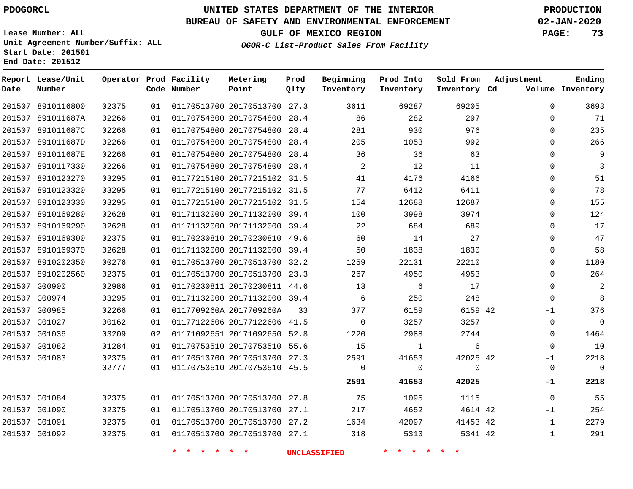8910116800

**Report Lease/Unit**

**Number**

# **UNITED STATES DEPARTMENT OF THE INTERIOR PDOGORCL PRODUCTION**

**Prod Qlty**

#### **BUREAU OF SAFETY AND ENVIRONMENTAL ENFORCEMENT 02-JAN-2020**

**Lease Number: ALL Unit Agreement Number/Suffix: ALL Start Date: 201501 End Date: 201512**

**Operator Prod Facility**

**Code Number**

20170513700 27.3

**Metering Point**

**OGOR-C List-Product Sales From Facility**

**Sold From Inventory**

**Prod Into Inventory**

**Beginning Inventory**

**GULF OF MEXICO REGION PAGE: 73**

**Inventory Cd Volume**

**Adjustment**

**Ending**

|                   |       |    |                              |                              |    | 2591           | 41653          | 42025    | -1          | 2218           |
|-------------------|-------|----|------------------------------|------------------------------|----|----------------|----------------|----------|-------------|----------------|
|                   | 02777 | 01 | 01170753510 20170753510 45.5 |                              |    |                |                |          | 0           | 0              |
| 201507 G01083     | 02375 | 01 |                              | 01170513700 20170513700 27.3 |    | 2591           | 41653          | 42025 42 | $-1$        | 2218           |
| 201507 G01082     | 01284 | 01 |                              | 01170753510 20170753510 55.6 |    | 15             | $\overline{1}$ | 6        | $\Omega$    | 10             |
| 201507 G01036     | 03209 | 02 |                              | 01171092651 20171092650 52.8 |    | 1220           | 2988           | 2744     | $\Omega$    | 1464           |
| 201507 G01027     | 00162 | 01 |                              | 01177122606 20177122606 41.5 |    | $\overline{0}$ | 3257           | 3257     | $\Omega$    | $\overline{0}$ |
| 201507 G00985     | 02266 | 01 | 0117709260A 2017709260A      |                              | 33 | 377            | 6159           | 6159 42  | $-1$        | 376            |
| 201507 G00974     | 03295 | 01 |                              | 01171132000 20171132000 39.4 |    | 6              | 250            | 248      | $\mathbf 0$ | 8              |
| 201507 G00900     | 02986 | 01 |                              | 01170230811 20170230811 44.6 |    | 13             | 6              | 17       | $\Omega$    | $\overline{2}$ |
| 201507 8910202560 | 02375 | 01 |                              | 01170513700 20170513700 23.3 |    | 267            | 4950           | 4953     | $\Omega$    | 264            |
| 201507 8910202350 | 00276 | 01 |                              | 01170513700 20170513700 32.2 |    | 1259           | 22131          | 22210    | $\Omega$    | 1180           |
| 201507 8910169370 | 02628 | 01 |                              | 01171132000 20171132000 39.4 |    | 50             | 1838           | 1830     | $\Omega$    | 58             |
| 201507 8910169300 | 02375 | 01 |                              | 01170230810 20170230810 49.6 |    | 60             | 14             | 27       | $\Omega$    | 47             |
| 201507 8910169290 | 02628 | 01 |                              | 01171132000 20171132000 39.4 |    | 22             | 684            | 689      | $\Omega$    | 17             |
| 201507 8910169280 | 02628 | 01 |                              | 01171132000 20171132000 39.4 |    | 100            | 3998           | 3974     | $\Omega$    | 124            |
| 201507 8910123330 | 03295 | 01 |                              | 01177215100 20177215102 31.5 |    | 154            | 12688          | 12687    | $\Omega$    | 155            |
| 201507 8910123320 | 03295 | 01 |                              | 01177215100 20177215102 31.5 |    | 77             | 6412           | 6411     | $\Omega$    | 78             |
| 201507 8910123270 | 03295 | 01 |                              | 01177215100 20177215102 31.5 |    | 41             | 4176           | 4166     | $\Omega$    | 51             |
| 201507 8910117330 | 02266 | 01 |                              | 01170754800 20170754800 28.4 |    | $\overline{2}$ | 12             | 11       | $\Omega$    | 3              |
| 201507 891011687E | 02266 | 01 |                              | 01170754800 20170754800 28.4 |    | 36             | 36             | 63       | $\Omega$    | 9              |
| 201507 891011687D | 02266 | 01 |                              | 01170754800 20170754800 28.4 |    | 205            | 1053           | 992      | $\Omega$    | 266            |
| 201507 891011687C | 02266 | 01 |                              | 01170754800 20170754800 28.4 |    | 281            | 930            | 976      | $\Omega$    | 235            |
| 201507 891011687A | 02266 | 01 |                              | 01170754800 20170754800 28.4 |    | 86             | 282            | 297      | $\Omega$    | 71             |

 G01084 G01090 G01091 G01092 20170513700 27.8 20170513700 27.1 20170513700 27.2 20170513700 27.1 42 42 42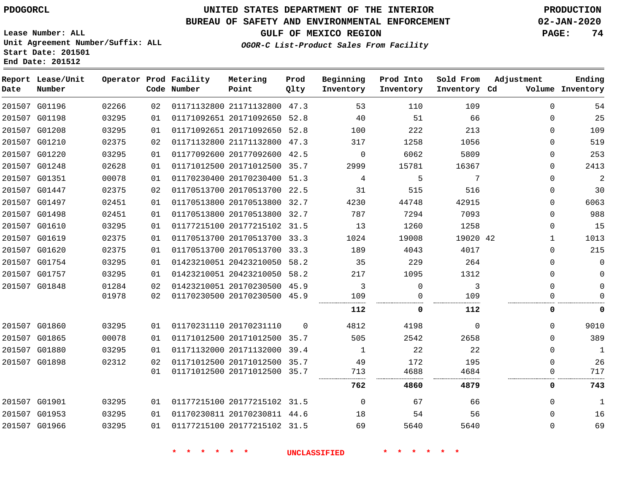## **UNITED STATES DEPARTMENT OF THE INTERIOR PDOGORCL PRODUCTION**

**Prod Qlty**

#### **BUREAU OF SAFETY AND ENVIRONMENTAL ENFORCEMENT 02-JAN-2020**

**Lease Number: ALL Unit Agreement Number/Suffix: ALL Start Date: 201501**

**Operator Prod Facility**

**Code Number**

**Metering Point**

**End Date: 201512**

**Report Lease/Unit**

**Number**

**GULF OF MEXICO REGION PAGE: 74**

**Inventory Cd Volume**

**Adjustment**

**Ending**

**OGOR-C List-Product Sales From Facility**

**Beginning Inventory**

**Prod Into Inventory**

**Sold From Inventory**

| 201507 G01196 | 02266 | 02 | 01171132800 21171132800 47.3 |          | 53       | 110      | 109      | $\Omega$ | 54          |
|---------------|-------|----|------------------------------|----------|----------|----------|----------|----------|-------------|
| 201507 G01198 | 03295 | 01 | 01171092651 20171092650 52.8 |          | 40       | 51       | 66       | $\Omega$ | 25          |
| 201507 G01208 | 03295 | 01 | 01171092651 20171092650 52.8 |          | 100      | 222      | 213      | 0        | 109         |
| 201507 G01210 | 02375 | 02 | 01171132800 21171132800 47.3 |          | 317      | 1258     | 1056     | $\Omega$ | 519         |
| 201507 G01220 | 03295 | 01 | 01177092600 20177092600 42.5 |          | $\Omega$ | 6062     | 5809     | $\Omega$ | 253         |
| 201507 G01248 | 02628 | 01 | 01171012500 20171012500 35.7 |          | 2999     | 15781    | 16367    | $\Omega$ | 2413        |
| 201507 G01351 | 00078 | 01 | 01170230400 20170230400      | 51.3     | 4        | 5        | 7        | 0        | 2           |
| 201507 G01447 | 02375 | 02 | 01170513700 20170513700 22.5 |          | 31       | 515      | 516      | 0        | 30          |
| 201507 G01497 | 02451 | 01 | 01170513800 20170513800 32.7 |          | 4230     | 44748    | 42915    | $\Omega$ | 6063        |
| 201507 G01498 | 02451 | 01 | 01170513800 20170513800 32.7 |          | 787      | 7294     | 7093     | $\Omega$ | 988         |
| 201507 G01610 | 03295 | 01 | 01177215100 20177215102 31.5 |          | 13       | 1260     | 1258     | $\Omega$ | 15          |
| 201507 G01619 | 02375 | 01 | 01170513700 20170513700 33.3 |          | 1024     | 19008    | 19020 42 |          | 1013        |
| 201507 G01620 | 02375 | 01 | 01170513700 20170513700 33.3 |          | 189      | 4043     | 4017     | $\Omega$ | 215         |
| 201507 G01754 | 03295 | 01 | 01423210051 20423210050 58.2 |          | 35       | 229      | 264      | $\Omega$ | 0           |
| 201507 G01757 | 03295 | 01 | 01423210051 20423210050 58.2 |          | 217      | 1095     | 1312     | 0        |             |
| 201507 G01848 | 01284 | 02 | 01423210051 20170230500 45.9 |          | 3        | $\Omega$ | 3        | $\Omega$ |             |
|               | 01978 | 02 | 01170230500 20170230500 45.9 |          | 109      | 0        | 109      |          |             |
|               |       |    |                              |          | 112      | 0        | 112      | 0        | 0           |
| 201507 G01860 | 03295 | 01 | 01170231110 20170231110      | $\Omega$ | 4812     | 4198     | $\Omega$ | $\Omega$ | 9010        |
| 201507 G01865 | 00078 | 01 | 01171012500 20171012500      | 35.7     | 505      | 2542     | 2658     | $\Omega$ | 389         |
| 201507 G01880 | 03295 | 01 | 01171132000 20171132000 39.4 |          |          | 22       | 22       | 0        | $\mathbf 1$ |
| 201507 G01898 | 02312 | 02 | 01171012500 20171012500      | 35.7     | 49       | 172      | 195      | 0        | 26          |
|               |       | 01 | 01171012500 20171012500      | 35.7     | 713      | 4688     | 4684     | 0        | 717         |
|               |       |    |                              |          | 762      | 4860     | 4879     | 0        | 743         |
| 201507 G01901 | 03295 | 01 | 01177215100 20177215102 31.5 |          | 0        | 67       | 66       | $\Omega$ | 1           |
| 201507 G01953 | 03295 | 01 | 01170230811 20170230811 44.6 |          | 18       | 54       | 56       | 0        | 16          |
| 201507 G01966 | 03295 | 01 | 01177215100 20177215102 31.5 |          | 69       | 5640     | 5640     | $\Omega$ | 69          |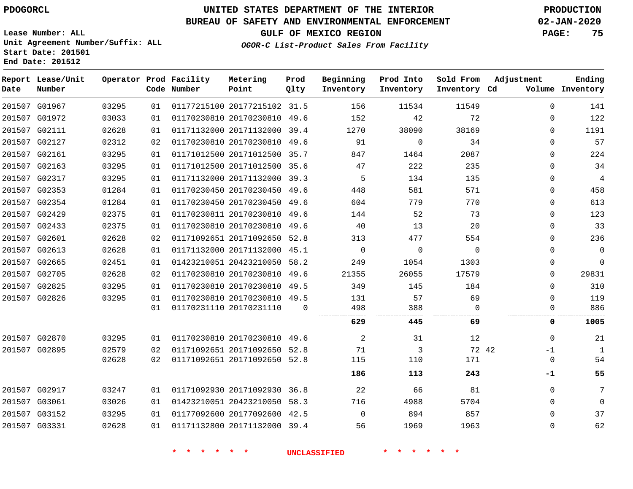**End Date: 201512**

## **UNITED STATES DEPARTMENT OF THE INTERIOR PDOGORCL PRODUCTION**

#### **BUREAU OF SAFETY AND ENVIRONMENTAL ENFORCEMENT 02-JAN-2020**

**Lease Number: ALL Unit Agreement Number/Suffix: ALL Start Date: 201501**

# **GULF OF MEXICO REGION PAGE: 75**

**OGOR-C List-Product Sales From Facility**

| Date | Report Lease/Unit<br>Number |       |    | Operator Prod Facility<br>Code Number | Metering<br>Point            | Prod<br>Qlty | Beginning<br>Inventory | Prod Into<br>Inventory | Sold From<br>Inventory Cd | Adjustment  | Ending<br>Volume Inventory |
|------|-----------------------------|-------|----|---------------------------------------|------------------------------|--------------|------------------------|------------------------|---------------------------|-------------|----------------------------|
|      | 201507 G01967               | 03295 | 01 |                                       | 01177215100 20177215102 31.5 |              | 156                    | 11534                  | 11549                     | $\mathbf 0$ | 141                        |
|      | 201507 G01972               | 03033 | 01 |                                       | 01170230810 20170230810 49.6 |              | 152                    | 42                     | 72                        | $\Omega$    | 122                        |
|      | 201507 G02111               | 02628 | 01 |                                       | 01171132000 20171132000      | 39.4         | 1270                   | 38090                  | 38169                     | $\Omega$    | 1191                       |
|      | 201507 G02127               | 02312 | 02 |                                       | 01170230810 20170230810 49.6 |              | 91                     | $\Omega$               | 34                        | $\Omega$    | 57                         |
|      | 201507 G02161               | 03295 | 01 |                                       | 01171012500 20171012500 35.7 |              | 847                    | 1464                   | 2087                      | $\mathbf 0$ | 224                        |
|      | 201507 G02163               | 03295 | 01 |                                       | 01171012500 20171012500 35.6 |              | 47                     | 222                    | 235                       | $\Omega$    | 34                         |
|      | 201507 G02317               | 03295 | 01 |                                       | 01171132000 20171132000 39.3 |              | 5                      | 134                    | 135                       | $\mathbf 0$ | 4                          |
|      | 201507 G02353               | 01284 | 01 |                                       | 01170230450 20170230450 49.6 |              | 448                    | 581                    | 571                       | $\Omega$    | 458                        |
|      | 201507 G02354               | 01284 | 01 |                                       | 01170230450 20170230450 49.6 |              | 604                    | 779                    | 770                       | $\mathbf 0$ | 613                        |
|      | 201507 G02429               | 02375 | 01 |                                       | 01170230811 20170230810 49.6 |              | 144                    | 52                     | 73                        | $\Omega$    | 123                        |
|      | 201507 G02433               | 02375 | 01 |                                       | 01170230810 20170230810 49.6 |              | 40                     | 13                     | 20                        | $\mathbf 0$ | 33                         |
|      | 201507 G02601               | 02628 | 02 |                                       | 01171092651 20171092650 52.8 |              | 313                    | 477                    | 554                       | $\Omega$    | 236                        |
|      | 201507 G02613               | 02628 | 01 |                                       | 01171132000 20171132000 45.1 |              | $\Omega$               | $\Omega$               | $\Omega$                  | $\Omega$    | $\Omega$                   |
|      | 201507 G02665               | 02451 | 01 |                                       | 01423210051 20423210050 58.2 |              | 249                    | 1054                   | 1303                      | 0           | $\Omega$                   |
|      | 201507 G02705               | 02628 | 02 |                                       | 01170230810 20170230810      | 49.6         | 21355                  | 26055                  | 17579                     | $\Omega$    | 29831                      |
|      | 201507 G02825               | 03295 | 01 |                                       | 01170230810 20170230810      | 49.5         | 349                    | 145                    | 184                       | $\Omega$    | 310                        |
|      | 201507 G02826               | 03295 | 01 |                                       | 01170230810 20170230810 49.5 |              | 131                    | 57                     | 69                        | $\Omega$    | 119                        |
|      |                             |       | 01 |                                       | 01170231110 20170231110      | 0            | 498                    | 388                    | $\Omega$                  | 0           | 886                        |
|      |                             |       |    |                                       |                              |              | 629                    | 445                    | 69                        | 0           | 1005                       |
|      | 201507 G02870               | 03295 | 01 |                                       | 01170230810 20170230810 49.6 |              | 2                      | 31                     | 12                        | $\mathbf 0$ | 21                         |
|      | 201507 G02895               | 02579 | 02 |                                       | 01171092651 20171092650      | 52.8         | 71                     | 3                      | 72 42                     | $-1$        | 1                          |
|      |                             | 02628 | 02 |                                       | 01171092651 20171092650 52.8 |              | 115                    | 110                    | 171                       | 0           | 54                         |
|      |                             |       |    |                                       |                              |              | 186                    | 113                    | 243                       | -1          | 55                         |
|      | 201507 G02917               | 03247 | 01 |                                       | 01171092930 20171092930 36.8 |              | 22                     | 66                     | 81                        | $\mathbf 0$ | 7                          |
|      | 201507 G03061               | 03026 | 01 |                                       | 01423210051 20423210050      | 58.3         | 716                    | 4988                   | 5704                      | $\Omega$    | $\Omega$                   |
|      | 201507 G03152               | 03295 | 01 |                                       | 01177092600 20177092600 42.5 |              | $\Omega$               | 894                    | 857                       | $\Omega$    | 37                         |
|      | 201507 G03331               | 02628 | 01 |                                       | 01171132800 20171132000 39.4 |              | 56                     | 1969                   | 1963                      | $\mathbf 0$ | 62                         |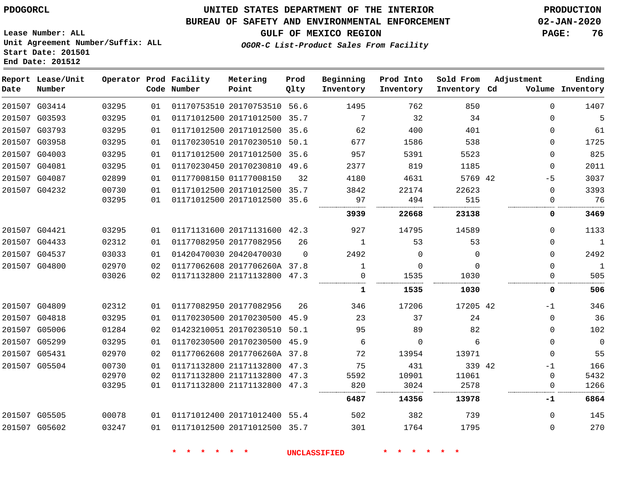#### **BUREAU OF SAFETY AND ENVIRONMENTAL ENFORCEMENT 02-JAN-2020**

**Lease Number: ALL Unit Agreement Number/Suffix: ALL Start Date: 201501 End Date: 201512**

**OGOR-C List-Product Sales From Facility**

**GULF OF MEXICO REGION PAGE: 76**

| Date | Report Lease/Unit<br>Number |       |     | Operator Prod Facility<br>Code Number | Metering<br>Point            | Prod<br>Qlty | Beginning<br>Inventory | Prod Into<br>Inventory | Sold From<br>Inventory Cd | Adjustment |             | Ending<br>Volume Inventory |
|------|-----------------------------|-------|-----|---------------------------------------|------------------------------|--------------|------------------------|------------------------|---------------------------|------------|-------------|----------------------------|
|      | 201507 G03414               | 03295 | 01  |                                       | 01170753510 20170753510 56.6 |              | 1495                   | 762                    | 850                       |            | $\Omega$    | 1407                       |
|      | 201507 G03593               | 03295 | 01  |                                       | 01171012500 20171012500 35.7 |              | 7                      | 32                     | 34                        |            | $\Omega$    | 5                          |
|      | 201507 G03793               | 03295 | 01  |                                       | 01171012500 20171012500 35.6 |              | 62                     | 400                    | 401                       |            | $\Omega$    | 61                         |
|      | 201507 G03958               | 03295 | 01  |                                       | 01170230510 20170230510 50.1 |              | 677                    | 1586                   | 538                       |            | $\Omega$    | 1725                       |
|      | 201507 G04003               | 03295 | 01  |                                       | 01171012500 20171012500 35.6 |              | 957                    | 5391                   | 5523                      |            | 0           | 825                        |
|      | 201507 G04081               | 03295 | 01  |                                       | 01170230450 20170230810 49.6 |              | 2377                   | 819                    | 1185                      |            | 0           | 2011                       |
|      | 201507 G04087               | 02899 | 01  |                                       | 01177008150 01177008150      | 32           | 4180                   | 4631                   | 5769 42                   |            | $-5$        | 3037                       |
|      | 201507 G04232               | 00730 | 01  |                                       | 01171012500 20171012500 35.7 |              | 3842                   | 22174                  | 22623                     |            | $\mathbf 0$ | 3393                       |
|      |                             | 03295 | 01  |                                       | 01171012500 20171012500 35.6 |              | 97                     | 494                    | 515                       |            | $\mathbf 0$ | 76                         |
|      |                             |       |     |                                       |                              |              | 3939                   | 22668                  | 23138                     |            | 0           | 3469                       |
|      | 201507 G04421               | 03295 | 01  |                                       | 01171131600 20171131600 42.3 |              | 927                    | 14795                  | 14589                     |            | $\mathbf 0$ | 1133                       |
|      | 201507 G04433               | 02312 | 01  |                                       | 01177082950 20177082956      | 26           | $\mathbf{1}$           | 53                     | 53                        |            | $\mathbf 0$ | $\mathbf{1}$               |
|      | 201507 G04537               | 03033 | 01  |                                       | 01420470030 20420470030      | $\Omega$     | 2492                   | $\Omega$               | $\Omega$                  |            | $\Omega$    | 2492                       |
|      | 201507 G04800               | 02970 | 02  |                                       | 01177062608 2017706260A 37.8 |              | 1                      | $\Omega$               | $\Omega$                  |            | $\Omega$    | $\mathbf{1}$               |
|      |                             | 03026 | 02  |                                       | 01171132800 21171132800 47.3 |              | $\Omega$               | 1535                   | 1030                      |            | 0           | 505                        |
|      |                             |       |     |                                       |                              |              | 1                      | 1535                   | 1030                      |            | 0           | 506                        |
|      | 201507 G04809               | 02312 | 01  |                                       | 01177082950 20177082956      | 26           | 346                    | 17206                  | 17205 42                  |            | $-1$        | 346                        |
|      | 201507 G04818               | 03295 | 01  |                                       | 01170230500 20170230500 45.9 |              | 23                     | 37                     | 24                        |            | 0           | 36                         |
|      | 201507 G05006               | 01284 | 02  |                                       | 01423210051 20170230510 50.1 |              | 95                     | 89                     | 82                        |            | $\Omega$    | 102                        |
|      | 201507 G05299               | 03295 | 01  |                                       | 01170230500 20170230500 45.9 |              | 6                      | $\Omega$               | 6                         |            | $\Omega$    | $\mathbf{0}$               |
|      | 201507 G05431               | 02970 | 02  |                                       | 01177062608 2017706260A 37.8 |              | 72                     | 13954                  | 13971                     |            | $\Omega$    | 55                         |
|      | 201507 G05504               | 00730 | 01  |                                       | 01171132800 21171132800 47.3 |              | 75                     | 431                    | 339 42                    |            | $-1$        | 166                        |
|      |                             | 02970 | 02  |                                       | 01171132800 21171132800 47.3 |              | 5592                   | 10901                  | 11061                     |            | 0           | 5432                       |
|      |                             | 03295 | 01  |                                       | 01171132800 21171132800 47.3 |              | 820                    | 3024                   | 2578                      |            | 0           | 1266                       |
|      |                             |       |     |                                       |                              |              | 6487                   | 14356                  | 13978                     |            | -1          | 6864                       |
|      | 201507 G05505               | 00078 | 01  |                                       | 01171012400 20171012400 55.4 |              | 502                    | 382                    | 739                       |            | $\Omega$    | 145                        |
|      | 201507 G05602               | 03247 | 0.1 |                                       | 01171012500 20171012500 35.7 |              | 301                    | 1764                   | 1795                      |            | 0           | 270                        |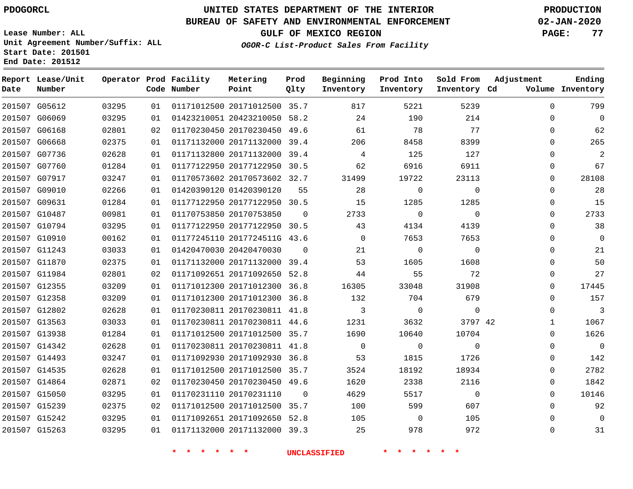G05612

**Date**

**Report Lease/Unit**

**Number**

# **UNITED STATES DEPARTMENT OF THE INTERIOR PDOGORCL PRODUCTION**

**Prod Qlty**

#### **BUREAU OF SAFETY AND ENVIRONMENTAL ENFORCEMENT 02-JAN-2020**

**Lease Number: ALL Unit Agreement Number/Suffix: ALL Start Date: 201501 End Date: 201512**

**Operator Prod Facility**

**Code Number**

**OGOR-C List-Product Sales From Facility**

**Sold From Inventory**

**Prod Into Inventory**

**Beginning Inventory**

**GULF OF MEXICO REGION PAGE: 77**

**Inventory Cd Volume**

**Adjustment**

**Ending**

| 201507 G06069 | 03295 | 01 |                            | 01423210051 20423210050 58.2 |                | 24                  | 190                | 214            |  |
|---------------|-------|----|----------------------------|------------------------------|----------------|---------------------|--------------------|----------------|--|
| 201507 G06168 | 02801 | 02 |                            | 01170230450 20170230450 49.6 |                | 61                  | 78                 | 77             |  |
| 201507 G06668 | 02375 | 01 |                            | 01171132000 20171132000 39.4 |                | 206                 | 8458               | 8399           |  |
| 201507 G07736 | 02628 | 01 |                            | 01171132800 20171132000 39.4 |                | $\overline{4}$      | 125                | 127            |  |
| 201507 G07760 | 01284 | 01 |                            | 01177122950 20177122950 30.5 |                | 62                  | 6916               | 6911           |  |
| 201507 G07917 | 03247 | 01 |                            | 01170573602 20170573602 32.7 |                | 31499               | 19722              | 23113          |  |
| 201507 G09010 | 02266 | 01 |                            | 01420390120 01420390120      | 55             | 28                  | $\overline{0}$     | $\mathbf 0$    |  |
| 201507 G09631 | 01284 | 01 |                            | 01177122950 20177122950 30.5 |                | 15                  | 1285               | 1285           |  |
| 201507 G10487 | 00981 | 01 |                            | 01170753850 20170753850      | $\overline{0}$ | 2733                | $\overline{0}$     | $\overline{0}$ |  |
| 201507 G10794 | 03295 | 01 |                            | 01177122950 20177122950 30.5 |                | 43                  | 4134               | 4139           |  |
| 201507 G10910 | 00162 | 01 |                            | 01177245110 2017724511G 43.6 |                | $\overline{0}$      | 7653               | 7653           |  |
| 201507 G11243 | 03033 | 01 |                            | 01420470030 20420470030      | $\overline{0}$ | 21                  | $\overline{0}$     | $\overline{0}$ |  |
| 201507 G11870 | 02375 | 01 |                            | 01171132000 20171132000 39.4 |                | 53                  | 1605               | 1608           |  |
| 201507 G11984 | 02801 | 02 |                            | 01171092651 20171092650 52.8 |                | 44                  | 55                 | 72             |  |
| 201507 G12355 | 03209 | 01 |                            | 01171012300 20171012300 36.8 |                | 16305               | 33048              | 31908          |  |
| 201507 G12358 | 03209 | 01 |                            | 01171012300 20171012300 36.8 |                | 132                 | 704                | 679            |  |
| 201507 G12802 | 02628 | 01 |                            | 01170230811 20170230811 41.8 |                | $\overline{3}$      | $\overline{0}$     | $\overline{0}$ |  |
| 201507 G13563 | 03033 | 01 |                            | 01170230811 20170230811 44.6 |                | 1231                | 3632               | 3797 42        |  |
| 201507 G13938 | 01284 | 01 |                            | 01171012500 20171012500 35.7 |                | 1690                | 10640              | 10704          |  |
| 201507 G14342 | 02628 | 01 |                            | 01170230811 20170230811 41.8 |                | $\overline{0}$      | $\mathbf 0$        | $\mathbf 0$    |  |
| 201507 G14493 | 03247 | 01 |                            | 01171092930 20171092930 36.8 |                | 53                  | 1815               | 1726           |  |
| 201507 G14535 | 02628 | 01 |                            | 01171012500 20171012500 35.7 |                | 3524                | 18192              | 18934          |  |
| 201507 G14864 | 02871 | 02 |                            | 01170230450 20170230450 49.6 |                | 1620                | 2338               | 2116           |  |
| 201507 G15050 | 03295 | 01 |                            | 01170231110 20170231110      | $\overline{0}$ | 4629                | 5517               | $\overline{0}$ |  |
| 201507 G15239 | 02375 | 02 |                            | 01171012500 20171012500 35.7 |                | 100                 | 599                | 607            |  |
| 201507 G15242 | 03295 | 01 |                            | 01171092651 20171092650 52.8 |                | 105                 | $\overline{0}$     | 105            |  |
| 201507 G15263 | 03295 | 01 |                            | 01171132000 20171132000 39.3 |                | 25                  | 978                | 972            |  |
|               |       |    |                            |                              |                |                     |                    |                |  |
|               |       |    | $\star$<br>一天<br>$\star$ . | * * *                        |                | <b>UNCLASSIFIED</b> | $\star$<br>$\star$ | * * * *        |  |

20171012500 35.7

**Metering Point**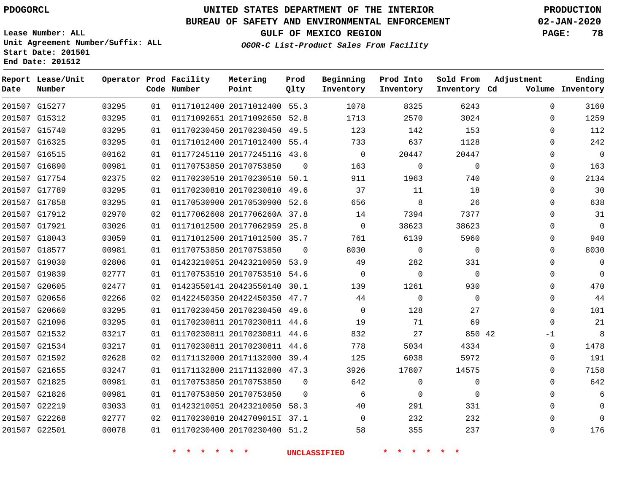**End Date: 201512**

## **UNITED STATES DEPARTMENT OF THE INTERIOR PDOGORCL PRODUCTION**

#### **BUREAU OF SAFETY AND ENVIRONMENTAL ENFORCEMENT 02-JAN-2020**

**Lease Number: ALL Unit Agreement Number/Suffix: ALL Start Date: 201501**

**OGOR-C List-Product Sales From Facility**

**GULF OF MEXICO REGION PAGE: 78**

| Date   | Report Lease/Unit<br>Number |       |    | Operator Prod Facility<br>Code Number | Metering<br>Point            | Prod<br>Qlty | Beginning<br>Inventory | Prod Into<br>Inventory | Sold From<br>Inventory Cd | Adjustment   | Ending<br>Volume Inventory |
|--------|-----------------------------|-------|----|---------------------------------------|------------------------------|--------------|------------------------|------------------------|---------------------------|--------------|----------------------------|
|        | 201507 G15277               | 03295 | 01 |                                       | 01171012400 20171012400 55.3 |              | 1078                   | 8325                   | 6243                      | $\Omega$     | 3160                       |
|        | 201507 G15312               | 03295 | 01 |                                       | 01171092651 20171092650      | 52.8         | 1713                   | 2570                   | 3024                      | $\mathbf 0$  | 1259                       |
|        | 201507 G15740               | 03295 | 01 |                                       | 01170230450 20170230450 49.5 |              | 123                    | 142                    | 153                       | $\Omega$     | 112                        |
|        | 201507 G16325               | 03295 | 01 |                                       | 01171012400 20171012400      | 55.4         | 733                    | 637                    | 1128                      | $\Omega$     | 242                        |
|        | 201507 G16515               | 00162 | 01 |                                       | 01177245110 2017724511G 43.6 |              | $\Omega$               | 20447                  | 20447                     | $\Omega$     | $\mathbf 0$                |
|        | 201507 G16890               | 00981 | 01 |                                       | 01170753850 20170753850      | $\Omega$     | 163                    | $\mathbf 0$            | $\mathbf 0$               | $\Omega$     | 163                        |
|        | 201507 G17754               | 02375 | 02 |                                       | 01170230510 20170230510      | 50.1         | 911                    | 1963                   | 740                       | $\Omega$     | 2134                       |
|        | 201507 G17789               | 03295 | 01 |                                       | 01170230810 20170230810      | 49.6         | 37                     | 11                     | 18                        | $\Omega$     | 30                         |
|        | 201507 G17858               | 03295 | 01 |                                       | 01170530900 20170530900      | 52.6         | 656                    | 8                      | 26                        | $\Omega$     | 638                        |
|        | 201507 G17912               | 02970 | 02 |                                       | 01177062608 2017706260A 37.8 |              | 14                     | 7394                   | 7377                      | $\Omega$     | 31                         |
|        | 201507 G17921               | 03026 | 01 |                                       | 01171012500 20177062959      | 25.8         | $\mathbf 0$            | 38623                  | 38623                     | $\Omega$     | 0                          |
|        | 201507 G18043               | 03059 | 01 |                                       | 01171012500 20171012500 35.7 |              | 761                    | 6139                   | 5960                      | $\Omega$     | 940                        |
|        | 201507 G18577               | 00981 | 01 |                                       | 01170753850 20170753850      | $\Omega$     | 8030                   | 0                      | $\mathbf 0$               | $\mathbf 0$  | 8030                       |
|        | 201507 G19030               | 02806 | 01 |                                       | 01423210051 20423210050 53.9 |              | 49                     | 282                    | 331                       | $\Omega$     | 0                          |
|        | 201507 G19839               | 02777 | 01 |                                       | 01170753510 20170753510      | 54.6         | $\Omega$               | $\mathbf 0$            | $\Omega$                  | $\Omega$     | $\Omega$                   |
|        | 201507 G20605               | 02477 | 01 |                                       | 01423550141 20423550140      | 30.1         | 139                    | 1261                   | 930                       | $\Omega$     | 470                        |
|        | 201507 G20656               | 02266 | 02 |                                       | 01422450350 20422450350      | 47.7         | 44                     | $\mathbf 0$            | $\Omega$                  | $\Omega$     | 44                         |
| 201507 | G20660                      | 03295 | 01 |                                       | 01170230450 20170230450      | 49.6         | $\Omega$               | 128                    | 27                        | $\Omega$     | 101                        |
|        | 201507 G21096               | 03295 | 01 |                                       | 01170230811 20170230811      | 44.6         | 19                     | 71                     | 69                        | $\Omega$     | 21                         |
| 201507 | G21532                      | 03217 | 01 |                                       | 01170230811 20170230811      | 44.6         | 832                    | 27                     | 850 42                    | -1           | 8                          |
|        | 201507 G21534               | 03217 | 01 |                                       | 01170230811 20170230811 44.6 |              | 778                    | 5034                   | 4334                      | $\mathbf{0}$ | 1478                       |
|        | 201507 G21592               | 02628 | 02 |                                       | 01171132000 20171132000      | 39.4         | 125                    | 6038                   | 5972                      | $\mathbf{0}$ | 191                        |
|        | 201507 G21655               | 03247 | 01 |                                       | 01171132800 21171132800 47.3 |              | 3926                   | 17807                  | 14575                     | $\Omega$     | 7158                       |
|        | 201507 G21825               | 00981 | 01 |                                       | 01170753850 20170753850      | $\Omega$     | 642                    | $\mathbf 0$            | $\mathbf 0$               | $\Omega$     | 642                        |
|        | 201507 G21826               | 00981 | 01 |                                       | 01170753850 20170753850      | $\Omega$     | 6                      | 0                      | $\mathbf 0$               | $\Omega$     | 6                          |
|        | 201507 G22219               | 03033 | 01 |                                       | 01423210051 20423210050      | 58.3         | 40                     | 291                    | 331                       | $\Omega$     | $\mathbf 0$                |
|        | 201507 G22268               | 02777 | 02 |                                       | 01170230810 2042709015I 37.1 |              | $\Omega$               | 232                    | 232                       | $\Omega$     | 0                          |
|        | 201507 G22501               | 00078 | 01 |                                       | 01170230400 20170230400 51.2 |              | 58                     | 355                    | 237                       | $\Omega$     | 176                        |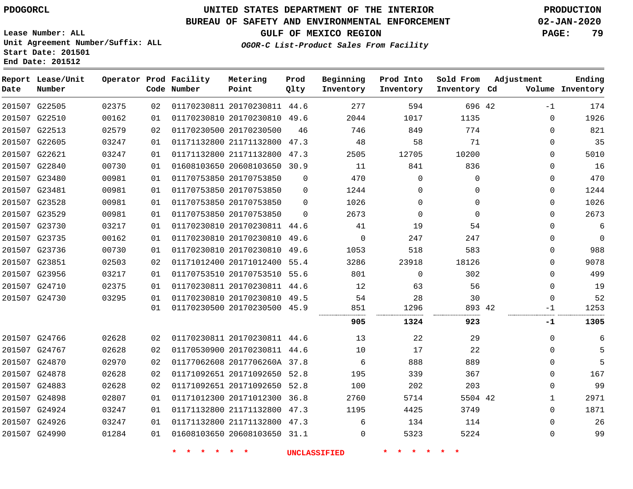**End Date: 201512**

# **UNITED STATES DEPARTMENT OF THE INTERIOR PDOGORCL PRODUCTION**

### **BUREAU OF SAFETY AND ENVIRONMENTAL ENFORCEMENT 02-JAN-2020**

**Lease Number: ALL Unit Agreement Number/Suffix: ALL Start Date: 201501**

**OGOR-C List-Product Sales From Facility**

**GULF OF MEXICO REGION PAGE: 79**

**Ending**

| Date | Report Lease/Unit<br>Number |       |    | Operator Prod Facility<br>Code Number | Metering<br>Point            | Prod<br>Qlty | Beginning<br>Inventory | Prod Into<br>Inventory | Sold From<br>Inventory Cd | Adjustment | Ending<br>Volume Inventory |
|------|-----------------------------|-------|----|---------------------------------------|------------------------------|--------------|------------------------|------------------------|---------------------------|------------|----------------------------|
|      | 201507 G22505               | 02375 | 02 |                                       | 01170230811 20170230811 44.6 |              | 277                    | 594                    | 696 42                    | $-1$       | 174                        |
|      | 201507 G22510               | 00162 | 01 |                                       | 01170230810 20170230810 49.6 |              | 2044                   | 1017                   | 1135                      | 0          | 1926                       |
|      | 201507 G22513               | 02579 | 02 |                                       | 01170230500 20170230500      | 46           | 746                    | 849                    | 774                       | $\Omega$   | 821                        |
|      | 201507 G22605               | 03247 | 01 |                                       | 01171132800 21171132800      | 47.3         | 48                     | 58                     | 71                        | $\Omega$   | 35                         |
|      | 201507 G22621               | 03247 | 01 |                                       | 01171132800 21171132800      | 47.3         | 2505                   | 12705                  | 10200                     | $\Omega$   | 5010                       |
|      | 201507 G22840               | 00730 | 01 |                                       | 01608103650 20608103650      | 30.9         | 11                     | 841                    | 836                       | $\Omega$   | 16                         |
|      | 201507 G23480               | 00981 | 01 |                                       | 01170753850 20170753850      | $\Omega$     | 470                    | $\Omega$               | $\Omega$                  | $\Omega$   | 470                        |
|      | 201507 G23481               | 00981 | 01 |                                       | 01170753850 20170753850      | $\Omega$     | 1244                   | $\Omega$               | $\Omega$                  | $\Omega$   | 1244                       |
|      | 201507 G23528               | 00981 | 01 |                                       | 01170753850 20170753850      | $\Omega$     | 1026                   | $\Omega$               | $\Omega$                  | $\Omega$   | 1026                       |
|      | 201507 G23529               | 00981 | 01 |                                       | 01170753850 20170753850      | $\Omega$     | 2673                   | $\Omega$               | $\Omega$                  | $\Omega$   | 2673                       |
|      | 201507 G23730               | 03217 | 01 |                                       | 01170230810 20170230811 44.6 |              | 41                     | 19                     | 54                        | $\Omega$   | 6                          |
|      | 201507 G23735               | 00162 | 01 |                                       | 01170230810 20170230810      | 49.6         | $\Omega$               | 247                    | 247                       | $\Omega$   | 0                          |
|      | 201507 G23736               | 00730 | 01 |                                       | 01170230810 20170230810      | 49.6         | 1053                   | 518                    | 583                       | $\Omega$   | 988                        |
|      | 201507 G23851               | 02503 | 02 |                                       | 01171012400 20171012400 55.4 |              | 3286                   | 23918                  | 18126                     | $\Omega$   | 9078                       |
|      | 201507 G23956               | 03217 | 01 |                                       | 01170753510 20170753510 55.6 |              | 801                    | $\Omega$               | 302                       | 0          | 499                        |
|      | 201507 G24710               | 02375 | 01 |                                       | 01170230811 20170230811      | 44.6         | 12                     | 63                     | 56                        | $\Omega$   | 19                         |
|      | 201507 G24730               | 03295 | 01 |                                       | 01170230810 20170230810 49.5 |              | 54                     | 28                     | 30                        | $\Omega$   | 52                         |
|      |                             |       | 01 |                                       | 01170230500 20170230500 45.9 |              | 851                    | 1296                   | 893 42                    | $-1$       | 1253                       |
|      |                             |       |    |                                       |                              |              | 905                    | 1324                   | 923                       | $-1$       | 1305                       |
|      | 201507 G24766               | 02628 | 02 |                                       | 01170230811 20170230811 44.6 |              | 13                     | 22                     | 29                        | $\Omega$   |                            |
|      | ------ -- ---               |       |    |                                       |                              |              | .                      |                        |                           |            |                            |

| 174  | $-1$         | 696 42   | 594      | 277  |          | 01170230811 20170230811 44.6 | 02 | 02375 | 201507 G22505 |  |
|------|--------------|----------|----------|------|----------|------------------------------|----|-------|---------------|--|
| 1926 | $\Omega$     | 1135     | 1017     | 2044 |          | 01170230810 20170230810 49.6 | 01 | 00162 | 201507 G22510 |  |
| 821  | 0            | 774      | 849      | 746  | 46       | 01170230500 20170230500      | 02 | 02579 | 201507 G22513 |  |
| 35   | $\Omega$     | 71       | 58       | 48   |          | 01171132800 21171132800 47.3 | 01 | 03247 | 201507 G22605 |  |
| 5010 | $\Omega$     | 10200    | 12705    | 2505 | 47.3     | 01171132800 21171132800      | 01 | 03247 | 201507 G22621 |  |
| 16   | 0            | 836      | 841      | 11   |          | 01608103650 20608103650 30.9 | 01 | 00730 | 201507 G22840 |  |
| 470  | $\Omega$     | $\Omega$ | $\Omega$ | 470  | $\Omega$ | 01170753850 20170753850      | 01 | 00981 | 201507 G23480 |  |
| 1244 | $\Omega$     | $\Omega$ | 0        | 1244 | $\Omega$ | 01170753850 20170753850      | 01 | 00981 | 201507 G23481 |  |
| 1026 | $\Omega$     | $\Omega$ | $\Omega$ | 1026 | $\Omega$ | 01170753850 20170753850      | 01 | 00981 | 201507 G23528 |  |
| 2673 | $\Omega$     | $\Omega$ | $\Omega$ | 2673 | 0        | 01170753850 20170753850      | 01 | 00981 | 201507 G23529 |  |
| 6    | $\Omega$     | 54       | 19       | 41   |          | 01170230810 20170230811 44.6 | 01 | 03217 | 201507 G23730 |  |
| 0    | $\Omega$     | 247      | 247      | 0    |          | 01170230810 20170230810 49.6 | 01 | 00162 | 201507 G23735 |  |
| 988  | $\Omega$     | 583      | 518      | 1053 |          | 01170230810 20170230810 49.6 | 01 | 00730 | 201507 G23736 |  |
| 9078 | $\Omega$     | 18126    | 23918    | 3286 |          | 01171012400 20171012400 55.4 | 02 | 02503 | 201507 G23851 |  |
| 499  | $\Omega$     | 302      | $\Omega$ | 801  |          | 01170753510 20170753510 55.6 | 01 | 03217 | 201507 G23956 |  |
| 19   | $\Omega$     | 56       | 63       | 12   |          | 01170230811 20170230811 44.6 | 01 | 02375 | 201507 G24710 |  |
| 52   | $\Omega$     | 30       | 28       | 54   |          | 01170230810 20170230810 49.5 | 01 | 03295 | 201507 G24730 |  |
| 1253 | $-1$         | 893 42   | 1296     | 851  |          | 01170230500 20170230500 45.9 | 01 |       |               |  |
| 1305 | -1           | 923      | 1324     | 905  |          |                              |    |       |               |  |
| 6    | $\Omega$     | 29       | 22       | 13   |          | 01170230811 20170230811 44.6 | 02 | 02628 | 201507 G24766 |  |
| 5    | $\mathbf{0}$ | 22       | 17       | 10   |          | 01170530900 20170230811 44.6 | 02 | 02628 | 201507 G24767 |  |
| 5    | $\Omega$     | 889      | 888      | 6    |          | 01177062608 2017706260A 37.8 | 02 | 02970 | 201507 G24870 |  |
| 167  | $\Omega$     | 367      | 339      | 195  |          | 01171092651 20171092650 52.8 | 02 | 02628 | 201507 G24878 |  |
| 99   | $\Omega$     | 203      | 202      | 100  |          | 01171092651 20171092650 52.8 | 02 | 02628 | 201507 G24883 |  |
| 2971 | 1            | 5504 42  | 5714     | 2760 |          | 01171012300 20171012300 36.8 | 01 | 02807 | 201507 G24898 |  |
| 1871 | $\mathbf{0}$ | 3749     | 4425     | 1195 |          | 01171132800 21171132800 47.3 | 01 | 03247 | 201507 G24924 |  |
| 26   | $\Omega$     | 114      | 134      | 6    |          | 01171132800 21171132800 47.3 | 01 | 03247 | 201507 G24926 |  |
| 99   | $\Omega$     | 5224     | 5323     | 0    |          | 01608103650 20608103650 31.1 | 01 | 01284 | 201507 G24990 |  |
|      |              |          |          |      |          |                              |    |       |               |  |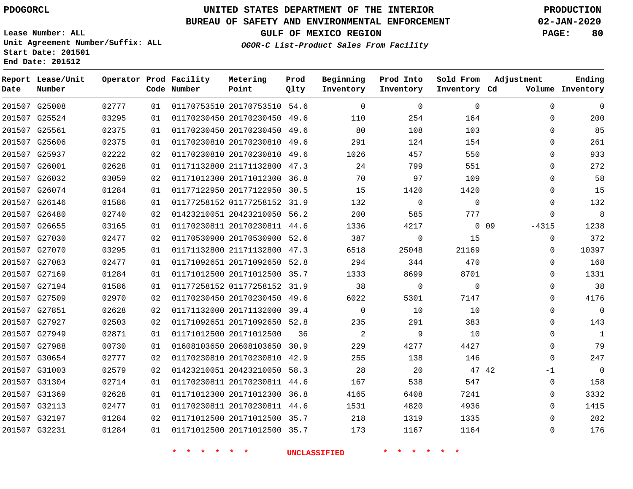**End Date: 201512**

**Report Lease/Unit**

**Number**

 G25008 G25524 G25561 G25606

 G31003 G31304 G31369 G32113 G32197 G32231

**Date**

## **UNITED STATES DEPARTMENT OF THE INTERIOR PDOGORCL PRODUCTION**

#### **BUREAU OF SAFETY AND ENVIRONMENTAL ENFORCEMENT 02-JAN-2020**

**Lease Number: ALL Unit Agreement Number/Suffix: ALL Start Date: 201501**

**Operator Prod Facility**

**Code Number**

 

**OGOR-C List-Product Sales From Facility**

 $\Omega$ 

 

**Sold From Inventory**

**Prod Into Inventory**

**Beginning Inventory**

**GULF OF MEXICO REGION PAGE: 80**

**Inventory Cd Volume**

**Adjustment**

  $\Omega$  $\Omega$  $\Omega$ 

-1  $\Omega$   $\Omega$  $\Omega$ 

**Ending**

| 01            | 01170230450 20170230450      | 49.6 | 80   | 108                  |
|---------------|------------------------------|------|------|----------------------|
| 01            | 01170230810 20170230810      | 49.6 | 291  | 124                  |
| 02            | 01170230810 20170230810      | 49.6 | 1026 | 457                  |
| 01            | 01171132800 21171132800      | 47.3 | 24   | 799                  |
| 02            | 01171012300 20171012300      | 36.8 | 70   | 97                   |
| 01            | 01177122950 20177122950      | 30.5 | 15   | 1420                 |
| 01            | 01177258152 01177258152 31.9 |      | 132  | 0                    |
| 02            | 01423210051 20423210050 56.2 |      | 200  | 585                  |
| $\sim$ $\sim$ |                              |      |      | $\sim$ $\sim$ $\sim$ |

**Prod Qlty**

 20170753510 54.6 20170230450 49.6

**Metering Point**

|               | 201507 G25937 | 02222 | 02 | 01170230810 20170230810      | 49.6 | 1026     | 457      | 550         | $\overline{0}$    |
|---------------|---------------|-------|----|------------------------------|------|----------|----------|-------------|-------------------|
| 201507 G26001 |               | 02628 | 01 | 01171132800 21171132800      | 47.3 | 24       | 799      | 551         | $\mathbf 0$       |
| 201507 G26032 |               | 03059 | 02 | 01171012300 20171012300      | 36.8 | 70       | 97       | 109         | $\mathbf 0$       |
| 201507        | G26074        | 01284 | 01 | 01177122950 20177122950      | 30.5 | 15       | 1420     | 1420        | $\mathbf 0$       |
| 201507        | G26146        | 01586 | 01 | 01177258152 01177258152      | 31.9 | 132      | 0        | $\mathbf 0$ | $\mathbf 0$       |
|               | 201507 G26480 | 02740 | 02 | 01423210051 20423210050      | 56.2 | 200      | 585      | 777         | $\mathbf 0$       |
| 201507 G26655 |               | 03165 | 01 | 01170230811 20170230811      | 44.6 | 1336     | 4217     |             | $0$ 09<br>$-4315$ |
|               | 201507 G27030 | 02477 | 02 | 01170530900 20170530900      | 52.6 | 387      | 0        | 15          | $\mathbf 0$       |
| 201507 G27070 |               | 03295 | 01 | 01171132800 21171132800      | 47.3 | 6518     | 25048    | 21169       | $\mathbf 0$       |
| 201507 G27083 |               | 02477 | 01 | 01171092651 20171092650 52.8 |      | 294      | 344      | 470         | $\overline{0}$    |
| 201507 G27169 |               | 01284 | 01 | 01171012500 20171012500      | 35.7 | 1333     | 8699     | 8701        | $\overline{0}$    |
|               | 201507 G27194 | 01586 | 01 | 01177258152 01177258152      | 31.9 | 38       | $\Omega$ | $\mathbf 0$ | $\overline{0}$    |
| 201507 G27509 |               | 02970 | 02 | 01170230450 20170230450      | 49.6 | 6022     | 5301     | 7147        | $\Omega$          |
| 201507        | G27851        | 02628 | 02 | 01171132000 20171132000      | 39.4 | $\Omega$ | 10       | 10          | $\Omega$          |
| 201507        | G27927        | 02503 | 02 | 01171092651 20171092650 52.8 |      | 235      | 291      | 383         | $\mathbf 0$       |
| 201507        | G27949        | 02871 | 01 | 01171012500 20171012500      | 36   | 2        | 9        | 10          | $\mathbf 0$       |
| 201507 G27988 |               | 00730 | 01 | 01608103650 20608103650      | 30.9 | 229      | 4277     | 4427        | $\mathbf 0$       |
|               | 201507 G30654 | 02777 | 02 | 01170230810 20170230810      | 42.9 | 255      | 138      | 146         | $\mathbf 0$       |

**\* \* \* \* \* \* UNCLASSIFIED \* \* \* \* \* \***

 20423210050 58.3 20170230811 44.6 20171012300 36.8 20170230811 44.6 20171012500 35.7 20171012500 35.7

42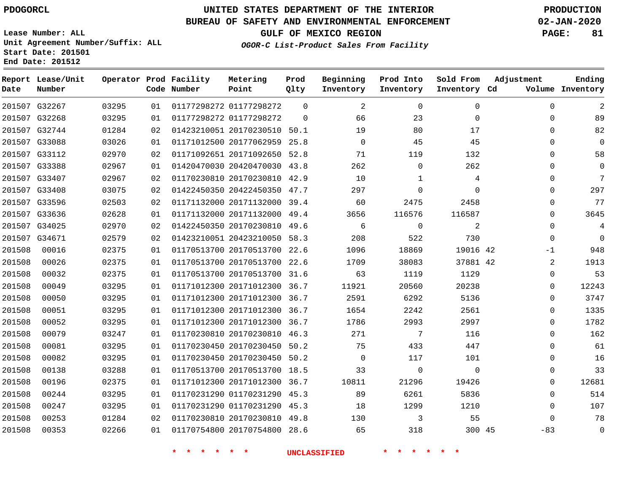**End Date: 201512**

# **UNITED STATES DEPARTMENT OF THE INTERIOR PDOGORCL PRODUCTION**

### **BUREAU OF SAFETY AND ENVIRONMENTAL ENFORCEMENT 02-JAN-2020**

**Lease Number: ALL Unit Agreement Number/Suffix: ALL Start Date: 201501**

**GULF OF MEXICO REGION PAGE: 81**

**OGOR-C List-Product Sales From Facility**

| Date   | Report Lease/Unit<br>Number |       |    | Operator Prod Facility<br>Code Number | Metering<br>Point            | Prod<br>Qlty | Beginning<br>Inventory | Prod Into<br>Inventory | Sold From<br>Inventory Cd | Adjustment   | Ending<br>Volume Inventory |
|--------|-----------------------------|-------|----|---------------------------------------|------------------------------|--------------|------------------------|------------------------|---------------------------|--------------|----------------------------|
|        | 201507 G32267               | 03295 | 01 |                                       | 01177298272 01177298272      | $\Omega$     | 2                      | $\Omega$               | $\Omega$                  | $\Omega$     | $\overline{a}$             |
|        | 201507 G32268               | 03295 | 01 |                                       | 01177298272 01177298272      | $\Omega$     | 66                     | 23                     | $\Omega$                  | $\Omega$     | 89                         |
|        | 201507 G32744               | 01284 | 02 |                                       | 01423210051 20170230510 50.1 |              | 19                     | 80                     | 17                        | $\Omega$     | 82                         |
|        | 201507 G33088               | 03026 | 01 |                                       | 01171012500 20177062959      | 25.8         | $\mathbf 0$            | 45                     | 45                        | $\Omega$     | $\mathbf 0$                |
|        | 201507 G33112               | 02970 | 02 |                                       | 01171092651 20171092650 52.8 |              | 71                     | 119                    | 132                       | $\Omega$     | 58                         |
|        | 201507 G33388               | 02967 | 01 |                                       | 01420470030 20420470030 43.8 |              | 262                    | $\mathbf 0$            | 262                       | $\Omega$     | $\mathbf 0$                |
|        | 201507 G33407               | 02967 | 02 |                                       | 01170230810 20170230810 42.9 |              | 10                     | 1                      | 4                         | $\Omega$     | 7                          |
|        | 201507 G33408               | 03075 | 02 |                                       | 01422450350 20422450350 47.7 |              | 297                    | $\Omega$               | $\Omega$                  | $\Omega$     | 297                        |
|        | 201507 G33596               | 02503 | 02 |                                       | 01171132000 20171132000 39.4 |              | 60                     | 2475                   | 2458                      | $\Omega$     | 77                         |
|        | 201507 G33636               | 02628 | 01 |                                       | 01171132000 20171132000 49.4 |              | 3656                   | 116576                 | 116587                    | $\Omega$     | 3645                       |
|        | 201507 G34025               | 02970 | 02 |                                       | 01422450350 20170230810 49.6 |              | 6                      | $\overline{0}$         | 2                         | $\mathbf{0}$ | $\overline{4}$             |
| 201507 | G34671                      | 02579 | 02 |                                       | 01423210051 20423210050 58.3 |              | 208                    | 522                    | 730                       | 0            | $\Omega$                   |
| 201508 | 00016                       | 02375 | 01 |                                       | 01170513700 20170513700 22.6 |              | 1096                   | 18869                  | 19016 42                  | $-1$         | 948                        |
| 201508 | 00026                       | 02375 | 01 |                                       | 01170513700 20170513700 22.6 |              | 1709                   | 38083                  | 37881 42                  | 2            | 1913                       |
| 201508 | 00032                       | 02375 | 01 |                                       | 01170513700 20170513700 31.6 |              | 63                     | 1119                   | 1129                      | 0            | 53                         |
| 201508 | 00049                       | 03295 | 01 |                                       | 01171012300 20171012300 36.7 |              | 11921                  | 20560                  | 20238                     | 0            | 12243                      |
| 201508 | 00050                       | 03295 | 01 |                                       | 01171012300 20171012300 36.7 |              | 2591                   | 6292                   | 5136                      | $\Omega$     | 3747                       |
| 201508 | 00051                       | 03295 | 01 |                                       | 01171012300 20171012300 36.7 |              | 1654                   | 2242                   | 2561                      | $\Omega$     | 1335                       |
| 201508 | 00052                       | 03295 | 01 |                                       | 01171012300 20171012300 36.7 |              | 1786                   | 2993                   | 2997                      | $\Omega$     | 1782                       |
| 201508 | 00079                       | 03247 | 01 |                                       | 01170230810 20170230810 46.3 |              | 271                    | 7                      | 116                       | $\Omega$     | 162                        |
| 201508 | 00081                       | 03295 | 01 |                                       | 01170230450 20170230450 50.2 |              | 75                     | 433                    | 447                       | $\Omega$     | 61                         |
| 201508 | 00082                       | 03295 | 01 |                                       | 01170230450 20170230450 50.2 |              | $\mathbf 0$            | 117                    | 101                       | $\Omega$     | 16                         |
| 201508 | 00138                       | 03288 | 01 |                                       | 01170513700 20170513700 18.5 |              | 33                     | $\Omega$               | $\Omega$                  | $\Omega$     | 33                         |
| 201508 | 00196                       | 02375 | 01 |                                       | 01171012300 20171012300 36.7 |              | 10811                  | 21296                  | 19426                     | $\Omega$     | 12681                      |
| 201508 | 00244                       | 03295 | 01 |                                       | 01170231290 01170231290 45.3 |              | 89                     | 6261                   | 5836                      | $\Omega$     | 514                        |
| 201508 | 00247                       | 03295 | 01 |                                       | 01170231290 01170231290 45.3 |              | 18                     | 1299                   | 1210                      | $\mathbf{0}$ | 107                        |
| 201508 | 00253                       | 01284 | 02 |                                       | 01170230810 20170230810      | 49.8         | 130                    | 3                      | 55                        | $\Omega$     | 78                         |
| 201508 | 00353                       | 02266 | 01 |                                       | 01170754800 20170754800 28.6 |              | 65                     | 318                    | 300 45                    | $-83$        | 0                          |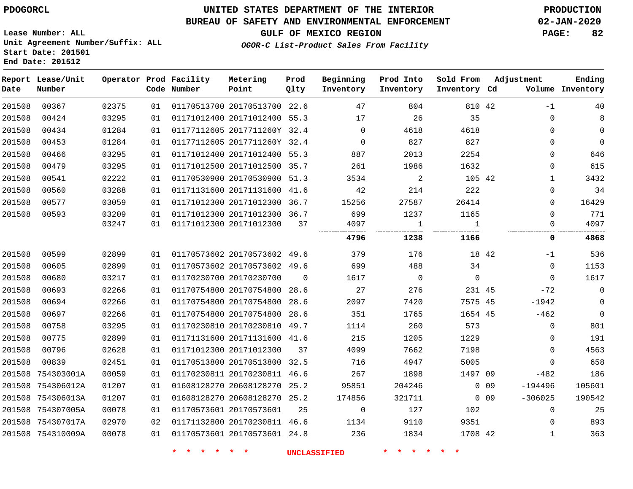**Start Date: 201501 End Date: 201512**

## **UNITED STATES DEPARTMENT OF THE INTERIOR PDOGORCL PRODUCTION**

### **BUREAU OF SAFETY AND ENVIRONMENTAL ENFORCEMENT 02-JAN-2020**

**Lease Number: ALL Unit Agreement Number/Suffix: ALL**

**GULF OF MEXICO REGION PAGE: 82**

**OGOR-C List-Product Sales From Facility**

| Date   | Report Lease/Unit<br>Number |       |    | Operator Prod Facility<br>Code Number | Metering<br>Point            | Prod<br>Qlty   | Beginning<br>Inventory | Prod Into<br>Inventory | Sold From<br>Inventory Cd |            | Adjustment   | Ending<br>Volume Inventory |
|--------|-----------------------------|-------|----|---------------------------------------|------------------------------|----------------|------------------------|------------------------|---------------------------|------------|--------------|----------------------------|
| 201508 | 00367                       | 02375 | 01 |                                       | 01170513700 20170513700 22.6 |                | 47                     | 804                    | 810 42                    |            | $-1$         | 40                         |
| 201508 | 00424                       | 03295 | 01 |                                       | 01171012400 20171012400 55.3 |                | 17                     | 26                     | 35                        |            | 0            | 8                          |
| 201508 | 00434                       | 01284 | 01 |                                       | 01177112605 2017711260Y 32.4 |                | $\Omega$               | 4618                   | 4618                      |            | $\Omega$     | 0                          |
| 201508 | 00453                       | 01284 | 01 |                                       | 01177112605 2017711260Y 32.4 |                | $\Omega$               | 827                    | 827                       |            | $\Omega$     | $\mathbf 0$                |
| 201508 | 00466                       | 03295 | 01 |                                       | 01171012400 20171012400 55.3 |                | 887                    | 2013                   | 2254                      |            | 0            | 646                        |
| 201508 | 00479                       | 03295 | 01 |                                       | 01171012500 20171012500 35.7 |                | 261                    | 1986                   | 1632                      |            | 0            | 615                        |
| 201508 | 00541                       | 02222 | 01 |                                       | 01170530900 20170530900 51.3 |                | 3534                   | 2                      | 105 42                    |            | 1            | 3432                       |
| 201508 | 00560                       | 03288 | 01 |                                       | 01171131600 20171131600 41.6 |                | 42                     | 214                    | 222                       |            | 0            | 34                         |
| 201508 | 00577                       | 03059 | 01 |                                       | 01171012300 20171012300 36.7 |                | 15256                  | 27587                  | 26414                     |            | 0            | 16429                      |
| 201508 | 00593                       | 03209 | 01 |                                       | 01171012300 20171012300 36.7 |                | 699                    | 1237                   | 1165                      |            | 0            | 771                        |
|        |                             | 03247 | 01 |                                       | 01171012300 20171012300      | 37             | 4097                   | 1                      | $\mathbf{1}$              |            | 0            | 4097                       |
|        |                             |       |    |                                       |                              |                | 4796                   | 1238                   | 1166                      |            | 0            | 4868                       |
| 201508 | 00599                       | 02899 | 01 | 01170573602 20170573602 49.6          |                              |                | 379                    | 176                    | 18 42                     |            | $-1$         | 536                        |
| 201508 | 00605                       | 02899 | 01 |                                       | 01170573602 20170573602 49.6 |                | 699                    | 488                    | 34                        |            | $\mathbf 0$  | 1153                       |
| 201508 | 00680                       | 03217 | 01 |                                       | 01170230700 20170230700      | $\overline{0}$ | 1617                   | $\overline{0}$         | $\mathsf{O}\xspace$       |            | $\mathbf 0$  | 1617                       |
| 201508 | 00693                       | 02266 | 01 |                                       | 01170754800 20170754800 28.6 |                | 27                     | 276                    | 231 45                    |            | $-72$        | $\mathbf 0$                |
| 201508 | 00694                       | 02266 | 01 |                                       | 01170754800 20170754800 28.6 |                | 2097                   | 7420                   | 7575 45                   |            | -1942        | $\mathbf 0$                |
| 201508 | 00697                       | 02266 | 01 |                                       | 01170754800 20170754800 28.6 |                | 351                    | 1765                   | 1654 45                   |            | $-462$       | $\mathbf 0$                |
| 201508 | 00758                       | 03295 | 01 |                                       | 01170230810 20170230810 49.7 |                | 1114                   | 260                    | 573                       |            | $\mathbf 0$  | 801                        |
| 201508 | 00775                       | 02899 | 01 |                                       | 01171131600 20171131600 41.6 |                | 215                    | 1205                   | 1229                      |            | $\Omega$     | 191                        |
| 201508 | 00796                       | 02628 | 01 |                                       | 01171012300 20171012300      | 37             | 4099                   | 7662                   | 7198                      |            | $\Omega$     | 4563                       |
| 201508 | 00839                       | 02451 | 01 |                                       | 01170513800 20170513800 32.5 |                | 716                    | 4947                   | 5005                      |            | $\Omega$     | 658                        |
|        | 201508 754303001A           | 00059 | 01 |                                       | 01170230811 20170230811 46.6 |                | 267                    | 1898                   | 1497 09                   |            | $-482$       | 186                        |
| 201508 | 754306012A                  | 01207 | 01 |                                       | 01608128270 20608128270 25.2 |                | 95851                  | 204246                 |                           | $0\quad09$ | $-194496$    | 105601                     |
|        | 201508 754306013A           | 01207 | 01 |                                       | 01608128270 20608128270 25.2 |                | 174856                 | 321711                 |                           | $0\quad09$ | $-306025$    | 190542                     |
|        | 201508 754307005A           | 00078 | 01 | 01170573601 20170573601               |                              | 25             | $\mathbf 0$            | 127                    | 102                       |            | $\mathbf 0$  | 25                         |
|        | 201508 754307017A           | 02970 | 02 |                                       | 01171132800 20170230811 46.6 |                | 1134                   | 9110                   | 9351                      |            | $\Omega$     | 893                        |
|        | 201508 754310009A           | 00078 | 01 |                                       | 01170573601 20170573601 24.8 |                | 236                    | 1834                   | 1708 42                   |            | $\mathbf{1}$ | 363                        |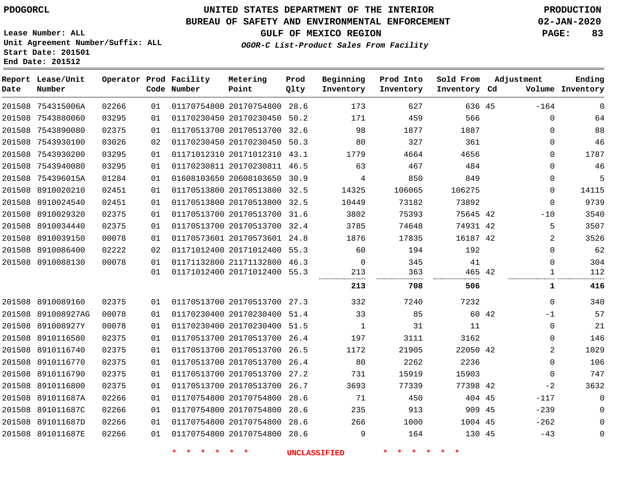**End Date: 201512**

**Report Lease/Unit**

**Number**

# **UNITED STATES DEPARTMENT OF THE INTERIOR PDOGORCL PRODUCTION**

### **BUREAU OF SAFETY AND ENVIRONMENTAL ENFORCEMENT 02-JAN-2020**

**Lease Number: ALL Unit Agreement Number/Suffix: ALL Start Date: 201501**

**Operator Prod Facility**

**OGOR-C List-Product Sales From Facility**

**Beginning**

**Prod Into**

**Sold From Inventory**

**GULF OF MEXICO REGION PAGE: 83**

**Inventory Cd Volume**

**Adjustment**

**Ending**

**Code Number Point** 28.6 50.2 32.6 **Qlty Inventory Inventory**

**Prod**

**Metering**

| 201508 754315006A  | 02266 | 01 | 01170754800 20170754800      | 28.6 | 173            | 627    | 636 45   |       | $-164$       | $\Omega$     |
|--------------------|-------|----|------------------------------|------|----------------|--------|----------|-------|--------------|--------------|
| 201508 7543880060  | 03295 | 01 | 01170230450 20170230450 50.2 |      | 171            | 459    | 566      |       | $\Omega$     | 64           |
| 201508 7543890080  | 02375 | 01 | 01170513700 20170513700 32.6 |      | 98             | 1877   | 1887     |       | 0            | 88           |
| 201508 7543930100  | 03026 | 02 | 01170230450 20170230450 50.3 |      | 80             | 327    | 361      |       | 0            | 46           |
| 201508 7543930200  | 03295 | 01 | 01171012310 20171012310 43.1 |      | 1779           | 4664   | 4656     |       | 0            | 1787         |
| 201508 7543940080  | 03295 | 01 | 01170230811 20170230811 46.5 |      | 63             | 467    | 484      |       | 0            | 46           |
| 201508 754396015A  | 01284 | 01 | 01608103650 20608103650 30.9 |      | 4              | 850    | 849      |       | 0            | 5            |
| 201508 8910020210  | 02451 | 01 | 01170513800 20170513800 32.5 |      | 14325          | 106065 | 106275   |       | 0            | 14115        |
| 201508 8910024540  | 02451 | 01 | 01170513800 20170513800 32.5 |      | 10449          | 73182  | 73892    |       | $\Omega$     | 9739         |
| 201508 8910029320  | 02375 | 01 | 01170513700 20170513700 31.6 |      | 3802           | 75393  | 75645 42 |       | $-10$        | 3540         |
| 201508 8910034440  | 02375 | 01 | 01170513700 20170513700 32.4 |      | 3785           | 74648  | 74931 42 |       | 5            | 3507         |
| 201508 8910039150  | 00078 | 01 | 01170573601 20170573601 24.8 |      | 1876           | 17835  | 16187 42 |       | 2            | 3526         |
| 201508 8910086400  | 02222 | 02 | 01171012400 20171012400 55.3 |      | 60             | 194    | 192      |       | 0            | 62           |
| 201508 8910088130  | 00078 | 01 | 01171132800 21171132800 46.3 |      | $\overline{0}$ | 345    | 41       |       | 0            | 304          |
|                    |       | 01 | 01171012400 20171012400 55.3 |      | 213            | 363    | 465 42   |       | $\mathbf{1}$ | 112          |
|                    |       |    |                              |      | 213            | 708    | 506      |       | 1            | 416          |
|                    |       |    |                              |      |                |        |          |       |              |              |
| 201508 8910089160  | 02375 | 01 | 01170513700 20170513700 27.3 |      | 332            | 7240   | 7232     |       | $\Omega$     | 340          |
| 201508 891008927AG | 00078 | 01 | 01170230400 20170230400 51.4 |      | 33             | 85     |          | 60 42 | $-1$         | 57           |
| 201508 891008927Y  | 00078 | 01 | 01170230400 20170230400 51.5 |      | 1              | 31     | 11       |       | 0            | 21           |
| 201508 8910116580  | 02375 | 01 | 01170513700 20170513700 26.4 |      | 197            | 3111   | 3162     |       | 0            | 146          |
| 201508 8910116740  | 02375 | 01 | 01170513700 20170513700 26.5 |      | 1172           | 21905  | 22050 42 |       | 2            | 1029         |
| 201508 8910116770  | 02375 | 01 | 01170513700 20170513700 26.4 |      | 80             | 2262   | 2236     |       | 0            | 106          |
| 201508 8910116790  | 02375 | 01 | 01170513700 20170513700 27.2 |      | 731            | 15919  | 15903    |       | 0            | 747          |
| 201508 8910116800  | 02375 | 01 | 01170513700 20170513700 26.7 |      | 3693           | 77339  | 77398 42 |       | $-2$         | 3632         |
| 201508 891011687A  | 02266 | 01 | 01170754800 20170754800 28.6 |      | 71             | 450    | 404 45   |       | $-117$       | $\Omega$     |
| 201508 891011687C  | 02266 | 01 | 01170754800 20170754800 28.6 |      | 235            | 913    | 909 45   |       | $-239$       | $\mathbf 0$  |
| 201508 891011687D  | 02266 | 01 | 01170754800 20170754800 28.6 |      | 266            | 1000   | 1004 45  |       | $-262$       | 0            |
| 201508 891011687E  | 02266 | 01 | 01170754800 20170754800 28.6 |      | 9              | 164    | 130 45   |       | $-43$        | $\mathsf{O}$ |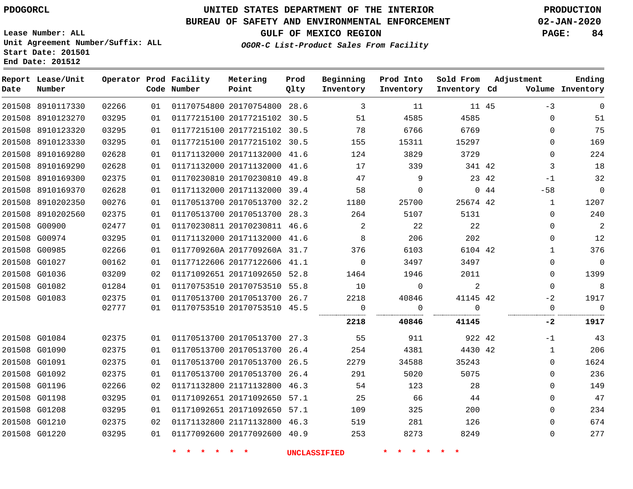**Report Lease/Unit**

**Number**

 G01084 G01090 G01091 G01092 G01196 G01198 G01208 G01210 G01220

# **UNITED STATES DEPARTMENT OF THE INTERIOR PDOGORCL PRODUCTION**

**Prod Qlty**

#### **BUREAU OF SAFETY AND ENVIRONMENTAL ENFORCEMENT 02-JAN-2020**

**Lease Number: ALL Unit Agreement Number/Suffix: ALL Start Date: 201501 End Date: 201512**

> 

**Operator Prod Facility**

**Code Number**

20170754800 28.6

**Metering Point**

 

**OGOR-C List-Product Sales From Facility**

 

 

**Prod Into Inventory**

**Beginning Inventory**

**GULF OF MEXICO REGION PAGE: 84**

**Inventory Cd Volume**

**Adjustment**

-1  $\Omega$   $\Omega$  $\Omega$  $\Omega$  $\Omega$  $\Omega$ 

-3  $\Omega$  $\Omega$  $\Omega$  $\Omega$  -1 -58  $\Omega$  $\Omega$  $\Omega$   $\Omega$  $\Omega$  $\Omega$  $-2$ 

**Ending**

45

**Sold From Inventory**

| 03295 | 01 | 01177215100 20177215102 |                              | 30.5 | 51       | 4585     | 4585     |       |       | 51   |
|-------|----|-------------------------|------------------------------|------|----------|----------|----------|-------|-------|------|
| 03295 | 01 | 01177215100 20177215102 |                              | 30.5 | 78       | 6766     | 6769     |       | 0     | 75   |
| 03295 | 01 | 01177215100 20177215102 |                              | 30.5 | 155      | 15311    | 15297    |       | U     | 169  |
| 02628 | 01 | 01171132000 20171132000 |                              | 41.6 | 124      | 3829     | 3729     |       | 0     | 224  |
| 02628 | 01 | 01171132000 20171132000 |                              | 41.6 | 17       | 339      | 341 42   |       | 3     | 18   |
| 02375 | 01 | 01170230810 20170230810 |                              | 49.8 | 47       | 9        |          | 23 42 | $-1$  | 32   |
| 02628 | 01 | 01171132000 20171132000 |                              | 39.4 | 58       | $\Omega$ |          | 0.44  | $-58$ | 0    |
| 00276 | 01 | 01170513700 20170513700 |                              | 32.2 | 1180     | 25700    | 25674 42 |       | 1     | 1207 |
| 02375 | 01 | 01170513700 20170513700 |                              | 28.3 | 264      | 5107     | 5131     |       | 0     | 240  |
| 02477 | 01 | 01170230811 20170230811 |                              | 46.6 |          | 22       | 22       |       | 0     | 2    |
| 03295 | 01 | 01171132000 20171132000 |                              | 41.6 | 8        | 206      | 202      |       | U     | 12   |
| 02266 | 01 |                         | 0117709260A 2017709260A      | 31.7 | 376      | 6103     | 6104 42  |       |       | 376  |
| 00162 | 01 | 01177122606 20177122606 |                              | 41.1 | $\Omega$ | 3497     | 3497     |       | 0     | 0    |
| 03209 | 02 | 01171092651 20171092650 |                              | 52.8 | 1464     | 1946     | 2011     |       | 0     | 1399 |
| 01284 | 01 | 01170753510 20170753510 |                              | 55.8 | 10       | 0        | 2        |       | U     | 8    |
| 02375 | 01 | 01170513700 20170513700 |                              | 26.7 | 2218     | 40846    | 41145 42 |       | $-2$  | 1917 |
| 02777 | 01 |                         | 01170753510 20170753510 45.5 |      |          |          |          |       |       | 0    |
|       |    |                         |                              |      | 2218     | 40846    | 41145    |       | -2    | 1917 |
| 02375 | 01 | 01170513700 20170513700 |                              | 27.3 | 55       | 911      | 922 42   |       | $-1$  | 43   |
| 02375 | 01 | 01170513700 20170513700 |                              | 26.4 | 254      | 4381     | 4430 42  |       |       | 206  |
| 02375 | 01 |                         | 01170513700 20170513700      | 26.5 | 2279     | 34588    | 35243    |       | 0     | 1624 |
|       |    |                         |                              |      |          |          |          |       |       |      |

 20170513700 26.4 21171132800 46.3 20171092650 57.1 20171092650 57.1 21171132800 46.3 20177092600 40.9

**\* \* \* \* \* \* UNCLASSIFIED \* \* \* \* \* \***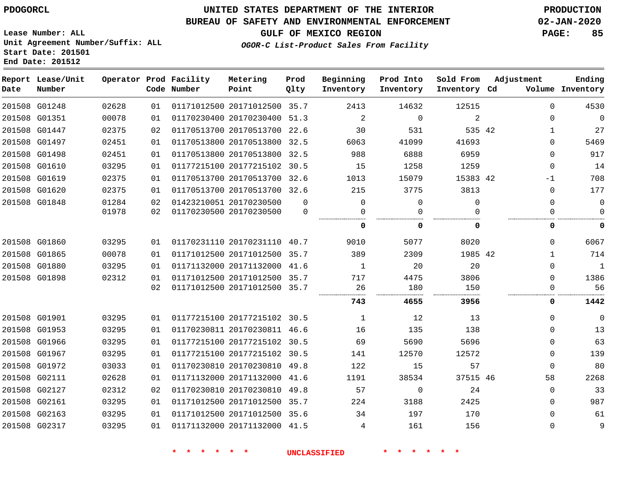**End Date: 201512**

## **UNITED STATES DEPARTMENT OF THE INTERIOR PDOGORCL PRODUCTION**

### **BUREAU OF SAFETY AND ENVIRONMENTAL ENFORCEMENT 02-JAN-2020**

**Lease Number: ALL Unit Agreement Number/Suffix: ALL Start Date: 201501**

**GULF OF MEXICO REGION PAGE: 85**

**OGOR-C List-Product Sales From Facility**

| Date | Report Lease/Unit<br>Number |       |    | Operator Prod Facility<br>Code Number | Metering<br>Point            | Prod<br>Qlty | Beginning<br>Inventory | Prod Into<br>Inventory | Sold From<br>Inventory Cd | Adjustment | Ending<br>Volume Inventory |
|------|-----------------------------|-------|----|---------------------------------------|------------------------------|--------------|------------------------|------------------------|---------------------------|------------|----------------------------|
|      | 201508 G01248               | 02628 | 01 |                                       | 01171012500 20171012500 35.7 |              | 2413                   | 14632                  | 12515                     |            | $\Omega$<br>4530           |
|      | 201508 G01351               | 00078 | 01 |                                       | 01170230400 20170230400      | 51.3         | 2                      | 0                      | $\overline{2}$            |            | $\Omega$<br>0              |
|      | 201508 G01447               | 02375 | 02 |                                       | 01170513700 20170513700 22.6 |              | 30                     | 531                    | 535 42                    |            | 27<br>1                    |
|      | 201508 G01497               | 02451 | 01 |                                       | 01170513800 20170513800      | 32.5         | 6063                   | 41099                  | 41693                     |            | 5469<br>$\Omega$           |
|      | 201508 G01498               | 02451 | 01 |                                       | 01170513800 20170513800      | 32.5         | 988                    | 6888                   | 6959                      |            | 917<br>$\Omega$            |
|      | 201508 G01610               | 03295 | 01 |                                       | 01177215100 20177215102      | 30.5         | 15                     | 1258                   | 1259                      |            | 14<br>$\Omega$             |
|      | 201508 G01619               | 02375 | 01 |                                       | 01170513700 20170513700 32.6 |              | 1013                   | 15079                  | 15383 42                  | -1         | 708                        |
|      | 201508 G01620               | 02375 | 01 |                                       | 01170513700 20170513700 32.6 |              | 215                    | 3775                   | 3813                      |            | 177<br>$\Omega$            |
|      | 201508 G01848               | 01284 | 02 |                                       | 01423210051 20170230500      | $\Omega$     | $\Omega$               | 0                      | $\Omega$                  |            | $\Omega$<br>0              |
|      |                             | 01978 | 02 |                                       | 01170230500 20170230500      | $\Omega$     | 0                      | 0                      | O                         |            | 0<br>0                     |
|      |                             |       |    |                                       |                              |              | 0                      | 0                      | 0                         |            | 0<br>0                     |
|      | 201508 G01860               | 03295 | 01 |                                       | 01170231110 20170231110 40.7 |              | 9010                   | 5077                   | 8020                      |            | 6067<br>$\Omega$           |
|      | 201508 G01865               | 00078 | 01 |                                       | 01171012500 20171012500      | 35.7         | 389                    | 2309                   | 1985 42                   |            | 714<br>1                   |
|      | 201508 G01880               | 03295 | 01 |                                       | 01171132000 20171132000 41.6 |              | 1                      | 20                     | 20                        |            | $\mathbf 1$<br>$\Omega$    |
|      | 201508 G01898               | 02312 | 01 |                                       | 01171012500 20171012500 35.7 |              | 717                    | 4475                   | 3806                      |            | 1386<br>0                  |
|      |                             |       | 02 |                                       | 01171012500 20171012500 35.7 |              | 26                     | 180                    | 150                       |            | 56<br>$\Omega$             |
|      |                             |       |    |                                       |                              |              | 743                    | 4655                   | 3956                      |            | 1442<br>0                  |
|      | 201508 G01901               | 03295 | 01 |                                       | 01177215100 20177215102 30.5 |              | $\mathbf{1}$           | 12                     | 13                        |            | $\mathbf 0$<br>$\Omega$    |
|      | 201508 G01953               | 03295 | 01 |                                       | 01170230811 20170230811 46.6 |              | 16                     | 135                    | 138                       |            | 13<br>$\Omega$             |
|      | 201508 G01966               | 03295 | 01 |                                       | 01177215100 20177215102 30.5 |              | 69                     | 5690                   | 5696                      |            | 63<br>0                    |
|      | 201508 G01967               | 03295 | 01 |                                       | 01177215100 20177215102      | 30.5         | 141                    | 12570                  | 12572                     |            | 139<br>0                   |
|      | 201508 G01972               | 03033 | 01 |                                       | 01170230810 20170230810      | 49.8         | 122                    | 15                     | 57                        |            | 80<br>$\mathbf 0$          |
|      | 201508 G02111               | 02628 | 01 |                                       | 01171132000 20171132000      | 41.6         | 1191                   | 38534                  | 37515 46                  | 58         | 2268                       |
|      | 201508 G02127               | 02312 | 02 |                                       | 01170230810 20170230810      | 49.8         | 57                     | 0                      | 24                        |            | 33<br>0                    |
|      | 201508 G02161               | 03295 | 01 |                                       | 01171012500 20171012500 35.7 |              | 224                    | 3188                   | 2425                      |            | 987<br>$\Omega$            |
|      | 201508 G02163               | 03295 | 01 |                                       | 01171012500 20171012500      | 35.6         | 34                     | 197                    | 170                       |            | $\Omega$<br>61             |
|      | 201508 G02317               | 03295 | 01 |                                       | 01171132000 20171132000 41.5 |              | 4                      | 161                    | 156                       |            | $\Omega$<br>9              |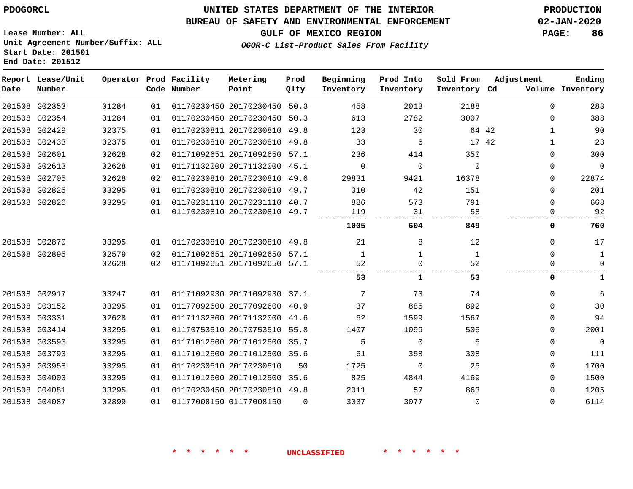#### **BUREAU OF SAFETY AND ENVIRONMENTAL ENFORCEMENT 02-JAN-2020**

**GULF OF MEXICO REGION PAGE: 86**

**Lease Number: ALL Unit Agreement Number/Suffix: ALL Start Date: 201501 End Date: 201512**

### **OGOR-C List-Product Sales From Facility**

| Date | Report Lease/Unit<br>Number |       |    | Operator Prod Facility<br>Code Number | Metering<br>Point            | Prod<br>Qlty | Beginning<br>Inventory | Prod Into<br>Inventory | Sold From<br>Inventory Cd | Adjustment |              | Ending<br>Volume Inventory |
|------|-----------------------------|-------|----|---------------------------------------|------------------------------|--------------|------------------------|------------------------|---------------------------|------------|--------------|----------------------------|
|      | 201508 G02353               | 01284 | 01 |                                       | 01170230450 20170230450 50.3 |              | 458                    | 2013                   | 2188                      |            | $\Omega$     | 283                        |
|      | 201508 G02354               | 01284 | 01 |                                       | 01170230450 20170230450      | 50.3         | 613                    | 2782                   | 3007                      |            | $\Omega$     | 388                        |
|      | 201508 G02429               | 02375 | 01 |                                       | 01170230811 20170230810 49.8 |              | 123                    | 30                     | 64 42                     |            | $\mathbf{1}$ | 90                         |
|      | 201508 G02433               | 02375 | 01 |                                       | 01170230810 20170230810 49.8 |              | 33                     | 6                      | 17 42                     |            | $\mathbf{1}$ | 23                         |
|      | 201508 G02601               | 02628 | 02 |                                       | 01171092651 20171092650      | 57.1         | 236                    | 414                    | 350                       |            | $\Omega$     | 300                        |
|      | 201508 G02613               | 02628 | 01 |                                       | 01171132000 20171132000 45.1 |              | $\Omega$               | $\Omega$               | $\Omega$                  |            | $\Omega$     | $\Omega$                   |
|      | 201508 G02705               | 02628 | 02 |                                       | 01170230810 20170230810 49.6 |              | 29831                  | 9421                   | 16378                     |            | 0            | 22874                      |
|      | 201508 G02825               | 03295 | 01 |                                       | 01170230810 20170230810      | 49.7         | 310                    | 42                     | 151                       |            | 0            | 201                        |
|      | 201508 G02826               | 03295 | 01 |                                       | 01170231110 20170231110 40.7 |              | 886                    | 573                    | 791                       |            | $\Omega$     | 668                        |
|      |                             |       | 01 |                                       | 01170230810 20170230810 49.7 |              | 119                    | 31                     | 58                        |            | 0            | 92                         |
|      |                             |       |    |                                       |                              |              | 1005                   | 604                    | 849                       |            | 0            | 760                        |
|      | 201508 G02870               | 03295 | 01 |                                       | 01170230810 20170230810 49.8 |              | 21                     | 8                      | 12                        |            | $\Omega$     | 17                         |
|      | 201508 G02895               | 02579 | 02 |                                       | 01171092651 20171092650 57.1 |              | $\mathbf{1}$           | 1                      | 1                         |            | $\Omega$     | 1                          |
|      |                             | 02628 | 02 |                                       | 01171092651 20171092650 57.1 |              | 52                     | 0                      | 52                        |            | 0            | 0                          |
|      |                             |       |    |                                       |                              |              | 53                     | 1                      | 53                        |            | 0            | 1                          |
|      | 201508 G02917               | 03247 | 01 |                                       | 01171092930 20171092930 37.1 |              | 7                      | 73                     | 74                        |            | $\Omega$     | 6                          |
|      | 201508 G03152               | 03295 | 01 |                                       | 01177092600 20177092600      | 40.9         | 37                     | 885                    | 892                       |            | 0            | 30                         |
|      | 201508 G03331               | 02628 | 01 |                                       | 01171132800 20171132000      | 41.6         | 62                     | 1599                   | 1567                      |            | $\Omega$     | 94                         |
|      | 201508 G03414               | 03295 | 01 |                                       | 01170753510 20170753510 55.8 |              | 1407                   | 1099                   | 505                       |            | $\Omega$     | 2001                       |
|      | 201508 G03593               | 03295 | 01 |                                       | 01171012500 20171012500      | 35.7         | 5                      | $\mathbf 0$            | 5                         |            | $\Omega$     | $\mathbf 0$                |
|      | 201508 G03793               | 03295 | 01 |                                       | 01171012500 20171012500 35.6 |              | 61                     | 358                    | 308                       |            | $\Omega$     | 111                        |
|      | 201508 G03958               | 03295 | 01 |                                       | 01170230510 20170230510      | 50           | 1725                   | $\Omega$               | 25                        |            | $\Omega$     | 1700                       |
|      | 201508 G04003               | 03295 | 01 |                                       | 01171012500 20171012500      | 35.6         | 825                    | 4844                   | 4169                      |            | $\Omega$     | 1500                       |
|      | 201508 G04081               | 03295 | 01 |                                       | 01170230450 20170230810 49.8 |              | 2011                   | 57                     | 863                       |            | $\Omega$     | 1205                       |
|      | 201508 G04087               | 02899 | 01 |                                       | 01177008150 01177008150      | $\Omega$     | 3037                   | 3077                   | $\Omega$                  |            | $\Omega$     | 6114                       |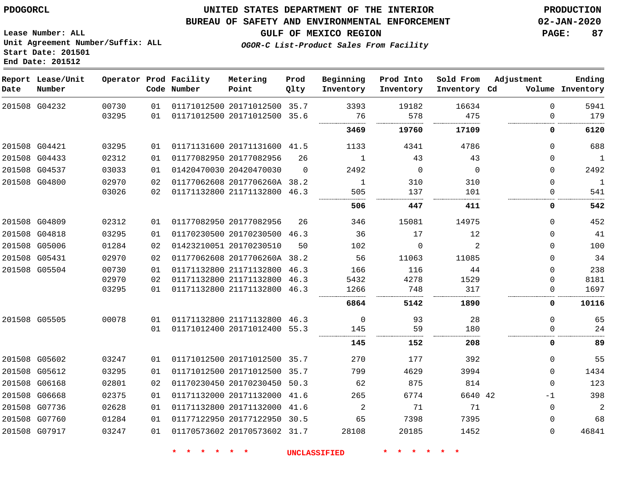#### **BUREAU OF SAFETY AND ENVIRONMENTAL ENFORCEMENT 02-JAN-2020**

**GULF OF MEXICO REGION PAGE: 87**

**Lease Number: ALL Unit Agreement Number/Suffix: ALL Start Date: 201501 End Date: 201512**

**OGOR-C List-Product Sales From Facility**

| Date          | Report Lease/Unit<br>Number |       |    | Operator Prod Facility<br>Code Number | Metering<br>Point            | Prod<br>Qlty | Beginning<br>Inventory | Prod Into<br>Inventory | Sold From<br>Inventory Cd | Adjustment   | Ending<br>Volume Inventory |
|---------------|-----------------------------|-------|----|---------------------------------------|------------------------------|--------------|------------------------|------------------------|---------------------------|--------------|----------------------------|
|               | 201508 G04232               | 00730 | 01 |                                       | 01171012500 20171012500 35.7 |              | 3393                   | 19182                  | 16634                     | $\mathbf 0$  | 5941                       |
|               |                             | 03295 | 01 |                                       | 01171012500 20171012500 35.6 |              | 76                     | 578                    | 475                       | $\Omega$     | 179                        |
|               |                             |       |    |                                       |                              |              | 3469                   | 19760                  | 17109                     | 0            | 6120                       |
|               | 201508 G04421               | 03295 | 01 |                                       | 01171131600 20171131600 41.5 |              | 1133                   | 4341                   | 4786                      | $\mathbf 0$  | 688                        |
| 201508 G04433 |                             | 02312 | 01 |                                       | 01177082950 20177082956      | 26           | $\mathbf{1}$           | 43                     | 43                        | $\mathbf 0$  | $\mathbf{1}$               |
|               | 201508 G04537               | 03033 | 01 |                                       | 01420470030 20420470030      | $\Omega$     | 2492                   | $\Omega$               | $\Omega$                  | $\mathbf{0}$ | 2492                       |
|               | 201508 G04800               | 02970 | 02 |                                       | 01177062608 2017706260A 38.2 |              | $\mathbf{1}$           | 310                    | 310                       | $\mathbf 0$  | 1                          |
|               |                             | 03026 | 02 |                                       | 01171132800 21171132800 46.3 |              | 505                    | 137                    | 101                       | $\mathbf 0$  | 541                        |
|               |                             |       |    |                                       |                              |              | 506                    | 447                    | 411                       | 0            | 542                        |
| 201508 G04809 |                             | 02312 | 01 |                                       | 01177082950 20177082956      | 26           | 346                    | 15081                  | 14975                     | $\Omega$     | 452                        |
| 201508 G04818 |                             | 03295 | 01 |                                       | 01170230500 20170230500 46.3 |              | 36                     | 17                     | 12                        | $\mathbf 0$  | 41                         |
|               | 201508 G05006               | 01284 | 02 |                                       | 01423210051 20170230510      | 50           | 102                    | $\Omega$               | 2                         | $\mathbf{0}$ | 100                        |
|               | 201508 G05431               | 02970 | 02 |                                       | 01177062608 2017706260A 38.2 |              | 56                     | 11063                  | 11085                     | $\mathbf 0$  | 34                         |
|               | 201508 G05504               | 00730 | 01 |                                       | 01171132800 21171132800 46.3 |              | 166                    | 116                    | 44                        | $\mathbf 0$  | 238                        |
|               |                             | 02970 | 02 |                                       | 01171132800 21171132800 46.3 |              | 5432                   | 4278                   | 1529                      | $\mathbf 0$  | 8181                       |
|               |                             | 03295 | 01 |                                       | 01171132800 21171132800 46.3 |              | 1266                   | 748                    | 317                       | 0            | 1697                       |
|               |                             |       |    |                                       |                              |              | 6864                   | 5142                   | 1890                      | 0            | 10116                      |
|               | 201508 G05505               | 00078 | 01 |                                       | 01171132800 21171132800 46.3 |              | $\mathbf 0$            | 93                     | 28                        | $\mathbf 0$  | 65                         |
|               |                             |       | 01 |                                       | 01171012400 20171012400 55.3 |              | 145                    | 59                     | 180                       | $\Omega$     | 24                         |
|               |                             |       |    |                                       |                              |              | 145                    | 152                    | 208                       | 0            | 89                         |
|               | 201508 G05602               | 03247 | 01 |                                       | 01171012500 20171012500 35.7 |              | 270                    | 177                    | 392                       | $\mathbf 0$  | 55                         |
|               | 201508 G05612               | 03295 | 01 |                                       | 01171012500 20171012500 35.7 |              | 799                    | 4629                   | 3994                      | $\Omega$     | 1434                       |
|               | 201508 G06168               | 02801 | 02 |                                       | 01170230450 20170230450 50.3 |              | 62                     | 875                    | 814                       | $\mathbf 0$  | 123                        |
|               | 201508 G06668               | 02375 | 01 |                                       | 01171132000 20171132000 41.6 |              | 265                    | 6774                   | 6640 42                   | $-1$         | 398                        |
|               | 201508 G07736               | 02628 | 01 |                                       | 01171132800 20171132000 41.6 |              | $\overline{c}$         | 71                     | 71                        | $\mathbf 0$  | $\overline{a}$             |
|               | 201508 G07760               | 01284 | 01 |                                       | 01177122950 20177122950 30.5 |              | 65                     | 7398                   | 7395                      | $\mathbf 0$  | 68                         |
|               | 201508 G07917               | 03247 | 01 |                                       | 01170573602 20170573602 31.7 |              | 28108                  | 20185                  | 1452                      | $\mathbf 0$  | 46841                      |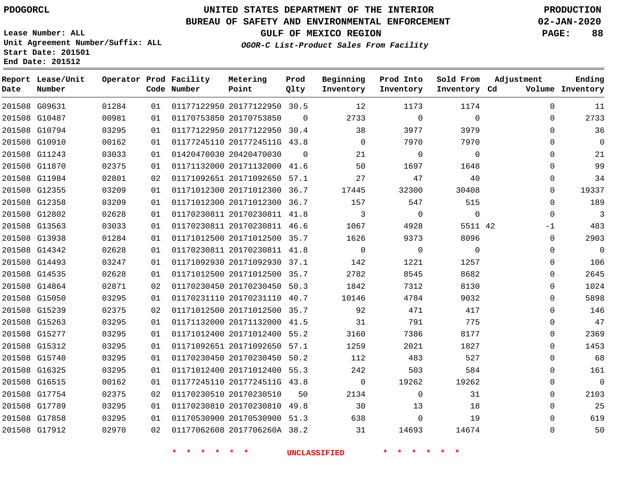**Report Date**

G17912

# **UNITED STATES DEPARTMENT OF THE INTERIOR PDOGORCL PRODUCTION**

#### **BUREAU OF SAFETY AND ENVIRONMENTAL ENFORCEMENT 02-JAN-2020**

**Lease Number: ALL Unit Agreement Number/Suffix: ALL Start Date: 201501**

**OGOR-C List-Product Sales From Facility**

**Sold From Inventory**

**Prod Into Inventory**

**Beginning Inventory**

**GULF OF MEXICO REGION PAGE: 88**

**Inventory Cd Volume**

**Adjustment**

**Ending**

 $\Omega$ 

| End Date: 201512 |                             |        |  |                                       |                   |              |  |  |  |  |  |  |
|------------------|-----------------------------|--------|--|---------------------------------------|-------------------|--------------|--|--|--|--|--|--|
| Date             | Report Lease/Unit<br>Number |        |  | Operator Prod Facility<br>Code Number | Metering<br>Point | Prod<br>Olty |  |  |  |  |  |  |
|                  | 201508 G09631               | 01284  |  | 01  01177122950  20177122950  30.5    |                   |              |  |  |  |  |  |  |
|                  |                             | 0.0001 |  | $01$ $01170750050$ $00170750050$      |                   | $\sim$       |  |  |  |  |  |  |

| 11             | 0        | 1174        | 1173           | 12             |          | 01177122950 20177122950 30.5 | 01 | 01284 | 201508 G09631 |  |
|----------------|----------|-------------|----------------|----------------|----------|------------------------------|----|-------|---------------|--|
| 2733           | $\Omega$ | $\Omega$    | $\Omega$       | 2733           | $\Omega$ | 01170753850 20170753850      | 01 | 00981 | 201508 G10487 |  |
| 36             | $\Omega$ | 3979        | 3977           | 38             |          | 01177122950 20177122950 30.4 | 01 | 03295 | 201508 G10794 |  |
| $\overline{0}$ | $\Omega$ | 7970        | 7970           | $\Omega$       |          | 01177245110 2017724511G 43.8 | 01 | 00162 | 201508 G10910 |  |
| 21             | 0        | $\mathbf 0$ | $\Omega$       | 21             | $\Omega$ | 01420470030 20420470030      | 01 | 03033 | 201508 G11243 |  |
| 99             | $\Omega$ | 1648        | 1697           | 50             |          | 01171132000 20171132000 41.6 | 01 | 02375 | 201508 G11870 |  |
| 34             | $\Omega$ | 40          | 47             | 27             |          | 01171092651 20171092650 57.1 | 02 | 02801 | 201508 G11984 |  |
| 19337          | 0        | 30408       | 32300          | 17445          |          | 01171012300 20171012300 36.7 | 01 | 03209 | 201508 G12355 |  |
| 189            | $\Omega$ | 515         | 547            | 157            |          | 01171012300 20171012300 36.7 | 01 | 03209 | 201508 G12358 |  |
| $\overline{3}$ | $\Omega$ | $\mathbf 0$ | $\overline{0}$ | 3              |          | 01170230811 20170230811 41.8 | 01 | 02628 | 201508 G12802 |  |
| 483            | $-1$     | 5511 42     | 4928           | 1067           |          | 01170230811 20170230811 46.6 | 01 | 03033 | 201508 G13563 |  |
| 2903           | $\Omega$ | 8096        | 9373           | 1626           |          | 01171012500 20171012500 35.7 | 01 | 01284 | 201508 G13938 |  |
| $\overline{0}$ | $\Omega$ | $\Omega$    | $\Omega$       | $\Omega$       |          | 01170230811 20170230811 41.8 | 01 | 02628 | 201508 G14342 |  |
| 106            | 0        | 1257        | 1221           | 142            |          | 01171092930 20171092930 37.1 | 01 | 03247 | 201508 G14493 |  |
| 2645           | $\Omega$ | 8682        | 8545           | 2782           |          | 01171012500 20171012500 35.7 | 01 | 02628 | 201508 G14535 |  |
| 1024           | 0        | 8130        | 7312           | 1842           |          | 01170230450 20170230450 50.3 | 02 | 02871 | 201508 G14864 |  |
| 5898           | $\Omega$ | 9032        | 4784           | 10146          |          | 01170231110 20170231110 40.7 | 01 | 03295 | 201508 G15050 |  |
| 146            | $\Omega$ | 417         | 471            | 92             |          | 01171012500 20171012500 35.7 | 02 | 02375 | 201508 G15239 |  |
| 47             | $\Omega$ | 775         | 791            | 31             |          | 01171132000 20171132000 41.5 | 01 | 03295 | 201508 G15263 |  |
| 2369           | 0        | 8177        | 7386           | 3160           |          | 01171012400 20171012400 55.2 | 01 | 03295 | 201508 G15277 |  |
| 1453           | 0        | 1827        | 2021           | 1259           |          | 01171092651 20171092650 57.1 | 01 | 03295 | 201508 G15312 |  |
| 68             | 0        | 527         | 483            | 112            |          | 01170230450 20170230450 50.2 | 01 | 03295 | 201508 G15740 |  |
| 161            | $\Omega$ | 584         | 503            | 242            |          | 01171012400 20171012400 55.3 | 01 | 03295 | 201508 G16325 |  |
| $\overline{0}$ | $\Omega$ | 19262       | 19262          | $\overline{0}$ |          | 01177245110 2017724511G 43.8 | 01 | 00162 | 201508 G16515 |  |
| 2103           | 0        | 31          | $\Omega$       | 2134           | 50       | 01170230510 20170230510      | 02 | 02375 | 201508 G17754 |  |
| 25             | $\Omega$ | 18          | 13             | 30             |          | 01170230810 20170230810 49.8 | 01 | 03295 | 201508 G17789 |  |
| 619            | $\Omega$ | 19          | $\Omega$       | 638            |          | 01170530900 20170530900 51.3 | 01 | 03295 | 201508 G17858 |  |

**\* \* \* \* \* \* UNCLASSIFIED \* \* \* \* \* \***

2017706260A 38.2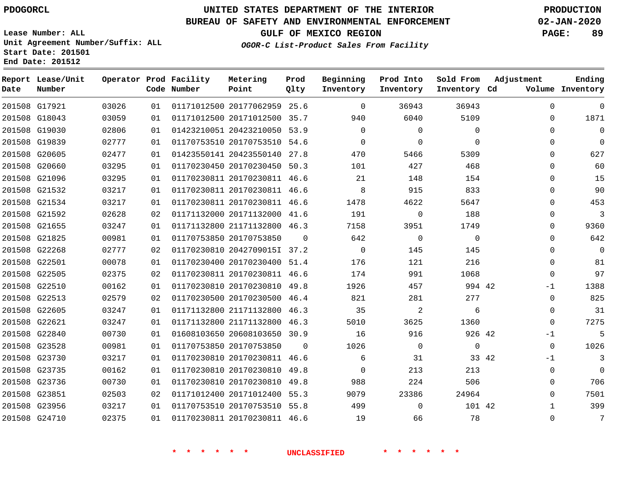#### **BUREAU OF SAFETY AND ENVIRONMENTAL ENFORCEMENT 02-JAN-2020**

**Lease Number: ALL Unit Agreement Number/Suffix: ALL Start Date: 201501**

**OGOR-C List-Product Sales From Facility**

**GULF OF MEXICO REGION PAGE: 89**

**End Date: 201512**

| Date   | Report Lease/Unit<br>Number |       |    | Operator Prod Facility<br>Code Number | Metering<br>Point            | Prod<br>Qlty | Beginning<br>Inventory | Prod Into<br>Inventory | Sold From<br>Inventory Cd | Adjustment    | Ending<br>Volume Inventory |
|--------|-----------------------------|-------|----|---------------------------------------|------------------------------|--------------|------------------------|------------------------|---------------------------|---------------|----------------------------|
|        | 201508 G17921               | 03026 | 01 |                                       | 01171012500 20177062959 25.6 |              | $\mathbf 0$            | 36943                  | 36943                     | $\mathbf 0$   | $\mathbf 0$                |
| 201508 | G18043                      | 03059 | 01 |                                       | 01171012500 20171012500      | 35.7         | 940                    | 6040                   | 5109                      | 0             | 1871                       |
|        | 201508 G19030               | 02806 | 01 |                                       | 01423210051 20423210050      | 53.9         | $\Omega$               | $\Omega$               | $\Omega$                  | $\Omega$      | $\mathbf 0$                |
|        | 201508 G19839               | 02777 | 01 |                                       | 01170753510 20170753510 54.6 |              | 0                      | $\Omega$               | $\Omega$                  | $\mathbf 0$   | $\mathbf 0$                |
| 201508 | G20605                      | 02477 | 01 |                                       | 01423550141 20423550140      | 27.8         | 470                    | 5466                   | 5309                      | $\Omega$      | 627                        |
|        | 201508 G20660               | 03295 | 01 |                                       | 01170230450 20170230450      | 50.3         | 101                    | 427                    | 468                       | $\Omega$      | 60                         |
|        | 201508 G21096               | 03295 | 01 |                                       | 01170230811 20170230811 46.6 |              | 21                     | 148                    | 154                       | $\Omega$      | 15                         |
|        | 201508 G21532               | 03217 | 01 |                                       | 01170230811 20170230811 46.6 |              | 8                      | 915                    | 833                       | $\mathbf 0$   | 90                         |
|        | 201508 G21534               | 03217 | 01 |                                       | 01170230811 20170230811 46.6 |              | 1478                   | 4622                   | 5647                      | 0             | 453                        |
|        | 201508 G21592               | 02628 | 02 |                                       | 01171132000 20171132000 41.6 |              | 191                    | $\mathbf 0$            | 188                       | 0             | 3                          |
|        | 201508 G21655               | 03247 | 01 |                                       | 01171132800 21171132800 46.3 |              | 7158                   | 3951                   | 1749                      | 0             | 9360                       |
|        | 201508 G21825               | 00981 | 01 |                                       | 01170753850 20170753850      | $\Omega$     | 642                    | $\Omega$               | $\Omega$                  | $\mathbf 0$   | 642                        |
| 201508 | G22268                      | 02777 | 02 |                                       | 01170230810 2042709015I 37.2 |              | $\mathbf 0$            | 145                    | 145                       | $\mathbf 0$   | $\overline{0}$             |
|        | 201508 G22501               | 00078 | 01 |                                       | 01170230400 20170230400 51.4 |              | 176                    | 121                    | 216                       | $\Omega$      | 81                         |
| 201508 | G22505                      | 02375 | 02 |                                       | 01170230811 20170230811 46.6 |              | 174                    | 991                    | 1068                      | $\Omega$      | 97                         |
|        | 201508 G22510               | 00162 | 01 |                                       | 01170230810 20170230810      | 49.8         | 1926                   | 457                    | 994 42                    | -1            | 1388                       |
| 201508 | G22513                      | 02579 | 02 |                                       | 01170230500 20170230500      | 46.4         | 821                    | 281                    | 277                       | $\mathbf 0$   | 825                        |
|        | 201508 G22605               | 03247 | 01 |                                       | 01171132800 21171132800      | 46.3         | 35                     | 2                      | 6                         | $\mathbf 0$   | 31                         |
|        | 201508 G22621               | 03247 | 01 |                                       | 01171132800 21171132800      | 46.3         | 5010                   | 3625                   | 1360                      | $\Omega$      | 7275                       |
| 201508 | G22840                      | 00730 | 01 |                                       | 01608103650 20608103650      | 30.9         | 16                     | 916                    | 926 42                    | $-1$          | 5                          |
|        | 201508 G23528               | 00981 | 01 |                                       | 01170753850 20170753850      | $\Omega$     | 1026                   | $\Omega$               | $\Omega$                  | $\Omega$      | 1026                       |
| 201508 | G23730                      | 03217 | 01 |                                       | 01170230810 20170230811      | 46.6         | 6                      | 31                     |                           | 33 42<br>$-1$ | 3                          |
|        | 201508 G23735               | 00162 | 01 |                                       | 01170230810 20170230810      | 49.8         | $\Omega$               | 213                    | 213                       | $\mathbf 0$   | $\Omega$                   |
| 201508 | G23736                      | 00730 | 01 |                                       | 01170230810 20170230810      | 49.8         | 988                    | 224                    | 506                       | $\mathbf 0$   | 706                        |
|        | 201508 G23851               | 02503 | 02 |                                       | 01171012400 20171012400 55.3 |              | 9079                   | 23386                  | 24964                     | $\mathbf 0$   | 7501                       |
|        | 201508 G23956               | 03217 | 01 |                                       | 01170753510 20170753510 55.8 |              | 499                    | $\Omega$               | 101 42                    | $\mathbf{1}$  | 399                        |
|        | 201508 G24710               | 02375 | 01 |                                       | 01170230811 20170230811 46.6 |              | 19                     | 66                     | 78                        | 0             | 7                          |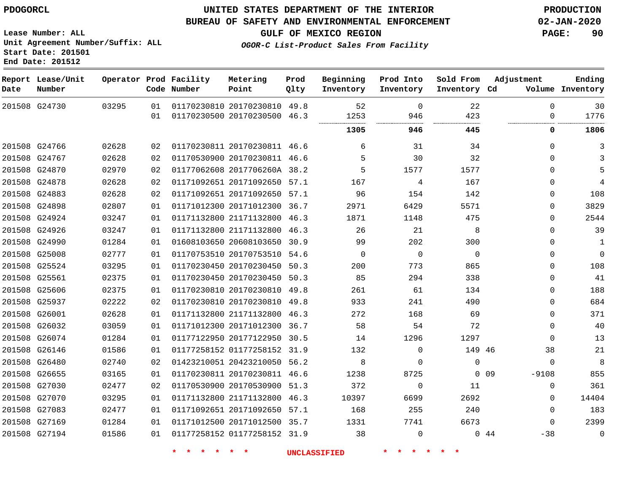#### **BUREAU OF SAFETY AND ENVIRONMENTAL ENFORCEMENT 02-JAN-2020**

**Lease Number: ALL Unit Agreement Number/Suffix: ALL Start Date: 201501**

**Operator Prod Facility**

**End Date: 201512**

**Report Lease/Unit**

**GULF OF MEXICO REGION PAGE: 90**

**Prod**  $Q1 + 3z$ 

**OGOR-C List-Product Sales From Facility**

**Beginning**

**Prod Into Inventory**

**Sold From Inventory**

**Adjustment**

 

**Ending**

| Date | Number        |       |          | Code Number                   | Point                                                        | Qlty | Inventory           | Inventory                  | Inventory Cd   |            |                      | Volume Inventory |
|------|---------------|-------|----------|-------------------------------|--------------------------------------------------------------|------|---------------------|----------------------------|----------------|------------|----------------------|------------------|
|      | 201508 G24730 | 03295 | 01<br>01 |                               | 01170230810 20170230810 49.8<br>01170230500 20170230500 46.3 |      | 52<br>1253          | $\Omega$<br>946            | 22<br>423      |            | $\Omega$<br>$\Omega$ | 30<br>1776       |
|      |               |       |          |                               |                                                              |      | 1305                | 946                        | 445            |            | 0                    | 1806             |
|      | 201508 G24766 | 02628 | 02       |                               | 01170230811 20170230811 46.6                                 |      | 6                   | 31                         | 34             |            | $\Omega$             | 3                |
|      | 201508 G24767 | 02628 | 02       |                               | 01170530900 20170230811 46.6                                 |      | 5                   | 30                         | 32             |            | $\Omega$             | 3                |
|      | 201508 G24870 | 02970 | 02       |                               | 01177062608 2017706260A 38.2                                 |      | 5                   | 1577                       | 1577           |            | $\Omega$             | 5                |
|      | 201508 G24878 | 02628 | 02       |                               | 01171092651 20171092650 57.1                                 |      | 167                 | 4                          | 167            |            | $\Omega$             | $\overline{4}$   |
|      | 201508 G24883 | 02628 | 02       |                               | 01171092651 20171092650 57.1                                 |      | 96                  | 154                        | 142            |            | 0                    | 108              |
|      | 201508 G24898 | 02807 | 01       |                               | 01171012300 20171012300 36.7                                 |      | 2971                | 6429                       | 5571           |            | 0                    | 3829             |
|      | 201508 G24924 | 03247 | 01       |                               | 01171132800 21171132800 46.3                                 |      | 1871                | 1148                       | 475            |            | $\mathbf 0$          | 2544             |
|      | 201508 G24926 | 03247 | 01       |                               | 01171132800 21171132800 46.3                                 |      | 26                  | 21                         | 8              |            | $\Omega$             | 39               |
|      | 201508 G24990 | 01284 | 01       |                               | 01608103650 20608103650 30.9                                 |      | 99                  | 202                        | 300            |            | $\Omega$             | 1                |
|      | 201508 G25008 | 02777 | 01       |                               | 01170753510 20170753510 54.6                                 |      | $\overline{0}$      | 0                          | $\overline{0}$ |            | $\mathbf 0$          | $\boldsymbol{0}$ |
|      | 201508 G25524 | 03295 | 01       |                               | 01170230450 20170230450 50.3                                 |      | 200                 | 773                        | 865            |            | $\Omega$             | 108              |
|      | 201508 G25561 | 02375 | 01       |                               | 01170230450 20170230450 50.3                                 |      | 85                  | 294                        | 338            |            | $\mathbf 0$          | 41               |
|      | 201508 G25606 | 02375 | 01       |                               | 01170230810 20170230810 49.8                                 |      | 261                 | 61                         | 134            |            | $\Omega$             | 188              |
|      | 201508 G25937 | 02222 | 02       |                               | 01170230810 20170230810 49.8                                 |      | 933                 | 241                        | 490            |            | $\Omega$             | 684              |
|      | 201508 G26001 | 02628 | 01       |                               | 01171132800 21171132800 46.3                                 |      | 272                 | 168                        | 69             |            | $\Omega$             | 371              |
|      | 201508 G26032 | 03059 | 01       |                               | 01171012300 20171012300 36.7                                 |      | 58                  | 54                         | 72             |            | $\Omega$             | 40               |
|      | 201508 G26074 | 01284 | 01       |                               | 01177122950 20177122950 30.5                                 |      | 14                  | 1296                       | 1297           |            | $\Omega$             | 13               |
|      | 201508 G26146 | 01586 | 01       |                               | 01177258152 01177258152 31.9                                 |      | 132                 | $\mathbf 0$                | 149 46         |            | 38                   | 21               |
|      | 201508 G26480 | 02740 | 02       |                               | 01423210051 20423210050 56.2                                 |      | 8                   | $\mathbf 0$                | $\mathbf 0$    |            | $\mathbf 0$          | 8                |
|      | 201508 G26655 | 03165 | 01       |                               | 01170230811 20170230811 46.6                                 |      | 1238                | 8725                       |                | $0\quad09$ | $-9108$              | 855              |
|      | 201508 G27030 | 02477 | 02       |                               | 01170530900 20170530900 51.3                                 |      | 372                 | $\mathbf 0$                | 11             |            | $\mathbf 0$          | 361              |
|      | 201508 G27070 | 03295 | 01       |                               | 01171132800 21171132800 46.3                                 |      | 10397               | 6699                       | 2692           |            | $\Omega$             | 14404            |
|      | 201508 G27083 | 02477 | 01       |                               | 01171092651 20171092650 57.1                                 |      | 168                 | 255                        | 240            |            | $\mathbf{0}$         | 183              |
|      | 201508 G27169 | 01284 | 01       |                               | 01171012500 20171012500 35.7                                 |      | 1331                | 7741                       | 6673           |            | $\mathbf 0$          | 2399             |
|      | 201508 G27194 | 01586 | 01       |                               | 01177258152 01177258152 31.9                                 |      | 38                  | $\mathbf 0$                |                | 044        | -38                  | 0                |
|      |               |       |          | $\star$<br>$\star$<br>$\star$ | $\star$ $\star$                                              |      | <b>UNCLASSIFIED</b> | $\star$<br>$\star$ $\star$ |                |            |                      |                  |

**Metering Point**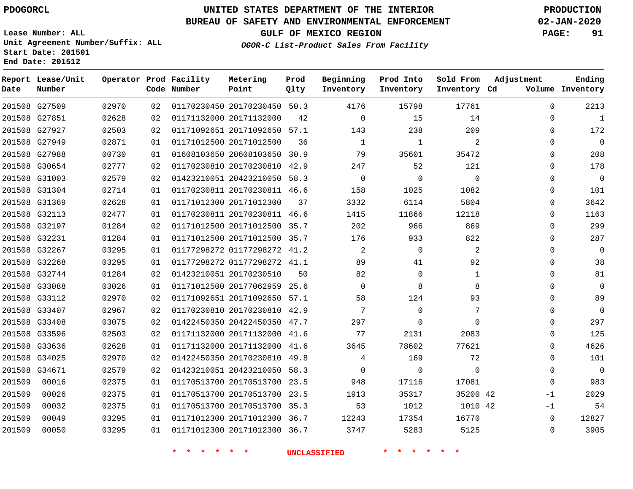**End Date: 201512**

**Report Lease/Unit**

## **UNITED STATES DEPARTMENT OF THE INTERIOR PDOGORCL PRODUCTION**

#### **BUREAU OF SAFETY AND ENVIRONMENTAL ENFORCEMENT 02-JAN-2020**

**Lease Number: ALL Unit Agreement Number/Suffix: ALL Start Date: 201501**

**Operator Prod Facility**

**GULF OF MEXICO REGION PAGE: 91**

**Prod**

**Metering**

**Sold From Adjustment**

**Ending**

**OGOR-C List-Product Sales From Facility**

**Beginning**

**Prod Into**

| Date   | Number        |       |    | Code Number | Point                        | Qlty | Inventory      | Inventory      | Inventory Cd   |              | Volume Inventory |
|--------|---------------|-------|----|-------------|------------------------------|------|----------------|----------------|----------------|--------------|------------------|
|        | 201508 G27509 | 02970 | 02 |             | 01170230450 20170230450 50.3 |      | 4176           | 15798          | 17761          | $\Omega$     | 2213             |
|        | 201508 G27851 | 02628 | 02 |             | 01171132000 20171132000      | 42   | $\Omega$       | 15             | 14             | $\Omega$     | $\overline{1}$   |
|        | 201508 G27927 | 02503 | 02 |             | 01171092651 20171092650 57.1 |      | 143            | 238            | 209            | $\Omega$     | 172              |
|        | 201508 G27949 | 02871 | 01 |             | 01171012500 20171012500      | 36   | 1              | 1              | 2              | $\Omega$     | $\overline{0}$   |
|        | 201508 G27988 | 00730 | 01 |             | 01608103650 20608103650 30.9 |      | 79             | 35601          | 35472          | $\Omega$     | 208              |
|        | 201508 G30654 | 02777 | 02 |             | 01170230810 20170230810 42.9 |      | 247            | 52             | 121            | $\Omega$     | 178              |
|        | 201508 G31003 | 02579 | 02 |             | 01423210051 20423210050 58.3 |      | $\overline{0}$ | $\overline{0}$ | $\overline{0}$ | $\Omega$     | $\overline{0}$   |
|        | 201508 G31304 | 02714 | 01 |             | 01170230811 20170230811 46.6 |      | 158            | 1025           | 1082           | $\Omega$     | 101              |
|        | 201508 G31369 | 02628 | 01 |             | 01171012300 20171012300      | 37   | 3332           | 6114           | 5804           | $\mathbf 0$  | 3642             |
|        | 201508 G32113 | 02477 | 01 |             | 01170230811 20170230811 46.6 |      | 1415           | 11866          | 12118          | $\mathbf 0$  | 1163             |
|        | 201508 G32197 | 01284 | 02 |             | 01171012500 20171012500 35.7 |      | 202            | 966            | 869            | $\Omega$     | 299              |
|        | 201508 G32231 | 01284 | 01 |             | 01171012500 20171012500 35.7 |      | 176            | 933            | 822            | $\Omega$     | 287              |
|        | 201508 G32267 | 03295 | 01 |             | 01177298272 01177298272 41.2 |      | 2              | $\overline{0}$ | 2              | $\mathbf 0$  | $\mathbf 0$      |
|        | 201508 G32268 | 03295 | 01 |             | 01177298272 01177298272 41.1 |      | 89             | 41             | 92             | $\Omega$     | 38               |
|        | 201508 G32744 | 01284 | 02 |             | 01423210051 20170230510      | 50   | 82             | $\mathbf 0$    | $\mathbf{1}$   | $\Omega$     | 81               |
|        | 201508 G33088 | 03026 | 01 |             | 01171012500 20177062959 25.6 |      | $\Omega$       | 8              | 8              | $\Omega$     | $\Omega$         |
|        | 201508 G33112 | 02970 | 02 |             | 01171092651 20171092650 57.1 |      | 58             | 124            | 93             | $\Omega$     | 89               |
|        | 201508 G33407 | 02967 | 02 |             | 01170230810 20170230810 42.9 |      | 7              | $\Omega$       | 7              | $\Omega$     | $\mathsf 0$      |
|        | 201508 G33408 | 03075 | 02 |             | 01422450350 20422450350 47.7 |      | 297            | $\mathbf 0$    | $\Omega$       | $\Omega$     | 297              |
|        | 201508 G33596 | 02503 | 02 |             | 01171132000 20171132000 41.6 |      | 77             | 2131           | 2083           | $\Omega$     | 125              |
|        | 201508 G33636 | 02628 | 01 |             | 01171132000 20171132000 41.6 |      | 3645           | 78602          | 77621          | $\mathbf 0$  | 4626             |
|        | 201508 G34025 | 02970 | 02 |             | 01422450350 20170230810 49.8 |      | $\overline{4}$ | 169            | 72             | $\mathbf 0$  | 101              |
|        | 201508 G34671 | 02579 | 02 |             | 01423210051 20423210050 58.3 |      | $\overline{0}$ | $\overline{0}$ | $\mathbf 0$    | $\mathbf 0$  | $\overline{0}$   |
| 201509 | 00016         | 02375 | 01 |             | 01170513700 20170513700 23.5 |      | 948            | 17116          | 17081          | $\Omega$     | 983              |
| 201509 | 00026         | 02375 | 01 |             | 01170513700 20170513700 23.5 |      | 1913           | 35317          | 35200 42       | -1           | 2029             |
| 201509 | 00032         | 02375 | 01 |             | 01170513700 20170513700 35.3 |      | 53             | 1012           | 1010 42        | -1           | 54               |
| 201509 | 00049         | 03295 | 01 |             | 01171012300 20171012300 36.7 |      | 12243          | 17354          | 16770          | $\mathbf 0$  | 12827            |
| 201509 | 00050         | 03295 | 01 |             | 01171012300 20171012300 36.7 |      | 3747           | 5283           | 5125           | $\mathbf{0}$ | 3905             |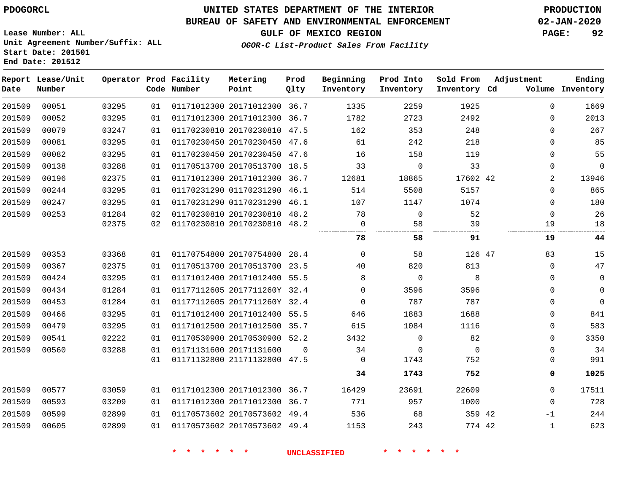#### **BUREAU OF SAFETY AND ENVIRONMENTAL ENFORCEMENT 02-JAN-2020**

**Lease Number: ALL Unit Agreement Number/Suffix: ALL Start Date: 201501 End Date: 201512**

**GULF OF MEXICO REGION PAGE: 92**

**OGOR-C List-Product Sales From Facility**

| Date   | Report Lease/Unit<br>Number |       |    | Operator Prod Facility<br>Code Number | Metering<br>Point            | Prod<br>Qlty | Beginning<br>Inventory | Prod Into<br>Inventory | Sold From<br>Inventory Cd | Adjustment   | Ending<br>Volume Inventory |
|--------|-----------------------------|-------|----|---------------------------------------|------------------------------|--------------|------------------------|------------------------|---------------------------|--------------|----------------------------|
| 201509 | 00051                       | 03295 | 01 |                                       | 01171012300 20171012300 36.7 |              | 1335                   | 2259                   | 1925                      | $\Omega$     | 1669                       |
| 201509 | 00052                       | 03295 | 01 |                                       | 01171012300 20171012300 36.7 |              | 1782                   | 2723                   | 2492                      | $\Omega$     | 2013                       |
| 201509 | 00079                       | 03247 | 01 |                                       | 01170230810 20170230810 47.5 |              | 162                    | 353                    | 248                       | $\Omega$     | 267                        |
| 201509 | 00081                       | 03295 | 01 |                                       | 01170230450 20170230450 47.6 |              | 61                     | 242                    | 218                       | $\Omega$     | 85                         |
| 201509 | 00082                       | 03295 | 01 |                                       | 01170230450 20170230450 47.6 |              | 16                     | 158                    | 119                       | $\Omega$     | 55                         |
| 201509 | 00138                       | 03288 | 01 |                                       | 01170513700 20170513700 18.5 |              | 33                     | $\mathbf 0$            | 33                        | $\Omega$     | $\mathbf 0$                |
| 201509 | 00196                       | 02375 | 01 |                                       | 01171012300 20171012300 36.7 |              | 12681                  | 18865                  | 17602 42                  | 2            | 13946                      |
| 201509 | 00244                       | 03295 | 01 |                                       | 01170231290 01170231290 46.1 |              | 514                    | 5508                   | 5157                      | $\Omega$     | 865                        |
| 201509 | 00247                       | 03295 | 01 |                                       | 01170231290 01170231290 46.1 |              | 107                    | 1147                   | 1074                      | 0            | 180                        |
| 201509 | 00253                       | 01284 | 02 |                                       | 01170230810 20170230810 48.2 |              | 78                     | $\mathbf 0$            | 52                        | $\mathbf 0$  | 26                         |
|        |                             | 02375 | 02 |                                       | 01170230810 20170230810 48.2 |              | $\Omega$               | 58                     | 39                        | 19           | 18                         |
|        |                             |       |    |                                       |                              |              | 78                     | 58                     | 91                        | 19           | 44                         |
| 201509 | 00353                       | 03368 | 01 |                                       | 01170754800 20170754800 28.4 |              | $\mathbf 0$            | 58                     | 126 47                    | 83           | 15                         |
| 201509 | 00367                       | 02375 | 01 |                                       | 01170513700 20170513700 23.5 |              | 40                     | 820                    | 813                       | $\Omega$     | 47                         |
| 201509 | 00424                       | 03295 | 01 |                                       | 01171012400 20171012400 55.5 |              | 8                      | $\mathbf 0$            | 8                         | $\Omega$     | $\mathbf 0$                |
| 201509 | 00434                       | 01284 | 01 |                                       | 01177112605 2017711260Y 32.4 |              | $\Omega$               | 3596                   | 3596                      | $\Omega$     | $\mathbf 0$                |
| 201509 | 00453                       | 01284 | 01 |                                       | 01177112605 2017711260Y 32.4 |              | $\Omega$               | 787                    | 787                       | $\Omega$     | $\Omega$                   |
| 201509 | 00466                       | 03295 | 01 |                                       | 01171012400 20171012400 55.5 |              | 646                    | 1883                   | 1688                      | $\mathbf{0}$ | 841                        |
| 201509 | 00479                       | 03295 | 01 |                                       | 01171012500 20171012500 35.7 |              | 615                    | 1084                   | 1116                      | 0            | 583                        |
| 201509 | 00541                       | 02222 | 01 |                                       | 01170530900 20170530900 52.2 |              | 3432                   | $\mathbf 0$            | 82                        | 0            | 3350                       |
| 201509 | 00560                       | 03288 | 01 |                                       | 01171131600 20171131600      | $\Omega$     | 34                     | $\mathbf 0$            | $\mathbf 0$               | $\mathbf{0}$ | 34                         |
|        |                             |       | 01 |                                       | 01171132800 21171132800 47.5 |              | 0                      | 1743                   | 752                       | 0            | 991                        |
|        |                             |       |    |                                       |                              |              | 34                     | 1743                   | 752                       | 0            | 1025                       |
| 201509 | 00577                       | 03059 | 01 |                                       | 01171012300 20171012300 36.7 |              | 16429                  | 23691                  | 22609                     | $\Omega$     | 17511                      |
| 201509 | 00593                       | 03209 | 01 |                                       | 01171012300 20171012300 36.7 |              | 771                    | 957                    | 1000                      | $\Omega$     | 728                        |
| 201509 | 00599                       | 02899 | 01 |                                       | 01170573602 20170573602 49.4 |              | 536                    | 68                     | 359 42                    | $-1$         | 244                        |
| 201509 | 00605                       | 02899 | 01 |                                       | 01170573602 20170573602 49.4 |              | 1153                   | 243                    | 774 42                    | $\mathbf{1}$ | 623                        |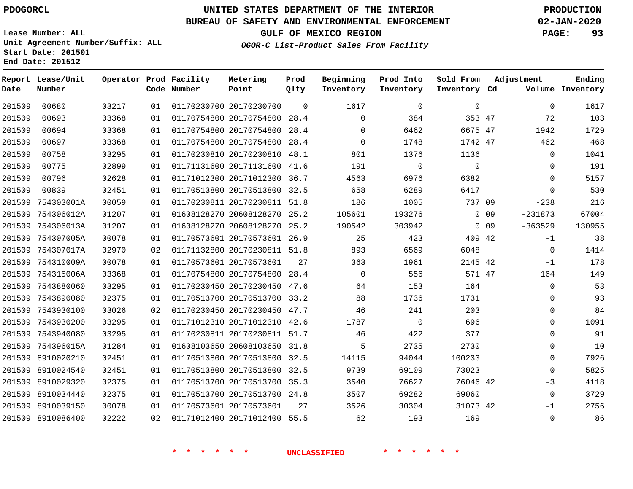# **UNITED STATES DEPARTMENT OF THE INTERIOR PDOGORCL PRODUCTION**

**Prod Qlty**

#### **BUREAU OF SAFETY AND ENVIRONMENTAL ENFORCEMENT 02-JAN-2020**

**Lease Number: ALL Unit Agreement Number/Suffix: ALL Start Date: 201501**

**Operator Prod Facility**

**Code Number**

**Metering Point**

**End Date: 201512**

**Report Lease/Unit**

**Number**

**GULF OF MEXICO REGION PAGE: 93**

**Inventory Cd Volume**

**Adjustment**

**Ending**

**OGOR-C List-Product Sales From Facility**

**Beginning Inventory** **Prod Into Inventory** **Sold From Inventory**

| 201509 | 00680             | 03217 | 01 | 01170230700 20170230700      | $\Omega$ | 1617     | 0           | 0            |                 | $\mathbf 0$ | 1617   |
|--------|-------------------|-------|----|------------------------------|----------|----------|-------------|--------------|-----------------|-------------|--------|
| 201509 | 00693             | 03368 | 01 | 01170754800 20170754800 28.4 |          | 0        | 384         | 353 47       |                 | 72          | 103    |
| 201509 | 00694             | 03368 | 01 | 01170754800 20170754800      | 28.4     | 0        | 6462        | 6675 47      |                 | 1942        | 1729   |
| 201509 | 00697             | 03368 | 01 | 01170754800 20170754800 28.4 |          | $\Omega$ | 1748        | 1742 47      |                 | 462         | 468    |
| 201509 | 00758             | 03295 | 01 | 01170230810 20170230810      | 48.1     | 801      | 1376        | 1136         |                 | 0           | 1041   |
| 201509 | 00775             | 02899 | 01 | 01171131600 20171131600 41.6 |          | 191      | $\mathbf 0$ | $\mathbf{0}$ |                 | 0           | 191    |
| 201509 | 00796             | 02628 | 01 | 01171012300 20171012300 36.7 |          | 4563     | 6976        | 6382         |                 | $\mathbf 0$ | 5157   |
| 201509 | 00839             | 02451 | 01 | 01170513800 20170513800      | 32.5     | 658      | 6289        | 6417         |                 | $\Omega$    | 530    |
| 201509 | 754303001A        | 00059 | 01 | 01170230811 20170230811 51.8 |          | 186      | 1005        | 737 09       |                 | $-238$      | 216    |
| 201509 | 754306012A        | 01207 | 01 | 01608128270 20608128270      | 25.2     | 105601   | 193276      |              | $0\quad09$      | $-231873$   | 67004  |
|        | 201509 754306013A | 01207 | 01 | 01608128270 20608128270 25.2 |          | 190542   | 303942      |              | 0 <sub>09</sub> | $-363529$   | 130955 |
| 201509 | 754307005A        | 00078 | 01 | 01170573601 20170573601 26.9 |          | 25       | 423         | 409 42       |                 | $-1$        | 38     |
| 201509 | 754307017A        | 02970 | 02 | 01171132800 20170230811 51.8 |          | 893      | 6569        | 6048         |                 | 0           | 1414   |
|        | 201509 754310009A | 00078 | 01 | 01170573601 20170573601      | 27       | 363      | 1961        | 2145 42      |                 | $-1$        | 178    |
| 201509 | 754315006A        | 03368 | 01 | 01170754800 20170754800      | 28.4     | $\Omega$ | 556         | 571 47       |                 | 164         | 149    |
| 201509 | 7543880060        | 03295 | 01 | 01170230450 20170230450 47.6 |          | 64       | 153         | 164          |                 | $\mathbf 0$ | 53     |
| 201509 | 7543890080        | 02375 | 01 | 01170513700 20170513700 33.2 |          | 88       | 1736        | 1731         |                 | 0           | 93     |
| 201509 | 7543930100        | 03026 | 02 | 01170230450 20170230450 47.7 |          | 46       | 241         | 203          |                 | $\Omega$    | 84     |
|        | 201509 7543930200 | 03295 | 01 | 01171012310 20171012310 42.6 |          | 1787     | $\Omega$    | 696          |                 | $\Omega$    | 1091   |
| 201509 | 7543940080        | 03295 | 01 | 01170230811 20170230811 51.7 |          | 46       | 422         | 377          |                 | $\Omega$    | 91     |
| 201509 | 754396015A        | 01284 | 01 | 01608103650 20608103650 31.8 |          | 5        | 2735        | 2730         |                 | 0           | 10     |
| 201509 | 8910020210        | 02451 | 01 | 01170513800 20170513800      | 32.5     | 14115    | 94044       | 100233       |                 | 0           | 7926   |
| 201509 | 8910024540        | 02451 | 01 | 01170513800 20170513800 32.5 |          | 9739     | 69109       | 73023        |                 | $\Omega$    | 5825   |
| 201509 | 8910029320        | 02375 | 01 | 01170513700 20170513700 35.3 |          | 3540     | 76627       | 76046 42     |                 | $-3$        | 4118   |
| 201509 | 8910034440        | 02375 | 01 | 01170513700 20170513700 24.8 |          | 3507     | 69282       | 69060        |                 | 0           | 3729   |
| 201509 | 8910039150        | 00078 | 01 | 01170573601 20170573601      | 27       | 3526     | 30304       | 31073 42     |                 | $-1$        | 2756   |
| 201509 | 8910086400        | 02222 | 02 | 01171012400 20171012400 55.5 |          | 62       | 193         | 169          |                 | $\Omega$    | 86     |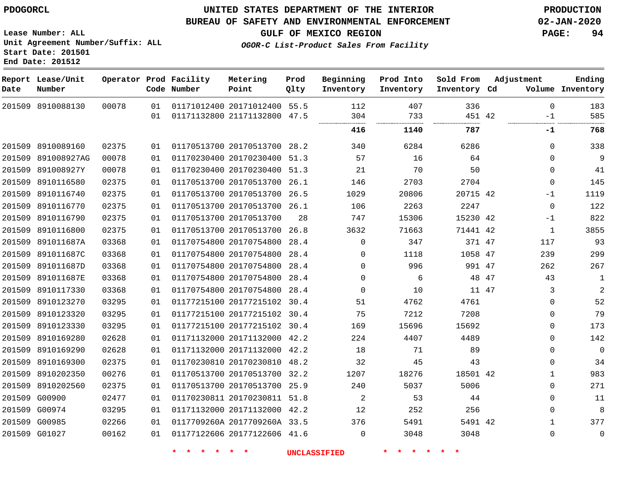## **UNITED STATES DEPARTMENT OF THE INTERIOR PDOGORCL PRODUCTION**

#### **BUREAU OF SAFETY AND ENVIRONMENTAL ENFORCEMENT 02-JAN-2020**

**Lease Number: ALL Unit Agreement Number/Suffix: ALL Start Date: 201501 End Date: 201512**

**OGOR-C List-Product Sales From Facility**

**GULF OF MEXICO REGION PAGE: 94**

| Date | Report Lease/Unit<br>Number |       |    | Operator Prod Facility<br>Code Number | Metering<br>Point            | Prod<br>Qlty | Beginning<br>Inventory | Prod Into<br>Inventory | Sold From<br>Inventory Cd | Adjustment   | Ending<br>Volume Inventory |
|------|-----------------------------|-------|----|---------------------------------------|------------------------------|--------------|------------------------|------------------------|---------------------------|--------------|----------------------------|
|      | 201509 8910088130           | 00078 | 01 |                                       | 01171012400 20171012400 55.5 |              | 112                    | 407                    | 336                       | $\Omega$     | 183                        |
|      |                             |       | 01 |                                       | 01171132800 21171132800      | 47.5         | 304<br>                | 733                    | 451 42<br>.               | -1           | 585                        |
|      |                             |       |    |                                       |                              |              | 416                    | 1140                   | 787                       | -1           | 768                        |
|      | 201509 8910089160           | 02375 | 01 |                                       | 01170513700 20170513700 28.2 |              | 340                    | 6284                   | 6286                      | $\mathbf{0}$ | 338                        |
|      | 201509 891008927AG          | 00078 | 01 |                                       | 01170230400 20170230400 51.3 |              | 57                     | 16                     | 64                        | $\Omega$     | 9                          |
|      | 201509 891008927Y           | 00078 | 01 |                                       | 01170230400 20170230400 51.3 |              | 21                     | 70                     | 50                        | $\Omega$     | 41                         |
|      | 201509 8910116580           | 02375 | 01 |                                       | 01170513700 20170513700 26.1 |              | 146                    | 2703                   | 2704                      | 0            | 145                        |
|      | 201509 8910116740           | 02375 | 01 |                                       | 01170513700 20170513700      | 26.5         | 1029                   | 20806                  | 20715 42                  | $-1$         | 1119                       |
|      | 201509 8910116770           | 02375 | 01 |                                       | 01170513700 20170513700 26.1 |              | 106                    | 2263                   | 2247                      | $\mathbf 0$  | 122                        |
|      | 201509 8910116790           | 02375 | 01 |                                       | 01170513700 20170513700      | 28           | 747                    | 15306                  | 15230 42                  | $-1$         | 822                        |
|      | 201509 8910116800           | 02375 | 01 |                                       | 01170513700 20170513700 26.8 |              | 3632                   | 71663                  | 71441 42                  | 1            | 3855                       |
|      | 201509 891011687A           | 03368 | 01 |                                       | 01170754800 20170754800 28.4 |              | $\Omega$               | 347                    | 371 47                    | 117          | 93                         |
|      | 201509 891011687C           | 03368 | 01 |                                       | 01170754800 20170754800 28.4 |              | 0                      | 1118                   | 1058 47                   | 239          | 299                        |
|      | 201509 891011687D           | 03368 | 01 |                                       | 01170754800 20170754800 28.4 |              | $\Omega$               | 996                    | 991 47                    | 262          | 267                        |
|      | 201509 891011687E           | 03368 | 01 |                                       | 01170754800 20170754800 28.4 |              | 0                      | 6                      | 48 47                     | 43           | $\mathbf{1}$               |
|      | 201509 8910117330           | 03368 | 01 |                                       | 01170754800 20170754800 28.4 |              | $\Omega$               | 10                     | 11 47                     | 3            | $\overline{a}$             |
|      | 201509 8910123270           | 03295 | 01 |                                       | 01177215100 20177215102 30.4 |              | 51                     | 4762                   | 4761                      | 0            | 52                         |
|      | 201509 8910123320           | 03295 | 01 |                                       | 01177215100 20177215102 30.4 |              | 75                     | 7212                   | 7208                      | $\Omega$     | 79                         |
|      | 201509 8910123330           | 03295 | 01 |                                       | 01177215100 20177215102 30.4 |              | 169                    | 15696                  | 15692                     | $\Omega$     | 173                        |
|      | 201509 8910169280           | 02628 | 01 |                                       | 01171132000 20171132000 42.2 |              | 224                    | 4407                   | 4489                      | $\Omega$     | 142                        |
|      | 201509 8910169290           | 02628 | 01 |                                       | 01171132000 20171132000 42.2 |              | 18                     | 71                     | 89                        | $\Omega$     | $\mathbf 0$                |
|      | 201509 8910169300           | 02375 | 01 |                                       | 01170230810 20170230810 48.2 |              | 32                     | 45                     | 43                        | $\Omega$     | 34                         |
|      | 201509 8910202350           | 00276 | 01 |                                       | 01170513700 20170513700 32.2 |              | 1207                   | 18276                  | 18501 42                  | $\mathbf{1}$ | 983                        |
|      | 201509 8910202560           | 02375 | 01 |                                       | 01170513700 20170513700 25.9 |              | 240                    | 5037                   | 5006                      | $\mathbf{0}$ | 271                        |
|      | 201509 G00900               | 02477 | 01 |                                       | 01170230811 20170230811 51.8 |              | 2                      | 53                     | 44                        | $\Omega$     | 11                         |
|      | 201509 G00974               | 03295 | 01 |                                       | 01171132000 20171132000 42.2 |              | 12                     | 252                    | 256                       | 0            | 8                          |
|      | 201509 G00985               | 02266 | 01 |                                       | 0117709260A 2017709260A 33.5 |              | 376                    | 5491                   | 5491 42                   | $\mathbf{1}$ | 377                        |
|      | 201509 G01027               | 00162 | 01 |                                       | 01177122606 20177122606 41.6 |              | $\Omega$               | 3048                   | 3048                      | $\Omega$     | $\mathbf 0$                |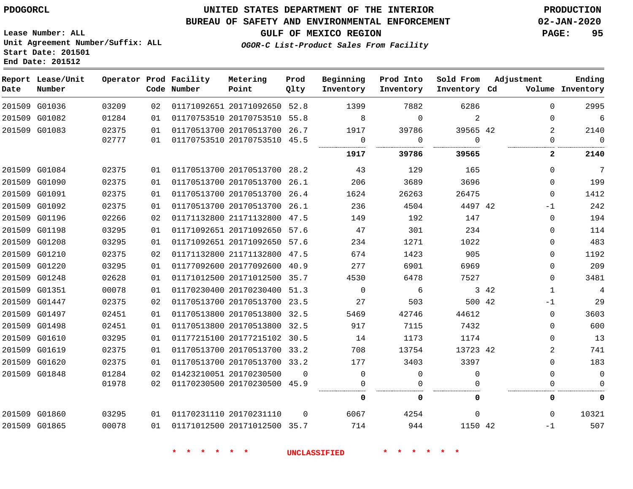**Report Lease/Unit**

**Number**

## **UNITED STATES DEPARTMENT OF THE INTERIOR PDOGORCL PRODUCTION**

**Prod Qlty**

#### **BUREAU OF SAFETY AND ENVIRONMENTAL ENFORCEMENT 02-JAN-2020**

**Lease Number: ALL Unit Agreement Number/Suffix: ALL Start Date: 201501 End Date: 201512**

**Operator Prod Facility**

**Code Number**

**OGOR-C List-Product Sales From Facility**

**Beginning Inventory** **Prod Into Inventory** **Sold From Inventory**

**GULF OF MEXICO REGION PAGE: 95**

**Inventory Cd Volume**

**Adjustment**

**Ending**

 

| 201509 G01036 | 03209 | 02 | 01171092651 20171092650 52.8 |          | 1399     | 7882     | 6286         |       | $\Omega$    |
|---------------|-------|----|------------------------------|----------|----------|----------|--------------|-------|-------------|
| 201509 G01082 | 01284 | 01 | 01170753510 20170753510 55.8 |          | 8        | $\Omega$ | 2            |       | 0           |
| 201509 G01083 | 02375 | 01 | 01170513700 20170513700 26.7 |          | 1917     | 39786    | 39565 42     |       | 2           |
|               | 02777 | 01 | 01170753510 20170753510 45.5 |          | 0<br>    | 0<br>    | $\Omega$<br> |       |             |
|               |       |    |                              |          | 1917     | 39786    | 39565        |       | 2           |
| 201509 G01084 | 02375 | 01 | 01170513700 20170513700 28.2 |          | 43       | 129      | 165          |       | $\Omega$    |
| 201509 G01090 | 02375 | 01 | 01170513700 20170513700 26.1 |          | 206      | 3689     | 3696         |       | $\Omega$    |
| 201509 G01091 | 02375 | 01 | 01170513700 20170513700 26.4 |          | 1624     | 26263    | 26475        |       | $\Omega$    |
| 201509 G01092 | 02375 | 01 | 01170513700 20170513700 26.1 |          | 236      | 4504     | 4497 42      |       | -1          |
| 201509 G01196 | 02266 | 02 | 01171132800 21171132800 47.5 |          | 149      | 192      | 147          |       | $\mathbf 0$ |
| 201509 G01198 | 03295 | 01 | 01171092651 20171092650 57.6 |          | 47       | 301      | 234          |       | $\mathbf 0$ |
| 201509 G01208 | 03295 | 01 | 01171092651 20171092650 57.6 |          | 234      | 1271     | 1022         |       | 0           |
| 201509 G01210 | 02375 | 02 | 01171132800 21171132800 47.5 |          | 674      | 1423     | 905          |       | $\Omega$    |
| 201509 G01220 | 03295 | 01 | 01177092600 20177092600 40.9 |          | 277      | 6901     | 6969         |       | $\Omega$    |
| 201509 G01248 | 02628 | 01 | 01171012500 20171012500 35.7 |          | 4530     | 6478     | 7527         |       | $\mathbf 0$ |
| 201509 G01351 | 00078 | 01 | 01170230400 20170230400 51.3 |          | $\Omega$ | 6        |              | 3 4 2 | 1           |
| 201509 G01447 | 02375 | 02 | 01170513700 20170513700 23.5 |          | 27       | 503      | 500 42       |       | $-1$        |
| 201509 G01497 | 02451 | 01 | 01170513800 20170513800 32.5 |          | 5469     | 42746    | 44612        |       | $\mathbf 0$ |
| 201509 G01498 | 02451 | 01 | 01170513800 20170513800 32.5 |          | 917      | 7115     | 7432         |       | $\mathbf 0$ |
| 201509 G01610 | 03295 | 01 | 01177215100 20177215102 30.5 |          | 14       | 1173     | 1174         |       | $\Omega$    |
| 201509 G01619 | 02375 | 01 | 01170513700 20170513700 33.2 |          | 708      | 13754    | 13723 42     |       | 2           |
| 201509 G01620 | 02375 | 01 | 01170513700 20170513700 33.2 |          | 177      | 3403     | 3397         |       | 0           |
| 201509 G01848 | 01284 | 02 | 01423210051 20170230500      | $\Omega$ | $\Omega$ | 0        | $\Omega$     |       | 0           |
|               | 01978 | 02 | 01170230500 20170230500 45.9 |          |          |          |              |       |             |
|               |       |    |                              |          | 0        | 0        | 0            |       | 0           |
| 201509 G01860 | 03295 | 01 | 01170231110 20170231110      | $\cap$   | 6067     | 4254     | $\Omega$     |       | $\Omega$    |
| 201509 G01865 | 00078 | 01 | 01171012500 20171012500 35.7 |          | 714      | 944      | 1150 42      |       | $-1$        |

**Metering Point**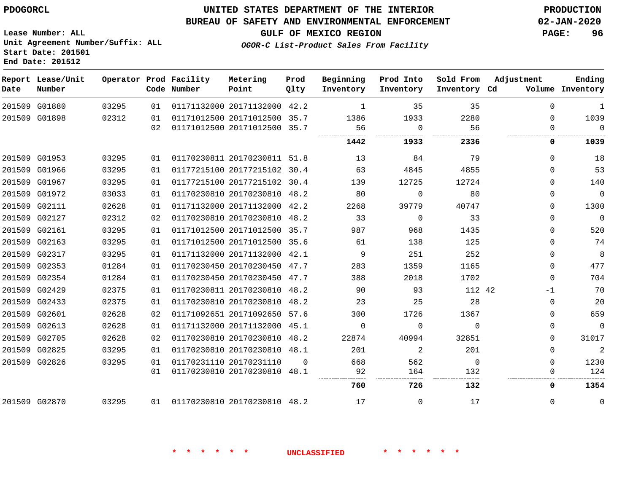#### **BUREAU OF SAFETY AND ENVIRONMENTAL ENFORCEMENT 02-JAN-2020**

**Lease Number: ALL Unit Agreement Number/Suffix: ALL Start Date: 201501 End Date: 201512**

**GULF OF MEXICO REGION PAGE: 96**

**OGOR-C List-Product Sales From Facility**

| Date | Report Lease/Unit<br>Number |       |    | Operator Prod Facility<br>Code Number | Metering<br>Point            | Prod<br>Qlty | Beginning<br>Inventory | Prod Into<br>Inventory | Sold From<br>Inventory Cd | Adjustment  | Ending<br>Volume Inventory |
|------|-----------------------------|-------|----|---------------------------------------|------------------------------|--------------|------------------------|------------------------|---------------------------|-------------|----------------------------|
|      | 201509 G01880               | 03295 | 01 |                                       | 01171132000 20171132000 42.2 |              | 1                      | 35                     | 35                        | $\Omega$    | $\mathbf{1}$               |
|      | 201509 G01898               | 02312 | 01 |                                       | 01171012500 20171012500 35.7 |              | 1386                   | 1933                   | 2280                      | $\Omega$    | 1039                       |
|      |                             |       | 02 |                                       | 01171012500 20171012500 35.7 |              | 56                     | $\Omega$               | 56                        | $\Omega$    | $\Omega$                   |
|      |                             |       |    |                                       |                              |              | 1442                   | 1933                   | 2336                      | 0           | 1039                       |
|      | 201509 G01953               | 03295 | 01 |                                       | 01170230811 20170230811 51.8 |              | 13                     | 84                     | 79                        | 0           | 18                         |
|      | 201509 G01966               | 03295 | 01 |                                       | 01177215100 20177215102 30.4 |              | 63                     | 4845                   | 4855                      | $\Omega$    | 53                         |
|      | 201509 G01967               | 03295 | 01 |                                       | 01177215100 20177215102 30.4 |              | 139                    | 12725                  | 12724                     | $\Omega$    | 140                        |
|      | 201509 G01972               | 03033 | 01 |                                       | 01170230810 20170230810 48.2 |              | 80                     | 0                      | 80                        | $\mathbf 0$ | $\mathbf 0$                |
|      | 201509 G02111               | 02628 | 01 |                                       | 01171132000 20171132000 42.2 |              | 2268                   | 39779                  | 40747                     | $\Omega$    | 1300                       |
|      | 201509 G02127               | 02312 | 02 |                                       | 01170230810 20170230810      | 48.2         | 33                     | $\mathbf 0$            | 33                        | 0           | $\overline{0}$             |
|      | 201509 G02161               | 03295 | 01 |                                       | 01171012500 20171012500 35.7 |              | 987                    | 968                    | 1435                      | $\Omega$    | 520                        |
|      | 201509 G02163               | 03295 | 01 |                                       | 01171012500 20171012500 35.6 |              | 61                     | 138                    | 125                       | $\Omega$    | 74                         |
|      | 201509 G02317               | 03295 | 01 |                                       | 01171132000 20171132000 42.1 |              | 9                      | 251                    | 252                       | $\mathbf 0$ | 8                          |
|      | 201509 G02353               | 01284 | 01 |                                       | 01170230450 20170230450 47.7 |              | 283                    | 1359                   | 1165                      | $\Omega$    | 477                        |
|      | 201509 G02354               | 01284 | 01 |                                       | 01170230450 20170230450 47.7 |              | 388                    | 2018                   | 1702                      | $\mathbf 0$ | 704                        |
|      | 201509 G02429               | 02375 | 01 |                                       | 01170230811 20170230810      | 48.2         | 90                     | 93                     | 112 42                    | $-1$        | 70                         |
|      | 201509 G02433               | 02375 | 01 |                                       | 01170230810 20170230810 48.2 |              | 23                     | 25                     | 28                        | $\Omega$    | 20                         |
|      | 201509 G02601               | 02628 | 02 |                                       | 01171092651 20171092650 57.6 |              | 300                    | 1726                   | 1367                      | $\Omega$    | 659                        |
|      | 201509 G02613               | 02628 | 01 |                                       | 01171132000 20171132000 45.1 |              | $\Omega$               | $\Omega$               | $\Omega$                  | $\Omega$    | $\mathbf 0$                |
|      | 201509 G02705               | 02628 | 02 |                                       | 01170230810 20170230810 48.2 |              | 22874                  | 40994                  | 32851                     | 0           | 31017                      |
|      | 201509 G02825               | 03295 | 01 |                                       | 01170230810 20170230810 48.1 |              | 201                    | 2                      | 201                       | $\Omega$    | 2                          |
|      | 201509 G02826               | 03295 | 01 |                                       | 01170231110 20170231110      | $\Omega$     | 668                    | 562                    | $\overline{0}$            | 0           | 1230                       |
|      |                             |       | 01 |                                       | 01170230810 20170230810 48.1 |              | 92                     | 164                    | 132                       | $\Omega$    | 124                        |
|      |                             |       |    |                                       |                              |              | 760                    | 726                    | 132                       | 0           | 1354                       |
|      | 201509 G02870               | 03295 | 01 |                                       | 01170230810 20170230810 48.2 |              | 17                     | $\Omega$               | 17                        | $\Omega$    | 0                          |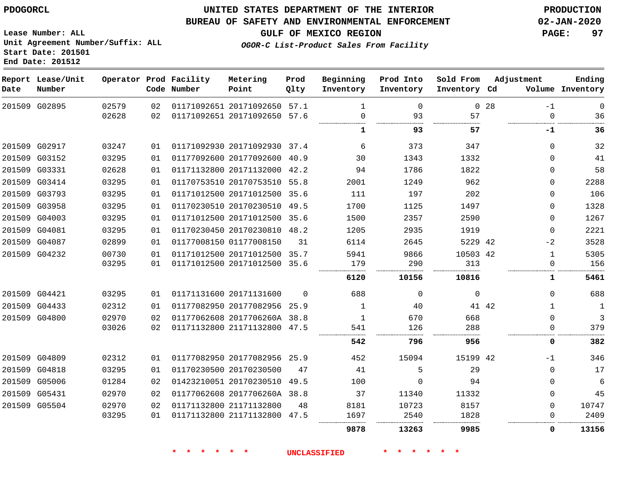#### **BUREAU OF SAFETY AND ENVIRONMENTAL ENFORCEMENT 02-JAN-2020**

**GULF OF MEXICO REGION PAGE: 97**

**Lease Number: ALL Unit Agreement Number/Suffix: ALL Start Date: 201501 End Date: 201512**

**OGOR-C List-Product Sales From Facility**

| Date | Report Lease/Unit<br>Number |       |    | Operator Prod Facility<br>Code Number | Metering<br>Point            | Prod<br>Qlty | Beginning<br>Inventory | Prod Into<br>Inventory | Sold From<br>Inventory Cd |                 | Adjustment   | Ending<br>Volume Inventory |
|------|-----------------------------|-------|----|---------------------------------------|------------------------------|--------------|------------------------|------------------------|---------------------------|-----------------|--------------|----------------------------|
|      | 201509 G02895               | 02579 | 02 |                                       | 01171092651 20171092650 57.1 |              | 1                      | $\Omega$               |                           | 0 <sub>28</sub> | $-1$         | 0                          |
|      |                             | 02628 | 02 |                                       | 01171092651 20171092650 57.6 |              | $\Omega$               | 93                     | 57                        |                 | $\Omega$     | 36                         |
|      |                             |       |    |                                       |                              |              | 1                      | 93                     | 57                        |                 | -1           | 36                         |
|      | 201509 G02917               | 03247 | 01 |                                       | 01171092930 20171092930 37.4 |              | 6                      | 373                    | 347                       |                 | $\Omega$     | 32                         |
|      | 201509 G03152               | 03295 | 01 |                                       | 01177092600 20177092600 40.9 |              | 30                     | 1343                   | 1332                      |                 | $\Omega$     | 41                         |
|      | 201509 G03331               | 02628 | 01 |                                       | 01171132800 20171132000 42.2 |              | 94                     | 1786                   | 1822                      |                 | 0            | 58                         |
|      | 201509 G03414               | 03295 | 01 |                                       | 01170753510 20170753510 55.8 |              | 2001                   | 1249                   | 962                       |                 | 0            | 2288                       |
|      | 201509 G03793               | 03295 | 01 |                                       | 01171012500 20171012500 35.6 |              | 111                    | 197                    | 202                       |                 | $\Omega$     | 106                        |
|      | 201509 G03958               | 03295 | 01 |                                       | 01170230510 20170230510 49.5 |              | 1700                   | 1125                   | 1497                      |                 | 0            | 1328                       |
|      | 201509 G04003               | 03295 | 01 |                                       | 01171012500 20171012500 35.6 |              | 1500                   | 2357                   | 2590                      |                 | $\Omega$     | 1267                       |
|      | 201509 G04081               | 03295 | 01 |                                       | 01170230450 20170230810 48.2 |              | 1205                   | 2935                   | 1919                      |                 | $\Omega$     | 2221                       |
|      | 201509 G04087               | 02899 | 01 |                                       | 01177008150 01177008150      | 31           | 6114                   | 2645                   | 5229 42                   |                 | $-2$         | 3528                       |
|      | 201509 G04232               | 00730 | 01 |                                       | 01171012500 20171012500 35.7 |              | 5941                   | 9866                   | 10503 42                  |                 | $\mathbf{1}$ | 5305                       |
|      |                             | 03295 | 01 |                                       | 01171012500 20171012500 35.6 |              | 179                    | 290                    | 313                       |                 | 0            | 156                        |
|      |                             |       |    |                                       |                              |              | 6120                   | 10156                  | 10816                     |                 | 1            | 5461                       |
|      | 201509 G04421               | 03295 | 01 |                                       | 01171131600 20171131600      | $\Omega$     | 688                    | $\Omega$               | $\mathbf 0$               |                 | $\Omega$     | 688                        |
|      | 201509 G04433               | 02312 | 01 |                                       | 01177082950 20177082956 25.9 |              | 1                      | 40                     |                           | 41 42           | $\mathbf 1$  | 1                          |
|      | 201509 G04800               | 02970 | 02 |                                       | 01177062608 2017706260A 38.8 |              | 1                      | 670                    | 668                       |                 | $\mathbf 0$  | $\mathbf{3}$               |
|      |                             | 03026 | 02 |                                       | 01171132800 21171132800 47.5 |              | 541                    | 126                    | 288                       |                 | $\Omega$     | 379                        |
|      |                             |       |    |                                       |                              |              | 542                    | 796                    | 956                       |                 | 0            | 382                        |
|      | 201509 G04809               | 02312 | 01 |                                       | 01177082950 20177082956 25.9 |              | 452                    | 15094                  | 15199 42                  |                 | -1           | 346                        |
|      | 201509 G04818               | 03295 | 01 |                                       | 01170230500 20170230500      | 47           | 41                     | 5                      | 29                        |                 | $\Omega$     | 17                         |
|      | 201509 G05006               | 01284 | 02 |                                       | 01423210051 20170230510 49.5 |              | 100                    | $\Omega$               | 94                        |                 | $\Omega$     | 6                          |
|      | 201509 G05431               | 02970 | 02 |                                       | 01177062608 2017706260A 38.8 |              | 37                     | 11340                  | 11332                     |                 | $\Omega$     | 45                         |
|      | 201509 G05504               | 02970 | 02 |                                       | 01171132800 21171132800      | 48           | 8181                   | 10723                  | 8157                      |                 | $\Omega$     | 10747                      |
|      |                             | 03295 | 01 |                                       | 01171132800 21171132800 47.5 |              | 1697                   | 2540                   | 1828                      |                 | $\Omega$     | 2409                       |
|      |                             |       |    |                                       |                              |              | 9878                   | 13263                  | 9985                      |                 | 0            | 13156                      |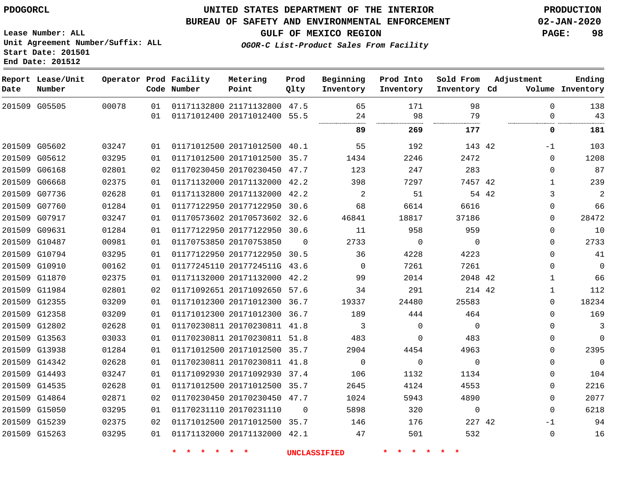#### **BUREAU OF SAFETY AND ENVIRONMENTAL ENFORCEMENT 02-JAN-2020**

**Lease Number: ALL Unit Agreement Number/Suffix: ALL Start Date: 201501**

**OGOR-C List-Product Sales From Facility**

**GULF OF MEXICO REGION PAGE: 98**

**End Date: 201512**

| Date | Report Lease/Unit<br>Number |       |    | Operator Prod Facility<br>Code Number | Metering<br>Point            | Prod<br>Qlty | Beginning<br>Inventory | Prod Into<br>Inventory | Sold From<br>Inventory Cd | Adjustment   | Ending<br>Volume Inventory |
|------|-----------------------------|-------|----|---------------------------------------|------------------------------|--------------|------------------------|------------------------|---------------------------|--------------|----------------------------|
|      | 201509 G05505               | 00078 | 01 |                                       | 01171132800 21171132800 47.5 |              | 65                     | 171                    | 98                        | $\Omega$     | 138                        |
|      |                             |       | 01 |                                       | 01171012400 20171012400 55.5 |              | 24<br>                 | 98<br>                 | 79<br>                    | $\Omega$<br> | 43                         |
|      |                             |       |    |                                       |                              |              | 89                     | 269                    | 177                       | 0            | 181                        |
|      | 201509 G05602               | 03247 | 01 |                                       | 01171012500 20171012500 40.1 |              | 55                     | 192                    | 143 42                    | -1           | 103                        |
|      | 201509 G05612               | 03295 | 01 |                                       | 01171012500 20171012500 35.7 |              | 1434                   | 2246                   | 2472                      | 0            | 1208                       |
|      | 201509 G06168               | 02801 | 02 |                                       | 01170230450 20170230450 47.7 |              | 123                    | 247                    | 283                       | 0            | 87                         |
|      | 201509 G06668               | 02375 | 01 |                                       | 01171132000 20171132000 42.2 |              | 398                    | 7297                   | 7457 42                   | $\mathbf{1}$ | 239                        |
|      | 201509 G07736               | 02628 | 01 |                                       | 01171132800 20171132000 42.2 |              | 2                      | 51                     |                           | 54 42<br>3   | 2                          |
|      | 201509 G07760               | 01284 | 01 |                                       | 01177122950 20177122950 30.6 |              | 68                     | 6614                   | 6616                      | $\Omega$     | 66                         |
|      | 201509 G07917               | 03247 | 01 |                                       | 01170573602 20170573602 32.6 |              | 46841                  | 18817                  | 37186                     | $\Omega$     | 28472                      |
|      | 201509 G09631               | 01284 | 01 |                                       | 01177122950 20177122950 30.6 |              | 11                     | 958                    | 959                       | $\Omega$     | 10                         |
|      | 201509 G10487               | 00981 | 01 |                                       | 01170753850 20170753850      | $\Omega$     | 2733                   | 0                      | $\Omega$                  | $\Omega$     | 2733                       |
|      | 201509 G10794               | 03295 | 01 |                                       | 01177122950 20177122950 30.5 |              | 36                     | 4228                   | 4223                      | $\Omega$     | 41                         |
|      | 201509 G10910               | 00162 | 01 |                                       | 01177245110 2017724511G 43.6 |              | $\Omega$               | 7261                   | 7261                      | $\mathbf 0$  | $\mathbf 0$                |
|      | 201509 G11870               | 02375 | 01 |                                       | 01171132000 20171132000 42.2 |              | 99                     | 2014                   | 2048 42                   | $\mathbf{1}$ | 66                         |
|      | 201509 G11984               | 02801 | 02 |                                       | 01171092651 20171092650 57.6 |              | 34                     | 291                    | 214 42                    | $\mathbf{1}$ | 112                        |
|      | 201509 G12355               | 03209 | 01 |                                       | 01171012300 20171012300 36.7 |              | 19337                  | 24480                  | 25583                     | 0            | 18234                      |
|      | 201509 G12358               | 03209 | 01 |                                       | 01171012300 20171012300 36.7 |              | 189                    | 444                    | 464                       | $\mathbf{0}$ | 169                        |
|      | 201509 G12802               | 02628 | 01 |                                       | 01170230811 20170230811 41.8 |              | 3                      | $\Omega$               | $\mathbf 0$               | 0            | 3                          |
|      | 201509 G13563               | 03033 | 01 |                                       | 01170230811 20170230811 51.8 |              | 483                    | $\Omega$               | 483                       | 0            | 0                          |
|      | 201509 G13938               | 01284 | 01 |                                       | 01171012500 20171012500 35.7 |              | 2904                   | 4454                   | 4963                      | $\mathbf 0$  | 2395                       |
|      | 201509 G14342               | 02628 | 01 |                                       | 01170230811 20170230811 41.8 |              | 0                      | $\mathbf 0$            | $\mathbf 0$               | $\mathbf{0}$ | $\mathsf{O}$               |
|      | 201509 G14493               | 03247 | 01 |                                       | 01171092930 20171092930 37.4 |              | 106                    | 1132                   | 1134                      | $\mathbf{0}$ | 104                        |
|      | 201509 G14535               | 02628 | 01 |                                       | 01171012500 20171012500 35.7 |              | 2645                   | 4124                   | 4553                      | $\mathbf 0$  | 2216                       |
|      | 201509 G14864               | 02871 | 02 |                                       | 01170230450 20170230450 47.7 |              | 1024                   | 5943                   | 4890                      | $\mathbf{0}$ | 2077                       |
|      | 201509 G15050               | 03295 | 01 |                                       | 01170231110 20170231110      | $\mathbf 0$  | 5898                   | 320                    | $\mathbf 0$               | $\Omega$     | 6218                       |
|      | 201509 G15239               | 02375 | 02 |                                       | 01171012500 20171012500 35.7 |              | 146                    | 176                    | 227 42                    | -1           | 94                         |
|      | 201509 G15263               | 03295 | 01 |                                       | 01171132000 20171132000 42.1 |              | 47                     | 501                    | 532                       | $\mathbf 0$  | 16                         |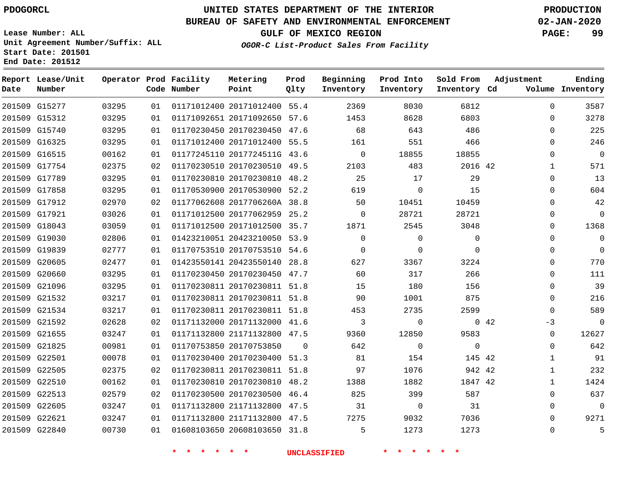#### **BUREAU OF SAFETY AND ENVIRONMENTAL ENFORCEMENT 02-JAN-2020**

**Lease Number: ALL Unit Agreement Number/Suffix: ALL Start Date: 201501 End Date: 201512**

**GULF OF MEXICO REGION PAGE: 99**

**OGOR-C List-Product Sales From Facility**

| Date | Report Lease/Unit<br>Number |       |                 | Operator Prod Facility<br>Code Number | Metering<br>Point            | Prod<br>Qlty | Beginning<br>Inventory | Prod Into<br>Inventory | Sold From<br>Inventory Cd | Adjustment  |              | Ending<br>Volume Inventory |
|------|-----------------------------|-------|-----------------|---------------------------------------|------------------------------|--------------|------------------------|------------------------|---------------------------|-------------|--------------|----------------------------|
|      | 201509 G15277               | 03295 | 01              |                                       | 01171012400 20171012400 55.4 |              | 2369                   | 8030                   | 6812                      |             | $\Omega$     | 3587                       |
|      | 201509 G15312               | 03295 | 01              |                                       | 01171092651 20171092650 57.6 |              | 1453                   | 8628                   | 6803                      |             | 0            | 3278                       |
|      | 201509 G15740               | 03295 | 01              |                                       | 01170230450 20170230450 47.6 |              | 68                     | 643                    | 486                       |             | $\mathbf 0$  | 225                        |
|      | 201509 G16325               | 03295 | 01              |                                       | 01171012400 20171012400 55.5 |              | 161                    | 551                    | 466                       |             | $\mathbf 0$  | 246                        |
|      | 201509 G16515               | 00162 | 01              |                                       | 01177245110 2017724511G 43.6 |              | $\mathbf 0$            | 18855                  | 18855                     |             | $\mathbf 0$  | $\overline{0}$             |
|      | 201509 G17754               | 02375 | 02              |                                       | 01170230510 20170230510 49.5 |              | 2103                   | 483                    | 2016 42                   |             | $\mathbf{1}$ | 571                        |
|      | 201509 G17789               | 03295 | 01              |                                       | 01170230810 20170230810 48.2 |              | 25                     | 17                     | 29                        |             | $\mathbf 0$  | 13                         |
|      | 201509 G17858               | 03295 | 01              |                                       | 01170530900 20170530900 52.2 |              | 619                    | $\mathbf 0$            | 15                        |             | $\mathbf 0$  | 604                        |
|      | 201509 G17912               | 02970 | 02              |                                       | 01177062608 2017706260A 38.8 |              | 50                     | 10451                  | 10459                     |             | $\Omega$     | 42                         |
|      | 201509 G17921               | 03026 | 01              |                                       | 01171012500 20177062959 25.2 |              | $\Omega$               | 28721                  | 28721                     |             | $\Omega$     | $\Omega$                   |
|      | 201509 G18043               | 03059 | 01              |                                       | 01171012500 20171012500 35.7 |              | 1871                   | 2545                   | 3048                      |             | $\Omega$     | 1368                       |
|      | 201509 G19030               | 02806 | 01              |                                       | 01423210051 20423210050 53.9 |              | $\Omega$               | $\Omega$               | $\Omega$                  |             | $\mathbf 0$  | $\overline{0}$             |
|      | 201509 G19839               | 02777 | 01              |                                       | 01170753510 20170753510 54.6 |              | $\Omega$               | $\Omega$               | $\Omega$                  |             | $\Omega$     | $\overline{0}$             |
|      | 201509 G20605               | 02477 | 01              |                                       | 01423550141 20423550140 28.8 |              | 627                    | 3367                   | 3224                      |             | 0            | 770                        |
|      | 201509 G20660               | 03295 | 01              |                                       | 01170230450 20170230450 47.7 |              | 60                     | 317                    | 266                       |             | $\mathbf 0$  | 111                        |
|      | 201509 G21096               | 03295 | 01              |                                       | 01170230811 20170230811 51.8 |              | 15                     | 180                    | 156                       |             | $\mathbf 0$  | 39                         |
|      | 201509 G21532               | 03217 | 01              |                                       | 01170230811 20170230811 51.8 |              | 90                     | 1001                   | 875                       |             | $\mathbf 0$  | 216                        |
|      | 201509 G21534               | 03217 | 01              |                                       | 01170230811 20170230811 51.8 |              | 453                    | 2735                   | 2599                      |             | $\Omega$     | 589                        |
|      | 201509 G21592               | 02628 | 02              |                                       | 01171132000 20171132000 41.6 |              | 3                      | $\Omega$               |                           | $0\quad 42$ | $-3$         | $\Omega$                   |
|      | 201509 G21655               | 03247 | 01              |                                       | 01171132800 21171132800 47.5 |              | 9360                   | 12850                  | 9583                      |             | $\mathbf 0$  | 12627                      |
|      | 201509 G21825               | 00981 | 01              |                                       | 01170753850 20170753850      | $\Omega$     | 642                    | $\mathbf 0$            | $\mathbf 0$               |             | $\Omega$     | 642                        |
|      | 201509 G22501               | 00078 | 01              |                                       | 01170230400 20170230400 51.3 |              | 81                     | 154                    | 145 42                    |             | $\mathbf{1}$ | 91                         |
|      | 201509 G22505               | 02375 | 02 <sub>o</sub> |                                       | 01170230811 20170230811 51.8 |              | 97                     | 1076                   | 942 42                    |             | 1            | 232                        |
|      | 201509 G22510               | 00162 | 01              |                                       | 01170230810 20170230810      | 48.2         | 1388                   | 1882                   | 1847 42                   |             | $\mathbf 1$  | 1424                       |
|      | 201509 G22513               | 02579 | 02              |                                       | 01170230500 20170230500 46.4 |              | 825                    | 399                    | 587                       |             | $\Omega$     | 637                        |
|      | 201509 G22605               | 03247 | 01              |                                       | 01171132800 21171132800 47.5 |              | 31                     | $\mathbf 0$            | 31                        |             | $\Omega$     | $\overline{0}$             |
|      | 201509 G22621               | 03247 | 01              |                                       | 01171132800 21171132800 47.5 |              | 7275                   | 9032                   | 7036                      |             | $\Omega$     | 9271                       |
|      | 201509 G22840               | 00730 | 01              |                                       | 01608103650 20608103650 31.8 |              | 5                      | 1273                   | 1273                      |             | $\Omega$     | 5                          |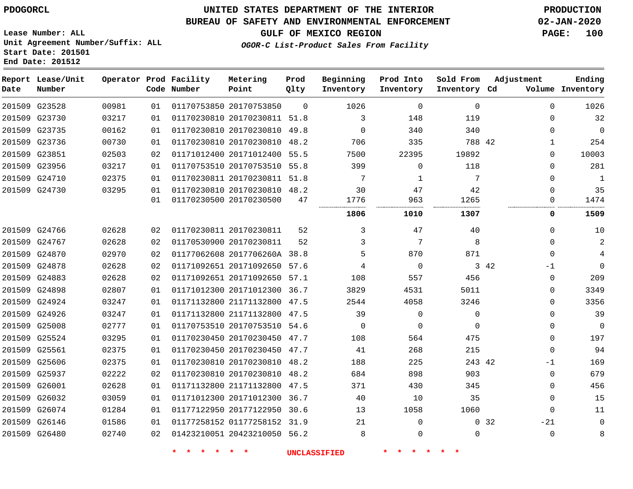**End Date: 201512**

# **UNITED STATES DEPARTMENT OF THE INTERIOR PDOGORCL PRODUCTION**

### **BUREAU OF SAFETY AND ENVIRONMENTAL ENFORCEMENT 02-JAN-2020**

**Lease Number: ALL Unit Agreement Number/Suffix: ALL Start Date: 201501**

**GULF OF MEXICO REGION PAGE: 100**

**OGOR-C List-Product Sales From Facility**

| Date          | Report Lease/Unit<br>Number |       |    | Operator Prod Facility<br>Code Number | Metering<br>Point            | Prod<br>Qlty | Beginning<br>Inventory | Prod Into<br>Inventory | Sold From<br>Inventory Cd | Adjustment               | Ending<br>Volume Inventory |
|---------------|-----------------------------|-------|----|---------------------------------------|------------------------------|--------------|------------------------|------------------------|---------------------------|--------------------------|----------------------------|
|               | 201509 G23528               | 00981 | 01 |                                       | 01170753850 20170753850      | $\Omega$     | 1026                   | $\Omega$               | $\Omega$                  | $\Omega$                 | 1026                       |
|               | 201509 G23730               | 03217 | 01 |                                       | 01170230810 20170230811 51.8 |              | 3                      | 148                    | 119                       | $\Omega$                 | 32                         |
|               | 201509 G23735               | 00162 | 01 |                                       | 01170230810 20170230810 49.8 |              | $\Omega$               | 340                    | 340                       | $\Omega$                 | $\mathbf 0$                |
| 201509        | G23736                      | 00730 | 01 |                                       | 01170230810 20170230810 48.2 |              | 706                    | 335                    | 788 42                    | 1                        | 254                        |
| 201509 G23851 |                             | 02503 | 02 |                                       | 01171012400 20171012400 55.5 |              | 7500                   | 22395                  | 19892                     | 0                        | 10003                      |
|               | 201509 G23956               | 03217 | 01 |                                       | 01170753510 20170753510 55.8 |              | 399                    | $\Omega$               | 118                       | 0                        | 281                        |
|               | 201509 G24710               | 02375 | 01 |                                       | 01170230811 20170230811 51.8 |              | 7                      | 1                      | 7                         | $\Omega$                 | 1                          |
|               | 201509 G24730               | 03295 | 01 |                                       | 01170230810 20170230810 48.2 |              | 30                     | 47                     | 42                        | 0                        | 35                         |
|               |                             |       | 01 |                                       | 01170230500 20170230500      | 47           | 1776                   | 963                    | 1265                      | 0                        | 1474                       |
|               |                             |       |    |                                       |                              |              | 1806                   | 1010                   | 1307                      | 0                        | 1509                       |
|               | 201509 G24766               | 02628 | 02 |                                       | 01170230811 20170230811      | 52           | 3                      | 47                     | 40                        | 0                        | 10                         |
|               | 201509 G24767               | 02628 | 02 | 01170530900 20170230811               |                              | 52           | 3                      | 7                      | 8                         | $\Omega$                 | $\overline{c}$             |
|               | 201509 G24870               | 02970 | 02 |                                       | 01177062608 2017706260A 38.8 |              | 5                      | 870                    | 871                       | $\Omega$                 | 4                          |
|               | 201509 G24878               | 02628 | 02 |                                       | 01171092651 20171092650 57.6 |              | 4                      | $\Omega$               |                           | 3 42<br>$-1$             | $\Omega$                   |
|               | 201509 G24883               | 02628 | 02 |                                       | 01171092651 20171092650      | 57.1         | 108                    | 557                    | 456                       | 0                        | 209                        |
| 201509        | G24898                      | 02807 | 01 |                                       | 01171012300 20171012300 36.7 |              | 3829                   | 4531                   | 5011                      | $\Omega$                 | 3349                       |
|               | 201509 G24924               | 03247 | 01 |                                       | 01171132800 21171132800 47.5 |              | 2544                   | 4058                   | 3246                      | $\Omega$                 | 3356                       |
|               | 201509 G24926               | 03247 | 01 |                                       | 01171132800 21171132800 47.5 |              | 39                     | $\Omega$               | $\Omega$                  | $\Omega$                 | 39                         |
|               | 201509 G25008               | 02777 | 01 |                                       | 01170753510 20170753510 54.6 |              | $\Omega$               | $\Omega$               | $\Omega$                  | 0                        | $\mathbf 0$                |
|               | 201509 G25524               | 03295 | 01 |                                       | 01170230450 20170230450 47.7 |              | 108                    | 564                    | 475                       | 0                        | 197                        |
| 201509 G25561 |                             | 02375 | 01 |                                       | 01170230450 20170230450 47.7 |              | 41                     | 268                    | 215                       | $\Omega$                 | 94                         |
|               | 201509 G25606               | 02375 | 01 |                                       | 01170230810 20170230810 48.2 |              | 188                    | 225                    | 243 42                    | $-1$                     | 169                        |
|               | 201509 G25937               | 02222 | 02 |                                       | 01170230810 20170230810 48.2 |              | 684                    | 898                    | 903                       | 0                        | 679                        |
| 201509        | G26001                      | 02628 | 01 |                                       | 01171132800 21171132800      | 47.5         | 371                    | 430                    | 345                       | 0                        | 456                        |
| 201509        | G26032                      | 03059 | 01 |                                       | 01171012300 20171012300      | 36.7         | 40                     | 10                     | 35                        | 0                        | 15                         |
|               | 201509 G26074               | 01284 | 01 |                                       | 01177122950 20177122950 30.6 |              | 13                     | 1058                   | 1060                      | $\Omega$                 | 11                         |
|               | 201509 G26146               | 01586 | 01 |                                       | 01177258152 01177258152 31.9 |              | 21                     | $\Omega$               |                           | 0 <sub>32</sub><br>$-21$ | 0                          |
|               | 201509 G26480               | 02740 | 02 |                                       | 01423210051 20423210050 56.2 |              | 8                      | 0                      | 0                         | 0                        | 8                          |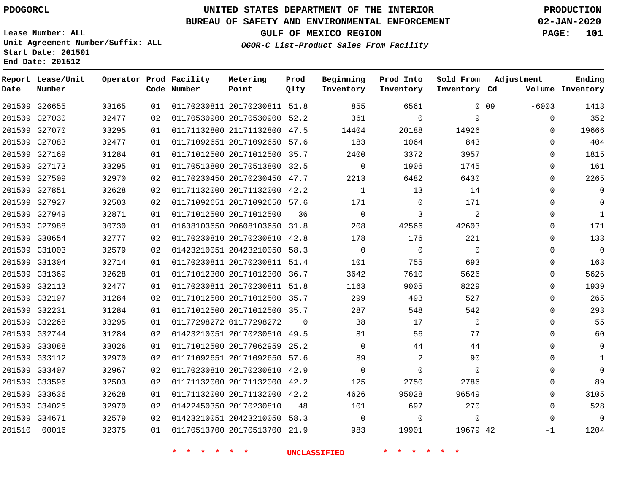### **BUREAU OF SAFETY AND ENVIRONMENTAL ENFORCEMENT 02-JAN-2020**

**Lease Number: ALL Unit Agreement Number/Suffix: ALL Start Date: 201501 End Date: 201512**

**OGOR-C List-Product Sales From Facility**

**GULF OF MEXICO REGION PAGE: 101**

| Date   | Report Lease/Unit<br>Number |       |    | Operator Prod Facility<br>Code Number | Metering<br>Point            | Prod<br>Qlty | Beginning<br>Inventory | Prod Into<br>Inventory | Sold From<br>Inventory Cd | Adjustment        | Ending<br>Volume Inventory |
|--------|-----------------------------|-------|----|---------------------------------------|------------------------------|--------------|------------------------|------------------------|---------------------------|-------------------|----------------------------|
|        | 201509 G26655               | 03165 | 01 |                                       | 01170230811 20170230811 51.8 |              | 855                    | 6561                   |                           | $0$ 09<br>$-6003$ | 1413                       |
|        | 201509 G27030               | 02477 | 02 |                                       | 01170530900 20170530900 52.2 |              | 361                    | $\mathsf{O}$           | 9                         | $\mathbf 0$       | 352                        |
|        | 201509 G27070               | 03295 | 01 |                                       | 01171132800 21171132800 47.5 |              | 14404                  | 20188                  | 14926                     | $\mathbf{0}$      | 19666                      |
|        | 201509 G27083               | 02477 | 01 |                                       | 01171092651 20171092650 57.6 |              | 183                    | 1064                   | 843                       | 0                 | 404                        |
|        | 201509 G27169               | 01284 | 01 |                                       | 01171012500 20171012500 35.7 |              | 2400                   | 3372                   | 3957                      | $\Omega$          | 1815                       |
|        | 201509 G27173               | 03295 | 01 |                                       | 01170513800 20170513800 32.5 |              | $\mathsf{O}$           | 1906                   | 1745                      | $\mathbf 0$       | 161                        |
|        | 201509 G27509               | 02970 | 02 |                                       | 01170230450 20170230450 47.7 |              | 2213                   | 6482                   | 6430                      | $\mathbf 0$       | 2265                       |
|        | 201509 G27851               | 02628 | 02 |                                       | 01171132000 20171132000 42.2 |              | $\mathbf{1}$           | 13                     | 14                        | $\Omega$          | $\mathbf 0$                |
|        | 201509 G27927               | 02503 | 02 |                                       | 01171092651 20171092650 57.6 |              | 171                    | $\overline{0}$         | 171                       | $\Omega$          | $\Omega$                   |
|        | 201509 G27949               | 02871 | 01 |                                       | 01171012500 20171012500      | 36           | $\overline{0}$         | 3                      | 2                         | $\mathbf 0$       | $\mathbf{1}$               |
|        | 201509 G27988               | 00730 | 01 |                                       | 01608103650 20608103650 31.8 |              | 208                    | 42566                  | 42603                     | $\mathbf 0$       | 171                        |
|        | 201509 G30654               | 02777 | 02 |                                       | 01170230810 20170230810 42.8 |              | 178                    | 176                    | 221                       | 0                 | 133                        |
|        | 201509 G31003               | 02579 | 02 |                                       | 01423210051 20423210050 58.3 |              | $\mathbf 0$            | $\overline{0}$         | $\mathbf 0$               | $\Omega$          | $\mathbf 0$                |
|        | 201509 G31304               | 02714 | 01 |                                       | 01170230811 20170230811 51.4 |              | 101                    | 755                    | 693                       | 0                 | 163                        |
|        | 201509 G31369               | 02628 | 01 |                                       | 01171012300 20171012300 36.7 |              | 3642                   | 7610                   | 5626                      | $\mathbf 0$       | 5626                       |
|        | 201509 G32113               | 02477 | 01 |                                       | 01170230811 20170230811 51.8 |              | 1163                   | 9005                   | 8229                      | $\Omega$          | 1939                       |
|        | 201509 G32197               | 01284 | 02 |                                       | 01171012500 20171012500 35.7 |              | 299                    | 493                    | 527                       | $\mathbf 0$       | 265                        |
|        | 201509 G32231               | 01284 | 01 |                                       | 01171012500 20171012500 35.7 |              | 287                    | 548                    | 542                       | $\mathbf 0$       | 293                        |
|        | 201509 G32268               | 03295 | 01 |                                       | 01177298272 01177298272      | $\Omega$     | 38                     | 17                     | $\mathbf 0$               | $\Omega$          | 55                         |
|        | 201509 G32744               | 01284 | 02 |                                       | 01423210051 20170230510 49.5 |              | 81                     | 56                     | 77                        | $\mathbf 0$       | 60                         |
|        | 201509 G33088               | 03026 | 01 |                                       | 01171012500 20177062959 25.2 |              | $\Omega$               | 44                     | 44                        | $\Omega$          | $\mathsf 0$                |
|        | 201509 G33112               | 02970 | 02 |                                       | 01171092651 20171092650 57.6 |              | 89                     | $\overline{2}$         | 90                        | 0                 | $\mathbf{1}$               |
|        | 201509 G33407               | 02967 | 02 |                                       | 01170230810 20170230810 42.9 |              | $\mathsf{O}$           | $\mathbf 0$            | $\mathbf 0$               | $\mathbf 0$       | $\mathbf 0$                |
|        | 201509 G33596               | 02503 | 02 |                                       | 01171132000 20171132000 42.2 |              | 125                    | 2750                   | 2786                      | $\Omega$          | 89                         |
|        | 201509 G33636               | 02628 | 01 |                                       | 01171132000 20171132000 42.2 |              | 4626                   | 95028                  | 96549                     | $\mathbf 0$       | 3105                       |
|        | 201509 G34025               | 02970 | 02 |                                       | 01422450350 20170230810      | 48           | 101                    | 697                    | 270                       | $\mathbf 0$       | 528                        |
|        | 201509 G34671               | 02579 | 02 |                                       | 01423210051 20423210050 58.3 |              | $\overline{0}$         | $\mathbf 0$            | $\Omega$                  | $\Omega$          | $\mathbf 0$                |
| 201510 | 00016                       | 02375 | 01 |                                       | 01170513700 20170513700 21.9 |              | 983                    | 19901                  | 19679 42                  | $-1$              | 1204                       |
|        |                             |       |    | * * * * * *                           |                              |              | <b>UNCLASSIFIED</b>    | * * * *                | $\star$ $\star$           |                   |                            |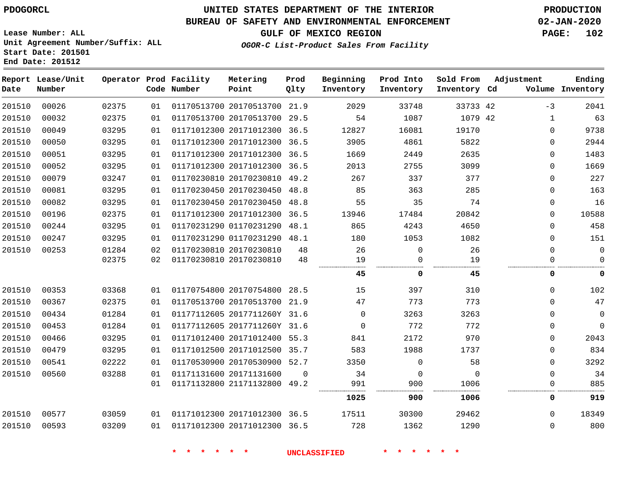**End Date: 201512**

**Report Lease/Unit**

# **UNITED STATES DEPARTMENT OF THE INTERIOR PDOGORCL PRODUCTION**

#### **BUREAU OF SAFETY AND ENVIRONMENTAL ENFORCEMENT 02-JAN-2020**

**Lease Number: ALL Unit Agreement Number/Suffix: ALL Start Date: 201501**

**Operator Prod Facility Metering**

# **GULF OF MEXICO REGION PAGE: 102**

**Prod**

**Adjustment**

**Ending**

**OGOR-C List-Product Sales From Facility**

**Beginning Prod Into Sold From**

| Date   | Number |       |    | Code Number | Point                        | Qlty     | Inventory | Inventory   | Inventory Cd |              | Volume Inventory |
|--------|--------|-------|----|-------------|------------------------------|----------|-----------|-------------|--------------|--------------|------------------|
| 201510 | 00026  | 02375 | 01 |             | 01170513700 20170513700 21.9 |          | 2029      | 33748       | 33733 42     | $-3$         | 2041             |
| 201510 | 00032  | 02375 | 01 |             | 01170513700 20170513700 29.5 |          | 54        | 1087        | 1079 42      | $\mathbf{1}$ | 63               |
| 201510 | 00049  | 03295 | 01 |             | 01171012300 20171012300 36.5 |          | 12827     | 16081       | 19170        | 0            | 9738             |
| 201510 | 00050  | 03295 | 01 |             | 01171012300 20171012300 36.5 |          | 3905      | 4861        | 5822         | 0            | 2944             |
| 201510 | 00051  | 03295 | 01 |             | 01171012300 20171012300 36.5 |          | 1669      | 2449        | 2635         | 0            | 1483             |
| 201510 | 00052  | 03295 | 01 |             | 01171012300 20171012300 36.5 |          | 2013      | 2755        | 3099         | 0            | 1669             |
| 201510 | 00079  | 03247 | 01 |             | 01170230810 20170230810 49.2 |          | 267       | 337         | 377          | $\mathbf 0$  | 227              |
| 201510 | 00081  | 03295 | 01 |             | 01170230450 20170230450 48.8 |          | 85        | 363         | 285          | 0            | 163              |
| 201510 | 00082  | 03295 | 01 |             | 01170230450 20170230450 48.8 |          | 55        | 35          | 74           | 0            | 16               |
| 201510 | 00196  | 02375 | 01 |             | 01171012300 20171012300 36.5 |          | 13946     | 17484       | 20842        | 0            | 10588            |
| 201510 | 00244  | 03295 | 01 |             | 01170231290 01170231290      | 48.1     | 865       | 4243        | 4650         | 0            | 458              |
| 201510 | 00247  | 03295 | 01 |             | 01170231290 01170231290 48.1 |          | 180       | 1053        | 1082         | 0            | 151              |
| 201510 | 00253  | 01284 | 02 |             | 01170230810 20170230810      | 48       | 26        | $\mathbf 0$ | 26           | 0            | $\mathbf 0$      |
|        |        | 02375 | 02 |             | 01170230810 20170230810      | 48       | 19        | $\Omega$    | 19           | 0            | $\mathbf 0$      |
|        |        |       |    |             |                              |          | 45        | 0           | 45           | 0            | 0                |
| 201510 | 00353  | 03368 | 01 |             | 01170754800 20170754800 28.5 |          | 15        | 397         | 310          | 0            | 102              |
| 201510 | 00367  | 02375 | 01 |             | 01170513700 20170513700 21.9 |          | 47        | 773         | 773          | 0            | 47               |
| 201510 | 00434  | 01284 | 01 |             | 01177112605 2017711260Y 31.6 |          | $\Omega$  | 3263        | 3263         | $\Omega$     | $\mathbf 0$      |
| 201510 | 00453  | 01284 | 01 |             | 01177112605 2017711260Y 31.6 |          | $\Omega$  | 772         | 772          | 0            | $\mathbf 0$      |
| 201510 | 00466  | 03295 | 01 |             | 01171012400 20171012400 55.3 |          | 841       | 2172        | 970          | 0            | 2043             |
| 201510 | 00479  | 03295 | 01 |             | 01171012500 20171012500 35.7 |          | 583       | 1988        | 1737         | $\Omega$     | 834              |
| 201510 | 00541  | 02222 | 01 |             | 01170530900 20170530900 52.7 |          | 3350      | 0           | 58           | 0            | 3292             |
| 201510 | 00560  | 03288 | 01 |             | 01171131600 20171131600      | $\Omega$ | 34        | $\mathbf 0$ | $\Omega$     | $\Omega$     | 34               |
|        |        |       | 01 |             | 01171132800 21171132800 49.2 |          | 991       | 900         | 1006         | 0            | 885              |
|        |        |       |    |             |                              |          | 1025      | 900         | 1006         | 0            | 919              |
| 201510 | 00577  | 03059 | 01 |             | 01171012300 20171012300 36.5 |          | 17511     | 30300       | 29462        | $\Omega$     | 18349            |
| 201510 | 00593  | 03209 | 01 |             | 01171012300 20171012300 36.5 |          | 728       | 1362        | 1290         | 0            | 800              |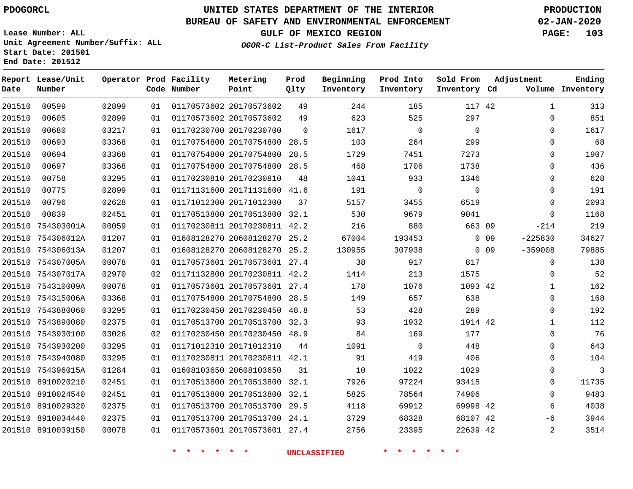**Report Lease/Unit**

# **UNITED STATES DEPARTMENT OF THE INTERIOR PDOGORCL PRODUCTION**

**Prod**

### **BUREAU OF SAFETY AND ENVIRONMENTAL ENFORCEMENT 02-JAN-2020**

**Lease Number: ALL Unit Agreement Number/Suffix: ALL Start Date: 201501 End Date: 201512**

**Operator Prod Facility Metering**

**GULF OF MEXICO REGION PAGE: 103**

**Adjustment**

**Ending**

**OGOR-C List-Product Sales From Facility**

**Beginning Prod Into Sold From**

| Date   | Number            |       |    | Code Number | Point                        | Qlty     | Inventory | Inventory      | Inventory Cd |        |              | Volume Inventory |
|--------|-------------------|-------|----|-------------|------------------------------|----------|-----------|----------------|--------------|--------|--------------|------------------|
| 201510 | 00599             | 02899 | 01 |             | 01170573602 20170573602      | 49       | 244       | 185            | 117 42       |        | $\mathbf{1}$ | 313              |
| 201510 | 00605             | 02899 | 01 |             | 01170573602 20170573602      | 49       | 623       | 525            | 297          |        | $\mathbf{0}$ | 851              |
| 201510 | 00680             | 03217 | 01 |             | 01170230700 20170230700      | $\Omega$ | 1617      | $\overline{0}$ | $\Omega$     |        | $\Omega$     | 1617             |
| 201510 | 00693             | 03368 | 01 |             | 01170754800 20170754800 28.5 |          | 103       | 264            | 299          |        | $\mathbf 0$  | 68               |
| 201510 | 00694             | 03368 | 01 |             | 01170754800 20170754800 28.5 |          | 1729      | 7451           | 7273         |        | $\Omega$     | 1907             |
| 201510 | 00697             | 03368 | 01 |             | 01170754800 20170754800 28.5 |          | 468       | 1706           | 1738         |        | 0            | 436              |
| 201510 | 00758             | 03295 | 01 |             | 01170230810 20170230810      | 48       | 1041      | 933            | 1346         |        | $\mathbf 0$  | 628              |
| 201510 | 00775             | 02899 | 01 |             | 01171131600 20171131600 41.6 |          | 191       | $\mathbf 0$    | $\mathbf 0$  |        | $\mathbf 0$  | 191              |
| 201510 | 00796             | 02628 | 01 |             | 01171012300 20171012300      | 37       | 5157      | 3455           | 6519         |        | $\mathbf 0$  | 2093             |
| 201510 | 00839             | 02451 | 01 |             | 01170513800 20170513800 32.1 |          | 530       | 9679           | 9041         |        | $\Omega$     | 1168             |
| 201510 | 754303001A        | 00059 | 01 |             | 01170230811 20170230811 42.2 |          | 216       | 880            | 663 09       |        | $-214$       | 219              |
| 201510 | 754306012A        | 01207 | 01 |             | 01608128270 20608128270      | 25.2     | 67004     | 193453         |              | $0$ 09 | $-225830$    | 34627            |
|        | 201510 754306013A | 01207 | 01 |             | 01608128270 20608128270 25.2 |          | 130955    | 307938         |              | $0$ 09 | $-359008$    | 79885            |
|        | 201510 754307005A | 00078 | 01 |             | 01170573601 20170573601 27.4 |          | 38        | 917            | 817          |        | $\mathbf 0$  | 138              |
|        | 201510 754307017A | 02970 | 02 |             | 01171132800 20170230811 42.2 |          | 1414      | 213            | 1575         |        | $\Omega$     | 52               |
|        | 201510 754310009A | 00078 | 01 |             | 01170573601 20170573601 27.4 |          | 178       | 1076           | 1093 42      |        | $\mathbf{1}$ | 162              |
|        | 201510 754315006A | 03368 | 01 |             | 01170754800 20170754800 28.5 |          | 149       | 657            | 638          |        | $\Omega$     | 168              |
|        | 201510 7543880060 | 03295 | 01 |             | 01170230450 20170230450 48.8 |          | 53        | 428            | 289          |        | 0            | 192              |
|        | 201510 7543890080 | 02375 | 01 |             | 01170513700 20170513700 32.3 |          | 93        | 1932           | 1914 42      |        | 1            | 112              |
|        | 201510 7543930100 | 03026 | 02 |             | 01170230450 20170230450 48.9 |          | 84        | 169            | 177          |        | $\mathbf{0}$ | 76               |
|        | 201510 7543930200 | 03295 | 01 |             | 01171012310 20171012310      | 44       | 1091      | $\overline{0}$ | 448          |        | $\mathbf{0}$ | 643              |
|        | 201510 7543940080 | 03295 | 01 |             | 01170230811 20170230811 42.1 |          | 91        | 419            | 406          |        | $\mathbf 0$  | 104              |
|        | 201510 754396015A | 01284 | 01 |             | 01608103650 20608103650      | 31       | 10        | 1022           | 1029         |        | $\mathbf 0$  | 3                |
|        | 201510 8910020210 | 02451 | 01 |             | 01170513800 20170513800      | 32.1     | 7926      | 97224          | 93415        |        | 0            | 11735            |
|        | 201510 8910024540 | 02451 | 01 |             | 01170513800 20170513800 32.1 |          | 5825      | 78564          | 74906        |        | $\mathbf 0$  | 9483             |
| 201510 | 8910029320        | 02375 | 01 |             | 01170513700 20170513700      | 29.5     | 4118      | 69912          | 69998 42     |        | 6            | 4038             |
|        | 201510 8910034440 | 02375 | 01 |             | 01170513700 20170513700 24.1 |          | 3729      | 68328          | 68107 42     |        | -6           | 3944             |
|        | 201510 8910039150 | 00078 | 01 |             | 01170573601 20170573601 27.4 |          | 2756      | 23395          | 22639 42     |        | 2            | 3514             |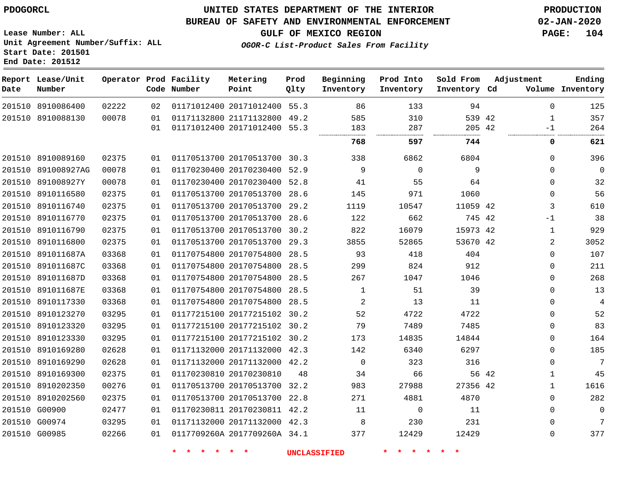**Report Lease/Unit**

## **UNITED STATES DEPARTMENT OF THE INTERIOR PDOGORCL PRODUCTION**

**Prod**

### **BUREAU OF SAFETY AND ENVIRONMENTAL ENFORCEMENT 02-JAN-2020**

**Lease Number: ALL Unit Agreement Number/Suffix: ALL Start Date: 201501 End Date: 201512**

**OGOR-C List-Product Sales From Facility**

**GULF OF MEXICO REGION PAGE: 104**

**Ending**

| Date | Number             |       |    | Code Number | Point                        | Qlty | Inventory    | Inventory   | Inventory Cd |       |              | Volume Inventory |
|------|--------------------|-------|----|-------------|------------------------------|------|--------------|-------------|--------------|-------|--------------|------------------|
|      | 201510 8910086400  | 02222 | 02 |             | 01171012400 20171012400 55.3 |      | 86           | 133         | 94           |       | $\Omega$     | 125              |
|      | 201510 8910088130  | 00078 | 01 |             | 01171132800 21171132800 49.2 |      | 585          | 310         | 539 42       |       | $\mathbf{1}$ | 357              |
|      |                    |       | 01 |             | 01171012400 20171012400 55.3 |      | 183          | 287         | 205 42       |       | -1           | 264              |
|      |                    |       |    |             |                              |      | 768          | 597         | 744          |       | 0            | 621              |
|      | 201510 8910089160  | 02375 | 01 |             | 01170513700 20170513700 30.3 |      | 338          | 6862        | 6804         |       | $\Omega$     | 396              |
|      | 201510 891008927AG | 00078 | 01 |             | 01170230400 20170230400 52.9 |      | 9            | $\mathbf 0$ | 9            |       | $\Omega$     | 0                |
|      | 201510 891008927Y  | 00078 | 01 |             | 01170230400 20170230400 52.8 |      | 41           | 55          | 64           |       | 0            | 32               |
|      | 201510 8910116580  | 02375 | 01 |             | 01170513700 20170513700 28.6 |      | 145          | 971         | 1060         |       | 0            | 56               |
|      | 201510 8910116740  | 02375 | 01 |             | 01170513700 20170513700 29.2 |      | 1119         | 10547       | 11059 42     |       | 3            | 610              |
|      | 201510 8910116770  | 02375 | 01 |             | 01170513700 20170513700 28.6 |      | 122          | 662         | 745 42       |       | $-1$         | 38               |
|      | 201510 8910116790  | 02375 | 01 |             | 01170513700 20170513700 30.2 |      | 822          | 16079       | 15973 42     |       | 1            | 929              |
|      | 201510 8910116800  | 02375 | 01 |             | 01170513700 20170513700 29.3 |      | 3855         | 52865       | 53670 42     |       | 2            | 3052             |
|      | 201510 891011687A  | 03368 | 01 |             | 01170754800 20170754800      | 28.5 | 93           | 418         | 404          |       | $\Omega$     | 107              |
|      | 201510 891011687C  | 03368 | 01 |             | 01170754800 20170754800 28.5 |      | 299          | 824         | 912          |       | $\Omega$     | 211              |
|      | 201510 891011687D  | 03368 | 01 |             | 01170754800 20170754800 28.5 |      | 267          | 1047        | 1046         |       | 0            | 268              |
|      | 201510 891011687E  | 03368 | 01 |             | 01170754800 20170754800 28.5 |      | $\mathbf{1}$ | 51          | 39           |       | $\Omega$     | 13               |
|      | 201510 8910117330  | 03368 | 01 |             | 01170754800 20170754800 28.5 |      | 2            | 13          | 11           |       | $\Omega$     | $\overline{4}$   |
|      | 201510 8910123270  | 03295 | 01 |             | 01177215100 20177215102 30.2 |      | 52           | 4722        | 4722         |       | $\Omega$     | 52               |
|      | 201510 8910123320  | 03295 | 01 |             | 01177215100 20177215102 30.2 |      | 79           | 7489        | 7485         |       | $\Omega$     | 83               |
|      | 201510 8910123330  | 03295 | 01 |             | 01177215100 20177215102 30.2 |      | 173          | 14835       | 14844        |       | $\Omega$     | 164              |
|      | 201510 8910169280  | 02628 | 01 |             | 01171132000 20171132000 42.3 |      | 142          | 6340        | 6297         |       | 0            | 185              |
|      | 201510 8910169290  | 02628 | 01 |             | 01171132000 20171132000 42.2 |      | $\mathbf 0$  | 323         | 316          |       | $\Omega$     | 7                |
|      | 201510 8910169300  | 02375 | 01 |             | 01170230810 20170230810      | 48   | 34           | 66          |              | 56 42 | 1            | 45               |
|      | 201510 8910202350  | 00276 | 01 |             | 01170513700 20170513700 32.2 |      | 983          | 27988       | 27356 42     |       | $\mathbf{1}$ | 1616             |
|      | 201510 8910202560  | 02375 | 01 |             | 01170513700 20170513700 22.8 |      | 271          | 4881        | 4870         |       | $\Omega$     | 282              |
|      | 201510 G00900      | 02477 | 01 |             | 01170230811 20170230811 42.2 |      | 11           | $\mathbf 0$ | 11           |       | 0            | 0                |
|      | 201510 G00974      | 03295 | 01 |             | 01171132000 20171132000 42.3 |      | 8            | 230         | 231          |       | 0            | 7                |
|      | 201510 G00985      | 02266 | 01 |             | 0117709260A 2017709260A 34.1 |      | 377          | 12429       | 12429        |       | $\Omega$     | 377              |

**Operator Prod Facility Metering**

**\* \* \* \* \* \* UNCLASSIFIED \* \* \* \* \* \***

**Beginning Prod Into Sold From Adjustment**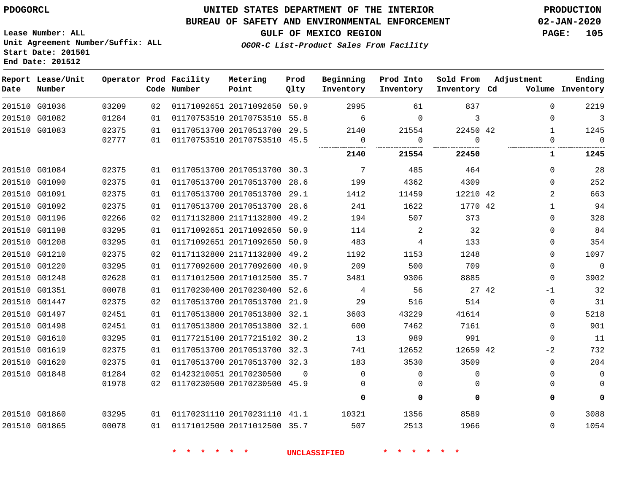#### **BUREAU OF SAFETY AND ENVIRONMENTAL ENFORCEMENT 02-JAN-2020**

**Lease Number: ALL Unit Agreement Number/Suffix: ALL Start Date: 201501 End Date: 201512**

**OGOR-C List-Product Sales From Facility**

**GULF OF MEXICO REGION PAGE: 105**

| Date | Report Lease/Unit<br>Number |       |    | Operator Prod Facility<br>Code Number | Metering<br>Point            | Prod<br>Qlty | Beginning<br>Inventory | Prod Into<br>Inventory | Sold From<br>Inventory Cd | Adjustment     | Ending<br>Volume Inventory |
|------|-----------------------------|-------|----|---------------------------------------|------------------------------|--------------|------------------------|------------------------|---------------------------|----------------|----------------------------|
|      | 201510 G01036               | 03209 | 02 |                                       | 01171092651 20171092650 50.9 |              | 2995                   | 61                     | 837                       | $\Omega$       | 2219                       |
|      | 201510 G01082               | 01284 | 01 |                                       | 01170753510 20170753510 55.8 |              | 6                      | $\Omega$               | 3                         | $\Omega$       | $\overline{\mathbf{3}}$    |
|      | 201510 G01083               | 02375 | 01 |                                       | 01170513700 20170513700 29.5 |              | 2140                   | 21554                  | 22450 42                  | $\mathbf{1}$   | 1245                       |
|      |                             | 02777 | 01 |                                       | 01170753510 20170753510 45.5 |              | 0                      | 0                      | $\Omega$                  | $\Omega$       | $\overline{0}$             |
|      |                             |       |    |                                       |                              |              | 2140                   | 21554                  | 22450                     | 1              | 1245                       |
|      | 201510 G01084               | 02375 | 01 |                                       | 01170513700 20170513700 30.3 |              | $\overline{7}$         | 485                    | 464                       | $\Omega$       | 28                         |
|      | 201510 G01090               | 02375 | 01 |                                       | 01170513700 20170513700 28.6 |              | 199                    | 4362                   | 4309                      | $\Omega$       | 252                        |
|      | 201510 G01091               | 02375 | 01 |                                       | 01170513700 20170513700 29.1 |              | 1412                   | 11459                  | 12210 42                  | $\overline{2}$ | 663                        |
|      | 201510 G01092               | 02375 | 01 |                                       | 01170513700 20170513700 28.6 |              | 241                    | 1622                   | 1770 42                   | $\mathbf{1}$   | 94                         |
|      | 201510 G01196               | 02266 | 02 |                                       | 01171132800 21171132800 49.2 |              | 194                    | 507                    | 373                       | $\Omega$       | 328                        |
|      | 201510 G01198               | 03295 | 01 |                                       | 01171092651 20171092650 50.9 |              | 114                    | 2                      | 32                        | $\Omega$       | 84                         |
|      | 201510 G01208               | 03295 | 01 |                                       | 01171092651 20171092650 50.9 |              | 483                    | 4                      | 133                       | 0              | 354                        |
|      | 201510 G01210               | 02375 | 02 |                                       | 01171132800 21171132800 49.2 |              | 1192                   | 1153                   | 1248                      | $\Omega$       | 1097                       |
|      | 201510 G01220               | 03295 | 01 |                                       | 01177092600 20177092600 40.9 |              | 209                    | 500                    | 709                       | $\Omega$       | $\mathbf 0$                |
|      | 201510 G01248               | 02628 | 01 |                                       | 01171012500 20171012500 35.7 |              | 3481                   | 9306                   | 8885                      | $\Omega$       | 3902                       |
|      | 201510 G01351               | 00078 | 01 |                                       | 01170230400 20170230400 52.6 |              | $\overline{4}$         | 56                     | 27 42                     | $-1$           | 32                         |
|      | 201510 G01447               | 02375 | 02 |                                       | 01170513700 20170513700 21.9 |              | 29                     | 516                    | 514                       | $\mathbf 0$    | 31                         |
|      | 201510 G01497               | 02451 | 01 |                                       | 01170513800 20170513800 32.1 |              | 3603                   | 43229                  | 41614                     | $\Omega$       | 5218                       |
|      | 201510 G01498               | 02451 | 01 |                                       | 01170513800 20170513800 32.1 |              | 600                    | 7462                   | 7161                      | $\Omega$       | 901                        |
|      | 201510 G01610               | 03295 | 01 |                                       | 01177215100 20177215102 30.2 |              | 13                     | 989                    | 991                       | $\mathbf 0$    | 11                         |
|      | 201510 G01619               | 02375 | 01 |                                       | 01170513700 20170513700 32.3 |              | 741                    | 12652                  | 12659 42                  | $-2$           | 732                        |
|      | 201510 G01620               | 02375 | 01 |                                       | 01170513700 20170513700 32.3 |              | 183                    | 3530                   | 3509                      | $\Omega$       | 204                        |
|      | 201510 G01848               | 01284 | 02 |                                       | 01423210051 20170230500      | $\Omega$     | $\mathbf 0$            | $\mathbf 0$            | $\Omega$                  | $\Omega$       | $\mathbf 0$                |
|      |                             | 01978 | 02 |                                       | 01170230500 20170230500 45.9 |              | $\Omega$               | $\Omega$               | 0                         | $\mathbf{0}$   | $\Omega$                   |
|      |                             |       |    |                                       |                              |              | 0                      | 0                      | 0                         | 0              | 0                          |
|      | 201510 G01860               | 03295 | 01 |                                       | 01170231110 20170231110 41.1 |              | 10321                  | 1356                   | 8589                      | $\Omega$       | 3088                       |
|      | 201510 G01865               | 00078 | 01 |                                       | 01171012500 20171012500 35.7 |              | 507                    | 2513                   | 1966                      | $\Omega$       | 1054                       |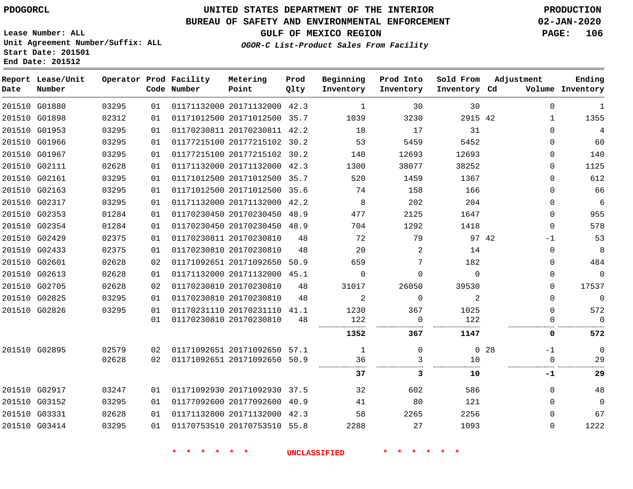G01880 G01898

**Date**

**Report Lease/Unit**

**Number**

# **UNITED STATES DEPARTMENT OF THE INTERIOR PDOGORCL PRODUCTION**

#### **BUREAU OF SAFETY AND ENVIRONMENTAL ENFORCEMENT 02-JAN-2020**

**Lease Number: ALL Unit Agreement Number/Suffix: ALL Start Date: 201501 End Date: 201512**

> 

**Operator Prod Facility**

**Code Number**

 

**GULF OF MEXICO REGION PAGE: 106**

 

**Ending Inventory**

**OGOR-C List-Product Sales From Facility**

| Facility | Metering                     | Prod | Beginning | Prod Into | Sold From    | Adjustment |        |  |
|----------|------------------------------|------|-----------|-----------|--------------|------------|--------|--|
| Number   | Point                        | 01ty | Inventory | Inventory | Inventory Cd |            | Volume |  |
|          | 01171132000 20171132000 42.3 |      |           | 30        | 30           |            | 0      |  |
|          | 01171012500 20171012500 35.7 |      | 1039      | 3230      | 2915 42      |            |        |  |
|          | 01170230811 20170230811 42.2 |      | 18        | 17        | 31           |            | 0      |  |
|          | 01177215100 20177215102 30.2 |      | 53        | 5459      | 5452         |            | 0      |  |
|          | 01177215100 20177215102      | 30.2 | 140       | 12693     | 12693        |            | 0      |  |
|          | 01171132000 20171132000      | 42.3 | 1300      | 38077     | 38252        |            |        |  |

| 4              |              |    | 31             | 17       | 18    |      | 01170230811 20170230811 42.2 |                         | 01 | 03295 | 201510 G01953 |               |
|----------------|--------------|----|----------------|----------|-------|------|------------------------------|-------------------------|----|-------|---------------|---------------|
| 60             | 0            |    | 5452           | 5459     | 53    | 30.2 | 01177215100 20177215102      |                         | 01 | 03295 | 201510 G01966 |               |
| 140            | $\Omega$     |    | 12693          | 12693    | 140   |      | 01177215100 20177215102 30.2 |                         | 01 | 03295 | 201510 G01967 |               |
| 1125           | 0            |    | 38252          | 38077    | 1300  | 42.3 | 01171132000 20171132000      |                         | 01 | 02628 | 201510 G02111 |               |
| 612            | 0            |    | 1367           | 1459     | 520   | 35.7 | 01171012500 20171012500      |                         | 01 | 03295 |               | 201510 G02161 |
| 66             | 0            |    | 166            | 158      | 74    |      | 01171012500 20171012500 35.6 |                         | 01 | 03295 | 201510 G02163 |               |
| 6              | 0            |    | 204            | 202      | 8     | 42.2 | 01171132000 20171132000      |                         | 01 | 03295 | 201510 G02317 |               |
| 955            | $\Omega$     |    | 1647           | 2125     | 477   |      | 01170230450 20170230450 48.9 |                         | 01 | 01284 | 201510 G02353 |               |
| 578            | <sup>n</sup> |    | 1418           | 1292     | 704   | 48.9 | 01170230450 20170230450      |                         | 01 | 01284 | 201510 G02354 |               |
| 53             | $-1$         |    | 97 42          | 79       | 72    | 48   |                              | 01170230811 20170230810 | 01 | 02375 | 201510 G02429 |               |
| 8              | $\Omega$     |    | 14             | 2        | 20    | 48   |                              | 01170230810 20170230810 | 01 | 02375 | 201510 G02433 |               |
| 484            | 0            |    | 182            |          | 659   | 50.9 |                              | 01171092651 20171092650 | 02 | 02628 |               | 201510 G02601 |
| $\Omega$       | 0            |    | $\mathbf{0}$   | $\Omega$ | 0     | 45.1 | 01171132000 20171132000      |                         | 01 | 02628 | 201510 G02613 |               |
| 17537          | 0            |    | 39530          | 26050    | 31017 | 48   |                              | 01170230810 20170230810 | 02 | 02628 | 201510 G02705 |               |
| $\overline{0}$ | 0            |    | 2              | 0        | 2     | 48   |                              | 01170230810 20170230810 | 01 | 03295 | 201510 G02825 |               |
| 572            | $\Omega$     |    | 1025           | 367      | 1230  | 41.1 | 01170231110 20170231110      |                         | 01 | 03295 | 201510 G02826 |               |
| $\Omega$       |              |    | 122            | 0        | 122   | 48   |                              | 01170230810 20170230810 | 01 |       |               |               |
| 572            | O            |    | 1147           | 367      | 1352  |      |                              |                         |    |       |               |               |
| 0              | $-1$         | 28 | $\overline{0}$ | 0        | 1     | 57.1 | 01171092651 20171092650      |                         | 02 | 02579 | 201510 G02895 |               |
| 29             |              |    | 10<br>         |          | 36    |      | 01171092651 20171092650 50.9 |                         | 02 | 02628 |               |               |
| 29             | -1           |    | 10             | 3        | 37    |      |                              |                         |    |       |               |               |
| 48             | $\Omega$     |    | 586            | 602      | 32    |      | 01171092930 20171092930 37.5 |                         | 01 | 03247 | 201510 G02917 |               |
| $\Omega$       | 0            |    | 121            | 80       | 41    |      | 01177092600 20177092600 40.9 |                         | 01 | 03295 | 201510 G03152 |               |
| 67             | 0            |    | 2256           | 2265     | 58    | 42.3 | 01171132800 20171132000      |                         | 01 | 02628 | 201510 G03331 |               |
| 1222           | 0            |    | 1093           | 27       | 2288  |      | 01170753510 20170753510 55.8 |                         | 01 | 03295 | 201510 G03414 |               |
|                |              |    |                |          |       |      |                              |                         |    |       |               |               |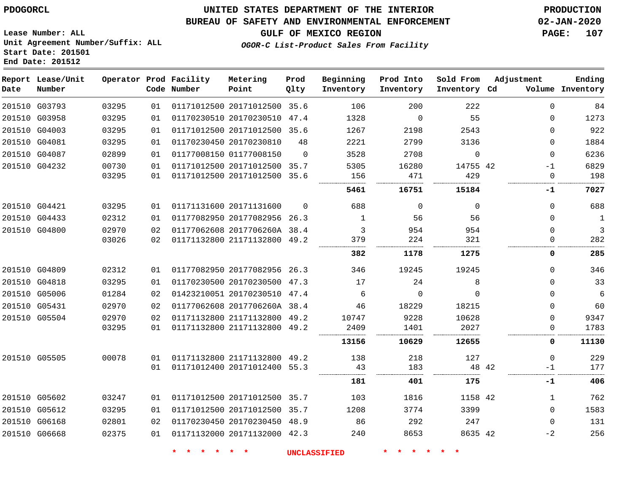**End Date: 201512**

## **UNITED STATES DEPARTMENT OF THE INTERIOR PDOGORCL PRODUCTION**

#### **BUREAU OF SAFETY AND ENVIRONMENTAL ENFORCEMENT 02-JAN-2020**

**Lease Number: ALL Unit Agreement Number/Suffix: ALL Start Date: 201501**

**GULF OF MEXICO REGION PAGE: 107**

**OGOR-C List-Product Sales From Facility**

| Date | Report Lease/Unit<br>Number |       |    | Operator Prod Facility<br>Code Number | Metering<br>Point            | Prod<br>Qlty | Beginning<br>Inventory | Prod Into<br>Inventory | Sold From<br>Inventory Cd | Adjustment |              | Ending<br>Volume Inventory |
|------|-----------------------------|-------|----|---------------------------------------|------------------------------|--------------|------------------------|------------------------|---------------------------|------------|--------------|----------------------------|
|      | 201510 G03793               | 03295 | 01 |                                       | 01171012500 20171012500 35.6 |              | 106                    | 200                    | 222                       |            | 0            | 84                         |
|      | 201510 G03958               | 03295 | 01 |                                       | 01170230510 20170230510      | 47.4         | 1328                   | $\mathbf 0$            | 55                        |            | 0            | 1273                       |
|      | 201510 G04003               | 03295 | 01 |                                       | 01171012500 20171012500 35.6 |              | 1267                   | 2198                   | 2543                      |            | $\Omega$     | 922                        |
|      | 201510 G04081               | 03295 | 01 |                                       | 01170230450 20170230810      | 48           | 2221                   | 2799                   | 3136                      |            | 0            | 1884                       |
|      | 201510 G04087               | 02899 | 01 |                                       | 01177008150 01177008150      | $\Omega$     | 3528                   | 2708                   | $\Omega$                  |            | $\Omega$     | 6236                       |
|      | 201510 G04232               | 00730 | 01 |                                       | 01171012500 20171012500 35.7 |              | 5305                   | 16280                  | 14755 42                  |            | $-1$         | 6829                       |
|      |                             | 03295 | 01 |                                       | 01171012500 20171012500 35.6 |              | 156                    | 471                    | 429                       |            | 0            | 198                        |
|      |                             |       |    |                                       |                              |              | 5461                   | 16751                  | 15184                     |            | -1           | 7027                       |
|      | 201510 G04421               | 03295 | 01 |                                       | 01171131600 20171131600      | $\Omega$     | 688                    | $\Omega$               | $\Omega$                  |            | 0            | 688                        |
|      | 201510 G04433               | 02312 | 01 |                                       | 01177082950 20177082956 26.3 |              | 1                      | 56                     | 56                        |            | 0            | $\overline{1}$             |
|      | 201510 G04800               | 02970 | 02 |                                       | 01177062608 2017706260A 38.4 |              | 3                      | 954                    | 954                       |            | $\Omega$     | $\overline{3}$             |
|      |                             | 03026 | 02 |                                       | 01171132800 21171132800 49.2 |              | 379                    | 224                    | 321                       |            | $\Omega$     | 282                        |
|      |                             |       |    |                                       |                              |              | 382                    | 1178                   | 1275                      |            | 0            | 285                        |
|      | 201510 G04809               | 02312 | 01 |                                       | 01177082950 20177082956 26.3 |              | 346                    | 19245                  | 19245                     |            | $\Omega$     | 346                        |
|      | 201510 G04818               | 03295 | 01 |                                       | 01170230500 20170230500 47.3 |              | 17                     | 24                     | 8                         |            | 0            | 33                         |
|      | 201510 G05006               | 01284 | 02 |                                       | 01423210051 20170230510 47.4 |              | 6                      | $\Omega$               | $\Omega$                  |            | $\Omega$     | $6\phantom{1}6$            |
|      | 201510 G05431               | 02970 | 02 |                                       | 01177062608 2017706260A 38.4 |              | 46                     | 18229                  | 18215                     |            | $\Omega$     | 60                         |
|      | 201510 G05504               | 02970 | 02 |                                       | 01171132800 21171132800 49.2 |              | 10747                  | 9228                   | 10628                     |            | $\Omega$     | 9347                       |
|      |                             | 03295 | 01 |                                       | 01171132800 21171132800 49.2 |              | 2409                   | 1401                   | 2027                      |            | $\Omega$     | 1783                       |
|      |                             |       |    |                                       |                              |              | 13156                  | 10629                  | 12655                     |            | 0            | 11130                      |
|      | 201510 G05505               | 00078 | 01 |                                       | 01171132800 21171132800 49.2 |              | 138                    | 218                    | 127                       |            | $\Omega$     | 229                        |
|      |                             |       | 01 |                                       | 01171012400 20171012400 55.3 |              | 43                     | 183                    | 48 42                     |            | $-1$         | 177                        |
|      |                             |       |    |                                       |                              |              | 181                    | 401                    | 175                       |            | $-1$         | 406                        |
|      | 201510 G05602               | 03247 | 01 |                                       | 01171012500 20171012500 35.7 |              | 103                    | 1816                   | 1158 42                   |            | $\mathbf{1}$ | 762                        |
|      | 201510 G05612               | 03295 | 01 |                                       | 01171012500 20171012500 35.7 |              | 1208                   | 3774                   | 3399                      |            | $\Omega$     | 1583                       |
|      | 201510 G06168               | 02801 | 02 |                                       | 01170230450 20170230450 48.9 |              | 86                     | 292                    | 247                       |            | $\Omega$     | 131                        |
|      | 201510 G06668               | 02375 | 01 |                                       | 01171132000 20171132000 42.3 |              | 240                    | 8653                   | 8635 42                   |            | $-2$         | 256                        |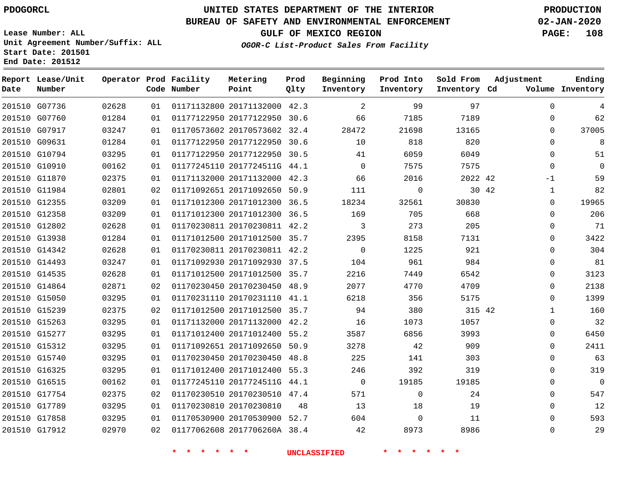## **BUREAU OF SAFETY AND ENVIRONMENTAL ENFORCEMENT 02-JAN-2020**

**Lease Number: ALL Unit Agreement Number/Suffix: ALL Start Date: 201501 End Date: 201512**

**OGOR-C List-Product Sales From Facility**

| 'LII AND ENVIRONMENIAL ENFORCEMENI   | UZ-UAN-ZUZU      |  |
|--------------------------------------|------------------|--|
| GULF OF MEXICO REGION                | <b>PAGE: 108</b> |  |
| R-C List-Product Sales From Facility |                  |  |

| Date | Report Lease/Unit<br>Number |       |    | Operator Prod Facility<br>Code Number | Metering<br>Point            | Prod<br>Qlty | Beginning<br>Inventory | Prod Into<br>Inventory | Sold From<br>Inventory Cd | Adjustment |              | Ending<br>Volume Inventory |
|------|-----------------------------|-------|----|---------------------------------------|------------------------------|--------------|------------------------|------------------------|---------------------------|------------|--------------|----------------------------|
|      | 201510 G07736               | 02628 | 01 |                                       | 01171132800 20171132000 42.3 |              | 2                      | 99                     | 97                        |            | $\Omega$     | 4                          |
|      | 201510 G07760               | 01284 | 01 |                                       | 01177122950 20177122950 30.6 |              | 66                     | 7185                   | 7189                      |            | $\Omega$     | 62                         |
|      | 201510 G07917               | 03247 | 01 |                                       | 01170573602 20170573602 32.4 |              | 28472                  | 21698                  | 13165                     |            | $\Omega$     | 37005                      |
|      | 201510 G09631               | 01284 | 01 |                                       | 01177122950 20177122950 30.6 |              | 10                     | 818                    | 820                       |            | $\Omega$     | 8                          |
|      | 201510 G10794               | 03295 | 01 |                                       | 01177122950 20177122950 30.5 |              | 41                     | 6059                   | 6049                      |            | $\Omega$     | 51                         |
|      | 201510 G10910               | 00162 | 01 |                                       | 01177245110 2017724511G 44.1 |              | $\Omega$               | 7575                   | 7575                      |            | $\Omega$     | $\overline{0}$             |
|      | 201510 G11870               | 02375 | 01 |                                       | 01171132000 20171132000 42.3 |              | 66                     | 2016                   | 2022 42                   |            | $-1$         | 59                         |
|      | 201510 G11984               | 02801 | 02 |                                       | 01171092651 20171092650 50.9 |              | 111                    | $\mathbf 0$            |                           | 30 42      | $\mathbf{1}$ | 82                         |
|      | 201510 G12355               | 03209 | 01 |                                       | 01171012300 20171012300 36.5 |              | 18234                  | 32561                  | 30830                     |            | $\Omega$     | 19965                      |
|      | 201510 G12358               | 03209 | 01 |                                       | 01171012300 20171012300 36.5 |              | 169                    | 705                    | 668                       |            | $\Omega$     | 206                        |
|      | 201510 G12802               | 02628 | 01 |                                       | 01170230811 20170230811 42.2 |              | 3                      | 273                    | 205                       |            | $\Omega$     | 71                         |
|      | 201510 G13938               | 01284 | 01 |                                       | 01171012500 20171012500 35.7 |              | 2395                   | 8158                   | 7131                      |            | $\Omega$     | 3422                       |
|      | 201510 G14342               | 02628 | 01 |                                       | 01170230811 20170230811 42.2 |              | $\mathbf 0$            | 1225                   | 921                       |            | $\Omega$     | 304                        |
|      | 201510 G14493               | 03247 | 01 |                                       | 01171092930 20171092930 37.5 |              | 104                    | 961                    | 984                       |            | 0            | 81                         |
|      | 201510 G14535               | 02628 | 01 |                                       | 01171012500 20171012500 35.7 |              | 2216                   | 7449                   | 6542                      |            | 0            | 3123                       |
|      | 201510 G14864               | 02871 | 02 |                                       | 01170230450 20170230450 48.9 |              | 2077                   | 4770                   | 4709                      |            | 0            | 2138                       |
|      | 201510 G15050               | 03295 | 01 |                                       | 01170231110 20170231110 41.1 |              | 6218                   | 356                    | 5175                      |            | $\Omega$     | 1399                       |
|      | 201510 G15239               | 02375 | 02 |                                       | 01171012500 20171012500 35.7 |              | 94                     | 380                    | 315 42                    |            | $\mathbf{1}$ | 160                        |
|      | 201510 G15263               | 03295 | 01 |                                       | 01171132000 20171132000 42.2 |              | 16                     | 1073                   | 1057                      |            | 0            | 32                         |
|      | 201510 G15277               | 03295 | 01 |                                       | 01171012400 20171012400 55.2 |              | 3587                   | 6856                   | 3993                      |            | $\mathbf 0$  | 6450                       |
|      | 201510 G15312               | 03295 | 01 |                                       | 01171092651 20171092650 50.9 |              | 3278                   | 42                     | 909                       |            | $\Omega$     | 2411                       |
|      | 201510 G15740               | 03295 | 01 |                                       | 01170230450 20170230450 48.8 |              | 225                    | 141                    | 303                       |            | $\Omega$     | 63                         |
|      | 201510 G16325               | 03295 | 01 |                                       | 01171012400 20171012400 55.3 |              | 246                    | 392                    | 319                       |            | $\Omega$     | 319                        |
|      | 201510 G16515               | 00162 | 01 |                                       | 01177245110 2017724511G 44.1 |              | $\Omega$               | 19185                  | 19185                     |            | $\Omega$     | $\overline{0}$             |
|      | 201510 G17754               | 02375 | 02 |                                       | 01170230510 20170230510 47.4 |              | 571                    | $\mathbf 0$            | 24                        |            | $\mathbf 0$  | 547                        |
|      | 201510 G17789               | 03295 | 01 |                                       | 01170230810 20170230810      | 48           | 13                     | 18                     | 19                        |            | $\Omega$     | 12                         |
|      | 201510 G17858               | 03295 | 01 |                                       | 01170530900 20170530900 52.7 |              | 604                    | $\mathbf 0$            | 11                        |            | $\Omega$     | 593                        |
|      | 201510 G17912               | 02970 | 02 |                                       | 01177062608 2017706260A 38.4 |              | 42                     | 8973                   | 8986                      |            | $\Omega$     | 29                         |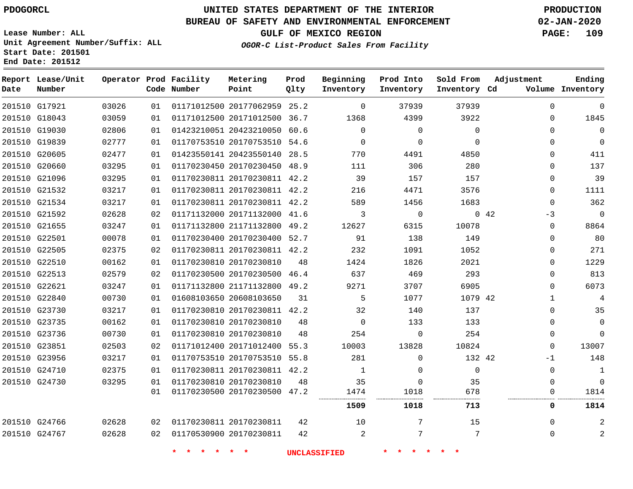# **UNITED STATES DEPARTMENT OF THE INTERIOR PDOGORCL PRODUCTION**

**Prod**

#### **BUREAU OF SAFETY AND ENVIRONMENTAL ENFORCEMENT 02-JAN-2020**

**Lease Number: ALL Unit Agreement Number/Suffix: ALL Start Date: 201501 End Date: 201512**

**OGOR-C List-Product Sales From Facility**

**Beginning**

**Prod Into**

**Sold From**

**Adjustment**

**GULF OF MEXICO REGION PAGE: 109**

> 

  $\Omega$ 

| Date | Report Lease/Unit<br>Number |       |    | Operator Prod Facility<br>Code Number | Metering<br>Point            | Prod<br>Qlty | Beginning<br>Inventory | Prod Into<br>Inventory | Sold From<br>Inventory Cd | Adjustment |             | Ending<br>Volume Inventory |
|------|-----------------------------|-------|----|---------------------------------------|------------------------------|--------------|------------------------|------------------------|---------------------------|------------|-------------|----------------------------|
|      | 201510 G17921               | 03026 | 01 |                                       | 01171012500 20177062959 25.2 |              | $\Omega$               | 37939                  | 37939                     |            | $\Omega$    | $\Omega$                   |
|      | 201510 G18043               | 03059 | 01 |                                       | 01171012500 20171012500 36.7 |              | 1368                   | 4399                   | 3922                      |            | $\Omega$    | 1845                       |
|      | 201510 G19030               | 02806 | 01 |                                       | 01423210051 20423210050 60.6 |              | $\Omega$               | $\Omega$               | $\Omega$                  |            | $\Omega$    | 0                          |
|      | 201510 G19839               | 02777 | 01 |                                       | 01170753510 20170753510 54.6 |              | $\Omega$               | $\Omega$               | $\Omega$                  |            | $\Omega$    | $\Omega$                   |
|      | 201510 G20605               | 02477 | 01 |                                       | 01423550141 20423550140 28.5 |              | 770                    | 4491                   | 4850                      |            | $\Omega$    | 411                        |
|      | 201510 G20660               | 03295 | 01 |                                       | 01170230450 20170230450 48.9 |              | 111                    | 306                    | 280                       |            | $\Omega$    | 137                        |
|      | 201510 G21096               | 03295 | 01 |                                       | 01170230811 20170230811 42.2 |              | 39                     | 157                    | 157                       |            | 0           | 39                         |
|      | 201510 G21532               | 03217 | 01 |                                       | 01170230811 20170230811 42.2 |              | 216                    | 4471                   | 3576                      |            | $\Omega$    | 1111                       |
|      | 201510 G21534               | 03217 | 01 |                                       | 01170230811 20170230811 42.2 |              | 589                    | 1456                   | 1683                      |            | $\Omega$    | 362                        |
|      | 201510 G21592               | 02628 | 02 |                                       | 01171132000 20171132000 41.6 |              | 3                      | $\mathbf 0$            |                           | 0.42       | $-3$        | $\overline{0}$             |
|      | 201510 G21655               | 03247 | 01 |                                       | 01171132800 21171132800 49.2 |              | 12627                  | 6315                   | 10078                     |            | $\Omega$    | 8864                       |
|      | 201510 G22501               | 00078 | 01 |                                       | 01170230400 20170230400 52.7 |              | 91                     | 138                    | 149                       |            | $\Omega$    | 80                         |
|      | 201510 G22505               | 02375 | 02 |                                       | 01170230811 20170230811 42.2 |              | 232                    | 1091                   | 1052                      |            | 0           | 271                        |
|      | 201510 G22510               | 00162 | 01 |                                       | 01170230810 20170230810      | 48           | 1424                   | 1826                   | 2021                      |            | $\Omega$    | 1229                       |
|      | 201510 G22513               | 02579 | 02 |                                       | 01170230500 20170230500 46.4 |              | 637                    | 469                    | 293                       |            | $\Omega$    | 813                        |
|      | 201510 G22621               | 03247 | 01 |                                       | 01171132800 21171132800 49.2 |              | 9271                   | 3707                   | 6905                      |            | 0           | 6073                       |
|      | 201510 G22840               | 00730 | 01 |                                       | 01608103650 20608103650      | 31           | 5                      | 1077                   | 1079 42                   |            | $\mathbf 1$ | 4                          |
|      | 201510 G23730               | 03217 | 01 |                                       | 01170230810 20170230811 42.2 |              | 32                     | 140                    | 137                       |            | $\Omega$    | 35                         |
|      | 201510 G23735               | 00162 | 01 |                                       | 01170230810 20170230810      | 48           | $\Omega$               | 133                    | 133                       |            | $\Omega$    | 0                          |
|      | 201510 G23736               | 00730 | 01 |                                       | 01170230810 20170230810      | 48           | 254                    | 0                      | 254                       |            | 0           | $\overline{0}$             |
|      | 201510 G23851               | 02503 | 02 |                                       | 01171012400 20171012400 55.3 |              | 10003                  | 13828                  | 10824                     |            | $\Omega$    | 13007                      |
|      | 201510 G23956               | 03217 | 01 |                                       | 01170753510 20170753510 55.8 |              | 281                    | $\Omega$               | 132 42                    |            | -1          | 148                        |
|      | 201510 G24710               | 02375 | 01 |                                       | 01170230811 20170230811 42.2 |              |                        | 0                      | $\mathbf{0}$              |            | 0           | 1                          |
|      | 201510 G24730               | 03295 | 01 |                                       | 01170230810 20170230810      | 48           | 35                     | $\Omega$               | 35                        |            | $\Omega$    | $\Omega$                   |
|      |                             |       | 01 |                                       | 01170230500 20170230500 47.2 |              | 1474                   | 1018                   | 678                       |            | $\Omega$    | 1814                       |
|      |                             |       |    |                                       |                              |              | 1509                   | 1018                   | 713                       |            | 0           | 1814                       |

**Metering**

 G24766 G24767 20170230811 20170230811

**\* \* \* \* \* \* UNCLASSIFIED \* \* \* \* \* \***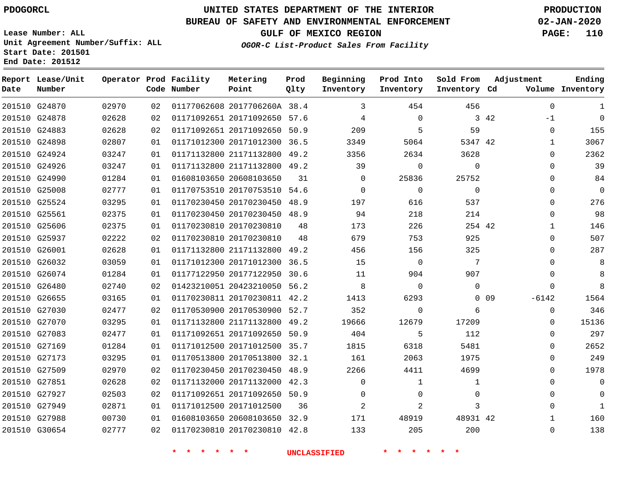### **BUREAU OF SAFETY AND ENVIRONMENTAL ENFORCEMENT 02-JAN-2020**

**Lease Number: ALL Unit Agreement Number/Suffix: ALL Start Date: 201501 End Date: 201512**

**OGOR-C List-Product Sales From Facility**

**GULF OF MEXICO REGION PAGE: 110**

| Date | Report Lease/Unit<br>Number |       |    | Operator Prod Facility<br>Code Number | Metering<br>Point            | Prod<br>Qlty | Beginning<br>Inventory | Prod Into<br>Inventory | Sold From<br>Inventory Cd | Adjustment            |              | Ending<br>Volume Inventory |
|------|-----------------------------|-------|----|---------------------------------------|------------------------------|--------------|------------------------|------------------------|---------------------------|-----------------------|--------------|----------------------------|
|      | 201510 G24870               | 02970 | 02 |                                       | 01177062608 2017706260A 38.4 |              | 3                      | 454                    | 456                       |                       | $\mathbf 0$  | $\mathbf{1}$               |
|      | 201510 G24878               | 02628 | 02 |                                       | 01171092651 20171092650 57.6 |              | 4                      | $\mathbf 0$            |                           | 3 42                  | $-1$         | $\Omega$                   |
|      | 201510 G24883               | 02628 | 02 |                                       | 01171092651 20171092650 50.9 |              | 209                    | 5                      | 59                        |                       | 0            | 155                        |
|      | 201510 G24898               | 02807 | 01 |                                       | 01171012300 20171012300 36.5 |              | 3349                   | 5064                   | 5347 42                   |                       | 1            | 3067                       |
|      | 201510 G24924               | 03247 | 01 |                                       | 01171132800 21171132800 49.2 |              | 3356                   | 2634                   | 3628                      |                       | $\Omega$     | 2362                       |
|      | 201510 G24926               | 03247 | 01 |                                       | 01171132800 21171132800 49.2 |              | 39                     | $\mathbf 0$            | $\mathbf 0$               |                       | $\Omega$     | 39                         |
|      | 201510 G24990               | 01284 | 01 |                                       | 01608103650 20608103650      | 31           | $\Omega$               | 25836                  | 25752                     |                       | $\Omega$     | 84                         |
|      | 201510 G25008               | 02777 | 01 |                                       | 01170753510 20170753510 54.6 |              | $\mathbf 0$            | 0                      | $\mathbf 0$               |                       | $\Omega$     | $\mathbf 0$                |
|      | 201510 G25524               | 03295 | 01 |                                       | 01170230450 20170230450 48.9 |              | 197                    | 616                    | 537                       |                       | $\Omega$     | 276                        |
|      | 201510 G25561               | 02375 | 01 |                                       | 01170230450 20170230450 48.9 |              | 94                     | 218                    | 214                       |                       | $\Omega$     | 98                         |
|      | 201510 G25606               | 02375 | 01 |                                       | 01170230810 20170230810      | 48           | 173                    | 226                    | 254 42                    |                       | 1            | 146                        |
|      | 201510 G25937               | 02222 | 02 |                                       | 01170230810 20170230810      | 48           | 679                    | 753                    | 925                       |                       | $\Omega$     | 507                        |
|      | 201510 G26001               | 02628 | 01 |                                       | 01171132800 21171132800 49.2 |              | 456                    | 156                    | 325                       |                       | $\Omega$     | 287                        |
|      | 201510 G26032               | 03059 | 01 |                                       | 01171012300 20171012300 36.5 |              | 15                     | $\overline{0}$         | 7                         |                       | $\Omega$     | 8                          |
|      | 201510 G26074               | 01284 | 01 |                                       | 01177122950 20177122950 30.6 |              | 11                     | 904                    | 907                       |                       | $\Omega$     | 8                          |
|      | 201510 G26480               | 02740 | 02 |                                       | 01423210051 20423210050 56.2 |              | 8                      | $\mathbf 0$            | 0                         |                       | 0            | 8                          |
|      | 201510 G26655               | 03165 | 01 |                                       | 01170230811 20170230811 42.2 |              | 1413                   | 6293                   |                           | $0\quad09$<br>$-6142$ |              | 1564                       |
|      | 201510 G27030               | 02477 | 02 |                                       | 01170530900 20170530900 52.7 |              | 352                    | $\mathbf 0$            | 6                         |                       | $\Omega$     | 346                        |
|      | 201510 G27070               | 03295 | 01 |                                       | 01171132800 21171132800 49.2 |              | 19666                  | 12679                  | 17209                     |                       | $\Omega$     | 15136                      |
|      | 201510 G27083               | 02477 | 01 |                                       | 01171092651 20171092650 50.9 |              | 404                    | 5                      | 112                       |                       | $\Omega$     | 297                        |
|      | 201510 G27169               | 01284 | 01 |                                       | 01171012500 20171012500 35.7 |              | 1815                   | 6318                   | 5481                      |                       | $\Omega$     | 2652                       |
|      | 201510 G27173               | 03295 | 01 |                                       | 01170513800 20170513800 32.1 |              | 161                    | 2063                   | 1975                      |                       | 0            | 249                        |
|      | 201510 G27509               | 02970 | 02 |                                       | 01170230450 20170230450 48.9 |              | 2266                   | 4411                   | 4699                      |                       | $\Omega$     | 1978                       |
|      | 201510 G27851               | 02628 | 02 |                                       | 01171132000 20171132000 42.3 |              | $\mathbf 0$            | 1                      | $\mathbf{1}$              |                       | $\Omega$     | $\Omega$                   |
|      | 201510 G27927               | 02503 | 02 |                                       | 01171092651 20171092650 50.9 |              | $\Omega$               | $\mathbf 0$            | 0                         |                       | $\Omega$     | $\Omega$                   |
|      | 201510 G27949               | 02871 | 01 |                                       | 01171012500 20171012500      | 36           | $\overline{2}$         | 2                      | 3                         |                       | $\Omega$     | $\mathbf{1}$               |
|      | 201510 G27988               | 00730 | 01 |                                       | 01608103650 20608103650 32.9 |              | 171                    | 48919                  | 48931 42                  |                       | $\mathbf{1}$ | 160                        |
|      | 201510 G30654               | 02777 | 02 |                                       | 01170230810 20170230810 42.8 |              | 133                    | 205                    | 200                       |                       | $\Omega$     | 138                        |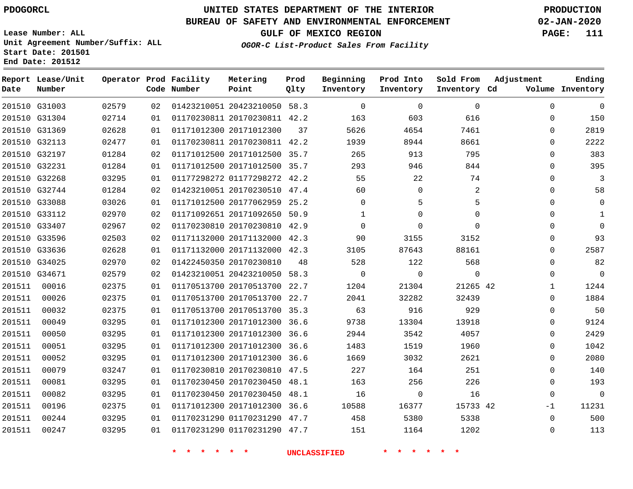**Report Lease/Unit**

**Number**

   

# **UNITED STATES DEPARTMENT OF THE INTERIOR PDOGORCL PRODUCTION**

#### **BUREAU OF SAFETY AND ENVIRONMENTAL ENFORCEMENT 02-JAN-2020**

**Lease Number: ALL Unit Agreement Number/Suffix: ALL Start Date: 201501 End Date: 201512**

**Operator Prod Facility**

**Code Number**

   

**Prod Qlty**

**GULF OF MEXICO REGION PAGE: 111**

**Inventory Cd Volume**

**Adjustment**

**Ending**

-1  $\Omega$ 

**OGOR-C List-Product Sales From Facility**

**Beginning Inventory**

 $\Omega$ 

**Sold From Inventory**

**Prod Into Inventory**

|        | 201510 G31003 | 02579 | 02 | 01423210051 20423210050 58.3 |      | $\Omega$ | $\Omega$ | $\Omega$ | $\Omega$    | $\Omega$    |
|--------|---------------|-------|----|------------------------------|------|----------|----------|----------|-------------|-------------|
|        | 201510 G31304 | 02714 | 01 | 01170230811 20170230811 42.2 |      | 163      | 603      | 616      | 0           | 150         |
|        | 201510 G31369 | 02628 | 01 | 01171012300 20171012300      | 37   | 5626     | 4654     | 7461     | $\Omega$    | 2819        |
|        | 201510 G32113 | 02477 | 01 | 01170230811 20170230811 42.2 |      | 1939     | 8944     | 8661     | $\Omega$    | 2222        |
|        | 201510 G32197 | 01284 | 02 | 01171012500 20171012500 35.7 |      | 265      | 913      | 795      | $\Omega$    | 383         |
|        | 201510 G32231 | 01284 | 01 | 01171012500 20171012500 35.7 |      | 293      | 946      | 844      | 0           | 395         |
|        | 201510 G32268 | 03295 | 01 | 01177298272 01177298272 42.2 |      | 55       | 22       | 74       | $\Omega$    | 3           |
|        | 201510 G32744 | 01284 | 02 | 01423210051 20170230510 47.4 |      | 60       | $\Omega$ | 2        | $\Omega$    | 58          |
|        | 201510 G33088 | 03026 | 01 | 01171012500 20177062959 25.2 |      | $\Omega$ | 5        | 5        | $\Omega$    | 0           |
|        | 201510 G33112 | 02970 | 02 | 01171092651 20171092650 50.9 |      |          | $\Omega$ | 0        | $\Omega$    |             |
|        | 201510 G33407 | 02967 | 02 | 01170230810 20170230810 42.9 |      | $\Omega$ | $\Omega$ | $\Omega$ | $\Omega$    | $\mathbf 0$ |
|        | 201510 G33596 | 02503 | 02 | 01171132000 20171132000 42.3 |      | 90       | 3155     | 3152     | $\Omega$    | 93          |
|        | 201510 G33636 | 02628 | 01 | 01171132000 20171132000 42.3 |      | 3105     | 87643    | 88161    | $\Omega$    | 2587        |
|        | 201510 G34025 | 02970 | 02 | 01422450350 20170230810      | 48   | 528      | 122      | 568      | $\Omega$    | 82          |
|        | 201510 G34671 | 02579 | 02 | 01423210051 20423210050 58.3 |      | $\Omega$ | $\Omega$ | $\Omega$ | $\Omega$    | $\mathbf 0$ |
| 201511 | 00016         | 02375 | 01 | 01170513700 20170513700 22.7 |      | 1204     | 21304    | 21265 42 | 1           | 1244        |
| 201511 | 00026         | 02375 | 01 | 01170513700 20170513700 22.7 |      | 2041     | 32282    | 32439    | $\Omega$    | 1884        |
| 201511 | 00032         | 02375 | 01 | 01170513700 20170513700 35.3 |      | 63       | 916      | 929      | 0           | 50          |
| 201511 | 00049         | 03295 | 01 | 01171012300 20171012300 36.6 |      | 9738     | 13304    | 13918    | $\Omega$    | 9124        |
| 201511 | 00050         | 03295 | 01 | 01171012300 20171012300 36.6 |      | 2944     | 3542     | 4057     | $\Omega$    | 2429        |
| 201511 | 00051         | 03295 | 01 | 01171012300 20171012300 36.6 |      | 1483     | 1519     | 1960     | $\Omega$    | 1042        |
| 201511 | 00052         | 03295 | 01 | 01171012300 20171012300 36.6 |      | 1669     | 3032     | 2621     | 0           | 2080        |
| 201511 | 00079         | 03247 | 01 | 01170230810 20170230810      | 47.5 | 227      | 164      | 251      | $\mathbf 0$ | 140         |
| 201511 | 00081         | 03295 | 01 | 01170230450 20170230450 48.1 |      | 163      | 256      | 226      | 0           | 193         |
| 201511 | 00082         | 03295 | 01 | 01170230450 20170230450 48.1 |      | 16       | $\Omega$ | 16       | $\Omega$    | $\mathbf 0$ |

01170231290 47.7

 

 20171012300 36.6 01170231290 47.7

**Metering Point**

**\* \* \* \* \* \* UNCLASSIFIED \* \* \* \* \* \***

 

42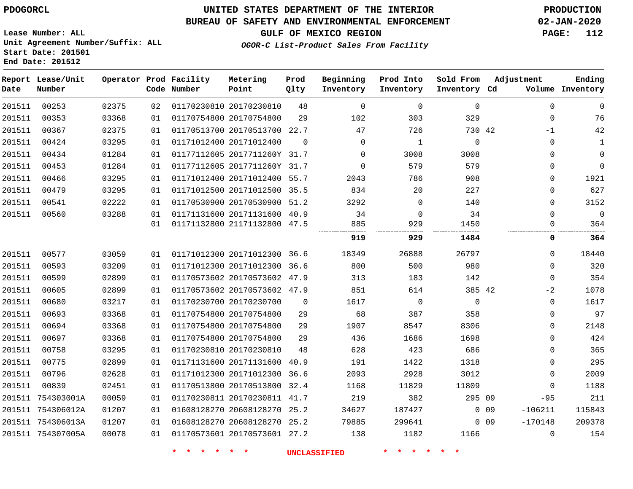# **UNITED STATES DEPARTMENT OF THE INTERIOR PDOGORCL PRODUCTION**

**Prod Qlty**

**Metering Point**

#### **BUREAU OF SAFETY AND ENVIRONMENTAL ENFORCEMENT 02-JAN-2020**

**Lease Number: ALL Unit Agreement Number/Suffix: ALL Start Date: 201501**

**Operator Prod Facility**

**End Date: 201512**

**Report Lease/Unit**

**Number**

**GULF OF MEXICO REGION PAGE: 112**

**Adjustment**

**Ending**

**OGOR-C List-Product Sales From Facility**

**Beginning Inventory** **Prod Into Inventory** **Sold From Inventory**

| Date   | Number            |       |    | Code Number | Point                        | Qlty     | Inventory   | Inventory    | Inventory Cd |            |             | Volume Inventory |
|--------|-------------------|-------|----|-------------|------------------------------|----------|-------------|--------------|--------------|------------|-------------|------------------|
| 201511 | 00253             | 02375 | 02 |             | 01170230810 20170230810      | 48       | $\Omega$    | $\mathbf 0$  | $\mathbf 0$  |            | 0           | $\mathbf 0$      |
| 201511 | 00353             | 03368 | 01 |             | 01170754800 20170754800      | 29       | 102         | 303          | 329          |            | 0           | 76               |
| 201511 | 00367             | 02375 | 01 |             | 01170513700 20170513700 22.7 |          | 47          | 726          | 730 42       |            | $-1$        | 42               |
| 201511 | 00424             | 03295 | 01 |             | 01171012400 20171012400      | $\Omega$ | $\mathbf 0$ | $\mathbf{1}$ | $\mathbf 0$  |            | 0           | 1                |
| 201511 | 00434             | 01284 | 01 |             | 01177112605 2017711260Y 31.7 |          | 0           | 3008         | 3008         |            | 0           | $\mathbf 0$      |
| 201511 | 00453             | 01284 | 01 |             | 01177112605 2017711260Y 31.7 |          | $\mathbf 0$ | 579          | 579          |            | 0           | $\mathbf 0$      |
| 201511 | 00466             | 03295 | 01 |             | 01171012400 20171012400 55.7 |          | 2043        | 786          | 908          |            | 0           | 1921             |
| 201511 | 00479             | 03295 | 01 |             | 01171012500 20171012500 35.5 |          | 834         | 20           | 227          |            | 0           | 627              |
| 201511 | 00541             | 02222 | 01 |             | 01170530900 20170530900 51.2 |          | 3292        | 0            | 140          |            | 0           | 3152             |
| 201511 | 00560             | 03288 | 01 |             | 01171131600 20171131600 40.9 |          | 34          | $\mathbf 0$  | 34           |            | $\Omega$    | $\mathbf{0}$     |
|        |                   |       | 01 |             | 01171132800 21171132800 47.5 |          | 885         | 929          | 1450         |            | 0           | 364              |
|        |                   |       |    |             |                              |          | 919         | 929          | 1484         |            | 0           | 364              |
| 201511 | 00577             | 03059 | 01 |             | 01171012300 20171012300 36.6 |          | 18349       | 26888        | 26797        |            | 0           | 18440            |
| 201511 | 00593             | 03209 | 01 |             | 01171012300 20171012300 36.6 |          | 800         | 500          | 980          |            | 0           | 320              |
| 201511 | 00599             | 02899 | 01 |             | 01170573602 20170573602 47.9 |          | 313         | 183          | 142          |            | 0           | 354              |
| 201511 | 00605             | 02899 | 01 |             | 01170573602 20170573602 47.9 |          | 851         | 614          | 385 42       |            | $-2$        | 1078             |
| 201511 | 00680             | 03217 | 01 |             | 01170230700 20170230700      | $\Omega$ | 1617        | $\mathbf 0$  | $\mathbf 0$  |            | 0           | 1617             |
| 201511 | 00693             | 03368 | 01 |             | 01170754800 20170754800      | 29       | 68          | 387          | 358          |            | 0           | 97               |
| 201511 | 00694             | 03368 | 01 |             | 01170754800 20170754800      | 29       | 1907        | 8547         | 8306         |            | 0           | 2148             |
| 201511 | 00697             | 03368 | 01 |             | 01170754800 20170754800      | 29       | 436         | 1686         | 1698         |            | 0           | 424              |
| 201511 | 00758             | 03295 | 01 |             | 01170230810 20170230810      | 48       | 628         | 423          | 686          |            | 0           | 365              |
| 201511 | 00775             | 02899 | 01 |             | 01171131600 20171131600      | 40.9     | 191         | 1422         | 1318         |            | 0           | 295              |
| 201511 | 00796             | 02628 | 01 |             | 01171012300 20171012300 36.6 |          | 2093        | 2928         | 3012         |            | 0           | 2009             |
| 201511 | 00839             | 02451 | 01 |             | 01170513800 20170513800      | 32.4     | 1168        | 11829        | 11809        |            | $\Omega$    | 1188             |
|        | 201511 754303001A | 00059 | 01 |             | 01170230811 20170230811 41.7 |          | 219         | 382          | 295 09       |            | $-95$       | 211              |
|        | 201511 754306012A | 01207 | 01 |             | 01608128270 20608128270 25.2 |          | 34627       | 187427       |              | $0\quad09$ | $-106211$   | 115843           |
|        | 201511 754306013A | 01207 | 01 |             | 01608128270 20608128270 25.2 |          | 79885       | 299641       |              | 0.09       | $-170148$   | 209378           |
|        | 201511 754307005A | 00078 | 01 |             | 01170573601 20170573601 27.2 |          | 138         | 1182         | 1166         |            | $\mathbf 0$ | 154              |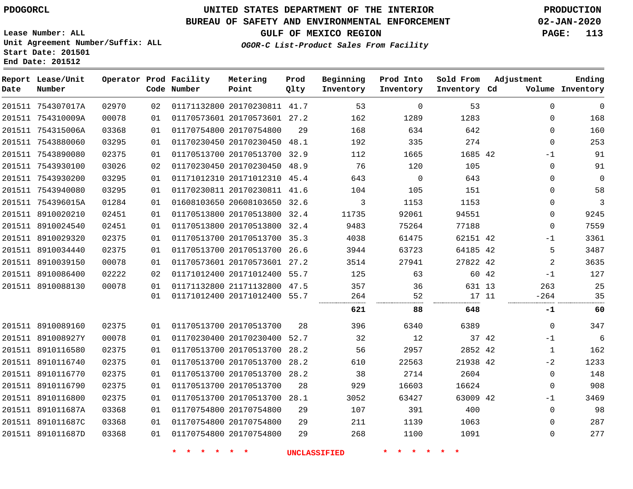754307017A 754310009A 754315006A

**Report Lease/Unit**

**Number**

# **UNITED STATES DEPARTMENT OF THE INTERIOR PDOGORCL PRODUCTION**

**Prod Qlty**

#### **BUREAU OF SAFETY AND ENVIRONMENTAL ENFORCEMENT 02-JAN-2020**

**Lease Number: ALL Unit Agreement Number/Suffix: ALL Start Date: 201501 End Date: 201512**

> 

**Operator Prod Facility**

**Code Number**

 20170230811 41.7 20170573601 27.2

**Metering Point**

20170754800

  **OGOR-C List-Product Sales From Facility**

**Beginning Inventory**

> 

 

 

**Sold From Inventory**

**Prod Into Inventory**

**GULF OF MEXICO REGION PAGE: 113**

**Inventory Cd Volume**

**Adjustment**

  $\Omega$  $\Omega$  -1  $\Omega$  $\Omega$  $\Omega$  $\Omega$  $\Omega$  -1  $-1$  -264

**Ending**

| 201511 7543880060 | 03295 | 01 |                         | 01170230450 20170230450 48.1 |    | 192                 | 335            | 274       |       | 0            | 253         |
|-------------------|-------|----|-------------------------|------------------------------|----|---------------------|----------------|-----------|-------|--------------|-------------|
| 201511 7543890080 | 02375 | 01 |                         | 01170513700 20170513700 32.9 |    | 112                 | 1665           | 1685 42   |       | $-1$         | 91          |
| 201511 7543930100 | 03026 | 02 |                         | 01170230450 20170230450 48.9 |    | 76                  | 120            | 105       |       | $\mathbf{0}$ | 91          |
| 201511 7543930200 | 03295 | 01 |                         | 01171012310 20171012310 45.4 |    | 643                 | $\overline{0}$ | 643       |       | $\mathbf{0}$ | $\mathbf 0$ |
| 201511 7543940080 | 03295 | 01 |                         | 01170230811 20170230811 41.6 |    | 104                 | 105            | 151       |       | 0            | 58          |
| 201511 754396015A | 01284 | 01 |                         | 01608103650 20608103650 32.6 |    | 3                   | 1153           | 1153      |       | $\mathbf 0$  | 3           |
| 201511 8910020210 | 02451 | 01 |                         | 01170513800 20170513800 32.4 |    | 11735               | 92061          | 94551     |       | 0            | 9245        |
| 201511 8910024540 | 02451 | 01 |                         | 01170513800 20170513800 32.4 |    | 9483                | 75264          | 77188     |       | $\mathbf 0$  | 7559        |
| 201511 8910029320 | 02375 | 01 |                         | 01170513700 20170513700 35.3 |    | 4038                | 61475          | 62151 42  |       | $-1$         | 3361        |
| 201511 8910034440 | 02375 | 01 |                         | 01170513700 20170513700 26.6 |    | 3944                | 63723          | 64185 42  |       | 5            | 3487        |
| 201511 8910039150 | 00078 | 01 |                         | 01170573601 20170573601 27.2 |    | 3514                | 27941          | 27822 42  |       | 2            | 3635        |
| 201511 8910086400 | 02222 | 02 |                         | 01171012400 20171012400 55.7 |    | 125                 | 63             |           | 60 42 | $-1$         | 127         |
| 201511 8910088130 | 00078 | 01 |                         | 01171132800 21171132800 47.5 |    | 357                 | 36             | 631 13    |       | 263          | 25          |
|                   |       | 01 |                         | 01171012400 20171012400 55.7 |    | 264<br>             | 52<br>         | 17 11<br> |       | $-264$<br>   | 35          |
|                   |       |    |                         |                              |    | 621                 | 88             | 648       |       | -1           | 60          |
| 201511 8910089160 | 02375 | 01 | 01170513700 20170513700 |                              | 28 | 396                 | 6340           | 6389      |       | 0            | 347         |
| 201511 891008927Y | 00078 | 01 |                         | 01170230400 20170230400 52.7 |    | 32                  | 12             |           | 37 42 | $-1$         | 6           |
| 201511 8910116580 | 02375 | 01 |                         | 01170513700 20170513700 28.2 |    | 56                  | 2957           | 2852 42   |       | $\mathbf{1}$ | 162         |
| 201511 8910116740 | 02375 | 01 |                         | 01170513700 20170513700 28.2 |    | 610                 | 22563          | 21938 42  |       | $-2$         | 1233        |
| 201511 8910116770 | 02375 | 01 |                         | 01170513700 20170513700 28.2 |    | 38                  | 2714           | 2604      |       | $\mathbf 0$  | 148         |
| 201511 8910116790 | 02375 | 01 | 01170513700 20170513700 |                              | 28 | 929                 | 16603          | 16624     |       | 0            | 908         |
| 201511 8910116800 | 02375 | 01 |                         | 01170513700 20170513700 28.1 |    | 3052                | 63427          | 63009 42  |       | $-1$         | 3469        |
| 201511 891011687A | 03368 | 01 | 01170754800 20170754800 |                              | 29 | 107                 | 391            | 400       |       | $\mathbf 0$  | 98          |
| 201511 891011687C | 03368 | 01 | 01170754800 20170754800 |                              | 29 | 211                 | 1139           | 1063      |       | 0            | 287         |
| 201511 891011687D | 03368 | 01 | 01170754800 20170754800 |                              | 29 | 268                 | 1100           | 1091      |       | 0            | 277         |
|                   |       |    |                         | * * *                        |    | <b>UNCLASSIFIED</b> | * * *          |           |       |              |             |
|                   |       |    |                         |                              |    |                     |                |           |       |              |             |
|                   |       |    |                         |                              |    |                     |                |           |       |              |             |
|                   |       |    |                         |                              |    |                     |                |           |       |              |             |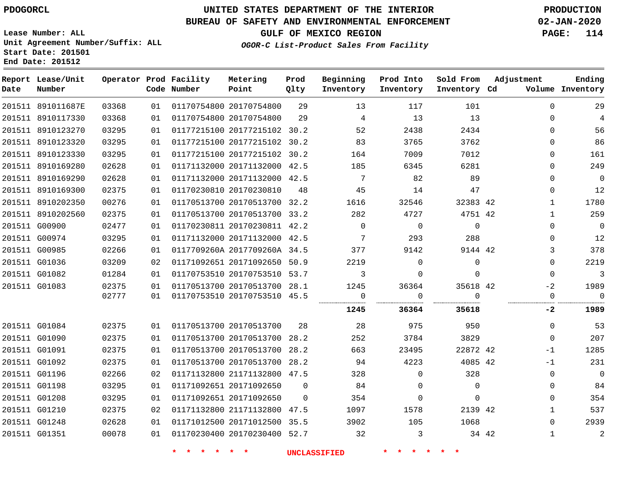891011687E 8910117330

**Report Lease/Unit**

**Number**

# **UNITED STATES DEPARTMENT OF THE INTERIOR PDOGORCL PRODUCTION**

 

**Prod Qlty**

#### **BUREAU OF SAFETY AND ENVIRONMENTAL ENFORCEMENT 02-JAN-2020**

**Lease Number: ALL Unit Agreement Number/Suffix: ALL Start Date: 201501 End Date: 201512**

> 

**Operator Prod Facility**

**Code Number**

 20170754800 20170754800

**Metering Point**

  **OGOR-C List-Product Sales From Facility**

 

 

**Sold From Inventory**

**Prod Into Inventory**

**Beginning Inventory**

**GULF OF MEXICO REGION PAGE: 114**

**Inventory Cd Volume**

**Adjustment**

 $\Omega$  $\Omega$  $\Omega$  $\Omega$  $\Omega$  $\Omega$  $\Omega$  $\Omega$   $\Omega$  $\Omega$   $\Omega$  $-2$ 

**Ending**

| 201511 8910123270 | 03295                                                                                                                                                                                                                                                 | 01 | 01177215100 20177215102 30.2 |                         | 52                                                                                                                                                                                                                                                                                                                                                                                                                           | 2438         | 2434     | 0                                          | 56                           |
|-------------------|-------------------------------------------------------------------------------------------------------------------------------------------------------------------------------------------------------------------------------------------------------|----|------------------------------|-------------------------|------------------------------------------------------------------------------------------------------------------------------------------------------------------------------------------------------------------------------------------------------------------------------------------------------------------------------------------------------------------------------------------------------------------------------|--------------|----------|--------------------------------------------|------------------------------|
|                   | 03295                                                                                                                                                                                                                                                 | 01 |                              |                         | 83                                                                                                                                                                                                                                                                                                                                                                                                                           | 3765         | 3762     | 0                                          | 86                           |
|                   | 03295                                                                                                                                                                                                                                                 | 01 |                              |                         | 164                                                                                                                                                                                                                                                                                                                                                                                                                          | 7009         | 7012     | 0                                          | 161                          |
|                   | 02628                                                                                                                                                                                                                                                 | 01 |                              |                         | 185                                                                                                                                                                                                                                                                                                                                                                                                                          | 6345         | 6281     | 0                                          | 249                          |
|                   | 02628                                                                                                                                                                                                                                                 | 01 |                              |                         | 7                                                                                                                                                                                                                                                                                                                                                                                                                            | 82           | 89       | 0                                          | 0                            |
|                   | 02375                                                                                                                                                                                                                                                 | 01 |                              | 48                      | 45                                                                                                                                                                                                                                                                                                                                                                                                                           | 14           | 47       | $\Omega$                                   | 12                           |
|                   | 00276                                                                                                                                                                                                                                                 | 01 |                              |                         | 1616                                                                                                                                                                                                                                                                                                                                                                                                                         | 32546        |          |                                            | 1780                         |
|                   | 02375                                                                                                                                                                                                                                                 | 01 |                              |                         | 282                                                                                                                                                                                                                                                                                                                                                                                                                          | 4727         |          |                                            | 259                          |
|                   | 02477                                                                                                                                                                                                                                                 | 01 |                              |                         | $\Omega$                                                                                                                                                                                                                                                                                                                                                                                                                     | $\Omega$     | $\Omega$ | 0                                          | $\mathbf 0$                  |
|                   | 03295                                                                                                                                                                                                                                                 | 01 |                              |                         | 7                                                                                                                                                                                                                                                                                                                                                                                                                            | 293          | 288      | 0                                          | 12                           |
|                   | 02266                                                                                                                                                                                                                                                 | 01 |                              |                         | 377                                                                                                                                                                                                                                                                                                                                                                                                                          | 9142         |          | 3                                          | 378                          |
|                   | 03209                                                                                                                                                                                                                                                 | 02 |                              |                         | 2219                                                                                                                                                                                                                                                                                                                                                                                                                         | 0            | 0        | 0                                          | 2219                         |
|                   | 01284                                                                                                                                                                                                                                                 | 01 |                              |                         | 3                                                                                                                                                                                                                                                                                                                                                                                                                            | 0            | 0        | $\Omega$                                   | 3                            |
|                   | 02375                                                                                                                                                                                                                                                 | 01 |                              |                         | 1245                                                                                                                                                                                                                                                                                                                                                                                                                         | 36364        |          | $-2$                                       | 1989                         |
|                   | 02777                                                                                                                                                                                                                                                 | 01 |                              |                         | 0                                                                                                                                                                                                                                                                                                                                                                                                                            |              | $\Omega$ | $\Omega$                                   | $\Omega$                     |
|                   |                                                                                                                                                                                                                                                       |    |                              |                         |                                                                                                                                                                                                                                                                                                                                                                                                                              |              |          |                                            | 1989                         |
|                   |                                                                                                                                                                                                                                                       |    |                              |                         |                                                                                                                                                                                                                                                                                                                                                                                                                              |              |          |                                            |                              |
| 201511 G01084     | 02375                                                                                                                                                                                                                                                 | 01 | 01170513700 20170513700      | 28                      | 28                                                                                                                                                                                                                                                                                                                                                                                                                           | 975          | 950      | $\mathbf{0}$                               | 53                           |
| 201511 G01090     | 02375                                                                                                                                                                                                                                                 | 01 | 01170513700 20170513700 28.2 |                         | 252                                                                                                                                                                                                                                                                                                                                                                                                                          | 3784         | 3829     | $\Omega$                                   | 207                          |
| 201511 G01091     | 02375                                                                                                                                                                                                                                                 | 01 | 01170513700 20170513700 28.2 |                         | 663                                                                                                                                                                                                                                                                                                                                                                                                                          | 23495        | 22872 42 | $-1$                                       | 1285                         |
| 201511 G01092     | 02375                                                                                                                                                                                                                                                 | 01 | 01170513700 20170513700 28.2 |                         | 94                                                                                                                                                                                                                                                                                                                                                                                                                           | 4223         | 4085 42  | $-1$                                       | 231                          |
| 201511 G01196     | 02266                                                                                                                                                                                                                                                 | 02 | 01171132800 21171132800 47.5 |                         | 328                                                                                                                                                                                                                                                                                                                                                                                                                          | $\Omega$     | 328      | $\Omega$                                   | 0                            |
| 201511 G01198     | 03295                                                                                                                                                                                                                                                 | 01 | 01171092651 20171092650      | $\Omega$                | 84                                                                                                                                                                                                                                                                                                                                                                                                                           | <sup>n</sup> | 0        | $\Omega$                                   | 84                           |
| 201511 G01208     | 03295                                                                                                                                                                                                                                                 | 01 | 01171092651 20171092650      | $\Omega$                | 354                                                                                                                                                                                                                                                                                                                                                                                                                          | $\Omega$     | 0        | $\Omega$                                   | 354                          |
| 201511 G01210     | 02375                                                                                                                                                                                                                                                 | 02 | 01171132800 21171132800 47.5 |                         | 1097                                                                                                                                                                                                                                                                                                                                                                                                                         | 1578         | 2139 42  |                                            | 537                          |
| 201511 G01248     | 02628                                                                                                                                                                                                                                                 | 01 | 01171012500 20171012500 35.5 |                         | 3902                                                                                                                                                                                                                                                                                                                                                                                                                         | 105          | 1068     | $\Omega$                                   | 2939                         |
|                   | 201511 8910123320<br>201511 8910123330<br>201511 8910169280<br>201511 8910169290<br>201511 8910169300<br>201511 8910202350<br>201511 8910202560<br>201511 G00900<br>201511 G00974<br>201511 G00985<br>201511 G01036<br>201511 G01082<br>201511 G01083 |    |                              | 01170230810 20170230810 | 01177215100 20177215102 30.2<br>01177215100 20177215102 30.2<br>01171132000 20171132000 42.5<br>01171132000 20171132000 42.5<br>01170513700 20170513700 32.2<br>01170513700 20170513700 33.2<br>01170230811 20170230811 42.2<br>01171132000 20171132000 42.5<br>0117709260A 2017709260A 34.5<br>01171092651 20171092650 50.9<br>01170753510 20170753510 53.7<br>01170513700 20170513700 28.1<br>01170753510 20170753510 45.5 |              |          | 32383 42<br>4751 42<br>9144 42<br>35618 42 | 1245<br>36364<br>35618<br>-2 |

**\* \* \* \* \* \* UNCLASSIFIED \* \* \* \* \* \***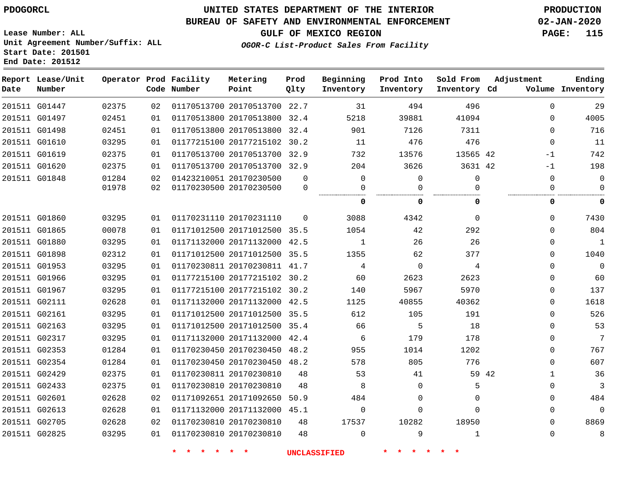**Report Lease/Unit**

**Number**

**Date**

# **UNITED STATES DEPARTMENT OF THE INTERIOR PDOGORCL PRODUCTION**

**Prod Qlty**

### **BUREAU OF SAFETY AND ENVIRONMENTAL ENFORCEMENT 02-JAN-2020**

**Lease Number: ALL Unit Agreement Number/Suffix: ALL Start Date: 201501 End Date: 201512**

**Operator Prod Facility**

**Code Number**

**OGOR-C List-Product Sales From Facility**

**Beginning Inventory** **Prod Into Inventory** **Sold From Inventory**

**GULF OF MEXICO REGION PAGE: 115**

**Inventory Cd Volume**

**Adjustment**

**Ending**

| G01447 | 02375 | 02 | 01170513700 20170513700 22.7 |          | 31           | 494         | 496      |             | $\Omega$<br>29        |
|--------|-------|----|------------------------------|----------|--------------|-------------|----------|-------------|-----------------------|
| G01497 | 02451 | 01 | 01170513800 20170513800      | 32.4     | 5218         | 39881       | 41094    |             | 4005<br>0             |
| G01498 | 02451 | 01 | 01170513800 20170513800 32.4 |          | 901          | 7126        | 7311     |             | 716<br>$\Omega$       |
| G01610 | 03295 | 01 | 01177215100 20177215102 30.2 |          | 11           | 476         | 476      | $\Omega$    | 11                    |
| G01619 | 02375 | 01 | 01170513700 20170513700 32.9 |          | 732          | 13576       | 13565 42 | $-1$        | 742                   |
| G01620 | 02375 | 01 | 01170513700 20170513700 32.9 |          | 204          | 3626        | 3631 42  | -1          | 198                   |
| G01848 | 01284 | 02 | 01423210051 20170230500      | $\Omega$ | 0            | 0           | 0        | $\mathbf 0$ | 0                     |
|        | 01978 | 02 | 01170230500 20170230500      | $\Omega$ | U            | $\Omega$    | 0        |             | 0<br>0                |
|        |       |    |                              |          | 0            | 0           | 0        |             | .<br>$\mathbf 0$<br>0 |
| G01860 | 03295 | 01 | 01170231110 20170231110      | $\Omega$ | 3088         | 4342        | 0        |             | 7430<br>$\Omega$      |
| G01865 | 00078 | 01 | 01171012500 20171012500 35.5 |          | 1054         | 42          | 292      |             | 804<br>$\Omega$       |
| G01880 | 03295 | 01 | 01171132000 20171132000      | 42.5     | $\mathbf{1}$ | 26          | 26       |             | $\mathbf{1}$<br>0     |
| G01898 | 02312 | 01 | 01171012500 20171012500 35.5 |          | 1355         | 62          | 377      |             | 1040<br>$\Omega$      |
| G01953 | 03295 | 01 | 01170230811 20170230811 41.7 |          | 4            | $\mathbf 0$ | 4        |             | $\mathbf 0$<br>0      |
| G01966 | 03295 | 01 | 01177215100 20177215102 30.2 |          | 60           | 2623        | 2623     |             | 60<br>$\Omega$        |
| G01967 | 03295 | 01 | 01177215100 20177215102 30.2 |          | 140          | 5967        | 5970     |             | 137<br>0              |
| G02111 | 02628 | 01 | 01171132000 20171132000 42.5 |          | 1125         | 40855       | 40362    |             | 1618<br>$\Omega$      |
| G02161 | 03295 | 01 | 01171012500 20171012500 35.5 |          | 612          | 105         | 191      |             | 526<br>0              |
| G02163 | 03295 | 01 | 01171012500 20171012500 35.4 |          | 66           | 5           | 18       |             | 53<br>$\Omega$        |
| G02317 | 03295 | 01 | 01171132000 20171132000      | 42.4     | 6            | 179         | 178      |             | 7<br>$\Omega$         |
| G02353 | 01284 | 01 | 01170230450 20170230450      | 48.2     | 955          | 1014        | 1202     |             | 767<br>$\Omega$       |
| G02354 | 01284 | 01 | 01170230450 20170230450 48.2 |          | 578          | 805         | 776      |             | 607<br>0              |
| G02429 | 02375 | 01 | 01170230811 20170230810      | 48       | 53           | 41          |          | 59 42       | 36<br>$\mathbf{1}$    |
| G02433 | 02375 | 01 | 01170230810 20170230810      | 48       | 8            | 0           | 5        |             | 3<br>0                |
| G02601 | 02628 | 02 | 01171092651 20171092650      | 50.9     | 484          | 0           | 0        |             | 484<br>0              |
| G02613 | 02628 | 01 | 01171132000 20171132000 45.1 |          | 0            | $\Omega$    | 0        |             | $\Omega$<br>$\Omega$  |
| G02705 | 02628 | 02 | 01170230810 20170230810      | 48       | 17537        | 10282       | 18950    |             | 8869<br>0             |
| G02825 | 03295 | 01 | 01170230810 20170230810      | 48       | 0            | 9           | 1        |             | $\Omega$<br>8         |
|        |       |    | $\ast$<br>$\ast$             |          | UNCLASSIFIED |             |          |             |                       |

**Metering Point**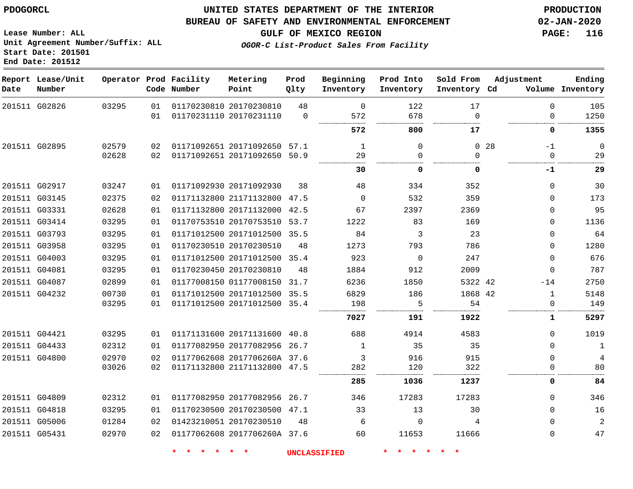#### **BUREAU OF SAFETY AND ENVIRONMENTAL ENFORCEMENT 02-JAN-2020**

**Lease Number: ALL Unit Agreement Number/Suffix: ALL Start Date: 201501 End Date: 201512**

**GULF OF MEXICO REGION PAGE: 116**

**OGOR-C List-Product Sales From Facility**

| Date | Report Lease/Unit<br>Number |       |    | Operator Prod Facility<br>Code Number | Metering<br>Point            | Prod<br>Qlty | Beginning<br>Inventory | Prod Into<br>Inventory | Sold From<br>Inventory Cd | Adjustment              | Ending<br>Volume Inventory |
|------|-----------------------------|-------|----|---------------------------------------|------------------------------|--------------|------------------------|------------------------|---------------------------|-------------------------|----------------------------|
|      | 201511 G02826               | 03295 | 01 |                                       | 01170230810 20170230810      | 48           | $\Omega$               | 122                    | 17                        | $\Omega$                | 105                        |
|      |                             |       | 01 |                                       | 01170231110 20170231110      | $\Omega$     | 572                    | 678                    | $\Omega$                  | $\Omega$                | 1250                       |
|      |                             |       |    |                                       |                              |              | 572                    | 800                    | 17                        | 0                       | 1355                       |
|      | 201511 G02895               | 02579 | 02 |                                       | 01171092651 20171092650 57.1 |              | 1                      | $\Omega$               |                           | 0 <sub>28</sub><br>$-1$ | $\mathbf 0$                |
|      |                             | 02628 | 02 |                                       | 01171092651 20171092650 50.9 |              | 29                     | $\Omega$               | $\Omega$                  | $\Omega$                | 29                         |
|      |                             |       |    |                                       |                              |              | 30                     | 0                      | 0                         | -1                      | 29                         |
|      | 201511 G02917               | 03247 | 01 |                                       | 01171092930 20171092930      | 38           | 48                     | 334                    | 352                       | $\Omega$                | 30                         |
|      | 201511 G03145               | 02375 | 02 |                                       | 01171132800 21171132800 47.5 |              | $\Omega$               | 532                    | 359                       | $\Omega$                | 173                        |
|      | 201511 G03331               | 02628 | 01 |                                       | 01171132800 20171132000 42.5 |              | 67                     | 2397                   | 2369                      | $\Omega$                | 95                         |
|      | 201511 G03414               | 03295 | 01 |                                       | 01170753510 20170753510 53.7 |              | 1222                   | 83                     | 169                       | $\Omega$                | 1136                       |
|      | 201511 G03793               | 03295 | 01 |                                       | 01171012500 20171012500      | 35.5         | 84                     | 3                      | 23                        | $\Omega$                | 64                         |
|      | 201511 G03958               | 03295 | 01 |                                       | 01170230510 20170230510      | 48           | 1273                   | 793                    | 786                       | $\Omega$                | 1280                       |
|      | 201511 G04003               | 03295 | 01 |                                       | 01171012500 20171012500 35.4 |              | 923                    | $\overline{0}$         | 247                       | $\mathbf 0$             | 676                        |
|      | 201511 G04081               | 03295 | 01 |                                       | 01170230450 20170230810      | 48           | 1884                   | 912                    | 2009                      | $\Omega$                | 787                        |
|      | 201511 G04087               | 02899 | 01 |                                       | 01177008150 01177008150      | 31.7         | 6236                   | 1850                   | 5322 42                   | $-14$                   | 2750                       |
|      | 201511 G04232               | 00730 | 01 |                                       | 01171012500 20171012500 35.5 |              | 6829                   | 186                    | 1868 42                   | $\mathbf{1}$            | 5148                       |
|      |                             | 03295 | 01 |                                       | 01171012500 20171012500 35.4 |              | 198                    | 5                      | 54                        | $\Omega$                | 149                        |
|      |                             |       |    |                                       |                              |              | 7027                   | 191                    | 1922                      | 1                       | 5297                       |
|      | 201511 G04421               | 03295 | 01 |                                       | 01171131600 20171131600 40.8 |              | 688                    | 4914                   | 4583                      | $\Omega$                | 1019                       |
|      | 201511 G04433               | 02312 | 01 |                                       | 01177082950 20177082956 26.7 |              | $\mathbf{1}$           | 35                     | 35                        | $\Omega$                | 1                          |
|      | 201511 G04800               | 02970 | 02 |                                       | 01177062608 2017706260A 37.6 |              | 3                      | 916                    | 915                       | $\Omega$                | 4                          |
|      |                             | 03026 | 02 |                                       | 01171132800 21171132800 47.5 |              | 282                    | 120                    | 322                       | $\Omega$                | 80                         |
|      |                             |       |    |                                       |                              |              | 285                    | 1036                   | 1237                      | 0                       | 84                         |
|      | 201511 G04809               | 02312 | 01 |                                       | 01177082950 20177082956 26.7 |              | 346                    | 17283                  | 17283                     | $\Omega$                | 346                        |
|      | 201511 G04818               | 03295 | 01 |                                       | 01170230500 20170230500 47.1 |              | 33                     | 13                     | 30                        | $\Omega$                | 16                         |
|      | 201511 G05006               | 01284 | 02 |                                       | 01423210051 20170230510      | 48           | 6                      | $\Omega$               | 4                         | $\Omega$                | $\overline{a}$             |
|      | 201511 G05431               | 02970 | 02 |                                       | 01177062608 2017706260A 37.6 |              | 60                     | 11653                  | 11666                     | $\Omega$                | 47                         |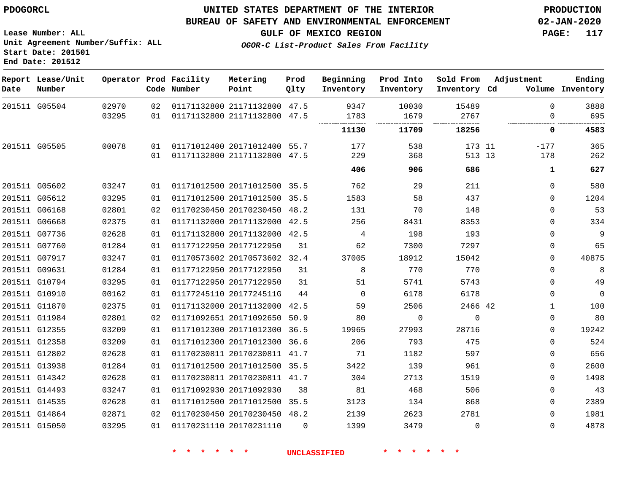**End Date: 201512**

### **UNITED STATES DEPARTMENT OF THE INTERIOR PDOGORCL PRODUCTION**

#### **BUREAU OF SAFETY AND ENVIRONMENTAL ENFORCEMENT 02-JAN-2020**

**Lease Number: ALL Unit Agreement Number/Suffix: ALL Start Date: 201501**

**GULF OF MEXICO REGION PAGE: 117**

**OGOR-C List-Product Sales From Facility**

| Date | Report Lease/Unit<br>Number |       |    | Operator Prod Facility<br>Code Number | Metering<br>Point            | Prod<br>Qlty | Beginning<br>Inventory | Prod Into<br>Inventory | Sold From<br>Inventory Cd | Adjustment   | Ending<br>Volume Inventory |
|------|-----------------------------|-------|----|---------------------------------------|------------------------------|--------------|------------------------|------------------------|---------------------------|--------------|----------------------------|
|      | 201511 G05504               | 02970 | 02 |                                       | 01171132800 21171132800 47.5 |              | 9347                   | 10030                  | 15489                     | $\Omega$     | 3888                       |
|      |                             | 03295 | 01 |                                       | 01171132800 21171132800 47.5 |              | 1783                   | 1679                   | 2767                      | $\Omega$     | 695                        |
|      |                             |       |    |                                       |                              |              | 11130                  | 11709                  | 18256                     | 0            | 4583                       |
|      | 201511 G05505               | 00078 | 01 |                                       | 01171012400 20171012400 55.7 |              | 177                    | 538                    | 173 11                    | $-177$       | 365                        |
|      |                             |       | 01 |                                       | 01171132800 21171132800 47.5 |              | 229                    | 368                    | 513 13                    | 178          | 262                        |
|      |                             |       |    |                                       |                              |              | 406                    | 906                    | 686                       | 1            | 627                        |
|      | 201511 G05602               | 03247 | 01 |                                       | 01171012500 20171012500 35.5 |              | 762                    | 29                     | 211                       | $\Omega$     | 580                        |
|      | 201511 G05612               | 03295 | 01 |                                       | 01171012500 20171012500 35.5 |              | 1583                   | 58                     | 437                       | $\Omega$     | 1204                       |
|      | 201511 G06168               | 02801 | 02 |                                       | 01170230450 20170230450 48.2 |              | 131                    | 70                     | 148                       | $\Omega$     | 53                         |
|      | 201511 G06668               | 02375 | 01 |                                       | 01171132000 20171132000 42.5 |              | 256                    | 8431                   | 8353                      | $\Omega$     | 334                        |
|      | 201511 G07736               | 02628 | 01 |                                       | 01171132800 20171132000 42.5 |              | 4                      | 198                    | 193                       | $\Omega$     | 9                          |
|      | 201511 G07760               | 01284 | 01 |                                       | 01177122950 20177122950      | 31           | 62                     | 7300                   | 7297                      | $\Omega$     | 65                         |
|      | 201511 G07917               | 03247 | 01 |                                       | 01170573602 20170573602 32.4 |              | 37005                  | 18912                  | 15042                     | $\mathbf 0$  | 40875                      |
|      | 201511 G09631               | 01284 | 01 |                                       | 01177122950 20177122950      | 31           | 8                      | 770                    | 770                       | $\Omega$     | 8                          |
|      | 201511 G10794               | 03295 | 01 |                                       | 01177122950 20177122950      | 31           | 51                     | 5741                   | 5743                      | $\mathbf{0}$ | 49                         |
|      | 201511 G10910               | 00162 | 01 |                                       | 01177245110 2017724511G      | 44           | $\Omega$               | 6178                   | 6178                      | $\mathbf 0$  | $\overline{0}$             |
|      | 201511 G11870               | 02375 | 01 |                                       | 01171132000 20171132000      | 42.5         | 59                     | 2506                   | 2466 42                   | 1            | 100                        |
|      | 201511 G11984               | 02801 | 02 |                                       | 01171092651 20171092650 50.9 |              | 80                     | $\mathbf 0$            | $\Omega$                  | $\mathbf 0$  | 80                         |
|      | 201511 G12355               | 03209 | 01 |                                       | 01171012300 20171012300 36.5 |              | 19965                  | 27993                  | 28716                     | $\Omega$     | 19242                      |
|      | 201511 G12358               | 03209 | 01 |                                       | 01171012300 20171012300      | 36.6         | 206                    | 793                    | 475                       | $\Omega$     | 524                        |
|      | 201511 G12802               | 02628 | 01 |                                       | 01170230811 20170230811 41.7 |              | 71                     | 1182                   | 597                       | $\Omega$     | 656                        |
|      | 201511 G13938               | 01284 | 01 |                                       | 01171012500 20171012500 35.5 |              | 3422                   | 139                    | 961                       | $\Omega$     | 2600                       |
|      | 201511 G14342               | 02628 | 01 |                                       | 01170230811 20170230811 41.7 |              | 304                    | 2713                   | 1519                      | $\Omega$     | 1498                       |
|      | 201511 G14493               | 03247 | 01 |                                       | 01171092930 20171092930      | 38           | 81                     | 468                    | 506                       | $\Omega$     | 43                         |
|      | 201511 G14535               | 02628 | 01 |                                       | 01171012500 20171012500 35.5 |              | 3123                   | 134                    | 868                       | $\Omega$     | 2389                       |
|      | 201511 G14864               | 02871 | 02 |                                       | 01170230450 20170230450 48.2 |              | 2139                   | 2623                   | 2781                      | $\Omega$     | 1981                       |
|      | 201511 G15050               | 03295 | 01 |                                       | 01170231110 20170231110      | $\Omega$     | 1399                   | 3479                   | $\Omega$                  | $\Omega$     | 4878                       |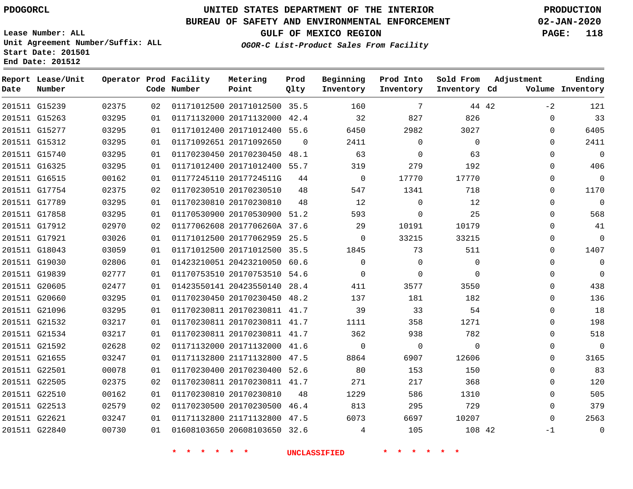**Report Lease/Unit**

**Number**

# **UNITED STATES DEPARTMENT OF THE INTERIOR PDOGORCL PRODUCTION**

**Prod Qlty**

#### **BUREAU OF SAFETY AND ENVIRONMENTAL ENFORCEMENT 02-JAN-2020**

**Lease Number: ALL Unit Agreement Number/Suffix: ALL Start Date: 201501 End Date: 201512**

**Operator Prod Facility**

**Code Number**

**Metering Point**

**OGOR-C List-Product Sales From Facility**

**Beginning Inventory** **Prod Into Inventory** **Sold From Inventory**

**GULF OF MEXICO REGION PAGE: 118**

**Inventory Cd Volume**

**Adjustment**

 $-2$   $\Omega$   $\Omega$  $\Omega$   $\Omega$  $\overline{0}$   $\overline{0}$  $\overline{0}$  $\Omega$  $\Omega$  $\Omega$  $\Omega$   $\Omega$  -1

**Ending**

| 201511 G15239 |       |    |                                  | 02375   02   01171012500   20171012500   35.5   160 | $7\overline{)}$              | 44 42          |  |
|---------------|-------|----|----------------------------------|-----------------------------------------------------|------------------------------|----------------|--|
| 201511 G15263 | 03295 |    |                                  | 01  01171132000  20171132000  42.4  32              | 827                          | 826            |  |
| 201511 G15277 | 03295 | 01 | 01171012400 20171012400 55.6     | 6450 64                                             | 2982                         | 3027           |  |
| 201511 G15312 | 03295 | 01 | 01171092651 20171092650 0        | 2411                                                | $\overline{0}$               | $\overline{0}$ |  |
| 201511 G15740 | 03295 | 01 |                                  | 01170230450 20170230450 48.1 63                     | $\overline{0}$               | 63             |  |
| 201511 G16325 | 03295 | 01 | 01171012400 20171012400 55.7 319 |                                                     | 279                          | 192            |  |
| 201511 G16515 | 00162 | 01 | 01177245110 2017724511G 44       | $\overline{0}$                                      | 17770                        | 17770          |  |
| 201511 G17754 | 02375 | 02 | 01170230510 20170230510          | 48 547                                              | 1341                         | 718            |  |
| 201511 G17789 | 03295 | 01 | 01170230810 20170230810 48       | 12                                                  | $\overline{0}$               | 12             |  |
| 201511 G17858 | 03295 | 01 |                                  | 01170530900 20170530900 51.2 593                    | $\overline{0}$               | 25             |  |
| 201511 G17912 | 02970 | 02 | 01177062608 2017706260A 37.6 29  |                                                     | 10191                        | 10179          |  |
| 201511 G17921 | 03026 |    |                                  | 01  01171012500  20177062959  25.5  0               | 33215                        | 33215          |  |
| 201511 G18043 | 03059 | 01 |                                  | 01171012500 20171012500 35.5 1845 73                |                              | 511            |  |
| 201511 G19030 | 02806 | 01 | 01423210051 20423210050 60.6     | $\overline{0}$                                      | $\overline{0}$               | $\overline{0}$ |  |
| 201511 G19839 | 02777 | 01 | 01170753510 20170753510 54.6 0   |                                                     | $\overline{0}$               | $\overline{0}$ |  |
| 201511 G20605 | 02477 | 01 |                                  | 01423550141 20423550140 28.4 411                    | 3577                         | 3550           |  |
| 201511 G20660 | 03295 | 01 |                                  | 01170230450 20170230450 48.2 137                    | 181                          | 182            |  |
| 201511 G21096 | 03295 | 01 |                                  | 01170230811 20170230811 41.7 39                     | 33                           | 54             |  |
| 201511 G21532 | 03217 | 01 | 01170230811 20170230811 41.7     | 1111                                                | 358                          | 1271           |  |
| 201511 G21534 | 03217 | 01 |                                  | 01170230811 20170230811 41.7 362                    | 938                          | 782            |  |
| 201511 G21592 | 02628 | 02 |                                  | 01171132000 20171132000 41.6 0                      | $\overline{0}$               | $\overline{0}$ |  |
| 201511 G21655 | 03247 | 01 |                                  | 01171132800 21171132800 47.5 8864                   | 6907                         | 12606          |  |
| 201511 G22501 | 00078 | 01 |                                  | 01170230400 20170230400 52.6 80                     | 153                          | 150            |  |
| 201511 G22505 | 02375 | 02 |                                  | 01170230811 20170230811 41.7 271                    | 217                          | 368            |  |
| 201511 G22510 | 00162 | 01 | 01170230810 20170230810 48       |                                                     | 1229 and the state of $\sim$ | 586 38<br>1310 |  |
| 201511 G22513 | 02579 | 02 |                                  | 01170230500 20170230500 46.4 813                    | 295                          | 729            |  |
| 201511 G22621 | 03247 |    |                                  | 01  01171132800  21171132800  47.5   6073           | 6697 — 10                    | 10207          |  |
| 201511 G22840 | 00730 |    |                                  | 01 01608103650 20608103650 32.6 4                   |                              | 105 108 42     |  |
|               |       |    |                                  |                                                     |                              |                |  |
|               |       |    |                                  | * * * * * * UNCLASSIFIED * * * * *                  |                              |                |  |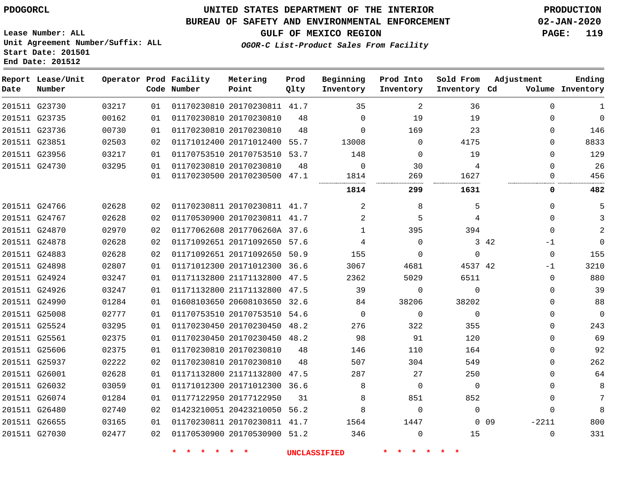**End Date: 201512**

### **UNITED STATES DEPARTMENT OF THE INTERIOR PDOGORCL PRODUCTION**

#### **BUREAU OF SAFETY AND ENVIRONMENTAL ENFORCEMENT 02-JAN-2020**

**Lease Number: ALL Unit Agreement Number/Suffix: ALL Start Date: 201501**

### **OGOR-C List-Product Sales From Facility**

**GULF OF MEXICO REGION PAGE: 119**

| Date | Report Lease/Unit<br>Number |       |    | Operator Prod Facility<br>Code Number | Metering<br>Point            | Prod<br>Olty | Beginning<br>Inventory | Prod Into<br>Inventory | Sold From<br>Inventory Cd | Adjustment                 | Ending<br>Volume Inventory |
|------|-----------------------------|-------|----|---------------------------------------|------------------------------|--------------|------------------------|------------------------|---------------------------|----------------------------|----------------------------|
|      | 201511 G23730               | 03217 | 01 |                                       | 01170230810 20170230811 41.7 |              | 35                     | 2                      | 36                        | $\Omega$                   | 1                          |
|      | 201511 G23735               | 00162 | 01 |                                       | 01170230810 20170230810      | 48           | $\mathbf 0$            | 19                     | 19                        | $\Omega$                   | $\overline{0}$             |
|      | 201511 G23736               | 00730 | 01 |                                       | 01170230810 20170230810      | 48           | $\Omega$               | 169                    | 23                        | $\Omega$                   | 146                        |
|      | 201511 G23851               | 02503 | 02 |                                       | 01171012400 20171012400 55.7 |              | 13008                  | $\Omega$               | 4175                      | $\Omega$                   | 8833                       |
|      | 201511 G23956               | 03217 | 01 |                                       | 01170753510 20170753510 53.7 |              | 148                    | $\Omega$               | 19                        | $\Omega$                   | 129                        |
|      | 201511 G24730               | 03295 | 01 |                                       | 01170230810 20170230810      | 48           | $\mathbf 0$            | 30                     | 4                         | $\Omega$                   | 26                         |
|      |                             |       | 01 |                                       | 01170230500 20170230500 47.1 |              | 1814                   | 269                    | 1627                      | $\Omega$                   | 456                        |
|      |                             |       |    |                                       |                              |              | 1814                   | 299                    | 1631                      | 0                          | 482                        |
|      | 201511 G24766               | 02628 | 02 |                                       | 01170230811 20170230811 41.7 |              | 2                      | 8                      | 5                         | $\Omega$                   | 5                          |
|      | 201511 G24767               | 02628 | 02 |                                       | 01170530900 20170230811 41.7 |              | 2                      | 5                      | 4                         | $\Omega$                   | 3                          |
|      | 201511 G24870               | 02970 | 02 |                                       | 01177062608 2017706260A 37.6 |              | 1                      | 395                    | 394                       | $\Omega$                   | 2                          |
|      | 201511 G24878               | 02628 | 02 |                                       | 01171092651 20171092650 57.6 |              | 4                      | $\Omega$               |                           | 3 42<br>-1                 | $\mathbf 0$                |
|      | 201511 G24883               | 02628 | 02 |                                       | 01171092651 20171092650 50.9 |              | 155                    | $\Omega$               | $\Omega$                  | $\Omega$                   | 155                        |
|      | 201511 G24898               | 02807 | 01 |                                       | 01171012300 20171012300 36.6 |              | 3067                   | 4681                   | 4537 42                   | $-1$                       | 3210                       |
|      | 201511 G24924               | 03247 | 01 |                                       | 01171132800 21171132800 47.5 |              | 2362                   | 5029                   | 6511                      | $\Omega$                   | 880                        |
|      | 201511 G24926               | 03247 | 01 |                                       | 01171132800 21171132800 47.5 |              | 39                     | $\Omega$               | $\Omega$                  | $\Omega$                   | 39                         |
|      | 201511 G24990               | 01284 | 01 |                                       | 01608103650 20608103650 32.6 |              | 84                     | 38206                  | 38202                     | $\Omega$                   | 88                         |
|      | 201511 G25008               | 02777 | 01 |                                       | 01170753510 20170753510 54.6 |              | 0                      | $\mathbf 0$            | $\mathbf 0$               | $\mathbf 0$                | $\mathbf 0$                |
|      | 201511 G25524               | 03295 | 01 |                                       | 01170230450 20170230450 48.2 |              | 276                    | 322                    | 355                       | $\Omega$                   | 243                        |
|      | 201511 G25561               | 02375 | 01 |                                       | 01170230450 20170230450 48.2 |              | 98                     | 91                     | 120                       | $\Omega$                   | 69                         |
|      | 201511 G25606               | 02375 | 01 |                                       | 01170230810 20170230810      | 48           | 146                    | 110                    | 164                       | $\Omega$                   | 92                         |
|      | 201511 G25937               | 02222 | 02 |                                       | 01170230810 20170230810      | 48           | 507                    | 304                    | 549                       | $\Omega$                   | 262                        |
|      | 201511 G26001               | 02628 | 01 |                                       | 01171132800 21171132800 47.5 |              | 287                    | 27                     | 250                       | $\Omega$                   | 64                         |
|      | 201511 G26032               | 03059 | 01 |                                       | 01171012300 20171012300 36.6 |              | 8                      | $\mathbf 0$            | $\mathbf 0$               | $\mathbf 0$                | 8                          |
|      | 201511 G26074               | 01284 | 01 |                                       | 01177122950 20177122950      | 31           | 8                      | 851                    | 852                       | $\Omega$                   | 7                          |
|      | 201511 G26480               | 02740 | 02 |                                       | 01423210051 20423210050      | 56.2         | 8                      | 0                      | $\Omega$                  | $\Omega$                   | 8                          |
|      | 201511 G26655               | 03165 | 01 |                                       | 01170230811 20170230811 41.7 |              | 1564                   | 1447                   |                           | $-2211$<br>0 <sub>09</sub> | 800                        |
|      | 201511 G27030               | 02477 | 02 |                                       | 01170530900 20170530900      | 51.2         | 346                    | $\Omega$               | 15                        | $\Omega$                   | 331                        |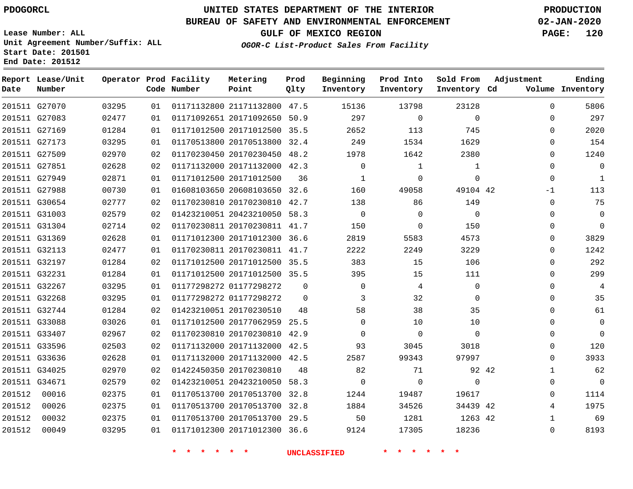# **UNITED STATES DEPARTMENT OF THE INTERIOR PDOGORCL PRODUCTION**

**Prod**

#### **BUREAU OF SAFETY AND ENVIRONMENTAL ENFORCEMENT 02-JAN-2020**

**Lease Number: ALL Unit Agreement Number/Suffix: ALL Start Date: 201501 End Date: 201512**

**GULF OF MEXICO REGION PAGE: 120**

**OGOR-C List-Product Sales From Facility**

| Date   | Report Lease/Unit<br>Number |       |    | Operator Prod Facility<br>Code Number | Metering<br>Point            | Prod<br>Qlty | Beginning<br>Inventory | Prod Into<br>Inventory | Sold From<br>Inventory Cd | Adjustment  | Ending<br>Volume Inventory |
|--------|-----------------------------|-------|----|---------------------------------------|------------------------------|--------------|------------------------|------------------------|---------------------------|-------------|----------------------------|
|        | 201511 G27070               | 03295 | 01 |                                       | 01171132800 21171132800 47.5 |              | 15136                  | 13798                  | 23128                     | $\Omega$    | 5806                       |
|        | 201511 G27083               | 02477 | 01 |                                       | 01171092651 20171092650 50.9 |              | 297                    | $\mathbf 0$            | $\Omega$                  | $\Omega$    | 297                        |
|        | 201511 G27169               | 01284 | 01 |                                       | 01171012500 20171012500 35.5 |              | 2652                   | 113                    | 745                       | $\Omega$    | 2020                       |
|        | 201511 G27173               | 03295 | 01 |                                       | 01170513800 20170513800 32.4 |              | 249                    | 1534                   | 1629                      | 0           | 154                        |
|        | 201511 G27509               | 02970 | 02 |                                       | 01170230450 20170230450 48.2 |              | 1978                   | 1642                   | 2380                      | $\Omega$    | 1240                       |
|        | 201511 G27851               | 02628 | 02 |                                       | 01171132000 20171132000 42.3 |              | 0                      | $\mathbf{1}$           | $\mathbf 1$               | $\Omega$    | $\mathbf 0$                |
|        | 201511 G27949               | 02871 | 01 |                                       | 01171012500 20171012500      | 36           | 1                      | $\Omega$               | $\Omega$                  | $\mathbf 0$ | $\mathbf{1}$               |
|        | 201511 G27988               | 00730 | 01 |                                       | 01608103650 20608103650 32.6 |              | 160                    | 49058                  | 49104 42                  | $-1$        | 113                        |
|        | 201511 G30654               | 02777 | 02 |                                       | 01170230810 20170230810 42.7 |              | 138                    | 86                     | 149                       | $\mathbf 0$ | 75                         |
|        | 201511 G31003               | 02579 | 02 |                                       | 01423210051 20423210050 58.3 |              | $\mathbf 0$            | 0                      | $\mathbf 0$               | 0           | $\mathbf 0$                |
|        | 201511 G31304               | 02714 | 02 |                                       | 01170230811 20170230811 41.7 |              | 150                    | $\Omega$               | 150                       | $\mathbf 0$ | $\mathbf 0$                |
|        | 201511 G31369               | 02628 | 01 |                                       | 01171012300 20171012300 36.6 |              | 2819                   | 5583                   | 4573                      | 0           | 3829                       |
|        | 201511 G32113               | 02477 | 01 |                                       | 01170230811 20170230811 41.7 |              | 2222                   | 2249                   | 3229                      | 0           | 1242                       |
|        | 201511 G32197               | 01284 | 02 |                                       | 01171012500 20171012500 35.5 |              | 383                    | 15                     | 106                       | $\Omega$    | 292                        |
|        | 201511 G32231               | 01284 | 01 |                                       | 01171012500 20171012500 35.5 |              | 395                    | 15                     | 111                       | $\Omega$    | 299                        |
|        | 201511 G32267               | 03295 | 01 |                                       | 01177298272 01177298272      | $\Omega$     | $\mathbf 0$            | 4                      | $\mathbf 0$               | 0           | 4                          |
|        | 201511 G32268               | 03295 | 01 |                                       | 01177298272 01177298272      | $\Omega$     | 3                      | 32                     | $\Omega$                  | $\Omega$    | 35                         |
|        | 201511 G32744               | 01284 | 02 |                                       | 01423210051 20170230510      | 48           | 58                     | 38                     | 35                        | $\Omega$    | 61                         |
|        | 201511 G33088               | 03026 | 01 |                                       | 01171012500 20177062959 25.5 |              | $\Omega$               | 10                     | 10                        | 0           | $\mathbf 0$                |
|        | 201511 G33407               | 02967 | 02 |                                       | 01170230810 20170230810 42.9 |              | $\Omega$               | $\mathbf 0$            | $\Omega$                  | 0           | $\Omega$                   |
|        | 201511 G33596               | 02503 | 02 |                                       | 01171132000 20171132000 42.5 |              | 93                     | 3045                   | 3018                      | $\Omega$    | 120                        |
|        | 201511 G33636               | 02628 | 01 |                                       | 01171132000 20171132000 42.5 |              | 2587                   | 99343                  | 97997                     | 0           | 3933                       |
|        | 201511 G34025               | 02970 | 02 |                                       | 01422450350 20170230810      | 48           | 82                     | 71                     |                           | 92 42<br>1  | 62                         |
|        | 201511 G34671               | 02579 | 02 |                                       | 01423210051 20423210050 58.3 |              | $\mathbf 0$            | $\mathbf 0$            | $\mathbf 0$               | 0           | $\mathbf 0$                |
| 201512 | 00016                       | 02375 | 01 |                                       | 01170513700 20170513700 32.8 |              | 1244                   | 19487                  | 19617                     | 0           | 1114                       |
| 201512 | 00026                       | 02375 | 01 |                                       | 01170513700 20170513700 32.8 |              | 1884                   | 34526                  | 34439 42                  | 4           | 1975                       |
| 201512 | 00032                       | 02375 | 01 |                                       | 01170513700 20170513700 29.5 |              | 50                     | 1281                   | 1263 42                   | 1           | 69                         |
| 201512 | 00049                       | 03295 | 01 |                                       | 01171012300 20171012300 36.6 |              | 9124                   | 17305                  | 18236                     | $\Omega$    | 8193                       |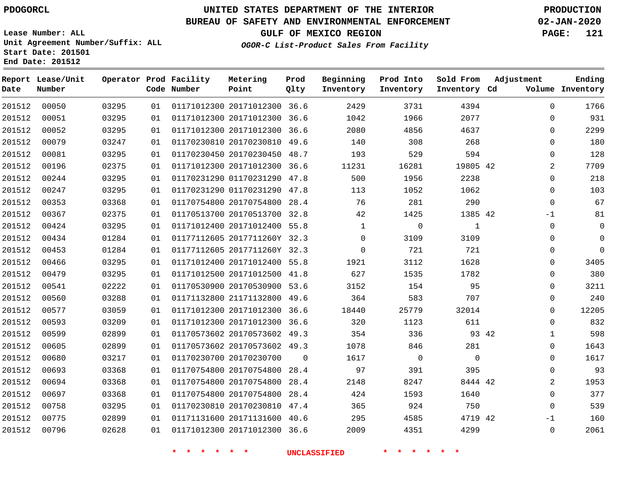**Report Lease/Unit**

**Number**

 

**Date**

# **UNITED STATES DEPARTMENT OF THE INTERIOR PDOGORCL PRODUCTION**

**Prod Qlty**

#### **BUREAU OF SAFETY AND ENVIRONMENTAL ENFORCEMENT 02-JAN-2020**

**Lease Number: ALL Unit Agreement Number/Suffix: ALL Start Date: 201501 End Date: 201512**

**Operator Prod Facility**

**Code Number**

20171012300 36.6

**Metering Point**

**OGOR-C List-Product Sales From Facility**

**Sold From Inventory**

**Prod Into Inventory**

**Beginning Inventory**

**GULF OF MEXICO REGION PAGE: 121**

**Inventory Cd Volume**

**Adjustment**

  $\Omega$  $\Omega$   $\Omega$   $\Omega$  $\Omega$   $-1$  $\Omega$  $\Omega$  $\overline{0}$   $\Omega$  $\overline{0}$  $\Omega$  $\Omega$  $\Omega$   $\Omega$  -1  $\Omega$ 

**Ending**

| 00051 | 03295 | 01 | 01171012300 20171012300      | 36.6     | 1042         | 1966        | 2077         |  |
|-------|-------|----|------------------------------|----------|--------------|-------------|--------------|--|
| 00052 | 03295 | 01 | 01171012300 20171012300      | 36.6     | 2080         | 4856        | 4637         |  |
| 00079 | 03247 | 01 | 01170230810 20170230810      | 49.6     | 140          | 308         | 268          |  |
| 00081 | 03295 | 01 | 01170230450 20170230450      | 48.7     | 193          | 529         | 594          |  |
| 00196 | 02375 | 01 | 01171012300 20171012300      | 36.6     | 11231        | 16281       | 19805 42     |  |
| 00244 | 03295 | 01 | 01170231290 01170231290      | 47.8     | 500          | 1956        | 2238         |  |
| 00247 | 03295 | 01 | 01170231290 01170231290      | 47.8     | 113          | 1052        | 1062         |  |
| 00353 | 03368 | 01 | 01170754800 20170754800      | 28.4     | 76           | 281         | 290          |  |
| 00367 | 02375 | 01 | 01170513700 20170513700      | 32.8     | 42           | 1425        | 1385 42      |  |
| 00424 | 03295 | 01 | 01171012400 20171012400      | 55.8     | $\mathbf{1}$ | $\mathbf 0$ | 1            |  |
| 00434 | 01284 | 01 | 01177112605 2017711260Y      | 32.3     | $\Omega$     | 3109        | 3109         |  |
| 00453 | 01284 | 01 | 01177112605 2017711260Y 32.3 |          | $\Omega$     | 721         | 721          |  |
| 00466 | 03295 | 01 | 01171012400 20171012400      | 55.8     | 1921         | 3112        | 1628         |  |
| 00479 | 03295 | 01 | 01171012500 20171012500      | 41.8     | 627          | 1535        | 1782         |  |
| 00541 | 02222 | 01 | 01170530900 20170530900      | 53.6     | 3152         | 154         | 95           |  |
| 00560 | 03288 | 01 | 01171132800 21171132800      | 49.6     | 364          | 583         | 707          |  |
| 00577 | 03059 | 01 | 01171012300 20171012300      | 36.6     | 18440        | 25779       | 32014        |  |
| 00593 | 03209 | 01 | 01171012300 20171012300      | 36.6     | 320          | 1123        | 611          |  |
| 00599 | 02899 | 01 | 01170573602 20170573602      | 49.3     | 354          | 336         | 93 42        |  |
| 00605 | 02899 | 01 | 01170573602 20170573602      | 49.3     | 1078         | 846         | 281          |  |
| 00680 | 03217 | 01 | 01170230700 20170230700      | $\Omega$ | 1617         | $\Omega$    | $\mathbf{0}$ |  |
| 00693 | 03368 | 01 | 01170754800 20170754800      | 28.4     | 97           | 391         | 395          |  |
| 00694 | 03368 | 01 | 01170754800 20170754800      | 28.4     | 2148         | 8247        | 8444 42      |  |
| 00697 | 03368 | 01 | 01170754800 20170754800      | 28.4     | 424          | 1593        | 1640         |  |
| 00758 | 03295 | 01 | 01170230810 20170230810      | 47.4     | 365          | 924         | 750          |  |
| 00775 | 02899 | 01 | 01171131600 20171131600      | 40.6     | 295          | 4585        | 4719 42      |  |

20171012300 36.6

**\* \* \* \* \* \* UNCLASSIFIED \* \* \* \* \* \***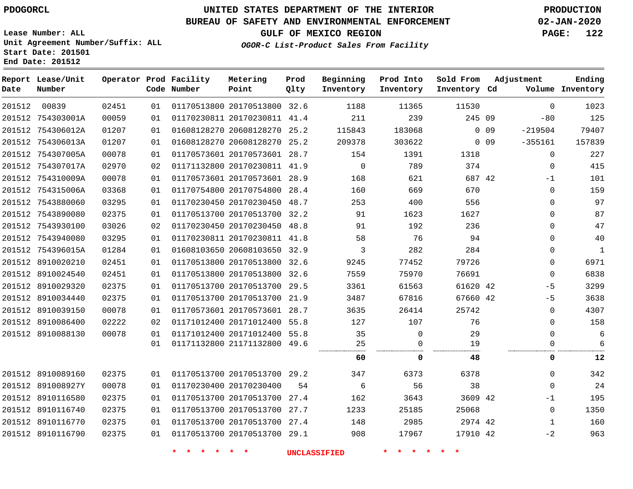### **BUREAU OF SAFETY AND ENVIRONMENTAL ENFORCEMENT 02-JAN-2020**

**Lease Number: ALL Unit Agreement Number/Suffix: ALL Start Date: 201501 End Date: 201512**

**OGOR-C List-Product Sales From Facility**

**GULF OF MEXICO REGION PAGE: 122**

| Date   | Report Lease/Unit<br>Number |       |    | Operator Prod Facility<br>Code Number | Metering<br>Point            | Prod<br>Qlty | Beginning<br>Inventory | Prod Into<br>Inventory | Sold From<br>Inventory Cd | Adjustment              | Ending<br>Volume Inventory |
|--------|-----------------------------|-------|----|---------------------------------------|------------------------------|--------------|------------------------|------------------------|---------------------------|-------------------------|----------------------------|
| 201512 | 00839                       | 02451 | 01 |                                       | 01170513800 20170513800 32.6 |              | 1188                   | 11365                  | 11530                     | $\Omega$                | 1023                       |
|        | 201512 754303001A           | 00059 | 01 |                                       | 01170230811 20170230811 41.4 |              | 211                    | 239                    | 245 09                    | $-80$                   | 125                        |
|        | 201512 754306012A           | 01207 | 01 |                                       | 01608128270 20608128270 25.2 |              | 115843                 | 183068                 |                           | $0$ 09<br>$-219504$     | 79407                      |
|        | 201512 754306013A           | 01207 | 01 |                                       | 01608128270 20608128270      | 25.2         | 209378                 | 303622                 |                           | $-355161$<br>$0\quad09$ | 157839                     |
|        | 201512 754307005A           | 00078 | 01 |                                       | 01170573601 20170573601 28.7 |              | 154                    | 1391                   | 1318                      | 0                       | 227                        |
|        | 201512 754307017A           | 02970 | 02 |                                       | 01171132800 20170230811 41.9 |              | $\mathbf 0$            | 789                    | 374                       | 0                       | 415                        |
|        | 201512 754310009A           | 00078 | 01 |                                       | 01170573601 20170573601 28.9 |              | 168                    | 621                    | 687 42                    | $-1$                    | 101                        |
|        | 201512 754315006A           | 03368 | 01 |                                       | 01170754800 20170754800      | 28.4         | 160                    | 669                    | 670                       | $\mathbf 0$             | 159                        |
|        | 201512 7543880060           | 03295 | 01 |                                       | 01170230450 20170230450      | 48.7         | 253                    | 400                    | 556                       | 0                       | 97                         |
|        | 201512 7543890080           | 02375 | 01 |                                       | 01170513700 20170513700      | 32.2         | 91                     | 1623                   | 1627                      | 0                       | 87                         |
|        | 201512 7543930100           | 03026 | 02 |                                       | 01170230450 20170230450 48.8 |              | 91                     | 192                    | 236                       | $\mathbf 0$             | 47                         |
|        | 201512 7543940080           | 03295 | 01 |                                       | 01170230811 20170230811 41.8 |              | 58                     | 76                     | 94                        | $\mathbf 0$             | 40                         |
|        | 201512 754396015A           | 01284 | 01 |                                       | 01608103650 20608103650      | 32.9         | 3                      | 282                    | 284                       | 0                       | 1                          |
|        | 201512 8910020210           | 02451 | 01 |                                       | 01170513800 20170513800 32.6 |              | 9245                   | 77452                  | 79726                     | 0                       | 6971                       |
|        | 201512 8910024540           | 02451 | 01 |                                       | 01170513800 20170513800      | 32.6         | 7559                   | 75970                  | 76691                     | $\mathbf 0$             | 6838                       |
|        | 201512 8910029320           | 02375 | 01 |                                       | 01170513700 20170513700 29.5 |              | 3361                   | 61563                  | 61620 42                  | $-5$                    | 3299                       |
|        | 201512 8910034440           | 02375 | 01 |                                       | 01170513700 20170513700      | 21.9         | 3487                   | 67816                  | 67660 42                  | $-5$                    | 3638                       |
|        | 201512 8910039150           | 00078 | 01 |                                       | 01170573601 20170573601 28.7 |              | 3635                   | 26414                  | 25742                     | $\mathbf 0$             | 4307                       |
|        | 201512 8910086400           | 02222 | 02 |                                       | 01171012400 20171012400 55.8 |              | 127                    | 107                    | 76                        | 0                       | 158                        |
|        | 201512 8910088130           | 00078 | 01 |                                       | 01171012400 20171012400 55.8 |              | 35                     | $\mathbf 0$            | 29                        | $\mathbf{0}$            | $\overline{6}$             |
|        |                             |       | 01 |                                       | 01171132800 21171132800 49.6 |              | 25<br>                 | 0<br>                  | 19                        | 0                       | 6                          |
|        |                             |       |    |                                       |                              |              | 60                     | 0                      | 48                        | 0                       | 12                         |
|        | 201512 8910089160           | 02375 | 01 |                                       | 01170513700 20170513700 29.2 |              | 347                    | 6373                   | 6378                      | 0                       | 342                        |
|        | 201512 891008927Y           | 00078 | 01 |                                       | 01170230400 20170230400      | 54           | 6                      | 56                     | 38                        | $\mathbf 0$             | 24                         |
|        | 201512 8910116580           | 02375 | 01 |                                       | 01170513700 20170513700      | 27.4         | 162                    | 3643                   | 3609 42                   | $-1$                    | 195                        |
|        | 201512 8910116740           | 02375 | 01 |                                       | 01170513700 20170513700      | 27.7         | 1233                   | 25185                  | 25068                     | $\mathbf 0$             | 1350                       |
|        | 201512 8910116770           | 02375 | 01 |                                       | 01170513700 20170513700      | 27.4         | 148                    | 2985                   | 2974 42                   | 1                       | 160                        |
|        | 201512 8910116790           | 02375 | 01 |                                       | 01170513700 20170513700 29.1 |              | 908                    | 17967                  | 17910 42                  | $-2$                    | 963                        |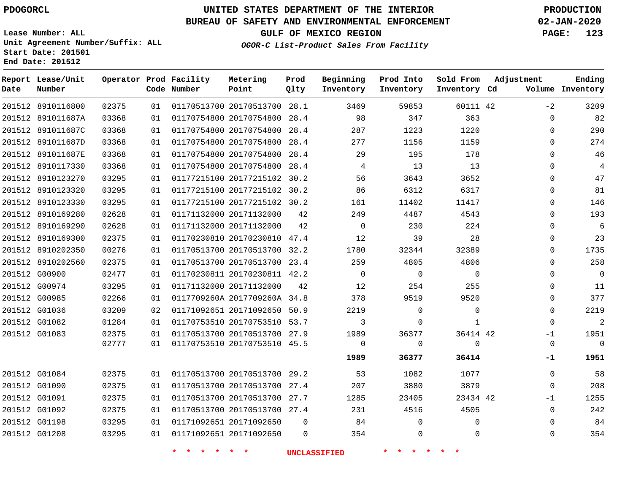### **BUREAU OF SAFETY AND ENVIRONMENTAL ENFORCEMENT 02-JAN-2020**

**Lease Number: ALL Unit Agreement Number/Suffix: ALL Start Date: 201501**

**End Date: 201512**

**GULF OF MEXICO REGION PAGE: 123**

**OGOR-C List-Product Sales From Facility**

| Date          | Report Lease/Unit<br>Number |       |    | Operator Prod Facility<br>Code Number | Metering<br>Point            | Prod<br>Olty | Beginning<br>Inventory | Prod Into<br>Inventory | Sold From<br>Inventory Cd | Adjustment  | Ending<br>Volume Inventory |
|---------------|-----------------------------|-------|----|---------------------------------------|------------------------------|--------------|------------------------|------------------------|---------------------------|-------------|----------------------------|
|               | 201512 8910116800           | 02375 | 01 |                                       | 01170513700 20170513700 28.1 |              | 3469                   | 59853                  | 60111 42                  | $-2$        | 3209                       |
|               | 201512 891011687A           | 03368 | 01 |                                       | 01170754800 20170754800 28.4 |              | 98                     | 347                    | 363                       | $\mathbf 0$ | 82                         |
|               | 201512 891011687C           | 03368 | 01 |                                       | 01170754800 20170754800 28.4 |              | 287                    | 1223                   | 1220                      | $\Omega$    | 290                        |
|               | 201512 891011687D           | 03368 | 01 |                                       | 01170754800 20170754800      | 28.4         | 277                    | 1156                   | 1159                      | $\Omega$    | 274                        |
|               | 201512 891011687E           | 03368 | 01 |                                       | 01170754800 20170754800 28.4 |              | 29                     | 195                    | 178                       | $\Omega$    | 46                         |
|               | 201512 8910117330           | 03368 | 01 |                                       | 01170754800 20170754800 28.4 |              | 4                      | 13                     | 13                        | $\Omega$    | 4                          |
|               | 201512 8910123270           | 03295 | 01 |                                       | 01177215100 20177215102 30.2 |              | 56                     | 3643                   | 3652                      | $\Omega$    | 47                         |
|               | 201512 8910123320           | 03295 | 01 |                                       | 01177215100 20177215102 30.2 |              | 86                     | 6312                   | 6317                      | $\Omega$    | 81                         |
|               | 201512 8910123330           | 03295 | 01 |                                       | 01177215100 20177215102 30.2 |              | 161                    | 11402                  | 11417                     | $\mathbf 0$ | 146                        |
|               | 201512 8910169280           | 02628 | 01 |                                       | 01171132000 20171132000      | 42           | 249                    | 4487                   | 4543                      | $\Omega$    | 193                        |
|               | 201512 8910169290           | 02628 | 01 |                                       | 01171132000 20171132000      | 42           | $\mathbf 0$            | 230                    | 224                       | $\Omega$    | 6                          |
|               | 201512 8910169300           | 02375 | 01 |                                       | 01170230810 20170230810 47.4 |              | 12                     | 39                     | 28                        | $\Omega$    | 23                         |
|               | 201512 8910202350           | 00276 | 01 |                                       | 01170513700 20170513700 32.2 |              | 1780                   | 32344                  | 32389                     | $\mathbf 0$ | 1735                       |
|               | 201512 8910202560           | 02375 | 01 |                                       | 01170513700 20170513700 23.4 |              | 259                    | 4805                   | 4806                      | $\Omega$    | 258                        |
|               | 201512 G00900               | 02477 | 01 |                                       | 01170230811 20170230811 42.2 |              | $\Omega$               | $\Omega$               | $\Omega$                  | $\Omega$    | $\mathbf 0$                |
|               | 201512 G00974               | 03295 | 01 |                                       | 01171132000 20171132000      | 42           | 12                     | 254                    | 255                       | $\Omega$    | 11                         |
| 201512 G00985 |                             | 02266 | 01 |                                       | 0117709260A 2017709260A 34.8 |              | 378                    | 9519                   | 9520                      | $\Omega$    | 377                        |
| 201512 G01036 |                             | 03209 | 02 |                                       | 01171092651 20171092650 50.9 |              | 2219                   | $\Omega$               | $\Omega$                  | $\Omega$    | 2219                       |
|               | 201512 G01082               | 01284 | 01 |                                       | 01170753510 20170753510 53.7 |              | 3                      | 0                      | 1                         | $\mathbf 0$ | $\sqrt{2}$                 |
| 201512 G01083 |                             | 02375 | 01 |                                       | 01170513700 20170513700 27.9 |              | 1989                   | 36377                  | 36414 42                  | $-1$        | 1951                       |
|               |                             | 02777 | 01 |                                       | 01170753510 20170753510 45.5 |              | 0                      | 0                      | $\Omega$                  | $\mathbf 0$ | $\Omega$                   |
|               |                             |       |    |                                       |                              |              | 1989                   | 36377                  | 36414                     | -1          | 1951                       |
|               | 201512 G01084               | 02375 | 01 |                                       | 01170513700 20170513700 29.2 |              | 53                     | 1082                   | 1077                      | $\Omega$    | 58                         |
|               | 201512 G01090               | 02375 | 01 |                                       | 01170513700 20170513700 27.4 |              | 207                    | 3880                   | 3879                      | $\Omega$    | 208                        |
| 201512 G01091 |                             | 02375 | 01 |                                       | 01170513700 20170513700 27.7 |              | 1285                   | 23405                  | 23434 42                  | $-1$        | 1255                       |
|               | 201512 G01092               | 02375 | 01 |                                       | 01170513700 20170513700 27.4 |              | 231                    | 4516                   | 4505                      | $\mathbf 0$ | 242                        |
| 201512 G01198 |                             | 03295 | 01 |                                       | 01171092651 20171092650      | $\Omega$     | 84                     | $\mathbf{0}$           | $\Omega$                  | $\Omega$    | 84                         |
| 201512 G01208 |                             | 03295 | 01 |                                       | 01171092651 20171092650      | $\mathbf 0$  | 354                    | 0                      | $\Omega$                  | $\mathbf 0$ | 354                        |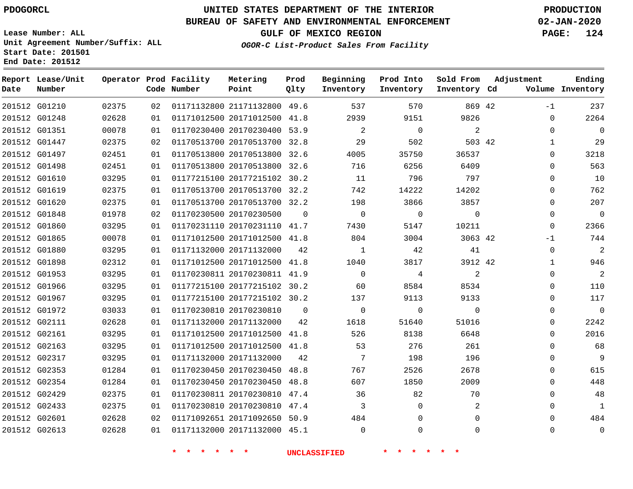**Report Lease/Unit**

# **UNITED STATES DEPARTMENT OF THE INTERIOR PDOGORCL PRODUCTION**

**Prod**

**Metering**

#### **BUREAU OF SAFETY AND ENVIRONMENTAL ENFORCEMENT 02-JAN-2020**

**Lease Number: ALL Unit Agreement Number/Suffix: ALL Start Date: 201501 End Date: 201512**

**Operator Prod Facility**

**OGOR-C List-Product Sales From Facility**

**Beginning Prod Into**

**GULF OF MEXICO REGION PAGE: 124**

**Sold From Adjustment**

**Ending**

| Date | Number        |       |    | Code Number                               | Point                              | Qlty           | Inventory                | Inventory                        | Inventory Cd   |             | Volume Inventory         |
|------|---------------|-------|----|-------------------------------------------|------------------------------------|----------------|--------------------------|----------------------------------|----------------|-------------|--------------------------|
|      | 201512 G01210 | 02375 | 02 |                                           | 01171132800 21171132800 49.6       |                | 537                      | 570                              | 869 42         | $-1$        | 237                      |
|      | 201512 G01248 | 02628 | 01 |                                           | 01171012500 20171012500 41.8       |                | 2939                     | 9151                             | 9826           | $\mathbf 0$ | 2264                     |
|      | 201512 G01351 | 00078 | 01 |                                           | 01170230400 20170230400 53.9       |                | $\overline{2}$           | $\overline{0}$                   | 2              | $\Omega$    | $\overline{\phantom{0}}$ |
|      | 201512 G01447 | 02375 | 02 |                                           | 01170513700 20170513700 32.8       |                | 29                       | 502                              | 503 42         | $\mathbf 1$ | 29                       |
|      | 201512 G01497 | 02451 | 01 |                                           | 01170513800 20170513800 32.6       |                | 4005                     | 35750                            | 36537          | $\Omega$    | 3218                     |
|      | 201512 G01498 | 02451 | 01 |                                           | 01170513800 20170513800 32.6       |                | 716                      | 6256                             | 6409           | $\Omega$    | 563                      |
|      | 201512 G01610 | 03295 | 01 |                                           | 01177215100 20177215102 30.2       |                | 11                       | 796                              | 797            | $\Omega$    | 10                       |
|      | 201512 G01619 | 02375 | 01 |                                           | 01170513700 20170513700 32.2       |                | 742                      | 14222                            | 14202          | 0           | 762                      |
|      | 201512 G01620 | 02375 | 01 |                                           | 01170513700 20170513700 32.2       |                | 198                      | 3866                             | 3857           | $\Omega$    | 207                      |
|      | 201512 G01848 | 01978 | 02 |                                           | 01170230500 20170230500            | $\overline{0}$ | $\overline{0}$           | $\overline{\phantom{0}}$         | $\overline{0}$ | $\Omega$    | $\overline{0}$           |
|      | 201512 G01860 | 03295 | 01 |                                           | 01170231110 20170231110 41.7       |                | 7430                     | 5147                             | 10211          | $\Omega$    | 2366                     |
|      | 201512 G01865 | 00078 | 01 |                                           | 01171012500 20171012500 41.8       |                | 804                      | 3004                             | 3063 42        | $-1$        | 744                      |
|      | 201512 G01880 | 03295 | 01 |                                           | 01171132000 20171132000            | 42             | $\overline{\phantom{a}}$ | 42                               | 41             | $\Omega$    | $\overline{c}$           |
|      | 201512 G01898 | 02312 | 01 |                                           | 01171012500 20171012500 41.8       |                | 1040                     | 3817                             | 3912 42        | 1           | 946                      |
|      | 201512 G01953 | 03295 | 01 |                                           | 01170230811 20170230811 41.9       |                | $\overline{0}$           | $\overline{4}$                   | 2              | $\mathbf 0$ | $\overline{c}$           |
|      | 201512 G01966 | 03295 | 01 |                                           | 01177215100 20177215102 30.2       |                | 60                       | 8584                             | 8534           | $\Omega$    | 110                      |
|      | 201512 G01967 | 03295 | 01 |                                           | 01177215100 20177215102 30.2       |                | 137                      | 9113                             | 9133           | $\mathbf 0$ | 117                      |
|      | 201512 G01972 | 03033 | 01 |                                           | 01170230810 20170230810            | $\Omega$       | $\overline{0}$           | $\Omega$                         | $\Omega$       | $\Omega$    | $\overline{0}$           |
|      | 201512 G02111 | 02628 | 01 |                                           | 01171132000 20171132000            | 42             | 1618                     | 51640                            | 51016          | 0           | 2242                     |
|      | 201512 G02161 | 03295 | 01 |                                           | 01171012500 20171012500 41.8       |                | 526                      | 8138                             | 6648           | $\Omega$    | 2016                     |
|      | 201512 G02163 | 03295 | 01 |                                           | 01171012500 20171012500 41.8       |                | 53                       | 276                              | 261            | $\Omega$    | 68                       |
|      | 201512 G02317 | 03295 | 01 |                                           | 01171132000 20171132000            | 42             | $\overline{7}$           | 198                              | 196            | 0           | 9                        |
|      | 201512 G02353 | 01284 | 01 |                                           | 01170230450 20170230450 48.8       |                | 767                      | 2526                             | 2678           | $\Omega$    | 615                      |
|      | 201512 G02354 | 01284 | 01 |                                           | 01170230450 20170230450 48.8       |                | 607                      | 1850                             | 2009           | $\Omega$    | 448                      |
|      | 201512 G02429 | 02375 | 01 |                                           | 01170230811 20170230810 47.4       |                | 36                       | 82                               | 70             | $\Omega$    | 48                       |
|      | 201512 G02433 | 02375 | 01 |                                           | 01170230810 20170230810 47.4       |                | $\overline{3}$           | $\mathbf 0$                      | $\overline{2}$ | $\Omega$    | $\mathbf{1}$             |
|      | 201512 G02601 | 02628 | 02 |                                           | 01171092651 20171092650 50.9       |                | 484                      | $\mathbf 0$                      | $\mathbf 0$    | $\Omega$    | 484                      |
|      | 201512 G02613 | 02628 |    |                                           | 01  01171132000  20171132000  45.1 |                | $\overline{0}$           | $\mathbf 0$                      | $\mathbf 0$    | $\mathbf 0$ | $\mathbf 0$              |
|      |               |       |    | $\star$ $\star$<br>$\star$<br><b>TANK</b> | $\star$ $\star$                    |                | <b>UNCLASSIFIED</b>      | $\star$ $\star$<br>一大<br>$\star$ |                |             |                          |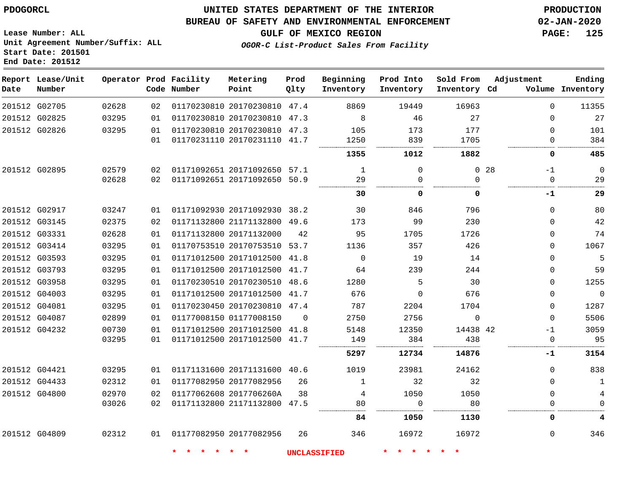#### **BUREAU OF SAFETY AND ENVIRONMENTAL ENFORCEMENT 02-JAN-2020**

**Lease Number: ALL Unit Agreement Number/Suffix: ALL Start Date: 201501 End Date: 201512**

**OGOR-C List-Product Sales From Facility**

**GULF OF MEXICO REGION PAGE: 125**

|  | OGOR-C BISC-FIOGACL BAIES FIOM FACILICY |  |  |
|--|-----------------------------------------|--|--|
|  |                                         |  |  |
|  |                                         |  |  |

| Date | Report Lease/Unit<br>Number |       |    | Operator Prod Facility<br>Code Number | Metering<br>Point            | Prod<br>Qlty | Beginning<br>Inventory | Prod Into<br>Inventory | Sold From<br>Inventory Cd | Adjustment |             | Ending<br>Volume Inventory |
|------|-----------------------------|-------|----|---------------------------------------|------------------------------|--------------|------------------------|------------------------|---------------------------|------------|-------------|----------------------------|
|      | 201512 G02705               | 02628 | 02 |                                       | 01170230810 20170230810 47.4 |              | 8869                   | 19449                  | 16963                     |            | $\Omega$    | 11355                      |
|      | 201512 G02825               | 03295 | 01 |                                       | 01170230810 20170230810 47.3 |              | 8                      | 46                     | 27                        |            | $\Omega$    | 27                         |
|      | 201512 G02826               | 03295 | 01 |                                       | 01170230810 20170230810 47.3 |              | 105                    | 173                    | 177                       |            | $\Omega$    | 101                        |
|      |                             |       | 01 |                                       | 01170231110 20170231110 41.7 |              | 1250                   | 839                    | 1705                      |            | $\Omega$    | 384                        |
|      |                             |       |    |                                       |                              |              | 1355                   | 1012                   | 1882                      |            | 0           | 485                        |
|      | 201512 G02895               | 02579 | 02 |                                       | 01171092651 20171092650 57.1 |              | 1                      | $\Omega$               | $\Omega$                  | 28         | $-1$        | $\overline{0}$             |
|      |                             | 02628 | 02 |                                       | 01171092651 20171092650 50.9 |              | 29<br>.                | $\Omega$               | $\Omega$                  |            | $\Omega$    | 29                         |
|      |                             |       |    |                                       |                              |              | 30                     | 0                      | $\Omega$                  |            | -1          | 29                         |
|      | 201512 G02917               | 03247 | 01 |                                       | 01171092930 20171092930 38.2 |              | 30                     | 846                    | 796                       |            | 0           | 80                         |
|      | 201512 G03145               | 02375 | 02 |                                       | 01171132800 21171132800 49.6 |              | 173                    | 99                     | 230                       |            | $\Omega$    | 42                         |
|      | 201512 G03331               | 02628 | 01 |                                       | 01171132800 20171132000      | 42           | 95                     | 1705                   | 1726                      |            | $\Omega$    | 74                         |
|      | 201512 G03414               | 03295 | 01 |                                       | 01170753510 20170753510 53.7 |              | 1136                   | 357                    | 426                       |            | 0           | 1067                       |
|      | 201512 G03593               | 03295 | 01 |                                       | 01171012500 20171012500 41.8 |              | $\mathbf 0$            | 19                     | 14                        |            | $\Omega$    | 5                          |
|      | 201512 G03793               | 03295 | 01 |                                       | 01171012500 20171012500 41.7 |              | 64                     | 239                    | 244                       |            | $\Omega$    | 59                         |
|      | 201512 G03958               | 03295 | 01 |                                       | 01170230510 20170230510 48.6 |              | 1280                   | 5                      | 30                        |            | 0           | 1255                       |
|      | 201512 G04003               | 03295 | 01 |                                       | 01171012500 20171012500 41.7 |              | 676                    | $\Omega$               | 676                       |            | $\Omega$    | $\overline{0}$             |
|      | 201512 G04081               | 03295 | 01 |                                       | 01170230450 20170230810 47.4 |              | 787                    | 2204                   | 1704                      |            | 0           | 1287                       |
|      | 201512 G04087               | 02899 | 01 |                                       | 01177008150 01177008150      | $\Omega$     | 2750                   | 2756                   | $\mathbf 0$               |            | $\Omega$    | 5506                       |
|      | 201512 G04232               | 00730 | 01 |                                       | 01171012500 20171012500 41.8 |              | 5148                   | 12350                  | 14438 42                  |            | $-1$        | 3059                       |
|      |                             | 03295 | 01 |                                       | 01171012500 20171012500 41.7 |              | 149                    | 384                    | 438                       |            | $\mathbf 0$ | 95                         |
|      |                             |       |    |                                       |                              |              | 5297                   | 12734                  | 14876                     |            | -1          | 3154                       |
|      | 201512 G04421               | 03295 | 01 |                                       | 01171131600 20171131600 40.6 |              | 1019                   | 23981                  | 24162                     |            | $\Omega$    | 838                        |
|      | 201512 G04433               | 02312 | 01 |                                       | 01177082950 20177082956      | 26           | $\mathbf{1}$           | 32                     | 32                        |            | $\Omega$    | $\mathbf{1}$               |
|      | 201512 G04800               | 02970 | 02 |                                       | 01177062608 2017706260A      | 38           | 4                      | 1050                   | 1050                      |            | $\mathbf 0$ | $\overline{\mathbf{4}}$    |
|      |                             | 03026 | 02 |                                       | 01171132800 21171132800 47.5 |              | 80                     | 0                      | 80                        |            | $\Omega$    | $\mathbf 0$                |
|      |                             |       |    |                                       |                              |              | 84.                    | 1050                   | 1130                      |            | 0           | 4                          |
|      | 201512 G04809               | 02312 | 01 |                                       | 01177082950 20177082956      | 26           | 346                    | 16972                  | 16972                     |            | $\Omega$    | 346                        |
|      |                             |       |    | $\star$<br>$\star$                    |                              |              | UNCLASSIFIED           |                        |                           |            |             |                            |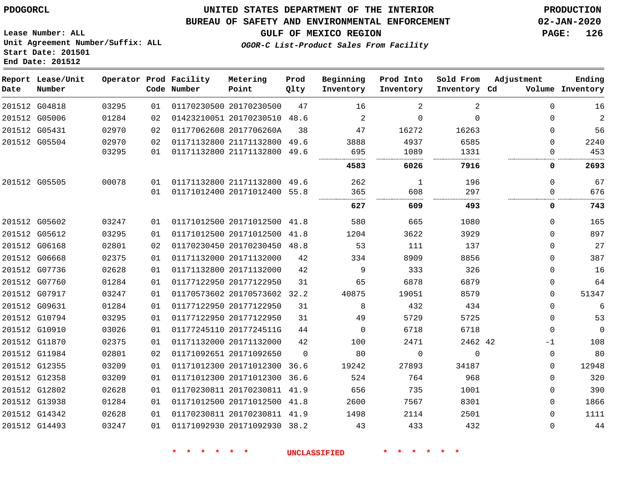**End Date: 201512**

### **UNITED STATES DEPARTMENT OF THE INTERIOR PDOGORCL PRODUCTION**

#### **BUREAU OF SAFETY AND ENVIRONMENTAL ENFORCEMENT 02-JAN-2020**

**Lease Number: ALL Unit Agreement Number/Suffix: ALL Start Date: 201501**

**GULF OF MEXICO REGION PAGE: 126**

**OGOR-C List-Product Sales From Facility**

| Date | Report Lease/Unit<br>Number |       |    | Operator Prod Facility<br>Code Number | Metering<br>Point            | Prod<br>Qlty | Beginning<br>Inventory | Prod Into<br>Inventory | Sold From<br>Inventory Cd | Adjustment | Ending<br>Volume Inventory |
|------|-----------------------------|-------|----|---------------------------------------|------------------------------|--------------|------------------------|------------------------|---------------------------|------------|----------------------------|
|      | 201512 G04818               | 03295 | 01 |                                       | 01170230500 20170230500      | 47           | 16                     | 2                      | 2                         | $\Omega$   | 16                         |
|      | 201512 G05006               | 01284 | 02 |                                       | 01423210051 20170230510 48.6 |              | 2                      | $\Omega$               | $\Omega$                  | $\Omega$   | $\overline{2}$             |
|      | 201512 G05431               | 02970 | 02 |                                       | 01177062608 2017706260A      | 38           | 47                     | 16272                  | 16263                     | $\Omega$   | 56                         |
|      | 201512 G05504               | 02970 | 02 |                                       | 01171132800 21171132800 49.6 |              | 3888                   | 4937                   | 6585                      | $\Omega$   | 2240                       |
|      |                             | 03295 | 01 |                                       | 01171132800 21171132800      | 49.6         | 695                    | 1089                   | 1331                      | $\Omega$   | 453                        |
|      |                             |       |    |                                       |                              |              | 4583                   | 6026                   | 7916                      | 0          | 2693                       |
|      | 201512 G05505               | 00078 | 01 |                                       | 01171132800 21171132800 49.6 |              | 262                    | 1                      | 196                       | 0          | 67                         |
|      |                             |       | 01 |                                       | 01171012400 20171012400 55.8 |              | 365                    | 608                    | 297                       | 0          | 676                        |
|      |                             |       |    |                                       |                              |              | 627                    | 609                    | 493                       | 0          | 743                        |
|      | 201512 G05602               | 03247 | 01 |                                       | 01171012500 20171012500      | 41.8         | 580                    | 665                    | 1080                      | $\Omega$   | 165                        |
|      | 201512 G05612               | 03295 | 01 |                                       | 01171012500 20171012500      | 41.8         | 1204                   | 3622                   | 3929                      | $\Omega$   | 897                        |
|      | 201512 G06168               | 02801 | 02 |                                       | 01170230450 20170230450      | 48.8         | 53                     | 111                    | 137                       | $\Omega$   | 27                         |
|      | 201512 G06668               | 02375 | 01 |                                       | 01171132000 20171132000      | 42           | 334                    | 8909                   | 8856                      | $\Omega$   | 387                        |
|      | 201512 G07736               | 02628 | 01 |                                       | 01171132800 20171132000      | 42           | 9                      | 333                    | 326                       | $\Omega$   | 16                         |
|      | 201512 G07760               | 01284 | 01 |                                       | 01177122950 20177122950      | 31           | 65                     | 6878                   | 6879                      | 0          | 64                         |
|      | 201512 G07917               | 03247 | 01 |                                       | 01170573602 20170573602 32.2 |              | 40875                  | 19051                  | 8579                      | $\Omega$   | 51347                      |
|      | 201512 G09631               | 01284 | 01 |                                       | 01177122950 20177122950      | 31           | 8                      | 432                    | 434                       | $\Omega$   | 6                          |
|      | 201512 G10794               | 03295 | 01 |                                       | 01177122950 20177122950      | 31           | 49                     | 5729                   | 5725                      | $\Omega$   | 53                         |
|      | 201512 G10910               | 03026 | 01 |                                       | 01177245110 2017724511G      | 44           | $\mathbf 0$            | 6718                   | 6718                      | 0          | $\mathbf 0$                |
|      | 201512 G11870               | 02375 | 01 |                                       | 01171132000 20171132000      | 42           | 100                    | 2471                   | 2462 42                   | -1         | 108                        |
|      | 201512 G11984               | 02801 | 02 |                                       | 01171092651 20171092650      | $\Omega$     | 80                     | $\Omega$               | $\mathbf 0$               | 0          | 80                         |
|      | 201512 G12355               | 03209 | 01 |                                       | 01171012300 20171012300 36.6 |              | 19242                  | 27893                  | 34187                     | 0          | 12948                      |
|      | 201512 G12358               | 03209 | 01 |                                       | 01171012300 20171012300 36.6 |              | 524                    | 764                    | 968                       | $\Omega$   | 320                        |
|      | 201512 G12802               | 02628 | 01 |                                       | 01170230811 20170230811 41.9 |              | 656                    | 735                    | 1001                      | 0          | 390                        |
|      | 201512 G13938               | 01284 | 01 |                                       | 01171012500 20171012500 41.8 |              | 2600                   | 7567                   | 8301                      | $\Omega$   | 1866                       |
|      | 201512 G14342               | 02628 | 01 |                                       | 01170230811 20170230811 41.9 |              | 1498                   | 2114                   | 2501                      | $\Omega$   | 1111                       |
|      | 201512 G14493               | 03247 | 01 |                                       | 01171092930 20171092930 38.2 |              | 43                     | 433                    | 432                       | $\Omega$   | 44                         |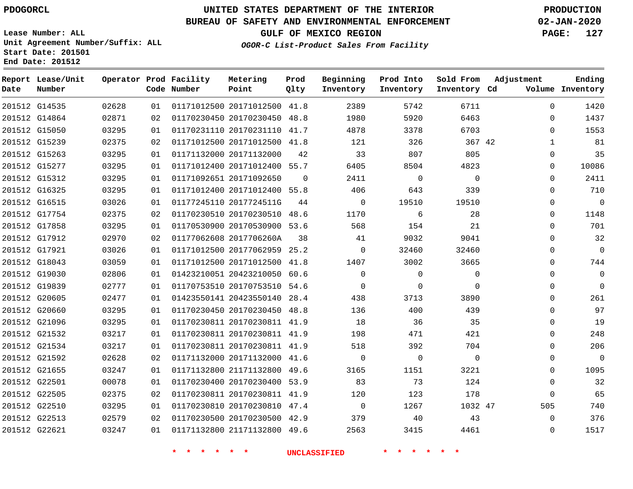G14535

**Date**

**Report Lease/Unit**

**Number**

# **UNITED STATES DEPARTMENT OF THE INTERIOR PDOGORCL PRODUCTION**

**Prod Qlty**

#### **BUREAU OF SAFETY AND ENVIRONMENTAL ENFORCEMENT 02-JAN-2020**

**Lease Number: ALL Unit Agreement Number/Suffix: ALL Start Date: 201501 End Date: 201512**

> 

**Operator Prod Facility**

**Code Number**

20171012500 41.8

**Metering Point**

 

**GULF OF MEXICO REGION PAGE: 127**

**Inventory Cd Volume**

**Adjustment**

  $\Omega$  $\Omega$   $\Omega$  $\Omega$  $\Omega$  $\Omega$  $\Omega$  $\Omega$  $\Omega$  $\Omega$  $\overline{0}$   $\Omega$  $\overline{0}$  $\Omega$  $\Omega$  $\Omega$  $\Omega$  $\overline{0}$  $\Omega$  $\Omega$   $\Omega$ 

**Ending**

|               | 201512 G14864 | 02871 | 02 |                         | 01170230450 20170230450 48.8 |          | 1980        | 5920     | 6463        |  |
|---------------|---------------|-------|----|-------------------------|------------------------------|----------|-------------|----------|-------------|--|
|               | 201512 G15050 | 03295 | 01 |                         | 01170231110 20170231110 41.7 |          | 4878        | 3378     | 6703        |  |
|               | 201512 G15239 | 02375 | 02 |                         | 01171012500 20171012500 41.8 |          | 121         | 326      | 367 42      |  |
|               | 201512 G15263 | 03295 | 01 | 01171132000 20171132000 |                              | 42       | 33          | 807      | 805         |  |
|               | 201512 G15277 | 03295 | 01 |                         | 01171012400 20171012400 55.7 |          | 6405        | 8504     | 4823        |  |
|               | 201512 G15312 | 03295 | 01 | 01171092651 20171092650 |                              | $\Omega$ | 2411        | 0        | $\mathbf 0$ |  |
|               | 201512 G16325 | 03295 | 01 |                         | 01171012400 20171012400 55.8 |          | 406         | 643      | 339         |  |
|               | 201512 G16515 | 03026 | 01 |                         | 01177245110 2017724511G      | 44       | 0           | 19510    | 19510       |  |
|               | 201512 G17754 | 02375 | 02 |                         | 01170230510 20170230510 48.6 |          | 1170        | 6        | 28          |  |
|               | 201512 G17858 | 03295 | 01 |                         | 01170530900 20170530900 53.6 |          | 568         | 154      | 21          |  |
|               | 201512 G17912 | 02970 | 02 |                         | 01177062608 2017706260A      | 38       | 41          | 9032     | 9041        |  |
| 201512 G17921 |               | 03026 | 01 |                         | 01171012500 20177062959 25.2 |          | $\mathbf 0$ | 32460    | 32460       |  |
|               | 201512 G18043 | 03059 | 01 |                         | 01171012500 20171012500 41.8 |          | 1407        | 3002     | 3665        |  |
|               | 201512 G19030 | 02806 | 01 |                         | 01423210051 20423210050 60.6 |          | $\mathbf 0$ | $\Omega$ | $\mathbf 0$ |  |
|               | 201512 G19839 | 02777 | 01 |                         | 01170753510 20170753510 54.6 |          | 0           | 0        | $\Omega$    |  |
|               | 201512 G20605 | 02477 | 01 |                         | 01423550141 20423550140 28.4 |          | 438         | 3713     | 3890        |  |
|               | 201512 G20660 | 03295 | 01 |                         | 01170230450 20170230450 48.8 |          | 136         | 400      | 439         |  |
|               | 201512 G21096 | 03295 | 01 |                         | 01170230811 20170230811 41.9 |          | 18          | 36       | 35          |  |
|               | 201512 G21532 | 03217 | 01 |                         | 01170230811 20170230811 41.9 |          | 198         | 471      | 421         |  |
|               | 201512 G21534 | 03217 | 01 |                         | 01170230811 20170230811 41.9 |          | 518         | 392      | 704         |  |
|               | 201512 G21592 | 02628 | 02 |                         | 01171132000 20171132000      | 41.6     | 0           | $\Omega$ | $\Omega$    |  |
|               | 201512 G21655 | 03247 | 01 |                         | 01171132800 21171132800 49.6 |          | 3165        | 1151     | 3221        |  |
| 201512 G22501 |               | 00078 | 01 |                         | 01170230400 20170230400 53.9 |          | 83          | 73       | 124         |  |
|               | 201512 G22505 | 02375 | 02 |                         | 01170230811 20170230811      | 41.9     | 120         | 123      | 178         |  |
|               | 201512 G22510 | 03295 | 01 |                         | 01170230810 20170230810 47.4 |          | $\mathbf 0$ | 1267     | 1032 47     |  |
|               | 201512 G22513 | 02579 | 02 |                         | 01170230500 20170230500 42.9 |          | 379         | 40       | 43          |  |
| 201512 G22621 |               | 03247 | 01 |                         | 01171132800 21171132800 49.6 |          | 2563        | 3415     | 4461        |  |
|               |               |       |    |                         |                              |          |             |          |             |  |

**OGOR-C List-Product Sales From Facility**

   

 

**Sold From Inventory**

**Prod Into Inventory**

**Beginning Inventory**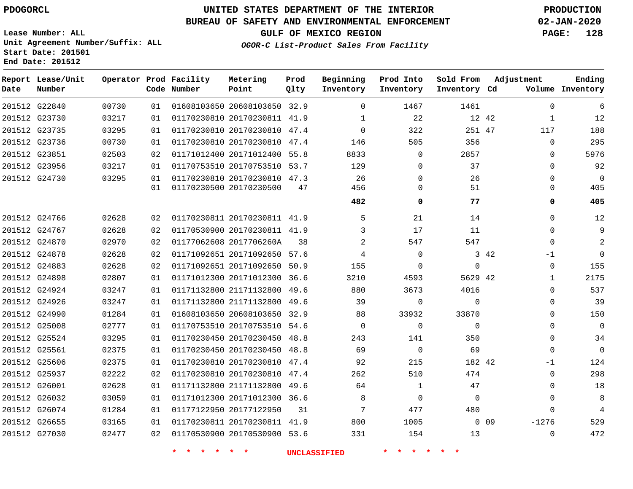### **BUREAU OF SAFETY AND ENVIRONMENTAL ENFORCEMENT 02-JAN-2020**

**Lease Number: ALL Unit Agreement Number/Suffix: ALL Start Date: 201501**

**End Date: 201512**

**GULF OF MEXICO REGION PAGE: 128**

**OGOR-C List-Product Sales From Facility**

| Date | Report Lease/Unit<br>Number |       |    | Operator Prod Facility<br>Code Number | Metering<br>Point            | Prod<br>Qlty | Beginning<br>Inventory | Prod Into<br>Inventory | Sold From<br>Inventory Cd |            | Adjustment   | Ending<br>Volume Inventory |
|------|-----------------------------|-------|----|---------------------------------------|------------------------------|--------------|------------------------|------------------------|---------------------------|------------|--------------|----------------------------|
|      | 201512 G22840               | 00730 | 01 |                                       | 01608103650 20608103650 32.9 |              | $\Omega$               | 1467                   | 1461                      |            | $\Omega$     | 6                          |
|      | 201512 G23730               | 03217 | 01 |                                       | 01170230810 20170230811 41.9 |              | 1                      | 22                     | 12 42                     |            | 1            | 12                         |
|      | 201512 G23735               | 03295 | 01 |                                       | 01170230810 20170230810      | 47.4         | $\Omega$               | 322                    | 251 47                    |            | 117          | 188                        |
|      | 201512 G23736               | 00730 | 01 |                                       | 01170230810 20170230810 47.4 |              | 146                    | 505                    | 356                       |            | $\Omega$     | 295                        |
|      | 201512 G23851               | 02503 | 02 |                                       | 01171012400 20171012400      | 55.8         | 8833                   | $\Omega$               | 2857                      |            | $\Omega$     | 5976                       |
|      | 201512 G23956               | 03217 | 01 |                                       | 01170753510 20170753510 53.7 |              | 129                    | $\Omega$               | 37                        |            | $\Omega$     | 92                         |
|      | 201512 G24730               | 03295 | 01 |                                       | 01170230810 20170230810 47.3 |              | 26                     | $\Omega$               | 26                        |            | $\Omega$     | $\Omega$                   |
|      |                             |       | 01 |                                       | 01170230500 20170230500      | 47           | 456<br>                | $\Omega$<br>           | 51<br><br>                |            | $\Omega$     | 405                        |
|      |                             |       |    |                                       |                              |              | 482                    | 0                      | 77                        |            | 0            | 405                        |
|      | 201512 G24766               | 02628 | 02 |                                       | 01170230811 20170230811 41.9 |              | 5                      | 21                     | 14                        |            | $\Omega$     | 12                         |
|      | 201512 G24767               | 02628 | 02 |                                       | 01170530900 20170230811 41.9 |              | 3                      | 17                     | 11                        |            | $\Omega$     | 9                          |
|      | 201512 G24870               | 02970 | 02 |                                       | 01177062608 2017706260A      | 38           | 2                      | 547                    | 547                       |            | $\Omega$     | $\overline{2}$             |
|      | 201512 G24878               | 02628 | 02 |                                       | 01171092651 20171092650 57.6 |              | 4                      | $\Omega$               |                           | 3 42       | -1           | $\Omega$                   |
|      | 201512 G24883               | 02628 | 02 |                                       | 01171092651 20171092650      | 50.9         | 155                    | $\Omega$               | $\Omega$                  |            | $\mathbf 0$  | 155                        |
|      | 201512 G24898               | 02807 | 01 |                                       | 01171012300 20171012300      | 36.6         | 3210                   | 4593                   | 5629 42                   |            | $\mathbf{1}$ | 2175                       |
|      | 201512 G24924               | 03247 | 01 |                                       | 01171132800 21171132800 49.6 |              | 880                    | 3673                   | 4016                      |            | $\mathbf 0$  | 537                        |
|      | 201512 G24926               | 03247 | 01 |                                       | 01171132800 21171132800 49.6 |              | 39                     | $\Omega$               | $\Omega$                  |            | $\mathbf 0$  | 39                         |
|      | 201512 G24990               | 01284 | 01 |                                       | 01608103650 20608103650 32.9 |              | 88                     | 33932                  | 33870                     |            | $\Omega$     | 150                        |
|      | 201512 G25008               | 02777 | 01 |                                       | 01170753510 20170753510 54.6 |              | $\mathbf 0$            | $\mathbf 0$            | $\Omega$                  |            | $\Omega$     | $\mathbf 0$                |
|      | 201512 G25524               | 03295 | 01 |                                       | 01170230450 20170230450      | 48.8         | 243                    | 141                    | 350                       |            | $\mathbf 0$  | 34                         |
|      | 201512 G25561               | 02375 | 01 |                                       | 01170230450 20170230450      | 48.8         | 69                     | $\mathbf 0$            | 69                        |            | $\mathbf 0$  | $\mathbf{0}$               |
|      | 201512 G25606               | 02375 | 01 |                                       | 01170230810 20170230810 47.4 |              | 92                     | 215                    | 182 42                    |            | $-1$         | 124                        |
|      | 201512 G25937               | 02222 | 02 |                                       | 01170230810 20170230810 47.4 |              | 262                    | 510                    | 474                       |            | $\mathbf 0$  | 298                        |
|      | 201512 G26001               | 02628 | 01 |                                       | 01171132800 21171132800      | 49.6         | 64                     | 1                      | 47                        |            | $\Omega$     | 18                         |
|      | 201512 G26032               | 03059 | 01 |                                       | 01171012300 20171012300 36.6 |              | 8                      | $\Omega$               | $\Omega$                  |            | $\Omega$     | 8                          |
|      | 201512 G26074               | 01284 | 01 |                                       | 01177122950 20177122950      | 31           | 7                      | 477                    | 480                       |            | $\Omega$     | $\overline{4}$             |
|      | 201512 G26655               | 03165 | 01 |                                       | 01170230811 20170230811 41.9 |              | 800                    | 1005                   |                           | $0\quad09$ | $-1276$      | 529                        |
|      | 201512 G27030               | 02477 | 02 |                                       | 01170530900 20170530900 53.6 |              | 331                    | 154                    | 13                        |            | $\Omega$     | 472                        |